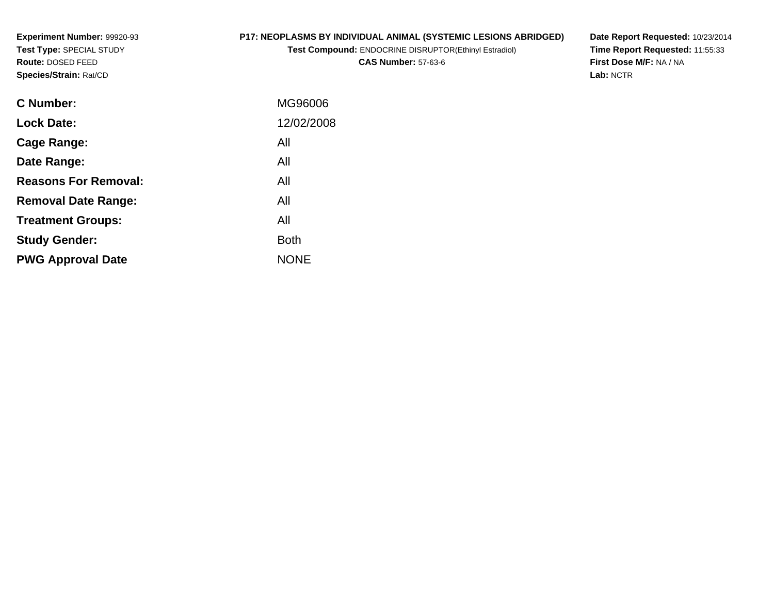**Experiment Number:** 99920-93**Test Type:** SPECIAL STUDY**Route:** DOSED FEED**Species/Strain:** Rat/CD

# **P17: NEOPLASMS BY INDIVIDUAL ANIMAL (SYSTEMIC LESIONS ABRIDGED)**

**Test Compound:** ENDOCRINE DISRUPTOR(Ethinyl Estradiol)

**CAS Number:** 57-63-6

**Date Report Requested:** 10/23/2014 **Time Report Requested:** 11:55:33**First Dose M/F:** NA / NA**Lab:** NCTR

| <b>C</b> Number:            | MG96006     |
|-----------------------------|-------------|
| <b>Lock Date:</b>           | 12/02/2008  |
| Cage Range:                 | All         |
| Date Range:                 | All         |
| <b>Reasons For Removal:</b> | All         |
| <b>Removal Date Range:</b>  | All         |
| <b>Treatment Groups:</b>    | All         |
| <b>Study Gender:</b>        | <b>Both</b> |
| <b>PWG Approval Date</b>    | <b>NONE</b> |
|                             |             |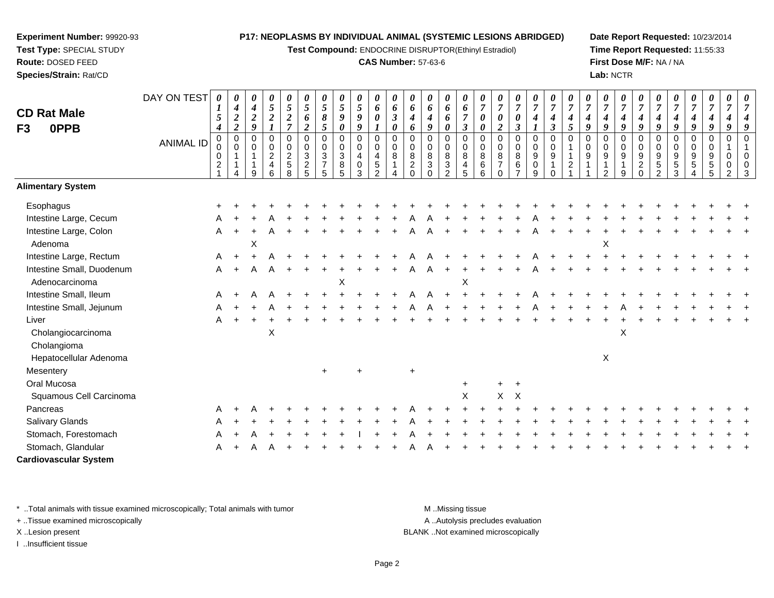**Test Compound:** ENDOCRINE DISRUPTOR(Ethinyl Estradiol)

# **CAS Number:** 57-63-6

**Date Report Requested:** 10/23/2014**Time Report Requested:** 11:55:33**First Dose M/F:** NA / NA**Lab:** NCTR

| <b>CD Rat Male</b><br>F <sub>3</sub><br>0PPB | DAY ON TEST<br><b>ANIMAL ID</b> | $\boldsymbol{\theta}$<br>$\boldsymbol{l}$<br>$\mathfrak{s}$<br>$\boldsymbol{4}$<br>$\pmb{0}$<br>0<br>$\mathbf 0$<br>$\overline{2}$ | $\pmb{\theta}$<br>$\boldsymbol{4}$<br>$\boldsymbol{2}$<br>$\overline{\mathbf{c}}$<br>$\boldsymbol{0}$<br>$\mathbf 0$<br>1 | $\pmb{\theta}$<br>$\boldsymbol{4}$<br>$\boldsymbol{2}$<br>9<br>$\mathsf 0$<br>$\mathbf 0$<br>$\mathbf{1}$<br>1<br>9 | 0<br>$5\overline{)}$<br>$\overline{c}$<br>0<br>0<br>$\overline{\mathbf{c}}$<br>$\overline{\mathbf{4}}$<br>6 | $\boldsymbol{\theta}$<br>5<br>$\boldsymbol{2}$<br>$\overline{7}$<br>$\boldsymbol{0}$<br>$\pmb{0}$<br>$rac{2}{5}$<br>8 | $\boldsymbol{\theta}$<br>5<br>6<br>$\boldsymbol{2}$<br>$\mathbf 0$<br>$\mathbf 0$<br>$\mathbf{3}$<br>$\overline{c}$<br>5 | $\pmb{\theta}$<br>5<br>8<br>5<br>$\mathbf 0$<br>$\pmb{0}$<br>$\sqrt{3}$<br>$\overline{7}$<br>5 | $\frac{\theta}{5}$<br>9<br>0<br>$\overline{0}$<br>$\pmb{0}$<br>$\mathbf{3}$<br>$\frac{8}{5}$ | 0<br>$\mathfrak{z}$<br>9<br>9<br>$\pmb{0}$<br>0<br>$\overline{4}$<br>$\mathsf 0$<br>3 | $\boldsymbol{\theta}$<br>$\pmb{6}$<br>$\boldsymbol{\theta}$<br>$\boldsymbol{0}$<br>$\pmb{0}$<br>$\overline{\mathbf{4}}$<br>$\frac{5}{2}$ | $\boldsymbol{\theta}$<br>6<br>$\boldsymbol{\beta}$<br>$\boldsymbol{\theta}$<br>$\mathbf 0$<br>$\mathbf 0$<br>$\, 8$<br>$\overline{1}$<br>4 | $\pmb{\theta}$<br>6<br>4<br>6<br>$\Omega$<br>$\mathbf 0$<br>8<br>$\overline{c}$<br>$\Omega$ | $\pmb{\theta}$<br>6<br>$\boldsymbol{4}$<br>9<br>$\overline{0}$<br>0<br>8<br>3<br>$\Omega$ | 0<br>6<br>6<br>0<br>0<br>0<br>$\,8\,$<br>$\ensuremath{\mathsf{3}}$<br>2 | $\boldsymbol{\theta}$<br>6<br>$\overline{7}$<br>$\mathfrak{z}$<br>$\mathbf 0$<br>$\pmb{0}$<br>8<br>4<br>5 | $\boldsymbol{\theta}$<br>$\overline{7}$<br>$\boldsymbol{\theta}$<br>0<br>$\mathbf 0$<br>$\pmb{0}$<br>8<br>$\,6\,$<br>6 | 0<br>$\boldsymbol{7}$<br>$\boldsymbol{\theta}$<br>$\boldsymbol{2}$<br>$\mathbf 0$<br>$\mathbf 0$<br>8<br>$\overline{7}$ | 0<br>$\overline{7}$<br>0<br>3<br>0<br>0<br>8<br>6 | 0<br>$\overline{7}$<br>4<br>$\mathbf 0$<br>$\mathbf 0$<br>$\boldsymbol{9}$<br>$\pmb{0}$<br>9 | $\boldsymbol{\theta}$<br>$\overline{7}$<br>$\boldsymbol{4}$<br>$\mathfrak{z}$<br>$\boldsymbol{0}$<br>$\pmb{0}$<br>$\overline{9}$<br>$\overline{1}$<br>$\Omega$ | $\boldsymbol{\theta}$<br>$\overline{7}$<br>4<br>$\mathfrak{s}$<br>$\overline{0}$<br>1<br>$\mathbf{1}$<br>$\overline{2}$ | 0<br>$\overline{7}$<br>4<br>9<br>$\Omega$<br>$\mathbf 0$<br>$\boldsymbol{9}$ | 0<br>$\overline{7}$<br>9<br>$\Omega$<br>0<br>9<br>$\mathcal{P}$ | 0<br>$\overline{7}$<br>$\boldsymbol{4}$<br>9<br>$\mathbf 0$<br>0<br>$\boldsymbol{9}$<br>9 | 0<br>$\overline{7}$<br>4<br>9<br>$\Omega$<br>$\mathbf 0$<br>$\boldsymbol{9}$<br>$\overline{2}$<br>$\Omega$ | 0<br>$\overline{7}$<br>4<br>9<br>$\overline{0}$<br>0<br>$9\,$<br>$\sqrt{5}$<br>2 | 0<br>$\overline{7}$<br>4<br>9<br>$\Omega$<br>$\Omega$<br>9<br>5<br>3 | $\frac{\boldsymbol{\theta}}{\boldsymbol{7}}$<br>4<br>9<br>0<br>0<br>9<br>5 | $\boldsymbol{\theta}$<br>$\overline{7}$<br>$\boldsymbol{4}$<br>9<br>$\mathbf 0$<br>0<br>9<br>$\,$ 5 $\,$ | 0<br>$\overline{7}$<br>9<br>$\mathbf 0$<br>$\Omega$<br>0<br>$\mathfrak{p}$ |  |
|----------------------------------------------|---------------------------------|------------------------------------------------------------------------------------------------------------------------------------|---------------------------------------------------------------------------------------------------------------------------|---------------------------------------------------------------------------------------------------------------------|-------------------------------------------------------------------------------------------------------------|-----------------------------------------------------------------------------------------------------------------------|--------------------------------------------------------------------------------------------------------------------------|------------------------------------------------------------------------------------------------|----------------------------------------------------------------------------------------------|---------------------------------------------------------------------------------------|------------------------------------------------------------------------------------------------------------------------------------------|--------------------------------------------------------------------------------------------------------------------------------------------|---------------------------------------------------------------------------------------------|-------------------------------------------------------------------------------------------|-------------------------------------------------------------------------|-----------------------------------------------------------------------------------------------------------|------------------------------------------------------------------------------------------------------------------------|-------------------------------------------------------------------------------------------------------------------------|---------------------------------------------------|----------------------------------------------------------------------------------------------|----------------------------------------------------------------------------------------------------------------------------------------------------------------|-------------------------------------------------------------------------------------------------------------------------|------------------------------------------------------------------------------|-----------------------------------------------------------------|-------------------------------------------------------------------------------------------|------------------------------------------------------------------------------------------------------------|----------------------------------------------------------------------------------|----------------------------------------------------------------------|----------------------------------------------------------------------------|----------------------------------------------------------------------------------------------------------|----------------------------------------------------------------------------|--|
| <b>Alimentary System</b>                     |                                 |                                                                                                                                    |                                                                                                                           |                                                                                                                     |                                                                                                             |                                                                                                                       |                                                                                                                          |                                                                                                |                                                                                              |                                                                                       |                                                                                                                                          |                                                                                                                                            |                                                                                             |                                                                                           |                                                                         |                                                                                                           |                                                                                                                        |                                                                                                                         |                                                   |                                                                                              |                                                                                                                                                                |                                                                                                                         |                                                                              |                                                                 |                                                                                           |                                                                                                            |                                                                                  |                                                                      |                                                                            |                                                                                                          |                                                                            |  |
| Esophagus                                    |                                 |                                                                                                                                    |                                                                                                                           |                                                                                                                     |                                                                                                             |                                                                                                                       |                                                                                                                          |                                                                                                |                                                                                              |                                                                                       |                                                                                                                                          |                                                                                                                                            |                                                                                             |                                                                                           |                                                                         |                                                                                                           |                                                                                                                        |                                                                                                                         |                                                   |                                                                                              |                                                                                                                                                                |                                                                                                                         |                                                                              |                                                                 |                                                                                           |                                                                                                            |                                                                                  |                                                                      |                                                                            |                                                                                                          |                                                                            |  |
| Intestine Large, Cecum                       |                                 |                                                                                                                                    |                                                                                                                           |                                                                                                                     |                                                                                                             |                                                                                                                       |                                                                                                                          |                                                                                                |                                                                                              |                                                                                       |                                                                                                                                          |                                                                                                                                            |                                                                                             |                                                                                           |                                                                         |                                                                                                           |                                                                                                                        |                                                                                                                         |                                                   |                                                                                              |                                                                                                                                                                |                                                                                                                         |                                                                              |                                                                 |                                                                                           |                                                                                                            |                                                                                  |                                                                      |                                                                            |                                                                                                          |                                                                            |  |
| Intestine Large, Colon                       |                                 | A                                                                                                                                  |                                                                                                                           |                                                                                                                     |                                                                                                             |                                                                                                                       |                                                                                                                          |                                                                                                |                                                                                              |                                                                                       |                                                                                                                                          |                                                                                                                                            |                                                                                             |                                                                                           |                                                                         |                                                                                                           |                                                                                                                        |                                                                                                                         |                                                   |                                                                                              |                                                                                                                                                                |                                                                                                                         |                                                                              |                                                                 |                                                                                           |                                                                                                            |                                                                                  |                                                                      |                                                                            |                                                                                                          |                                                                            |  |
| Adenoma                                      |                                 |                                                                                                                                    |                                                                                                                           | X                                                                                                                   |                                                                                                             |                                                                                                                       |                                                                                                                          |                                                                                                |                                                                                              |                                                                                       |                                                                                                                                          |                                                                                                                                            |                                                                                             |                                                                                           |                                                                         |                                                                                                           |                                                                                                                        |                                                                                                                         |                                                   |                                                                                              |                                                                                                                                                                |                                                                                                                         |                                                                              | X                                                               |                                                                                           |                                                                                                            |                                                                                  |                                                                      |                                                                            |                                                                                                          |                                                                            |  |
| Intestine Large, Rectum                      |                                 | Α                                                                                                                                  |                                                                                                                           |                                                                                                                     |                                                                                                             |                                                                                                                       |                                                                                                                          |                                                                                                |                                                                                              |                                                                                       |                                                                                                                                          |                                                                                                                                            |                                                                                             |                                                                                           |                                                                         |                                                                                                           |                                                                                                                        |                                                                                                                         |                                                   |                                                                                              |                                                                                                                                                                |                                                                                                                         |                                                                              |                                                                 |                                                                                           |                                                                                                            |                                                                                  |                                                                      |                                                                            |                                                                                                          |                                                                            |  |
| Intestine Small, Duodenum                    |                                 | Α                                                                                                                                  |                                                                                                                           | A                                                                                                                   |                                                                                                             |                                                                                                                       |                                                                                                                          |                                                                                                |                                                                                              |                                                                                       |                                                                                                                                          |                                                                                                                                            |                                                                                             |                                                                                           |                                                                         |                                                                                                           |                                                                                                                        |                                                                                                                         |                                                   |                                                                                              |                                                                                                                                                                |                                                                                                                         |                                                                              |                                                                 |                                                                                           |                                                                                                            |                                                                                  |                                                                      |                                                                            |                                                                                                          |                                                                            |  |
| Adenocarcinoma                               |                                 |                                                                                                                                    |                                                                                                                           |                                                                                                                     |                                                                                                             |                                                                                                                       |                                                                                                                          |                                                                                                | X                                                                                            |                                                                                       |                                                                                                                                          |                                                                                                                                            |                                                                                             |                                                                                           |                                                                         | $\boldsymbol{\mathsf{X}}$                                                                                 |                                                                                                                        |                                                                                                                         |                                                   |                                                                                              |                                                                                                                                                                |                                                                                                                         |                                                                              |                                                                 |                                                                                           |                                                                                                            |                                                                                  |                                                                      |                                                                            |                                                                                                          |                                                                            |  |
| Intestine Small, Ileum                       |                                 | A                                                                                                                                  |                                                                                                                           | А                                                                                                                   |                                                                                                             |                                                                                                                       |                                                                                                                          |                                                                                                |                                                                                              |                                                                                       |                                                                                                                                          |                                                                                                                                            |                                                                                             |                                                                                           |                                                                         |                                                                                                           |                                                                                                                        |                                                                                                                         |                                                   |                                                                                              |                                                                                                                                                                |                                                                                                                         |                                                                              |                                                                 |                                                                                           |                                                                                                            |                                                                                  |                                                                      |                                                                            |                                                                                                          |                                                                            |  |
| Intestine Small, Jejunum                     |                                 | A                                                                                                                                  |                                                                                                                           |                                                                                                                     |                                                                                                             |                                                                                                                       |                                                                                                                          |                                                                                                |                                                                                              |                                                                                       |                                                                                                                                          |                                                                                                                                            |                                                                                             |                                                                                           |                                                                         |                                                                                                           |                                                                                                                        |                                                                                                                         |                                                   |                                                                                              |                                                                                                                                                                |                                                                                                                         |                                                                              |                                                                 |                                                                                           |                                                                                                            |                                                                                  |                                                                      |                                                                            |                                                                                                          |                                                                            |  |
| Liver                                        |                                 | A                                                                                                                                  |                                                                                                                           |                                                                                                                     |                                                                                                             |                                                                                                                       |                                                                                                                          |                                                                                                |                                                                                              |                                                                                       |                                                                                                                                          |                                                                                                                                            |                                                                                             |                                                                                           |                                                                         |                                                                                                           |                                                                                                                        |                                                                                                                         |                                                   |                                                                                              |                                                                                                                                                                |                                                                                                                         |                                                                              |                                                                 |                                                                                           |                                                                                                            |                                                                                  |                                                                      |                                                                            |                                                                                                          |                                                                            |  |
| Cholangiocarcinoma                           |                                 |                                                                                                                                    |                                                                                                                           |                                                                                                                     | X                                                                                                           |                                                                                                                       |                                                                                                                          |                                                                                                |                                                                                              |                                                                                       |                                                                                                                                          |                                                                                                                                            |                                                                                             |                                                                                           |                                                                         |                                                                                                           |                                                                                                                        |                                                                                                                         |                                                   |                                                                                              |                                                                                                                                                                |                                                                                                                         |                                                                              |                                                                 | X                                                                                         |                                                                                                            |                                                                                  |                                                                      |                                                                            |                                                                                                          |                                                                            |  |
| Cholangioma                                  |                                 |                                                                                                                                    |                                                                                                                           |                                                                                                                     |                                                                                                             |                                                                                                                       |                                                                                                                          |                                                                                                |                                                                                              |                                                                                       |                                                                                                                                          |                                                                                                                                            |                                                                                             |                                                                                           |                                                                         |                                                                                                           |                                                                                                                        |                                                                                                                         |                                                   |                                                                                              |                                                                                                                                                                |                                                                                                                         |                                                                              |                                                                 |                                                                                           |                                                                                                            |                                                                                  |                                                                      |                                                                            |                                                                                                          |                                                                            |  |
| Hepatocellular Adenoma                       |                                 |                                                                                                                                    |                                                                                                                           |                                                                                                                     |                                                                                                             |                                                                                                                       |                                                                                                                          |                                                                                                |                                                                                              |                                                                                       |                                                                                                                                          |                                                                                                                                            |                                                                                             |                                                                                           |                                                                         |                                                                                                           |                                                                                                                        |                                                                                                                         |                                                   |                                                                                              |                                                                                                                                                                |                                                                                                                         |                                                                              | X                                                               |                                                                                           |                                                                                                            |                                                                                  |                                                                      |                                                                            |                                                                                                          |                                                                            |  |
| Mesentery                                    |                                 |                                                                                                                                    |                                                                                                                           |                                                                                                                     |                                                                                                             |                                                                                                                       |                                                                                                                          |                                                                                                |                                                                                              |                                                                                       |                                                                                                                                          |                                                                                                                                            |                                                                                             |                                                                                           |                                                                         |                                                                                                           |                                                                                                                        |                                                                                                                         |                                                   |                                                                                              |                                                                                                                                                                |                                                                                                                         |                                                                              |                                                                 |                                                                                           |                                                                                                            |                                                                                  |                                                                      |                                                                            |                                                                                                          |                                                                            |  |
| Oral Mucosa                                  |                                 |                                                                                                                                    |                                                                                                                           |                                                                                                                     |                                                                                                             |                                                                                                                       |                                                                                                                          |                                                                                                |                                                                                              |                                                                                       |                                                                                                                                          |                                                                                                                                            |                                                                                             |                                                                                           |                                                                         | $\ddot{}$                                                                                                 |                                                                                                                        | $\pm$                                                                                                                   | $\ddot{}$                                         |                                                                                              |                                                                                                                                                                |                                                                                                                         |                                                                              |                                                                 |                                                                                           |                                                                                                            |                                                                                  |                                                                      |                                                                            |                                                                                                          |                                                                            |  |
| Squamous Cell Carcinoma                      |                                 |                                                                                                                                    |                                                                                                                           |                                                                                                                     |                                                                                                             |                                                                                                                       |                                                                                                                          |                                                                                                |                                                                                              |                                                                                       |                                                                                                                                          |                                                                                                                                            |                                                                                             |                                                                                           |                                                                         | $\boldsymbol{\mathsf{X}}$                                                                                 |                                                                                                                        | $\mathsf{X}$                                                                                                            | $\times$                                          |                                                                                              |                                                                                                                                                                |                                                                                                                         |                                                                              |                                                                 |                                                                                           |                                                                                                            |                                                                                  |                                                                      |                                                                            |                                                                                                          |                                                                            |  |
| Pancreas                                     |                                 | Α                                                                                                                                  |                                                                                                                           |                                                                                                                     |                                                                                                             |                                                                                                                       |                                                                                                                          |                                                                                                |                                                                                              |                                                                                       |                                                                                                                                          |                                                                                                                                            |                                                                                             |                                                                                           |                                                                         |                                                                                                           |                                                                                                                        |                                                                                                                         |                                                   |                                                                                              |                                                                                                                                                                |                                                                                                                         |                                                                              |                                                                 |                                                                                           |                                                                                                            |                                                                                  |                                                                      |                                                                            |                                                                                                          |                                                                            |  |
| Salivary Glands                              |                                 | Α                                                                                                                                  |                                                                                                                           |                                                                                                                     |                                                                                                             |                                                                                                                       |                                                                                                                          |                                                                                                |                                                                                              |                                                                                       |                                                                                                                                          |                                                                                                                                            |                                                                                             |                                                                                           |                                                                         |                                                                                                           |                                                                                                                        |                                                                                                                         |                                                   |                                                                                              |                                                                                                                                                                |                                                                                                                         |                                                                              |                                                                 |                                                                                           |                                                                                                            |                                                                                  |                                                                      |                                                                            |                                                                                                          |                                                                            |  |
| Stomach, Forestomach                         |                                 |                                                                                                                                    |                                                                                                                           |                                                                                                                     |                                                                                                             |                                                                                                                       |                                                                                                                          |                                                                                                |                                                                                              |                                                                                       |                                                                                                                                          |                                                                                                                                            |                                                                                             |                                                                                           |                                                                         |                                                                                                           |                                                                                                                        |                                                                                                                         |                                                   |                                                                                              |                                                                                                                                                                |                                                                                                                         |                                                                              |                                                                 |                                                                                           |                                                                                                            |                                                                                  |                                                                      |                                                                            |                                                                                                          |                                                                            |  |
| Stomach, Glandular                           |                                 | A                                                                                                                                  |                                                                                                                           |                                                                                                                     |                                                                                                             |                                                                                                                       |                                                                                                                          |                                                                                                |                                                                                              |                                                                                       |                                                                                                                                          |                                                                                                                                            |                                                                                             |                                                                                           |                                                                         |                                                                                                           |                                                                                                                        |                                                                                                                         |                                                   |                                                                                              |                                                                                                                                                                |                                                                                                                         |                                                                              |                                                                 |                                                                                           |                                                                                                            |                                                                                  |                                                                      |                                                                            |                                                                                                          |                                                                            |  |
| <b>Cardiovascular System</b>                 |                                 |                                                                                                                                    |                                                                                                                           |                                                                                                                     |                                                                                                             |                                                                                                                       |                                                                                                                          |                                                                                                |                                                                                              |                                                                                       |                                                                                                                                          |                                                                                                                                            |                                                                                             |                                                                                           |                                                                         |                                                                                                           |                                                                                                                        |                                                                                                                         |                                                   |                                                                                              |                                                                                                                                                                |                                                                                                                         |                                                                              |                                                                 |                                                                                           |                                                                                                            |                                                                                  |                                                                      |                                                                            |                                                                                                          |                                                                            |  |

\* ..Total animals with tissue examined microscopically; Total animals with tumor **M** . Missing tissue M ..Missing tissue

+ ..Tissue examined microscopically

**Experiment Number:** 99920-93**Test Type:** SPECIAL STUDY**Route:** DOSED FEED**Species/Strain:** Rat/CD

X ..Lesion present BLANK ..Not examined microscopically

I ..Insufficient tissue

A ..Autolysis precludes evaluation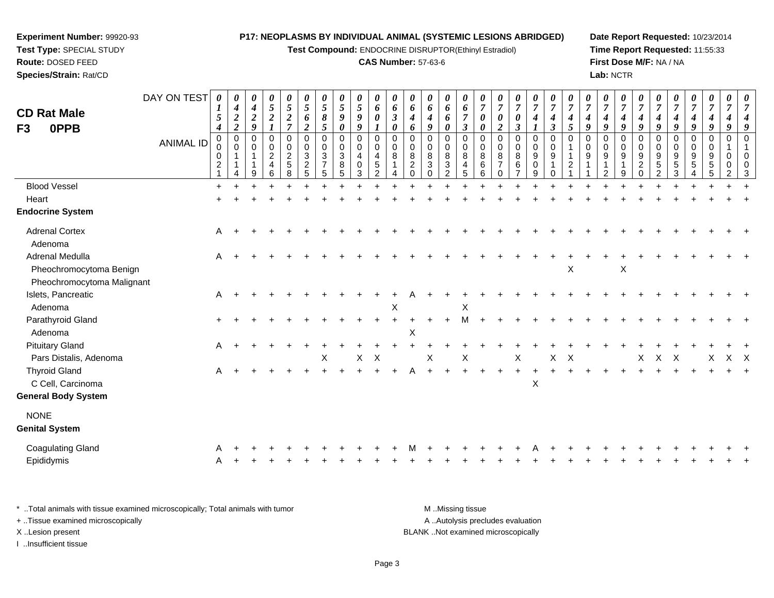**Test Compound:** ENDOCRINE DISRUPTOR(Ethinyl Estradiol)

## **CAS Number:** 57-63-6

**Date Report Requested:** 10/23/2014**Time Report Requested:** 11:55:33**First Dose M/F:** NA / NA**Lab:** NCTR

| <b>CD Rat Male</b>                                                       | DAY ON TEST      | 0<br>$\boldsymbol{l}$                   | 0<br>$\boldsymbol{4}$                                           | 0<br>$\boldsymbol{4}$ | 0<br>$\sqrt{5}$                      | 0<br>$\mathfrak{s}$                              | $\boldsymbol{\theta}$<br>$\mathfrak{s}$                                      | 0<br>$\overline{5}$                                             | 0<br>5                          | 0<br>$\mathfrak{s}$                | 0<br>6                                             | $\boldsymbol{\theta}$<br>6                    | 0<br>6                                                 | 0<br>6                       | 0<br>6                                      | 0<br>6                                          | 0<br>$\overline{7}$                       | $\overline{7}$                                 | 0<br>7                                        | 0<br>$\boldsymbol{7}$              | 0<br>$\overline{7}$                                             | 0<br>$\overline{7}$                | $\overline{7}$               | 0<br>$\overline{7}$           | 0<br>$\boldsymbol{7}$ | 0<br>$\overline{7}$                                                            | 0<br>$\overline{7}$                                               | $\overline{7}$          | 0<br>7                     | 0<br>$\boldsymbol{7}$           | 0<br>$\overline{7}$          | 0 |
|--------------------------------------------------------------------------|------------------|-----------------------------------------|-----------------------------------------------------------------|-----------------------|--------------------------------------|--------------------------------------------------|------------------------------------------------------------------------------|-----------------------------------------------------------------|---------------------------------|------------------------------------|----------------------------------------------------|-----------------------------------------------|--------------------------------------------------------|------------------------------|---------------------------------------------|-------------------------------------------------|-------------------------------------------|------------------------------------------------|-----------------------------------------------|------------------------------------|-----------------------------------------------------------------|------------------------------------|------------------------------|-------------------------------|-----------------------|--------------------------------------------------------------------------------|-------------------------------------------------------------------|-------------------------|----------------------------|---------------------------------|------------------------------|---|
| F3<br>0PPB                                                               |                  | $\mathfrak{s}$<br>$\boldsymbol{4}$      | $\boldsymbol{2}$<br>$\boldsymbol{2}$                            | $\overline{a}$<br>9   | $\boldsymbol{2}$<br>$\boldsymbol{l}$ | $\boldsymbol{2}$<br>$\overline{7}$               | 6<br>$\boldsymbol{2}$                                                        | $\pmb{8}$<br>$\sqrt{5}$                                         | 9<br>$\boldsymbol{\theta}$      | 9<br>9                             | 0                                                  | $\boldsymbol{\beta}$<br>$\boldsymbol{\theta}$ | $\boldsymbol{4}$<br>6                                  | 4<br>9                       | 6<br>0                                      | $\overline{7}$<br>$\boldsymbol{\beta}$          | $\boldsymbol{\theta}$<br>0                | 0<br>$\boldsymbol{2}$                          | $\boldsymbol{\theta}$<br>$\boldsymbol{\beta}$ | 4<br>1                             | $\boldsymbol{4}$<br>$\boldsymbol{\beta}$                        | $\boldsymbol{4}$<br>$\mathfrak{s}$ | 4<br>9                       | 4<br>9                        | 4<br>9                | 4<br>9                                                                         | $\boldsymbol{4}$<br>9                                             | $\boldsymbol{4}$<br>9   | 4<br>9                     | $\boldsymbol{4}$<br>9           | 4<br>9                       |   |
|                                                                          | <b>ANIMAL ID</b> | $\mathbf 0$<br>0<br>0<br>$\overline{2}$ | $\mathsf 0$<br>$\mathbf 0$<br>$\mathbf{1}$<br>$\mathbf{1}$<br>4 | $\Omega$<br>0<br>9    | 0<br>0<br>$\overline{2}$<br>4<br>6   | $\mathbf 0$<br>$\mathbf 0$<br>$\frac{2}{5}$<br>8 | $\mathbf 0$<br>$\mathbf 0$<br>$\sqrt{3}$<br>$\overline{2}$<br>$\overline{5}$ | $\mathbf 0$<br>$\mathbf 0$<br>$\sqrt{3}$<br>$\overline{7}$<br>5 | $\mathbf 0$<br>0<br>3<br>8<br>5 | 0<br>0<br>$\overline{4}$<br>0<br>3 | $\mathbf 0$<br>$\mathbf 0$<br>4<br>$\sqrt{5}$<br>2 | $\mathbf 0$<br>$\mathbf 0$<br>8<br>-1<br>4    | $\Omega$<br>$\mathbf 0$<br>8<br>$\sqrt{2}$<br>$\Omega$ | 0<br>0<br>8<br>3<br>$\Omega$ | 0<br>0<br>8<br>$\sqrt{3}$<br>$\overline{2}$ | $\mathbf 0$<br>$\mathbf 0$<br>$\bf 8$<br>4<br>5 | $\mathbf 0$<br>$\mathbf 0$<br>8<br>6<br>6 | $\Omega$<br>$\mathbf 0$<br>8<br>$\overline{7}$ | $\mathbf 0$<br>0<br>8<br>6                    | 0<br>0<br>$\overline{9}$<br>0<br>9 | $\mathbf 0$<br>$\mathbf 0$<br>$\boldsymbol{9}$<br>1<br>$\Omega$ | $\Omega$<br>$\overline{2}$         | $\Omega$<br>$\mathbf 0$<br>9 | 0<br>0<br>9<br>$\mathfrak{p}$ | 0<br>0<br>9<br>1<br>9 | $\mathbf 0$<br>$\mathbf 0$<br>$\boldsymbol{9}$<br>$\boldsymbol{2}$<br>$\Omega$ | $\mathbf 0$<br>$\mathbf 0$<br>$\boldsymbol{9}$<br>$\sqrt{5}$<br>2 | $\Omega$<br>0<br>9<br>5 | $\mathbf 0$<br>0<br>9<br>5 | 0<br>0<br>$\boldsymbol{9}$<br>5 | $\mathbf 0$<br>$\Omega$<br>0 |   |
| <b>Blood Vessel</b>                                                      |                  | +                                       |                                                                 |                       |                                      |                                                  |                                                                              |                                                                 |                                 |                                    |                                                    |                                               |                                                        |                              |                                             |                                                 |                                           |                                                |                                               |                                    |                                                                 |                                    |                              |                               |                       |                                                                                |                                                                   |                         |                            |                                 |                              |   |
| Heart                                                                    |                  |                                         |                                                                 |                       |                                      |                                                  |                                                                              |                                                                 |                                 |                                    |                                                    |                                               |                                                        |                              |                                             |                                                 |                                           |                                                |                                               |                                    |                                                                 |                                    |                              |                               |                       |                                                                                |                                                                   |                         |                            |                                 |                              |   |
| <b>Endocrine System</b>                                                  |                  |                                         |                                                                 |                       |                                      |                                                  |                                                                              |                                                                 |                                 |                                    |                                                    |                                               |                                                        |                              |                                             |                                                 |                                           |                                                |                                               |                                    |                                                                 |                                    |                              |                               |                       |                                                                                |                                                                   |                         |                            |                                 |                              |   |
| <b>Adrenal Cortex</b><br>Adenoma                                         |                  | Α                                       |                                                                 |                       |                                      |                                                  |                                                                              |                                                                 |                                 |                                    |                                                    |                                               |                                                        |                              |                                             |                                                 |                                           |                                                |                                               |                                    |                                                                 |                                    |                              |                               |                       |                                                                                |                                                                   |                         |                            |                                 |                              |   |
| Adrenal Medulla<br>Pheochromocytoma Benign<br>Pheochromocytoma Malignant |                  | A                                       |                                                                 |                       |                                      |                                                  |                                                                              |                                                                 |                                 |                                    |                                                    |                                               |                                                        |                              |                                             |                                                 |                                           |                                                |                                               |                                    |                                                                 | X                                  |                              |                               | X                     |                                                                                |                                                                   |                         |                            |                                 |                              |   |
| Islets, Pancreatic<br>Adenoma                                            |                  | A                                       |                                                                 |                       |                                      |                                                  |                                                                              |                                                                 |                                 |                                    |                                                    | $\mathsf X$                                   |                                                        |                              |                                             | X                                               |                                           |                                                |                                               |                                    |                                                                 |                                    |                              |                               |                       |                                                                                |                                                                   |                         |                            |                                 |                              |   |
| Parathyroid Gland<br>Adenoma                                             |                  |                                         |                                                                 |                       |                                      |                                                  |                                                                              |                                                                 |                                 |                                    |                                                    |                                               | X                                                      |                              |                                             | м                                               |                                           |                                                |                                               |                                    |                                                                 |                                    |                              |                               |                       |                                                                                |                                                                   |                         |                            |                                 |                              |   |
| <b>Pituitary Gland</b>                                                   |                  | A                                       |                                                                 |                       |                                      |                                                  |                                                                              |                                                                 |                                 |                                    |                                                    |                                               |                                                        |                              |                                             |                                                 |                                           |                                                |                                               |                                    |                                                                 |                                    |                              |                               |                       |                                                                                |                                                                   |                         |                            |                                 |                              |   |
| Pars Distalis, Adenoma                                                   |                  |                                         |                                                                 |                       |                                      |                                                  |                                                                              | X                                                               |                                 | $\mathsf X$                        | $\mathsf{X}$                                       |                                               |                                                        | X                            |                                             | X                                               |                                           |                                                | X                                             |                                    | $\mathsf X$                                                     | $\boldsymbol{\mathsf{X}}$          |                              |                               |                       | X                                                                              | $\mathsf{X}$                                                      | $\times$                |                            | X                               | $X$ $X$                      |   |
| <b>Thyroid Gland</b><br>C Cell, Carcinoma                                |                  | A                                       |                                                                 |                       |                                      |                                                  |                                                                              |                                                                 |                                 |                                    |                                                    |                                               |                                                        |                              |                                             |                                                 |                                           |                                                | ÷                                             | $\mathsf X$                        |                                                                 |                                    |                              |                               |                       |                                                                                |                                                                   |                         |                            |                                 |                              |   |
| <b>General Body System</b>                                               |                  |                                         |                                                                 |                       |                                      |                                                  |                                                                              |                                                                 |                                 |                                    |                                                    |                                               |                                                        |                              |                                             |                                                 |                                           |                                                |                                               |                                    |                                                                 |                                    |                              |                               |                       |                                                                                |                                                                   |                         |                            |                                 |                              |   |
| <b>NONE</b><br><b>Genital System</b>                                     |                  |                                         |                                                                 |                       |                                      |                                                  |                                                                              |                                                                 |                                 |                                    |                                                    |                                               |                                                        |                              |                                             |                                                 |                                           |                                                |                                               |                                    |                                                                 |                                    |                              |                               |                       |                                                                                |                                                                   |                         |                            |                                 |                              |   |
| <b>Coagulating Gland</b>                                                 |                  |                                         |                                                                 |                       |                                      |                                                  |                                                                              |                                                                 |                                 |                                    |                                                    |                                               |                                                        |                              |                                             |                                                 |                                           |                                                |                                               |                                    |                                                                 |                                    |                              |                               |                       |                                                                                |                                                                   |                         |                            |                                 |                              |   |
| Epididymis                                                               |                  | Α                                       |                                                                 |                       |                                      |                                                  |                                                                              |                                                                 |                                 |                                    |                                                    |                                               |                                                        |                              |                                             |                                                 |                                           |                                                |                                               |                                    |                                                                 |                                    |                              |                               |                       |                                                                                |                                                                   |                         |                            |                                 |                              |   |
|                                                                          |                  |                                         |                                                                 |                       |                                      |                                                  |                                                                              |                                                                 |                                 |                                    |                                                    |                                               |                                                        |                              |                                             |                                                 |                                           |                                                |                                               |                                    |                                                                 |                                    |                              |                               |                       |                                                                                |                                                                   |                         |                            |                                 |                              |   |

\* ..Total animals with tissue examined microscopically; Total animals with tumor **M** . Missing tissue M ..Missing tissue A ..Autolysis precludes evaluation + ..Tissue examined microscopically X ..Lesion present BLANK ..Not examined microscopicallyI ..Insufficient tissue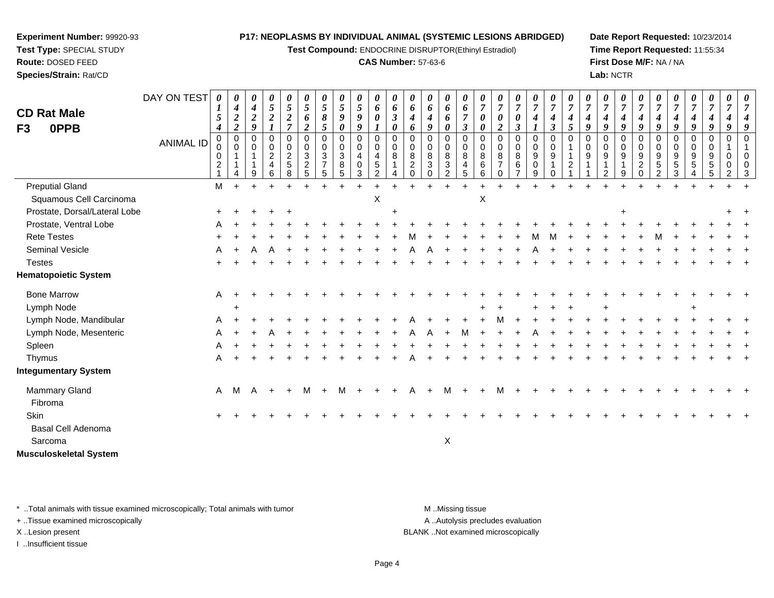**Test Compound:** ENDOCRINE DISRUPTOR(Ethinyl Estradiol)

## **CAS Number:** 57-63-6

**Date Report Requested:** 10/23/2014**Time Report Requested:** 11:55:34**First Dose M/F:** NA / NA**Lab:** NCTR

| <b>CD Rat Male</b><br>0PPB<br>F <sub>3</sub> | DAY ON TEST<br><b>ANIMAL ID</b> | 0<br>$\boldsymbol{I}$<br>$\mathfrak{s}$<br>$\boldsymbol{4}$<br>$\pmb{0}$<br>$\mathbf 0$<br>$\mathbf 0$<br>$\overline{2}$<br>$\overline{1}$ | 0<br>4<br>$\boldsymbol{2}$<br>$\boldsymbol{2}$<br>$\pmb{0}$<br>0 | 0<br>$\boldsymbol{4}$<br>$\boldsymbol{2}$<br>9<br>$\mathbf 0$<br>0<br>1<br>9 | 0<br>5<br>$\overline{2}$<br>$\mathbf 0$<br>0<br>$\overline{c}$<br>$\overline{4}$<br>6 | 0<br>5<br>$\boldsymbol{2}$<br>$\overline{7}$<br>0<br>0<br>$\sqrt{2}$<br>$\overline{5}$<br>8 | 0<br>5<br>6<br>$\boldsymbol{2}$<br>$\pmb{0}$<br>$\mathbf 0$<br>$\mathbf{3}$<br>$\overline{c}$<br>5 | 0<br>5<br>$\pmb{8}$<br>5<br>0<br>0<br>$\mathbf{3}$<br>$\overline{7}$<br>5 | 0<br>5<br>9<br>$\boldsymbol{\theta}$<br>$\mathbf 0$<br>$\mathbf 0$<br>3<br>8 | 0<br>$\mathfrak{s}$<br>9<br>9<br>0<br>0<br>4<br>0<br>3 | $\pmb{\theta}$<br>6<br>$\boldsymbol{\theta}$<br>$\mathbf 0$<br>$\mathbf 0$<br>$\overline{4}$<br>5<br>$\overline{2}$ | 0<br>6<br>$\mathfrak{z}$<br>$\boldsymbol{\theta}$<br>$\pmb{0}$<br>$\mathbf 0$<br>8 | $\boldsymbol{\theta}$<br>6<br>$\boldsymbol{4}$<br>6<br>$\mathbf 0$<br>0<br>$\bf 8$<br>$\overline{c}$<br>$\Omega$ | 0<br>6<br>4<br>9<br>$\mathbf 0$<br>0<br>8<br>$\sqrt{3}$ | 0<br>6<br>6<br>$\pmb{\theta}$<br>$\mathbf 0$<br>0<br>8<br>3<br>2 | $\pmb{\theta}$<br>6<br>$\overline{7}$<br>$\boldsymbol{\beta}$<br>0<br>$\pmb{0}$<br>8<br>4<br>5 | 0<br>$\overline{7}$<br>0<br>0<br>$\pmb{0}$<br>0<br>8<br>6<br>6 | 0<br>$\overline{7}$<br>0<br>$\boldsymbol{2}$<br>$\mathbf 0$<br>0<br>8<br>$\overline{7}$<br>0 | 0<br>$\overline{7}$<br>0<br>$\boldsymbol{\beta}$<br>$\mathbf 0$<br>0<br>$\,8\,$<br>6 | 0<br>$\boldsymbol{7}$<br>4<br>0<br>0<br>$\boldsymbol{9}$<br>$\mathbf 0$<br>Й | 0<br>$\boldsymbol{7}$<br>4<br>$\boldsymbol{\mathfrak{z}}$<br>$\mathbf 0$<br>$\mathbf 0$<br>$\boldsymbol{9}$<br>1 | 0<br>$\boldsymbol{7}$<br>$\boldsymbol{4}$<br>5<br>$\Omega$<br>$\overline{c}$ | $\overline{7}$<br>9<br>$\mathbf 0$<br>0<br>9 | 0<br>$\overline{7}$<br>$\boldsymbol{4}$<br>9<br>$\mathbf 0$<br>$\mathbf 0$<br>$\boldsymbol{9}$<br>າ | $\pmb{\theta}$<br>$\overline{7}$<br>$\boldsymbol{4}$<br>9<br>0<br>0<br>$\boldsymbol{9}$<br>9 | $\boldsymbol{\theta}$<br>$\overline{7}$<br>$\boldsymbol{4}$<br>9<br>$\mathbf 0$<br>0<br>$9\,$<br>$\overline{2}$<br>$\Omega$ | 0<br>$\overline{7}$<br>4<br>9<br>0<br>0<br>9<br>5<br>2 | $\overline{7}$<br>$\boldsymbol{4}$<br>9<br>$\mathbf 0$<br>0<br>$\boldsymbol{9}$<br>5 | 0<br>$\overline{7}$<br>4<br>$\boldsymbol{q}$<br>$\mathsf 0$<br>0<br>9<br>5 | 0<br>$\boldsymbol{7}$<br>4<br>9<br>0<br>0<br>9<br>5<br>5 | $\overline{7}$<br>$\boldsymbol{4}$<br>9<br>$\mathbf 0$<br>$\Omega$<br>0<br>$\overline{2}$ |  |
|----------------------------------------------|---------------------------------|--------------------------------------------------------------------------------------------------------------------------------------------|------------------------------------------------------------------|------------------------------------------------------------------------------|---------------------------------------------------------------------------------------|---------------------------------------------------------------------------------------------|----------------------------------------------------------------------------------------------------|---------------------------------------------------------------------------|------------------------------------------------------------------------------|--------------------------------------------------------|---------------------------------------------------------------------------------------------------------------------|------------------------------------------------------------------------------------|------------------------------------------------------------------------------------------------------------------|---------------------------------------------------------|------------------------------------------------------------------|------------------------------------------------------------------------------------------------|----------------------------------------------------------------|----------------------------------------------------------------------------------------------|--------------------------------------------------------------------------------------|------------------------------------------------------------------------------|------------------------------------------------------------------------------------------------------------------|------------------------------------------------------------------------------|----------------------------------------------|-----------------------------------------------------------------------------------------------------|----------------------------------------------------------------------------------------------|-----------------------------------------------------------------------------------------------------------------------------|--------------------------------------------------------|--------------------------------------------------------------------------------------|----------------------------------------------------------------------------|----------------------------------------------------------|-------------------------------------------------------------------------------------------|--|
| <b>Preputial Gland</b>                       |                                 | M                                                                                                                                          | $\div$                                                           |                                                                              |                                                                                       |                                                                                             |                                                                                                    |                                                                           |                                                                              |                                                        |                                                                                                                     |                                                                                    |                                                                                                                  |                                                         |                                                                  |                                                                                                |                                                                |                                                                                              |                                                                                      |                                                                              |                                                                                                                  |                                                                              |                                              |                                                                                                     |                                                                                              |                                                                                                                             |                                                        |                                                                                      |                                                                            |                                                          |                                                                                           |  |
| Squamous Cell Carcinoma                      |                                 |                                                                                                                                            |                                                                  |                                                                              |                                                                                       |                                                                                             |                                                                                                    |                                                                           |                                                                              |                                                        | X                                                                                                                   |                                                                                    |                                                                                                                  |                                                         |                                                                  |                                                                                                | X                                                              |                                                                                              |                                                                                      |                                                                              |                                                                                                                  |                                                                              |                                              |                                                                                                     |                                                                                              |                                                                                                                             |                                                        |                                                                                      |                                                                            |                                                          |                                                                                           |  |
| Prostate, Dorsal/Lateral Lobe                |                                 |                                                                                                                                            |                                                                  |                                                                              |                                                                                       |                                                                                             |                                                                                                    |                                                                           |                                                                              |                                                        |                                                                                                                     |                                                                                    |                                                                                                                  |                                                         |                                                                  |                                                                                                |                                                                |                                                                                              |                                                                                      |                                                                              |                                                                                                                  |                                                                              |                                              |                                                                                                     | $\ddot{}$                                                                                    |                                                                                                                             |                                                        |                                                                                      |                                                                            |                                                          |                                                                                           |  |
| Prostate, Ventral Lobe                       |                                 |                                                                                                                                            |                                                                  |                                                                              |                                                                                       |                                                                                             |                                                                                                    |                                                                           |                                                                              |                                                        |                                                                                                                     |                                                                                    |                                                                                                                  |                                                         |                                                                  |                                                                                                |                                                                |                                                                                              |                                                                                      |                                                                              |                                                                                                                  |                                                                              |                                              |                                                                                                     |                                                                                              |                                                                                                                             |                                                        |                                                                                      |                                                                            |                                                          |                                                                                           |  |
| <b>Rete Testes</b>                           |                                 |                                                                                                                                            |                                                                  |                                                                              |                                                                                       |                                                                                             |                                                                                                    |                                                                           |                                                                              |                                                        |                                                                                                                     |                                                                                    |                                                                                                                  |                                                         |                                                                  |                                                                                                |                                                                |                                                                                              |                                                                                      |                                                                              |                                                                                                                  |                                                                              |                                              |                                                                                                     |                                                                                              |                                                                                                                             |                                                        |                                                                                      |                                                                            |                                                          |                                                                                           |  |
| <b>Seminal Vesicle</b>                       |                                 | A                                                                                                                                          |                                                                  |                                                                              |                                                                                       |                                                                                             |                                                                                                    |                                                                           |                                                                              |                                                        |                                                                                                                     |                                                                                    |                                                                                                                  |                                                         |                                                                  |                                                                                                |                                                                |                                                                                              |                                                                                      |                                                                              |                                                                                                                  |                                                                              |                                              |                                                                                                     |                                                                                              |                                                                                                                             |                                                        |                                                                                      |                                                                            |                                                          |                                                                                           |  |
| <b>Testes</b>                                |                                 |                                                                                                                                            |                                                                  |                                                                              |                                                                                       |                                                                                             |                                                                                                    |                                                                           |                                                                              |                                                        |                                                                                                                     |                                                                                    |                                                                                                                  |                                                         |                                                                  |                                                                                                |                                                                |                                                                                              |                                                                                      |                                                                              |                                                                                                                  |                                                                              |                                              |                                                                                                     |                                                                                              |                                                                                                                             |                                                        |                                                                                      |                                                                            |                                                          |                                                                                           |  |
| <b>Hematopoietic System</b>                  |                                 |                                                                                                                                            |                                                                  |                                                                              |                                                                                       |                                                                                             |                                                                                                    |                                                                           |                                                                              |                                                        |                                                                                                                     |                                                                                    |                                                                                                                  |                                                         |                                                                  |                                                                                                |                                                                |                                                                                              |                                                                                      |                                                                              |                                                                                                                  |                                                                              |                                              |                                                                                                     |                                                                                              |                                                                                                                             |                                                        |                                                                                      |                                                                            |                                                          |                                                                                           |  |
| <b>Bone Marrow</b>                           |                                 | A                                                                                                                                          |                                                                  |                                                                              |                                                                                       |                                                                                             |                                                                                                    |                                                                           |                                                                              |                                                        |                                                                                                                     |                                                                                    |                                                                                                                  |                                                         |                                                                  |                                                                                                |                                                                |                                                                                              |                                                                                      |                                                                              |                                                                                                                  |                                                                              |                                              |                                                                                                     |                                                                                              |                                                                                                                             |                                                        |                                                                                      |                                                                            |                                                          |                                                                                           |  |
| Lymph Node                                   |                                 |                                                                                                                                            | $\ddot{}$                                                        |                                                                              |                                                                                       |                                                                                             |                                                                                                    |                                                                           |                                                                              |                                                        |                                                                                                                     |                                                                                    |                                                                                                                  |                                                         |                                                                  |                                                                                                |                                                                |                                                                                              |                                                                                      |                                                                              |                                                                                                                  |                                                                              |                                              |                                                                                                     |                                                                                              |                                                                                                                             |                                                        |                                                                                      |                                                                            |                                                          |                                                                                           |  |
| Lymph Node, Mandibular                       |                                 | A                                                                                                                                          |                                                                  |                                                                              |                                                                                       |                                                                                             |                                                                                                    |                                                                           |                                                                              |                                                        |                                                                                                                     |                                                                                    |                                                                                                                  |                                                         |                                                                  |                                                                                                |                                                                |                                                                                              |                                                                                      |                                                                              |                                                                                                                  |                                                                              |                                              |                                                                                                     |                                                                                              |                                                                                                                             |                                                        |                                                                                      |                                                                            |                                                          |                                                                                           |  |
| Lymph Node, Mesenteric                       |                                 |                                                                                                                                            |                                                                  |                                                                              |                                                                                       |                                                                                             |                                                                                                    |                                                                           |                                                                              |                                                        |                                                                                                                     |                                                                                    |                                                                                                                  |                                                         |                                                                  |                                                                                                |                                                                |                                                                                              |                                                                                      |                                                                              |                                                                                                                  |                                                                              |                                              |                                                                                                     |                                                                                              |                                                                                                                             |                                                        |                                                                                      |                                                                            |                                                          |                                                                                           |  |
| Spleen                                       |                                 |                                                                                                                                            |                                                                  |                                                                              |                                                                                       |                                                                                             |                                                                                                    |                                                                           |                                                                              |                                                        |                                                                                                                     |                                                                                    |                                                                                                                  |                                                         |                                                                  |                                                                                                |                                                                |                                                                                              |                                                                                      |                                                                              |                                                                                                                  |                                                                              |                                              |                                                                                                     |                                                                                              |                                                                                                                             |                                                        |                                                                                      |                                                                            |                                                          |                                                                                           |  |
| Thymus                                       |                                 | A                                                                                                                                          |                                                                  |                                                                              |                                                                                       |                                                                                             |                                                                                                    |                                                                           |                                                                              |                                                        |                                                                                                                     |                                                                                    |                                                                                                                  |                                                         |                                                                  |                                                                                                |                                                                |                                                                                              |                                                                                      |                                                                              |                                                                                                                  |                                                                              |                                              |                                                                                                     |                                                                                              |                                                                                                                             |                                                        |                                                                                      |                                                                            |                                                          |                                                                                           |  |
| <b>Integumentary System</b>                  |                                 |                                                                                                                                            |                                                                  |                                                                              |                                                                                       |                                                                                             |                                                                                                    |                                                                           |                                                                              |                                                        |                                                                                                                     |                                                                                    |                                                                                                                  |                                                         |                                                                  |                                                                                                |                                                                |                                                                                              |                                                                                      |                                                                              |                                                                                                                  |                                                                              |                                              |                                                                                                     |                                                                                              |                                                                                                                             |                                                        |                                                                                      |                                                                            |                                                          |                                                                                           |  |
| Mammary Gland                                |                                 | $\mathsf{A}$                                                                                                                               | M                                                                | A                                                                            | $\ddot{}$                                                                             | $\ddot{}$                                                                                   | м                                                                                                  | $\ddot{}$                                                                 | М                                                                            | $\overline{+}$                                         | $\ddot{}$                                                                                                           | ÷                                                                                  | A                                                                                                                | ÷.                                                      | м                                                                |                                                                                                |                                                                | м                                                                                            |                                                                                      |                                                                              |                                                                                                                  |                                                                              |                                              |                                                                                                     |                                                                                              |                                                                                                                             |                                                        |                                                                                      |                                                                            |                                                          |                                                                                           |  |
| Fibroma                                      |                                 |                                                                                                                                            |                                                                  |                                                                              |                                                                                       |                                                                                             |                                                                                                    |                                                                           |                                                                              |                                                        |                                                                                                                     |                                                                                    |                                                                                                                  |                                                         |                                                                  |                                                                                                |                                                                |                                                                                              |                                                                                      |                                                                              |                                                                                                                  |                                                                              |                                              |                                                                                                     |                                                                                              |                                                                                                                             |                                                        |                                                                                      |                                                                            |                                                          |                                                                                           |  |
| Skin                                         |                                 |                                                                                                                                            |                                                                  |                                                                              |                                                                                       |                                                                                             |                                                                                                    |                                                                           |                                                                              |                                                        |                                                                                                                     |                                                                                    |                                                                                                                  |                                                         |                                                                  |                                                                                                |                                                                |                                                                                              |                                                                                      |                                                                              |                                                                                                                  |                                                                              |                                              |                                                                                                     |                                                                                              |                                                                                                                             |                                                        |                                                                                      |                                                                            |                                                          |                                                                                           |  |
| Basal Cell Adenoma                           |                                 |                                                                                                                                            |                                                                  |                                                                              |                                                                                       |                                                                                             |                                                                                                    |                                                                           |                                                                              |                                                        |                                                                                                                     |                                                                                    |                                                                                                                  |                                                         |                                                                  |                                                                                                |                                                                |                                                                                              |                                                                                      |                                                                              |                                                                                                                  |                                                                              |                                              |                                                                                                     |                                                                                              |                                                                                                                             |                                                        |                                                                                      |                                                                            |                                                          |                                                                                           |  |
| Sarcoma                                      |                                 |                                                                                                                                            |                                                                  |                                                                              |                                                                                       |                                                                                             |                                                                                                    |                                                                           |                                                                              |                                                        |                                                                                                                     |                                                                                    |                                                                                                                  |                                                         | X                                                                |                                                                                                |                                                                |                                                                                              |                                                                                      |                                                                              |                                                                                                                  |                                                                              |                                              |                                                                                                     |                                                                                              |                                                                                                                             |                                                        |                                                                                      |                                                                            |                                                          |                                                                                           |  |
| <b>Musculoskeletal System</b>                |                                 |                                                                                                                                            |                                                                  |                                                                              |                                                                                       |                                                                                             |                                                                                                    |                                                                           |                                                                              |                                                        |                                                                                                                     |                                                                                    |                                                                                                                  |                                                         |                                                                  |                                                                                                |                                                                |                                                                                              |                                                                                      |                                                                              |                                                                                                                  |                                                                              |                                              |                                                                                                     |                                                                                              |                                                                                                                             |                                                        |                                                                                      |                                                                            |                                                          |                                                                                           |  |

\* ..Total animals with tissue examined microscopically; Total animals with tumor **M** . Missing tissue M ..Missing tissue

+ ..Tissue examined microscopically

**Experiment Number:** 99920-93**Test Type:** SPECIAL STUDY**Route:** DOSED FEED**Species/Strain:** Rat/CD

I ..Insufficient tissue

A ..Autolysis precludes evaluation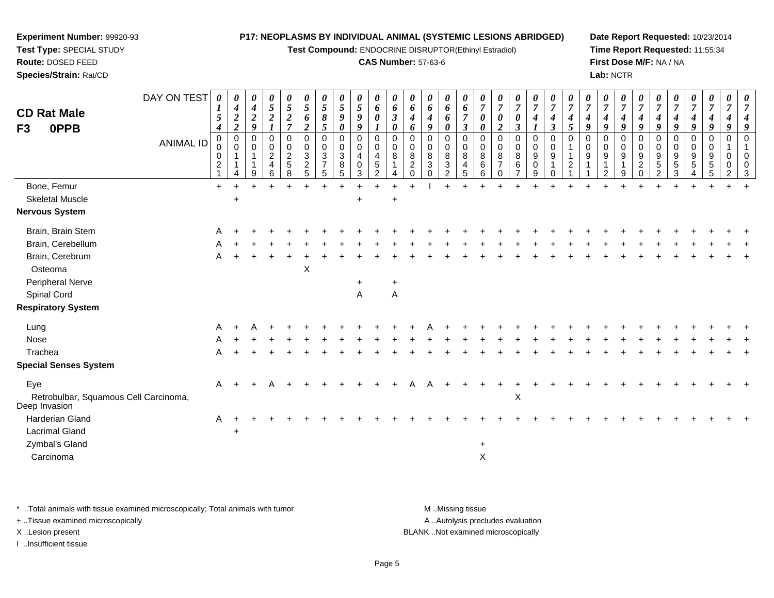**Test Compound:** ENDOCRINE DISRUPTOR(Ethinyl Estradiol)

# **CAS Number:** 57-63-6

**Date Report Requested:** 10/23/2014**Time Report Requested:** 11:55:34**First Dose M/F:** NA / NA**Lab:** NCTR

| <b>CD Rat Male</b><br>0PPB<br>F3                       | DAY ON TEST<br><b>ANIMAL ID</b> | $\boldsymbol{\theta}$<br>$\boldsymbol{I}$<br>5<br>$\boldsymbol{4}$<br>$\mathbf 0$<br>0<br>0<br>$\frac{2}{1}$ | 0<br>$\boldsymbol{4}$<br>$\frac{2}{2}$<br>$\mathbf 0$<br>0<br>$\mathbf 1$<br>$\mathbf 1$<br>4 | 0<br>$\boldsymbol{4}$<br>$\boldsymbol{2}$<br>9<br>$\mathbf 0$<br>0<br>9 | 0<br>$\mathfrak{s}$<br>$\overline{\mathbf{c}}$<br>0<br>0<br>$\overline{c}$<br>4<br>6 | 0<br>$\mathfrak{s}$<br>$\boldsymbol{2}$<br>$\overline{\tau}$<br>0<br>$\pmb{0}$<br>$\frac{2}{5}$ | $\boldsymbol{\theta}$<br>$\sqrt{5}$<br>6<br>$\overline{2}$<br>0<br>0<br>$\frac{3}{2}$ | $\boldsymbol{\theta}$<br>$\sqrt{5}$<br>$\pmb{8}$<br>5<br>0<br>0<br>$\sqrt{3}$<br>$\boldsymbol{7}$<br>$5\phantom{1}$ | 0<br>$\mathfrak{s}$<br>9<br>0<br>0<br>0<br>$\mathbf{3}$<br>8<br>5 | 0<br>$\mathfrak{s}$<br>9<br>9<br>0<br>0<br>4<br>0<br>3 | 0<br>6<br>$\boldsymbol{\theta}$<br>0<br>$\pmb{0}$<br>4<br>$\frac{5}{2}$ | $\boldsymbol{\theta}$<br>6<br>$\boldsymbol{\beta}$<br>$\boldsymbol{\theta}$<br>$\mathbf 0$<br>0<br>8<br>$\overline{1}$<br>4 | $\boldsymbol{\theta}$<br>6<br>$\boldsymbol{4}$<br>6<br>$\mathbf 0$<br>0<br>$\bf 8$<br>$\overline{c}$<br>$\mathbf 0$ | 0<br>6<br>4<br>9<br>0<br>0<br>8<br>$\mathbf{3}$<br>$\Omega$ | 0<br>6<br>6<br>0<br>0<br>0<br>$\,8\,$<br>$\ensuremath{\mathsf{3}}$<br>$\overline{2}$ | $\boldsymbol{\theta}$<br>6<br>$\overline{7}$<br>$\boldsymbol{\beta}$<br>0<br>$\mathbf 0$<br>$\bf 8$<br>$\overline{4}$<br>$\overline{5}$ | 0<br>$\overline{7}$<br>0<br>$\boldsymbol{\theta}$<br>$\mathbf 0$<br>0<br>$\,8\,$<br>$\,6\,$<br>$\,6\,$ | $\boldsymbol{\theta}$<br>$\overline{7}$<br>0<br>$\boldsymbol{2}$<br>$\mathbf 0$<br>0<br>$\,8\,$<br>$\overline{7}$<br>$\mathbf 0$ | 0<br>$\overline{7}$<br>0<br>3<br>0<br>0<br>8<br>6<br>$\overline{7}$ | 0<br>$\overline{7}$<br>4<br>0<br>0<br>$\overline{9}$<br>$\mathsf 0$<br>$9\,$ | $\boldsymbol{\theta}$<br>$\overline{7}$<br>4<br>$\boldsymbol{\beta}$<br>$\mathbf 0$<br>$\pmb{0}$<br>9<br>$\mathbf 0$ | 0<br>$\overline{7}$<br>$\boldsymbol{4}$<br>5<br>$\Omega$<br>$\overline{2}$ | $\overline{7}$<br>$\boldsymbol{4}$<br>9<br>$\mathbf 0$<br>0<br>9<br>$\mathbf{1}$ | 0<br>$\overline{7}$<br>4<br>9<br>0<br>0<br>9<br>$\mathcal{P}$ | 0<br>$\boldsymbol{7}$<br>4<br>9<br>0<br>0<br>$9\,$<br>$\mathbf{1}$<br>9 | $\boldsymbol{\theta}$<br>$\overline{7}$<br>4<br>9<br>$\mathbf 0$<br>0<br>$\boldsymbol{9}$<br>$\frac{2}{0}$ | 0<br>$\overline{7}$<br>$\boldsymbol{4}$<br>9<br>$\mathbf 0$<br>0<br>$\frac{9}{2}$ | $\overline{7}$<br>4<br>9<br>$\mathbf 0$<br>0<br>9<br>$\sqrt{5}$<br>3 | 0<br>$\overline{7}$<br>4<br>9<br>0<br>0<br>9<br>5<br>4 | 0<br>$\overline{7}$<br>4<br>9<br>0<br>0<br>$\begin{array}{c} 9 \\ 5 \\ 5 \end{array}$ | $\boldsymbol{\theta}$<br>$\overline{7}$<br>4<br>9<br>0<br>0<br>0<br>2 | $\boldsymbol{\theta}$<br>$\overline{7}$<br>$\Omega$ |
|--------------------------------------------------------|---------------------------------|--------------------------------------------------------------------------------------------------------------|-----------------------------------------------------------------------------------------------|-------------------------------------------------------------------------|--------------------------------------------------------------------------------------|-------------------------------------------------------------------------------------------------|---------------------------------------------------------------------------------------|---------------------------------------------------------------------------------------------------------------------|-------------------------------------------------------------------|--------------------------------------------------------|-------------------------------------------------------------------------|-----------------------------------------------------------------------------------------------------------------------------|---------------------------------------------------------------------------------------------------------------------|-------------------------------------------------------------|--------------------------------------------------------------------------------------|-----------------------------------------------------------------------------------------------------------------------------------------|--------------------------------------------------------------------------------------------------------|----------------------------------------------------------------------------------------------------------------------------------|---------------------------------------------------------------------|------------------------------------------------------------------------------|----------------------------------------------------------------------------------------------------------------------|----------------------------------------------------------------------------|----------------------------------------------------------------------------------|---------------------------------------------------------------|-------------------------------------------------------------------------|------------------------------------------------------------------------------------------------------------|-----------------------------------------------------------------------------------|----------------------------------------------------------------------|--------------------------------------------------------|---------------------------------------------------------------------------------------|-----------------------------------------------------------------------|-----------------------------------------------------|
| Bone, Femur                                            |                                 | $\ddot{}$                                                                                                    |                                                                                               |                                                                         |                                                                                      | $\ddot{}$                                                                                       |                                                                                       |                                                                                                                     |                                                                   |                                                        |                                                                         |                                                                                                                             |                                                                                                                     |                                                             | $\div$                                                                               | $\ddot{}$                                                                                                                               |                                                                                                        |                                                                                                                                  |                                                                     |                                                                              |                                                                                                                      |                                                                            |                                                                                  |                                                               |                                                                         |                                                                                                            |                                                                                   |                                                                      |                                                        |                                                                                       |                                                                       |                                                     |
| <b>Skeletal Muscle</b>                                 |                                 |                                                                                                              | +                                                                                             |                                                                         |                                                                                      |                                                                                                 |                                                                                       |                                                                                                                     |                                                                   | $\ddot{}$                                              |                                                                         | $\ddot{}$                                                                                                                   |                                                                                                                     |                                                             |                                                                                      |                                                                                                                                         |                                                                                                        |                                                                                                                                  |                                                                     |                                                                              |                                                                                                                      |                                                                            |                                                                                  |                                                               |                                                                         |                                                                                                            |                                                                                   |                                                                      |                                                        |                                                                                       |                                                                       |                                                     |
| Nervous System                                         |                                 |                                                                                                              |                                                                                               |                                                                         |                                                                                      |                                                                                                 |                                                                                       |                                                                                                                     |                                                                   |                                                        |                                                                         |                                                                                                                             |                                                                                                                     |                                                             |                                                                                      |                                                                                                                                         |                                                                                                        |                                                                                                                                  |                                                                     |                                                                              |                                                                                                                      |                                                                            |                                                                                  |                                                               |                                                                         |                                                                                                            |                                                                                   |                                                                      |                                                        |                                                                                       |                                                                       |                                                     |
| Brain, Brain Stem                                      |                                 | A                                                                                                            |                                                                                               |                                                                         |                                                                                      |                                                                                                 |                                                                                       |                                                                                                                     |                                                                   |                                                        |                                                                         |                                                                                                                             |                                                                                                                     |                                                             |                                                                                      |                                                                                                                                         |                                                                                                        |                                                                                                                                  |                                                                     |                                                                              |                                                                                                                      |                                                                            |                                                                                  |                                                               |                                                                         |                                                                                                            |                                                                                   |                                                                      |                                                        |                                                                                       |                                                                       |                                                     |
| Brain, Cerebellum                                      |                                 |                                                                                                              |                                                                                               |                                                                         |                                                                                      |                                                                                                 |                                                                                       |                                                                                                                     |                                                                   |                                                        |                                                                         |                                                                                                                             |                                                                                                                     |                                                             |                                                                                      |                                                                                                                                         |                                                                                                        |                                                                                                                                  |                                                                     |                                                                              |                                                                                                                      |                                                                            |                                                                                  |                                                               |                                                                         |                                                                                                            |                                                                                   |                                                                      |                                                        |                                                                                       |                                                                       |                                                     |
| Brain, Cerebrum                                        |                                 | A                                                                                                            |                                                                                               |                                                                         |                                                                                      |                                                                                                 |                                                                                       |                                                                                                                     |                                                                   |                                                        |                                                                         |                                                                                                                             |                                                                                                                     |                                                             |                                                                                      |                                                                                                                                         |                                                                                                        |                                                                                                                                  |                                                                     |                                                                              |                                                                                                                      |                                                                            |                                                                                  |                                                               |                                                                         |                                                                                                            |                                                                                   |                                                                      |                                                        |                                                                                       |                                                                       |                                                     |
| Osteoma                                                |                                 |                                                                                                              |                                                                                               |                                                                         |                                                                                      |                                                                                                 | $\mathsf X$                                                                           |                                                                                                                     |                                                                   |                                                        |                                                                         |                                                                                                                             |                                                                                                                     |                                                             |                                                                                      |                                                                                                                                         |                                                                                                        |                                                                                                                                  |                                                                     |                                                                              |                                                                                                                      |                                                                            |                                                                                  |                                                               |                                                                         |                                                                                                            |                                                                                   |                                                                      |                                                        |                                                                                       |                                                                       |                                                     |
| Peripheral Nerve                                       |                                 |                                                                                                              |                                                                                               |                                                                         |                                                                                      |                                                                                                 |                                                                                       |                                                                                                                     |                                                                   | +                                                      |                                                                         | $\ddot{}$                                                                                                                   |                                                                                                                     |                                                             |                                                                                      |                                                                                                                                         |                                                                                                        |                                                                                                                                  |                                                                     |                                                                              |                                                                                                                      |                                                                            |                                                                                  |                                                               |                                                                         |                                                                                                            |                                                                                   |                                                                      |                                                        |                                                                                       |                                                                       |                                                     |
| Spinal Cord                                            |                                 |                                                                                                              |                                                                                               |                                                                         |                                                                                      |                                                                                                 |                                                                                       |                                                                                                                     |                                                                   | A                                                      |                                                                         | A                                                                                                                           |                                                                                                                     |                                                             |                                                                                      |                                                                                                                                         |                                                                                                        |                                                                                                                                  |                                                                     |                                                                              |                                                                                                                      |                                                                            |                                                                                  |                                                               |                                                                         |                                                                                                            |                                                                                   |                                                                      |                                                        |                                                                                       |                                                                       |                                                     |
| <b>Respiratory System</b>                              |                                 |                                                                                                              |                                                                                               |                                                                         |                                                                                      |                                                                                                 |                                                                                       |                                                                                                                     |                                                                   |                                                        |                                                                         |                                                                                                                             |                                                                                                                     |                                                             |                                                                                      |                                                                                                                                         |                                                                                                        |                                                                                                                                  |                                                                     |                                                                              |                                                                                                                      |                                                                            |                                                                                  |                                                               |                                                                         |                                                                                                            |                                                                                   |                                                                      |                                                        |                                                                                       |                                                                       |                                                     |
| Lung                                                   |                                 | A                                                                                                            |                                                                                               |                                                                         |                                                                                      |                                                                                                 |                                                                                       |                                                                                                                     |                                                                   |                                                        |                                                                         |                                                                                                                             |                                                                                                                     |                                                             |                                                                                      |                                                                                                                                         |                                                                                                        |                                                                                                                                  |                                                                     |                                                                              |                                                                                                                      |                                                                            |                                                                                  |                                                               |                                                                         |                                                                                                            |                                                                                   |                                                                      |                                                        |                                                                                       |                                                                       |                                                     |
| Nose                                                   |                                 |                                                                                                              |                                                                                               |                                                                         |                                                                                      |                                                                                                 |                                                                                       |                                                                                                                     |                                                                   |                                                        |                                                                         |                                                                                                                             |                                                                                                                     |                                                             |                                                                                      |                                                                                                                                         |                                                                                                        |                                                                                                                                  |                                                                     |                                                                              |                                                                                                                      |                                                                            |                                                                                  |                                                               |                                                                         |                                                                                                            |                                                                                   |                                                                      |                                                        |                                                                                       |                                                                       |                                                     |
| Trachea                                                |                                 | A                                                                                                            |                                                                                               |                                                                         |                                                                                      |                                                                                                 |                                                                                       |                                                                                                                     |                                                                   |                                                        |                                                                         |                                                                                                                             |                                                                                                                     |                                                             |                                                                                      |                                                                                                                                         |                                                                                                        |                                                                                                                                  |                                                                     |                                                                              |                                                                                                                      |                                                                            |                                                                                  |                                                               |                                                                         |                                                                                                            |                                                                                   |                                                                      |                                                        |                                                                                       |                                                                       |                                                     |
| <b>Special Senses System</b>                           |                                 |                                                                                                              |                                                                                               |                                                                         |                                                                                      |                                                                                                 |                                                                                       |                                                                                                                     |                                                                   |                                                        |                                                                         |                                                                                                                             |                                                                                                                     |                                                             |                                                                                      |                                                                                                                                         |                                                                                                        |                                                                                                                                  |                                                                     |                                                                              |                                                                                                                      |                                                                            |                                                                                  |                                                               |                                                                         |                                                                                                            |                                                                                   |                                                                      |                                                        |                                                                                       |                                                                       |                                                     |
| Eye                                                    |                                 | A                                                                                                            |                                                                                               |                                                                         |                                                                                      |                                                                                                 |                                                                                       |                                                                                                                     |                                                                   |                                                        |                                                                         |                                                                                                                             |                                                                                                                     |                                                             |                                                                                      |                                                                                                                                         |                                                                                                        |                                                                                                                                  |                                                                     |                                                                              |                                                                                                                      |                                                                            |                                                                                  |                                                               |                                                                         |                                                                                                            |                                                                                   |                                                                      |                                                        |                                                                                       |                                                                       |                                                     |
| Retrobulbar, Squamous Cell Carcinoma,<br>Deep Invasion |                                 |                                                                                                              |                                                                                               |                                                                         |                                                                                      |                                                                                                 |                                                                                       |                                                                                                                     |                                                                   |                                                        |                                                                         |                                                                                                                             |                                                                                                                     |                                                             |                                                                                      |                                                                                                                                         |                                                                                                        |                                                                                                                                  | $\mathsf X$                                                         |                                                                              |                                                                                                                      |                                                                            |                                                                                  |                                                               |                                                                         |                                                                                                            |                                                                                   |                                                                      |                                                        |                                                                                       |                                                                       |                                                     |
| Harderian Gland                                        |                                 | A                                                                                                            |                                                                                               |                                                                         |                                                                                      |                                                                                                 |                                                                                       |                                                                                                                     |                                                                   |                                                        |                                                                         |                                                                                                                             |                                                                                                                     |                                                             |                                                                                      |                                                                                                                                         |                                                                                                        |                                                                                                                                  |                                                                     |                                                                              |                                                                                                                      |                                                                            |                                                                                  |                                                               |                                                                         |                                                                                                            |                                                                                   |                                                                      |                                                        |                                                                                       |                                                                       |                                                     |
| <b>Lacrimal Gland</b>                                  |                                 |                                                                                                              | $\ddot{}$                                                                                     |                                                                         |                                                                                      |                                                                                                 |                                                                                       |                                                                                                                     |                                                                   |                                                        |                                                                         |                                                                                                                             |                                                                                                                     |                                                             |                                                                                      |                                                                                                                                         |                                                                                                        |                                                                                                                                  |                                                                     |                                                                              |                                                                                                                      |                                                                            |                                                                                  |                                                               |                                                                         |                                                                                                            |                                                                                   |                                                                      |                                                        |                                                                                       |                                                                       |                                                     |
| Zymbal's Gland                                         |                                 |                                                                                                              |                                                                                               |                                                                         |                                                                                      |                                                                                                 |                                                                                       |                                                                                                                     |                                                                   |                                                        |                                                                         |                                                                                                                             |                                                                                                                     |                                                             |                                                                                      |                                                                                                                                         | $\ddot{}$                                                                                              |                                                                                                                                  |                                                                     |                                                                              |                                                                                                                      |                                                                            |                                                                                  |                                                               |                                                                         |                                                                                                            |                                                                                   |                                                                      |                                                        |                                                                                       |                                                                       |                                                     |
| Carcinoma                                              |                                 |                                                                                                              |                                                                                               |                                                                         |                                                                                      |                                                                                                 |                                                                                       |                                                                                                                     |                                                                   |                                                        |                                                                         |                                                                                                                             |                                                                                                                     |                                                             |                                                                                      |                                                                                                                                         | $\sf X$                                                                                                |                                                                                                                                  |                                                                     |                                                                              |                                                                                                                      |                                                                            |                                                                                  |                                                               |                                                                         |                                                                                                            |                                                                                   |                                                                      |                                                        |                                                                                       |                                                                       |                                                     |
|                                                        |                                 |                                                                                                              |                                                                                               |                                                                         |                                                                                      |                                                                                                 |                                                                                       |                                                                                                                     |                                                                   |                                                        |                                                                         |                                                                                                                             |                                                                                                                     |                                                             |                                                                                      |                                                                                                                                         |                                                                                                        |                                                                                                                                  |                                                                     |                                                                              |                                                                                                                      |                                                                            |                                                                                  |                                                               |                                                                         |                                                                                                            |                                                                                   |                                                                      |                                                        |                                                                                       |                                                                       |                                                     |

\* ..Total animals with tissue examined microscopically; Total animals with tumor **M** . Missing tissue M ..Missing tissue A ..Autolysis precludes evaluation + ..Tissue examined microscopically X ..Lesion present BLANK ..Not examined microscopicallyI ..Insufficient tissue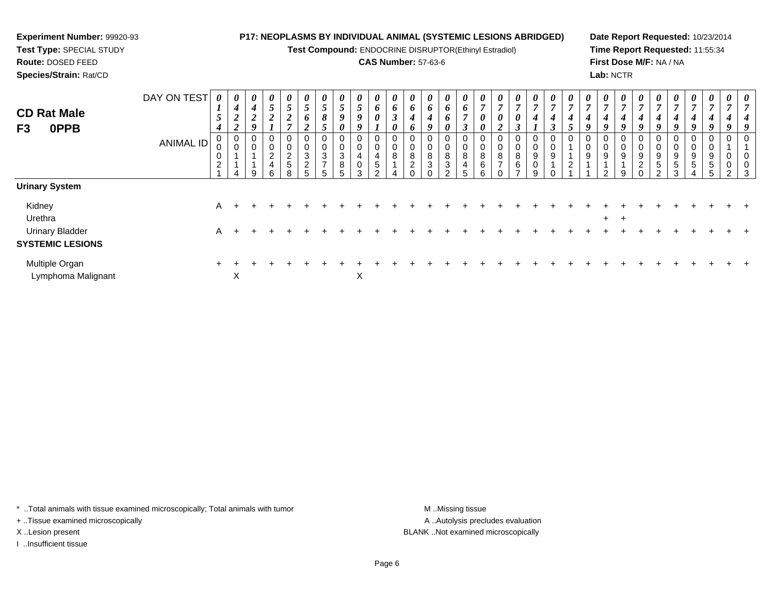# **Experiment Number:** 99920-93**Test Type:** SPECIAL STUDY

**Route:** DOSED FEED

**Species/Strain:** Rat/CD

# **P17: NEOPLASMS BY INDIVIDUAL ANIMAL (SYSTEMIC LESIONS ABRIDGED)**

**Test Compound:** ENDOCRINE DISRUPTOR(Ethinyl Estradiol)

# **CAS Number:** 57-63-6

**Date Report Requested:** 10/23/2014**Time Report Requested:** 11:55:34**First Dose M/F:** NA / NA**Lab:** NCTR

| <b>CD Rat Male</b><br>0PPB<br>F <sub>3</sub>      | DAY ON TEST<br>ANIMAL ID | 0<br>$\mathbf{I}$<br>$\overline{5}$<br>$\boldsymbol{4}$<br>$\mathbf 0$<br>$\overline{c}$ | $\boldsymbol{\theta}$<br>4<br>◢ | $\boldsymbol{\theta}$<br>$\boldsymbol{4}$<br>$\mathbf{\hat{z}}$<br>◢<br>9<br>$\mathbf 0$<br>0<br>9 | 0<br>$5\overline{)}$<br>$\mathbf{\hat{z}}$<br>◢<br>0<br>0<br>$\overline{c}$<br>4<br>6 | 0<br>$5\overline{)}$<br>$\boldsymbol{2}$<br>$\overline{ }$<br>0<br>0<br>$\frac{2}{5}$<br>$\overline{8}$ | $\boldsymbol{\theta}$<br>$\overline{\phantom{0}}$<br>$\mathfrak{p}$<br>6<br>-<br>∠<br>0<br>0<br>$\ensuremath{\mathsf{3}}$<br>$\overline{2}$<br>5 | $\boldsymbol{\theta}$<br>$\mathfrak{I}$<br>8<br>$\overline{5}$<br>0<br>0<br>$\sqrt{3}$<br>$\rightarrow$<br>5 | $\boldsymbol{\theta}$<br>$\overline{5}$<br>9<br>0<br>0<br>0<br>$\sqrt{3}$<br>$\bf 8$<br>5 | $\boldsymbol{\theta}$<br>$\mathfrak{H}$<br>9<br>9<br>0<br>0<br>4<br>0<br>3 | $\boldsymbol{\theta}$<br>$\boldsymbol{6}$<br>$\boldsymbol{\theta}$<br>$\mathbf{r}$<br>$_{\rm 0}^{\rm 0}$<br>$\frac{4}{5}$ | 0<br>6<br>$\rightarrow$<br>J<br>0<br>0<br>$\overline{0}$<br>8 | $\boldsymbol{\theta}$<br>6<br>$\boldsymbol{4}$<br>6<br>$\boldsymbol{0}$<br>$\boldsymbol{0}$<br>8<br>$\overline{c}$ | 0<br>6<br>4<br>o<br>8<br>3 | 0<br>6<br>$\bm{o}$<br>0<br>0<br>8<br>$\ensuremath{\mathsf{3}}$<br>$\sim$ | 0<br>6<br>$\overline{ }$<br>$\rightarrow$<br>$\cdot$<br>0<br>$\boldsymbol{0}$<br>8<br>4<br>5 | U<br>$\overline{ }$<br>0<br>0<br>0<br>8<br>6<br>6 | 0<br>$\overline{7}$<br>$\boldsymbol{\theta}$<br>2<br>0<br>$\pmb{0}$<br>$\frac{8}{7}$<br>$\Omega$ | $\frac{\theta}{7}$<br>$\boldsymbol{\theta}$<br>$\boldsymbol{\beta}$<br>0<br>$\pmb{0}$<br>$\,8\,$<br>$rac{6}{7}$ | $\boldsymbol{\theta}$<br>$\overline{7}$<br>$\boldsymbol{4}$<br>$\mathbf{r}$<br>0<br>$\,0\,$<br>$\boldsymbol{9}$<br>$\pmb{0}$<br>9 | $\boldsymbol{\theta}$<br>$\mathbf{r}$<br>4<br>$\boldsymbol{\beta}$<br>$\pmb{0}$<br>$\pmb{0}$<br>9<br>$\Omega$ | $\boldsymbol{\theta}$<br>7<br>4<br>5<br>0<br>2 | $\boldsymbol{\theta}$<br>$\mathbf{r}$<br>4<br>o<br>0<br>$\mathbf 0$<br>9 | $\boldsymbol{\theta}$<br>$\overline{7}$<br>$\boldsymbol{4}$<br>9<br>0<br>$\boldsymbol{0}$<br>9<br>$\sim$ | 0<br>$\overline{ }$<br>4<br>9<br>0<br>0<br>9<br>9 | 0<br>$\overline{ }$<br>4<br>9<br>0<br>$\mathbf 0$<br>$\boldsymbol{9}$<br>$\overline{2}$<br>$\Omega$ | $\boldsymbol{\theta}$<br>$\mathbf{r}$<br>4<br>$\boldsymbol{q}$<br>0<br>0<br>9<br>$\sqrt{5}$<br>$\mathcal{D}$ | $\boldsymbol{\theta}$<br>$\overline{ }$<br>4<br>9<br>0<br>0<br>9<br>5<br>3 | $\boldsymbol{\theta}$<br>$\overline{7}$<br>$\boldsymbol{4}$<br>9<br>0<br>$\pmb{0}$<br>$\boldsymbol{9}$<br>$\sqrt{5}$<br>$\overline{4}$ | $\boldsymbol{\theta}$<br>$\overline{7}$<br>$\boldsymbol{4}$<br>9<br>0<br>0<br>9<br>$\frac{5}{5}$ | $\boldsymbol{\theta}$<br>$\overline{7}$<br>4<br>9<br>0<br>0<br>$\pmb{0}$<br>2 | $\boldsymbol{\theta}$<br>$\overline{7}$<br>4<br>9<br>$\pmb{0}$<br>$\pmb{0}$<br>$\pmb{0}$<br>3 |
|---------------------------------------------------|--------------------------|------------------------------------------------------------------------------------------|---------------------------------|----------------------------------------------------------------------------------------------------|---------------------------------------------------------------------------------------|---------------------------------------------------------------------------------------------------------|--------------------------------------------------------------------------------------------------------------------------------------------------|--------------------------------------------------------------------------------------------------------------|-------------------------------------------------------------------------------------------|----------------------------------------------------------------------------|---------------------------------------------------------------------------------------------------------------------------|---------------------------------------------------------------|--------------------------------------------------------------------------------------------------------------------|----------------------------|--------------------------------------------------------------------------|----------------------------------------------------------------------------------------------|---------------------------------------------------|--------------------------------------------------------------------------------------------------|-----------------------------------------------------------------------------------------------------------------|-----------------------------------------------------------------------------------------------------------------------------------|---------------------------------------------------------------------------------------------------------------|------------------------------------------------|--------------------------------------------------------------------------|----------------------------------------------------------------------------------------------------------|---------------------------------------------------|-----------------------------------------------------------------------------------------------------|--------------------------------------------------------------------------------------------------------------|----------------------------------------------------------------------------|----------------------------------------------------------------------------------------------------------------------------------------|--------------------------------------------------------------------------------------------------|-------------------------------------------------------------------------------|-----------------------------------------------------------------------------------------------|
| <b>Urinary System</b>                             |                          |                                                                                          |                                 |                                                                                                    |                                                                                       |                                                                                                         |                                                                                                                                                  |                                                                                                              |                                                                                           |                                                                            |                                                                                                                           |                                                               |                                                                                                                    |                            |                                                                          |                                                                                              |                                                   |                                                                                                  |                                                                                                                 |                                                                                                                                   |                                                                                                               |                                                |                                                                          |                                                                                                          |                                                   |                                                                                                     |                                                                                                              |                                                                            |                                                                                                                                        |                                                                                                  |                                                                               |                                                                                               |
| Kidney<br>Urethra                                 |                          | $\mathsf{A}$                                                                             |                                 |                                                                                                    |                                                                                       |                                                                                                         |                                                                                                                                                  |                                                                                                              |                                                                                           |                                                                            |                                                                                                                           |                                                               |                                                                                                                    |                            |                                                                          |                                                                                              |                                                   |                                                                                                  |                                                                                                                 |                                                                                                                                   |                                                                                                               |                                                |                                                                          | $+$                                                                                                      | $+$                                               |                                                                                                     |                                                                                                              |                                                                            |                                                                                                                                        |                                                                                                  |                                                                               |                                                                                               |
| <b>Urinary Bladder</b><br><b>SYSTEMIC LESIONS</b> |                          | $\mathsf{A}$                                                                             |                                 |                                                                                                    |                                                                                       |                                                                                                         |                                                                                                                                                  |                                                                                                              |                                                                                           |                                                                            |                                                                                                                           |                                                               |                                                                                                                    |                            |                                                                          |                                                                                              |                                                   |                                                                                                  |                                                                                                                 |                                                                                                                                   |                                                                                                               |                                                |                                                                          |                                                                                                          |                                                   |                                                                                                     |                                                                                                              |                                                                            |                                                                                                                                        |                                                                                                  |                                                                               |                                                                                               |
| Multiple Organ<br>Lymphoma Malignant              |                          | $+$                                                                                      | $\boldsymbol{\mathsf{X}}$       |                                                                                                    |                                                                                       |                                                                                                         |                                                                                                                                                  |                                                                                                              |                                                                                           | X                                                                          |                                                                                                                           |                                                               |                                                                                                                    |                            |                                                                          |                                                                                              |                                                   |                                                                                                  |                                                                                                                 |                                                                                                                                   |                                                                                                               |                                                |                                                                          |                                                                                                          |                                                   |                                                                                                     |                                                                                                              |                                                                            |                                                                                                                                        |                                                                                                  |                                                                               |                                                                                               |

\* ..Total animals with tissue examined microscopically; Total animals with tumor **M** . Missing tissue M ..Missing tissue

+ ..Tissue examined microscopically

I ..Insufficient tissue

A ..Autolysis precludes evaluation X ..Lesion present BLANK ..Not examined microscopically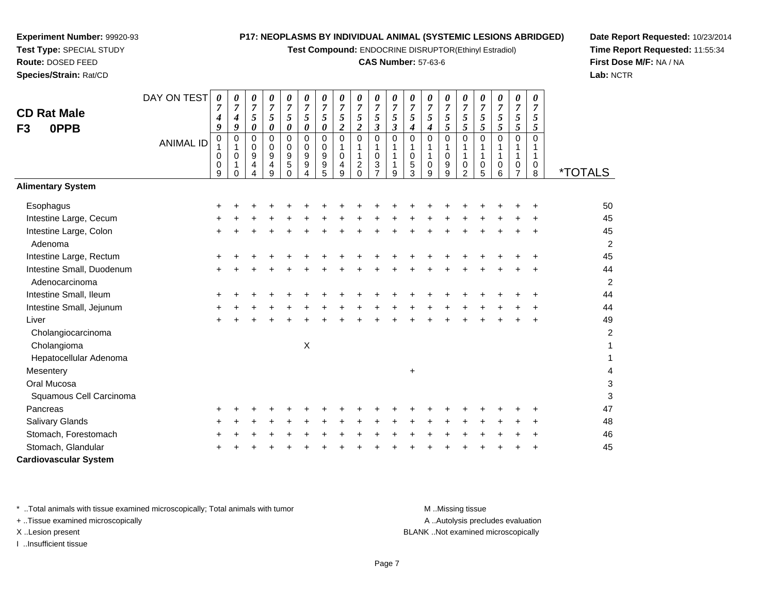**Test Compound:** ENDOCRINE DISRUPTOR(Ethinyl Estradiol)

# **CAS Number:** 57-63-6

**Date Report Requested:** 10/23/2014**Time Report Requested:** 11:55:34**First Dose M/F:** NA / NA**Lab:** NCTR

| <b>CD Rat Male</b><br><b>OPPB</b><br>F <sub>3</sub> | DAY ON TEST<br><b>ANIMAL ID</b> | 0<br>7<br>4<br>9<br>0 | 0<br>$\boldsymbol{7}$<br>$\boldsymbol{4}$<br>9<br>$\pmb{0}$ | 0<br>$\overline{7}$<br>5<br>$\boldsymbol{\theta}$<br>0<br>0 | 0<br>$\overline{7}$<br>5<br>$\boldsymbol{\theta}$<br>$\pmb{0}$<br>$\mathbf 0$ | 0<br>$\overline{7}$<br>5<br>$\pmb{\theta}$<br>$\mathbf 0$<br>$\mathbf 0$ | 0<br>$\overline{7}$<br>5<br>$\boldsymbol{\theta}$<br>$\mathbf 0$<br>0 | 0<br>$\boldsymbol{7}$<br>5<br>0<br>$\mathbf 0$<br>0 | 0<br>$\boldsymbol{7}$<br>$\sqrt{5}$<br>$\boldsymbol{2}$<br>$\overline{0}$<br>$\mathbf 1$ | 0<br>$\boldsymbol{7}$<br>$\frac{5}{2}$<br>$\overline{0}$<br>$\mathbf{1}$ | 0<br>$\overline{7}$<br>$\sqrt{5}$<br>$\boldsymbol{\beta}$<br>$\mathbf 0$<br>$\mathbf{1}$ | 0<br>$\overline{7}$<br>5<br>$\mathfrak{z}$<br>$\mathbf 0$ | 0<br>$\boldsymbol{7}$<br>5<br>$\boldsymbol{4}$<br>0<br>$\mathbf{1}$ | 0<br>$\overline{7}$<br>5<br>$\boldsymbol{4}$<br>$\mathbf 0$<br>$\mathbf{1}$ | 0<br>$\overline{7}$<br>5<br>$\mathfrak{s}$<br>0<br>$\mathbf{1}$ | 0<br>$\overline{7}$<br>$\frac{5}{5}$<br>0<br>1 | 0<br>$\overline{7}$<br>5<br>$\sqrt{5}$<br>0 | 0<br>$\overline{7}$<br>$\overline{5}$<br>$\overline{5}$<br>$\mathbf 0$<br>1 | 0<br>$\overline{7}$<br>5<br>$\sqrt{5}$<br>$\mathbf 0$<br>1 | 0<br>$\overline{7}$<br>5<br>5<br>$\mathbf 0$<br>$\mathbf{1}$ |                       |
|-----------------------------------------------------|---------------------------------|-----------------------|-------------------------------------------------------------|-------------------------------------------------------------|-------------------------------------------------------------------------------|--------------------------------------------------------------------------|-----------------------------------------------------------------------|-----------------------------------------------------|------------------------------------------------------------------------------------------|--------------------------------------------------------------------------|------------------------------------------------------------------------------------------|-----------------------------------------------------------|---------------------------------------------------------------------|-----------------------------------------------------------------------------|-----------------------------------------------------------------|------------------------------------------------|---------------------------------------------|-----------------------------------------------------------------------------|------------------------------------------------------------|--------------------------------------------------------------|-----------------------|
|                                                     |                                 | 0<br>0<br>9           | 0<br>1<br>$\Omega$                                          | 9<br>4                                                      | $\boldsymbol{9}$<br>$\overline{\mathbf{4}}$<br>9                              | 9<br>$\sqrt{5}$<br>$\Omega$                                              | $\boldsymbol{9}$<br>$\boldsymbol{9}$<br>4                             | 9<br>9<br>5                                         | $\mathbf 0$<br>4<br>9                                                                    | $\mathbf{1}$<br>$\frac{2}{0}$                                            | $\mathbf 0$<br>$\ensuremath{\mathsf{3}}$<br>$\overline{7}$                               | 1<br>9                                                    | 0<br>5<br>3                                                         | 1<br>$\mathbf 0$<br>9                                                       | $\mathbf 0$<br>9<br>9                                           | $\mathbf{1}$<br>$\mathbf 0$<br>$\overline{2}$  | 1<br>0<br>5                                 | 1<br>0<br>6                                                                 | 1<br>0<br>$\overline{7}$                                   | $\mathbf{1}$<br>$\mathbf 0$<br>8                             | <i><b>*TOTALS</b></i> |
| <b>Alimentary System</b>                            |                                 |                       |                                                             |                                                             |                                                                               |                                                                          |                                                                       |                                                     |                                                                                          |                                                                          |                                                                                          |                                                           |                                                                     |                                                                             |                                                                 |                                                |                                             |                                                                             |                                                            |                                                              |                       |
| Esophagus                                           |                                 |                       |                                                             |                                                             |                                                                               |                                                                          |                                                                       |                                                     |                                                                                          |                                                                          |                                                                                          |                                                           |                                                                     |                                                                             |                                                                 |                                                |                                             |                                                                             |                                                            |                                                              | 50                    |
| Intestine Large, Cecum                              |                                 |                       |                                                             |                                                             |                                                                               |                                                                          |                                                                       |                                                     |                                                                                          |                                                                          |                                                                                          |                                                           |                                                                     |                                                                             |                                                                 |                                                |                                             |                                                                             |                                                            |                                                              | 45                    |
| Intestine Large, Colon                              |                                 | $\ddot{}$             |                                                             |                                                             |                                                                               |                                                                          |                                                                       |                                                     |                                                                                          |                                                                          |                                                                                          |                                                           |                                                                     |                                                                             |                                                                 |                                                |                                             |                                                                             |                                                            | +                                                            | 45                    |
| Adenoma                                             |                                 |                       |                                                             |                                                             |                                                                               |                                                                          |                                                                       |                                                     |                                                                                          |                                                                          |                                                                                          |                                                           |                                                                     |                                                                             |                                                                 |                                                |                                             |                                                                             |                                                            |                                                              | $\overline{2}$        |
| Intestine Large, Rectum                             |                                 | ٠                     |                                                             |                                                             |                                                                               |                                                                          |                                                                       |                                                     |                                                                                          |                                                                          |                                                                                          |                                                           |                                                                     |                                                                             |                                                                 |                                                |                                             |                                                                             |                                                            |                                                              | 45                    |
| Intestine Small, Duodenum                           |                                 | $\ddot{}$             |                                                             |                                                             |                                                                               |                                                                          |                                                                       |                                                     |                                                                                          |                                                                          |                                                                                          |                                                           |                                                                     |                                                                             |                                                                 |                                                |                                             |                                                                             |                                                            | $\ddot{}$                                                    | 44                    |
| Adenocarcinoma                                      |                                 |                       |                                                             |                                                             |                                                                               |                                                                          |                                                                       |                                                     |                                                                                          |                                                                          |                                                                                          |                                                           |                                                                     |                                                                             |                                                                 |                                                |                                             |                                                                             |                                                            |                                                              | $\overline{2}$        |
| Intestine Small, Ileum                              |                                 | +                     |                                                             |                                                             |                                                                               |                                                                          |                                                                       |                                                     |                                                                                          |                                                                          |                                                                                          |                                                           |                                                                     |                                                                             |                                                                 |                                                |                                             |                                                                             |                                                            | ٠                                                            | 44                    |
| Intestine Small, Jejunum                            |                                 |                       |                                                             |                                                             |                                                                               |                                                                          |                                                                       |                                                     |                                                                                          |                                                                          |                                                                                          |                                                           |                                                                     |                                                                             |                                                                 |                                                |                                             |                                                                             |                                                            |                                                              | 44                    |
| Liver                                               |                                 |                       |                                                             |                                                             |                                                                               |                                                                          |                                                                       |                                                     |                                                                                          |                                                                          |                                                                                          |                                                           |                                                                     |                                                                             |                                                                 |                                                |                                             |                                                                             |                                                            | $\ddot{}$                                                    | 49                    |
| Cholangiocarcinoma                                  |                                 |                       |                                                             |                                                             |                                                                               |                                                                          |                                                                       |                                                     |                                                                                          |                                                                          |                                                                                          |                                                           |                                                                     |                                                                             |                                                                 |                                                |                                             |                                                                             |                                                            |                                                              | $\overline{c}$        |
| Cholangioma                                         |                                 |                       |                                                             |                                                             |                                                                               |                                                                          | Χ                                                                     |                                                     |                                                                                          |                                                                          |                                                                                          |                                                           |                                                                     |                                                                             |                                                                 |                                                |                                             |                                                                             |                                                            |                                                              | $\mathbf{1}$          |
| Hepatocellular Adenoma                              |                                 |                       |                                                             |                                                             |                                                                               |                                                                          |                                                                       |                                                     |                                                                                          |                                                                          |                                                                                          |                                                           |                                                                     |                                                                             |                                                                 |                                                |                                             |                                                                             |                                                            |                                                              | 1                     |
| Mesentery                                           |                                 |                       |                                                             |                                                             |                                                                               |                                                                          |                                                                       |                                                     |                                                                                          |                                                                          |                                                                                          |                                                           | $\ddot{}$                                                           |                                                                             |                                                                 |                                                |                                             |                                                                             |                                                            |                                                              | 4                     |
| Oral Mucosa                                         |                                 |                       |                                                             |                                                             |                                                                               |                                                                          |                                                                       |                                                     |                                                                                          |                                                                          |                                                                                          |                                                           |                                                                     |                                                                             |                                                                 |                                                |                                             |                                                                             |                                                            |                                                              | $\sqrt{3}$            |
| Squamous Cell Carcinoma                             |                                 |                       |                                                             |                                                             |                                                                               |                                                                          |                                                                       |                                                     |                                                                                          |                                                                          |                                                                                          |                                                           |                                                                     |                                                                             |                                                                 |                                                |                                             |                                                                             |                                                            |                                                              | 3                     |
| Pancreas                                            |                                 |                       |                                                             |                                                             |                                                                               |                                                                          |                                                                       |                                                     |                                                                                          |                                                                          |                                                                                          |                                                           |                                                                     |                                                                             |                                                                 |                                                |                                             |                                                                             |                                                            |                                                              | 47                    |
| Salivary Glands                                     |                                 |                       |                                                             |                                                             |                                                                               |                                                                          |                                                                       |                                                     |                                                                                          |                                                                          |                                                                                          |                                                           |                                                                     |                                                                             |                                                                 |                                                |                                             |                                                                             |                                                            |                                                              | 48                    |
| Stomach, Forestomach                                |                                 | +                     |                                                             |                                                             |                                                                               |                                                                          |                                                                       |                                                     |                                                                                          |                                                                          |                                                                                          |                                                           |                                                                     |                                                                             |                                                                 |                                                |                                             |                                                                             |                                                            | +                                                            | 46                    |
| Stomach, Glandular                                  |                                 |                       |                                                             |                                                             |                                                                               |                                                                          |                                                                       |                                                     |                                                                                          |                                                                          |                                                                                          |                                                           |                                                                     |                                                                             |                                                                 |                                                |                                             |                                                                             |                                                            | $\ddot{}$                                                    | 45                    |
| <b>Cardiovascular System</b>                        |                                 |                       |                                                             |                                                             |                                                                               |                                                                          |                                                                       |                                                     |                                                                                          |                                                                          |                                                                                          |                                                           |                                                                     |                                                                             |                                                                 |                                                |                                             |                                                                             |                                                            |                                                              |                       |
|                                                     |                                 |                       |                                                             |                                                             |                                                                               |                                                                          |                                                                       |                                                     |                                                                                          |                                                                          |                                                                                          |                                                           |                                                                     |                                                                             |                                                                 |                                                |                                             |                                                                             |                                                            |                                                              |                       |
|                                                     |                                 |                       |                                                             |                                                             |                                                                               |                                                                          |                                                                       |                                                     |                                                                                          |                                                                          |                                                                                          |                                                           |                                                                     |                                                                             |                                                                 |                                                |                                             |                                                                             |                                                            |                                                              |                       |

\* ..Total animals with tissue examined microscopically; Total animals with tumor **M** ..Missing tissue M ..Missing tissue

+ ..Tissue examined microscopically

**Experiment Number:** 99920-93**Test Type:** SPECIAL STUDY**Route:** DOSED FEED**Species/Strain:** Rat/CD

I ..Insufficient tissue

A .. Autolysis precludes evaluation X ..Lesion present BLANK ..Not examined microscopically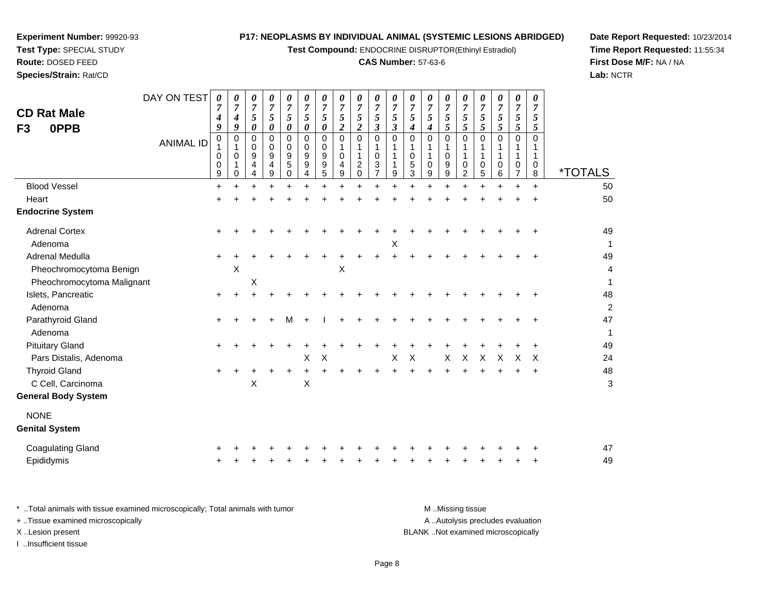**Test Compound:** ENDOCRINE DISRUPTOR(Ethinyl Estradiol)

# **CAS Number:** 57-63-6

**Date Report Requested:** 10/23/2014**Time Report Requested:** 11:55:34**First Dose M/F:** NA / NA**Lab:** NCTR

| <b>CD Rat Male</b>               | DAY ON TEST      | $\boldsymbol{\theta}$<br>7<br>$\boldsymbol{4}$<br>9 | 0<br>$\overline{7}$<br>4<br>$\boldsymbol{g}$ | 0<br>$\overline{7}$<br>$\sqrt{5}$<br>$\boldsymbol{\theta}$ | 0<br>$\overline{7}$<br>5                  | 0<br>$\overline{7}$<br>5<br>$\boldsymbol{\theta}$ | 0<br>$\boldsymbol{7}$<br>5<br>$\boldsymbol{\theta}$ | 0<br>$\overline{7}$<br>5<br>$\boldsymbol{\theta}$ | 0<br>$\overline{7}$<br>$\sqrt{5}$                                  | 0<br>$\overline{7}$<br>5                                                      | 0<br>$\overline{7}$<br>5                                      | 0<br>$\boldsymbol{7}$<br>$\sqrt{5}$<br>$\mathfrak{z}$ | 0<br>$\overline{7}$<br>5                                               | 0<br>$\overline{7}$<br>$\sqrt{5}$                               | 0<br>$\overline{7}$<br>5                                      | 0<br>$\overline{7}$<br>5                  | 0<br>$\boldsymbol{7}$<br>5<br>5                      | 0<br>7<br>5<br>5   | $\pmb{\theta}$<br>7<br>$\sqrt{5}$<br>5                             | $\boldsymbol{\theta}$<br>$\overline{7}$<br>5<br>5 |                         |
|----------------------------------|------------------|-----------------------------------------------------|----------------------------------------------|------------------------------------------------------------|-------------------------------------------|---------------------------------------------------|-----------------------------------------------------|---------------------------------------------------|--------------------------------------------------------------------|-------------------------------------------------------------------------------|---------------------------------------------------------------|-------------------------------------------------------|------------------------------------------------------------------------|-----------------------------------------------------------------|---------------------------------------------------------------|-------------------------------------------|------------------------------------------------------|--------------------|--------------------------------------------------------------------|---------------------------------------------------|-------------------------|
| F3<br>0PPB                       | <b>ANIMAL ID</b> | 0<br>0<br>$\pmb{0}$<br>9                            | $\mathbf 0$<br>1<br>0<br>1<br>$\mathbf 0$    | 0<br>0<br>9<br>4<br>4                                      | 0<br>0<br>0<br>$\boldsymbol{9}$<br>4<br>9 | 0<br>0<br>9<br>5<br>0                             | 0<br>0<br>$\boldsymbol{9}$<br>$\boldsymbol{9}$<br>4 | $\mathbf 0$<br>0<br>9<br>$\boldsymbol{9}$<br>5    | $\boldsymbol{2}$<br>$\Omega$<br>$\mathbf 0$<br>$\overline{4}$<br>9 | $\overline{2}$<br>$\mathbf 0$<br>$\mathbf{1}$<br>$\mathbf{1}$<br>$^2_{\rm 0}$ | $\overline{\mathbf{3}}$<br>0<br>1<br>0<br>3<br>$\overline{7}$ | 0<br>1<br>$\mathbf{1}$<br>9                           | $\boldsymbol{4}$<br>$\mathbf 0$<br>1<br>$\mathbf 0$<br>$\sqrt{5}$<br>3 | $\boldsymbol{4}$<br>$\Omega$<br>$\mathbf 1$<br>$\mathbf 0$<br>9 | 5<br>$\mathbf 0$<br>1<br>$\mathbf 0$<br>$\boldsymbol{9}$<br>9 | 5<br>$\Omega$<br>1<br>0<br>$\overline{2}$ | $\mathbf 0$<br>1<br>$\mathbf{1}$<br>$\mathbf 0$<br>5 | $\Omega$<br>0<br>6 | $\mathbf 0$<br>-1<br>$\mathbf{1}$<br>$\mathbf 0$<br>$\overline{7}$ | 0<br>1<br>1<br>0<br>8                             | <i><b>*TOTALS</b></i>   |
| <b>Blood Vessel</b>              |                  | $\ddot{}$                                           | ÷                                            | $\ddot{}$                                                  | $\ddot{}$                                 | ÷                                                 | ÷                                                   |                                                   | $\ddot{}$                                                          | $\ddot{}$                                                                     | $+$                                                           | ÷.                                                    |                                                                        | +                                                               | $\ddot{}$                                                     | ÷.                                        | ÷.                                                   |                    | ∔                                                                  | $\ddot{}$                                         | 50                      |
| Heart                            |                  |                                                     |                                              |                                                            |                                           |                                                   |                                                     |                                                   |                                                                    |                                                                               |                                                               |                                                       |                                                                        |                                                                 |                                                               |                                           |                                                      |                    |                                                                    |                                                   | 50                      |
| <b>Endocrine System</b>          |                  |                                                     |                                              |                                                            |                                           |                                                   |                                                     |                                                   |                                                                    |                                                                               |                                                               |                                                       |                                                                        |                                                                 |                                                               |                                           |                                                      |                    |                                                                    |                                                   |                         |
| <b>Adrenal Cortex</b><br>Adenoma |                  |                                                     |                                              |                                                            |                                           |                                                   |                                                     |                                                   |                                                                    |                                                                               |                                                               | X                                                     |                                                                        |                                                                 |                                                               |                                           |                                                      |                    |                                                                    |                                                   | 49<br>$\mathbf{1}$      |
| Adrenal Medulla                  |                  |                                                     |                                              |                                                            |                                           |                                                   |                                                     |                                                   |                                                                    |                                                                               |                                                               |                                                       |                                                                        |                                                                 |                                                               |                                           |                                                      |                    |                                                                    |                                                   | 49                      |
| Pheochromocytoma Benign          |                  |                                                     | X                                            |                                                            |                                           |                                                   |                                                     |                                                   | $\boldsymbol{\mathsf{X}}$                                          |                                                                               |                                                               |                                                       |                                                                        |                                                                 |                                                               |                                           |                                                      |                    |                                                                    |                                                   | $\overline{\mathbf{4}}$ |
| Pheochromocytoma Malignant       |                  |                                                     |                                              | Χ                                                          |                                           |                                                   |                                                     |                                                   |                                                                    |                                                                               |                                                               |                                                       |                                                                        |                                                                 |                                                               |                                           |                                                      |                    |                                                                    |                                                   | $\mathbf{1}$            |
| Islets, Pancreatic               |                  |                                                     |                                              |                                                            |                                           |                                                   |                                                     |                                                   |                                                                    |                                                                               |                                                               |                                                       |                                                                        |                                                                 |                                                               |                                           |                                                      |                    |                                                                    |                                                   | 48                      |
| Adenoma                          |                  |                                                     |                                              |                                                            |                                           |                                                   |                                                     |                                                   |                                                                    |                                                                               |                                                               |                                                       |                                                                        |                                                                 |                                                               |                                           |                                                      |                    |                                                                    |                                                   | $\overline{2}$          |
| Parathyroid Gland<br>Adenoma     |                  |                                                     |                                              |                                                            |                                           | м                                                 |                                                     |                                                   |                                                                    |                                                                               |                                                               |                                                       |                                                                        |                                                                 |                                                               |                                           |                                                      |                    |                                                                    |                                                   | 47<br>1                 |
| <b>Pituitary Gland</b>           |                  |                                                     |                                              |                                                            |                                           |                                                   |                                                     |                                                   |                                                                    |                                                                               |                                                               |                                                       |                                                                        |                                                                 |                                                               |                                           |                                                      |                    |                                                                    |                                                   | 49                      |
| Pars Distalis, Adenoma           |                  |                                                     |                                              |                                                            |                                           |                                                   | X                                                   | $\times$                                          |                                                                    |                                                                               |                                                               | X                                                     | $\boldsymbol{\mathsf{X}}$                                              |                                                                 | X                                                             | $\boldsymbol{\mathsf{X}}$                 | $\sf X$                                              | $\times$           | X                                                                  | $\times$                                          | 24                      |
| <b>Thyroid Gland</b>             |                  |                                                     |                                              |                                                            |                                           |                                                   |                                                     |                                                   |                                                                    |                                                                               |                                                               |                                                       |                                                                        |                                                                 |                                                               |                                           |                                                      |                    |                                                                    |                                                   | 48                      |
| C Cell, Carcinoma                |                  |                                                     |                                              | X                                                          |                                           |                                                   | X                                                   |                                                   |                                                                    |                                                                               |                                                               |                                                       |                                                                        |                                                                 |                                                               |                                           |                                                      |                    |                                                                    |                                                   | $\mathbf{3}$            |
| General Body System              |                  |                                                     |                                              |                                                            |                                           |                                                   |                                                     |                                                   |                                                                    |                                                                               |                                                               |                                                       |                                                                        |                                                                 |                                                               |                                           |                                                      |                    |                                                                    |                                                   |                         |
| <b>NONE</b>                      |                  |                                                     |                                              |                                                            |                                           |                                                   |                                                     |                                                   |                                                                    |                                                                               |                                                               |                                                       |                                                                        |                                                                 |                                                               |                                           |                                                      |                    |                                                                    |                                                   |                         |
| <b>Genital System</b>            |                  |                                                     |                                              |                                                            |                                           |                                                   |                                                     |                                                   |                                                                    |                                                                               |                                                               |                                                       |                                                                        |                                                                 |                                                               |                                           |                                                      |                    |                                                                    |                                                   |                         |
| <b>Coagulating Gland</b>         |                  |                                                     |                                              |                                                            |                                           |                                                   |                                                     |                                                   |                                                                    |                                                                               |                                                               |                                                       |                                                                        |                                                                 |                                                               |                                           |                                                      |                    |                                                                    |                                                   | 47                      |
| Epididymis                       |                  |                                                     |                                              |                                                            |                                           |                                                   |                                                     |                                                   |                                                                    |                                                                               |                                                               |                                                       |                                                                        |                                                                 |                                                               |                                           |                                                      |                    |                                                                    |                                                   | 49                      |
|                                  |                  |                                                     |                                              |                                                            |                                           |                                                   |                                                     |                                                   |                                                                    |                                                                               |                                                               |                                                       |                                                                        |                                                                 |                                                               |                                           |                                                      |                    |                                                                    |                                                   |                         |

| Total animals with tissue examined microscopically; Total animals with tumor | M Missing tissue                   |
|------------------------------------------------------------------------------|------------------------------------|
| + Tissue examined microscopically                                            | A Autolysis precludes evaluation   |
| X Lesion present                                                             | BLANK Not examined microscopically |
| Insufficient tissue                                                          |                                    |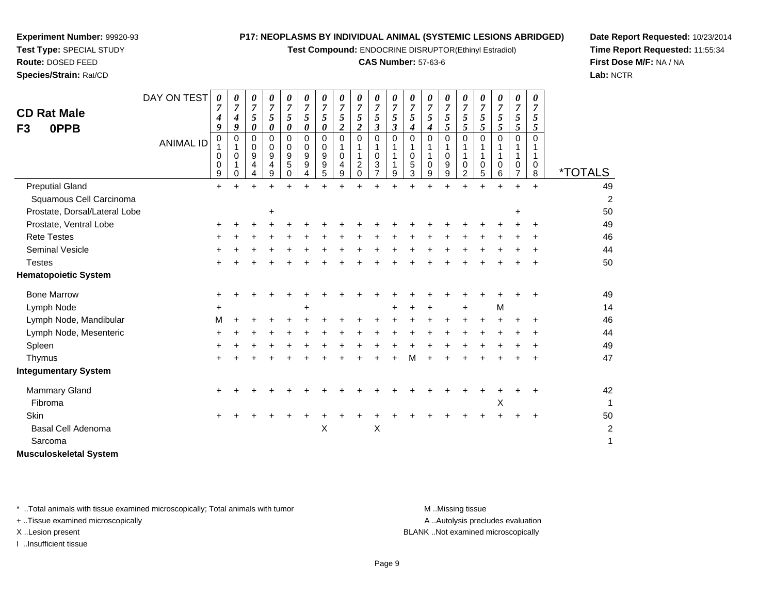**Test Compound:** ENDOCRINE DISRUPTOR(Ethinyl Estradiol)

# **CAS Number:** 57-63-6

**Date Report Requested:** 10/23/2014**Time Report Requested:** 11:55:34**First Dose M/F:** NA / NA**Lab:** NCTR

| <b>CD Rat Male</b><br>0PPB<br>F3 | DAY ON TEST<br><b>ANIMAL ID</b> | 0<br>7<br>4<br>9<br>0<br>1<br>0<br>0<br>9 | 0<br>$\overline{7}$<br>4<br>9<br>$\mathbf 0$<br>1<br>0<br>1<br>0 | 0<br>7<br>5<br>0<br>0<br>0<br>9<br>4<br>4 | 0<br>7<br>$\mathfrak{s}$<br>0<br>0<br>0<br>9<br>4<br>9 | 0<br>$\overline{7}$<br>5<br>0<br>0<br>0<br>9<br>5<br>$\Omega$ | 0<br>7<br>5<br>0<br>$\Omega$<br>0<br>9<br>9<br>4 | 0<br>7<br>5<br>0<br>$\Omega$<br>0<br>9<br>$\boldsymbol{9}$<br>5 | 0<br>$\overline{7}$<br>5<br>$\boldsymbol{2}$<br>$\mathbf 0$<br>1<br>$\mathbf 0$<br>4<br>$\boldsymbol{9}$ | 0<br>$\overline{7}$<br>$\mathfrak{s}$<br>$\boldsymbol{2}$<br>$\Omega$<br>1<br>1<br>$\sqrt{2}$<br>$\mathbf 0$ | 0<br>$\overline{7}$<br>5<br>$\boldsymbol{\beta}$<br>$\Omega$<br>1<br>$\mathbf 0$<br>$\mathbf{3}$<br>$\overline{7}$ | 0<br>7<br>5<br>$\boldsymbol{\beta}$<br>$\Omega$<br>1<br>9 | 0<br>7<br>5<br>4<br>$\Omega$<br>0<br>5<br>3 | 0<br>7<br>$\sqrt{5}$<br>4<br>$\Omega$<br>1<br>$\mathbf 0$<br>9 | 0<br>$\overline{7}$<br>5<br>5<br>0<br>1<br>$\mathbf 0$<br>9<br>9 | 0<br>$\overline{7}$<br>5<br>5<br>$\Omega$<br>1<br>1<br>0<br>$\overline{2}$ | 0<br>7<br>5<br>$\mathfrak{s}$<br>$\Omega$<br>$\pmb{0}$<br>5 | 0<br>7<br>5<br>5<br>$\Omega$<br>0<br>6 | 0<br>$\overline{7}$<br>5<br>5<br>0<br>1<br>1<br>0<br>$\overline{7}$ | 0<br>7<br>5<br>5<br>$\Omega$<br>1<br>1<br>$\mathbf 0$<br>8 | <i><b>*TOTALS</b></i> |
|----------------------------------|---------------------------------|-------------------------------------------|------------------------------------------------------------------|-------------------------------------------|--------------------------------------------------------|---------------------------------------------------------------|--------------------------------------------------|-----------------------------------------------------------------|----------------------------------------------------------------------------------------------------------|--------------------------------------------------------------------------------------------------------------|--------------------------------------------------------------------------------------------------------------------|-----------------------------------------------------------|---------------------------------------------|----------------------------------------------------------------|------------------------------------------------------------------|----------------------------------------------------------------------------|-------------------------------------------------------------|----------------------------------------|---------------------------------------------------------------------|------------------------------------------------------------|-----------------------|
| <b>Preputial Gland</b>           |                                 | $\ddot{}$                                 | $\ddot{}$                                                        | Ŧ.                                        | $\ddot{}$                                              | $\ddot{}$                                                     | $\ddot{}$                                        |                                                                 | +                                                                                                        | $\ddot{}$                                                                                                    | $\ddot{}$                                                                                                          | $\ddot{}$                                                 |                                             |                                                                |                                                                  | $\ddot{}$                                                                  |                                                             |                                        | $+$                                                                 | $\ddot{}$                                                  | 49                    |
| Squamous Cell Carcinoma          |                                 |                                           |                                                                  |                                           |                                                        |                                                               |                                                  |                                                                 |                                                                                                          |                                                                                                              |                                                                                                                    |                                                           |                                             |                                                                |                                                                  |                                                                            |                                                             |                                        |                                                                     |                                                            | $\overline{2}$        |
| Prostate, Dorsal/Lateral Lobe    |                                 |                                           |                                                                  |                                           | $\ddot{}$                                              |                                                               |                                                  |                                                                 |                                                                                                          |                                                                                                              |                                                                                                                    |                                                           |                                             |                                                                |                                                                  |                                                                            |                                                             |                                        | $\ddot{}$                                                           |                                                            | 50                    |
| Prostate, Ventral Lobe           |                                 | +                                         |                                                                  |                                           |                                                        |                                                               |                                                  |                                                                 |                                                                                                          |                                                                                                              |                                                                                                                    |                                                           |                                             |                                                                |                                                                  |                                                                            |                                                             |                                        |                                                                     |                                                            | 49                    |
| <b>Rete Testes</b>               |                                 |                                           |                                                                  |                                           |                                                        |                                                               |                                                  |                                                                 |                                                                                                          |                                                                                                              |                                                                                                                    |                                                           |                                             |                                                                |                                                                  |                                                                            |                                                             |                                        |                                                                     |                                                            | 46                    |
| <b>Seminal Vesicle</b>           |                                 |                                           |                                                                  |                                           |                                                        |                                                               |                                                  |                                                                 |                                                                                                          |                                                                                                              |                                                                                                                    |                                                           |                                             |                                                                |                                                                  |                                                                            |                                                             |                                        |                                                                     |                                                            | 44                    |
| <b>Testes</b>                    |                                 |                                           |                                                                  |                                           |                                                        |                                                               |                                                  |                                                                 |                                                                                                          |                                                                                                              |                                                                                                                    |                                                           |                                             |                                                                |                                                                  |                                                                            |                                                             |                                        |                                                                     |                                                            | 50                    |
| <b>Hematopoietic System</b>      |                                 |                                           |                                                                  |                                           |                                                        |                                                               |                                                  |                                                                 |                                                                                                          |                                                                                                              |                                                                                                                    |                                                           |                                             |                                                                |                                                                  |                                                                            |                                                             |                                        |                                                                     |                                                            |                       |
| <b>Bone Marrow</b>               |                                 | +                                         |                                                                  |                                           |                                                        |                                                               |                                                  |                                                                 |                                                                                                          |                                                                                                              |                                                                                                                    |                                                           |                                             |                                                                |                                                                  |                                                                            |                                                             |                                        |                                                                     |                                                            | 49                    |
| Lymph Node                       |                                 | +                                         |                                                                  |                                           |                                                        |                                                               | +                                                |                                                                 |                                                                                                          |                                                                                                              |                                                                                                                    |                                                           |                                             |                                                                |                                                                  | $\ddot{}$                                                                  |                                                             | M                                      |                                                                     |                                                            | 14                    |
| Lymph Node, Mandibular           |                                 | м                                         |                                                                  |                                           |                                                        |                                                               |                                                  |                                                                 |                                                                                                          |                                                                                                              |                                                                                                                    |                                                           |                                             |                                                                |                                                                  |                                                                            |                                                             |                                        |                                                                     |                                                            | 46                    |
| Lymph Node, Mesenteric           |                                 | ٠                                         |                                                                  |                                           |                                                        |                                                               |                                                  |                                                                 |                                                                                                          |                                                                                                              |                                                                                                                    |                                                           |                                             |                                                                |                                                                  |                                                                            |                                                             |                                        |                                                                     |                                                            | 44                    |
| Spleen                           |                                 |                                           |                                                                  |                                           |                                                        |                                                               |                                                  |                                                                 |                                                                                                          |                                                                                                              |                                                                                                                    |                                                           |                                             |                                                                |                                                                  |                                                                            |                                                             |                                        |                                                                     |                                                            | 49                    |
| Thymus                           |                                 | $\ddot{}$                                 |                                                                  |                                           |                                                        |                                                               |                                                  |                                                                 |                                                                                                          |                                                                                                              |                                                                                                                    |                                                           | м                                           |                                                                |                                                                  |                                                                            |                                                             |                                        |                                                                     |                                                            | 47                    |
| <b>Integumentary System</b>      |                                 |                                           |                                                                  |                                           |                                                        |                                                               |                                                  |                                                                 |                                                                                                          |                                                                                                              |                                                                                                                    |                                                           |                                             |                                                                |                                                                  |                                                                            |                                                             |                                        |                                                                     |                                                            |                       |
| Mammary Gland                    |                                 | $\ddot{}$                                 |                                                                  |                                           |                                                        |                                                               |                                                  |                                                                 |                                                                                                          |                                                                                                              |                                                                                                                    |                                                           |                                             |                                                                |                                                                  |                                                                            |                                                             | ٠                                      | ÷                                                                   |                                                            | 42                    |
| Fibroma                          |                                 |                                           |                                                                  |                                           |                                                        |                                                               |                                                  |                                                                 |                                                                                                          |                                                                                                              |                                                                                                                    |                                                           |                                             |                                                                |                                                                  |                                                                            |                                                             | Χ                                      |                                                                     |                                                            | $\mathbf{1}$          |
| Skin                             |                                 | ٠                                         |                                                                  |                                           |                                                        |                                                               |                                                  |                                                                 |                                                                                                          |                                                                                                              |                                                                                                                    |                                                           |                                             |                                                                |                                                                  |                                                                            |                                                             |                                        |                                                                     | ÷                                                          | 50                    |
| Basal Cell Adenoma               |                                 |                                           |                                                                  |                                           |                                                        |                                                               |                                                  | X                                                               |                                                                                                          |                                                                                                              | X                                                                                                                  |                                                           |                                             |                                                                |                                                                  |                                                                            |                                                             |                                        |                                                                     |                                                            | $\overline{2}$        |
| Sarcoma                          |                                 |                                           |                                                                  |                                           |                                                        |                                                               |                                                  |                                                                 |                                                                                                          |                                                                                                              |                                                                                                                    |                                                           |                                             |                                                                |                                                                  |                                                                            |                                                             |                                        |                                                                     |                                                            | 1                     |
| Musculoskeletal System           |                                 |                                           |                                                                  |                                           |                                                        |                                                               |                                                  |                                                                 |                                                                                                          |                                                                                                              |                                                                                                                    |                                                           |                                             |                                                                |                                                                  |                                                                            |                                                             |                                        |                                                                     |                                                            |                       |

\* ..Total animals with tissue examined microscopically; Total animals with tumor **M** . Missing tissue M ..Missing tissue

+ ..Tissue examined microscopically

**Experiment Number:** 99920-93**Test Type:** SPECIAL STUDY**Route:** DOSED FEED**Species/Strain:** Rat/CD

I ..Insufficient tissue

A ..Autolysis precludes evaluation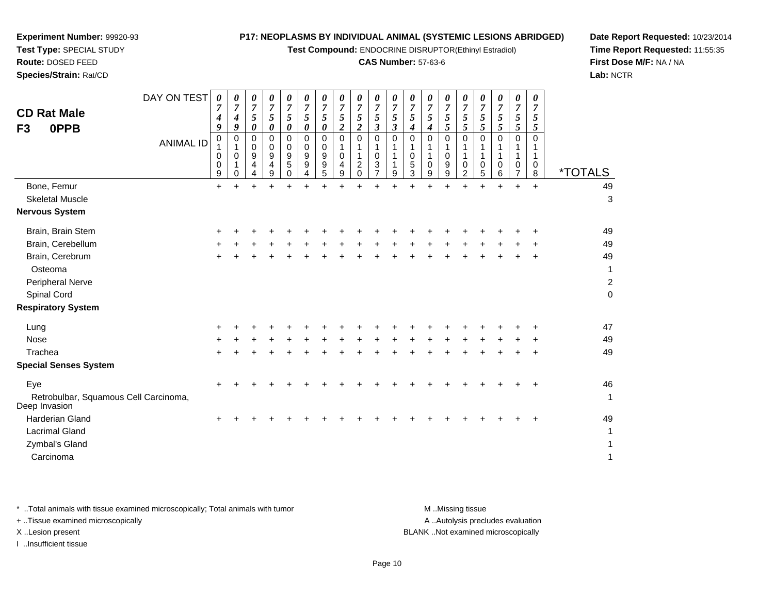**Test Compound:** ENDOCRINE DISRUPTOR(Ethinyl Estradiol)

# **CAS Number:** 57-63-6

**Date Report Requested:** 10/23/2014**Time Report Requested:** 11:55:35**First Dose M/F:** NA / NA**Lab:** NCTR

| <b>CD Rat Male</b><br>0PPB<br>F <sub>3</sub><br>Bone, Femur | DAY ON TEST<br><b>ANIMAL ID</b> | 0<br>7<br>4<br>9<br>0<br>0<br>0<br>9 | 0<br>7<br>$\boldsymbol{4}$<br>9<br>0<br>$\Omega$<br>1<br>0 | 0<br>7<br>5<br>0<br>0<br>0<br>9<br>4 | 0<br>$\overline{7}$<br>5<br>0<br>$\mathbf 0$<br>0<br>9<br>4<br>9 | 0<br>7<br>5<br>0<br>$\Omega$<br>0<br>9<br>5<br>0 | 0<br>7<br>5<br>0<br>$\mathbf 0$<br>0<br>9<br>9<br>4 | 0<br>7<br>5<br>0<br>$\mathbf 0$<br>0<br>9<br>9<br>5 | 0<br>$\overline{7}$<br>5<br>$\boldsymbol{2}$<br>$\mathbf 0$<br>1<br>$\mathbf 0$<br>4<br>9 | 0<br>$\overline{7}$<br>5<br>$\overline{\mathbf{c}}$<br>0<br>1<br>$\overline{c}$<br>0 | 0<br>$\overline{7}$<br>5<br>3<br>0<br>1<br>$\pmb{0}$<br>3<br>$\overline{7}$ | 0<br>7<br>5<br>$\boldsymbol{\beta}$<br>$\Omega$<br>1<br>$\mathbf{1}$<br>1<br>9 | 0<br>7<br>5<br>4<br>$\Omega$<br>$\mathbf 0$<br>5<br>3 | 0<br>$\overline{7}$<br>5<br>4<br>$\Omega$<br>1<br>0<br>9 | 0<br>$\overline{7}$<br>5<br>5<br>$\Omega$<br>$\mathbf 0$<br>9<br>9 | 0<br>$\overline{7}$<br>5<br>5<br>$\Omega$<br>1<br>$\mathbf 0$<br>2 | 0<br>7<br>5<br>5<br>$\Omega$<br>$\mathbf 1$<br>0<br>5 | 0<br>7<br>5<br>5<br>$\Omega$<br>0<br>6 | 0<br>7<br>5<br>$\mathfrak{H}$<br>0<br>1<br>1<br>0<br>$\overline{7}$ | 0<br>7<br>5<br>5<br>$\Omega$<br>1<br>1<br>$\mathbf 0$<br>8 | <i><b>*TOTALS</b></i><br>49 |
|-------------------------------------------------------------|---------------------------------|--------------------------------------|------------------------------------------------------------|--------------------------------------|------------------------------------------------------------------|--------------------------------------------------|-----------------------------------------------------|-----------------------------------------------------|-------------------------------------------------------------------------------------------|--------------------------------------------------------------------------------------|-----------------------------------------------------------------------------|--------------------------------------------------------------------------------|-------------------------------------------------------|----------------------------------------------------------|--------------------------------------------------------------------|--------------------------------------------------------------------|-------------------------------------------------------|----------------------------------------|---------------------------------------------------------------------|------------------------------------------------------------|-----------------------------|
| <b>Skeletal Muscle</b>                                      |                                 | $\ddot{}$                            | ÷                                                          |                                      | $\ddot{}$                                                        | +                                                |                                                     |                                                     | $\ddot{}$                                                                                 | $\ddot{}$                                                                            | +                                                                           |                                                                                | +                                                     | $\ddot{}$                                                | $\ddot{}$                                                          | $\ddot{}$                                                          |                                                       | $\ddot{}$                              | $\ddot{}$                                                           | $+$                                                        | 3                           |
| <b>Nervous System</b>                                       |                                 |                                      |                                                            |                                      |                                                                  |                                                  |                                                     |                                                     |                                                                                           |                                                                                      |                                                                             |                                                                                |                                                       |                                                          |                                                                    |                                                                    |                                                       |                                        |                                                                     |                                                            |                             |
| Brain, Brain Stem                                           |                                 | ٠                                    |                                                            |                                      |                                                                  |                                                  |                                                     |                                                     |                                                                                           |                                                                                      |                                                                             |                                                                                |                                                       |                                                          |                                                                    |                                                                    |                                                       |                                        |                                                                     |                                                            | 49                          |
| Brain, Cerebellum                                           |                                 |                                      |                                                            |                                      |                                                                  |                                                  |                                                     |                                                     |                                                                                           |                                                                                      |                                                                             |                                                                                |                                                       |                                                          |                                                                    |                                                                    |                                                       |                                        |                                                                     |                                                            | 49                          |
| Brain, Cerebrum                                             |                                 |                                      |                                                            |                                      |                                                                  |                                                  |                                                     |                                                     |                                                                                           |                                                                                      |                                                                             |                                                                                |                                                       |                                                          |                                                                    |                                                                    |                                                       |                                        |                                                                     |                                                            | 49                          |
| Osteoma                                                     |                                 |                                      |                                                            |                                      |                                                                  |                                                  |                                                     |                                                     |                                                                                           |                                                                                      |                                                                             |                                                                                |                                                       |                                                          |                                                                    |                                                                    |                                                       |                                        |                                                                     |                                                            | $\mathbf{1}$                |
| <b>Peripheral Nerve</b>                                     |                                 |                                      |                                                            |                                      |                                                                  |                                                  |                                                     |                                                     |                                                                                           |                                                                                      |                                                                             |                                                                                |                                                       |                                                          |                                                                    |                                                                    |                                                       |                                        |                                                                     |                                                            | $\overline{c}$              |
| Spinal Cord                                                 |                                 |                                      |                                                            |                                      |                                                                  |                                                  |                                                     |                                                     |                                                                                           |                                                                                      |                                                                             |                                                                                |                                                       |                                                          |                                                                    |                                                                    |                                                       |                                        |                                                                     |                                                            | $\mathbf 0$                 |
| <b>Respiratory System</b>                                   |                                 |                                      |                                                            |                                      |                                                                  |                                                  |                                                     |                                                     |                                                                                           |                                                                                      |                                                                             |                                                                                |                                                       |                                                          |                                                                    |                                                                    |                                                       |                                        |                                                                     |                                                            |                             |
| Lung                                                        |                                 |                                      |                                                            |                                      |                                                                  |                                                  |                                                     |                                                     |                                                                                           |                                                                                      |                                                                             |                                                                                |                                                       |                                                          |                                                                    |                                                                    |                                                       |                                        |                                                                     |                                                            | 47                          |
| Nose                                                        |                                 |                                      |                                                            |                                      |                                                                  |                                                  |                                                     |                                                     |                                                                                           |                                                                                      |                                                                             |                                                                                |                                                       |                                                          |                                                                    |                                                                    |                                                       |                                        |                                                                     |                                                            | 49                          |
| Trachea                                                     |                                 | $\pm$                                |                                                            |                                      |                                                                  |                                                  |                                                     |                                                     |                                                                                           |                                                                                      |                                                                             |                                                                                |                                                       |                                                          |                                                                    |                                                                    |                                                       |                                        |                                                                     |                                                            | 49                          |
| <b>Special Senses System</b>                                |                                 |                                      |                                                            |                                      |                                                                  |                                                  |                                                     |                                                     |                                                                                           |                                                                                      |                                                                             |                                                                                |                                                       |                                                          |                                                                    |                                                                    |                                                       |                                        |                                                                     |                                                            |                             |
| Eye                                                         |                                 | +                                    |                                                            |                                      |                                                                  |                                                  |                                                     |                                                     |                                                                                           |                                                                                      |                                                                             |                                                                                |                                                       |                                                          |                                                                    |                                                                    |                                                       |                                        |                                                                     |                                                            | 46                          |
| Retrobulbar, Squamous Cell Carcinoma,<br>Deep Invasion      |                                 |                                      |                                                            |                                      |                                                                  |                                                  |                                                     |                                                     |                                                                                           |                                                                                      |                                                                             |                                                                                |                                                       |                                                          |                                                                    |                                                                    |                                                       |                                        |                                                                     |                                                            | $\mathbf{1}$                |
| <b>Harderian Gland</b>                                      |                                 | $\pm$                                |                                                            |                                      |                                                                  |                                                  |                                                     |                                                     |                                                                                           |                                                                                      |                                                                             |                                                                                |                                                       |                                                          |                                                                    |                                                                    |                                                       |                                        |                                                                     |                                                            | 49                          |
| <b>Lacrimal Gland</b>                                       |                                 |                                      |                                                            |                                      |                                                                  |                                                  |                                                     |                                                     |                                                                                           |                                                                                      |                                                                             |                                                                                |                                                       |                                                          |                                                                    |                                                                    |                                                       |                                        |                                                                     |                                                            | 1                           |
| Zymbal's Gland                                              |                                 |                                      |                                                            |                                      |                                                                  |                                                  |                                                     |                                                     |                                                                                           |                                                                                      |                                                                             |                                                                                |                                                       |                                                          |                                                                    |                                                                    |                                                       |                                        |                                                                     |                                                            | 1                           |
| Carcinoma                                                   |                                 |                                      |                                                            |                                      |                                                                  |                                                  |                                                     |                                                     |                                                                                           |                                                                                      |                                                                             |                                                                                |                                                       |                                                          |                                                                    |                                                                    |                                                       |                                        |                                                                     |                                                            | 1                           |

**Experiment Number:** 99920-93**Test Type:** SPECIAL STUDY**Route:** DOSED FEED**Species/Strain:** Rat/CD

\* ..Total animals with tissue examined microscopically; Total animals with tumor **M** . Missing tissue M ..Missing tissue A ..Autolysis precludes evaluation + ..Tissue examined microscopically X ..Lesion present BLANK ..Not examined microscopicallyI ..Insufficient tissue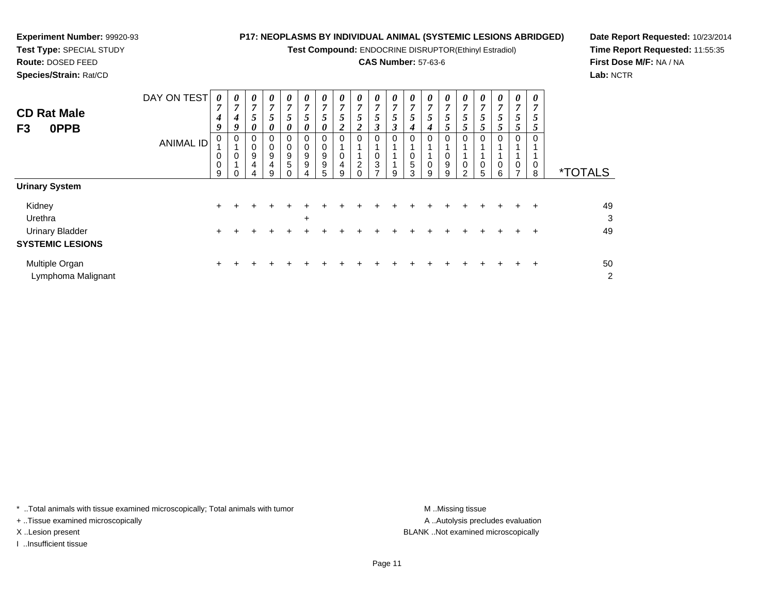**Test Compound:** ENDOCRINE DISRUPTOR(Ethinyl Estradiol)

# **CAS Number:** 57-63-6

**Date Report Requested:** 10/23/2014**Time Report Requested:** 11:55:35**First Dose M/F:** NA / NA**Lab:** NCTR

| Species/Strain: Rat/CD                       |                  |             |                                      |                                                   |                              |                                                     |                               |                                                                       |                            |                               |                               |                               |                                                   |                                      |                  |                                         |                          |                          |                  |                                           | Lab:                  |
|----------------------------------------------|------------------|-------------|--------------------------------------|---------------------------------------------------|------------------------------|-----------------------------------------------------|-------------------------------|-----------------------------------------------------------------------|----------------------------|-------------------------------|-------------------------------|-------------------------------|---------------------------------------------------|--------------------------------------|------------------|-----------------------------------------|--------------------------|--------------------------|------------------|-------------------------------------------|-----------------------|
| <b>CD Rat Male</b><br>0PPB<br>F <sub>3</sub> | DAY ON TEST      | 0<br>4<br>o | $\boldsymbol{\theta}$<br>7<br>4<br>9 | $\boldsymbol{\theta}$<br>$\overline{ }$<br>5<br>0 | 0<br>7<br>$\mathcal{L}$<br>0 | $\boldsymbol{\theta}$<br>$\overline{ }$<br>$\theta$ | 0<br>$\overline{ }$<br>Э<br>0 | $\boldsymbol{\theta}$<br>7<br>$\mathfrak{p}$<br>$\boldsymbol{\theta}$ | 0<br>7<br>$5^{\circ}$<br>2 | 0<br>7<br>$\mathfrak{p}$<br>2 | $\theta$<br>₹<br>$\mathbf{3}$ | 0<br>$\overline{ }$<br>5<br>3 | $\boldsymbol{\theta}$<br>7<br>$\mathfrak{I}$<br>4 | $\boldsymbol{\theta}$<br>7<br>5<br>4 | 0<br>7<br>C      | $\boldsymbol{\theta}$<br>$\overline{ }$ | 0<br>$\overline{ }$<br>5 | 0<br>7<br>$\mathfrak{I}$ | 0<br>7<br>5<br>5 | 0<br>7<br>$\mathfrak{p}$<br>$\mathcal{P}$ |                       |
|                                              | <b>ANIMAL ID</b> | 0<br>9      | $\Omega$                             | $\overline{0}$<br>0<br>9<br>4<br>4                | 0<br>0<br>9<br>4<br>9        | $\mathbf 0$<br>0<br>9<br>5                          | 0<br>0<br>9<br>9              | $\mathbf{0}$<br>0<br>9<br>9<br>5                                      | $\Omega$<br>0<br>4<br>9    | 0<br>2<br>0                   | $\overline{0}$<br>0<br>3      | 0<br>9                        | 0<br>5<br>3                                       | 0<br>0<br>9                          | 0<br>0<br>9<br>9 | $\mathbf{0}$<br>0<br>$\mathcal{P}$      | 0<br>5                   | 0<br>6                   | $\Omega$<br>0    | 0<br>0<br>8                               | <i><b>*TOTALS</b></i> |
| <b>Urinary System</b>                        |                  |             |                                      |                                                   |                              |                                                     |                               |                                                                       |                            |                               |                               |                               |                                                   |                                      |                  |                                         |                          |                          |                  |                                           |                       |
| Kidney<br><b>Lineathwa</b>                   |                  | ÷.          |                                      |                                                   |                              |                                                     |                               |                                                                       |                            |                               |                               |                               |                                                   |                                      |                  |                                         |                          |                          | ÷                | $\div$                                    | 49<br>$\sim$          |

| <b>INCHICY</b>                             |  |  |  |     |  |  |  |  |  |  |  | ு       |
|--------------------------------------------|--|--|--|-----|--|--|--|--|--|--|--|---------|
| Urethra                                    |  |  |  | $+$ |  |  |  |  |  |  |  | З       |
| Urinary Bladder<br><b>SYSTEMIC LESIONS</b> |  |  |  |     |  |  |  |  |  |  |  | 49      |
| Multiple Organ<br>Lymphoma Malignant       |  |  |  |     |  |  |  |  |  |  |  | 50<br>2 |

\* ..Total animals with tissue examined microscopically; Total animals with tumor **M** . Missing tissue M ..Missing tissue

+ ..Tissue examined microscopically

**Experiment Number:** 99920-93**Test Type:** SPECIAL STUDY**Route:** DOSED FEED

I ..Insufficient tissue

A ..Autolysis precludes evaluation X ..Lesion present BLANK ..Not examined microscopically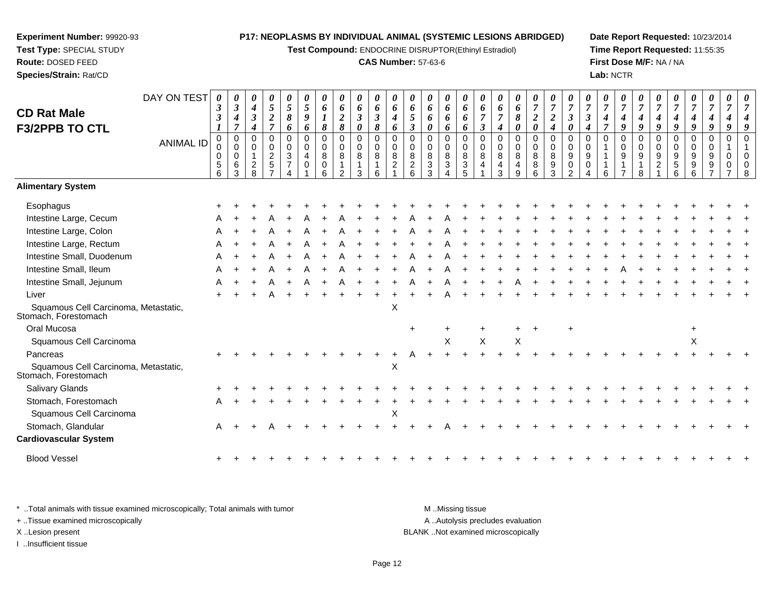**Test Compound:** ENDOCRINE DISRUPTOR(Ethinyl Estradiol)

# **CAS Number:** 57-63-6

**Date Report Requested:** 10/23/2014**Time Report Requested:** 11:55:35**First Dose M/F:** NA / NA**Lab:** NCTR

| DAY ON TEST<br><b>CD Rat Male</b><br><b>F3/2PPB TO CTL</b><br><b>ANIMAL ID</b><br><b>Alimentary System</b> | 0<br>3<br>$\boldsymbol{\beta}$<br>0<br>0<br>0<br>5<br>6 | 0<br>$\boldsymbol{\beta}$<br>4<br>7<br>$\boldsymbol{0}$<br>$\mathbf 0$<br>$\mathbf 0$<br>6<br>3 | 0<br>4<br>3<br>$\Omega$<br>0<br>2<br>8 | 0<br>$\sqrt{5}$<br>$\boldsymbol{2}$<br>$\overline{7}$<br>0<br>0<br>$\boldsymbol{2}$<br>5 | 0<br>5<br>8<br>6<br>$\pmb{0}$<br>$\mathbf 0$<br>$\sqrt{3}$<br>$\overline{7}$ | 0<br>5<br>9<br>6<br>$\mathbf 0$<br>0<br>4<br>0 | 0<br>6<br>8<br>$\mathbf 0$<br>$\mathbf 0$<br>8<br>0 | 0<br>6<br>$\boldsymbol{2}$<br>8<br>$\mathbf 0$<br>$\Omega$<br>8 | 0<br>6<br>$\boldsymbol{\beta}$<br>$\boldsymbol{\theta}$<br>0<br>0<br>8<br>3 | $\pmb{\theta}$<br>6<br>$\boldsymbol{\beta}$<br>$\pmb{8}$<br>$\pmb{0}$<br>$\mathbf 0$<br>$\,8\,$<br>6 | $\pmb{\theta}$<br>6<br>$\boldsymbol{4}$<br>6<br>$\mathbf 0$<br>0<br>8<br>$\overline{2}$ | 0<br>6<br>5<br>$\boldsymbol{\beta}$<br>$\mathbf 0$<br>$\mathbf 0$<br>8<br>$\boldsymbol{2}$<br>6 | 0<br>6<br>6<br>0<br>$\Omega$<br>$\Omega$<br>8<br>3<br>3 | 0<br>6<br>6<br>6<br>0<br>0<br>8<br>$\sqrt{3}$ | 0<br>6<br>6<br>6<br>$\pmb{0}$<br>$\mathbf 0$<br>$\,8\,$<br>$\ensuremath{\mathsf{3}}$<br>5 | 0<br>6<br>$\overline{7}$<br>3<br>0<br>0<br>$\bf 8$<br>4 | 0<br>6<br>$\overline{7}$<br>4<br>$\mathbf 0$<br>$\Omega$<br>8<br>3 | 0<br>6<br>8<br>0<br>0<br>$\Omega$<br>8<br>9 | $\pmb{\theta}$<br>$\overline{7}$<br>$\boldsymbol{2}$<br>$\boldsymbol{\theta}$<br>$\pmb{0}$<br>$\,0\,$<br>$\, 8$<br>8<br>6 | $\pmb{\theta}$<br>$\overline{7}$<br>$\boldsymbol{2}$<br>$\boldsymbol{4}$<br>$\pmb{0}$<br>$\mathbf 0$<br>$\bf8$<br>$\boldsymbol{9}$<br>3 | 0<br>$\overline{7}$<br>$\mathfrak{z}$<br>0<br>$\mathbf 0$<br>0<br>$\boldsymbol{9}$<br>$\mathbf 0$<br>2 | $\overline{7}$<br>$\boldsymbol{\beta}$<br>4<br>$\Omega$<br>$\Omega$<br>9<br>0 | 0<br>$\overline{7}$<br>$\Omega$ | $\pmb{\theta}$<br>$\overline{7}$<br>$\boldsymbol{4}$<br>9<br>$\mathbf 0$<br>0<br>9 | 0<br>$\overline{7}$<br>4<br>9<br>$\mathbf 0$<br>$\mathbf 0$<br>9<br>8 | 0<br>$\overline{7}$<br>4<br>9<br>0<br>0<br>9<br>$\overline{a}$ | 7<br>$\Omega$<br>$\Omega$<br>9<br>5 | 0<br>$\overline{7}$<br>9<br>$\mathbf 0$<br>$\Omega$<br>9 | 0<br>$\overline{7}$<br>0<br>0<br>9 | $\mathbf 0$<br>$\Omega$ |  |
|------------------------------------------------------------------------------------------------------------|---------------------------------------------------------|-------------------------------------------------------------------------------------------------|----------------------------------------|------------------------------------------------------------------------------------------|------------------------------------------------------------------------------|------------------------------------------------|-----------------------------------------------------|-----------------------------------------------------------------|-----------------------------------------------------------------------------|------------------------------------------------------------------------------------------------------|-----------------------------------------------------------------------------------------|-------------------------------------------------------------------------------------------------|---------------------------------------------------------|-----------------------------------------------|-------------------------------------------------------------------------------------------|---------------------------------------------------------|--------------------------------------------------------------------|---------------------------------------------|---------------------------------------------------------------------------------------------------------------------------|-----------------------------------------------------------------------------------------------------------------------------------------|--------------------------------------------------------------------------------------------------------|-------------------------------------------------------------------------------|---------------------------------|------------------------------------------------------------------------------------|-----------------------------------------------------------------------|----------------------------------------------------------------|-------------------------------------|----------------------------------------------------------|------------------------------------|-------------------------|--|
|                                                                                                            |                                                         |                                                                                                 |                                        |                                                                                          |                                                                              |                                                |                                                     |                                                                 |                                                                             |                                                                                                      |                                                                                         |                                                                                                 |                                                         |                                               |                                                                                           |                                                         |                                                                    |                                             |                                                                                                                           |                                                                                                                                         |                                                                                                        |                                                                               |                                 |                                                                                    |                                                                       |                                                                |                                     |                                                          |                                    |                         |  |
| Esophagus                                                                                                  |                                                         |                                                                                                 |                                        |                                                                                          |                                                                              |                                                |                                                     |                                                                 |                                                                             |                                                                                                      |                                                                                         |                                                                                                 |                                                         |                                               |                                                                                           |                                                         |                                                                    |                                             |                                                                                                                           |                                                                                                                                         |                                                                                                        |                                                                               |                                 |                                                                                    |                                                                       |                                                                |                                     |                                                          |                                    |                         |  |
| Intestine Large, Cecum                                                                                     |                                                         |                                                                                                 |                                        |                                                                                          |                                                                              |                                                |                                                     |                                                                 |                                                                             |                                                                                                      |                                                                                         |                                                                                                 |                                                         |                                               |                                                                                           |                                                         |                                                                    |                                             |                                                                                                                           |                                                                                                                                         |                                                                                                        |                                                                               |                                 |                                                                                    |                                                                       |                                                                |                                     |                                                          |                                    |                         |  |
| Intestine Large, Colon                                                                                     |                                                         |                                                                                                 |                                        |                                                                                          |                                                                              |                                                |                                                     |                                                                 |                                                                             |                                                                                                      |                                                                                         |                                                                                                 |                                                         |                                               |                                                                                           |                                                         |                                                                    |                                             |                                                                                                                           |                                                                                                                                         |                                                                                                        |                                                                               |                                 |                                                                                    |                                                                       |                                                                |                                     |                                                          |                                    |                         |  |
| Intestine Large, Rectum                                                                                    |                                                         |                                                                                                 |                                        |                                                                                          |                                                                              |                                                |                                                     |                                                                 |                                                                             |                                                                                                      |                                                                                         |                                                                                                 |                                                         |                                               |                                                                                           |                                                         |                                                                    |                                             |                                                                                                                           |                                                                                                                                         |                                                                                                        |                                                                               |                                 |                                                                                    |                                                                       |                                                                |                                     |                                                          |                                    |                         |  |
| Intestine Small, Duodenum                                                                                  |                                                         |                                                                                                 |                                        |                                                                                          |                                                                              |                                                |                                                     |                                                                 |                                                                             |                                                                                                      |                                                                                         |                                                                                                 |                                                         |                                               |                                                                                           |                                                         |                                                                    |                                             |                                                                                                                           |                                                                                                                                         |                                                                                                        |                                                                               |                                 |                                                                                    |                                                                       |                                                                |                                     |                                                          |                                    |                         |  |
| Intestine Small, Ileum                                                                                     |                                                         |                                                                                                 |                                        |                                                                                          |                                                                              |                                                |                                                     |                                                                 |                                                                             |                                                                                                      |                                                                                         |                                                                                                 |                                                         |                                               |                                                                                           |                                                         |                                                                    |                                             |                                                                                                                           |                                                                                                                                         |                                                                                                        |                                                                               |                                 |                                                                                    |                                                                       |                                                                |                                     |                                                          |                                    |                         |  |
| Intestine Small, Jejunum                                                                                   |                                                         |                                                                                                 |                                        |                                                                                          |                                                                              |                                                |                                                     |                                                                 |                                                                             |                                                                                                      |                                                                                         |                                                                                                 |                                                         |                                               |                                                                                           |                                                         |                                                                    |                                             |                                                                                                                           |                                                                                                                                         |                                                                                                        |                                                                               |                                 |                                                                                    |                                                                       |                                                                |                                     |                                                          |                                    |                         |  |
| Liver                                                                                                      |                                                         |                                                                                                 |                                        |                                                                                          |                                                                              |                                                |                                                     |                                                                 |                                                                             |                                                                                                      |                                                                                         |                                                                                                 |                                                         |                                               |                                                                                           |                                                         |                                                                    |                                             |                                                                                                                           |                                                                                                                                         |                                                                                                        |                                                                               |                                 |                                                                                    |                                                                       |                                                                |                                     |                                                          |                                    |                         |  |
| Squamous Cell Carcinoma, Metastatic,<br>Stomach, Forestomach                                               |                                                         |                                                                                                 |                                        |                                                                                          |                                                                              |                                                |                                                     |                                                                 |                                                                             |                                                                                                      | X                                                                                       |                                                                                                 |                                                         |                                               |                                                                                           |                                                         |                                                                    |                                             |                                                                                                                           |                                                                                                                                         |                                                                                                        |                                                                               |                                 |                                                                                    |                                                                       |                                                                |                                     |                                                          |                                    |                         |  |
| Oral Mucosa                                                                                                |                                                         |                                                                                                 |                                        |                                                                                          |                                                                              |                                                |                                                     |                                                                 |                                                                             |                                                                                                      |                                                                                         | +                                                                                               |                                                         |                                               |                                                                                           |                                                         |                                                                    |                                             |                                                                                                                           |                                                                                                                                         | $\pm$                                                                                                  |                                                                               |                                 |                                                                                    |                                                                       |                                                                |                                     |                                                          |                                    |                         |  |
| Squamous Cell Carcinoma                                                                                    |                                                         |                                                                                                 |                                        |                                                                                          |                                                                              |                                                |                                                     |                                                                 |                                                                             |                                                                                                      |                                                                                         |                                                                                                 |                                                         | X                                             |                                                                                           | $\boldsymbol{\mathsf{X}}$                               |                                                                    | $\sf X$                                     |                                                                                                                           |                                                                                                                                         |                                                                                                        |                                                                               |                                 |                                                                                    |                                                                       |                                                                |                                     | X                                                        |                                    |                         |  |
| Pancreas                                                                                                   |                                                         |                                                                                                 |                                        |                                                                                          |                                                                              |                                                |                                                     |                                                                 |                                                                             |                                                                                                      |                                                                                         |                                                                                                 |                                                         |                                               |                                                                                           |                                                         |                                                                    |                                             |                                                                                                                           |                                                                                                                                         |                                                                                                        |                                                                               |                                 |                                                                                    |                                                                       |                                                                |                                     |                                                          |                                    |                         |  |
| Squamous Cell Carcinoma, Metastatic,<br>Stomach, Forestomach                                               |                                                         |                                                                                                 |                                        |                                                                                          |                                                                              |                                                |                                                     |                                                                 |                                                                             |                                                                                                      | X                                                                                       |                                                                                                 |                                                         |                                               |                                                                                           |                                                         |                                                                    |                                             |                                                                                                                           |                                                                                                                                         |                                                                                                        |                                                                               |                                 |                                                                                    |                                                                       |                                                                |                                     |                                                          |                                    |                         |  |
| Salivary Glands                                                                                            |                                                         |                                                                                                 |                                        |                                                                                          |                                                                              |                                                |                                                     |                                                                 |                                                                             |                                                                                                      |                                                                                         |                                                                                                 |                                                         |                                               |                                                                                           |                                                         |                                                                    |                                             |                                                                                                                           |                                                                                                                                         |                                                                                                        |                                                                               |                                 |                                                                                    |                                                                       |                                                                |                                     |                                                          |                                    |                         |  |
| Stomach, Forestomach                                                                                       | A                                                       |                                                                                                 |                                        |                                                                                          |                                                                              |                                                |                                                     |                                                                 |                                                                             |                                                                                                      |                                                                                         |                                                                                                 |                                                         |                                               |                                                                                           |                                                         |                                                                    |                                             |                                                                                                                           |                                                                                                                                         |                                                                                                        |                                                                               |                                 |                                                                                    |                                                                       |                                                                |                                     |                                                          |                                    |                         |  |
| Squamous Cell Carcinoma                                                                                    |                                                         |                                                                                                 |                                        |                                                                                          |                                                                              |                                                |                                                     |                                                                 |                                                                             |                                                                                                      | Χ                                                                                       |                                                                                                 |                                                         |                                               |                                                                                           |                                                         |                                                                    |                                             |                                                                                                                           |                                                                                                                                         |                                                                                                        |                                                                               |                                 |                                                                                    |                                                                       |                                                                |                                     |                                                          |                                    |                         |  |
| Stomach, Glandular                                                                                         | A                                                       |                                                                                                 |                                        |                                                                                          |                                                                              |                                                |                                                     |                                                                 |                                                                             |                                                                                                      |                                                                                         |                                                                                                 |                                                         |                                               |                                                                                           |                                                         |                                                                    |                                             |                                                                                                                           |                                                                                                                                         |                                                                                                        |                                                                               |                                 |                                                                                    |                                                                       |                                                                |                                     |                                                          |                                    |                         |  |
| <b>Cardiovascular System</b>                                                                               |                                                         |                                                                                                 |                                        |                                                                                          |                                                                              |                                                |                                                     |                                                                 |                                                                             |                                                                                                      |                                                                                         |                                                                                                 |                                                         |                                               |                                                                                           |                                                         |                                                                    |                                             |                                                                                                                           |                                                                                                                                         |                                                                                                        |                                                                               |                                 |                                                                                    |                                                                       |                                                                |                                     |                                                          |                                    |                         |  |
| <b>Blood Vessel</b>                                                                                        |                                                         |                                                                                                 |                                        |                                                                                          |                                                                              |                                                |                                                     |                                                                 |                                                                             |                                                                                                      |                                                                                         |                                                                                                 |                                                         |                                               |                                                                                           |                                                         |                                                                    |                                             |                                                                                                                           |                                                                                                                                         |                                                                                                        |                                                                               |                                 |                                                                                    |                                                                       |                                                                |                                     |                                                          |                                    |                         |  |

\* ..Total animals with tissue examined microscopically; Total animals with tumor **M** . Missing tissue M ..Missing tissue A ..Autolysis precludes evaluation + ..Tissue examined microscopically X ..Lesion present BLANK ..Not examined microscopicallyI ..Insufficient tissue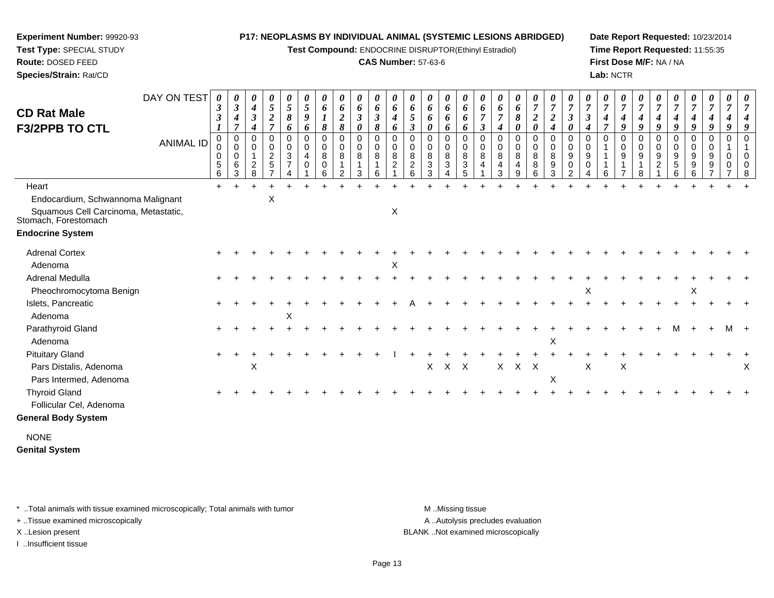**Test Compound:** ENDOCRINE DISRUPTOR(Ethinyl Estradiol)

# **CAS Number:** 57-63-6

**Date Report Requested:** 10/23/2014**Time Report Requested:** 11:55:35**First Dose M/F:** NA / NA**Lab:** NCTR

|                                                              | DAY ON TEST      |            | 0                        | 0                         | $\boldsymbol{\theta}$         | 0               | 0          | 0           | 0                                         | 0                                      | $\boldsymbol{\theta}$       | 0              | 0                         | 0                          | 0                      | $\boldsymbol{\theta}$     | 0                                | 0                   | 0                                  | 0                     | $\boldsymbol{\theta}$ | 0                                             | 0                         | 0                                  | 0                     | 0                     | $\boldsymbol{\theta}$ | 0                     | 0                     | 0                     | 0             | 0              |
|--------------------------------------------------------------|------------------|------------|--------------------------|---------------------------|-------------------------------|-----------------|------------|-------------|-------------------------------------------|----------------------------------------|-----------------------------|----------------|---------------------------|----------------------------|------------------------|---------------------------|----------------------------------|---------------------|------------------------------------|-----------------------|-----------------------|-----------------------------------------------|---------------------------|------------------------------------|-----------------------|-----------------------|-----------------------|-----------------------|-----------------------|-----------------------|---------------|----------------|
| <b>CD Rat Male</b>                                           |                  | 3          | $\boldsymbol{\beta}$     | $\boldsymbol{4}$          | $\overline{5}$                | $5\overline{)}$ | $\sqrt{5}$ | 6           | 6                                         | 6                                      | 6                           | 6              | 6                         | 6                          | 6                      | 6                         | 6                                | 6                   | 6                                  | $\overline{7}$        | $\overline{7}$        | $\overline{7}$                                | $\overline{7}$            | $\overline{7}$                     | $\overline{7}$        | $\overline{7}$        | $\overline{7}$        | $\boldsymbol{7}$      | $\overline{7}$        | $\overline{7}$        | 7             | $\overline{7}$ |
| F3/2PPB TO CTL                                               |                  | 3          | $\boldsymbol{4}$<br>7    | $\boldsymbol{\beta}$<br>4 | $\frac{2}{7}$                 | 8<br>6          | 9<br>6     | 8           | $\boldsymbol{2}$<br>$\boldsymbol{\delta}$ | $\boldsymbol{\beta}$<br>$\pmb{\theta}$ | $\mathfrak{z}$<br>$\pmb{8}$ | 4<br>6         | 5<br>$\boldsymbol{\beta}$ | 6<br>$\boldsymbol{\theta}$ | 6<br>6                 | 6<br>6                    | $\overline{7}$<br>$\mathfrak{z}$ | $\overline{7}$<br>4 | $\pmb{8}$<br>$\boldsymbol{\theta}$ | $\boldsymbol{2}$<br>0 | $\boldsymbol{2}$<br>4 | $\boldsymbol{\beta}$<br>$\boldsymbol{\theta}$ | $\boldsymbol{\beta}$<br>4 | $\boldsymbol{4}$<br>$\overline{7}$ | 4<br>$\boldsymbol{q}$ | 4<br>$\boldsymbol{q}$ | 4<br>$\boldsymbol{q}$ | $\boldsymbol{4}$<br>9 | $\boldsymbol{4}$<br>9 | $\boldsymbol{4}$<br>9 | 4<br>Q        | 4<br>9         |
|                                                              | <b>ANIMAL ID</b> | 0          | $\mathbf 0$              | 0                         | $\mathbf 0$                   | $\Omega$        | $\Omega$   | $\mathbf 0$ | 0                                         | $\pmb{0}$                              | $\mathbf 0$                 | $\mathbf 0$    | $\Omega$                  | $\mathbf 0$                | $\mathbf 0$            | $\mathbf 0$               | $\mathbf 0$                      | $\pmb{0}$           | $\pmb{0}$                          | $\mathbf 0$           | $\Omega$              | $\mathbf 0$                                   | $\Omega$                  | $\mathbf 0$                        | $\Omega$              | $\Omega$              | $\mathbf 0$           | $\mathbf 0$           | $\pmb{0}$             | $\mathbf 0$           | $\mathbf 0$   | $\overline{0}$ |
|                                                              |                  | 0          | $\pmb{0}$<br>$\mathbf 0$ | 0<br>$\mathbf{1}$         | $\mathbf 0$<br>$\overline{2}$ | 0<br>3          | 0<br>4     | 0<br>8      | 0<br>8                                    | $\mathbf 0$<br>8                       | 0<br>8                      | 0<br>8         | 0<br>8                    | 0<br>8                     | $\mathbf 0$<br>$\,8\,$ | 0<br>8                    | 0<br>8                           | 0<br>8              | $\pmb{0}$<br>$\overline{8}$        | 0<br>8                | 0<br>8                | 0<br>$\boldsymbol{9}$                         | 0<br>9                    | $\mathbf{1}$<br>$\mathbf{1}$       | 0<br>9                | 0<br>9                | 0<br>$\boldsymbol{9}$ | 0<br>9                | $\mathbf 0$<br>$9\,$  | 0<br>9                | 1<br>$\Omega$ | $\Omega$       |
|                                                              |                  | $\sqrt{5}$ | 6                        | $\overline{c}$            | $\overline{5}$                | $\overline{7}$  | 0          | $\mathbf 0$ | $\mathbf 1$                               | $\mathbf 1$                            | $\overline{1}$              | $\overline{c}$ | $\overline{a}$            | $\sqrt{3}$                 | $\mathbf{3}$           | $\ensuremath{\mathsf{3}}$ | $\overline{4}$                   | 4                   | $\overline{4}$                     | 8                     | 9                     | $\mathbf 0$                                   | $\mathbf 0$               | $\overline{1}$                     |                       |                       | $\overline{c}$        | $\overline{5}$        | 9                     | 9                     | 0             | $\mathbf 0$    |
|                                                              |                  | 6          | 3                        | 8                         | $\overline{ }$                | 4               |            | 6           | 2                                         | 3                                      | 6                           |                | 6                         | 3                          | 4                      | 5                         |                                  | 3                   | 9                                  | 6                     | 3                     | $\mathcal{P}$                                 | 4                         | 6                                  |                       | 8                     |                       | 6                     | 6                     |                       |               | 8              |
| Heart                                                        |                  | $+$        |                          | $\ddot{}$                 |                               |                 |            |             | ٠                                         |                                        |                             |                |                           |                            | $\ddot{}$              |                           |                                  | $\ddot{}$           |                                    | $\ddot{}$             |                       |                                               | $\ddot{}$                 |                                    | ᆂ                     |                       |                       | 4                     |                       |                       |               |                |
| Endocardium, Schwannoma Malignant                            |                  |            |                          |                           | X                             |                 |            |             |                                           |                                        |                             |                |                           |                            |                        |                           |                                  |                     |                                    |                       |                       |                                               |                           |                                    |                       |                       |                       |                       |                       |                       |               |                |
| Squamous Cell Carcinoma, Metastatic,<br>Stomach, Forestomach |                  |            |                          |                           |                               |                 |            |             |                                           |                                        |                             | X              |                           |                            |                        |                           |                                  |                     |                                    |                       |                       |                                               |                           |                                    |                       |                       |                       |                       |                       |                       |               |                |
| <b>Endocrine System</b>                                      |                  |            |                          |                           |                               |                 |            |             |                                           |                                        |                             |                |                           |                            |                        |                           |                                  |                     |                                    |                       |                       |                                               |                           |                                    |                       |                       |                       |                       |                       |                       |               |                |
| <b>Adrenal Cortex</b>                                        |                  |            |                          |                           |                               |                 |            |             |                                           |                                        |                             |                |                           |                            |                        |                           |                                  |                     |                                    |                       |                       |                                               |                           |                                    |                       |                       |                       |                       |                       |                       |               |                |
| Adenoma                                                      |                  |            |                          |                           |                               |                 |            |             |                                           |                                        |                             | Х              |                           |                            |                        |                           |                                  |                     |                                    |                       |                       |                                               |                           |                                    |                       |                       |                       |                       |                       |                       |               |                |
| Adrenal Medulla                                              |                  |            |                          |                           |                               |                 |            |             |                                           |                                        |                             |                |                           |                            |                        |                           |                                  |                     |                                    |                       |                       |                                               |                           |                                    |                       |                       |                       |                       |                       |                       |               |                |
| Pheochromocytoma Benign                                      |                  |            |                          |                           |                               |                 |            |             |                                           |                                        |                             |                |                           |                            |                        |                           |                                  |                     |                                    |                       |                       |                                               | X                         |                                    |                       |                       |                       |                       | Χ                     |                       |               |                |
| Islets, Pancreatic                                           |                  |            |                          |                           |                               |                 |            |             |                                           |                                        |                             |                |                           |                            |                        |                           |                                  |                     |                                    |                       |                       |                                               |                           |                                    |                       |                       |                       |                       |                       |                       |               |                |
| Adenoma                                                      |                  |            |                          |                           |                               | Χ               |            |             |                                           |                                        |                             |                |                           |                            |                        |                           |                                  |                     |                                    |                       |                       |                                               |                           |                                    |                       |                       |                       |                       |                       |                       |               |                |
| Parathyroid Gland                                            |                  | $\pm$      |                          |                           |                               |                 |            |             |                                           |                                        |                             |                |                           |                            |                        |                           |                                  |                     |                                    |                       |                       |                                               |                           |                                    |                       |                       |                       |                       |                       |                       | M             |                |
| Adenoma                                                      |                  |            |                          |                           |                               |                 |            |             |                                           |                                        |                             |                |                           |                            |                        |                           |                                  |                     |                                    |                       | X                     |                                               |                           |                                    |                       |                       |                       |                       |                       |                       |               |                |
| <b>Pituitary Gland</b>                                       |                  | $\pm$      |                          |                           |                               |                 |            |             |                                           |                                        |                             |                |                           |                            |                        |                           |                                  |                     |                                    |                       |                       |                                               |                           |                                    |                       |                       |                       |                       |                       |                       |               |                |
| Pars Distalis, Adenoma                                       |                  |            |                          | X                         |                               |                 |            |             |                                           |                                        |                             |                |                           | $\mathsf{X}$               | X X                    |                           |                                  | $\mathsf{X}^-$      | $X$ $X$                            |                       |                       |                                               | X                         |                                    | X                     |                       |                       |                       |                       |                       |               | X              |
| Pars Intermed, Adenoma                                       |                  |            |                          |                           |                               |                 |            |             |                                           |                                        |                             |                |                           |                            |                        |                           |                                  |                     |                                    |                       | X                     |                                               |                           |                                    |                       |                       |                       |                       |                       |                       |               |                |
| <b>Thyroid Gland</b>                                         |                  |            |                          |                           |                               |                 |            |             |                                           |                                        |                             |                |                           |                            |                        |                           |                                  |                     |                                    |                       |                       |                                               |                           |                                    |                       |                       |                       |                       |                       |                       |               |                |
| Follicular Cel, Adenoma                                      |                  |            |                          |                           |                               |                 |            |             |                                           |                                        |                             |                |                           |                            |                        |                           |                                  |                     |                                    |                       |                       |                                               |                           |                                    |                       |                       |                       |                       |                       |                       |               |                |
| <b>General Body System</b>                                   |                  |            |                          |                           |                               |                 |            |             |                                           |                                        |                             |                |                           |                            |                        |                           |                                  |                     |                                    |                       |                       |                                               |                           |                                    |                       |                       |                       |                       |                       |                       |               |                |
| <b>NONE</b>                                                  |                  |            |                          |                           |                               |                 |            |             |                                           |                                        |                             |                |                           |                            |                        |                           |                                  |                     |                                    |                       |                       |                                               |                           |                                    |                       |                       |                       |                       |                       |                       |               |                |
| <b>Genital System</b>                                        |                  |            |                          |                           |                               |                 |            |             |                                           |                                        |                             |                |                           |                            |                        |                           |                                  |                     |                                    |                       |                       |                                               |                           |                                    |                       |                       |                       |                       |                       |                       |               |                |

\* ..Total animals with tissue examined microscopically; Total animals with tumor **M** . Missing tissue M ..Missing tissue

+ ..Tissue examined microscopically

**Experiment Number:** 99920-93**Test Type:** SPECIAL STUDY**Route:** DOSED FEED**Species/Strain:** Rat/CD

I ..Insufficient tissue

A ..Autolysis precludes evaluation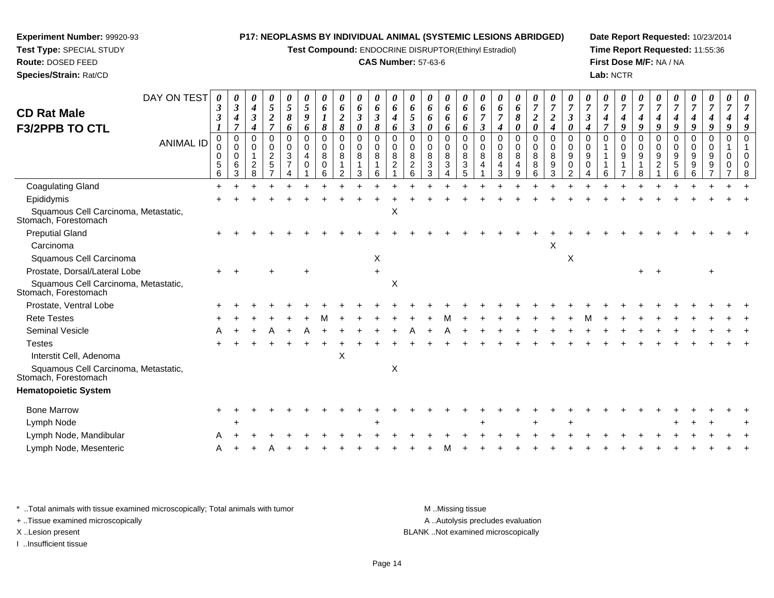**Test Compound:** ENDOCRINE DISRUPTOR(Ethinyl Estradiol)

# **CAS Number:** 57-63-6

**Date Report Requested:** 10/23/2014**Time Report Requested:** 11:55:36**First Dose M/F:** NA / NA**Lab:** NCTR

| <b>CD Rat Male</b><br><b>F3/2PPB TO CTL</b>                  | DAY ON TEST<br><b>ANIMAL ID</b> | $\boldsymbol{\theta}$<br>$\boldsymbol{\beta}$<br>3<br>$\Omega$<br>0<br>0<br>$\sqrt{5}$<br>6 | $\boldsymbol{\theta}$<br>$\boldsymbol{\beta}$<br>$\boldsymbol{4}$<br>$\overline{7}$<br>$\Omega$<br>0<br>0<br>6<br>3 | 0<br>$\boldsymbol{4}$<br>$\mathfrak{z}$<br>4<br>$\Omega$<br>0<br>$\overline{c}$<br>8 | 0<br>$\mathfrak{s}$<br>$\boldsymbol{2}$<br>$\overline{7}$<br>$\Omega$<br>0<br>$\overline{c}$<br>5 | $\boldsymbol{\theta}$<br>$\sqrt{5}$<br>8<br>6<br>$\Omega$<br>$\mathbf 0$<br>$\mathbf{3}$ | 0<br>5<br>9<br>6<br>$\Omega$<br>0<br>$\overline{4}$<br>0 | $\boldsymbol{\theta}$<br>6<br>$\boldsymbol{l}$<br>$\pmb{8}$<br>$\Omega$<br>$\mathbf 0$<br>8<br>0 | $\theta$<br>6<br>$\overline{c}$<br>8<br>0<br>0<br>8 | 0<br>6<br>$\mathbf{3}$<br>0<br>$\Omega$<br>0<br>8<br>3 | $\boldsymbol{\theta}$<br>6<br>$\mathfrak{z}$<br>8<br>$\Omega$<br>0<br>8<br>6 | 0<br>6<br>$\boldsymbol{4}$<br>6<br>$\Omega$<br>0<br>8<br>$\overline{2}$ | $\boldsymbol{\theta}$<br>6<br>5<br>$\mathfrak{z}$<br>$\Omega$<br>0<br>8<br>$\overline{c}$<br>6 | 0<br>6<br>6<br>0<br>$\Omega$<br>0<br>8<br>3<br>3 | 0<br>6<br>6<br>6<br>$\Omega$<br>0<br>8<br>3 | $\boldsymbol{\theta}$<br>6<br>6<br>6<br>$\Omega$<br>$\mathbf 0$<br>8<br>$\sqrt{3}$<br>5 | 0<br>6<br>$\overline{7}$<br>$\boldsymbol{\beta}$<br>$\Omega$<br>0<br>8<br>4 | $\boldsymbol{\theta}$<br>6<br>$\overline{7}$<br>4<br>$\Omega$<br>0<br>8<br>3 | 6<br>8<br>0<br>$\Omega$<br>0<br>8<br>9 | 0<br>$\overline{7}$<br>$\overline{2}$<br>0<br>0<br>0<br>8<br>8<br>6 | 0<br>$\overline{7}$<br>$\boldsymbol{2}$<br>$\boldsymbol{4}$<br>$\Omega$<br>$\pmb{0}$<br>8<br>9<br>3 | $\theta$<br>$\overline{7}$<br>$\boldsymbol{\beta}$<br>0<br>0<br>0<br>9<br>0<br>2 | $\overline{7}$<br>$\mathfrak{z}$<br>$\boldsymbol{4}$<br>$\Omega$<br>0<br>9<br>$\mathbf 0$ | $\overline{7}$<br>4<br>$\Omega$ | 0<br>$\overline{7}$<br>4<br>9<br>$\Omega$<br>0<br>9 | $\overline{7}$<br>4<br>9<br>$\Omega$<br>$\mathbf 0$<br>9<br>8 | 0<br>$\overline{7}$<br>$\boldsymbol{4}$<br>9<br>0<br>9<br>$\overline{2}$ | $\overline{7}$<br>9<br>$\Omega$<br>0<br>9 | $\overline{7}$<br>9<br>$\Omega$<br>0<br>9 | $\boldsymbol{\theta}$<br>$\overline{7}$<br>9<br>$\Omega$<br>0<br>9<br>9 | $\overline{7}$<br>$\Omega$<br>$\Omega$ |  |
|--------------------------------------------------------------|---------------------------------|---------------------------------------------------------------------------------------------|---------------------------------------------------------------------------------------------------------------------|--------------------------------------------------------------------------------------|---------------------------------------------------------------------------------------------------|------------------------------------------------------------------------------------------|----------------------------------------------------------|--------------------------------------------------------------------------------------------------|-----------------------------------------------------|--------------------------------------------------------|------------------------------------------------------------------------------|-------------------------------------------------------------------------|------------------------------------------------------------------------------------------------|--------------------------------------------------|---------------------------------------------|-----------------------------------------------------------------------------------------|-----------------------------------------------------------------------------|------------------------------------------------------------------------------|----------------------------------------|---------------------------------------------------------------------|-----------------------------------------------------------------------------------------------------|----------------------------------------------------------------------------------|-------------------------------------------------------------------------------------------|---------------------------------|-----------------------------------------------------|---------------------------------------------------------------|--------------------------------------------------------------------------|-------------------------------------------|-------------------------------------------|-------------------------------------------------------------------------|----------------------------------------|--|
| <b>Coagulating Gland</b>                                     |                                 |                                                                                             |                                                                                                                     |                                                                                      |                                                                                                   |                                                                                          |                                                          |                                                                                                  |                                                     |                                                        |                                                                              |                                                                         |                                                                                                |                                                  |                                             |                                                                                         |                                                                             |                                                                              |                                        |                                                                     |                                                                                                     |                                                                                  |                                                                                           |                                 |                                                     |                                                               |                                                                          |                                           |                                           |                                                                         |                                        |  |
| Epididymis                                                   |                                 |                                                                                             |                                                                                                                     |                                                                                      |                                                                                                   |                                                                                          |                                                          |                                                                                                  |                                                     |                                                        |                                                                              |                                                                         |                                                                                                |                                                  |                                             |                                                                                         |                                                                             |                                                                              |                                        |                                                                     |                                                                                                     |                                                                                  |                                                                                           |                                 |                                                     |                                                               |                                                                          |                                           |                                           |                                                                         |                                        |  |
| Squamous Cell Carcinoma, Metastatic,<br>Stomach, Forestomach |                                 |                                                                                             |                                                                                                                     |                                                                                      |                                                                                                   |                                                                                          |                                                          |                                                                                                  |                                                     |                                                        |                                                                              | $\pmb{\times}$                                                          |                                                                                                |                                                  |                                             |                                                                                         |                                                                             |                                                                              |                                        |                                                                     |                                                                                                     |                                                                                  |                                                                                           |                                 |                                                     |                                                               |                                                                          |                                           |                                           |                                                                         |                                        |  |
| <b>Preputial Gland</b>                                       |                                 |                                                                                             |                                                                                                                     |                                                                                      |                                                                                                   |                                                                                          |                                                          |                                                                                                  |                                                     |                                                        |                                                                              |                                                                         |                                                                                                |                                                  |                                             |                                                                                         |                                                                             |                                                                              |                                        |                                                                     |                                                                                                     |                                                                                  |                                                                                           |                                 |                                                     |                                                               |                                                                          |                                           |                                           |                                                                         |                                        |  |
| Carcinoma                                                    |                                 |                                                                                             |                                                                                                                     |                                                                                      |                                                                                                   |                                                                                          |                                                          |                                                                                                  |                                                     |                                                        |                                                                              |                                                                         |                                                                                                |                                                  |                                             |                                                                                         |                                                                             |                                                                              |                                        |                                                                     | X                                                                                                   |                                                                                  |                                                                                           |                                 |                                                     |                                                               |                                                                          |                                           |                                           |                                                                         |                                        |  |
| Squamous Cell Carcinoma                                      |                                 |                                                                                             |                                                                                                                     |                                                                                      |                                                                                                   |                                                                                          |                                                          |                                                                                                  |                                                     |                                                        | X                                                                            |                                                                         |                                                                                                |                                                  |                                             |                                                                                         |                                                                             |                                                                              |                                        |                                                                     |                                                                                                     | $\sf X$                                                                          |                                                                                           |                                 |                                                     |                                                               |                                                                          |                                           |                                           |                                                                         |                                        |  |
| Prostate, Dorsal/Lateral Lobe                                |                                 |                                                                                             |                                                                                                                     |                                                                                      |                                                                                                   |                                                                                          |                                                          |                                                                                                  |                                                     |                                                        | $\ddot{}$                                                                    |                                                                         |                                                                                                |                                                  |                                             |                                                                                         |                                                                             |                                                                              |                                        |                                                                     |                                                                                                     |                                                                                  |                                                                                           |                                 |                                                     |                                                               |                                                                          |                                           |                                           |                                                                         |                                        |  |
| Squamous Cell Carcinoma, Metastatic,<br>Stomach, Forestomach |                                 |                                                                                             |                                                                                                                     |                                                                                      |                                                                                                   |                                                                                          |                                                          |                                                                                                  |                                                     |                                                        |                                                                              | X                                                                       |                                                                                                |                                                  |                                             |                                                                                         |                                                                             |                                                                              |                                        |                                                                     |                                                                                                     |                                                                                  |                                                                                           |                                 |                                                     |                                                               |                                                                          |                                           |                                           |                                                                         |                                        |  |
| Prostate, Ventral Lobe                                       |                                 |                                                                                             |                                                                                                                     |                                                                                      |                                                                                                   |                                                                                          |                                                          |                                                                                                  |                                                     |                                                        |                                                                              |                                                                         |                                                                                                |                                                  |                                             |                                                                                         |                                                                             |                                                                              |                                        |                                                                     |                                                                                                     |                                                                                  |                                                                                           |                                 |                                                     |                                                               |                                                                          |                                           |                                           |                                                                         |                                        |  |
| <b>Rete Testes</b>                                           |                                 |                                                                                             |                                                                                                                     |                                                                                      |                                                                                                   |                                                                                          |                                                          |                                                                                                  |                                                     |                                                        |                                                                              |                                                                         |                                                                                                |                                                  |                                             |                                                                                         |                                                                             |                                                                              |                                        |                                                                     |                                                                                                     |                                                                                  |                                                                                           |                                 |                                                     |                                                               |                                                                          |                                           |                                           |                                                                         |                                        |  |
| <b>Seminal Vesicle</b>                                       |                                 |                                                                                             |                                                                                                                     |                                                                                      |                                                                                                   |                                                                                          |                                                          |                                                                                                  |                                                     |                                                        |                                                                              |                                                                         |                                                                                                |                                                  |                                             |                                                                                         |                                                                             |                                                                              |                                        |                                                                     |                                                                                                     |                                                                                  |                                                                                           |                                 |                                                     |                                                               |                                                                          |                                           |                                           |                                                                         |                                        |  |
| <b>Testes</b>                                                |                                 |                                                                                             |                                                                                                                     |                                                                                      |                                                                                                   |                                                                                          |                                                          |                                                                                                  |                                                     |                                                        |                                                                              |                                                                         |                                                                                                |                                                  |                                             |                                                                                         |                                                                             |                                                                              |                                        |                                                                     |                                                                                                     |                                                                                  |                                                                                           |                                 |                                                     |                                                               |                                                                          |                                           |                                           |                                                                         |                                        |  |
| Interstit Cell, Adenoma                                      |                                 |                                                                                             |                                                                                                                     |                                                                                      |                                                                                                   |                                                                                          |                                                          |                                                                                                  | X                                                   |                                                        |                                                                              |                                                                         |                                                                                                |                                                  |                                             |                                                                                         |                                                                             |                                                                              |                                        |                                                                     |                                                                                                     |                                                                                  |                                                                                           |                                 |                                                     |                                                               |                                                                          |                                           |                                           |                                                                         |                                        |  |
| Squamous Cell Carcinoma, Metastatic,<br>Stomach, Forestomach |                                 |                                                                                             |                                                                                                                     |                                                                                      |                                                                                                   |                                                                                          |                                                          |                                                                                                  |                                                     |                                                        |                                                                              | $\mathsf X$                                                             |                                                                                                |                                                  |                                             |                                                                                         |                                                                             |                                                                              |                                        |                                                                     |                                                                                                     |                                                                                  |                                                                                           |                                 |                                                     |                                                               |                                                                          |                                           |                                           |                                                                         |                                        |  |
| <b>Hematopoietic System</b>                                  |                                 |                                                                                             |                                                                                                                     |                                                                                      |                                                                                                   |                                                                                          |                                                          |                                                                                                  |                                                     |                                                        |                                                                              |                                                                         |                                                                                                |                                                  |                                             |                                                                                         |                                                                             |                                                                              |                                        |                                                                     |                                                                                                     |                                                                                  |                                                                                           |                                 |                                                     |                                                               |                                                                          |                                           |                                           |                                                                         |                                        |  |
| <b>Bone Marrow</b>                                           |                                 |                                                                                             |                                                                                                                     |                                                                                      |                                                                                                   |                                                                                          |                                                          |                                                                                                  |                                                     |                                                        |                                                                              |                                                                         |                                                                                                |                                                  |                                             |                                                                                         |                                                                             |                                                                              |                                        |                                                                     |                                                                                                     |                                                                                  |                                                                                           |                                 |                                                     |                                                               |                                                                          |                                           |                                           |                                                                         |                                        |  |
| Lymph Node                                                   |                                 |                                                                                             |                                                                                                                     |                                                                                      |                                                                                                   |                                                                                          |                                                          |                                                                                                  |                                                     |                                                        |                                                                              |                                                                         |                                                                                                |                                                  |                                             |                                                                                         |                                                                             |                                                                              |                                        | $\pm$                                                               |                                                                                                     |                                                                                  |                                                                                           |                                 |                                                     |                                                               |                                                                          |                                           |                                           |                                                                         |                                        |  |
| Lymph Node, Mandibular                                       |                                 |                                                                                             |                                                                                                                     |                                                                                      |                                                                                                   |                                                                                          |                                                          |                                                                                                  |                                                     |                                                        |                                                                              |                                                                         |                                                                                                |                                                  |                                             |                                                                                         |                                                                             |                                                                              |                                        |                                                                     |                                                                                                     |                                                                                  |                                                                                           |                                 |                                                     |                                                               |                                                                          |                                           |                                           |                                                                         |                                        |  |
| Lymph Node, Mesenteric                                       |                                 |                                                                                             |                                                                                                                     |                                                                                      |                                                                                                   |                                                                                          |                                                          |                                                                                                  |                                                     |                                                        |                                                                              |                                                                         |                                                                                                |                                                  |                                             |                                                                                         |                                                                             |                                                                              |                                        |                                                                     |                                                                                                     |                                                                                  |                                                                                           |                                 |                                                     |                                                               |                                                                          |                                           |                                           |                                                                         |                                        |  |
|                                                              |                                 |                                                                                             |                                                                                                                     |                                                                                      |                                                                                                   |                                                                                          |                                                          |                                                                                                  |                                                     |                                                        |                                                                              |                                                                         |                                                                                                |                                                  |                                             |                                                                                         |                                                                             |                                                                              |                                        |                                                                     |                                                                                                     |                                                                                  |                                                                                           |                                 |                                                     |                                                               |                                                                          |                                           |                                           |                                                                         |                                        |  |

\* ..Total animals with tissue examined microscopically; Total animals with tumor **M** . Missing tissue M ..Missing tissue

+ ..Tissue examined microscopically

**Experiment Number:** 99920-93**Test Type:** SPECIAL STUDY**Route:** DOSED FEED**Species/Strain:** Rat/CD

I ..Insufficient tissue

A ..Autolysis precludes evaluation X ..Lesion present BLANK ..Not examined microscopically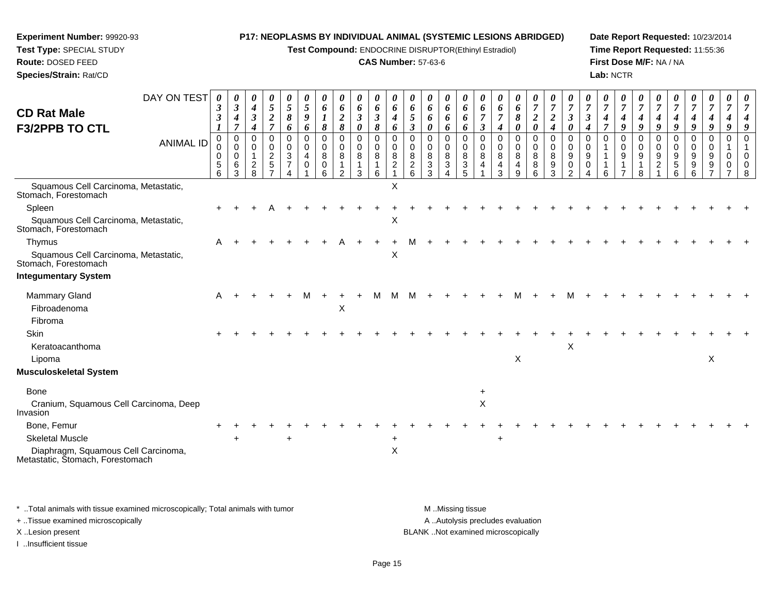**Test Compound:** ENDOCRINE DISRUPTOR(Ethinyl Estradiol)

# **CAS Number:** 57-63-6

**Date Report Requested:** 10/23/2014**Time Report Requested:** 11:55:36**First Dose M/F:** NA / NA**Lab:** NCTR

| DAY ON TEST                                                             |                  | $\boldsymbol{\theta}$ | $\boldsymbol{\theta}$              | 0                         | 0                                  | 0                   | 0                | $\theta$                      | $\boldsymbol{\theta}$         | 0                                             | 0                         | $\boldsymbol{\theta}$ | $\theta$                  | $\boldsymbol{\theta}$ | 0                | 0      | $\boldsymbol{\theta}$ | $\boldsymbol{\theta}$ | $\boldsymbol{\theta}$ | 0                                         | 0                     | U                         | $\boldsymbol{\theta}$ | $\boldsymbol{\theta}$ | $\boldsymbol{\theta}$          | $\boldsymbol{\theta}$ | U              | $\theta$         | $\boldsymbol{\theta}$ | 0                   | $\theta$       |  |
|-------------------------------------------------------------------------|------------------|-----------------------|------------------------------------|---------------------------|------------------------------------|---------------------|------------------|-------------------------------|-------------------------------|-----------------------------------------------|---------------------------|-----------------------|---------------------------|-----------------------|------------------|--------|-----------------------|-----------------------|-----------------------|-------------------------------------------|-----------------------|---------------------------|-----------------------|-----------------------|--------------------------------|-----------------------|----------------|------------------|-----------------------|---------------------|----------------|--|
| <b>CD Rat Male</b>                                                      |                  | 3                     | $\boldsymbol{\beta}$               | $\boldsymbol{4}$          | $\sqrt{5}$                         | $\sqrt{5}$          | $\mathfrak{s}$   | 6                             | 6                             | 6                                             | 6                         | 6                     | 6                         | 6                     | 6                | 6      | 6                     | 6                     | 6                     | $\overline{7}$                            | $\overline{7}$        | 7                         | $\overline{7}$        | $\boldsymbol{7}$      | $\overline{7}$                 | $\overline{7}$        | 7              | $\overline{7}$   | $\boldsymbol{7}$      | $\overline{7}$      | $\overline{7}$ |  |
| <b>F3/2PPB TO CTL</b>                                                   |                  | 3                     | $\boldsymbol{4}$<br>$\overline{7}$ | $\boldsymbol{\beta}$<br>4 | $\boldsymbol{2}$<br>$\overline{7}$ | 8<br>6              | 9<br>6           | $\boldsymbol{l}$<br>$\pmb{8}$ | $\boldsymbol{2}$<br>$\pmb{8}$ | $\boldsymbol{\beta}$<br>$\boldsymbol{\theta}$ | $\boldsymbol{\beta}$<br>8 | 4<br>6                | 5<br>$\boldsymbol{\beta}$ | 6<br>0                | 6<br>6           | 6<br>6 | 3                     | 7<br>$\boldsymbol{4}$ | $\pmb{8}$<br>0        | $\boldsymbol{2}$<br>$\boldsymbol{\theta}$ | $\boldsymbol{2}$<br>4 | $\boldsymbol{\beta}$<br>0 | 3<br>4                | 4<br>7                | 4<br>9                         | 4<br>9                | 4<br>9         | 4<br>9           | 4<br>9                | 4<br>9              | 9              |  |
|                                                                         | <b>ANIMAL ID</b> | 0                     | $\mathbf 0$                        | 0                         | 0                                  | $\pmb{0}$           | $\mathbf 0$      | $\mathbf 0$                   | 0                             | $\pmb{0}$                                     | $\mathbf 0$               | 0                     | $\mathbf 0$               | 0                     | 0                | 0      | 0                     | $\mathbf 0$           | 0                     | 0                                         | 0                     | $\Omega$                  | $\Omega$              | 0                     | $\mathbf 0$                    | 0                     | 0              | $\mathbf 0$      | 0                     | $\mathbf 0$         | $\mathbf 0$    |  |
|                                                                         |                  | 0<br>0                | $\mathbf 0$<br>0                   | $\mathbf 0$               | 0<br>$\overline{\mathbf{c}}$       | $\mathbf 0$<br>3    | $\mathbf 0$<br>4 | $\mathbf 0$<br>8              | $\mathbf 0$<br>8              | $\mathbf 0$<br>8                              | $\mathbf 0$<br>8          | 0<br>8                | $\Omega$<br>8             | 0<br>8                | $\mathbf 0$<br>8 | 0<br>8 | 0<br>8                | $\mathbf 0$<br>8      | 0<br>8                | $\mathbf 0$<br>8                          | $\mathbf 0$<br>8      | 0<br>9                    | 0<br>9                |                       | $\mathbf 0$<br>9               | 0<br>9                | 0<br>9         | $\mathbf 0$<br>9 | 0<br>9                | $\overline{0}$<br>9 | 0              |  |
|                                                                         |                  | 5<br>6                | 6<br>3                             | $\overline{c}$<br>8       | $\sqrt{5}$<br>$\overline{7}$       | $\overline{7}$<br>4 | 0                | 0<br>6                        | 2                             | $\mathbf 1$<br>3                              | $\mathbf{1}$<br>6         | $\overline{2}$        | $\overline{2}$<br>6       | 3<br>3                | 3<br>4           | 3<br>5 | 4                     | 4<br>3                | 4<br>9                | 8<br>6                                    | 9<br>3                | 0<br>$\overline{2}$       | 0                     | 6                     | $\mathbf{1}$<br>$\overline{7}$ | 8                     | $\overline{c}$ | $\sqrt{5}$<br>6  | 9<br>6                | 9<br>7              | 0              |  |
| Squamous Cell Carcinoma, Metastatic,<br>Stomach, Forestomach            |                  |                       |                                    |                           |                                    |                     |                  |                               |                               |                                               |                           | X                     |                           |                       |                  |        |                       |                       |                       |                                           |                       |                           |                       |                       |                                |                       |                |                  |                       |                     |                |  |
| Spleen                                                                  |                  |                       |                                    |                           |                                    |                     |                  |                               |                               |                                               |                           |                       |                           |                       |                  |        |                       |                       |                       |                                           |                       |                           |                       |                       |                                |                       |                |                  |                       |                     |                |  |
| Squamous Cell Carcinoma, Metastatic,<br>Stomach, Forestomach            |                  |                       |                                    |                           |                                    |                     |                  |                               |                               |                                               |                           | X                     |                           |                       |                  |        |                       |                       |                       |                                           |                       |                           |                       |                       |                                |                       |                |                  |                       |                     |                |  |
| Thymus                                                                  |                  | A                     |                                    |                           |                                    |                     |                  |                               |                               |                                               |                           |                       |                           |                       |                  |        |                       |                       |                       |                                           |                       |                           |                       |                       |                                |                       |                |                  |                       |                     |                |  |
| Squamous Cell Carcinoma, Metastatic,<br>Stomach, Forestomach            |                  |                       |                                    |                           |                                    |                     |                  |                               |                               |                                               |                           | X                     |                           |                       |                  |        |                       |                       |                       |                                           |                       |                           |                       |                       |                                |                       |                |                  |                       |                     |                |  |
| <b>Integumentary System</b>                                             |                  |                       |                                    |                           |                                    |                     |                  |                               |                               |                                               |                           |                       |                           |                       |                  |        |                       |                       |                       |                                           |                       |                           |                       |                       |                                |                       |                |                  |                       |                     |                |  |
| Mammary Gland                                                           |                  | A                     |                                    |                           |                                    |                     |                  |                               |                               |                                               |                           |                       |                           |                       |                  |        |                       |                       |                       |                                           |                       |                           |                       |                       |                                |                       |                |                  |                       |                     |                |  |
| Fibroadenoma                                                            |                  |                       |                                    |                           |                                    |                     |                  |                               | X                             |                                               |                           |                       |                           |                       |                  |        |                       |                       |                       |                                           |                       |                           |                       |                       |                                |                       |                |                  |                       |                     |                |  |
| Fibroma                                                                 |                  |                       |                                    |                           |                                    |                     |                  |                               |                               |                                               |                           |                       |                           |                       |                  |        |                       |                       |                       |                                           |                       |                           |                       |                       |                                |                       |                |                  |                       |                     |                |  |
| Skin                                                                    |                  |                       |                                    |                           |                                    |                     |                  |                               |                               |                                               |                           |                       |                           |                       |                  |        |                       |                       |                       |                                           |                       |                           |                       |                       |                                |                       |                |                  |                       |                     |                |  |
| Keratoacanthoma                                                         |                  |                       |                                    |                           |                                    |                     |                  |                               |                               |                                               |                           |                       |                           |                       |                  |        |                       |                       |                       |                                           |                       | X                         |                       |                       |                                |                       |                |                  |                       |                     |                |  |
| Lipoma                                                                  |                  |                       |                                    |                           |                                    |                     |                  |                               |                               |                                               |                           |                       |                           |                       |                  |        |                       |                       | X                     |                                           |                       |                           |                       |                       |                                |                       |                |                  |                       | X                   |                |  |
| Musculoskeletal System                                                  |                  |                       |                                    |                           |                                    |                     |                  |                               |                               |                                               |                           |                       |                           |                       |                  |        |                       |                       |                       |                                           |                       |                           |                       |                       |                                |                       |                |                  |                       |                     |                |  |
| <b>Bone</b>                                                             |                  |                       |                                    |                           |                                    |                     |                  |                               |                               |                                               |                           |                       |                           |                       |                  |        | $\ddot{}$             |                       |                       |                                           |                       |                           |                       |                       |                                |                       |                |                  |                       |                     |                |  |
| Cranium, Squamous Cell Carcinoma, Deep<br>Invasion                      |                  |                       |                                    |                           |                                    |                     |                  |                               |                               |                                               |                           |                       |                           |                       |                  |        | Χ                     |                       |                       |                                           |                       |                           |                       |                       |                                |                       |                |                  |                       |                     |                |  |
| Bone, Femur                                                             |                  |                       |                                    |                           |                                    |                     |                  |                               |                               |                                               |                           |                       |                           |                       |                  |        |                       |                       |                       |                                           |                       |                           |                       |                       |                                |                       |                |                  |                       |                     |                |  |
| <b>Skeletal Muscle</b>                                                  |                  |                       |                                    |                           |                                    | ÷                   |                  |                               |                               |                                               |                           | $\ddot{}$             |                           |                       |                  |        |                       | $\ddot{}$             |                       |                                           |                       |                           |                       |                       |                                |                       |                |                  |                       |                     |                |  |
| Diaphragm, Squamous Cell Carcinoma,<br>Metastatic, Štomach, Forestomach |                  |                       |                                    |                           |                                    |                     |                  |                               |                               |                                               |                           | X                     |                           |                       |                  |        |                       |                       |                       |                                           |                       |                           |                       |                       |                                |                       |                |                  |                       |                     |                |  |

\* ..Total animals with tissue examined microscopically; Total animals with tumor **M** . Missing tissue M ..Missing tissue A ..Autolysis precludes evaluation + ..Tissue examined microscopically X ..Lesion present BLANK ..Not examined microscopicallyI ..Insufficient tissue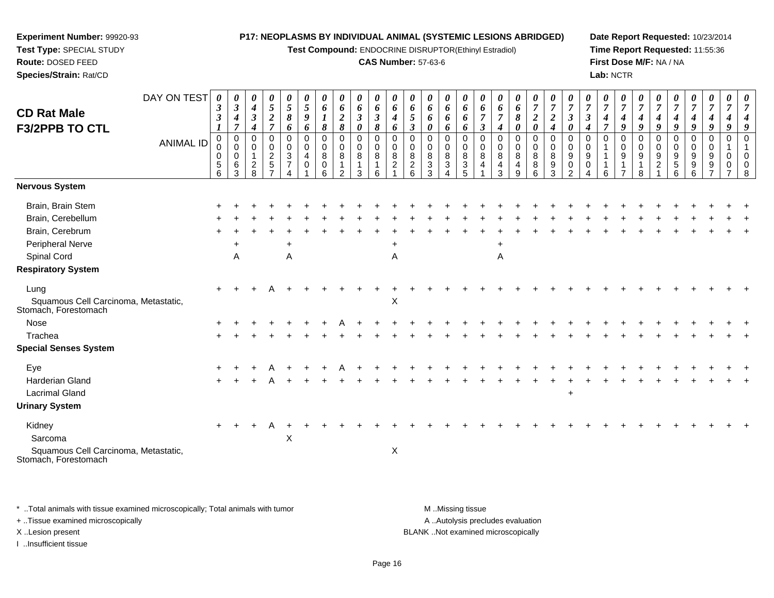**Test Compound:** ENDOCRINE DISRUPTOR(Ethinyl Estradiol)

# **CAS Number:** 57-63-6

**Date Report Requested:** 10/23/2014**Time Report Requested:** 11:55:36**First Dose M/F:** NA / NA**Lab:** NCTR

| <b>CD Rat Male</b><br>F3/2PPB TO CTL                                              | DAY ON TEST      | 0<br>$\mathfrak{z}$<br>$\boldsymbol{\beta}$<br>1   | 0<br>$\boldsymbol{\beta}$<br>$\boldsymbol{4}$<br>$\overline{7}$ | 0<br>$\boldsymbol{4}$<br>$\mathfrak{z}$<br>$\boldsymbol{4}$ | 0<br>$\mathfrak{s}$<br>$\boldsymbol{2}$<br>$\overline{7}$ | 0<br>$\mathfrak{s}$<br>8<br>6                                   | $\boldsymbol{\theta}$<br>5<br>$\boldsymbol{g}$<br>6 | 0<br>6<br>$\boldsymbol{l}$<br>8           | 0<br>6<br>$\boldsymbol{2}$<br>8              | $\boldsymbol{\theta}$<br>6<br>$\mathfrak{z}$<br>0 | $\boldsymbol{\theta}$<br>6<br>$\mathfrak{z}$<br>8           | $\boldsymbol{\theta}$<br>6<br>$\boldsymbol{4}$<br>6  | 0<br>6<br>5<br>$\mathfrak{z}$                 | 0<br>6<br>6<br>0                           | 0<br>6<br>6<br>6                                           | $\boldsymbol{\theta}$<br>6<br>6<br>6                  | 0<br>6<br>$\overline{7}$<br>$\mathfrak{z}$             | $\boldsymbol{\theta}$<br>6<br>$\overline{7}$<br>$\boldsymbol{4}$ | $\boldsymbol{\theta}$<br>6<br>8<br>0 | $\boldsymbol{\theta}$<br>$\boldsymbol{7}$<br>$\boldsymbol{2}$<br>0 | $\boldsymbol{\theta}$<br>$\overline{7}$<br>$\boldsymbol{2}$<br>$\boldsymbol{4}$ | $\boldsymbol{\theta}$<br>$\overline{7}$<br>$\mathfrak{z}$<br>$\boldsymbol{\theta}$ | $\boldsymbol{\theta}$<br>$\overline{7}$<br>$\boldsymbol{\beta}$<br>$\boldsymbol{4}$ | 0<br>$\overline{7}$<br>4<br>$\overline{7}$ | $\boldsymbol{\theta}$<br>$\overline{7}$<br>$\boldsymbol{4}$<br>9 | $\boldsymbol{\theta}$<br>$\overline{7}$<br>$\boldsymbol{4}$<br>$\boldsymbol{q}$ | $\boldsymbol{\theta}$<br>$\overline{7}$<br>$\boldsymbol{4}$<br>9 | $\overline{7}$<br>4<br>9               | $\frac{\boldsymbol{0}}{7}$<br>4<br>9 | $\boldsymbol{\theta}$<br>$\overline{7}$<br>4<br>9 | $\boldsymbol{\theta}$<br>$\overline{7}$                 | $\boldsymbol{\theta}$ |
|-----------------------------------------------------------------------------------|------------------|----------------------------------------------------|-----------------------------------------------------------------|-------------------------------------------------------------|-----------------------------------------------------------|-----------------------------------------------------------------|-----------------------------------------------------|-------------------------------------------|----------------------------------------------|---------------------------------------------------|-------------------------------------------------------------|------------------------------------------------------|-----------------------------------------------|--------------------------------------------|------------------------------------------------------------|-------------------------------------------------------|--------------------------------------------------------|------------------------------------------------------------------|--------------------------------------|--------------------------------------------------------------------|---------------------------------------------------------------------------------|------------------------------------------------------------------------------------|-------------------------------------------------------------------------------------|--------------------------------------------|------------------------------------------------------------------|---------------------------------------------------------------------------------|------------------------------------------------------------------|----------------------------------------|--------------------------------------|---------------------------------------------------|---------------------------------------------------------|-----------------------|
|                                                                                   | <b>ANIMAL ID</b> | $\mathbf 0$<br>$\mathbf 0$<br>0<br>$\sqrt{5}$<br>6 | $\overline{0}$<br>0<br>$\mathbf 0$<br>6<br>3                    | $\mathbf 0$<br>0<br>$\frac{2}{8}$                           | 0<br>0<br>$\sqrt{2}$<br>$\sqrt{5}$<br>$\overline{z}$      | $\mathbf 0$<br>$\mathbf 0$<br>$\sqrt{3}$<br>$\overline{7}$<br>Δ | $\overline{0}$<br>$\mathbf 0$<br>4<br>$\mathbf 0$   | $\mathbf 0$<br>0<br>8<br>$\mathbf 0$<br>6 | 0<br>0<br>8<br>$\mathbf{1}$<br>$\mathcal{P}$ | 0<br>0<br>8<br>3                                  | $\mathbf 0$<br>$\mathbf 0$<br>$\bf8$<br>$\overline{1}$<br>6 | $\overline{0}$<br>$\mathbf 0$<br>8<br>$\overline{2}$ | $\Omega$<br>$\mathbf 0$<br>8<br>$\frac{2}{6}$ | $\mathbf 0$<br>0<br>8<br>$\mathbf{3}$<br>3 | $\Omega$<br>0<br>$\bf 8$<br>$\ensuremath{\mathsf{3}}$<br>4 | $\mathbf 0$<br>$\mathbf 0$<br>$\, 8$<br>$\frac{3}{5}$ | $\mathbf 0$<br>$\mathbf 0$<br>8<br>$\overline{4}$<br>1 | $\mathbf 0$<br>0<br>8<br>4<br>3                                  | $\mathbf 0$<br>0<br>8<br>4<br>9      | 0<br>$\mathbf 0$<br>$\bf 8$<br>$^8_6$                              | $\mathbf 0$<br>$\mathbf 0$<br>$\, 8$<br>$\frac{9}{3}$                           | $\mathbf 0$<br>$\mathbf 0$<br>9<br>$\pmb{0}$<br>2                                  | $\Omega$<br>0<br>9<br>$\mathbf 0$<br>4                                              | $\Omega$<br>6                              | $\Omega$<br>0<br>$9\,$<br>$\overline{7}$                         | $\Omega$<br>$\mathbf 0$<br>9<br>8                                               | $\Omega$<br>0<br>9<br>$\sqrt{2}$<br>1                            | $\Omega$<br>$\mathbf 0$<br>9<br>5<br>6 | 0<br>0<br>9<br>9<br>6                | 0<br>0<br>9<br>9<br>$\overline{ }$                | $\mathbf 0$<br>$\mathbf{1}$<br>0<br>0<br>$\overline{7}$ | 8                     |
| <b>Nervous System</b>                                                             |                  |                                                    |                                                                 |                                                             |                                                           |                                                                 |                                                     |                                           |                                              |                                                   |                                                             |                                                      |                                               |                                            |                                                            |                                                       |                                                        |                                                                  |                                      |                                                                    |                                                                                 |                                                                                    |                                                                                     |                                            |                                                                  |                                                                                 |                                                                  |                                        |                                      |                                                   |                                                         |                       |
| Brain, Brain Stem<br>Brain, Cerebellum                                            |                  |                                                    |                                                                 |                                                             |                                                           |                                                                 |                                                     |                                           |                                              |                                                   |                                                             |                                                      |                                               |                                            |                                                            |                                                       |                                                        |                                                                  |                                      |                                                                    |                                                                                 |                                                                                    |                                                                                     |                                            |                                                                  |                                                                                 |                                                                  |                                        |                                      |                                                   |                                                         |                       |
| Brain, Cerebrum<br>Peripheral Nerve                                               |                  |                                                    |                                                                 |                                                             |                                                           |                                                                 |                                                     |                                           |                                              |                                                   |                                                             |                                                      |                                               |                                            |                                                            |                                                       |                                                        |                                                                  |                                      |                                                                    |                                                                                 |                                                                                    |                                                                                     |                                            |                                                                  |                                                                                 |                                                                  |                                        |                                      |                                                   |                                                         |                       |
| Spinal Cord                                                                       |                  |                                                    | $\ddot{}$<br>A                                                  |                                                             |                                                           | Α                                                               |                                                     |                                           |                                              |                                                   |                                                             | $\ddot{}$<br>Α                                       |                                               |                                            |                                                            |                                                       |                                                        | ⊣<br>Α                                                           |                                      |                                                                    |                                                                                 |                                                                                    |                                                                                     |                                            |                                                                  |                                                                                 |                                                                  |                                        |                                      |                                                   |                                                         |                       |
| <b>Respiratory System</b>                                                         |                  |                                                    |                                                                 |                                                             |                                                           |                                                                 |                                                     |                                           |                                              |                                                   |                                                             |                                                      |                                               |                                            |                                                            |                                                       |                                                        |                                                                  |                                      |                                                                    |                                                                                 |                                                                                    |                                                                                     |                                            |                                                                  |                                                                                 |                                                                  |                                        |                                      |                                                   |                                                         |                       |
| Lung<br>Squamous Cell Carcinoma, Metastatic,<br>Stomach, Forestomach              |                  |                                                    |                                                                 |                                                             |                                                           |                                                                 |                                                     |                                           |                                              |                                                   |                                                             | X                                                    |                                               |                                            |                                                            |                                                       |                                                        |                                                                  |                                      |                                                                    |                                                                                 |                                                                                    |                                                                                     |                                            |                                                                  |                                                                                 |                                                                  |                                        |                                      |                                                   |                                                         |                       |
| Nose                                                                              |                  |                                                    |                                                                 |                                                             |                                                           |                                                                 |                                                     |                                           |                                              |                                                   |                                                             |                                                      |                                               |                                            |                                                            |                                                       |                                                        |                                                                  |                                      |                                                                    |                                                                                 |                                                                                    |                                                                                     |                                            |                                                                  |                                                                                 |                                                                  |                                        |                                      |                                                   |                                                         |                       |
| Trachea<br><b>Special Senses System</b>                                           |                  |                                                    |                                                                 |                                                             |                                                           |                                                                 |                                                     |                                           |                                              |                                                   |                                                             |                                                      |                                               |                                            |                                                            |                                                       |                                                        |                                                                  |                                      |                                                                    |                                                                                 |                                                                                    |                                                                                     |                                            |                                                                  |                                                                                 |                                                                  |                                        |                                      |                                                   |                                                         |                       |
| Eye<br><b>Harderian Gland</b><br><b>Lacrimal Gland</b><br><b>Urinary System</b>   |                  |                                                    |                                                                 |                                                             |                                                           |                                                                 |                                                     |                                           |                                              |                                                   |                                                             |                                                      |                                               |                                            |                                                            |                                                       |                                                        |                                                                  |                                      |                                                                    |                                                                                 | $\ddot{}$                                                                          |                                                                                     |                                            |                                                                  |                                                                                 |                                                                  |                                        |                                      |                                                   |                                                         |                       |
| Kidney<br>Sarcoma<br>Squamous Cell Carcinoma, Metastatic,<br>Stomach, Forestomach |                  | $\ddot{}$                                          |                                                                 |                                                             |                                                           | X                                                               |                                                     |                                           |                                              |                                                   |                                                             | $\times$                                             |                                               |                                            |                                                            |                                                       |                                                        |                                                                  |                                      |                                                                    |                                                                                 |                                                                                    |                                                                                     |                                            |                                                                  |                                                                                 |                                                                  |                                        |                                      |                                                   |                                                         |                       |

\* ..Total animals with tissue examined microscopically; Total animals with tumor **M** . Missing tissue M ..Missing tissue A ..Autolysis precludes evaluation + ..Tissue examined microscopically X ..Lesion present BLANK ..Not examined microscopicallyI ..Insufficient tissue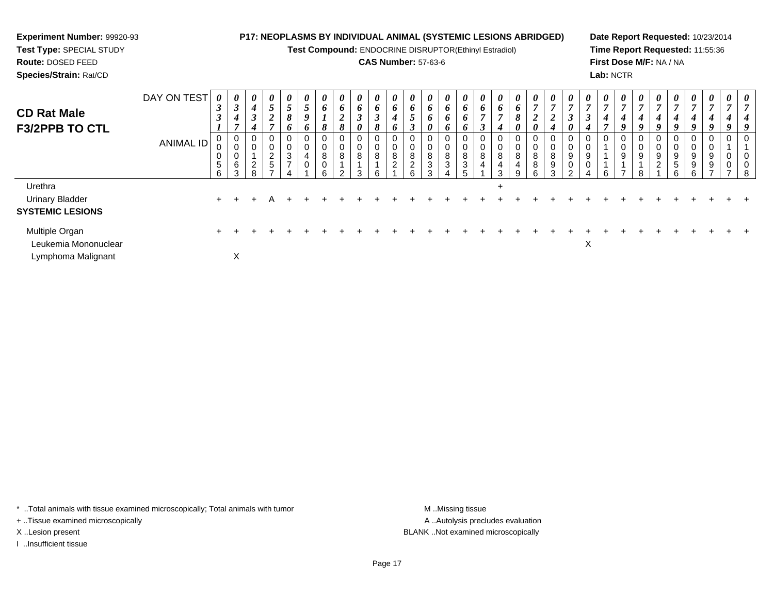# **Experiment Number:** 99920-93

**Test Type:** SPECIAL STUDY**Route:** DOSED FEED

**Species/Strain:** Rat/CD

# **P17: NEOPLASMS BY INDIVIDUAL ANIMAL (SYSTEMIC LESIONS ABRIDGED)**

**Test Compound:** ENDOCRINE DISRUPTOR(Ethinyl Estradiol)

# **CAS Number:** 57-63-6

**Date Report Requested:** 10/23/2014**Time Report Requested:** 11:55:36**First Dose M/F:** NA / NA**Lab:** NCTR

| <b>CD Rat Male</b><br><b>F3/2PPB TO CTL</b>                  | DAY ON TEST<br>ANIMAL ID | $\boldsymbol{\theta}$<br>$\boldsymbol{\beta}$<br>$\boldsymbol{\beta}$<br>0<br>0<br>0<br>$\sqrt{5}$<br>6 | $\boldsymbol{\theta}$<br>$\boldsymbol{\beta}$<br>$\boldsymbol{4}$<br>$\mathbf{z}$<br>$\mathbf 0$<br>0<br>$\mathbf 0$<br>6<br>3 | 0<br>4<br>$\boldsymbol{\beta}$<br>$\boldsymbol{4}$<br>0<br>0<br>$\overline{A}$<br>$\overline{c}$<br>8 | $\boldsymbol{\theta}$<br>$\overline{\phantom{0}}$<br>$\mathcal{L}$<br>$\boldsymbol{2}$<br>$\mathbf{r}$<br>0<br>$\mathbf 0$<br>$\overline{c}$<br>5 | 0<br>$\overline{ }$<br>$\mathcal{L}$<br>8<br>o<br>3<br>$\overline{ }$ | 0<br>$\overline{a}$<br>J<br>9<br>o<br>4 | 0<br>o<br>$\mathbf{I}$<br>8<br>O<br>8<br>0<br>$\sqrt{2}$ | $\boldsymbol{\theta}$<br>6<br>$\mathbf{\hat{}}$<br>$\overline{2}$<br>8<br>0<br>0<br>8<br>$\sqrt{2}$ | 0<br>6<br>$\rightarrow$<br>J<br>$\boldsymbol{\theta}$<br>0<br>0<br>8<br>3 | 0<br>6<br>$\boldsymbol{\beta}$<br>8<br>$\mathbf 0$<br>$\pmb{0}$<br>$\,8\,$<br>6 | 0<br>6<br>4<br>6<br>U<br>0<br>8<br>$\overline{c}$ | 0<br>6<br>$\mathcal{L}$<br>$\boldsymbol{\beta}$<br>0<br>$\pmb{0}$<br>$\bf 8$<br>$\overline{2}$<br>6 | $\boldsymbol{\theta}$<br>6<br>6<br>0<br>0<br>$\sim$<br>U<br>8<br>3<br>$\sim$ | $\boldsymbol{\theta}$<br>6<br>6<br>o<br>0<br>8<br>3 | 0<br>6<br>6<br>6<br>0<br>0<br>8<br>3<br>5 | 0<br>6<br>$\mathbf{r}$<br>$\boldsymbol{\beta}$<br>0<br>$\bf 8$<br>4 | $\boldsymbol{\theta}$<br>6<br>$\overline{ }$<br>$\boldsymbol{4}$<br>0<br>0<br>8<br>4<br>3 | $\boldsymbol{\theta}$<br>6<br>8<br>$\boldsymbol{\theta}$<br>0<br>$\mathbf 0$<br>8<br>4<br>9 | $\boldsymbol{\theta}$<br>$\overline{7}$<br>$\overline{2}$<br>$\boldsymbol{\theta}$<br>0<br>$\pmb{0}$<br>8<br>$\bf 8$<br>6 | $\boldsymbol{\theta}$<br>$\overline{ }$<br>◠<br>◢<br>4<br>0<br>$\pmb{0}$<br>8<br>9<br>3 | $\boldsymbol{\theta}$<br>J<br>$\boldsymbol{\theta}$<br>U<br>9<br>$\mathbf 0$ | $\boldsymbol{\theta}$<br>$\overline{ }$<br>$\mathbf{J}$<br>9 | 0<br>$\overline{ }$<br>$\boldsymbol{4}$<br>0 | $\boldsymbol{\theta}$<br>$\mathbf{r}$<br>4<br>9<br>0<br>0<br>9 | $\theta$<br>4<br>9<br>0<br>9 | $\boldsymbol{\theta}$<br>$\overline{ }$<br>$\boldsymbol{4}$<br>9<br>0<br>$\pmb{0}$<br>$\boldsymbol{9}$<br>$\overline{2}$ | $\boldsymbol{\theta}$<br>$\overline{7}$<br>$\boldsymbol{4}$<br>9<br>0<br>$_{9}^{\rm 0}$<br>$\sqrt{5}$<br>6 | $\boldsymbol{\theta}$<br>$\overline{7}$<br>$\boldsymbol{4}$<br>$\boldsymbol{g}$<br>0<br>$\pmb{0}$<br>$\boldsymbol{9}$<br>$\boldsymbol{9}$<br>6 | $\boldsymbol{\theta}$<br>$\overline{ }$<br>4<br>9<br>0<br>0<br>9<br>9 | 0<br>$\mathbf{r}$<br>4 | 0<br>4<br>Q<br>8 |
|--------------------------------------------------------------|--------------------------|---------------------------------------------------------------------------------------------------------|--------------------------------------------------------------------------------------------------------------------------------|-------------------------------------------------------------------------------------------------------|---------------------------------------------------------------------------------------------------------------------------------------------------|-----------------------------------------------------------------------|-----------------------------------------|----------------------------------------------------------|-----------------------------------------------------------------------------------------------------|---------------------------------------------------------------------------|---------------------------------------------------------------------------------|---------------------------------------------------|-----------------------------------------------------------------------------------------------------|------------------------------------------------------------------------------|-----------------------------------------------------|-------------------------------------------|---------------------------------------------------------------------|-------------------------------------------------------------------------------------------|---------------------------------------------------------------------------------------------|---------------------------------------------------------------------------------------------------------------------------|-----------------------------------------------------------------------------------------|------------------------------------------------------------------------------|--------------------------------------------------------------|----------------------------------------------|----------------------------------------------------------------|------------------------------|--------------------------------------------------------------------------------------------------------------------------|------------------------------------------------------------------------------------------------------------|------------------------------------------------------------------------------------------------------------------------------------------------|-----------------------------------------------------------------------|------------------------|------------------|
| Urethra<br><b>Urinary Bladder</b><br><b>SYSTEMIC LESIONS</b> |                          | $+$                                                                                                     |                                                                                                                                |                                                                                                       |                                                                                                                                                   |                                                                       |                                         |                                                          |                                                                                                     |                                                                           |                                                                                 |                                                   |                                                                                                     |                                                                              |                                                     |                                           |                                                                     | $\ddot{}$                                                                                 |                                                                                             |                                                                                                                           |                                                                                         |                                                                              |                                                              |                                              |                                                                |                              |                                                                                                                          |                                                                                                            |                                                                                                                                                |                                                                       |                        |                  |
| Multiple Organ<br>Leukemia Mononuclear<br>Lymphoma Malignant |                          |                                                                                                         | X                                                                                                                              |                                                                                                       |                                                                                                                                                   |                                                                       |                                         |                                                          |                                                                                                     |                                                                           |                                                                                 |                                                   |                                                                                                     |                                                                              |                                                     |                                           |                                                                     |                                                                                           |                                                                                             |                                                                                                                           |                                                                                         |                                                                              | X                                                            |                                              |                                                                |                              |                                                                                                                          |                                                                                                            |                                                                                                                                                |                                                                       |                        |                  |

\* ..Total animals with tissue examined microscopically; Total animals with tumor **M** . Missing tissue M ..Missing tissue

+ ..Tissue examined microscopically

I ..Insufficient tissue

A ..Autolysis precludes evaluation X ..Lesion present BLANK ..Not examined microscopically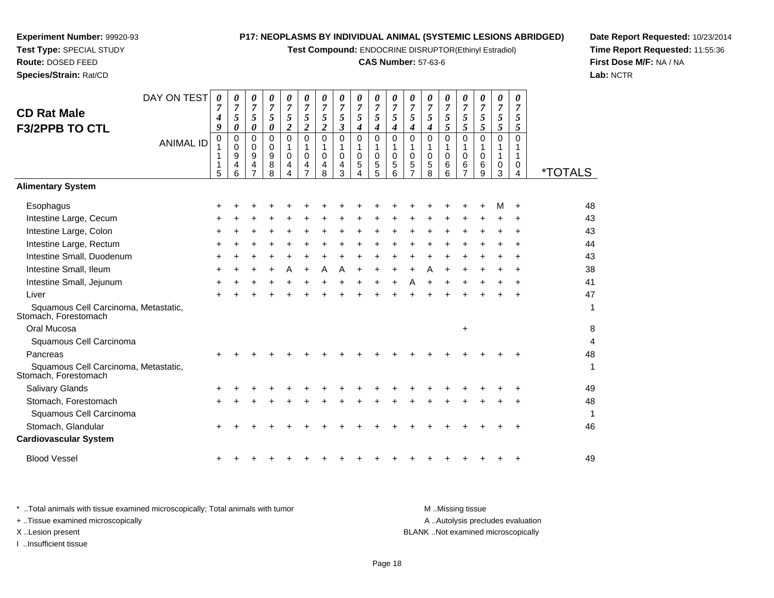**Test Compound:** ENDOCRINE DISRUPTOR(Ethinyl Estradiol)

#### **CAS Number:** 57-63-6

*0 7 5*

<sup>4</sup> \*TOTALS

1

1

**Date Report Requested:** 10/23/2014**Time Report Requested:** 11:55:36**First Dose M/F:** NA / NA**Lab:** NCTR

| <b>Alimentary System</b>                                     |           |   |       |   |       |   |           |           |           |           |           |           |       |   |       |    |
|--------------------------------------------------------------|-----------|---|-------|---|-------|---|-----------|-----------|-----------|-----------|-----------|-----------|-------|---|-------|----|
| Esophagus                                                    | $\ddot{}$ |   |       |   |       |   |           |           |           |           |           |           |       | м |       | 48 |
| Intestine Large, Cecum                                       | $\pm$     |   | ÷     |   |       |   | ÷         | ÷.        | ÷         | +         |           |           | ÷     |   |       | 43 |
| Intestine Large, Colon                                       | $\ddot{}$ | ٠ | ÷     |   | ÷     |   | $\ddot{}$ | ٠         | ÷         | +         |           |           |       |   |       | 43 |
| Intestine Large, Rectum                                      | $\pm$     |   |       |   |       |   |           |           |           |           |           |           |       |   |       | 44 |
| Intestine Small, Duodenum                                    | $\ddot{}$ |   | 4     |   |       |   | ÷         | ÷.        |           | +         |           |           |       |   |       | 43 |
| Intestine Small, Ileum                                       | $\pm$     |   | $\pm$ | A | $\pm$ | Α | A         | $\ddot{}$ | $\pm$     | $\ddot{}$ | $\ddot{}$ | A         |       |   |       | 38 |
| Intestine Small, Jejunum                                     | $\ddot{}$ |   | ÷     |   | ÷     |   |           | ٠         | $\ddot{}$ | $\ddot{}$ | A         | $\ddot{}$ | $\pm$ | ÷ | $\pm$ | 41 |
| Liver                                                        | $\ddot{}$ |   |       |   |       |   |           |           |           |           |           |           |       |   |       | 47 |
| Squamous Cell Carcinoma, Metastatic,<br>Stomach, Forestomach |           |   |       |   |       |   |           |           |           |           |           |           |       |   |       | 1  |
| Oral Mucosa                                                  |           |   |       |   |       |   |           |           |           |           |           |           | +     |   |       | 8  |
| Squamous Cell Carcinoma                                      |           |   |       |   |       |   |           |           |           |           |           |           |       |   |       | 4  |
| Pancreas                                                     | $\pm$     |   |       |   |       |   |           |           |           |           |           |           |       |   |       | 48 |
| Squamous Cell Carcinoma, Metastatic,<br>Stomach, Forestomach |           |   |       |   |       |   |           |           |           |           |           |           |       |   |       | 1  |
| Salivary Glands                                              |           |   |       |   |       |   |           |           |           |           |           |           |       |   |       | 49 |
| Stomach, Forestomach                                         | $\pm$     |   |       |   |       |   |           |           |           |           |           |           |       |   |       | 48 |
| Squamous Cell Carcinoma                                      |           |   |       |   |       |   |           |           |           |           |           |           |       |   |       | 1  |
| Stomach, Glandular                                           | +         |   |       |   |       |   |           |           |           |           |           |           |       |   |       | 46 |
| <b>Cardiovascular System</b>                                 |           |   |       |   |       |   |           |           |           |           |           |           |       |   |       |    |
| <b>Blood Vessel</b>                                          |           |   |       |   |       |   |           |           |           |           |           |           |       |   |       | 49 |

**Experiment Number:** 99920-93**Test Type:** SPECIAL STUDY**Route:** DOSED FEED**Species/Strain:** Rat/CD

**CD Rat Male**

**F3/2PPB TO CTL**

DAY ON TEST

ANIMAL ID

\* ..Total animals with tissue examined microscopically; Total animals with tumor M ...Missing tissue M ...Missing tissue A ..Autolysis precludes evaluation + ..Tissue examined microscopically X ..Lesion present BLANK ..Not examined microscopicallyI ..Insufficient tissue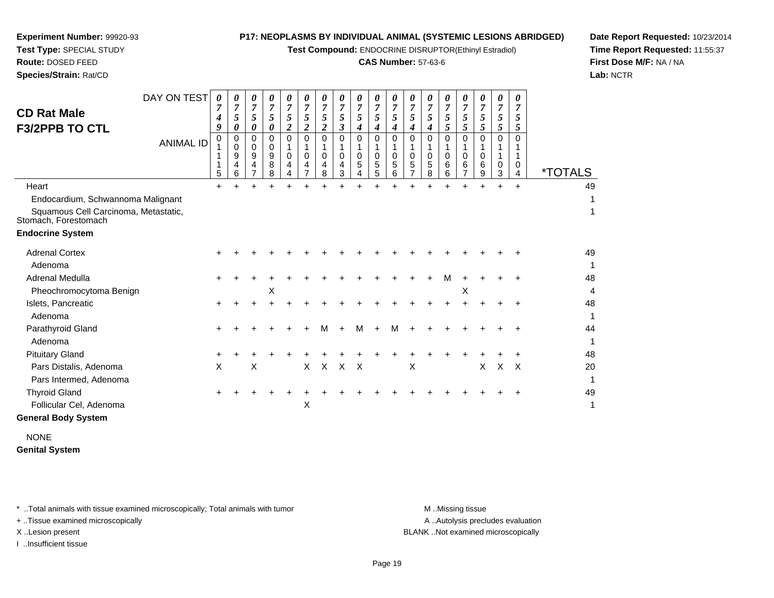**Test Compound:** ENDOCRINE DISRUPTOR(Ethinyl Estradiol)

# **CAS Number:** 57-63-6

**Date Report Requested:** 10/23/2014**Time Report Requested:** 11:55:37**First Dose M/F:** NA / NA**Lab:** NCTR

| <b>CD Rat Male</b><br><b>F3/2PPB TO CTL</b>                  | DAY ON TEST<br><b>ANIMAL ID</b> | 0<br>$\overline{7}$<br>4<br>9<br>0<br>1<br>5 | $\theta$<br>$\overline{7}$<br>5<br>0<br>0<br>$\Omega$<br>9<br>4<br>6 | $\boldsymbol{\theta}$<br>$\overline{7}$<br>5<br>0<br>0<br>$\Omega$<br>9<br>4<br>7 | $\boldsymbol{\theta}$<br>$\boldsymbol{7}$<br>5<br>$\boldsymbol{\theta}$<br>0<br>0<br>9<br>8<br>8 | 0<br>$\boldsymbol{7}$<br>5<br>$\boldsymbol{2}$<br>$\mathbf 0$<br>$\mathbf 0$<br>4<br>4 | 0<br>$\overline{7}$<br>5<br>$\boldsymbol{2}$<br>0<br>$\Omega$<br>4<br>$\overline{7}$ | $\boldsymbol{\theta}$<br>$\overline{7}$<br>5<br>$\overline{\mathbf{c}}$<br>$\Omega$<br>0<br>4<br>8 | 0<br>$\overline{7}$<br>5<br>3<br>$\Omega$<br>0<br>4<br>3 | 0<br>$\overline{7}$<br>5<br>$\boldsymbol{4}$<br>$\Omega$<br>0<br>5<br>4 | $\theta$<br>$\overline{7}$<br>5<br>4<br>0<br>0<br>5<br>5 | $\theta$<br>$\overline{7}$<br>5<br>4<br>$\Omega$<br>$\mathbf 0$<br>5<br>6 | 0<br>7<br>5<br>4<br>0<br>0<br>5 | $\theta$<br>$\overline{7}$<br>5<br>4<br>0<br>0<br>5<br>8 | $\theta$<br>7<br>5<br>5<br>0<br>$\Omega$<br>6<br>6 | 0<br>7<br>5<br>5<br>0<br>0<br>6<br>$\overline{7}$ | $\theta$<br>$\overline{7}$<br>5<br>$\mathfrak{H}$<br>$\Omega$<br>0<br>6<br>9 | $\theta$<br>$\overline{7}$<br>5<br>$\mathfrak{H}$<br>$\Omega$<br>0<br>3 | 0<br>$\overline{7}$<br>5<br>5<br>$\Omega$<br>0<br>4 | <i><b>*TOTALS</b></i> |
|--------------------------------------------------------------|---------------------------------|----------------------------------------------|----------------------------------------------------------------------|-----------------------------------------------------------------------------------|--------------------------------------------------------------------------------------------------|----------------------------------------------------------------------------------------|--------------------------------------------------------------------------------------|----------------------------------------------------------------------------------------------------|----------------------------------------------------------|-------------------------------------------------------------------------|----------------------------------------------------------|---------------------------------------------------------------------------|---------------------------------|----------------------------------------------------------|----------------------------------------------------|---------------------------------------------------|------------------------------------------------------------------------------|-------------------------------------------------------------------------|-----------------------------------------------------|-----------------------|
| Heart                                                        |                                 | $\ddot{}$                                    |                                                                      |                                                                                   |                                                                                                  |                                                                                        |                                                                                      |                                                                                                    |                                                          |                                                                         |                                                          |                                                                           |                                 |                                                          |                                                    |                                                   |                                                                              |                                                                         | $\ddot{}$                                           | 49                    |
| Endocardium, Schwannoma Malignant                            |                                 |                                              |                                                                      |                                                                                   |                                                                                                  |                                                                                        |                                                                                      |                                                                                                    |                                                          |                                                                         |                                                          |                                                                           |                                 |                                                          |                                                    |                                                   |                                                                              |                                                                         |                                                     |                       |
| Squamous Cell Carcinoma, Metastatic,<br>Stomach, Forestomach |                                 |                                              |                                                                      |                                                                                   |                                                                                                  |                                                                                        |                                                                                      |                                                                                                    |                                                          |                                                                         |                                                          |                                                                           |                                 |                                                          |                                                    |                                                   |                                                                              |                                                                         |                                                     |                       |
| <b>Endocrine System</b>                                      |                                 |                                              |                                                                      |                                                                                   |                                                                                                  |                                                                                        |                                                                                      |                                                                                                    |                                                          |                                                                         |                                                          |                                                                           |                                 |                                                          |                                                    |                                                   |                                                                              |                                                                         |                                                     |                       |
| <b>Adrenal Cortex</b>                                        |                                 |                                              |                                                                      |                                                                                   |                                                                                                  |                                                                                        |                                                                                      |                                                                                                    |                                                          |                                                                         |                                                          |                                                                           |                                 |                                                          |                                                    |                                                   |                                                                              |                                                                         |                                                     | 49                    |
| Adenoma                                                      |                                 |                                              |                                                                      |                                                                                   |                                                                                                  |                                                                                        |                                                                                      |                                                                                                    |                                                          |                                                                         |                                                          |                                                                           |                                 |                                                          |                                                    |                                                   |                                                                              |                                                                         |                                                     | 1                     |
| Adrenal Medulla                                              |                                 |                                              |                                                                      |                                                                                   |                                                                                                  |                                                                                        |                                                                                      |                                                                                                    |                                                          |                                                                         |                                                          |                                                                           |                                 |                                                          | м                                                  |                                                   |                                                                              |                                                                         |                                                     | 48                    |
| Pheochromocytoma Benign                                      |                                 |                                              |                                                                      |                                                                                   | Х                                                                                                |                                                                                        |                                                                                      |                                                                                                    |                                                          |                                                                         |                                                          |                                                                           |                                 |                                                          |                                                    | Х                                                 |                                                                              |                                                                         |                                                     | 4                     |
| Islets, Pancreatic                                           |                                 | ÷                                            |                                                                      |                                                                                   |                                                                                                  |                                                                                        |                                                                                      |                                                                                                    |                                                          |                                                                         |                                                          |                                                                           |                                 |                                                          |                                                    |                                                   |                                                                              |                                                                         |                                                     | 48                    |
| Adenoma                                                      |                                 |                                              |                                                                      |                                                                                   |                                                                                                  |                                                                                        |                                                                                      |                                                                                                    |                                                          |                                                                         |                                                          |                                                                           |                                 |                                                          |                                                    |                                                   |                                                                              |                                                                         |                                                     | 1                     |
| Parathyroid Gland                                            |                                 |                                              |                                                                      |                                                                                   |                                                                                                  |                                                                                        |                                                                                      | м                                                                                                  |                                                          | м                                                                       |                                                          | м                                                                         |                                 |                                                          |                                                    |                                                   |                                                                              |                                                                         |                                                     | 44                    |
| Adenoma                                                      |                                 |                                              |                                                                      |                                                                                   |                                                                                                  |                                                                                        |                                                                                      |                                                                                                    |                                                          |                                                                         |                                                          |                                                                           |                                 |                                                          |                                                    |                                                   |                                                                              |                                                                         |                                                     | 1                     |
| <b>Pituitary Gland</b>                                       |                                 |                                              |                                                                      |                                                                                   |                                                                                                  |                                                                                        |                                                                                      |                                                                                                    |                                                          |                                                                         |                                                          |                                                                           |                                 |                                                          |                                                    |                                                   |                                                                              |                                                                         |                                                     | 48                    |
| Pars Distalis, Adenoma                                       |                                 | X                                            |                                                                      | X                                                                                 |                                                                                                  |                                                                                        | X                                                                                    | $\times$                                                                                           | $\times$                                                 | $\mathsf{X}$                                                            |                                                          |                                                                           | X                               |                                                          |                                                    |                                                   | X                                                                            | X                                                                       | $\times$                                            | 20                    |
| Pars Intermed, Adenoma                                       |                                 |                                              |                                                                      |                                                                                   |                                                                                                  |                                                                                        |                                                                                      |                                                                                                    |                                                          |                                                                         |                                                          |                                                                           |                                 |                                                          |                                                    |                                                   |                                                                              |                                                                         |                                                     | 1                     |
| <b>Thyroid Gland</b>                                         |                                 |                                              |                                                                      |                                                                                   |                                                                                                  |                                                                                        |                                                                                      |                                                                                                    |                                                          |                                                                         |                                                          |                                                                           |                                 |                                                          |                                                    |                                                   |                                                                              |                                                                         |                                                     | 49                    |
| Follicular Cel, Adenoma                                      |                                 |                                              |                                                                      |                                                                                   |                                                                                                  |                                                                                        | X                                                                                    |                                                                                                    |                                                          |                                                                         |                                                          |                                                                           |                                 |                                                          |                                                    |                                                   |                                                                              |                                                                         |                                                     | 1                     |
| <b>General Body System</b>                                   |                                 |                                              |                                                                      |                                                                                   |                                                                                                  |                                                                                        |                                                                                      |                                                                                                    |                                                          |                                                                         |                                                          |                                                                           |                                 |                                                          |                                                    |                                                   |                                                                              |                                                                         |                                                     |                       |
|                                                              |                                 |                                              |                                                                      |                                                                                   |                                                                                                  |                                                                                        |                                                                                      |                                                                                                    |                                                          |                                                                         |                                                          |                                                                           |                                 |                                                          |                                                    |                                                   |                                                                              |                                                                         |                                                     |                       |

NONE**Genital System**

\* ..Total animals with tissue examined microscopically; Total animals with tumor **M** . Missing tissue M ..Missing tissue

+ ..Tissue examined microscopically

**Experiment Number:** 99920-93**Test Type:** SPECIAL STUDY**Route:** DOSED FEED**Species/Strain:** Rat/CD

I ..Insufficient tissue

A ..Autolysis precludes evaluation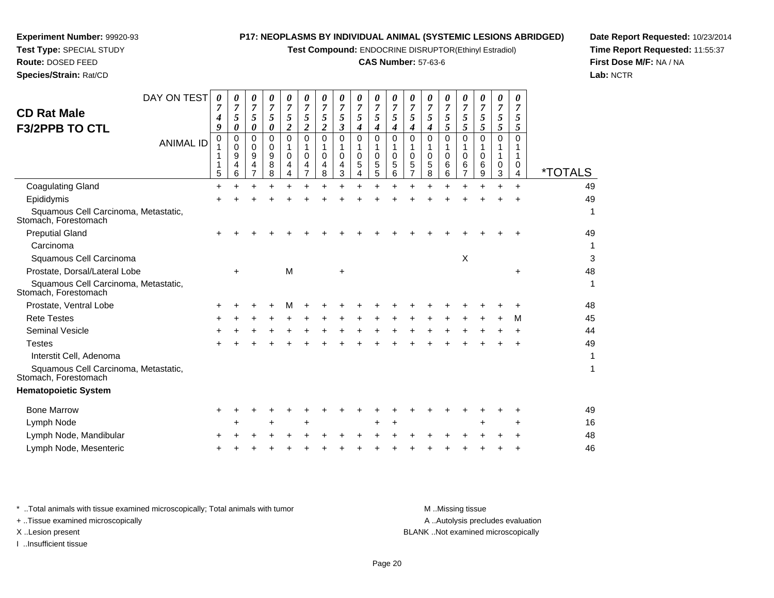**Test Compound:** ENDOCRINE DISRUPTOR(Ethinyl Estradiol)

#### **CAS Number:** 57-63-6

**Date Report Requested:** 10/23/2014**Time Report Requested:** 11:55:37**First Dose M/F:** NA / NA**Lab:** NCTR

| 9<br>F3/2PPB TO CTL                                          | 0                     | 5<br>0           | 5<br>0                | 5<br>$\overline{2}$                    | 5<br>$\boldsymbol{2}$     | 5<br>$\overline{c}$          | 5<br>$\mathfrak{z}$                 | 5<br>4                       | 5<br>$\boldsymbol{4}$ | 5<br>$\boldsymbol{4}$                     | 5<br>$\boldsymbol{4}$ | 5<br>4                     | 5<br>5                | 5<br>5      | 5<br>5                  | 5<br>5           | 5<br>5                  |                       |
|--------------------------------------------------------------|-----------------------|------------------|-----------------------|----------------------------------------|---------------------------|------------------------------|-------------------------------------|------------------------------|-----------------------|-------------------------------------------|-----------------------|----------------------------|-----------------------|-------------|-------------------------|------------------|-------------------------|-----------------------|
| 0<br><b>ANIMAL ID</b><br>1<br>5                              | 0<br>0<br>9<br>4<br>6 | 0<br>0<br>9<br>4 | 0<br>0<br>9<br>8<br>8 | $\mathbf 0$<br>1<br>$\Omega$<br>4<br>4 | $\Omega$<br>$\Omega$<br>4 | 0<br>1<br>$\Omega$<br>4<br>8 | $\Omega$<br>1<br>$\Omega$<br>4<br>3 | 0<br>1<br>$\Omega$<br>5<br>4 | 0<br>1<br>0<br>5<br>5 | $\mathbf 0$<br>1<br>$\mathbf 0$<br>5<br>6 | 0<br>$\mathbf 0$<br>5 | 0<br>$\mathbf 0$<br>5<br>8 | 0<br>1<br>0<br>6<br>6 | 0<br>0<br>6 | $\Omega$<br>0<br>6<br>9 | 0<br>1<br>0<br>3 | $\Omega$<br>1<br>0<br>4 | <i><b>*TOTALS</b></i> |
| <b>Coagulating Gland</b><br>$\ddot{}$                        |                       |                  |                       |                                        |                           |                              |                                     |                              |                       |                                           |                       |                            |                       |             |                         |                  |                         | 49                    |
| Epididymis                                                   |                       |                  |                       |                                        |                           |                              |                                     |                              |                       |                                           |                       |                            |                       |             |                         |                  |                         | 49                    |
| Squamous Cell Carcinoma, Metastatic,<br>Stomach, Forestomach |                       |                  |                       |                                        |                           |                              |                                     |                              |                       |                                           |                       |                            |                       |             |                         |                  |                         |                       |
| <b>Preputial Gland</b>                                       |                       |                  |                       |                                        |                           |                              |                                     |                              |                       |                                           |                       |                            |                       |             |                         |                  |                         | 49                    |
| Carcinoma                                                    |                       |                  |                       |                                        |                           |                              |                                     |                              |                       |                                           |                       |                            |                       |             |                         |                  |                         |                       |
| Squamous Cell Carcinoma                                      |                       |                  |                       |                                        |                           |                              |                                     |                              |                       |                                           |                       |                            |                       | X           |                         |                  |                         | 3                     |
| Prostate, Dorsal/Lateral Lobe                                | $\ddot{}$             |                  |                       | M                                      |                           |                              | $\ddot{}$                           |                              |                       |                                           |                       |                            |                       |             |                         |                  | $\ddot{}$               | 48                    |
| Squamous Cell Carcinoma, Metastatic,<br>Stomach, Forestomach |                       |                  |                       |                                        |                           |                              |                                     |                              |                       |                                           |                       |                            |                       |             |                         |                  |                         | 1                     |
| Prostate, Ventral Lobe                                       |                       |                  |                       | М                                      |                           |                              |                                     |                              |                       |                                           |                       |                            |                       |             |                         |                  |                         | 48                    |
| <b>Rete Testes</b>                                           |                       |                  |                       |                                        |                           |                              |                                     |                              |                       |                                           |                       |                            |                       |             |                         |                  | м                       | 45                    |
| <b>Seminal Vesicle</b>                                       |                       |                  |                       |                                        |                           |                              |                                     |                              |                       |                                           |                       |                            |                       |             |                         |                  |                         | 44                    |
| <b>Testes</b>                                                |                       |                  |                       |                                        |                           |                              |                                     |                              |                       |                                           |                       |                            |                       |             |                         |                  |                         | 49                    |
| Interstit Cell, Adenoma                                      |                       |                  |                       |                                        |                           |                              |                                     |                              |                       |                                           |                       |                            |                       |             |                         |                  |                         |                       |
| Squamous Cell Carcinoma, Metastatic,<br>Stomach, Forestomach |                       |                  |                       |                                        |                           |                              |                                     |                              |                       |                                           |                       |                            |                       |             |                         |                  |                         |                       |
| <b>Hematopoietic System</b>                                  |                       |                  |                       |                                        |                           |                              |                                     |                              |                       |                                           |                       |                            |                       |             |                         |                  |                         |                       |
| <b>Bone Marrow</b>                                           |                       |                  |                       |                                        |                           |                              |                                     |                              |                       |                                           |                       |                            |                       |             |                         |                  |                         | 49                    |
| Lymph Node                                                   | ٠                     |                  | $\ddot{}$             |                                        | ÷                         |                              |                                     |                              | +                     | ٠                                         |                       |                            |                       |             |                         |                  |                         | 16                    |
| Lymph Node, Mandibular                                       |                       |                  |                       |                                        |                           |                              |                                     |                              |                       |                                           |                       |                            |                       |             |                         |                  |                         | 48                    |
| Lymph Node, Mesenteric                                       |                       |                  |                       |                                        |                           |                              |                                     |                              |                       |                                           |                       |                            |                       |             |                         |                  |                         | 46                    |

DAY ON TEST*000000000000000000*

\* ..Total animals with tissue examined microscopically; Total animals with tumor **M** ...Missing tissue M ...Missing tissue + ..Tissue examined microscopically

I ..Insufficient tissue

**Experiment Number:** 99920-93**Test Type:** SPECIAL STUDY**Route:** DOSED FEED**Species/Strain:** Rat/CD

A .. Autolysis precludes evaluation X ..Lesion present BLANK ..Not examined microscopically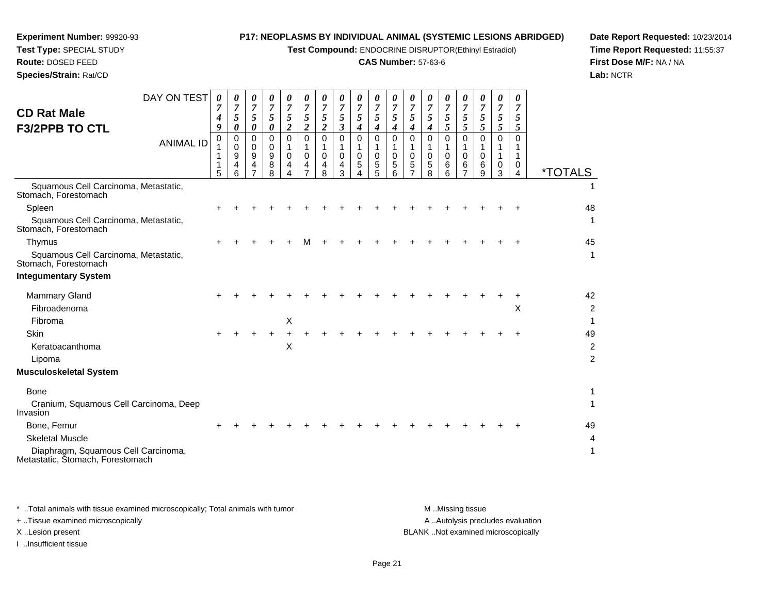**Test Compound:** ENDOCRINE DISRUPTOR(Ethinyl Estradiol)

# **CAS Number:** 57-63-6

**Date Report Requested:** 10/23/2014**Time Report Requested:** 11:55:37**First Dose M/F:** NA / NA**Lab:** NCTR

| <b>CD Rat Male</b><br><b>F3/2PPB TO CTL</b>                             | DAY ON TEST      | 0<br>7<br>4<br>9 | $\theta$<br>$\overline{7}$<br>5<br>0 | $\boldsymbol{\theta}$<br>$\overline{7}$<br>5<br>0 | $\boldsymbol{\theta}$<br>$\overline{7}$<br>5<br>0 | $\boldsymbol{\theta}$<br>$\overline{7}$<br>5<br>$\boldsymbol{2}$ | 0<br>7<br>5<br>2 | U<br>7<br>5<br>2 | U<br>7<br>5<br>3        | $\boldsymbol{\theta}$<br>7<br>5<br>4 | $\boldsymbol{\theta}$<br>$\overline{7}$<br>5<br>4 | $\boldsymbol{\theta}$<br>$\overline{7}$<br>5<br>4 | $\boldsymbol{\theta}$<br>$\overline{7}$<br>5<br>4 | $\theta$<br>7<br>5<br>4 | $\overline{7}$<br>5<br>5 | 5<br>5      | $\boldsymbol{\theta}$<br>7<br>5<br>5 | $\boldsymbol{\theta}$<br>$\overline{7}$<br>5<br>5 | 0<br>7<br>5<br>5               |                         |
|-------------------------------------------------------------------------|------------------|------------------|--------------------------------------|---------------------------------------------------|---------------------------------------------------|------------------------------------------------------------------|------------------|------------------|-------------------------|--------------------------------------|---------------------------------------------------|---------------------------------------------------|---------------------------------------------------|-------------------------|--------------------------|-------------|--------------------------------------|---------------------------------------------------|--------------------------------|-------------------------|
|                                                                         | <b>ANIMAL ID</b> | 0<br>1<br>5      | 0<br>$\Omega$<br>9<br>4<br>6         | 0<br>$\Omega$<br>9<br>4                           | $\mathbf 0$<br>$\Omega$<br>9<br>8<br>8            | 0<br>1<br>0<br>4<br>Δ                                            | 0<br>0<br>4      | 0<br>0<br>4<br>8 | $\Omega$<br>0<br>4<br>3 | $\Omega$<br>1<br>0<br>5<br>4         | $\Omega$<br>0<br>5<br>5                           | $\mathbf 0$<br>0<br>5<br>6                        | 0<br>1<br>0<br>5<br>7                             | 0<br>0<br>5<br>8        | 0<br>0<br>6<br>6         | 0<br>0<br>6 | $\Omega$<br>0<br>6<br>9              | 0<br>1<br>0<br>3                                  | $\Omega$<br>1<br>$\Omega$<br>4 | <i><b>*TOTALS</b></i>   |
| Squamous Cell Carcinoma, Metastatic,<br>Stomach, Forestomach            |                  |                  |                                      |                                                   |                                                   |                                                                  |                  |                  |                         |                                      |                                                   |                                                   |                                                   |                         |                          |             |                                      |                                                   |                                |                         |
| Spleen                                                                  |                  |                  |                                      |                                                   |                                                   |                                                                  |                  |                  |                         |                                      |                                                   |                                                   |                                                   |                         |                          |             |                                      |                                                   |                                | 48                      |
| Squamous Cell Carcinoma, Metastatic,<br>Stomach, Forestomach            |                  |                  |                                      |                                                   |                                                   |                                                                  |                  |                  |                         |                                      |                                                   |                                                   |                                                   |                         |                          |             |                                      |                                                   |                                | 1                       |
| Thymus                                                                  |                  |                  |                                      |                                                   |                                                   |                                                                  | м                |                  |                         |                                      |                                                   |                                                   |                                                   |                         |                          |             |                                      |                                                   |                                | 45                      |
| Squamous Cell Carcinoma, Metastatic,<br>Stomach, Forestomach            |                  |                  |                                      |                                                   |                                                   |                                                                  |                  |                  |                         |                                      |                                                   |                                                   |                                                   |                         |                          |             |                                      |                                                   |                                | 1                       |
| <b>Integumentary System</b>                                             |                  |                  |                                      |                                                   |                                                   |                                                                  |                  |                  |                         |                                      |                                                   |                                                   |                                                   |                         |                          |             |                                      |                                                   |                                |                         |
| Mammary Gland                                                           |                  |                  |                                      |                                                   |                                                   |                                                                  |                  |                  |                         |                                      |                                                   |                                                   |                                                   |                         |                          |             |                                      |                                                   |                                | 42                      |
| Fibroadenoma                                                            |                  |                  |                                      |                                                   |                                                   |                                                                  |                  |                  |                         |                                      |                                                   |                                                   |                                                   |                         |                          |             |                                      |                                                   | X                              | $\overline{\mathbf{c}}$ |
| Fibroma                                                                 |                  |                  |                                      |                                                   |                                                   | X                                                                |                  |                  |                         |                                      |                                                   |                                                   |                                                   |                         |                          |             |                                      |                                                   |                                | $\overline{1}$          |
| Skin                                                                    |                  |                  |                                      |                                                   |                                                   | +                                                                |                  |                  |                         |                                      |                                                   |                                                   |                                                   |                         |                          |             |                                      |                                                   |                                | 49                      |
| Keratoacanthoma                                                         |                  |                  |                                      |                                                   |                                                   | Χ                                                                |                  |                  |                         |                                      |                                                   |                                                   |                                                   |                         |                          |             |                                      |                                                   |                                | $\overline{a}$          |
| Lipoma                                                                  |                  |                  |                                      |                                                   |                                                   |                                                                  |                  |                  |                         |                                      |                                                   |                                                   |                                                   |                         |                          |             |                                      |                                                   |                                | $\overline{c}$          |
| Musculoskeletal System                                                  |                  |                  |                                      |                                                   |                                                   |                                                                  |                  |                  |                         |                                      |                                                   |                                                   |                                                   |                         |                          |             |                                      |                                                   |                                |                         |
| <b>Bone</b>                                                             |                  |                  |                                      |                                                   |                                                   |                                                                  |                  |                  |                         |                                      |                                                   |                                                   |                                                   |                         |                          |             |                                      |                                                   |                                | 1                       |
| Cranium, Squamous Cell Carcinoma, Deep<br>Invasion                      |                  |                  |                                      |                                                   |                                                   |                                                                  |                  |                  |                         |                                      |                                                   |                                                   |                                                   |                         |                          |             |                                      |                                                   |                                | 1                       |
| Bone, Femur                                                             |                  |                  |                                      |                                                   |                                                   |                                                                  |                  |                  |                         |                                      |                                                   |                                                   |                                                   |                         |                          |             |                                      |                                                   |                                | 49                      |
| <b>Skeletal Muscle</b>                                                  |                  |                  |                                      |                                                   |                                                   |                                                                  |                  |                  |                         |                                      |                                                   |                                                   |                                                   |                         |                          |             |                                      |                                                   |                                | 4                       |
| Diaphragm, Squamous Cell Carcinoma,<br>Metastatic, Štomach, Forestomach |                  |                  |                                      |                                                   |                                                   |                                                                  |                  |                  |                         |                                      |                                                   |                                                   |                                                   |                         |                          |             |                                      |                                                   |                                | 1                       |
|                                                                         |                  |                  |                                      |                                                   |                                                   |                                                                  |                  |                  |                         |                                      |                                                   |                                                   |                                                   |                         |                          |             |                                      |                                                   |                                |                         |

**Experiment Number:** 99920-93**Test Type:** SPECIAL STUDY**Route:** DOSED FEED**Species/Strain:** Rat/CD

\* ..Total animals with tissue examined microscopically; Total animals with tumor **M** . Missing tissue M ..Missing tissue A ..Autolysis precludes evaluation + ..Tissue examined microscopically X ..Lesion present BLANK ..Not examined microscopicallyI ..Insufficient tissue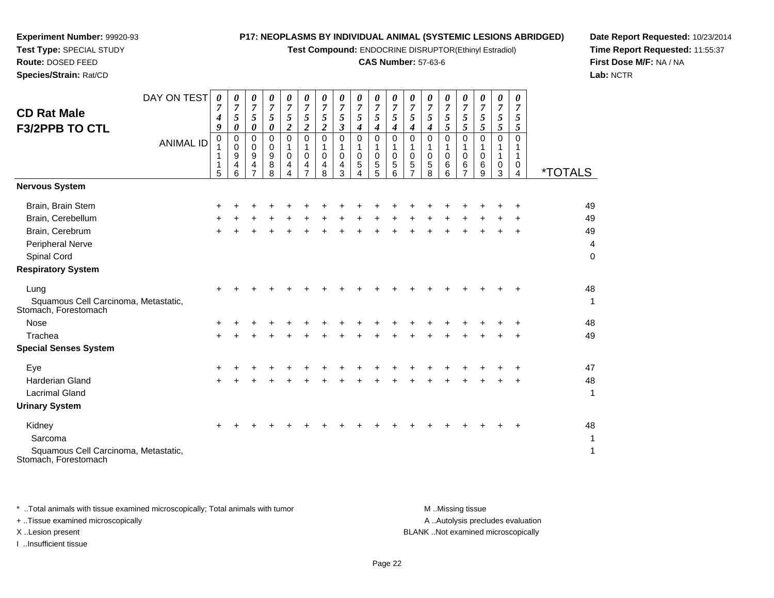**Test Compound:** ENDOCRINE DISRUPTOR(Ethinyl Estradiol)

# **CAS Number:** 57-63-6

**Date Report Requested:** 10/23/2014**Time Report Requested:** 11:55:37**First Dose M/F:** NA / NA**Lab:** NCTR

| <b>CD Rat Male</b>                                                                                                        | DAY ON TEST      | 0<br>7<br>4<br>9 | 0<br>$\boldsymbol{7}$<br>$\sqrt{5}$<br>0     | 0<br>$\boldsymbol{7}$<br>5<br>0    | $\boldsymbol{\theta}$<br>$\overline{7}$<br>5<br>0 | $\theta$<br>$\overline{7}$<br>5<br>$\boldsymbol{2}$             | $\boldsymbol{\theta}$<br>$\overline{7}$<br>5<br>$\boldsymbol{2}$ | 0<br>7<br>$\sqrt{5}$<br>$\boldsymbol{2}$ | 0<br>$\overline{7}$<br>5<br>$\boldsymbol{\beta}$ | $\theta$<br>$\overline{7}$<br>5<br>$\boldsymbol{4}$ | 0<br>$\overline{7}$<br>5<br>4          | $\boldsymbol{\theta}$<br>$\overline{7}$<br>5<br>$\boldsymbol{4}$ | $\theta$<br>$\overline{7}$<br>5<br>4                | 0<br>$\overline{7}$<br>5<br>4   | 0<br>7<br>$\mathfrak{s}$<br>$\mathfrak{S}$ | 0<br>7<br>5<br>5                   | 0<br>7<br>5<br>5 | 0<br>7<br>5<br>5             | 0<br>7<br>5<br>$\mathfrak{s}$                |                                                |
|---------------------------------------------------------------------------------------------------------------------------|------------------|------------------|----------------------------------------------|------------------------------------|---------------------------------------------------|-----------------------------------------------------------------|------------------------------------------------------------------|------------------------------------------|--------------------------------------------------|-----------------------------------------------------|----------------------------------------|------------------------------------------------------------------|-----------------------------------------------------|---------------------------------|--------------------------------------------|------------------------------------|------------------|------------------------------|----------------------------------------------|------------------------------------------------|
| <b>F3/2PPB TO CTL</b>                                                                                                     | <b>ANIMAL ID</b> | 0<br>1<br>1<br>5 | 0<br>$\pmb{0}$<br>$\boldsymbol{9}$<br>4<br>6 | 0<br>0<br>9<br>4<br>$\overline{7}$ | 0<br>0<br>$\boldsymbol{9}$<br>8<br>8              | $\mathbf 0$<br>1<br>$\mathbf 0$<br>4<br>$\overline{\mathbf{4}}$ | $\mathbf 0$<br>1<br>$\mathbf 0$<br>4<br>$\overline{7}$           | 0<br>1<br>$\mathbf 0$<br>4<br>8          | 0<br>1<br>0<br>4<br>3                            | 0<br>1<br>$\mathbf 0$<br>5<br>$\Delta$              | $\Omega$<br>1<br>0<br>$\mathbf 5$<br>5 | 0<br>1<br>0<br>5<br>6                                            | $\Omega$<br>1<br>$\mathbf 0$<br>5<br>$\overline{7}$ | 0<br>1<br>0<br>$\mathbf 5$<br>8 | $\mathbf 0$<br>1<br>0<br>6<br>6            | 0<br>1<br>0<br>6<br>$\overline{7}$ | 0<br>0<br>6<br>9 | $\Omega$<br>1<br>1<br>0<br>3 | $\Omega$<br>$\mathbf{1}$<br>$\mathbf 0$<br>4 | <i><b>*TOTALS</b></i>                          |
| Nervous System                                                                                                            |                  |                  |                                              |                                    |                                                   |                                                                 |                                                                  |                                          |                                                  |                                                     |                                        |                                                                  |                                                     |                                 |                                            |                                    |                  |                              |                                              |                                                |
| Brain, Brain Stem<br>Brain, Cerebellum<br>Brain, Cerebrum<br>Peripheral Nerve<br>Spinal Cord<br><b>Respiratory System</b> |                  | +<br>÷.          |                                              |                                    |                                                   |                                                                 |                                                                  |                                          |                                                  |                                                     |                                        |                                                                  |                                                     |                                 |                                            |                                    |                  |                              | +<br>÷                                       | 49<br>49<br>49<br>$\overline{\mathbf{4}}$<br>0 |
| Lung<br>Squamous Cell Carcinoma, Metastatic,<br>Stomach, Forestomach                                                      |                  |                  |                                              |                                    |                                                   |                                                                 |                                                                  |                                          |                                                  |                                                     |                                        |                                                                  |                                                     |                                 |                                            |                                    |                  |                              |                                              | 48<br>$\mathbf{1}$                             |
| <b>Nose</b><br>Trachea<br><b>Special Senses System</b>                                                                    |                  | ٠                |                                              |                                    |                                                   |                                                                 |                                                                  |                                          |                                                  |                                                     |                                        |                                                                  |                                                     |                                 |                                            |                                    |                  |                              |                                              | 48<br>49                                       |
| Eye<br><b>Harderian Gland</b><br><b>Lacrimal Gland</b><br><b>Urinary System</b>                                           |                  |                  |                                              |                                    |                                                   |                                                                 |                                                                  |                                          |                                                  |                                                     |                                        |                                                                  |                                                     |                                 |                                            |                                    |                  |                              |                                              | 47<br>48<br>$\mathbf{1}$                       |
| Kidney<br>Sarcoma<br>Squamous Cell Carcinoma, Metastatic,<br>Stomach, Forestomach                                         |                  | ٠                |                                              |                                    |                                                   |                                                                 |                                                                  |                                          |                                                  |                                                     |                                        |                                                                  |                                                     |                                 |                                            |                                    |                  |                              |                                              | 48<br>$\mathbf{1}$<br>1                        |

**Experiment Number:** 99920-93**Test Type:** SPECIAL STUDY**Route:** DOSED FEED**Species/Strain:** Rat/CD

\* ..Total animals with tissue examined microscopically; Total animals with tumor **M** . Missing tissue M ..Missing tissue A ..Autolysis precludes evaluation + ..Tissue examined microscopically X ..Lesion present BLANK ..Not examined microscopicallyI ..Insufficient tissue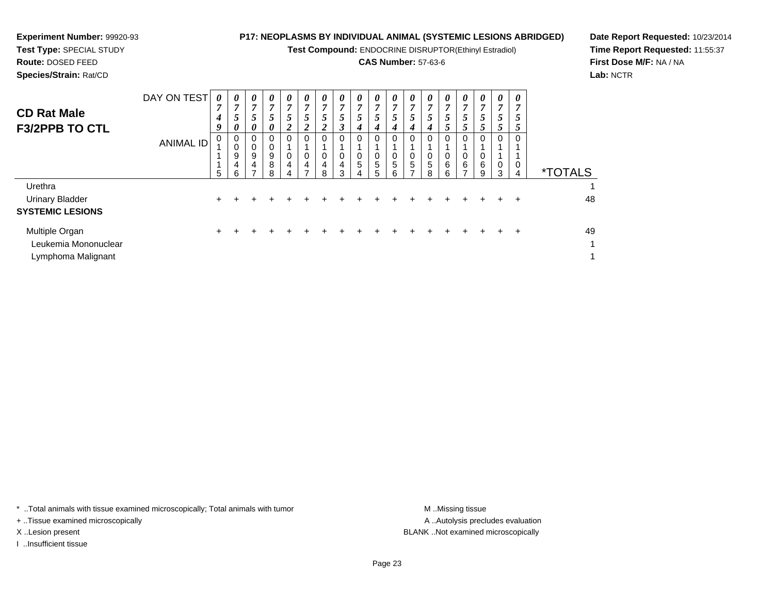**Test Compound:** ENDOCRINE DISRUPTOR(Ethinyl Estradiol)

# **CAS Number:** 57-63-6

**Date Report Requested:** 10/23/2014**Time Report Requested:** 11:55:37**First Dose M/F:** NA / NA**Lab:** NCTR

**Experiment Number:** 99920-93**Test Type:** SPECIAL STUDY

| <b>CD Rat Male</b><br><b>F3/2PPB TO CTL</b>                  | DAY ON TEST<br><b>ANIMAL ID</b> | $\boldsymbol{\theta}$<br>$\overline{7}$<br>4<br>$\boldsymbol{q}$<br>0<br>5 | 0<br>7<br>5<br>$\boldsymbol{\theta}$<br>0<br>0<br>9<br>4<br>6 | $\boldsymbol{\theta}$<br>7<br>5<br>0<br>0<br>0<br>9<br>4 | 0<br>$\overline{7}$<br>$5\overline{)}$<br>0<br>0<br>$\mathbf 0$<br>9<br>8<br>8 | $\boldsymbol{\theta}$<br>$\overline{7}$<br>$5\overline{)}$<br>2<br>0<br>$\mathbf 0$<br>4<br>4 | 0<br>$\overline{ }$<br>Ć<br>$\Omega$<br>0<br>4 | 0<br>7<br>5<br>4<br>8 | 0<br>$\overline{ }$<br>$\mathfrak{Z}$<br>0<br>0<br>4<br>3 | 0<br>$\overline{ }$<br>5<br>4<br>0<br>0<br>5<br>4 | $\boldsymbol{\theta}$<br>7<br>5<br>4<br>0<br>0<br>5<br>5 | U<br>7<br>5<br>4<br>0<br>0<br>5<br>6 | $\boldsymbol{\theta}$<br>$\overline{7}$<br>5<br>4<br>0<br>$\begin{array}{c} 0 \\ 5 \end{array}$ | $\boldsymbol{\theta}$<br>7<br>5<br>4<br>$\Omega$<br>0<br>5<br>8 | $\boldsymbol{\theta}$<br>7<br>5<br>5<br>0<br>6<br>6. | $\boldsymbol{\theta}$<br>$\overline{7}$<br>5<br>0<br>0<br>6<br>⇁ | 0<br>7<br>$\mathfrak{I}$<br>$\Omega$<br>0<br>6<br>9 | 0<br>7<br>5<br>$\mathfrak{p}$<br>0<br>0<br>3 | 0<br>7<br>$\mathfrak{Z}$<br>5<br>0<br>4 | <i><b>*TOTALS</b></i> |
|--------------------------------------------------------------|---------------------------------|----------------------------------------------------------------------------|---------------------------------------------------------------|----------------------------------------------------------|--------------------------------------------------------------------------------|-----------------------------------------------------------------------------------------------|------------------------------------------------|-----------------------|-----------------------------------------------------------|---------------------------------------------------|----------------------------------------------------------|--------------------------------------|-------------------------------------------------------------------------------------------------|-----------------------------------------------------------------|------------------------------------------------------|------------------------------------------------------------------|-----------------------------------------------------|----------------------------------------------|-----------------------------------------|-----------------------|
| Urethra                                                      |                                 |                                                                            |                                                               |                                                          |                                                                                |                                                                                               |                                                |                       |                                                           |                                                   |                                                          |                                      |                                                                                                 |                                                                 |                                                      |                                                                  |                                                     |                                              |                                         |                       |
| Urinary Bladder                                              |                                 | ÷.                                                                         |                                                               |                                                          |                                                                                |                                                                                               |                                                |                       |                                                           |                                                   |                                                          |                                      |                                                                                                 |                                                                 |                                                      |                                                                  |                                                     |                                              | ÷                                       | 48                    |
| <b>SYSTEMIC LESIONS</b>                                      |                                 |                                                                            |                                                               |                                                          |                                                                                |                                                                                               |                                                |                       |                                                           |                                                   |                                                          |                                      |                                                                                                 |                                                                 |                                                      |                                                                  |                                                     |                                              |                                         |                       |
| Multiple Organ<br>Leukemia Mononuclear<br>Lymphoma Malignant |                                 | ÷.                                                                         |                                                               |                                                          |                                                                                |                                                                                               |                                                |                       |                                                           |                                                   |                                                          |                                      |                                                                                                 |                                                                 |                                                      |                                                                  |                                                     |                                              |                                         | 49<br>1<br>1          |

\* ..Total animals with tissue examined microscopically; Total animals with tumor

+ ..Tissue examined microscopically

I ..Insufficient tissue

A .. Autolysis precludes evaluation X ..Lesion present BLANK ..Not examined microscopically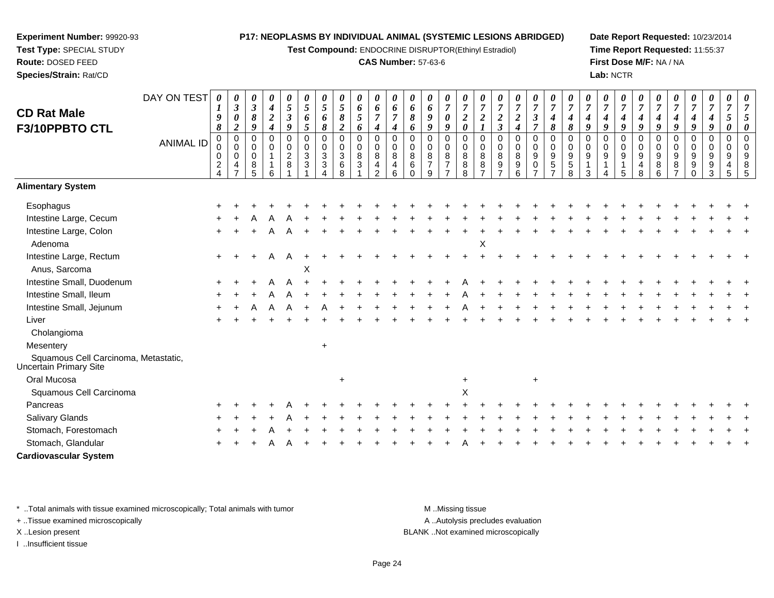**Test Compound:** ENDOCRINE DISRUPTOR(Ethinyl Estradiol)

# **CAS Number:** 57-63-6

**Date Report Requested:** 10/23/2014**Time Report Requested:** 11:55:37**First Dose M/F:** NA / NA**Lab:** NCTR

| <b>CD Rat Male</b><br>F3/10PPBTO CTL                           | DAY ON TEST<br><b>ANIMAL ID</b> | 0<br>$\boldsymbol{l}$<br>9<br>8<br>0<br>0<br>0<br>$\overline{\mathbf{c}}$ | 0<br>$\mathfrak{z}$<br>$\pmb{\theta}$<br>$\overline{2}$<br>$\pmb{0}$<br>$\pmb{0}$<br>$\pmb{0}$<br>4 | 0<br>$\mathfrak{z}$<br>$\pmb{8}$<br>$\boldsymbol{q}$<br>$\mathbf 0$<br>$\mathbf 0$<br>$\mathbf 0$<br>8 | 0<br>$\boldsymbol{4}$<br>$\boldsymbol{2}$<br>$\boldsymbol{4}$<br>$\mathbf 0$<br>0 | $\boldsymbol{\theta}$<br>5<br>$\boldsymbol{\beta}$<br>9<br>$\mathbf 0$<br>$\pmb{0}$<br>$\overline{c}$<br>$\,8\,$ | 0<br>5<br>6<br>5<br>0<br>0<br>$\mathbf{3}$<br>3 | 0<br>$\sqrt{5}$<br>6<br>8<br>$\mathbf 0$<br>$\pmb{0}$<br>$\ensuremath{\mathsf{3}}$<br>$\ensuremath{\mathsf{3}}$ | 0<br>5<br>8<br>$\boldsymbol{2}$<br>$\mathbf 0$<br>$\pmb{0}$<br>$\sqrt{3}$<br>$\,6$ | $\boldsymbol{\theta}$<br>6<br>$\overline{5}$<br>6<br>0<br>$\pmb{0}$<br>$\bf8$<br>$\ensuremath{\mathsf{3}}$ | $\pmb{\theta}$<br>6<br>$\overline{7}$<br>4<br>$\mathbf 0$<br>$\pmb{0}$<br>$\,8\,$<br>$\overline{4}$ | 0<br>6<br>$\overline{7}$<br>4<br>$\Omega$<br>0<br>8<br>$\overline{\mathbf{4}}$ | 0<br>6<br>8<br>6<br>$\Omega$<br>$\mathbf 0$<br>8<br>$\,6\,$ | 0<br>6<br>9<br>$\boldsymbol{q}$<br>$\Omega$<br>$\mathbf 0$<br>8<br>$\overline{ }$ | 0<br>$\overline{7}$<br>0<br>9<br>$\mathbf 0$<br>0<br>$\bf 8$<br>$\overline{7}$ | $\boldsymbol{\theta}$<br>$\overline{7}$<br>$\boldsymbol{2}$<br>$\boldsymbol{\theta}$<br>0<br>$\pmb{0}$<br>$\,8\,$<br>$\bf 8$ | 0<br>$\overline{7}$<br>$\boldsymbol{2}$<br>$\mathbf 0$<br>$\mathbf 0$<br>8<br>$\bf 8$ | 0<br>$\overline{7}$<br>$\overline{2}$<br>$\mathfrak{z}$<br>$\Omega$<br>$\mathbf 0$<br>8<br>$\boldsymbol{9}$ | 0<br>$\overline{7}$<br>$\boldsymbol{2}$<br>4<br>$\mathbf 0$<br>$\pmb{0}$<br>$\bf 8$<br>9 | 0<br>$\overline{7}$<br>$\boldsymbol{\beta}$<br>$\overline{7}$<br>0<br>$\mathbf 0$<br>$\boldsymbol{9}$<br>$\mathbf 0$ | $\frac{\theta}{7}$<br>$\boldsymbol{4}$<br>8<br>$\mathbf 0$<br>$\pmb{0}$<br>$\boldsymbol{9}$<br>$\overline{5}$ | $\boldsymbol{\theta}$<br>$\overline{7}$<br>$\boldsymbol{4}$<br>8<br>$\mathbf 0$<br>$\mathbf 0$<br>$\boldsymbol{9}$<br>$\sqrt{5}$ | 0<br>$\overline{7}$<br>4<br>9<br>$\Omega$<br>$\Omega$<br>9<br>$\mathbf 1$ | 0<br>$\overline{7}$<br>4<br>$\boldsymbol{q}$<br>$\Omega$<br>$\mathbf 0$<br>9 | 0<br>$\boldsymbol{7}$<br>$\boldsymbol{4}$<br>9<br>$\Omega$<br>0<br>9 | 0<br>$\overline{7}$<br>$\boldsymbol{4}$<br>9<br>$\Omega$<br>$\mathbf 0$<br>$\boldsymbol{9}$<br>$\overline{\mathbf{4}}$ | 0<br>$\overline{7}$<br>$\boldsymbol{4}$<br>9<br>$\mathbf 0$<br>$\mathbf 0$<br>$\boldsymbol{9}$<br>$\, 8$ | 0<br>$\overline{7}$<br>4<br>9<br>$\Omega$<br>0<br>9<br>8 | 0<br>$\overline{7}$<br>4<br>$\boldsymbol{q}$<br>0<br>0<br>9<br>9 | 0<br>$\overline{7}$<br>$\boldsymbol{4}$<br>9<br>$\Omega$<br>0<br>$\boldsymbol{9}$<br>$\boldsymbol{9}$ | 0<br>$\overline{7}$<br>5<br>$\boldsymbol{\theta}$<br>$\mathbf 0$<br>$\mathbf 0$<br>9<br>$\overline{4}$ |   |
|----------------------------------------------------------------|---------------------------------|---------------------------------------------------------------------------|-----------------------------------------------------------------------------------------------------|--------------------------------------------------------------------------------------------------------|-----------------------------------------------------------------------------------|------------------------------------------------------------------------------------------------------------------|-------------------------------------------------|-----------------------------------------------------------------------------------------------------------------|------------------------------------------------------------------------------------|------------------------------------------------------------------------------------------------------------|-----------------------------------------------------------------------------------------------------|--------------------------------------------------------------------------------|-------------------------------------------------------------|-----------------------------------------------------------------------------------|--------------------------------------------------------------------------------|------------------------------------------------------------------------------------------------------------------------------|---------------------------------------------------------------------------------------|-------------------------------------------------------------------------------------------------------------|------------------------------------------------------------------------------------------|----------------------------------------------------------------------------------------------------------------------|---------------------------------------------------------------------------------------------------------------|----------------------------------------------------------------------------------------------------------------------------------|---------------------------------------------------------------------------|------------------------------------------------------------------------------|----------------------------------------------------------------------|------------------------------------------------------------------------------------------------------------------------|----------------------------------------------------------------------------------------------------------|----------------------------------------------------------|------------------------------------------------------------------|-------------------------------------------------------------------------------------------------------|--------------------------------------------------------------------------------------------------------|---|
| <b>Alimentary System</b>                                       |                                 | $\overline{4}$                                                            | $\overline{z}$                                                                                      | 5                                                                                                      | 6                                                                                 |                                                                                                                  |                                                 | $\boldsymbol{\Lambda}$                                                                                          | 8                                                                                  |                                                                                                            | 2                                                                                                   | 6                                                                              | $\Omega$                                                    | 9                                                                                 | $\overline{ }$                                                                 | 8                                                                                                                            | $\overline{z}$                                                                        | $\overline{7}$                                                                                              | 6                                                                                        | $\overline{z}$                                                                                                       | $\overline{7}$                                                                                                | 8                                                                                                                                | 3                                                                         |                                                                              | 5                                                                    | 8                                                                                                                      | $6\phantom{1}$                                                                                           | $\overline{7}$                                           | $\Omega$                                                         | $\mathbf{3}$                                                                                          | 5                                                                                                      | 5 |
|                                                                |                                 |                                                                           |                                                                                                     |                                                                                                        |                                                                                   |                                                                                                                  |                                                 |                                                                                                                 |                                                                                    |                                                                                                            |                                                                                                     |                                                                                |                                                             |                                                                                   |                                                                                |                                                                                                                              |                                                                                       |                                                                                                             |                                                                                          |                                                                                                                      |                                                                                                               |                                                                                                                                  |                                                                           |                                                                              |                                                                      |                                                                                                                        |                                                                                                          |                                                          |                                                                  |                                                                                                       |                                                                                                        |   |
| Esophagus                                                      |                                 |                                                                           |                                                                                                     |                                                                                                        |                                                                                   |                                                                                                                  |                                                 |                                                                                                                 |                                                                                    |                                                                                                            |                                                                                                     |                                                                                |                                                             |                                                                                   |                                                                                |                                                                                                                              |                                                                                       |                                                                                                             |                                                                                          |                                                                                                                      |                                                                                                               |                                                                                                                                  |                                                                           |                                                                              |                                                                      |                                                                                                                        |                                                                                                          |                                                          |                                                                  |                                                                                                       |                                                                                                        |   |
| Intestine Large, Cecum                                         |                                 |                                                                           |                                                                                                     |                                                                                                        |                                                                                   |                                                                                                                  |                                                 |                                                                                                                 |                                                                                    |                                                                                                            |                                                                                                     |                                                                                |                                                             |                                                                                   |                                                                                |                                                                                                                              |                                                                                       |                                                                                                             |                                                                                          |                                                                                                                      |                                                                                                               |                                                                                                                                  |                                                                           |                                                                              |                                                                      |                                                                                                                        |                                                                                                          |                                                          |                                                                  |                                                                                                       |                                                                                                        |   |
| Intestine Large, Colon<br>Adenoma                              |                                 |                                                                           |                                                                                                     |                                                                                                        | A                                                                                 | A                                                                                                                |                                                 |                                                                                                                 |                                                                                    |                                                                                                            |                                                                                                     |                                                                                |                                                             |                                                                                   |                                                                                |                                                                                                                              | X                                                                                     |                                                                                                             |                                                                                          |                                                                                                                      |                                                                                                               |                                                                                                                                  |                                                                           |                                                                              |                                                                      |                                                                                                                        |                                                                                                          |                                                          |                                                                  |                                                                                                       |                                                                                                        |   |
| Intestine Large, Rectum<br>Anus, Sarcoma                       |                                 |                                                                           |                                                                                                     |                                                                                                        | A                                                                                 | A                                                                                                                | X                                               |                                                                                                                 |                                                                                    |                                                                                                            |                                                                                                     |                                                                                |                                                             |                                                                                   |                                                                                |                                                                                                                              |                                                                                       |                                                                                                             |                                                                                          |                                                                                                                      |                                                                                                               |                                                                                                                                  |                                                                           |                                                                              |                                                                      |                                                                                                                        |                                                                                                          |                                                          |                                                                  |                                                                                                       |                                                                                                        |   |
| Intestine Small, Duodenum                                      |                                 |                                                                           |                                                                                                     |                                                                                                        |                                                                                   |                                                                                                                  |                                                 |                                                                                                                 |                                                                                    |                                                                                                            |                                                                                                     |                                                                                |                                                             |                                                                                   |                                                                                |                                                                                                                              |                                                                                       |                                                                                                             |                                                                                          |                                                                                                                      |                                                                                                               |                                                                                                                                  |                                                                           |                                                                              |                                                                      |                                                                                                                        |                                                                                                          |                                                          |                                                                  |                                                                                                       |                                                                                                        |   |
| Intestine Small, Ileum                                         |                                 |                                                                           |                                                                                                     |                                                                                                        |                                                                                   |                                                                                                                  |                                                 |                                                                                                                 |                                                                                    |                                                                                                            |                                                                                                     |                                                                                |                                                             |                                                                                   |                                                                                |                                                                                                                              |                                                                                       |                                                                                                             |                                                                                          |                                                                                                                      |                                                                                                               |                                                                                                                                  |                                                                           |                                                                              |                                                                      |                                                                                                                        |                                                                                                          |                                                          |                                                                  |                                                                                                       |                                                                                                        |   |
| Intestine Small, Jejunum                                       |                                 |                                                                           |                                                                                                     |                                                                                                        |                                                                                   |                                                                                                                  |                                                 |                                                                                                                 |                                                                                    |                                                                                                            |                                                                                                     |                                                                                |                                                             |                                                                                   |                                                                                |                                                                                                                              |                                                                                       |                                                                                                             |                                                                                          |                                                                                                                      |                                                                                                               |                                                                                                                                  |                                                                           |                                                                              |                                                                      |                                                                                                                        |                                                                                                          |                                                          |                                                                  |                                                                                                       |                                                                                                        |   |
| Liver                                                          |                                 |                                                                           |                                                                                                     |                                                                                                        |                                                                                   |                                                                                                                  |                                                 |                                                                                                                 |                                                                                    |                                                                                                            |                                                                                                     |                                                                                |                                                             |                                                                                   |                                                                                |                                                                                                                              |                                                                                       |                                                                                                             |                                                                                          |                                                                                                                      |                                                                                                               |                                                                                                                                  |                                                                           |                                                                              |                                                                      |                                                                                                                        |                                                                                                          |                                                          |                                                                  |                                                                                                       |                                                                                                        |   |
| Cholangioma                                                    |                                 |                                                                           |                                                                                                     |                                                                                                        |                                                                                   |                                                                                                                  |                                                 |                                                                                                                 |                                                                                    |                                                                                                            |                                                                                                     |                                                                                |                                                             |                                                                                   |                                                                                |                                                                                                                              |                                                                                       |                                                                                                             |                                                                                          |                                                                                                                      |                                                                                                               |                                                                                                                                  |                                                                           |                                                                              |                                                                      |                                                                                                                        |                                                                                                          |                                                          |                                                                  |                                                                                                       |                                                                                                        |   |
| Mesentery                                                      |                                 |                                                                           |                                                                                                     |                                                                                                        |                                                                                   |                                                                                                                  |                                                 | $+$                                                                                                             |                                                                                    |                                                                                                            |                                                                                                     |                                                                                |                                                             |                                                                                   |                                                                                |                                                                                                                              |                                                                                       |                                                                                                             |                                                                                          |                                                                                                                      |                                                                                                               |                                                                                                                                  |                                                                           |                                                                              |                                                                      |                                                                                                                        |                                                                                                          |                                                          |                                                                  |                                                                                                       |                                                                                                        |   |
| Squamous Cell Carcinoma, Metastatic,<br>Uncertain Primary Site |                                 |                                                                           |                                                                                                     |                                                                                                        |                                                                                   |                                                                                                                  |                                                 |                                                                                                                 |                                                                                    |                                                                                                            |                                                                                                     |                                                                                |                                                             |                                                                                   |                                                                                |                                                                                                                              |                                                                                       |                                                                                                             |                                                                                          |                                                                                                                      |                                                                                                               |                                                                                                                                  |                                                                           |                                                                              |                                                                      |                                                                                                                        |                                                                                                          |                                                          |                                                                  |                                                                                                       |                                                                                                        |   |
| Oral Mucosa                                                    |                                 |                                                                           |                                                                                                     |                                                                                                        |                                                                                   |                                                                                                                  |                                                 |                                                                                                                 | $\ddot{}$                                                                          |                                                                                                            |                                                                                                     |                                                                                |                                                             |                                                                                   |                                                                                | $\ddot{}$                                                                                                                    |                                                                                       |                                                                                                             |                                                                                          | $\ddot{}$                                                                                                            |                                                                                                               |                                                                                                                                  |                                                                           |                                                                              |                                                                      |                                                                                                                        |                                                                                                          |                                                          |                                                                  |                                                                                                       |                                                                                                        |   |
| Squamous Cell Carcinoma                                        |                                 |                                                                           |                                                                                                     |                                                                                                        |                                                                                   |                                                                                                                  |                                                 |                                                                                                                 |                                                                                    |                                                                                                            |                                                                                                     |                                                                                |                                                             |                                                                                   |                                                                                | X                                                                                                                            |                                                                                       |                                                                                                             |                                                                                          |                                                                                                                      |                                                                                                               |                                                                                                                                  |                                                                           |                                                                              |                                                                      |                                                                                                                        |                                                                                                          |                                                          |                                                                  |                                                                                                       |                                                                                                        |   |
| Pancreas                                                       |                                 |                                                                           |                                                                                                     |                                                                                                        |                                                                                   |                                                                                                                  |                                                 |                                                                                                                 |                                                                                    |                                                                                                            |                                                                                                     |                                                                                |                                                             |                                                                                   |                                                                                |                                                                                                                              |                                                                                       |                                                                                                             |                                                                                          |                                                                                                                      |                                                                                                               |                                                                                                                                  |                                                                           |                                                                              |                                                                      |                                                                                                                        |                                                                                                          |                                                          |                                                                  |                                                                                                       |                                                                                                        |   |
| <b>Salivary Glands</b>                                         |                                 |                                                                           |                                                                                                     |                                                                                                        |                                                                                   |                                                                                                                  |                                                 |                                                                                                                 |                                                                                    |                                                                                                            |                                                                                                     |                                                                                |                                                             |                                                                                   |                                                                                |                                                                                                                              |                                                                                       |                                                                                                             |                                                                                          |                                                                                                                      |                                                                                                               |                                                                                                                                  |                                                                           |                                                                              |                                                                      |                                                                                                                        |                                                                                                          |                                                          |                                                                  |                                                                                                       |                                                                                                        |   |
| Stomach, Forestomach                                           |                                 |                                                                           |                                                                                                     |                                                                                                        |                                                                                   |                                                                                                                  |                                                 |                                                                                                                 |                                                                                    |                                                                                                            |                                                                                                     |                                                                                |                                                             |                                                                                   |                                                                                |                                                                                                                              |                                                                                       |                                                                                                             |                                                                                          |                                                                                                                      |                                                                                                               |                                                                                                                                  |                                                                           |                                                                              |                                                                      |                                                                                                                        |                                                                                                          |                                                          |                                                                  |                                                                                                       |                                                                                                        |   |
| Stomach, Glandular                                             |                                 |                                                                           |                                                                                                     |                                                                                                        |                                                                                   |                                                                                                                  |                                                 |                                                                                                                 |                                                                                    |                                                                                                            |                                                                                                     |                                                                                |                                                             |                                                                                   |                                                                                |                                                                                                                              |                                                                                       |                                                                                                             |                                                                                          |                                                                                                                      |                                                                                                               |                                                                                                                                  |                                                                           |                                                                              |                                                                      |                                                                                                                        |                                                                                                          |                                                          |                                                                  |                                                                                                       |                                                                                                        |   |
| <b>Cardiovascular System</b>                                   |                                 |                                                                           |                                                                                                     |                                                                                                        |                                                                                   |                                                                                                                  |                                                 |                                                                                                                 |                                                                                    |                                                                                                            |                                                                                                     |                                                                                |                                                             |                                                                                   |                                                                                |                                                                                                                              |                                                                                       |                                                                                                             |                                                                                          |                                                                                                                      |                                                                                                               |                                                                                                                                  |                                                                           |                                                                              |                                                                      |                                                                                                                        |                                                                                                          |                                                          |                                                                  |                                                                                                       |                                                                                                        |   |

\* ..Total animals with tissue examined microscopically; Total animals with tumor **M** . Missing tissue M ..Missing tissue

+ ..Tissue examined microscopically

**Experiment Number:** 99920-93**Test Type:** SPECIAL STUDY**Route:** DOSED FEED**Species/Strain:** Rat/CD

I ..Insufficient tissue

A ..Autolysis precludes evaluation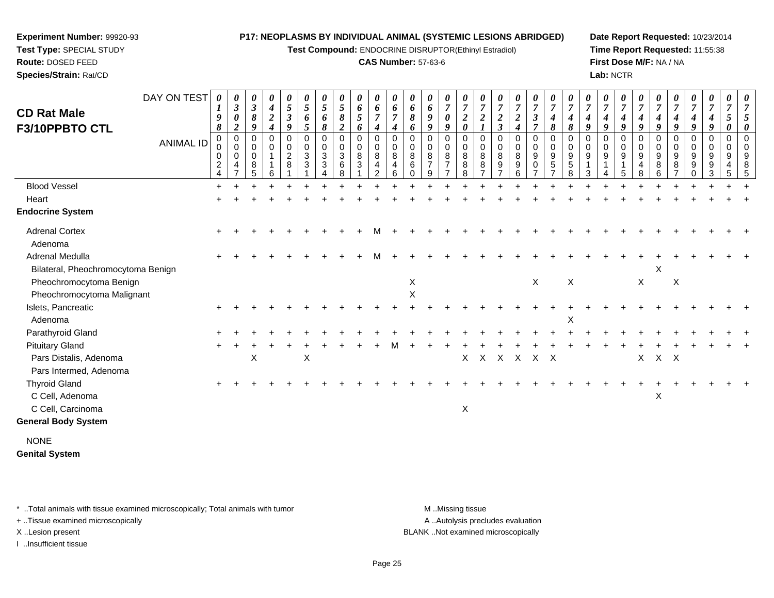**Test Compound:** ENDOCRINE DISRUPTOR(Ethinyl Estradiol)

#### **CAS Number:** 57-63-6

**Date Report Requested:** 10/23/2014**Time Report Requested:** 11:55:38**First Dose M/F:** NA / NA**Lab:** NCTR

|                                    | DAY ON TEST      | 0                                        | $\boldsymbol{\theta}$                   | 0                               | 0                                    | 0                                      | 0                                | 0           | 0                                | 0                                 | 0                   | $\theta$            | 0             | 0                   | $\boldsymbol{\theta}$                   |                                    | $\boldsymbol{\theta}$              | $\boldsymbol{\theta}$              | $\boldsymbol{\theta}$            | 0                                         | $\boldsymbol{\theta}$              | 0                                              | 0                                  | 0                                              | $\boldsymbol{\theta}$ | $\boldsymbol{\theta}$              | 0                                    | 0                                         | 0                                   | 0                                  | 0                     | $\boldsymbol{\theta}$    |
|------------------------------------|------------------|------------------------------------------|-----------------------------------------|---------------------------------|--------------------------------------|----------------------------------------|----------------------------------|-------------|----------------------------------|-----------------------------------|---------------------|---------------------|---------------|---------------------|-----------------------------------------|------------------------------------|------------------------------------|------------------------------------|----------------------------------|-------------------------------------------|------------------------------------|------------------------------------------------|------------------------------------|------------------------------------------------|-----------------------|------------------------------------|--------------------------------------|-------------------------------------------|-------------------------------------|------------------------------------|-----------------------|--------------------------|
| <b>CD Rat Male</b>                 |                  | 1<br>9                                   | $\mathfrak{z}$<br>$\boldsymbol{\theta}$ | $\mathfrak{z}$<br>$\pmb{8}$     | $\boldsymbol{4}$<br>$\boldsymbol{2}$ | $\mathfrak{s}$<br>$\boldsymbol{\beta}$ | 5<br>6                           | 5<br>6      | 5<br>8                           | 6<br>$\sqrt{5}$                   | 6<br>$\overline{7}$ | 6<br>$\overline{7}$ | 6<br>8        | 6<br>9              | $\overline{7}$<br>$\boldsymbol{\theta}$ | $\overline{7}$<br>$\boldsymbol{2}$ | $\overline{7}$<br>$\boldsymbol{2}$ | $\overline{7}$<br>$\boldsymbol{2}$ | $\overline{7}$<br>$\overline{c}$ | $\overline{7}$<br>$\overline{\mathbf{3}}$ | $\overline{7}$<br>$\boldsymbol{4}$ | $\overline{7}$<br>$\boldsymbol{4}$             | $\overline{7}$<br>$\boldsymbol{4}$ | $\overline{7}$<br>$\boldsymbol{4}$             | $\overline{7}$        | $\overline{7}$<br>$\boldsymbol{4}$ | $\overline{7}$<br>4                  | $\overline{7}$<br>4                       | $\overline{7}$<br>$\boldsymbol{4}$  | $\overline{7}$<br>$\boldsymbol{4}$ | $\overline{7}$<br>5   | $\overline{7}$<br>5      |
| F3/10PPBTO CTL                     |                  | 8                                        | $\overline{2}$                          | 9                               | $\boldsymbol{4}$                     | 9                                      | 5                                | 8           | $\overline{2}$                   | 6                                 | 4                   | $\boldsymbol{4}$    | 6             | 9                   | 9                                       | 0                                  | $\mathbf{r}$                       | $\mathfrak{z}$                     | 4                                | $\overline{7}$                            | 8                                  | $\pmb{8}$                                      | 9                                  | $\boldsymbol{g}$                               | 9                     | 9                                  | 9                                    | 9                                         | 9                                   | 9                                  | 0                     | $\boldsymbol{\theta}$    |
|                                    | <b>ANIMAL ID</b> | $\mathbf 0$<br>0                         | 0<br>0<br>0                             | $\mathbf 0$<br>0<br>$\mathbf 0$ | 0<br>0<br>1                          | $\mathbf 0$<br>0<br>$\boldsymbol{2}$   | $\mathbf 0$<br>0<br>$\mathbf{3}$ | 0<br>0<br>3 | 0<br>$\pmb{0}$<br>$\overline{3}$ | $\pmb{0}$<br>$\pmb{0}$<br>$\,8\,$ | 0<br>0<br>$\,8\,$   | $\Omega$<br>0<br>8  | 0<br>0<br>8   | 0<br>0<br>8         | $\pmb{0}$<br>$\pmb{0}$<br>$\bf8$        | $\mathbf 0$<br>0<br>8              | $\mathbf 0$<br>0<br>8              | 0<br>$\,0\,$<br>$\, 8$             | 0<br>$\mathbf 0$<br>8            | 0<br>0<br>9                               | $\mathbf 0$<br>$\mathbf 0$<br>9    | $\mathbf 0$<br>$\mathbf 0$<br>$\boldsymbol{9}$ | 0<br>0<br>$\boldsymbol{9}$         | $\mathbf 0$<br>$\mathbf 0$<br>$\boldsymbol{9}$ | $\Omega$<br>0<br>9    | $\mathbf 0$<br>0<br>9              | $\mathbf 0$<br>0<br>$\boldsymbol{9}$ | 0<br>$\boldsymbol{0}$<br>$\boldsymbol{9}$ | $\mathbf 0$<br>$\mathbf 0$<br>$9\,$ | $\mathbf 0$<br>0<br>9              | $\mathbf 0$<br>0<br>9 | $\overline{0}$<br>0<br>9 |
|                                    |                  | $\overline{c}$<br>$\boldsymbol{\Lambda}$ | 4<br>$\overline{ }$                     | 8<br>5                          | 6                                    | 8                                      | 3                                | 3           | 6<br>8                           | $\mathbf{3}$                      | 4<br>2              | 4<br>6              | 6<br>$\Omega$ | $\overline{7}$<br>9 | $\overline{7}$                          | 8<br>8                             | 8<br>$\overline{ }$                | $\boldsymbol{9}$<br>$\overline{ }$ | 9<br>6                           | 0<br>$\overline{ }$                       | $\sqrt{5}$<br>$\overline{ }$       | $\,$ 5 $\,$<br>8                               | -1<br>3                            | $\mathbf{1}$<br>4                              | 1<br>5                | 4<br>8                             | 8<br>6                               | 8                                         | $9\,$<br>$\Omega$                   | 9<br>3                             | 4<br>5                | 8<br>5                   |
| <b>Blood Vessel</b>                |                  | $+$                                      |                                         |                                 |                                      |                                        |                                  |             |                                  |                                   |                     |                     |               |                     |                                         |                                    |                                    |                                    |                                  |                                           |                                    |                                                |                                    |                                                |                       |                                    |                                      |                                           |                                     |                                    |                       |                          |
| Heart                              |                  |                                          |                                         |                                 |                                      |                                        |                                  |             |                                  |                                   |                     |                     |               |                     |                                         |                                    |                                    |                                    |                                  |                                           |                                    |                                                |                                    |                                                |                       |                                    |                                      |                                           |                                     |                                    |                       |                          |
| <b>Endocrine System</b>            |                  |                                          |                                         |                                 |                                      |                                        |                                  |             |                                  |                                   |                     |                     |               |                     |                                         |                                    |                                    |                                    |                                  |                                           |                                    |                                                |                                    |                                                |                       |                                    |                                      |                                           |                                     |                                    |                       |                          |
| <b>Adrenal Cortex</b>              |                  |                                          |                                         |                                 |                                      |                                        |                                  |             |                                  |                                   |                     |                     |               |                     |                                         |                                    |                                    |                                    |                                  |                                           |                                    |                                                |                                    |                                                |                       |                                    |                                      |                                           |                                     |                                    |                       |                          |
| Adenoma                            |                  |                                          |                                         |                                 |                                      |                                        |                                  |             |                                  |                                   |                     |                     |               |                     |                                         |                                    |                                    |                                    |                                  |                                           |                                    |                                                |                                    |                                                |                       |                                    |                                      |                                           |                                     |                                    |                       |                          |
| <b>Adrenal Medulla</b>             |                  |                                          |                                         |                                 |                                      |                                        |                                  |             |                                  |                                   |                     |                     |               |                     |                                         |                                    |                                    |                                    |                                  |                                           |                                    |                                                |                                    |                                                |                       |                                    |                                      |                                           |                                     |                                    |                       |                          |
| Bilateral, Pheochromocytoma Benign |                  |                                          |                                         |                                 |                                      |                                        |                                  |             |                                  |                                   |                     |                     |               |                     |                                         |                                    |                                    |                                    |                                  |                                           |                                    |                                                |                                    |                                                |                       |                                    | X                                    |                                           |                                     |                                    |                       |                          |
| Pheochromocytoma Benign            |                  |                                          |                                         |                                 |                                      |                                        |                                  |             |                                  |                                   |                     |                     | X             |                     |                                         |                                    |                                    |                                    |                                  | X                                         |                                    | $\boldsymbol{\mathsf{X}}$                      |                                    |                                                |                       | $\mathsf X$                        |                                      | $\boldsymbol{\mathsf{X}}$                 |                                     |                                    |                       |                          |
| Pheochromocytoma Malignant         |                  |                                          |                                         |                                 |                                      |                                        |                                  |             |                                  |                                   |                     |                     | X             |                     |                                         |                                    |                                    |                                    |                                  |                                           |                                    |                                                |                                    |                                                |                       |                                    |                                      |                                           |                                     |                                    |                       |                          |
| Islets, Pancreatic                 |                  |                                          |                                         |                                 |                                      |                                        |                                  |             |                                  |                                   |                     |                     |               |                     |                                         |                                    |                                    |                                    |                                  |                                           |                                    |                                                |                                    |                                                |                       |                                    |                                      |                                           |                                     |                                    |                       |                          |
| Adenoma                            |                  |                                          |                                         |                                 |                                      |                                        |                                  |             |                                  |                                   |                     |                     |               |                     |                                         |                                    |                                    |                                    |                                  |                                           |                                    | X                                              |                                    |                                                |                       |                                    |                                      |                                           |                                     |                                    |                       |                          |
| Parathyroid Gland                  |                  |                                          |                                         |                                 |                                      |                                        |                                  |             |                                  |                                   |                     |                     |               |                     |                                         |                                    |                                    |                                    |                                  |                                           |                                    |                                                |                                    |                                                |                       |                                    |                                      |                                           |                                     |                                    |                       |                          |
| <b>Pituitary Gland</b>             |                  |                                          |                                         |                                 |                                      |                                        |                                  |             |                                  |                                   |                     |                     |               |                     |                                         |                                    |                                    |                                    |                                  |                                           |                                    |                                                |                                    |                                                |                       |                                    |                                      |                                           |                                     |                                    |                       |                          |
| Pars Distalis, Adenoma             |                  |                                          |                                         | $\mathsf X$                     |                                      |                                        | $\boldsymbol{\mathsf{X}}$        |             |                                  |                                   |                     |                     |               |                     |                                         | X                                  | $\mathsf{X}$                       | $X$ $X$                            |                                  | $X$ $X$                                   |                                    |                                                |                                    |                                                |                       | X                                  | $X$ $X$                              |                                           |                                     |                                    |                       |                          |
| Pars Intermed, Adenoma             |                  |                                          |                                         |                                 |                                      |                                        |                                  |             |                                  |                                   |                     |                     |               |                     |                                         |                                    |                                    |                                    |                                  |                                           |                                    |                                                |                                    |                                                |                       |                                    |                                      |                                           |                                     |                                    |                       |                          |
| <b>Thyroid Gland</b>               |                  |                                          |                                         |                                 |                                      |                                        |                                  |             |                                  |                                   |                     |                     |               |                     |                                         |                                    |                                    |                                    |                                  |                                           |                                    |                                                |                                    |                                                |                       |                                    |                                      |                                           |                                     |                                    |                       |                          |
| C Cell, Adenoma                    |                  |                                          |                                         |                                 |                                      |                                        |                                  |             |                                  |                                   |                     |                     |               |                     |                                         |                                    |                                    |                                    |                                  |                                           |                                    |                                                |                                    |                                                |                       |                                    | $\mathsf X$                          |                                           |                                     |                                    |                       |                          |
| C Cell, Carcinoma                  |                  |                                          |                                         |                                 |                                      |                                        |                                  |             |                                  |                                   |                     |                     |               |                     |                                         | $\mathsf X$                        |                                    |                                    |                                  |                                           |                                    |                                                |                                    |                                                |                       |                                    |                                      |                                           |                                     |                                    |                       |                          |
| <b>General Body System</b>         |                  |                                          |                                         |                                 |                                      |                                        |                                  |             |                                  |                                   |                     |                     |               |                     |                                         |                                    |                                    |                                    |                                  |                                           |                                    |                                                |                                    |                                                |                       |                                    |                                      |                                           |                                     |                                    |                       |                          |
| <b>NONE</b>                        |                  |                                          |                                         |                                 |                                      |                                        |                                  |             |                                  |                                   |                     |                     |               |                     |                                         |                                    |                                    |                                    |                                  |                                           |                                    |                                                |                                    |                                                |                       |                                    |                                      |                                           |                                     |                                    |                       |                          |

**Genital System**

\* ..Total animals with tissue examined microscopically; Total animals with tumor **M** . Missing tissue M ..Missing tissue

+ ..Tissue examined microscopically

**Experiment Number:** 99920-93**Test Type:** SPECIAL STUDY**Route:** DOSED FEED**Species/Strain:** Rat/CD

I ..Insufficient tissue

A ..Autolysis precludes evaluation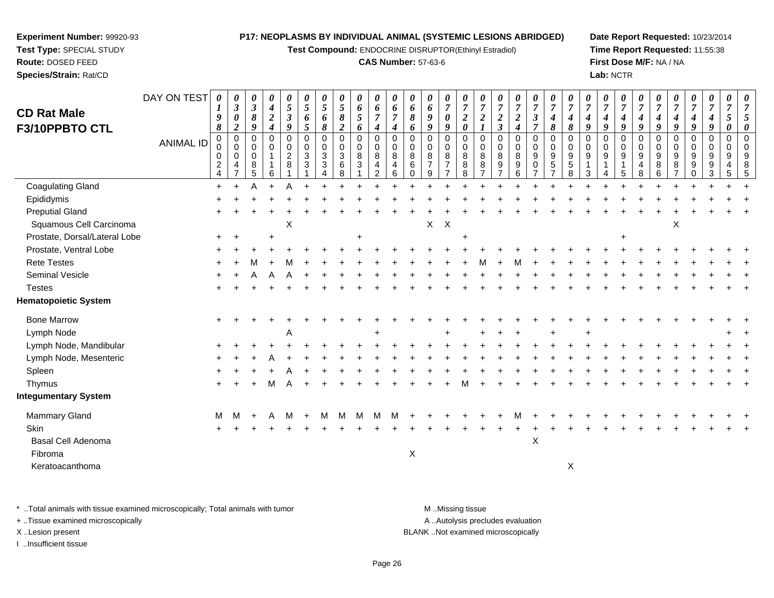**Test Compound:** ENDOCRINE DISRUPTOR(Ethinyl Estradiol)

#### **CAS Number:** 57-63-6

**Date Report Requested:** 10/23/2014**Time Report Requested:** 11:55:38**First Dose M/F:** NA / NA**Lab:** NCTR

| <b>CD Rat Male</b><br>F3/10PPBTO CTL | DAY ON TEST<br><b>ANIMAL ID</b> | $\theta$<br>1<br>9<br>8<br>0<br>0<br>0 | 0<br>$\boldsymbol{\beta}$<br>$\pmb{\theta}$<br>$\boldsymbol{2}$<br>$\mathsf{O}\xspace$<br>$\Omega$<br>$\mathbf 0$ | 0<br>$\mathfrak{z}$<br>$\pmb{8}$<br>9<br>$\pmb{0}$<br>0<br>$\mathbf 0$ | 0<br>$\boldsymbol{4}$<br>$\boldsymbol{2}$<br>$\boldsymbol{4}$<br>0<br>0<br>$\mathbf{1}$ | 0<br>5<br>$\boldsymbol{\beta}$<br>9<br>$\mathbf 0$<br>$\pmb{0}$<br>$\overline{c}$ | $\boldsymbol{\theta}$<br>$\sqrt{5}$<br>6<br>5<br>$\mathbf 0$<br>$\mathbf 0$<br>3 | $\boldsymbol{\theta}$<br>$\sqrt{5}$<br>6<br>8<br>$\mathbf 0$<br>$\mathbf 0$<br>$\ensuremath{\mathsf{3}}$ | $\boldsymbol{\theta}$<br>$\sqrt{5}$<br>$\pmb{8}$<br>$\boldsymbol{2}$<br>$\pmb{0}$<br>$\mathbf 0$<br>3 | 0<br>6<br>5<br>6<br>0<br>$\pmb{0}$<br>8 | 0<br>6<br>$\overline{7}$<br>$\boldsymbol{4}$<br>$\pmb{0}$<br>$\mathbf 0$<br>8 | $\boldsymbol{\theta}$<br>6<br>$\overline{7}$<br>4<br>$\Omega$<br>$\Omega$<br>8 | $\boldsymbol{\theta}$<br>6<br>8<br>6<br>$\Omega$<br>$\Omega$<br>8 | 0<br>6<br>9<br>9<br>$\mathbf 0$<br>0<br>8 | 0<br>$\boldsymbol{7}$<br>$\pmb{\theta}$<br>9<br>0<br>$\mathbf 0$<br>8 | 0<br>$\overline{7}$<br>$\boldsymbol{2}$<br>$\boldsymbol{\theta}$<br>$\pmb{0}$<br>$\mathbf 0$<br>8 | U<br>$\overline{7}$<br>$\overline{2}$<br>$\boldsymbol{l}$<br>$\Omega$<br>0<br>8 | $\boldsymbol{\theta}$<br>$\overline{7}$<br>$\boldsymbol{2}$<br>$\mathfrak{z}$<br>$\mathbf 0$<br>$\mathbf 0$<br>8 | $\boldsymbol{\theta}$<br>$\boldsymbol{7}$<br>$\boldsymbol{2}$<br>$\boldsymbol{4}$<br>$\pmb{0}$<br>$\mathbf 0$<br>8 | 0<br>$\boldsymbol{7}$<br>$\boldsymbol{\beta}$<br>$\overline{7}$<br>$\pmb{0}$<br>$\pmb{0}$<br>9 | 0<br>$\overline{7}$<br>$\boldsymbol{4}$<br>8<br>$\mathsf 0$<br>$\mathbf 0$<br>$9\,$ | U<br>$\overline{7}$<br>4<br>8<br>$\Omega$<br>$\Omega$<br>9 | $\boldsymbol{\theta}$<br>$\overline{7}$<br>$\boldsymbol{4}$<br>9<br>$\Omega$<br>$\Omega$<br>9 | $\boldsymbol{\theta}$<br>$\boldsymbol{7}$<br>$\boldsymbol{4}$<br>9<br>$\mathbf 0$<br>0<br>9 | 0<br>$\boldsymbol{7}$<br>4<br>9<br>0<br>0<br>9 | $\boldsymbol{\theta}$<br>$\overline{7}$<br>$\boldsymbol{4}$<br>9<br>$\mathbf 0$<br>0<br>9 | U<br>$\overline{7}$<br>4<br>9<br>$\Omega$<br>0<br>$9\,$ | $\boldsymbol{\theta}$<br>$\overline{7}$<br>$\boldsymbol{4}$<br>9<br>$\mathbf 0$<br>$\Omega$<br>9 | $\boldsymbol{\theta}$<br>$\boldsymbol{7}$<br>4<br>9<br>0<br>0<br>$9\,$ | 0<br>$\overline{7}$<br>$\boldsymbol{4}$<br>9<br>0<br>$\pmb{0}$<br>9 | 0<br>$\overline{7}$<br>5<br>$\boldsymbol{\theta}$<br>$\mathbf 0$<br>$\mathbf 0$<br>9 |  |
|--------------------------------------|---------------------------------|----------------------------------------|-------------------------------------------------------------------------------------------------------------------|------------------------------------------------------------------------|-----------------------------------------------------------------------------------------|-----------------------------------------------------------------------------------|----------------------------------------------------------------------------------|----------------------------------------------------------------------------------------------------------|-------------------------------------------------------------------------------------------------------|-----------------------------------------|-------------------------------------------------------------------------------|--------------------------------------------------------------------------------|-------------------------------------------------------------------|-------------------------------------------|-----------------------------------------------------------------------|---------------------------------------------------------------------------------------------------|---------------------------------------------------------------------------------|------------------------------------------------------------------------------------------------------------------|--------------------------------------------------------------------------------------------------------------------|------------------------------------------------------------------------------------------------|-------------------------------------------------------------------------------------|------------------------------------------------------------|-----------------------------------------------------------------------------------------------|---------------------------------------------------------------------------------------------|------------------------------------------------|-------------------------------------------------------------------------------------------|---------------------------------------------------------|--------------------------------------------------------------------------------------------------|------------------------------------------------------------------------|---------------------------------------------------------------------|--------------------------------------------------------------------------------------|--|
|                                      |                                 | $\frac{2}{4}$                          | $\overline{4}$<br>$\overline{7}$                                                                                  | 8<br>5                                                                 | $\mathbf{1}$<br>6                                                                       | 8                                                                                 | 3                                                                                | 3                                                                                                        | 6<br>8                                                                                                | 3                                       | 4<br>$\overline{2}$                                                           | 4<br>6                                                                         | 6<br>$\Omega$                                                     | $\overline{7}$<br>9                       | $\overline{7}$<br>$\overline{7}$                                      | 8<br>8                                                                                            | 8                                                                               | 9<br>$\overline{\phantom{a}}$                                                                                    | 9<br>6                                                                                                             | $\mathbf 0$<br>$\overline{7}$                                                                  | 5<br>$\overline{7}$                                                                 | $\,$ 5 $\,$<br>8                                           | 3                                                                                             |                                                                                             | 1<br>5                                         | $\overline{4}$<br>8                                                                       | 8<br>6                                                  | 8                                                                                                | 9<br>0                                                                 | 9<br>3                                                              | 4<br>5                                                                               |  |
| <b>Coagulating Gland</b>             |                                 | $+$                                    |                                                                                                                   |                                                                        |                                                                                         |                                                                                   |                                                                                  |                                                                                                          |                                                                                                       |                                         |                                                                               |                                                                                |                                                                   |                                           |                                                                       |                                                                                                   |                                                                                 |                                                                                                                  |                                                                                                                    |                                                                                                |                                                                                     |                                                            |                                                                                               |                                                                                             |                                                |                                                                                           |                                                         |                                                                                                  |                                                                        |                                                                     |                                                                                      |  |
| Epididymis                           |                                 |                                        |                                                                                                                   |                                                                        |                                                                                         |                                                                                   |                                                                                  |                                                                                                          |                                                                                                       |                                         |                                                                               |                                                                                |                                                                   |                                           |                                                                       |                                                                                                   |                                                                                 |                                                                                                                  |                                                                                                                    |                                                                                                |                                                                                     |                                                            |                                                                                               |                                                                                             |                                                |                                                                                           |                                                         |                                                                                                  |                                                                        |                                                                     |                                                                                      |  |
| <b>Preputial Gland</b>               |                                 |                                        |                                                                                                                   |                                                                        |                                                                                         |                                                                                   |                                                                                  |                                                                                                          |                                                                                                       |                                         |                                                                               |                                                                                |                                                                   |                                           |                                                                       |                                                                                                   |                                                                                 |                                                                                                                  |                                                                                                                    |                                                                                                |                                                                                     |                                                            |                                                                                               |                                                                                             |                                                |                                                                                           |                                                         |                                                                                                  |                                                                        |                                                                     |                                                                                      |  |
| Squamous Cell Carcinoma              |                                 |                                        |                                                                                                                   |                                                                        |                                                                                         | X                                                                                 |                                                                                  |                                                                                                          |                                                                                                       |                                         |                                                                               |                                                                                |                                                                   | X                                         | $\mathsf{X}$                                                          |                                                                                                   |                                                                                 |                                                                                                                  |                                                                                                                    |                                                                                                |                                                                                     |                                                            |                                                                                               |                                                                                             |                                                |                                                                                           |                                                         | X                                                                                                |                                                                        |                                                                     |                                                                                      |  |
| Prostate, Dorsal/Lateral Lobe        |                                 |                                        |                                                                                                                   |                                                                        |                                                                                         |                                                                                   |                                                                                  |                                                                                                          |                                                                                                       |                                         |                                                                               |                                                                                |                                                                   |                                           |                                                                       | $\overline{1}$                                                                                    |                                                                                 |                                                                                                                  |                                                                                                                    |                                                                                                |                                                                                     |                                                            |                                                                                               |                                                                                             |                                                |                                                                                           |                                                         |                                                                                                  |                                                                        |                                                                     |                                                                                      |  |
| Prostate, Ventral Lobe               |                                 |                                        |                                                                                                                   |                                                                        |                                                                                         |                                                                                   |                                                                                  |                                                                                                          |                                                                                                       |                                         |                                                                               |                                                                                |                                                                   |                                           |                                                                       |                                                                                                   |                                                                                 |                                                                                                                  |                                                                                                                    |                                                                                                |                                                                                     |                                                            |                                                                                               |                                                                                             |                                                |                                                                                           |                                                         |                                                                                                  |                                                                        |                                                                     |                                                                                      |  |
| <b>Rete Testes</b>                   |                                 |                                        |                                                                                                                   |                                                                        |                                                                                         |                                                                                   |                                                                                  |                                                                                                          |                                                                                                       |                                         |                                                                               |                                                                                |                                                                   |                                           |                                                                       |                                                                                                   |                                                                                 |                                                                                                                  |                                                                                                                    |                                                                                                |                                                                                     |                                                            |                                                                                               |                                                                                             |                                                |                                                                                           |                                                         |                                                                                                  |                                                                        |                                                                     |                                                                                      |  |
| Seminal Vesicle                      |                                 |                                        |                                                                                                                   |                                                                        |                                                                                         |                                                                                   |                                                                                  |                                                                                                          |                                                                                                       |                                         |                                                                               |                                                                                |                                                                   |                                           |                                                                       |                                                                                                   |                                                                                 |                                                                                                                  |                                                                                                                    |                                                                                                |                                                                                     |                                                            |                                                                                               |                                                                                             |                                                |                                                                                           |                                                         |                                                                                                  |                                                                        |                                                                     |                                                                                      |  |
| <b>Testes</b>                        |                                 |                                        |                                                                                                                   |                                                                        |                                                                                         |                                                                                   |                                                                                  |                                                                                                          |                                                                                                       |                                         |                                                                               |                                                                                |                                                                   |                                           |                                                                       |                                                                                                   |                                                                                 |                                                                                                                  |                                                                                                                    |                                                                                                |                                                                                     |                                                            |                                                                                               |                                                                                             |                                                |                                                                                           |                                                         |                                                                                                  |                                                                        |                                                                     |                                                                                      |  |
| <b>Hematopoietic System</b>          |                                 |                                        |                                                                                                                   |                                                                        |                                                                                         |                                                                                   |                                                                                  |                                                                                                          |                                                                                                       |                                         |                                                                               |                                                                                |                                                                   |                                           |                                                                       |                                                                                                   |                                                                                 |                                                                                                                  |                                                                                                                    |                                                                                                |                                                                                     |                                                            |                                                                                               |                                                                                             |                                                |                                                                                           |                                                         |                                                                                                  |                                                                        |                                                                     |                                                                                      |  |
| <b>Bone Marrow</b>                   |                                 |                                        |                                                                                                                   |                                                                        |                                                                                         |                                                                                   |                                                                                  |                                                                                                          |                                                                                                       |                                         |                                                                               |                                                                                |                                                                   |                                           |                                                                       |                                                                                                   |                                                                                 |                                                                                                                  |                                                                                                                    |                                                                                                |                                                                                     |                                                            |                                                                                               |                                                                                             |                                                |                                                                                           |                                                         |                                                                                                  |                                                                        |                                                                     |                                                                                      |  |
| Lymph Node                           |                                 |                                        |                                                                                                                   |                                                                        |                                                                                         | A                                                                                 |                                                                                  |                                                                                                          |                                                                                                       |                                         |                                                                               |                                                                                |                                                                   |                                           |                                                                       |                                                                                                   |                                                                                 |                                                                                                                  |                                                                                                                    |                                                                                                |                                                                                     |                                                            |                                                                                               |                                                                                             |                                                |                                                                                           |                                                         |                                                                                                  |                                                                        |                                                                     |                                                                                      |  |
| Lymph Node, Mandibular               |                                 |                                        |                                                                                                                   |                                                                        |                                                                                         |                                                                                   |                                                                                  |                                                                                                          |                                                                                                       |                                         |                                                                               |                                                                                |                                                                   |                                           |                                                                       |                                                                                                   |                                                                                 |                                                                                                                  |                                                                                                                    |                                                                                                |                                                                                     |                                                            |                                                                                               |                                                                                             |                                                |                                                                                           |                                                         |                                                                                                  |                                                                        |                                                                     |                                                                                      |  |
| Lymph Node, Mesenteric               |                                 |                                        |                                                                                                                   |                                                                        |                                                                                         |                                                                                   |                                                                                  |                                                                                                          |                                                                                                       |                                         |                                                                               |                                                                                |                                                                   |                                           |                                                                       |                                                                                                   |                                                                                 |                                                                                                                  |                                                                                                                    |                                                                                                |                                                                                     |                                                            |                                                                                               |                                                                                             |                                                |                                                                                           |                                                         |                                                                                                  |                                                                        |                                                                     |                                                                                      |  |
| Spleen                               |                                 |                                        |                                                                                                                   |                                                                        |                                                                                         |                                                                                   |                                                                                  |                                                                                                          |                                                                                                       |                                         |                                                                               |                                                                                |                                                                   |                                           |                                                                       |                                                                                                   |                                                                                 |                                                                                                                  |                                                                                                                    |                                                                                                |                                                                                     |                                                            |                                                                                               |                                                                                             |                                                |                                                                                           |                                                         |                                                                                                  |                                                                        |                                                                     |                                                                                      |  |
| Thymus                               |                                 |                                        |                                                                                                                   |                                                                        | м                                                                                       |                                                                                   |                                                                                  |                                                                                                          |                                                                                                       |                                         |                                                                               |                                                                                |                                                                   |                                           |                                                                       |                                                                                                   |                                                                                 |                                                                                                                  |                                                                                                                    |                                                                                                |                                                                                     |                                                            |                                                                                               |                                                                                             |                                                |                                                                                           |                                                         |                                                                                                  |                                                                        |                                                                     |                                                                                      |  |
| <b>Integumentary System</b>          |                                 |                                        |                                                                                                                   |                                                                        |                                                                                         |                                                                                   |                                                                                  |                                                                                                          |                                                                                                       |                                         |                                                                               |                                                                                |                                                                   |                                           |                                                                       |                                                                                                   |                                                                                 |                                                                                                                  |                                                                                                                    |                                                                                                |                                                                                     |                                                            |                                                                                               |                                                                                             |                                                |                                                                                           |                                                         |                                                                                                  |                                                                        |                                                                     |                                                                                      |  |
| Mammary Gland                        |                                 | М                                      | м                                                                                                                 | $\ddot{}$                                                              | A                                                                                       | M                                                                                 | $+$                                                                              | м                                                                                                        | M                                                                                                     | M                                       | M                                                                             |                                                                                |                                                                   |                                           |                                                                       |                                                                                                   |                                                                                 |                                                                                                                  |                                                                                                                    |                                                                                                |                                                                                     |                                                            |                                                                                               |                                                                                             |                                                |                                                                                           |                                                         |                                                                                                  |                                                                        |                                                                     |                                                                                      |  |
| Skin                                 |                                 |                                        |                                                                                                                   |                                                                        |                                                                                         |                                                                                   |                                                                                  |                                                                                                          |                                                                                                       |                                         |                                                                               |                                                                                |                                                                   |                                           |                                                                       |                                                                                                   |                                                                                 |                                                                                                                  |                                                                                                                    |                                                                                                |                                                                                     |                                                            |                                                                                               |                                                                                             |                                                |                                                                                           |                                                         |                                                                                                  |                                                                        |                                                                     |                                                                                      |  |
| Basal Cell Adenoma                   |                                 |                                        |                                                                                                                   |                                                                        |                                                                                         |                                                                                   |                                                                                  |                                                                                                          |                                                                                                       |                                         |                                                                               |                                                                                |                                                                   |                                           |                                                                       |                                                                                                   |                                                                                 |                                                                                                                  |                                                                                                                    | X                                                                                              |                                                                                     |                                                            |                                                                                               |                                                                                             |                                                |                                                                                           |                                                         |                                                                                                  |                                                                        |                                                                     |                                                                                      |  |
| Fibroma                              |                                 |                                        |                                                                                                                   |                                                                        |                                                                                         |                                                                                   |                                                                                  |                                                                                                          |                                                                                                       |                                         |                                                                               |                                                                                | $\mathsf X$                                                       |                                           |                                                                       |                                                                                                   |                                                                                 |                                                                                                                  |                                                                                                                    |                                                                                                |                                                                                     |                                                            |                                                                                               |                                                                                             |                                                |                                                                                           |                                                         |                                                                                                  |                                                                        |                                                                     |                                                                                      |  |
| Keratoacanthoma                      |                                 |                                        |                                                                                                                   |                                                                        |                                                                                         |                                                                                   |                                                                                  |                                                                                                          |                                                                                                       |                                         |                                                                               |                                                                                |                                                                   |                                           |                                                                       |                                                                                                   |                                                                                 |                                                                                                                  |                                                                                                                    |                                                                                                |                                                                                     | $\boldsymbol{\mathsf{X}}$                                  |                                                                                               |                                                                                             |                                                |                                                                                           |                                                         |                                                                                                  |                                                                        |                                                                     |                                                                                      |  |
|                                      |                                 |                                        |                                                                                                                   |                                                                        |                                                                                         |                                                                                   |                                                                                  |                                                                                                          |                                                                                                       |                                         |                                                                               |                                                                                |                                                                   |                                           |                                                                       |                                                                                                   |                                                                                 |                                                                                                                  |                                                                                                                    |                                                                                                |                                                                                     |                                                            |                                                                                               |                                                                                             |                                                |                                                                                           |                                                         |                                                                                                  |                                                                        |                                                                     |                                                                                      |  |

\* ..Total animals with tissue examined microscopically; Total animals with tumor **M** . Missing tissue M ..Missing tissue A ..Autolysis precludes evaluation + ..Tissue examined microscopically X ..Lesion present BLANK ..Not examined microscopicallyI ..Insufficient tissue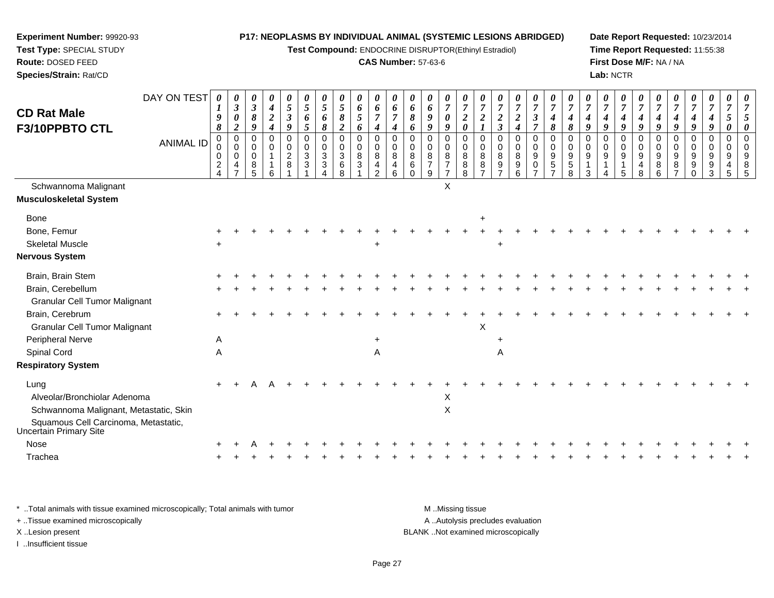**Test Compound:** ENDOCRINE DISRUPTOR(Ethinyl Estradiol)

## **CAS Number:** 57-63-6

**Date Report Requested:** 10/23/2014**Time Report Requested:** 11:55:38**First Dose M/F:** NA / NA**Lab:** NCTR

| <b>CD Rat Male</b>                                             | DAY ON TEST      | 0<br>$\boldsymbol{l}$<br>9                                             | 0<br>$\mathfrak{z}$<br>$\pmb{\theta}$                                    | $\boldsymbol{\theta}$<br>$\mathfrak{z}$<br>8          | $\boldsymbol{\theta}$<br>$\boldsymbol{4}$<br>$\sqrt{2}$            | $\boldsymbol{\theta}$<br>5<br>$\boldsymbol{\beta}$                    | $\boldsymbol{\theta}$<br>5<br>6                                         | 0<br>5<br>6                                                                                      | 0<br>$\overline{5}$<br>$\pmb{8}$                    | $\boldsymbol{\theta}$<br>6<br>$\sqrt{5}$                 | $\boldsymbol{\theta}$<br>6<br>$\overline{7}$                                | $\boldsymbol{\theta}$<br>6<br>$\overline{7}$                                 | $\boldsymbol{\theta}$<br>6<br>8          | $\boldsymbol{\theta}$<br>$\pmb{6}$<br>9                      | 0<br>$\overline{7}$<br>$\boldsymbol{\theta}$                          | $\boldsymbol{\theta}$<br>$\overline{7}$<br>$\boldsymbol{2}$ | $\boldsymbol{\theta}$<br>$\boldsymbol{7}$<br>$\boldsymbol{2}$ | $\boldsymbol{\theta}$<br>$\overline{7}$<br>$\boldsymbol{2}$                                | $\boldsymbol{\theta}$<br>$\overline{7}$<br>$\boldsymbol{2}$                                       | $\boldsymbol{\theta}$<br>$\overline{7}$<br>$\boldsymbol{\beta}$       | $\boldsymbol{\theta}$<br>$\overline{7}$<br>$\boldsymbol{4}$        | $\boldsymbol{\theta}$<br>$\overline{7}$<br>4       | $\boldsymbol{\theta}$<br>$\overline{7}$<br>4 | $\boldsymbol{\theta}$<br>$\overline{7}$<br>4                     | $\boldsymbol{\theta}$<br>$\overline{7}$<br>$\boldsymbol{4}$ | $\boldsymbol{\theta}$<br>$\overline{7}$<br>$\boldsymbol{4}$   | $\boldsymbol{\theta}$<br>$\overline{7}$<br>$\boldsymbol{4}$ | $\boldsymbol{\theta}$<br>$\overline{7}$<br>$\boldsymbol{4}$                            | 0<br>$\overline{7}$<br>$\boldsymbol{4}$            | 0<br>$\overline{7}$<br>$\boldsymbol{4}$     | 0<br>$\overline{7}$<br>$\mathfrak{s}$                                 | 0<br>$\overline{7}$<br>5                                     |
|----------------------------------------------------------------|------------------|------------------------------------------------------------------------|--------------------------------------------------------------------------|-------------------------------------------------------|--------------------------------------------------------------------|-----------------------------------------------------------------------|-------------------------------------------------------------------------|--------------------------------------------------------------------------------------------------|-----------------------------------------------------|----------------------------------------------------------|-----------------------------------------------------------------------------|------------------------------------------------------------------------------|------------------------------------------|--------------------------------------------------------------|-----------------------------------------------------------------------|-------------------------------------------------------------|---------------------------------------------------------------|--------------------------------------------------------------------------------------------|---------------------------------------------------------------------------------------------------|-----------------------------------------------------------------------|--------------------------------------------------------------------|----------------------------------------------------|----------------------------------------------|------------------------------------------------------------------|-------------------------------------------------------------|---------------------------------------------------------------|-------------------------------------------------------------|----------------------------------------------------------------------------------------|----------------------------------------------------|---------------------------------------------|-----------------------------------------------------------------------|--------------------------------------------------------------|
| F3/10PPBTO CTL                                                 | <b>ANIMAL ID</b> | $\pmb{8}$<br>$\mathbf 0$<br>0<br>0<br>$\overline{c}$<br>$\overline{4}$ | $\boldsymbol{2}$<br>$\mathbf 0$<br>$\pmb{0}$<br>0<br>4<br>$\overline{7}$ | 9<br>$\Omega$<br>$\mathbf 0$<br>$\mathbf 0$<br>8<br>5 | $\boldsymbol{4}$<br>$\Omega$<br>$\mathbf 0$<br>$\overline{1}$<br>6 | $\boldsymbol{g}$<br>$\Omega$<br>$\pmb{0}$<br>$\overline{c}$<br>$\, 8$ | $\overline{5}$<br>$\Omega$<br>$\mathbf 0$<br>$\mathbf{3}$<br>$\sqrt{3}$ | 8<br>$\Omega$<br>$\pmb{0}$<br>$\ensuremath{\mathsf{3}}$<br>$\ensuremath{\mathsf{3}}$<br>$\Delta$ | $\boldsymbol{2}$<br>$\mathbf 0$<br>0<br>3<br>6<br>8 | 6<br>$\mathbf 0$<br>$\mathbf 0$<br>$\,8\,$<br>$\sqrt{3}$ | $\boldsymbol{4}$<br>$\Omega$<br>$\pmb{0}$<br>$\bf 8$<br>4<br>$\overline{2}$ | $\boldsymbol{4}$<br>$\Omega$<br>$\mathbf 0$<br>$\bf8$<br>$\overline{4}$<br>6 | 6<br>$\Omega$<br>0<br>8<br>6<br>$\Omega$ | 9<br>$\Omega$<br>$\mathbf 0$<br>8<br>$\overline{7}$<br>$9\,$ | 9<br>$\Omega$<br>$\mathbf 0$<br>8<br>$\overline{7}$<br>$\overline{7}$ | $\boldsymbol{\theta}$<br>$\Omega$<br>0<br>8<br>8<br>8       | $\boldsymbol{l}$<br>$\Omega$<br>0<br>8<br>$\frac{8}{7}$       | $\mathfrak{z}$<br>$\Omega$<br>$\mathbf 0$<br>$\bf 8$<br>$\boldsymbol{9}$<br>$\overline{ }$ | $\boldsymbol{4}$<br>$\mathbf 0$<br>$\mathbf 0$<br>$\bf8$<br>$\begin{array}{c} 9 \\ 6 \end{array}$ | $\overline{7}$<br>$\Omega$<br>$\mathbf 0$<br>9<br>0<br>$\overline{7}$ | 8<br>$\Omega$<br>$\mathbf 0$<br>9<br>$\mathbf 5$<br>$\overline{7}$ | $\pmb{8}$<br>$\Omega$<br>0<br>9<br>$\sqrt{5}$<br>8 | 9<br>$\Omega$<br>0<br>9<br>3                 | 9<br>$\Omega$<br>0<br>$\boldsymbol{9}$<br>$\boldsymbol{\Lambda}$ | 9<br>$\Omega$<br>$\mathbf 0$<br>$\boldsymbol{9}$<br>5       | 9<br>$\Omega$<br>0<br>$\boldsymbol{9}$<br>$\overline{4}$<br>8 | $\boldsymbol{9}$<br>$\Omega$<br>$\mathbf 0$<br>9<br>8<br>6  | $\boldsymbol{9}$<br>$\Omega$<br>$\mathbf 0$<br>$\boldsymbol{9}$<br>8<br>$\overline{7}$ | 9<br>$\Omega$<br>$\mathbf 0$<br>9<br>9<br>$\Omega$ | 9<br>$\Omega$<br>$\mathbf 0$<br>9<br>9<br>3 | $\boldsymbol{\theta}$<br>0<br>$\mathbf 0$<br>9<br>$\overline{4}$<br>5 | $\boldsymbol{\theta}$<br>$\Omega$<br>$\Omega$<br>9<br>8<br>5 |
| Schwannoma Malignant<br><b>Musculoskeletal System</b>          |                  |                                                                        |                                                                          |                                                       |                                                                    |                                                                       |                                                                         |                                                                                                  |                                                     |                                                          |                                                                             |                                                                              |                                          |                                                              | $\pmb{\times}$                                                        |                                                             |                                                               |                                                                                            |                                                                                                   |                                                                       |                                                                    |                                                    |                                              |                                                                  |                                                             |                                                               |                                                             |                                                                                        |                                                    |                                             |                                                                       |                                                              |
| <b>Bone</b>                                                    |                  |                                                                        |                                                                          |                                                       |                                                                    |                                                                       |                                                                         |                                                                                                  |                                                     |                                                          |                                                                             |                                                                              |                                          |                                                              |                                                                       |                                                             | $\ddot{}$                                                     |                                                                                            |                                                                                                   |                                                                       |                                                                    |                                                    |                                              |                                                                  |                                                             |                                                               |                                                             |                                                                                        |                                                    |                                             |                                                                       |                                                              |
| Bone, Femur<br><b>Skeletal Muscle</b>                          |                  |                                                                        |                                                                          |                                                       |                                                                    |                                                                       |                                                                         |                                                                                                  |                                                     |                                                          | $\ddot{}$                                                                   |                                                                              |                                          |                                                              |                                                                       |                                                             |                                                               |                                                                                            |                                                                                                   |                                                                       |                                                                    |                                                    |                                              |                                                                  |                                                             |                                                               |                                                             |                                                                                        |                                                    |                                             |                                                                       |                                                              |
| <b>Nervous System</b>                                          |                  |                                                                        |                                                                          |                                                       |                                                                    |                                                                       |                                                                         |                                                                                                  |                                                     |                                                          |                                                                             |                                                                              |                                          |                                                              |                                                                       |                                                             |                                                               |                                                                                            |                                                                                                   |                                                                       |                                                                    |                                                    |                                              |                                                                  |                                                             |                                                               |                                                             |                                                                                        |                                                    |                                             |                                                                       |                                                              |
| Brain, Brain Stem                                              |                  |                                                                        |                                                                          |                                                       |                                                                    |                                                                       |                                                                         |                                                                                                  |                                                     |                                                          |                                                                             |                                                                              |                                          |                                                              |                                                                       |                                                             |                                                               |                                                                                            |                                                                                                   |                                                                       |                                                                    |                                                    |                                              |                                                                  |                                                             |                                                               |                                                             |                                                                                        |                                                    |                                             |                                                                       |                                                              |
| Brain, Cerebellum<br><b>Granular Cell Tumor Malignant</b>      |                  |                                                                        |                                                                          |                                                       |                                                                    |                                                                       |                                                                         |                                                                                                  |                                                     |                                                          |                                                                             |                                                                              |                                          |                                                              |                                                                       |                                                             |                                                               |                                                                                            |                                                                                                   |                                                                       |                                                                    |                                                    |                                              |                                                                  |                                                             |                                                               |                                                             |                                                                                        |                                                    |                                             |                                                                       |                                                              |
| Brain, Cerebrum<br><b>Granular Cell Tumor Malignant</b>        |                  |                                                                        |                                                                          |                                                       |                                                                    |                                                                       |                                                                         |                                                                                                  |                                                     |                                                          |                                                                             |                                                                              |                                          |                                                              |                                                                       |                                                             | X                                                             |                                                                                            |                                                                                                   |                                                                       |                                                                    |                                                    |                                              |                                                                  |                                                             |                                                               |                                                             |                                                                                        |                                                    |                                             |                                                                       |                                                              |
| Peripheral Nerve                                               |                  | A                                                                      |                                                                          |                                                       |                                                                    |                                                                       |                                                                         |                                                                                                  |                                                     |                                                          |                                                                             |                                                                              |                                          |                                                              |                                                                       |                                                             |                                                               |                                                                                            |                                                                                                   |                                                                       |                                                                    |                                                    |                                              |                                                                  |                                                             |                                                               |                                                             |                                                                                        |                                                    |                                             |                                                                       |                                                              |
| Spinal Cord                                                    |                  | A                                                                      |                                                                          |                                                       |                                                                    |                                                                       |                                                                         |                                                                                                  |                                                     |                                                          | Α                                                                           |                                                                              |                                          |                                                              |                                                                       |                                                             |                                                               | Α                                                                                          |                                                                                                   |                                                                       |                                                                    |                                                    |                                              |                                                                  |                                                             |                                                               |                                                             |                                                                                        |                                                    |                                             |                                                                       |                                                              |
| <b>Respiratory System</b>                                      |                  |                                                                        |                                                                          |                                                       |                                                                    |                                                                       |                                                                         |                                                                                                  |                                                     |                                                          |                                                                             |                                                                              |                                          |                                                              |                                                                       |                                                             |                                                               |                                                                                            |                                                                                                   |                                                                       |                                                                    |                                                    |                                              |                                                                  |                                                             |                                                               |                                                             |                                                                                        |                                                    |                                             |                                                                       |                                                              |
| Lung<br>Alveolar/Bronchiolar Adenoma                           |                  | $\ddot{}$                                                              |                                                                          |                                                       |                                                                    |                                                                       |                                                                         |                                                                                                  |                                                     |                                                          |                                                                             |                                                                              |                                          |                                                              | X                                                                     |                                                             |                                                               |                                                                                            |                                                                                                   |                                                                       |                                                                    |                                                    |                                              |                                                                  |                                                             |                                                               |                                                             |                                                                                        |                                                    |                                             |                                                                       |                                                              |
| Schwannoma Malignant, Metastatic, Skin                         |                  |                                                                        |                                                                          |                                                       |                                                                    |                                                                       |                                                                         |                                                                                                  |                                                     |                                                          |                                                                             |                                                                              |                                          |                                                              | $\pmb{\times}$                                                        |                                                             |                                                               |                                                                                            |                                                                                                   |                                                                       |                                                                    |                                                    |                                              |                                                                  |                                                             |                                                               |                                                             |                                                                                        |                                                    |                                             |                                                                       |                                                              |
| Squamous Cell Carcinoma, Metastatic,<br>Uncertain Primary Site |                  |                                                                        |                                                                          |                                                       |                                                                    |                                                                       |                                                                         |                                                                                                  |                                                     |                                                          |                                                                             |                                                                              |                                          |                                                              |                                                                       |                                                             |                                                               |                                                                                            |                                                                                                   |                                                                       |                                                                    |                                                    |                                              |                                                                  |                                                             |                                                               |                                                             |                                                                                        |                                                    |                                             |                                                                       |                                                              |
| Nose                                                           |                  |                                                                        |                                                                          |                                                       |                                                                    |                                                                       |                                                                         |                                                                                                  |                                                     |                                                          |                                                                             |                                                                              |                                          |                                                              |                                                                       |                                                             |                                                               |                                                                                            |                                                                                                   |                                                                       |                                                                    |                                                    |                                              |                                                                  |                                                             |                                                               |                                                             |                                                                                        |                                                    |                                             |                                                                       |                                                              |
| Trachea                                                        |                  |                                                                        |                                                                          |                                                       |                                                                    |                                                                       |                                                                         |                                                                                                  |                                                     |                                                          |                                                                             |                                                                              |                                          |                                                              |                                                                       |                                                             |                                                               |                                                                                            |                                                                                                   |                                                                       |                                                                    |                                                    |                                              |                                                                  |                                                             |                                                               |                                                             |                                                                                        |                                                    |                                             |                                                                       |                                                              |

\* ..Total animals with tissue examined microscopically; Total animals with tumor **M** . Missing tissue M ..Missing tissue A ..Autolysis precludes evaluation + ..Tissue examined microscopically X ..Lesion present BLANK ..Not examined microscopicallyI ..Insufficient tissue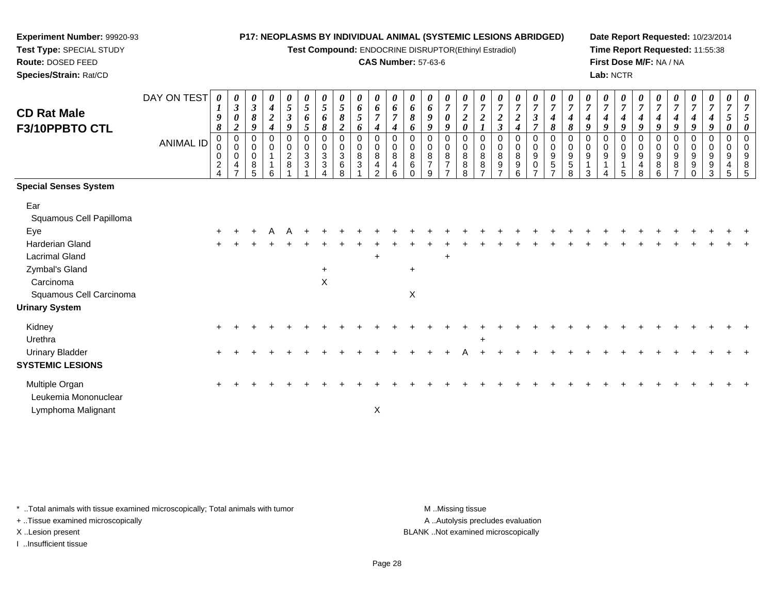**Test Compound:** ENDOCRINE DISRUPTOR(Ethinyl Estradiol)

# **CAS Number:** 57-63-6

**Date Report Requested:** 10/23/2014**Time Report Requested:** 11:55:38**First Dose M/F:** NA / NA**Lab:** NCTR

| <b>CD Rat Male</b><br>F3/10PPBTO CTL                                                                                                                                 | DAY ON TEST<br><b>ANIMAL ID</b> | 0<br>$\boldsymbol{l}$<br>9<br>8<br>$\mathbf 0$<br>$\mathbf 0$<br>0<br>$\overline{c}$<br>$\overline{4}$ | 0<br>$\boldsymbol{\beta}$<br>$\boldsymbol{\theta}$<br>$\boldsymbol{2}$<br>0<br>$\mathbf 0$<br>0<br>4<br>$\overline{ }$ | 0<br>$\mathfrak{z}$<br>8<br>9<br>0<br>0<br>$\pmb{0}$<br>8<br>5 | 0<br>$\boldsymbol{4}$<br>$\boldsymbol{2}$<br>4<br>0<br>0<br>6 | 0<br>$\sqrt{5}$<br>$\mathfrak{z}$<br>9<br>$\mathbf 0$<br>$\mathbf 0$<br>$\boldsymbol{2}$<br>8 | 0<br>5<br>6<br>5<br>0<br>$\mathbf 0$<br>$\mathbf{3}$<br>3 | 0<br>$\sqrt{5}$<br>6<br>8<br>0<br>$\pmb{0}$<br>$\ensuremath{\mathsf{3}}$<br>$\ensuremath{\mathsf{3}}$ | 0<br>5<br>8<br>2<br>$\pmb{0}$<br>$\mathbf 0$<br>$\mathbf{3}$<br>6<br>8 | 0<br>6<br>5<br>6<br>0<br>0<br>8<br>$\sqrt{3}$ | 0<br>6<br>$\overline{7}$<br>4<br>$\mathbf 0$<br>$\mathbf 0$<br>8<br>4<br>$\mathcal{P}$ | $\boldsymbol{\theta}$<br>6<br>$\overline{7}$<br>4<br>$\mathbf 0$<br>$\mathbf 0$<br>8<br>$\overline{4}$<br>6 | 0<br>6<br>8<br>6<br>$\mathbf 0$<br>8<br>6<br>∩ | 0<br>6<br>$\boldsymbol{q}$<br>9<br>0<br>0<br>8<br>$\overline{7}$<br>$\mathbf{Q}$ | 0<br>$\boldsymbol{7}$<br>$\boldsymbol{\theta}$<br>9<br>0<br>0<br>8<br>$\overline{7}$ | 0<br>$\overline{7}$<br>$\boldsymbol{2}$<br>$\boldsymbol{\theta}$<br>$\mathbf 0$<br>$\mathbf 0$<br>$\, 8$<br>8<br>8 | $\boldsymbol{\theta}$<br>$\overline{7}$<br>$\boldsymbol{2}$<br>0<br>$\mathbf 0$<br>8<br>8<br>$\overline{ }$ | $\overline{7}$<br>$\boldsymbol{2}$<br>$\boldsymbol{\beta}$<br>$\mathbf 0$<br>8<br>9<br>$\overline{ }$ | 0<br>$\overline{7}$<br>$\boldsymbol{2}$<br>4<br>0<br>$\mathbf 0$<br>8<br>9<br>6 | 0<br>$\overline{7}$<br>$\boldsymbol{\beta}$<br>$\overline{7}$<br>0<br>$\mathbf 0$<br>$9\,$<br>$\pmb{0}$ | 0<br>$\overline{7}$<br>$\boldsymbol{4}$<br>8<br>$\mathbf 0$<br>$\pmb{0}$<br>$\boldsymbol{9}$<br>$\mathbf 5$<br>$\overline{ }$ | 0<br>$\overline{7}$<br>$\pmb{8}$<br>0<br>$\mathbf 0$<br>$\boldsymbol{9}$<br>$\mathbf 5$<br>8 | 7<br>9<br>$\mathbf 0$<br>9<br>3 | 0<br>$\overline{7}$<br>4<br>9<br>0<br>0<br>9 | 0<br>$\overline{7}$<br>4<br>9<br>0<br>$\boldsymbol{9}$<br>5 | 0<br>$\overline{7}$<br>9<br>$\Omega$<br>$\mathbf 0$<br>$9\,$<br>4<br>8 | $\boldsymbol{\theta}$<br>$\overline{7}$<br>9<br>0<br>$\mathbf 0$<br>9<br>$\,8\,$<br>6 | 7<br>9<br>$\mathbf 0$<br>9<br>8<br>$\overline{ }$ | $\theta$<br>$\overline{7}$<br>4<br>9<br>0<br>0<br>9<br>9<br>$\Omega$ | $\theta$<br>$\overline{7}$<br>9<br>0<br>$\pmb{0}$<br>9<br>9<br>3 | $\overline{7}$<br>5<br>0<br>$\mathbf 0$<br>9<br>4<br>5 | 5 |
|----------------------------------------------------------------------------------------------------------------------------------------------------------------------|---------------------------------|--------------------------------------------------------------------------------------------------------|------------------------------------------------------------------------------------------------------------------------|----------------------------------------------------------------|---------------------------------------------------------------|-----------------------------------------------------------------------------------------------|-----------------------------------------------------------|-------------------------------------------------------------------------------------------------------|------------------------------------------------------------------------|-----------------------------------------------|----------------------------------------------------------------------------------------|-------------------------------------------------------------------------------------------------------------|------------------------------------------------|----------------------------------------------------------------------------------|--------------------------------------------------------------------------------------|--------------------------------------------------------------------------------------------------------------------|-------------------------------------------------------------------------------------------------------------|-------------------------------------------------------------------------------------------------------|---------------------------------------------------------------------------------|---------------------------------------------------------------------------------------------------------|-------------------------------------------------------------------------------------------------------------------------------|----------------------------------------------------------------------------------------------|---------------------------------|----------------------------------------------|-------------------------------------------------------------|------------------------------------------------------------------------|---------------------------------------------------------------------------------------|---------------------------------------------------|----------------------------------------------------------------------|------------------------------------------------------------------|--------------------------------------------------------|---|
| <b>Special Senses System</b>                                                                                                                                         |                                 |                                                                                                        |                                                                                                                        |                                                                |                                                               |                                                                                               |                                                           |                                                                                                       |                                                                        |                                               |                                                                                        |                                                                                                             |                                                |                                                                                  |                                                                                      |                                                                                                                    |                                                                                                             |                                                                                                       |                                                                                 |                                                                                                         |                                                                                                                               |                                                                                              |                                 |                                              |                                                             |                                                                        |                                                                                       |                                                   |                                                                      |                                                                  |                                                        |   |
| Ear<br>Squamous Cell Papilloma<br>Eye<br>Harderian Gland<br><b>Lacrimal Gland</b><br>Zymbal's Gland<br>Carcinoma<br>Squamous Cell Carcinoma<br><b>Urinary System</b> |                                 | $\pm$                                                                                                  |                                                                                                                        |                                                                |                                                               |                                                                                               |                                                           | $\ddot{}$<br>$\mathsf X$                                                                              |                                                                        |                                               | $\ddot{}$                                                                              |                                                                                                             | $\ddot{}$<br>$\pmb{\times}$                    |                                                                                  | $\ddot{}$                                                                            |                                                                                                                    |                                                                                                             |                                                                                                       |                                                                                 |                                                                                                         |                                                                                                                               |                                                                                              |                                 |                                              |                                                             |                                                                        |                                                                                       |                                                   |                                                                      |                                                                  |                                                        |   |
| Kidney                                                                                                                                                               |                                 |                                                                                                        |                                                                                                                        |                                                                |                                                               |                                                                                               |                                                           |                                                                                                       |                                                                        |                                               |                                                                                        |                                                                                                             |                                                |                                                                                  |                                                                                      |                                                                                                                    |                                                                                                             |                                                                                                       |                                                                                 |                                                                                                         |                                                                                                                               |                                                                                              |                                 |                                              |                                                             |                                                                        |                                                                                       |                                                   |                                                                      |                                                                  |                                                        |   |
| Urethra<br><b>Urinary Bladder</b><br><b>SYSTEMIC LESIONS</b>                                                                                                         |                                 |                                                                                                        |                                                                                                                        |                                                                |                                                               |                                                                                               |                                                           |                                                                                                       |                                                                        |                                               |                                                                                        |                                                                                                             |                                                |                                                                                  |                                                                                      |                                                                                                                    | $\ddot{}$                                                                                                   |                                                                                                       |                                                                                 |                                                                                                         |                                                                                                                               |                                                                                              |                                 |                                              |                                                             |                                                                        |                                                                                       |                                                   |                                                                      |                                                                  |                                                        |   |
| Multiple Organ<br>Leukemia Mononuclear<br>Lymphoma Malignant                                                                                                         |                                 |                                                                                                        |                                                                                                                        |                                                                |                                                               |                                                                                               |                                                           |                                                                                                       |                                                                        |                                               | $\mathsf X$                                                                            |                                                                                                             |                                                |                                                                                  |                                                                                      |                                                                                                                    |                                                                                                             |                                                                                                       |                                                                                 |                                                                                                         |                                                                                                                               |                                                                                              |                                 |                                              |                                                             |                                                                        |                                                                                       |                                                   |                                                                      |                                                                  |                                                        |   |

\* ..Total animals with tissue examined microscopically; Total animals with tumor **M** . Missing tissue M ..Missing tissue

+ ..Tissue examined microscopically

**Experiment Number:** 99920-93**Test Type:** SPECIAL STUDY**Route:** DOSED FEED**Species/Strain:** Rat/CD

I ..Insufficient tissue

A ..Autolysis precludes evaluation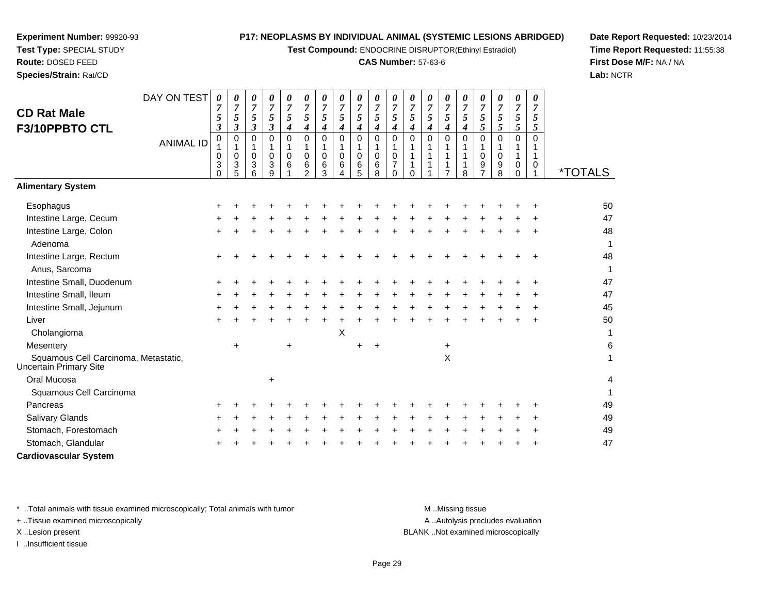**Test Compound:** ENDOCRINE DISRUPTOR(Ethinyl Estradiol)

# **CAS Number:** 57-63-6

**Date Report Requested:** 10/23/2014**Time Report Requested:** 11:55:38**First Dose M/F:** NA / NA**Lab:** NCTR

| <b>CD Rat Male</b>                                             | DAY ON TEST      | 0<br>7                  | 0<br>$\overline{7}$             | 0<br>$\overline{7}$              | 0<br>7                          | 0<br>$\overline{7}$        | 0<br>$\overline{7}$                                 | 0<br>$\overline{7}$     | 0<br>$\overline{7}$     | 0<br>$\overline{7}$             | 0<br>$\boldsymbol{7}$                   | 0<br>$\overline{7}$                                                 | 0<br>$\overline{7}$  | 0<br>$\overline{7}$ | 0<br>$\overline{7}$                          | 0<br>$\overline{7}$             | 0<br>7                                              | 0<br>7                            | 0<br>$\overline{7}$   | 0<br>$\overline{7}$             |                       |
|----------------------------------------------------------------|------------------|-------------------------|---------------------------------|----------------------------------|---------------------------------|----------------------------|-----------------------------------------------------|-------------------------|-------------------------|---------------------------------|-----------------------------------------|---------------------------------------------------------------------|----------------------|---------------------|----------------------------------------------|---------------------------------|-----------------------------------------------------|-----------------------------------|-----------------------|---------------------------------|-----------------------|
| F3/10PPBTO CTL                                                 |                  | 5<br>$\mathfrak{z}$     | 5<br>$\boldsymbol{\beta}$       | 5<br>$\boldsymbol{\beta}$        | 5<br>3                          | 5<br>4                     | 5<br>4                                              | 5<br>4                  | 5<br>4                  | 5<br>4                          | $\mathfrak{s}$<br>$\boldsymbol{4}$      | 5<br>4                                                              | $\sqrt{5}$<br>4      | 5<br>4              | 5<br>4                                       | $\sqrt{5}$<br>$\boldsymbol{4}$  | 5<br>5                                              | 5<br>5                            | 5<br>$\sqrt{5}$       | $\mathfrak{s}$<br>5             |                       |
|                                                                | <b>ANIMAL ID</b> | 0<br>0<br>3<br>$\Omega$ | $\mathbf 0$<br>1<br>0<br>3<br>5 | $\pmb{0}$<br>$\pmb{0}$<br>3<br>6 | $\mathbf 0$<br>1<br>0<br>3<br>9 | $\mathbf 0$<br>1<br>0<br>6 | $\Omega$<br>1<br>$\mathbf 0$<br>6<br>$\overline{2}$ | $\Omega$<br>0<br>6<br>3 | $\Omega$<br>0<br>6<br>4 | $\mathbf 0$<br>1<br>0<br>6<br>5 | $\mathbf 0$<br>1<br>$\pmb{0}$<br>6<br>8 | $\Omega$<br>$\mathbf{1}$<br>$\pmb{0}$<br>$\overline{7}$<br>$\Omega$ | $\Omega$<br>$\Omega$ | $\Omega$            | $\mathbf 0$<br>1<br>1<br>1<br>$\overline{7}$ | $\mathbf 0$<br>1<br>1<br>1<br>8 | $\Omega$<br>1<br>$\mathbf 0$<br>9<br>$\overline{7}$ | $\Omega$<br>$\mathbf 0$<br>9<br>8 | $\mathbf 0$<br>0<br>0 | $\mathbf 0$<br>1<br>1<br>0<br>1 | <i><b>*TOTALS</b></i> |
| <b>Alimentary System</b>                                       |                  |                         |                                 |                                  |                                 |                            |                                                     |                         |                         |                                 |                                         |                                                                     |                      |                     |                                              |                                 |                                                     |                                   |                       |                                 |                       |
| Esophagus                                                      |                  |                         |                                 |                                  |                                 |                            |                                                     |                         |                         |                                 |                                         |                                                                     |                      |                     |                                              |                                 |                                                     |                                   |                       |                                 | 50                    |
| Intestine Large, Cecum                                         |                  |                         |                                 |                                  |                                 |                            |                                                     |                         |                         |                                 |                                         |                                                                     |                      |                     |                                              |                                 |                                                     |                                   |                       |                                 | 47                    |
| Intestine Large, Colon                                         |                  |                         |                                 |                                  |                                 |                            |                                                     |                         |                         |                                 |                                         |                                                                     |                      |                     |                                              |                                 |                                                     |                                   |                       |                                 | 48                    |
| Adenoma                                                        |                  |                         |                                 |                                  |                                 |                            |                                                     |                         |                         |                                 |                                         |                                                                     |                      |                     |                                              |                                 |                                                     |                                   |                       |                                 | 1                     |
| Intestine Large, Rectum                                        |                  |                         |                                 |                                  |                                 |                            |                                                     |                         |                         |                                 |                                         |                                                                     |                      |                     |                                              |                                 |                                                     |                                   |                       |                                 | 48                    |
| Anus, Sarcoma                                                  |                  |                         |                                 |                                  |                                 |                            |                                                     |                         |                         |                                 |                                         |                                                                     |                      |                     |                                              |                                 |                                                     |                                   |                       |                                 | 1                     |
| Intestine Small, Duodenum                                      |                  |                         |                                 |                                  |                                 |                            |                                                     |                         |                         |                                 |                                         |                                                                     |                      |                     |                                              |                                 |                                                     |                                   |                       |                                 | 47                    |
| Intestine Small, Ileum                                         |                  |                         |                                 |                                  |                                 |                            |                                                     |                         |                         |                                 |                                         |                                                                     |                      |                     |                                              |                                 |                                                     |                                   |                       |                                 | 47                    |
| Intestine Small, Jejunum                                       |                  |                         |                                 |                                  |                                 |                            |                                                     |                         |                         |                                 |                                         |                                                                     |                      |                     |                                              |                                 |                                                     |                                   |                       |                                 | 45                    |
| Liver                                                          |                  |                         |                                 |                                  |                                 |                            |                                                     |                         |                         |                                 |                                         |                                                                     |                      |                     |                                              |                                 |                                                     |                                   |                       |                                 | 50                    |
| Cholangioma                                                    |                  |                         |                                 |                                  |                                 |                            |                                                     |                         | X                       |                                 |                                         |                                                                     |                      |                     |                                              |                                 |                                                     |                                   |                       |                                 | 1                     |
| Mesentery                                                      |                  |                         | $\ddot{}$                       |                                  |                                 |                            |                                                     |                         |                         | $\ddot{}$                       |                                         |                                                                     |                      |                     | $\ddot{}$                                    |                                 |                                                     |                                   |                       |                                 | 6                     |
| Squamous Cell Carcinoma, Metastatic,<br>Uncertain Primary Site |                  |                         |                                 |                                  |                                 |                            |                                                     |                         |                         |                                 |                                         |                                                                     |                      |                     | X                                            |                                 |                                                     |                                   |                       |                                 | 1                     |
| Oral Mucosa                                                    |                  |                         |                                 |                                  | $\ddot{}$                       |                            |                                                     |                         |                         |                                 |                                         |                                                                     |                      |                     |                                              |                                 |                                                     |                                   |                       |                                 | 4                     |
| Squamous Cell Carcinoma                                        |                  |                         |                                 |                                  |                                 |                            |                                                     |                         |                         |                                 |                                         |                                                                     |                      |                     |                                              |                                 |                                                     |                                   |                       |                                 | 1                     |
| Pancreas                                                       |                  |                         |                                 |                                  |                                 |                            |                                                     |                         |                         |                                 |                                         |                                                                     |                      |                     |                                              |                                 |                                                     |                                   |                       |                                 | 49                    |
| <b>Salivary Glands</b>                                         |                  |                         |                                 |                                  |                                 |                            |                                                     |                         |                         |                                 |                                         |                                                                     |                      |                     |                                              |                                 |                                                     |                                   |                       |                                 | 49                    |
| Stomach, Forestomach                                           |                  |                         |                                 |                                  |                                 |                            |                                                     |                         |                         |                                 |                                         |                                                                     |                      |                     |                                              |                                 |                                                     |                                   |                       |                                 | 49                    |
| Stomach, Glandular                                             |                  |                         |                                 |                                  |                                 |                            |                                                     |                         |                         |                                 |                                         |                                                                     |                      |                     |                                              |                                 |                                                     |                                   |                       |                                 | 47                    |
| <b>Cardiovascular System</b>                                   |                  |                         |                                 |                                  |                                 |                            |                                                     |                         |                         |                                 |                                         |                                                                     |                      |                     |                                              |                                 |                                                     |                                   |                       |                                 |                       |

\* ..Total animals with tissue examined microscopically; Total animals with tumor **M** . Missing tissue M ..Missing tissue

+ ..Tissue examined microscopically

**Experiment Number:** 99920-93**Test Type:** SPECIAL STUDY**Route:** DOSED FEED**Species/Strain:** Rat/CD

I ..Insufficient tissue

A ..Autolysis precludes evaluation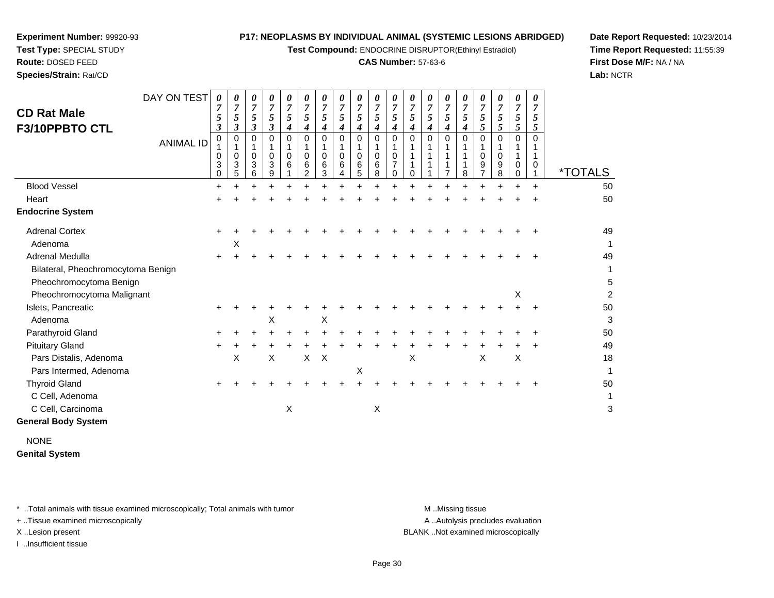**Test Compound:** ENDOCRINE DISRUPTOR(Ethinyl Estradiol)

## **CAS Number:** 57-63-6

**Date Report Requested:** 10/23/2014**Time Report Requested:** 11:55:39**First Dose M/F:** NA / NA**Lab:** NCTR

| <b>CD Rat Male</b><br>F3/10PPBTO CTL | DAY ON TEST<br><b>ANIMAL ID</b> | 0<br>7<br>$\sqrt{5}$<br>$\boldsymbol{\mathfrak{z}}$<br>0<br>0<br>$\ensuremath{\mathsf{3}}$<br>0 | 0<br>$\overline{7}$<br>$\sqrt{5}$<br>$\boldsymbol{\beta}$<br>$\pmb{0}$<br>1<br>$\mathbf 0$<br>$\mathbf{3}$<br>5 | 0<br>$\overline{7}$<br>$\mathfrak{s}$<br>$\boldsymbol{\mathfrak{z}}$<br>0<br>$\mathbf 0$<br>3<br>6 | 0<br>$\overline{7}$<br>5<br>$\boldsymbol{\mathfrak{z}}$<br>0<br>$\mathbf 0$<br>3<br>9 | 0<br>$\overline{7}$<br>5<br>4<br>0<br>0<br>6 | 0<br>$\overline{7}$<br>5<br>4<br>0<br>0<br>6<br>$\overline{2}$ | 0<br>$\boldsymbol{7}$<br>5<br>$\boldsymbol{4}$<br>$\mathbf 0$<br>$\mathbf 0$<br>6<br>3 | 0<br>$\boldsymbol{7}$<br>$\sqrt{5}$<br>$\boldsymbol{4}$<br>$\mathbf 0$<br>$\mathbf 0$<br>6<br>4 | 0<br>$\overline{7}$<br>5<br>4<br>0<br>1<br>$\pmb{0}$<br>6<br>5 | 0<br>$\overline{7}$<br>5<br>4<br>0<br>0<br>6<br>8 | 0<br>$\overline{7}$<br>$\sqrt{5}$<br>4<br>0<br>$\pmb{0}$<br>$\overline{7}$<br>$\Omega$ | 0<br>$\overline{7}$<br>$\mathfrak{s}$<br>$\boldsymbol{4}$<br>$\mathbf 0$<br>$\Omega$ | 0<br>$\overline{7}$<br>5<br>4<br>$\Omega$ | 0<br>$\overline{7}$<br>5<br>4<br>0<br>1<br>1<br>$\overline{7}$ | 0<br>$\overline{7}$<br>5<br>4<br>0<br>8 | 0<br>$\overline{7}$<br>$\sqrt{5}$<br>5<br>0<br>$\mathbf 0$<br>9<br>$\overline{7}$ | 0<br>$\boldsymbol{7}$<br>5<br>$\mathfrak{s}$<br>$\Omega$<br>$\mathbf 0$<br>9<br>8 | $\pmb{\theta}$<br>$\overline{7}$<br>5<br>5<br>$\mathbf 0$<br>$\mathbf{1}$<br>0<br>$\Omega$ | 0<br>$\overline{7}$<br>5<br>5<br>0<br>$\mathbf 1$<br>0<br>1 | <i><b>*TOTALS</b></i> |
|--------------------------------------|---------------------------------|-------------------------------------------------------------------------------------------------|-----------------------------------------------------------------------------------------------------------------|----------------------------------------------------------------------------------------------------|---------------------------------------------------------------------------------------|----------------------------------------------|----------------------------------------------------------------|----------------------------------------------------------------------------------------|-------------------------------------------------------------------------------------------------|----------------------------------------------------------------|---------------------------------------------------|----------------------------------------------------------------------------------------|--------------------------------------------------------------------------------------|-------------------------------------------|----------------------------------------------------------------|-----------------------------------------|-----------------------------------------------------------------------------------|-----------------------------------------------------------------------------------|--------------------------------------------------------------------------------------------|-------------------------------------------------------------|-----------------------|
| <b>Blood Vessel</b>                  |                                 | $+$                                                                                             |                                                                                                                 |                                                                                                    |                                                                                       |                                              |                                                                |                                                                                        |                                                                                                 |                                                                |                                                   |                                                                                        |                                                                                      |                                           |                                                                |                                         |                                                                                   |                                                                                   |                                                                                            | $\ddot{}$                                                   | 50                    |
| Heart                                |                                 |                                                                                                 |                                                                                                                 |                                                                                                    |                                                                                       |                                              |                                                                |                                                                                        |                                                                                                 |                                                                |                                                   |                                                                                        |                                                                                      |                                           |                                                                |                                         |                                                                                   |                                                                                   |                                                                                            |                                                             | 50                    |
| <b>Endocrine System</b>              |                                 |                                                                                                 |                                                                                                                 |                                                                                                    |                                                                                       |                                              |                                                                |                                                                                        |                                                                                                 |                                                                |                                                   |                                                                                        |                                                                                      |                                           |                                                                |                                         |                                                                                   |                                                                                   |                                                                                            |                                                             |                       |
| <b>Adrenal Cortex</b>                |                                 | $\pm$                                                                                           |                                                                                                                 |                                                                                                    |                                                                                       |                                              |                                                                |                                                                                        |                                                                                                 |                                                                |                                                   |                                                                                        |                                                                                      |                                           |                                                                |                                         |                                                                                   |                                                                                   |                                                                                            |                                                             | 49                    |
| Adenoma                              |                                 |                                                                                                 | X                                                                                                               |                                                                                                    |                                                                                       |                                              |                                                                |                                                                                        |                                                                                                 |                                                                |                                                   |                                                                                        |                                                                                      |                                           |                                                                |                                         |                                                                                   |                                                                                   |                                                                                            |                                                             | 1                     |
| Adrenal Medulla                      |                                 |                                                                                                 |                                                                                                                 |                                                                                                    |                                                                                       |                                              |                                                                |                                                                                        |                                                                                                 |                                                                |                                                   |                                                                                        |                                                                                      |                                           |                                                                |                                         |                                                                                   |                                                                                   |                                                                                            |                                                             | 49                    |
| Bilateral, Pheochromocytoma Benign   |                                 |                                                                                                 |                                                                                                                 |                                                                                                    |                                                                                       |                                              |                                                                |                                                                                        |                                                                                                 |                                                                |                                                   |                                                                                        |                                                                                      |                                           |                                                                |                                         |                                                                                   |                                                                                   |                                                                                            |                                                             | 1                     |
| Pheochromocytoma Benign              |                                 |                                                                                                 |                                                                                                                 |                                                                                                    |                                                                                       |                                              |                                                                |                                                                                        |                                                                                                 |                                                                |                                                   |                                                                                        |                                                                                      |                                           |                                                                |                                         |                                                                                   |                                                                                   |                                                                                            |                                                             | 5                     |
| Pheochromocytoma Malignant           |                                 |                                                                                                 |                                                                                                                 |                                                                                                    |                                                                                       |                                              |                                                                |                                                                                        |                                                                                                 |                                                                |                                                   |                                                                                        |                                                                                      |                                           |                                                                |                                         |                                                                                   |                                                                                   | X                                                                                          |                                                             | $\overline{2}$        |
| Islets, Pancreatic                   |                                 |                                                                                                 |                                                                                                                 |                                                                                                    |                                                                                       |                                              |                                                                |                                                                                        |                                                                                                 |                                                                |                                                   |                                                                                        |                                                                                      |                                           |                                                                |                                         |                                                                                   |                                                                                   |                                                                                            |                                                             | 50                    |
| Adenoma                              |                                 |                                                                                                 |                                                                                                                 |                                                                                                    | X                                                                                     |                                              |                                                                | $\boldsymbol{\mathsf{X}}$                                                              |                                                                                                 |                                                                |                                                   |                                                                                        |                                                                                      |                                           |                                                                |                                         |                                                                                   |                                                                                   |                                                                                            |                                                             | 3                     |
| Parathyroid Gland                    |                                 | ÷.                                                                                              |                                                                                                                 |                                                                                                    |                                                                                       |                                              |                                                                |                                                                                        |                                                                                                 |                                                                |                                                   |                                                                                        |                                                                                      |                                           |                                                                |                                         |                                                                                   |                                                                                   |                                                                                            |                                                             | 50                    |
| <b>Pituitary Gland</b>               |                                 |                                                                                                 |                                                                                                                 |                                                                                                    |                                                                                       |                                              |                                                                |                                                                                        |                                                                                                 |                                                                |                                                   |                                                                                        |                                                                                      |                                           |                                                                |                                         |                                                                                   |                                                                                   |                                                                                            |                                                             | 49                    |
| Pars Distalis, Adenoma               |                                 |                                                                                                 | $\pmb{\times}$                                                                                                  |                                                                                                    | X                                                                                     |                                              | $\mathsf X$                                                    | $\boldsymbol{\mathsf{X}}$                                                              |                                                                                                 |                                                                |                                                   |                                                                                        | $\pmb{\times}$                                                                       |                                           |                                                                |                                         | $\pmb{\times}$                                                                    |                                                                                   | $\mathsf X$                                                                                |                                                             | 18                    |
| Pars Intermed, Adenoma               |                                 |                                                                                                 |                                                                                                                 |                                                                                                    |                                                                                       |                                              |                                                                |                                                                                        |                                                                                                 | Χ                                                              |                                                   |                                                                                        |                                                                                      |                                           |                                                                |                                         |                                                                                   |                                                                                   |                                                                                            |                                                             | 1                     |
| <b>Thyroid Gland</b>                 |                                 |                                                                                                 |                                                                                                                 |                                                                                                    |                                                                                       |                                              |                                                                |                                                                                        |                                                                                                 |                                                                |                                                   |                                                                                        |                                                                                      |                                           |                                                                |                                         |                                                                                   |                                                                                   |                                                                                            |                                                             | 50                    |
| C Cell, Adenoma                      |                                 |                                                                                                 |                                                                                                                 |                                                                                                    |                                                                                       |                                              |                                                                |                                                                                        |                                                                                                 |                                                                |                                                   |                                                                                        |                                                                                      |                                           |                                                                |                                         |                                                                                   |                                                                                   |                                                                                            |                                                             | 1                     |
| C Cell, Carcinoma                    |                                 |                                                                                                 |                                                                                                                 |                                                                                                    |                                                                                       | X                                            |                                                                |                                                                                        |                                                                                                 |                                                                | X                                                 |                                                                                        |                                                                                      |                                           |                                                                |                                         |                                                                                   |                                                                                   |                                                                                            |                                                             | 3                     |
| <b>General Body System</b>           |                                 |                                                                                                 |                                                                                                                 |                                                                                                    |                                                                                       |                                              |                                                                |                                                                                        |                                                                                                 |                                                                |                                                   |                                                                                        |                                                                                      |                                           |                                                                |                                         |                                                                                   |                                                                                   |                                                                                            |                                                             |                       |
|                                      |                                 |                                                                                                 |                                                                                                                 |                                                                                                    |                                                                                       |                                              |                                                                |                                                                                        |                                                                                                 |                                                                |                                                   |                                                                                        |                                                                                      |                                           |                                                                |                                         |                                                                                   |                                                                                   |                                                                                            |                                                             |                       |

NONE**Genital System**

\* ..Total animals with tissue examined microscopically; Total animals with tumor **M** ...Missing tissue M ...Missing tissue

+ ..Tissue examined microscopically

**Experiment Number:** 99920-93**Test Type:** SPECIAL STUDY**Route:** DOSED FEED**Species/Strain:** Rat/CD

I ..Insufficient tissue

A ..Autolysis precludes evaluation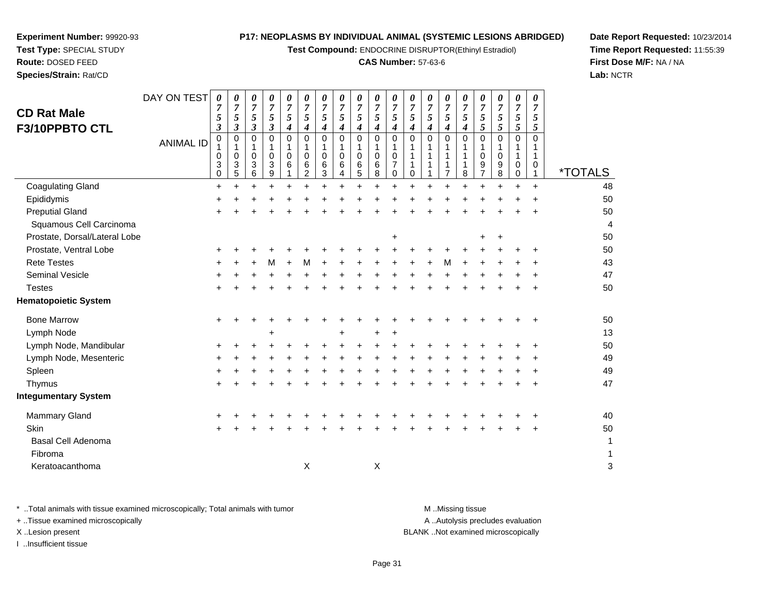**Test Compound:** ENDOCRINE DISRUPTOR(Ethinyl Estradiol)

# **CAS Number:** 57-63-6

**Date Report Requested:** 10/23/2014**Time Report Requested:** 11:55:39**First Dose M/F:** NA / NA**Lab:** NCTR

| <b>CD Rat Male</b><br>F3/10PPBTO CTL | DAY ON TEST<br><b>ANIMAL ID</b> | $\pmb{\theta}$<br>$\overline{7}$<br>5<br>$\boldsymbol{\beta}$<br>0<br>0<br>3<br>0 | 0<br>$\boldsymbol{7}$<br>$\mathfrak{s}$<br>$\mathfrak{z}$<br>$\pmb{0}$<br>$\mathbf{1}$<br>$\mathbf 0$<br>3<br>$\overline{5}$ | 0<br>$\overline{7}$<br>5<br>$\boldsymbol{\beta}$<br>$\mathbf 0$<br>1<br>0<br>$\ensuremath{\mathsf{3}}$<br>$\,6$ | 0<br>$\overline{7}$<br>5<br>$\boldsymbol{\beta}$<br>$\mathbf 0$<br>1<br>0<br>3<br>$\boldsymbol{9}$ | 0<br>$\overline{7}$<br>5<br>$\boldsymbol{4}$<br>$\Omega$<br>1<br>0<br>6 | 0<br>$\overline{7}$<br>5<br>4<br>$\Omega$<br>$\mathbf 0$<br>$\,6$<br>$\overline{2}$ | 0<br>$\overline{7}$<br>5<br>4<br>$\mathbf 0$<br>0<br>6<br>3 | $\boldsymbol{\theta}$<br>$\overline{7}$<br>$\sqrt{5}$<br>$\boldsymbol{4}$<br>$\mathbf 0$<br>1<br>0<br>$\,6$<br>4 | 0<br>$\overline{7}$<br>5<br>4<br>$\mathbf 0$<br>1<br>$\mathbf 0$<br>6<br>5 | 0<br>$\overline{7}$<br>$\sqrt{5}$<br>$\boldsymbol{4}$<br>$\mathbf 0$<br>$\mathbf{1}$<br>$\pmb{0}$<br>$\,6$<br>$\bf8$ | 0<br>$\boldsymbol{7}$<br>5<br>$\boldsymbol{4}$<br>0<br>1<br>$\pmb{0}$<br>$\overline{7}$<br>$\mathbf 0$ | 0<br>$\overline{7}$<br>5<br>4<br>$\Omega$<br>0 | 0<br>$\boldsymbol{7}$<br>5<br>4<br>0<br>1<br>1<br>1<br>1 | 0<br>$\overline{7}$<br>5<br>4<br>$\mathbf 0$<br>1<br>1<br>1<br>$\overline{7}$ | 0<br>$\overline{7}$<br>5<br>$\boldsymbol{4}$<br>$\mathbf 0$<br>1<br>8 | 0<br>$\overline{7}$<br>5<br>$\sqrt{5}$<br>$\mathbf 0$<br>1<br>$\mathbf 0$<br>9<br>$\overline{7}$ | 0<br>$\boldsymbol{7}$<br>5<br>$\sqrt{5}$<br>$\mathbf 0$<br>0<br>9<br>8 | 0<br>$\overline{7}$<br>5<br>5<br>$\mathbf 0$<br>1<br>1<br>$\pmb{0}$<br>$\pmb{0}$ | 0<br>$\overline{7}$<br>5<br>5<br>$\Omega$<br>1<br>0 | <i><b>*TOTALS</b></i> |
|--------------------------------------|---------------------------------|-----------------------------------------------------------------------------------|------------------------------------------------------------------------------------------------------------------------------|-----------------------------------------------------------------------------------------------------------------|----------------------------------------------------------------------------------------------------|-------------------------------------------------------------------------|-------------------------------------------------------------------------------------|-------------------------------------------------------------|------------------------------------------------------------------------------------------------------------------|----------------------------------------------------------------------------|----------------------------------------------------------------------------------------------------------------------|--------------------------------------------------------------------------------------------------------|------------------------------------------------|----------------------------------------------------------|-------------------------------------------------------------------------------|-----------------------------------------------------------------------|--------------------------------------------------------------------------------------------------|------------------------------------------------------------------------|----------------------------------------------------------------------------------|-----------------------------------------------------|-----------------------|
| <b>Coagulating Gland</b>             |                                 | $\ddot{}$                                                                         | $\ddot{}$                                                                                                                    | $\ddot{}$                                                                                                       | ÷                                                                                                  | $\ddot{}$                                                               | $\ddot{}$                                                                           | $\ddot{}$                                                   | $\ddot{}$                                                                                                        | $\div$                                                                     | $\ddot{}$                                                                                                            | $\ddot{}$                                                                                              | $+$                                            | $\ddot{}$                                                | ÷.                                                                            | ÷                                                                     |                                                                                                  | $+$                                                                    | $\ddot{}$                                                                        | $+$                                                 | 48                    |
| Epididymis                           |                                 | ÷                                                                                 |                                                                                                                              |                                                                                                                 |                                                                                                    |                                                                         |                                                                                     |                                                             |                                                                                                                  |                                                                            |                                                                                                                      |                                                                                                        |                                                |                                                          |                                                                               |                                                                       |                                                                                                  |                                                                        |                                                                                  |                                                     | 50                    |
| <b>Preputial Gland</b>               |                                 |                                                                                   |                                                                                                                              |                                                                                                                 |                                                                                                    |                                                                         |                                                                                     |                                                             |                                                                                                                  |                                                                            |                                                                                                                      |                                                                                                        |                                                |                                                          |                                                                               |                                                                       |                                                                                                  |                                                                        |                                                                                  | ÷                                                   | 50                    |
| Squamous Cell Carcinoma              |                                 |                                                                                   |                                                                                                                              |                                                                                                                 |                                                                                                    |                                                                         |                                                                                     |                                                             |                                                                                                                  |                                                                            |                                                                                                                      |                                                                                                        |                                                |                                                          |                                                                               |                                                                       |                                                                                                  |                                                                        |                                                                                  |                                                     | $\overline{4}$        |
| Prostate, Dorsal/Lateral Lobe        |                                 |                                                                                   |                                                                                                                              |                                                                                                                 |                                                                                                    |                                                                         |                                                                                     |                                                             |                                                                                                                  |                                                                            |                                                                                                                      | $\ddot{}$                                                                                              |                                                |                                                          |                                                                               |                                                                       |                                                                                                  | +                                                                      |                                                                                  |                                                     | 50                    |
| Prostate, Ventral Lobe               |                                 | +                                                                                 |                                                                                                                              |                                                                                                                 |                                                                                                    |                                                                         |                                                                                     |                                                             |                                                                                                                  |                                                                            |                                                                                                                      |                                                                                                        |                                                |                                                          |                                                                               |                                                                       |                                                                                                  |                                                                        |                                                                                  |                                                     | 50                    |
| <b>Rete Testes</b>                   |                                 |                                                                                   |                                                                                                                              |                                                                                                                 | М                                                                                                  |                                                                         | M                                                                                   |                                                             |                                                                                                                  |                                                                            |                                                                                                                      |                                                                                                        |                                                |                                                          | M                                                                             |                                                                       |                                                                                                  |                                                                        |                                                                                  |                                                     | 43                    |
| <b>Seminal Vesicle</b>               |                                 |                                                                                   |                                                                                                                              |                                                                                                                 |                                                                                                    |                                                                         |                                                                                     |                                                             |                                                                                                                  |                                                                            |                                                                                                                      |                                                                                                        |                                                |                                                          |                                                                               |                                                                       |                                                                                                  |                                                                        |                                                                                  |                                                     | 47                    |
| <b>Testes</b>                        |                                 |                                                                                   |                                                                                                                              |                                                                                                                 |                                                                                                    |                                                                         |                                                                                     |                                                             |                                                                                                                  |                                                                            |                                                                                                                      |                                                                                                        |                                                |                                                          |                                                                               |                                                                       |                                                                                                  |                                                                        |                                                                                  |                                                     | 50                    |
| <b>Hematopoietic System</b>          |                                 |                                                                                   |                                                                                                                              |                                                                                                                 |                                                                                                    |                                                                         |                                                                                     |                                                             |                                                                                                                  |                                                                            |                                                                                                                      |                                                                                                        |                                                |                                                          |                                                                               |                                                                       |                                                                                                  |                                                                        |                                                                                  |                                                     |                       |
| <b>Bone Marrow</b>                   |                                 | +                                                                                 |                                                                                                                              |                                                                                                                 |                                                                                                    |                                                                         |                                                                                     |                                                             |                                                                                                                  |                                                                            |                                                                                                                      |                                                                                                        |                                                |                                                          |                                                                               |                                                                       |                                                                                                  |                                                                        |                                                                                  |                                                     | 50                    |
| Lymph Node                           |                                 |                                                                                   |                                                                                                                              |                                                                                                                 |                                                                                                    |                                                                         |                                                                                     |                                                             |                                                                                                                  |                                                                            |                                                                                                                      |                                                                                                        |                                                |                                                          |                                                                               |                                                                       |                                                                                                  |                                                                        |                                                                                  |                                                     | 13                    |
| Lymph Node, Mandibular               |                                 |                                                                                   |                                                                                                                              |                                                                                                                 |                                                                                                    |                                                                         |                                                                                     |                                                             |                                                                                                                  |                                                                            |                                                                                                                      |                                                                                                        |                                                |                                                          |                                                                               |                                                                       |                                                                                                  |                                                                        |                                                                                  |                                                     | 50                    |
| Lymph Node, Mesenteric               |                                 | ÷                                                                                 |                                                                                                                              |                                                                                                                 |                                                                                                    |                                                                         |                                                                                     |                                                             |                                                                                                                  |                                                                            |                                                                                                                      |                                                                                                        |                                                |                                                          |                                                                               |                                                                       |                                                                                                  |                                                                        |                                                                                  |                                                     | 49                    |
| Spleen                               |                                 |                                                                                   |                                                                                                                              |                                                                                                                 |                                                                                                    |                                                                         |                                                                                     |                                                             |                                                                                                                  |                                                                            |                                                                                                                      |                                                                                                        |                                                |                                                          |                                                                               |                                                                       |                                                                                                  |                                                                        |                                                                                  |                                                     | 49                    |
| Thymus                               |                                 |                                                                                   |                                                                                                                              |                                                                                                                 |                                                                                                    |                                                                         |                                                                                     |                                                             |                                                                                                                  |                                                                            |                                                                                                                      |                                                                                                        |                                                |                                                          |                                                                               |                                                                       |                                                                                                  |                                                                        |                                                                                  |                                                     | 47                    |
| <b>Integumentary System</b>          |                                 |                                                                                   |                                                                                                                              |                                                                                                                 |                                                                                                    |                                                                         |                                                                                     |                                                             |                                                                                                                  |                                                                            |                                                                                                                      |                                                                                                        |                                                |                                                          |                                                                               |                                                                       |                                                                                                  |                                                                        |                                                                                  |                                                     |                       |
| Mammary Gland                        |                                 |                                                                                   |                                                                                                                              |                                                                                                                 |                                                                                                    |                                                                         |                                                                                     |                                                             |                                                                                                                  |                                                                            |                                                                                                                      |                                                                                                        |                                                |                                                          |                                                                               |                                                                       |                                                                                                  |                                                                        |                                                                                  |                                                     | 40                    |
| Skin                                 |                                 |                                                                                   |                                                                                                                              |                                                                                                                 |                                                                                                    |                                                                         |                                                                                     |                                                             |                                                                                                                  |                                                                            |                                                                                                                      |                                                                                                        |                                                |                                                          |                                                                               |                                                                       |                                                                                                  |                                                                        |                                                                                  |                                                     | 50                    |
| Basal Cell Adenoma                   |                                 |                                                                                   |                                                                                                                              |                                                                                                                 |                                                                                                    |                                                                         |                                                                                     |                                                             |                                                                                                                  |                                                                            |                                                                                                                      |                                                                                                        |                                                |                                                          |                                                                               |                                                                       |                                                                                                  |                                                                        |                                                                                  |                                                     | 1                     |
| Fibroma                              |                                 |                                                                                   |                                                                                                                              |                                                                                                                 |                                                                                                    |                                                                         |                                                                                     |                                                             |                                                                                                                  |                                                                            |                                                                                                                      |                                                                                                        |                                                |                                                          |                                                                               |                                                                       |                                                                                                  |                                                                        |                                                                                  |                                                     | 1                     |
| Keratoacanthoma                      |                                 |                                                                                   |                                                                                                                              |                                                                                                                 |                                                                                                    |                                                                         | X                                                                                   |                                                             |                                                                                                                  |                                                                            | X                                                                                                                    |                                                                                                        |                                                |                                                          |                                                                               |                                                                       |                                                                                                  |                                                                        |                                                                                  |                                                     | 3                     |
|                                      |                                 |                                                                                   |                                                                                                                              |                                                                                                                 |                                                                                                    |                                                                         |                                                                                     |                                                             |                                                                                                                  |                                                                            |                                                                                                                      |                                                                                                        |                                                |                                                          |                                                                               |                                                                       |                                                                                                  |                                                                        |                                                                                  |                                                     |                       |

**Experiment Number:** 99920-93**Test Type:** SPECIAL STUDY**Route:** DOSED FEED**Species/Strain:** Rat/CD

\* ..Total animals with tissue examined microscopically; Total animals with tumor **M** . Missing tissue M ..Missing tissue A ..Autolysis precludes evaluation + ..Tissue examined microscopically X ..Lesion present BLANK ..Not examined microscopicallyI ..Insufficient tissue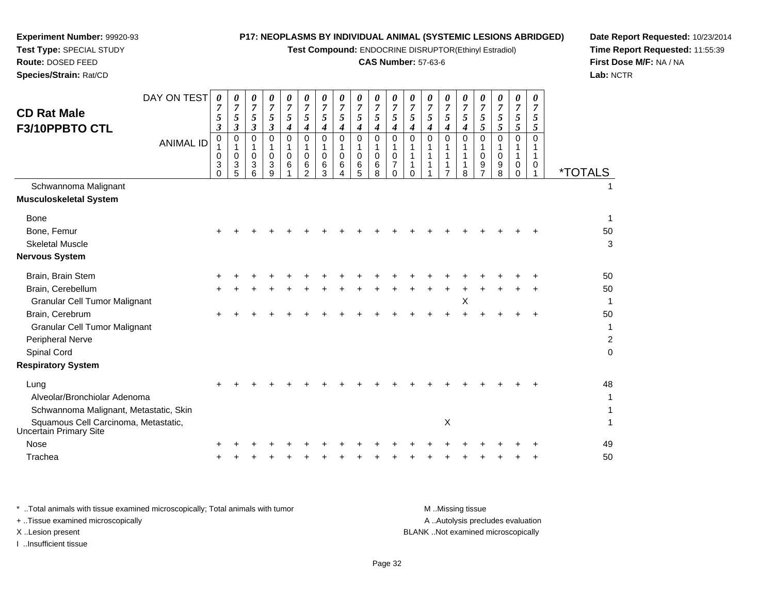**Test Compound:** ENDOCRINE DISRUPTOR(Ethinyl Estradiol)

# **CAS Number:** 57-63-6

**Date Report Requested:** 10/23/2014 **Time Report Requested:** 11:55:39**First Dose M/F:** NA / NA**Lab:** NCTR

| <b>CD Rat Male</b><br>F3/10PPBTO CTL<br>Schwannoma Malignant<br><b>Musculoskeletal System</b>                                                                                                             | DAY ON TEST<br><b>ANIMAL ID</b> | 0<br>7<br>5<br>3<br>$\mathbf 0$<br>0<br>3<br>$\Omega$ | 0<br>$\overline{7}$<br>5<br>$\boldsymbol{\beta}$<br>$\mathbf 0$<br>1<br>0<br>3<br>5 | 0<br>$\overline{7}$<br>5<br>$\overline{\mathbf{3}}$<br>0<br>1<br>0<br>3<br>6 | 0<br>$\overline{7}$<br>5<br>$\mathfrak{z}$<br>$\mathbf 0$<br>1<br>$\mathbf 0$<br>3<br>9 | 0<br>$\overline{7}$<br>5<br>$\boldsymbol{4}$<br>$\mathbf 0$<br>1<br>$\mathbf 0$<br>6 | 0<br>$\overline{7}$<br>5<br>$\boldsymbol{4}$<br>$\mathbf 0$<br>1<br>$\mathbf 0$<br>6<br>$\overline{2}$ | 0<br>$\boldsymbol{7}$<br>5<br>$\boldsymbol{4}$<br>$\mathbf 0$<br>0<br>6<br>3 | 0<br>$\overline{7}$<br>$\sqrt{5}$<br>$\boldsymbol{4}$<br>$\mathbf 0$<br>$\mathbf{1}$<br>$\mathbf 0$<br>6<br>$\overline{4}$ | 0<br>$\overline{7}$<br>5<br>$\boldsymbol{4}$<br>$\mathbf 0$<br>1<br>$\mathbf 0$<br>6<br>5 | 0<br>$\boldsymbol{7}$<br>5<br>$\boldsymbol{4}$<br>$\mathbf 0$<br>1<br>$\mathbf 0$<br>$^6_8$ | 0<br>$\boldsymbol{7}$<br>$\mathfrak{s}$<br>$\boldsymbol{4}$<br>0<br>1<br>$\pmb{0}$<br>$\overline{7}$<br>$\Omega$ | 0<br>$\overline{7}$<br>$\sqrt{5}$<br>$\boldsymbol{4}$<br>$\mathbf 0$<br>1<br>$\Omega$ | 0<br>$\overline{7}$<br>5<br>$\boldsymbol{4}$<br>$\Omega$ | 0<br>$\overline{7}$<br>5<br>4<br>$\Omega$<br>7 | 0<br>$\boldsymbol{7}$<br>5<br>4<br>$\Omega$<br>1<br>1<br>8 | 0<br>$\overline{7}$<br>5<br>5<br>$\Omega$<br>1<br>$\mathbf 0$<br>9<br>7 | 0<br>$\boldsymbol{7}$<br>5<br>5<br>$\Omega$<br>$\mathbf 0$<br>9<br>8 | 0<br>$\boldsymbol{7}$<br>$\mathfrak{s}$<br>5<br>$\mathbf 0$<br>0<br>0 | 0<br>$\overline{7}$<br>5<br>5<br>$\Omega$<br>1<br>1<br>0 | <i><b>*TOTALS</b></i>                                                 |
|-----------------------------------------------------------------------------------------------------------------------------------------------------------------------------------------------------------|---------------------------------|-------------------------------------------------------|-------------------------------------------------------------------------------------|------------------------------------------------------------------------------|-----------------------------------------------------------------------------------------|--------------------------------------------------------------------------------------|--------------------------------------------------------------------------------------------------------|------------------------------------------------------------------------------|----------------------------------------------------------------------------------------------------------------------------|-------------------------------------------------------------------------------------------|---------------------------------------------------------------------------------------------|------------------------------------------------------------------------------------------------------------------|---------------------------------------------------------------------------------------|----------------------------------------------------------|------------------------------------------------|------------------------------------------------------------|-------------------------------------------------------------------------|----------------------------------------------------------------------|-----------------------------------------------------------------------|----------------------------------------------------------|-----------------------------------------------------------------------|
| <b>Bone</b><br>Bone, Femur<br><b>Skeletal Muscle</b><br><b>Nervous System</b>                                                                                                                             |                                 |                                                       |                                                                                     |                                                                              |                                                                                         |                                                                                      |                                                                                                        |                                                                              |                                                                                                                            |                                                                                           |                                                                                             |                                                                                                                  |                                                                                       |                                                          |                                                |                                                            |                                                                         |                                                                      |                                                                       |                                                          | -1<br>50<br>3                                                         |
| Brain, Brain Stem<br>Brain, Cerebellum<br><b>Granular Cell Tumor Malignant</b><br>Brain, Cerebrum<br><b>Granular Cell Tumor Malignant</b><br>Peripheral Nerve<br>Spinal Cord<br><b>Respiratory System</b> |                                 |                                                       |                                                                                     |                                                                              |                                                                                         |                                                                                      |                                                                                                        |                                                                              |                                                                                                                            |                                                                                           |                                                                                             |                                                                                                                  |                                                                                       |                                                          |                                                | X                                                          |                                                                         |                                                                      |                                                                       |                                                          | 50<br>50<br>$\mathbf 1$<br>50<br>1<br>$\boldsymbol{2}$<br>$\mathbf 0$ |
| Lung<br>Alveolar/Bronchiolar Adenoma<br>Schwannoma Malignant, Metastatic, Skin<br>Squamous Cell Carcinoma, Metastatic,<br><b>Uncertain Primary Site</b><br><b>Nose</b><br>Trachea                         |                                 |                                                       |                                                                                     |                                                                              |                                                                                         |                                                                                      |                                                                                                        |                                                                              |                                                                                                                            |                                                                                           |                                                                                             |                                                                                                                  |                                                                                       |                                                          | X                                              |                                                            |                                                                         |                                                                      |                                                                       |                                                          | 48<br>49<br>50                                                        |

| * Total animals with tissue examined microscopically; Total animals with tumor | M Missing tissue                   |
|--------------------------------------------------------------------------------|------------------------------------|
| + Tissue examined microscopically                                              | A Autolysis precludes evaluation   |
| X Lesion present                                                               | BLANK Not examined microscopically |
| …Insufficient tissue                                                           |                                    |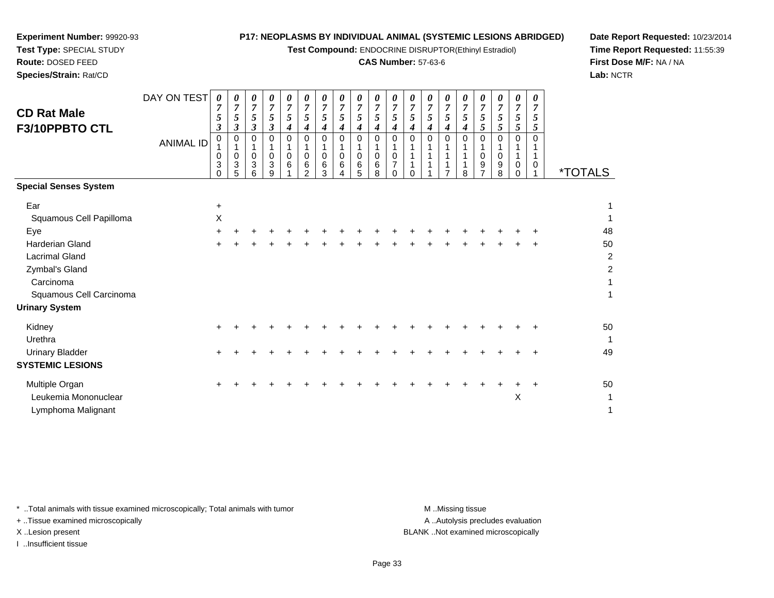**Test Compound:** ENDOCRINE DISRUPTOR(Ethinyl Estradiol)

# **CAS Number:** 57-63-6

**Date Report Requested:** 10/23/2014**Time Report Requested:** 11:55:39**First Dose M/F:** NA / NA**Lab:** NCTR

 $\overline{\phantom{a}}$ 

┯

| <b>CD Rat Male</b><br>F3/10PPBTO CTL                   | DAY ON TEST<br><b>ANIMAL ID</b> | 0<br>5<br>$\boldsymbol{\beta}$<br>$\Omega$<br>$\pmb{0}$<br>$\ensuremath{\mathsf{3}}$<br>$\Omega$ | 0<br>5<br>3<br>0<br>0<br>3<br>5 | 0<br>$\overline{7}$<br>5<br>$\boldsymbol{\beta}$<br>$\Omega$<br>1<br>$\pmb{0}$<br>$\sqrt{3}$<br>6 | 0<br>$\overline{7}$<br>5<br>3<br>$\Omega$<br>$\mathbf 0$<br>3<br>9 | 0<br>$\overline{7}$<br>$\mathfrak{S}$<br>4<br>$\Omega$<br>$\mathbf 0$<br>6 | 0<br>$\overline{7}$<br>$\mathfrak{s}$<br>4<br>0<br>1<br>$\pmb{0}$<br>6<br>$\mathcal{P}$ | 0<br>$\overline{7}$<br>5<br>$\boldsymbol{4}$<br>$\Omega$<br>$\pmb{0}$<br>6<br>3 | 0<br>$\boldsymbol{7}$<br>5<br>4<br>$\Omega$<br>$\pmb{0}$<br>6 | 0<br>$\overline{7}$<br>5<br>4<br>$\Omega$<br>$\pmb{0}$<br>$\,6$<br>5 | 0<br>$\overline{7}$<br>5<br>4<br>$\Omega$<br>1<br>$\pmb{0}$<br>6<br>8 | 0<br>$\overline{7}$<br>$\mathfrak{s}$<br>$\boldsymbol{4}$<br>$\Omega$<br>1<br>0<br>$\overline{7}$<br>$\Omega$ | 0<br>$\overline{7}$<br>5<br>4<br>$\Omega$<br>$\Omega$ | 7<br>5<br>4<br>$\Omega$ | 0<br>$\overline{7}$<br>5<br>$\boldsymbol{4}$<br>$\Omega$<br>$\overline{ }$ | 0<br>$\overline{7}$<br>5<br>4<br>$\Omega$<br>1<br>8 | 0<br>$\overline{7}$<br>5<br>5<br>$\Omega$<br>$\pmb{0}$<br>9 | 0<br>$\boldsymbol{7}$<br>$5\overline{)}$<br>5<br>$\Omega$<br>$\pmb{0}$<br>9<br>8 | 0<br>7<br>5<br>5<br>$\Omega$<br>1<br>0<br>0 | 0<br>$\overline{7}$<br>5<br>5<br>$\Omega$<br>0 | <i><b>*TOTALS</b></i>               |
|--------------------------------------------------------|---------------------------------|--------------------------------------------------------------------------------------------------|---------------------------------|---------------------------------------------------------------------------------------------------|--------------------------------------------------------------------|----------------------------------------------------------------------------|-----------------------------------------------------------------------------------------|---------------------------------------------------------------------------------|---------------------------------------------------------------|----------------------------------------------------------------------|-----------------------------------------------------------------------|---------------------------------------------------------------------------------------------------------------|-------------------------------------------------------|-------------------------|----------------------------------------------------------------------------|-----------------------------------------------------|-------------------------------------------------------------|----------------------------------------------------------------------------------|---------------------------------------------|------------------------------------------------|-------------------------------------|
| <b>Special Senses System</b>                           |                                 |                                                                                                  |                                 |                                                                                                   |                                                                    |                                                                            |                                                                                         |                                                                                 |                                                               |                                                                      |                                                                       |                                                                                                               |                                                       |                         |                                                                            |                                                     |                                                             |                                                                                  |                                             |                                                |                                     |
| Ear<br>Squamous Cell Papilloma                         |                                 | $\ddot{}$<br>$\pmb{\times}$                                                                      |                                 |                                                                                                   |                                                                    |                                                                            |                                                                                         |                                                                                 |                                                               |                                                                      |                                                                       |                                                                                                               |                                                       |                         |                                                                            |                                                     |                                                             |                                                                                  |                                             |                                                | 1<br>1                              |
| Eye                                                    |                                 |                                                                                                  |                                 |                                                                                                   |                                                                    |                                                                            |                                                                                         |                                                                                 |                                                               |                                                                      |                                                                       |                                                                                                               |                                                       |                         |                                                                            |                                                     |                                                             |                                                                                  |                                             |                                                | 48                                  |
| <b>Harderian Gland</b><br><b>Lacrimal Gland</b>        |                                 |                                                                                                  |                                 |                                                                                                   |                                                                    |                                                                            |                                                                                         |                                                                                 |                                                               |                                                                      |                                                                       |                                                                                                               |                                                       |                         |                                                                            |                                                     |                                                             |                                                                                  |                                             |                                                | 50<br>$\overline{2}$                |
| Zymbal's Gland<br>Carcinoma<br>Squamous Cell Carcinoma |                                 |                                                                                                  |                                 |                                                                                                   |                                                                    |                                                                            |                                                                                         |                                                                                 |                                                               |                                                                      |                                                                       |                                                                                                               |                                                       |                         |                                                                            |                                                     |                                                             |                                                                                  |                                             |                                                | $\overline{2}$<br>$\mathbf{1}$<br>1 |
| <b>Urinary System</b>                                  |                                 |                                                                                                  |                                 |                                                                                                   |                                                                    |                                                                            |                                                                                         |                                                                                 |                                                               |                                                                      |                                                                       |                                                                                                               |                                                       |                         |                                                                            |                                                     |                                                             |                                                                                  |                                             |                                                |                                     |
| Kidney<br>Urethra                                      |                                 |                                                                                                  |                                 |                                                                                                   |                                                                    |                                                                            |                                                                                         |                                                                                 |                                                               |                                                                      |                                                                       |                                                                                                               |                                                       |                         |                                                                            |                                                     |                                                             |                                                                                  |                                             |                                                | 50<br>$\mathbf{1}$                  |
| <b>Urinary Bladder</b><br><b>SYSTEMIC LESIONS</b>      |                                 | $\div$                                                                                           |                                 |                                                                                                   |                                                                    |                                                                            |                                                                                         |                                                                                 |                                                               |                                                                      |                                                                       |                                                                                                               |                                                       |                         |                                                                            |                                                     |                                                             |                                                                                  |                                             | ÷                                              | 49                                  |
| Multiple Organ                                         |                                 |                                                                                                  |                                 |                                                                                                   |                                                                    |                                                                            |                                                                                         |                                                                                 |                                                               |                                                                      |                                                                       |                                                                                                               |                                                       |                         |                                                                            |                                                     |                                                             |                                                                                  |                                             |                                                | 50                                  |
| Leukemia Mononuclear<br>Lymphoma Malignant             |                                 |                                                                                                  |                                 |                                                                                                   |                                                                    |                                                                            |                                                                                         |                                                                                 |                                                               |                                                                      |                                                                       |                                                                                                               |                                                       |                         |                                                                            |                                                     |                                                             |                                                                                  | X                                           |                                                | 1<br>1                              |

 $\Gamma$ 

┯ ┯ ┯  $\overline{\phantom{a}}$ 

\* ..Total animals with tissue examined microscopically; Total animals with tumor **M** . Missing tissue M ..Missing tissue

+ ..Tissue examined microscopically

**Experiment Number:** 99920-93**Test Type:** SPECIAL STUDY**Route:** DOSED FEED**Species/Strain:** Rat/CD

I ..Insufficient tissue

A ..Autolysis precludes evaluation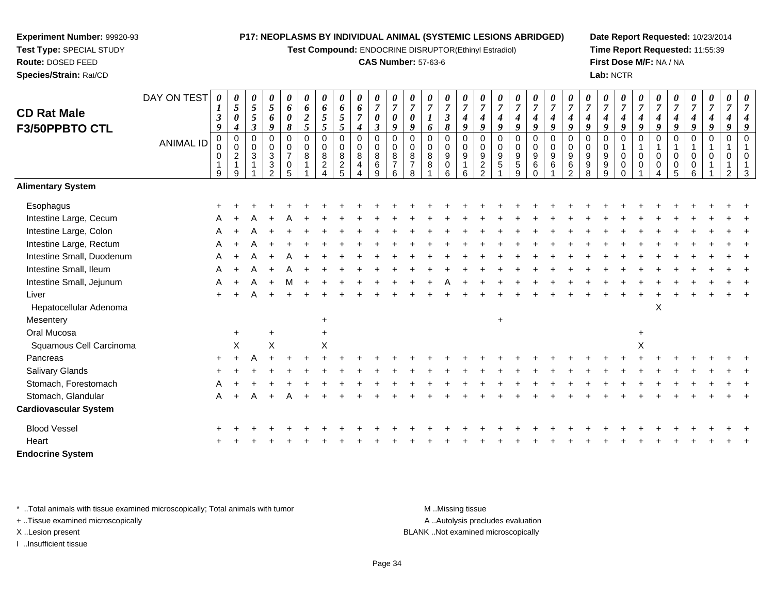**Test Compound:** ENDOCRINE DISRUPTOR(Ethinyl Estradiol)

# **CAS Number:** 57-63-6

**Date Report Requested:** 10/23/2014**Time Report Requested:** 11:55:39**First Dose M/F:** NA / NA**Lab:** NCTR

| <b>CD Rat Male</b><br>F3/50PPBTO CTL | DAY ON TEST<br><b>ANIMAL ID</b> | $\theta$<br>$\mathbf{I}$<br>$\boldsymbol{\beta}$<br>9<br>$\mathbf 0$<br>0<br>0<br>1<br>9 | 0<br>$\mathfrak{s}$<br>0<br>4<br>$\pmb{0}$<br>$\mathbf 0$<br>$\boldsymbol{2}$<br>$\overline{1}$<br>9 | 0<br>$\mathfrak{s}$<br>$\sqrt{5}$<br>$\boldsymbol{\beta}$<br>$\mathbf 0$<br>0<br>$\mathbf{3}$ | 0<br>5<br>6<br>9<br>0<br>0<br>$\mathbf{3}$<br>$\mathbf{3}$<br>$\overline{2}$ | 0<br>6<br>$\pmb{\theta}$<br>8<br>$\mathbf 0$<br>$\mathbf 0$<br>$\overline{7}$<br>$\pmb{0}$<br>5 | 0<br>6<br>$\boldsymbol{2}$<br>$\mathfrak{s}$<br>$\mathbf 0$<br>$\mathbf 0$<br>8 | 0<br>6<br>$\sqrt{5}$<br>$\mathfrak{s}$<br>$\mathbf 0$<br>$\pmb{0}$<br>$\bf8$<br>$\boldsymbol{2}$ | 0<br>6<br>5<br>5<br>$\mathsf 0$<br>0<br>8<br>$\frac{2}{5}$ | 0<br>6<br>$\overline{7}$<br>4<br>0<br>0<br>8<br>$\overline{4}$<br>$\overline{4}$ | $\boldsymbol{\theta}$<br>$\overline{7}$<br>$\boldsymbol{\theta}$<br>$\boldsymbol{\beta}$<br>$\boldsymbol{0}$<br>$\mathbf 0$<br>$\bf 8$<br>$\,6\,$<br>9 | 0<br>$\overline{7}$<br>$\boldsymbol{\theta}$<br>9<br>$\mathbf 0$<br>$\mathbf 0$<br>$\bf 8$<br>$\overline{7}$<br>6 | $\overline{7}$<br>$\theta$<br>9<br>$\Omega$<br>$\mathbf 0$<br>8<br>$\overline{7}$<br>8 | 0<br>$\overline{7}$<br>6<br>0<br>0<br>8<br>8 | 0<br>$\overline{7}$<br>$\boldsymbol{\beta}$<br>8<br>$\Omega$<br>0<br>$\boldsymbol{9}$<br>$\pmb{0}$<br>6 | $\overline{7}$<br>$\boldsymbol{4}$<br>9<br>$\mathbf 0$<br>$\mathbf 0$<br>$\boldsymbol{9}$<br>$\overline{1}$<br>6 | 0<br>$\overline{7}$<br>4<br>9<br>$\mathbf 0$<br>$\mathbf 0$<br>$\boldsymbol{9}$<br>$\frac{2}{2}$ | $\overline{7}$<br>4<br>9<br>$\Omega$<br>$\mathbf 0$<br>9<br>5 | 0<br>$\overline{7}$<br>4<br>9<br>0<br>0<br>9<br>5<br>9 | 0<br>$\overline{7}$<br>$\boldsymbol{4}$<br>9<br>$\pmb{0}$<br>$\pmb{0}$<br>$\boldsymbol{9}$<br>6<br>$\mathbf 0$ | 0<br>$\overline{7}$<br>$\boldsymbol{4}$<br>9<br>$\mathbf 0$<br>$\pmb{0}$<br>$\boldsymbol{9}$<br>$\,6\,$ | 0<br>$\overline{7}$<br>$\boldsymbol{4}$<br>9<br>$\Omega$<br>$\mathbf 0$<br>$\boldsymbol{9}$<br>$\,6\,$<br>2 | $\overline{7}$<br>$\boldsymbol{4}$<br>9<br>$\Omega$<br>$\Omega$<br>9<br>$\boldsymbol{9}$<br>8 | 0<br>$\overline{7}$<br>4<br>9<br>$\Omega$<br>0<br>9<br>$\boldsymbol{9}$<br>9 | 0<br>$\overline{7}$<br>$\boldsymbol{4}$<br>9<br>0<br>$\mathbf 1$<br>$\pmb{0}$<br>$\pmb{0}$<br>$\Omega$ | 0<br>$\overline{7}$<br>$\boldsymbol{4}$<br>9<br>$\mathbf 0$<br>$\mathbf 0$<br>$\mathbf 0$ | 0<br>$\overline{7}$<br>$\boldsymbol{4}$<br>9<br>$\Omega$<br>$\mathbf 0$<br>0<br>4 | $\overline{7}$<br>9<br>$\Omega$<br>$\Omega$<br>0<br>5 | 0<br>$\overline{7}$<br>4<br>9<br>$\Omega$<br>$\Omega$<br>0<br>6 | 0<br>$\overline{7}$<br>$\boldsymbol{4}$<br>9<br>$\Omega$<br>$\mathbf 0$ | $\theta$<br>$\overline{7}$<br>4<br>9<br>$\Omega$<br>$\Omega$ |  |
|--------------------------------------|---------------------------------|------------------------------------------------------------------------------------------|------------------------------------------------------------------------------------------------------|-----------------------------------------------------------------------------------------------|------------------------------------------------------------------------------|-------------------------------------------------------------------------------------------------|---------------------------------------------------------------------------------|--------------------------------------------------------------------------------------------------|------------------------------------------------------------|----------------------------------------------------------------------------------|--------------------------------------------------------------------------------------------------------------------------------------------------------|-------------------------------------------------------------------------------------------------------------------|----------------------------------------------------------------------------------------|----------------------------------------------|---------------------------------------------------------------------------------------------------------|------------------------------------------------------------------------------------------------------------------|--------------------------------------------------------------------------------------------------|---------------------------------------------------------------|--------------------------------------------------------|----------------------------------------------------------------------------------------------------------------|---------------------------------------------------------------------------------------------------------|-------------------------------------------------------------------------------------------------------------|-----------------------------------------------------------------------------------------------|------------------------------------------------------------------------------|--------------------------------------------------------------------------------------------------------|-------------------------------------------------------------------------------------------|-----------------------------------------------------------------------------------|-------------------------------------------------------|-----------------------------------------------------------------|-------------------------------------------------------------------------|--------------------------------------------------------------|--|
| <b>Alimentary System</b>             |                                 |                                                                                          |                                                                                                      |                                                                                               |                                                                              |                                                                                                 |                                                                                 |                                                                                                  |                                                            |                                                                                  |                                                                                                                                                        |                                                                                                                   |                                                                                        |                                              |                                                                                                         |                                                                                                                  |                                                                                                  |                                                               |                                                        |                                                                                                                |                                                                                                         |                                                                                                             |                                                                                               |                                                                              |                                                                                                        |                                                                                           |                                                                                   |                                                       |                                                                 |                                                                         |                                                              |  |
| Esophagus                            |                                 |                                                                                          |                                                                                                      |                                                                                               |                                                                              |                                                                                                 |                                                                                 |                                                                                                  |                                                            |                                                                                  |                                                                                                                                                        |                                                                                                                   |                                                                                        |                                              |                                                                                                         |                                                                                                                  |                                                                                                  |                                                               |                                                        |                                                                                                                |                                                                                                         |                                                                                                             |                                                                                               |                                                                              |                                                                                                        |                                                                                           |                                                                                   |                                                       |                                                                 |                                                                         |                                                              |  |
| Intestine Large, Cecum               |                                 |                                                                                          |                                                                                                      |                                                                                               |                                                                              |                                                                                                 |                                                                                 |                                                                                                  |                                                            |                                                                                  |                                                                                                                                                        |                                                                                                                   |                                                                                        |                                              |                                                                                                         |                                                                                                                  |                                                                                                  |                                                               |                                                        |                                                                                                                |                                                                                                         |                                                                                                             |                                                                                               |                                                                              |                                                                                                        |                                                                                           |                                                                                   |                                                       |                                                                 |                                                                         |                                                              |  |
| Intestine Large, Colon               |                                 | Α                                                                                        |                                                                                                      |                                                                                               |                                                                              |                                                                                                 |                                                                                 |                                                                                                  |                                                            |                                                                                  |                                                                                                                                                        |                                                                                                                   |                                                                                        |                                              |                                                                                                         |                                                                                                                  |                                                                                                  |                                                               |                                                        |                                                                                                                |                                                                                                         |                                                                                                             |                                                                                               |                                                                              |                                                                                                        |                                                                                           |                                                                                   |                                                       |                                                                 |                                                                         |                                                              |  |
| Intestine Large, Rectum              |                                 | А                                                                                        |                                                                                                      |                                                                                               |                                                                              |                                                                                                 |                                                                                 |                                                                                                  |                                                            |                                                                                  |                                                                                                                                                        |                                                                                                                   |                                                                                        |                                              |                                                                                                         |                                                                                                                  |                                                                                                  |                                                               |                                                        |                                                                                                                |                                                                                                         |                                                                                                             |                                                                                               |                                                                              |                                                                                                        |                                                                                           |                                                                                   |                                                       |                                                                 |                                                                         |                                                              |  |
| Intestine Small, Duodenum            |                                 | Α                                                                                        |                                                                                                      |                                                                                               |                                                                              |                                                                                                 |                                                                                 |                                                                                                  |                                                            |                                                                                  |                                                                                                                                                        |                                                                                                                   |                                                                                        |                                              |                                                                                                         |                                                                                                                  |                                                                                                  |                                                               |                                                        |                                                                                                                |                                                                                                         |                                                                                                             |                                                                                               |                                                                              |                                                                                                        |                                                                                           |                                                                                   |                                                       |                                                                 |                                                                         |                                                              |  |
| Intestine Small, Ileum               |                                 | A                                                                                        |                                                                                                      |                                                                                               |                                                                              |                                                                                                 |                                                                                 |                                                                                                  |                                                            |                                                                                  |                                                                                                                                                        |                                                                                                                   |                                                                                        |                                              |                                                                                                         |                                                                                                                  |                                                                                                  |                                                               |                                                        |                                                                                                                |                                                                                                         |                                                                                                             |                                                                                               |                                                                              |                                                                                                        |                                                                                           |                                                                                   |                                                       |                                                                 |                                                                         |                                                              |  |
| Intestine Small, Jejunum             |                                 | Α                                                                                        |                                                                                                      |                                                                                               |                                                                              |                                                                                                 |                                                                                 |                                                                                                  |                                                            |                                                                                  |                                                                                                                                                        |                                                                                                                   |                                                                                        |                                              |                                                                                                         |                                                                                                                  |                                                                                                  |                                                               |                                                        |                                                                                                                |                                                                                                         |                                                                                                             |                                                                                               |                                                                              |                                                                                                        |                                                                                           |                                                                                   |                                                       |                                                                 |                                                                         |                                                              |  |
| Liver                                |                                 | $\ddot{}$                                                                                |                                                                                                      |                                                                                               |                                                                              |                                                                                                 |                                                                                 |                                                                                                  |                                                            |                                                                                  |                                                                                                                                                        |                                                                                                                   |                                                                                        |                                              |                                                                                                         |                                                                                                                  |                                                                                                  |                                                               |                                                        |                                                                                                                |                                                                                                         |                                                                                                             |                                                                                               |                                                                              |                                                                                                        |                                                                                           |                                                                                   |                                                       |                                                                 |                                                                         |                                                              |  |
| Hepatocellular Adenoma               |                                 |                                                                                          |                                                                                                      |                                                                                               |                                                                              |                                                                                                 |                                                                                 |                                                                                                  |                                                            |                                                                                  |                                                                                                                                                        |                                                                                                                   |                                                                                        |                                              |                                                                                                         |                                                                                                                  |                                                                                                  |                                                               |                                                        |                                                                                                                |                                                                                                         |                                                                                                             |                                                                                               |                                                                              |                                                                                                        |                                                                                           | X                                                                                 |                                                       |                                                                 |                                                                         |                                                              |  |
| Mesentery                            |                                 |                                                                                          |                                                                                                      |                                                                                               |                                                                              |                                                                                                 |                                                                                 | $\ddot{}$                                                                                        |                                                            |                                                                                  |                                                                                                                                                        |                                                                                                                   |                                                                                        |                                              |                                                                                                         |                                                                                                                  |                                                                                                  | $\ddot{}$                                                     |                                                        |                                                                                                                |                                                                                                         |                                                                                                             |                                                                                               |                                                                              |                                                                                                        |                                                                                           |                                                                                   |                                                       |                                                                 |                                                                         |                                                              |  |
| Oral Mucosa                          |                                 |                                                                                          | $\ddot{}$                                                                                            |                                                                                               | $\ddot{}$                                                                    |                                                                                                 |                                                                                 |                                                                                                  |                                                            |                                                                                  |                                                                                                                                                        |                                                                                                                   |                                                                                        |                                              |                                                                                                         |                                                                                                                  |                                                                                                  |                                                               |                                                        |                                                                                                                |                                                                                                         |                                                                                                             |                                                                                               |                                                                              |                                                                                                        | $\ddot{}$                                                                                 |                                                                                   |                                                       |                                                                 |                                                                         |                                                              |  |
| Squamous Cell Carcinoma              |                                 |                                                                                          | $\sf X$                                                                                              |                                                                                               | $\mathsf X$                                                                  |                                                                                                 |                                                                                 | Χ                                                                                                |                                                            |                                                                                  |                                                                                                                                                        |                                                                                                                   |                                                                                        |                                              |                                                                                                         |                                                                                                                  |                                                                                                  |                                                               |                                                        |                                                                                                                |                                                                                                         |                                                                                                             |                                                                                               |                                                                              |                                                                                                        | X                                                                                         |                                                                                   |                                                       |                                                                 |                                                                         |                                                              |  |
| Pancreas                             |                                 |                                                                                          |                                                                                                      |                                                                                               |                                                                              |                                                                                                 |                                                                                 |                                                                                                  |                                                            |                                                                                  |                                                                                                                                                        |                                                                                                                   |                                                                                        |                                              |                                                                                                         |                                                                                                                  |                                                                                                  |                                                               |                                                        |                                                                                                                |                                                                                                         |                                                                                                             |                                                                                               |                                                                              |                                                                                                        |                                                                                           |                                                                                   |                                                       |                                                                 |                                                                         |                                                              |  |
| Salivary Glands                      |                                 |                                                                                          |                                                                                                      |                                                                                               |                                                                              |                                                                                                 |                                                                                 |                                                                                                  |                                                            |                                                                                  |                                                                                                                                                        |                                                                                                                   |                                                                                        |                                              |                                                                                                         |                                                                                                                  |                                                                                                  |                                                               |                                                        |                                                                                                                |                                                                                                         |                                                                                                             |                                                                                               |                                                                              |                                                                                                        |                                                                                           |                                                                                   |                                                       |                                                                 |                                                                         |                                                              |  |
| Stomach, Forestomach                 |                                 |                                                                                          |                                                                                                      |                                                                                               |                                                                              |                                                                                                 |                                                                                 |                                                                                                  |                                                            |                                                                                  |                                                                                                                                                        |                                                                                                                   |                                                                                        |                                              |                                                                                                         |                                                                                                                  |                                                                                                  |                                                               |                                                        |                                                                                                                |                                                                                                         |                                                                                                             |                                                                                               |                                                                              |                                                                                                        |                                                                                           |                                                                                   |                                                       |                                                                 |                                                                         |                                                              |  |
| Stomach, Glandular                   |                                 | A                                                                                        |                                                                                                      |                                                                                               |                                                                              |                                                                                                 |                                                                                 |                                                                                                  |                                                            |                                                                                  |                                                                                                                                                        |                                                                                                                   |                                                                                        |                                              |                                                                                                         |                                                                                                                  |                                                                                                  |                                                               |                                                        |                                                                                                                |                                                                                                         |                                                                                                             |                                                                                               |                                                                              |                                                                                                        |                                                                                           |                                                                                   |                                                       |                                                                 |                                                                         |                                                              |  |
| <b>Cardiovascular System</b>         |                                 |                                                                                          |                                                                                                      |                                                                                               |                                                                              |                                                                                                 |                                                                                 |                                                                                                  |                                                            |                                                                                  |                                                                                                                                                        |                                                                                                                   |                                                                                        |                                              |                                                                                                         |                                                                                                                  |                                                                                                  |                                                               |                                                        |                                                                                                                |                                                                                                         |                                                                                                             |                                                                                               |                                                                              |                                                                                                        |                                                                                           |                                                                                   |                                                       |                                                                 |                                                                         |                                                              |  |
| <b>Blood Vessel</b>                  |                                 |                                                                                          |                                                                                                      |                                                                                               |                                                                              |                                                                                                 |                                                                                 |                                                                                                  |                                                            |                                                                                  |                                                                                                                                                        |                                                                                                                   |                                                                                        |                                              |                                                                                                         |                                                                                                                  |                                                                                                  |                                                               |                                                        |                                                                                                                |                                                                                                         |                                                                                                             |                                                                                               |                                                                              |                                                                                                        |                                                                                           |                                                                                   |                                                       |                                                                 |                                                                         |                                                              |  |
| Heart                                |                                 |                                                                                          |                                                                                                      |                                                                                               |                                                                              |                                                                                                 |                                                                                 |                                                                                                  |                                                            |                                                                                  |                                                                                                                                                        |                                                                                                                   |                                                                                        |                                              |                                                                                                         |                                                                                                                  |                                                                                                  |                                                               |                                                        |                                                                                                                |                                                                                                         |                                                                                                             |                                                                                               |                                                                              |                                                                                                        |                                                                                           |                                                                                   |                                                       |                                                                 |                                                                         |                                                              |  |
| <b>Endocrine System</b>              |                                 |                                                                                          |                                                                                                      |                                                                                               |                                                                              |                                                                                                 |                                                                                 |                                                                                                  |                                                            |                                                                                  |                                                                                                                                                        |                                                                                                                   |                                                                                        |                                              |                                                                                                         |                                                                                                                  |                                                                                                  |                                                               |                                                        |                                                                                                                |                                                                                                         |                                                                                                             |                                                                                               |                                                                              |                                                                                                        |                                                                                           |                                                                                   |                                                       |                                                                 |                                                                         |                                                              |  |

\* ..Total animals with tissue examined microscopically; Total animals with tumor **M** . Missing tissue M ..Missing tissue

+ ..Tissue examined microscopically

**Experiment Number:** 99920-93**Test Type:** SPECIAL STUDY**Route:** DOSED FEED**Species/Strain:** Rat/CD

I ..Insufficient tissue

A ..Autolysis precludes evaluation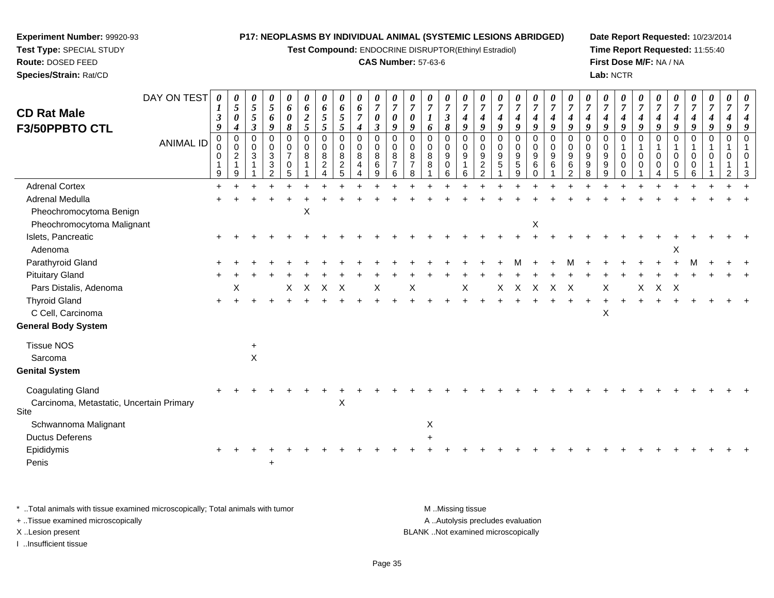**Test Compound:** ENDOCRINE DISRUPTOR(Ethinyl Estradiol)

## **CAS Number:** 57-63-6

**Date Report Requested:** 10/23/2014**Time Report Requested:** 11:55:40**First Dose M/F:** NA / NA**Lab:** NCTR

| <b>CD Rat Male</b><br>F3/50PPBTO CTL                  | DAY ON TEST<br><b>ANIMAL ID</b> | 0<br>$\boldsymbol{\beta}$<br>9<br>0<br>0<br>0<br>$\mathbf{1}$<br>9 | $\boldsymbol{\theta}$<br>5<br>0<br>4<br>$\mathbf 0$<br>0<br>$\overline{c}$<br>9 | 0<br>$\overline{5}$<br>$\mathfrak{s}$<br>$\mathfrak{z}$<br>$\mathbf 0$<br>0<br>$\mathbf{3}$ | 0<br>$\sqrt{5}$<br>6<br>9<br>0<br>0<br>$\mathbf{3}$<br>3<br>2 | 0<br>6<br>$\boldsymbol{\theta}$<br>8<br>$\mathbf 0$<br>0<br>$\overline{7}$<br>$\mathbf 0$<br>5 | 0<br>6<br>2<br>5<br>0<br>0<br>8 | 0<br>6<br>5<br>5<br>0<br>0<br>8<br>$\overline{c}$ | 0<br>6<br>5<br>5<br>$\mathbf 0$<br>0<br>8<br>$\overline{2}$ | 0<br>6<br>$\overline{7}$<br>$\boldsymbol{4}$<br>$\mathbf 0$<br>0<br>8<br>4 | 0<br>$\overline{7}$<br>$\boldsymbol{\theta}$<br>$\boldsymbol{\beta}$<br>$\mathbf 0$<br>$\mathbf 0$<br>8<br>6<br>9 | $\boldsymbol{\theta}$<br>$\overline{7}$<br>$\boldsymbol{\theta}$<br>9<br>$\mathbf 0$<br>$\mathbf 0$<br>8<br>$\overline{7}$<br>6 | 7<br>0<br>9<br>$\Omega$<br>$\Omega$<br>8<br>$\overline{7}$ | 0<br>$\overline{7}$<br>6<br>$\Omega$<br>0<br>8<br>8 | 0<br>$\overline{7}$<br>$\boldsymbol{\beta}$<br>8<br>$\mathbf 0$<br>0<br>9<br>$\mathbf 0$<br>6 | 0<br>$\overline{7}$<br>4<br>9<br>$\mathbf 0$<br>0<br>$\boldsymbol{9}$<br>6 | $\boldsymbol{\theta}$<br>$\overline{7}$<br>$\boldsymbol{4}$<br>9<br>$\mathbf 0$<br>0<br>$9\,$<br>$\overline{2}$<br>$\overline{2}$ | $\overline{7}$<br>4<br>9<br>$\Omega$<br>0<br>9<br>5 | 0<br>$\overline{7}$<br>4<br>9<br>$\mathbf 0$<br>0<br>$9\,$<br>5<br>9 | 0<br>$\boldsymbol{7}$<br>$\boldsymbol{4}$<br>9<br>$\mathbf 0$<br>$\boldsymbol{0}$<br>9<br>6<br>$\Omega$ | 0<br>$\overline{7}$<br>4<br>9<br>$\mathbf 0$<br>0<br>9<br>6 | $\overline{7}$<br>4<br>9<br>$\mathbf 0$<br>0<br>9<br>6<br>2 | $\overline{7}$<br>4<br>9<br>$\mathbf 0$<br>0<br>9<br>9<br>8 | 0<br>$\overline{7}$<br>$\boldsymbol{4}$<br>9<br>$\mathbf 0$<br>0<br>$\boldsymbol{9}$<br>9<br>9 | 0<br>$\overline{7}$<br>$\boldsymbol{4}$<br>9<br>$\mathbf 0$<br>$\mathbf{1}$<br>$\Omega$<br>$\mathbf 0$<br>$\Omega$ | 0<br>7<br>4<br>9<br>$\Omega$<br>$\Omega$<br>0 | $\overline{7}$<br>4<br>9<br>$\Omega$<br>$\Omega$<br>0 | 0<br>$\overline{\tau}$<br>4<br>9<br>$\mathbf 0$<br>$\Omega$<br>0 | 0<br>7<br>4<br>9<br>$\Omega$<br>$\Omega$<br>0 | 0<br>$\overline{7}$<br>$\overline{4}$<br>9<br>$\Omega$<br>$\Omega$ | $\boldsymbol{\theta}$<br>9<br>0 | $\Omega$<br>$\Omega$ |
|-------------------------------------------------------|---------------------------------|--------------------------------------------------------------------|---------------------------------------------------------------------------------|---------------------------------------------------------------------------------------------|---------------------------------------------------------------|------------------------------------------------------------------------------------------------|---------------------------------|---------------------------------------------------|-------------------------------------------------------------|----------------------------------------------------------------------------|-------------------------------------------------------------------------------------------------------------------|---------------------------------------------------------------------------------------------------------------------------------|------------------------------------------------------------|-----------------------------------------------------|-----------------------------------------------------------------------------------------------|----------------------------------------------------------------------------|-----------------------------------------------------------------------------------------------------------------------------------|-----------------------------------------------------|----------------------------------------------------------------------|---------------------------------------------------------------------------------------------------------|-------------------------------------------------------------|-------------------------------------------------------------|-------------------------------------------------------------|------------------------------------------------------------------------------------------------|--------------------------------------------------------------------------------------------------------------------|-----------------------------------------------|-------------------------------------------------------|------------------------------------------------------------------|-----------------------------------------------|--------------------------------------------------------------------|---------------------------------|----------------------|
| <b>Adrenal Cortex</b>                                 |                                 | $\ddot{}$                                                          |                                                                                 |                                                                                             |                                                               |                                                                                                |                                 |                                                   |                                                             |                                                                            |                                                                                                                   |                                                                                                                                 |                                                            |                                                     |                                                                                               |                                                                            |                                                                                                                                   |                                                     |                                                                      |                                                                                                         |                                                             |                                                             |                                                             |                                                                                                |                                                                                                                    |                                               |                                                       |                                                                  |                                               |                                                                    |                                 |                      |
| Adrenal Medulla                                       |                                 |                                                                    |                                                                                 |                                                                                             |                                                               |                                                                                                |                                 |                                                   |                                                             |                                                                            |                                                                                                                   |                                                                                                                                 |                                                            |                                                     |                                                                                               |                                                                            |                                                                                                                                   |                                                     |                                                                      |                                                                                                         |                                                             |                                                             |                                                             |                                                                                                |                                                                                                                    |                                               |                                                       |                                                                  |                                               |                                                                    |                                 |                      |
| Pheochromocytoma Benign<br>Pheochromocytoma Malignant |                                 |                                                                    |                                                                                 |                                                                                             |                                                               |                                                                                                | $\pmb{\times}$                  |                                                   |                                                             |                                                                            |                                                                                                                   |                                                                                                                                 |                                                            |                                                     |                                                                                               |                                                                            |                                                                                                                                   |                                                     |                                                                      | X                                                                                                       |                                                             |                                                             |                                                             |                                                                                                |                                                                                                                    |                                               |                                                       |                                                                  |                                               |                                                                    |                                 |                      |
| Islets, Pancreatic<br>Adenoma                         |                                 |                                                                    |                                                                                 |                                                                                             |                                                               |                                                                                                |                                 |                                                   |                                                             |                                                                            |                                                                                                                   |                                                                                                                                 |                                                            |                                                     |                                                                                               |                                                                            |                                                                                                                                   |                                                     |                                                                      |                                                                                                         |                                                             |                                                             |                                                             |                                                                                                |                                                                                                                    |                                               |                                                       | Χ                                                                |                                               |                                                                    |                                 |                      |
| Parathyroid Gland                                     |                                 |                                                                    |                                                                                 |                                                                                             |                                                               |                                                                                                |                                 |                                                   |                                                             |                                                                            |                                                                                                                   |                                                                                                                                 |                                                            |                                                     |                                                                                               |                                                                            |                                                                                                                                   |                                                     |                                                                      |                                                                                                         |                                                             |                                                             |                                                             |                                                                                                |                                                                                                                    |                                               |                                                       |                                                                  |                                               |                                                                    |                                 |                      |
| <b>Pituitary Gland</b>                                |                                 |                                                                    |                                                                                 |                                                                                             |                                                               |                                                                                                |                                 |                                                   |                                                             |                                                                            |                                                                                                                   |                                                                                                                                 |                                                            |                                                     |                                                                                               |                                                                            |                                                                                                                                   |                                                     |                                                                      |                                                                                                         |                                                             |                                                             |                                                             |                                                                                                |                                                                                                                    |                                               |                                                       |                                                                  |                                               |                                                                    |                                 |                      |
| Pars Distalis, Adenoma                                |                                 |                                                                    | х                                                                               |                                                                                             |                                                               | X                                                                                              | X                               | X                                                 | X                                                           |                                                                            | X                                                                                                                 |                                                                                                                                 | X                                                          |                                                     |                                                                                               | X                                                                          |                                                                                                                                   | X                                                   | X                                                                    | $\boldsymbol{\mathsf{X}}$                                                                               | $\sf X$                                                     | X                                                           |                                                             | X                                                                                              |                                                                                                                    | X                                             | X                                                     | X                                                                |                                               |                                                                    |                                 |                      |
| <b>Thyroid Gland</b>                                  |                                 |                                                                    |                                                                                 |                                                                                             |                                                               |                                                                                                |                                 |                                                   |                                                             |                                                                            |                                                                                                                   |                                                                                                                                 |                                                            |                                                     |                                                                                               |                                                                            |                                                                                                                                   |                                                     |                                                                      |                                                                                                         |                                                             |                                                             |                                                             |                                                                                                |                                                                                                                    |                                               |                                                       |                                                                  |                                               |                                                                    |                                 |                      |
| C Cell, Carcinoma                                     |                                 |                                                                    |                                                                                 |                                                                                             |                                                               |                                                                                                |                                 |                                                   |                                                             |                                                                            |                                                                                                                   |                                                                                                                                 |                                                            |                                                     |                                                                                               |                                                                            |                                                                                                                                   |                                                     |                                                                      |                                                                                                         |                                                             |                                                             |                                                             | X                                                                                              |                                                                                                                    |                                               |                                                       |                                                                  |                                               |                                                                    |                                 |                      |
| <b>General Body System</b>                            |                                 |                                                                    |                                                                                 |                                                                                             |                                                               |                                                                                                |                                 |                                                   |                                                             |                                                                            |                                                                                                                   |                                                                                                                                 |                                                            |                                                     |                                                                                               |                                                                            |                                                                                                                                   |                                                     |                                                                      |                                                                                                         |                                                             |                                                             |                                                             |                                                                                                |                                                                                                                    |                                               |                                                       |                                                                  |                                               |                                                                    |                                 |                      |
| <b>Tissue NOS</b>                                     |                                 |                                                                    |                                                                                 |                                                                                             |                                                               |                                                                                                |                                 |                                                   |                                                             |                                                                            |                                                                                                                   |                                                                                                                                 |                                                            |                                                     |                                                                                               |                                                                            |                                                                                                                                   |                                                     |                                                                      |                                                                                                         |                                                             |                                                             |                                                             |                                                                                                |                                                                                                                    |                                               |                                                       |                                                                  |                                               |                                                                    |                                 |                      |
| Sarcoma                                               |                                 |                                                                    |                                                                                 | $\pmb{\times}$                                                                              |                                                               |                                                                                                |                                 |                                                   |                                                             |                                                                            |                                                                                                                   |                                                                                                                                 |                                                            |                                                     |                                                                                               |                                                                            |                                                                                                                                   |                                                     |                                                                      |                                                                                                         |                                                             |                                                             |                                                             |                                                                                                |                                                                                                                    |                                               |                                                       |                                                                  |                                               |                                                                    |                                 |                      |
| <b>Genital System</b>                                 |                                 |                                                                    |                                                                                 |                                                                                             |                                                               |                                                                                                |                                 |                                                   |                                                             |                                                                            |                                                                                                                   |                                                                                                                                 |                                                            |                                                     |                                                                                               |                                                                            |                                                                                                                                   |                                                     |                                                                      |                                                                                                         |                                                             |                                                             |                                                             |                                                                                                |                                                                                                                    |                                               |                                                       |                                                                  |                                               |                                                                    |                                 |                      |
| <b>Coagulating Gland</b>                              |                                 |                                                                    |                                                                                 |                                                                                             |                                                               |                                                                                                |                                 |                                                   |                                                             |                                                                            |                                                                                                                   |                                                                                                                                 |                                                            |                                                     |                                                                                               |                                                                            |                                                                                                                                   |                                                     |                                                                      |                                                                                                         |                                                             |                                                             |                                                             |                                                                                                |                                                                                                                    |                                               |                                                       |                                                                  |                                               |                                                                    |                                 |                      |
| Carcinoma, Metastatic, Uncertain Primary<br>Site      |                                 |                                                                    |                                                                                 |                                                                                             |                                                               |                                                                                                |                                 |                                                   | X                                                           |                                                                            |                                                                                                                   |                                                                                                                                 |                                                            |                                                     |                                                                                               |                                                                            |                                                                                                                                   |                                                     |                                                                      |                                                                                                         |                                                             |                                                             |                                                             |                                                                                                |                                                                                                                    |                                               |                                                       |                                                                  |                                               |                                                                    |                                 |                      |
| Schwannoma Malignant                                  |                                 |                                                                    |                                                                                 |                                                                                             |                                                               |                                                                                                |                                 |                                                   |                                                             |                                                                            |                                                                                                                   |                                                                                                                                 |                                                            | X                                                   |                                                                                               |                                                                            |                                                                                                                                   |                                                     |                                                                      |                                                                                                         |                                                             |                                                             |                                                             |                                                                                                |                                                                                                                    |                                               |                                                       |                                                                  |                                               |                                                                    |                                 |                      |
| <b>Ductus Deferens</b>                                |                                 |                                                                    |                                                                                 |                                                                                             |                                                               |                                                                                                |                                 |                                                   |                                                             |                                                                            |                                                                                                                   |                                                                                                                                 |                                                            |                                                     |                                                                                               |                                                                            |                                                                                                                                   |                                                     |                                                                      |                                                                                                         |                                                             |                                                             |                                                             |                                                                                                |                                                                                                                    |                                               |                                                       |                                                                  |                                               |                                                                    |                                 |                      |
| Epididymis                                            |                                 |                                                                    |                                                                                 |                                                                                             |                                                               |                                                                                                |                                 |                                                   |                                                             |                                                                            |                                                                                                                   |                                                                                                                                 |                                                            |                                                     |                                                                                               |                                                                            |                                                                                                                                   |                                                     |                                                                      |                                                                                                         |                                                             |                                                             |                                                             |                                                                                                |                                                                                                                    |                                               |                                                       |                                                                  |                                               |                                                                    |                                 |                      |
| Penis                                                 |                                 |                                                                    |                                                                                 |                                                                                             | ÷                                                             |                                                                                                |                                 |                                                   |                                                             |                                                                            |                                                                                                                   |                                                                                                                                 |                                                            |                                                     |                                                                                               |                                                                            |                                                                                                                                   |                                                     |                                                                      |                                                                                                         |                                                             |                                                             |                                                             |                                                                                                |                                                                                                                    |                                               |                                                       |                                                                  |                                               |                                                                    |                                 |                      |

\* ..Total animals with tissue examined microscopically; Total animals with tumor **M** . Missing tissue M ..Missing tissue A ..Autolysis precludes evaluation + ..Tissue examined microscopically X ..Lesion present BLANK ..Not examined microscopicallyI ..Insufficient tissue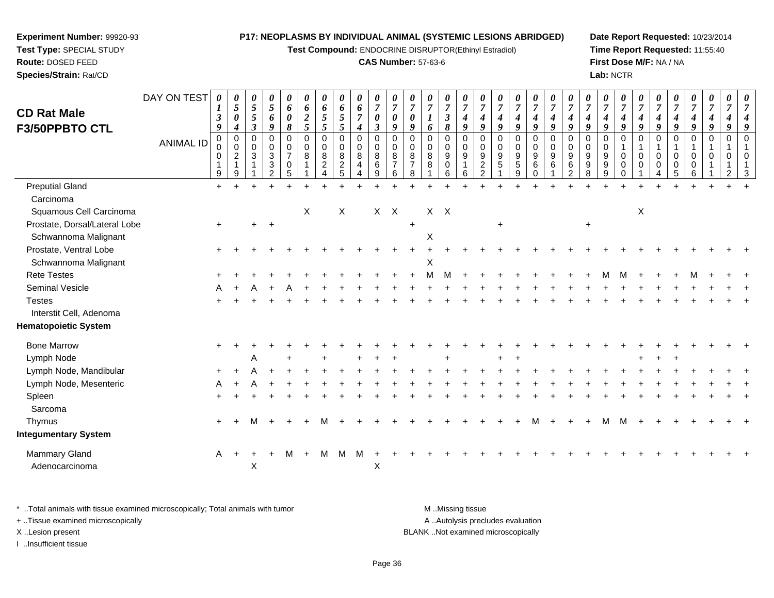**Test Compound:** ENDOCRINE DISRUPTOR(Ethinyl Estradiol)

#### **CAS Number:** 57-63-6

**Date Report Requested:** 10/23/2014**Time Report Requested:** 11:55:40**First Dose M/F:** NA / NA**Lab:** NCTR

| <b>CD Rat Male</b><br>F3/50PPBTO CTL           | DAY ON TEST      | 0<br>$\boldsymbol{l}$<br>$\boldsymbol{\beta}$ | $\boldsymbol{\theta}$<br>$\mathfrak{H}$<br>$\boldsymbol{\theta}$                | 0<br>$5\overline{)}$<br>$\mathfrak{s}$             | 0<br>$5\overline{)}$<br>6            | 0<br>6<br>0                             | 0<br>6<br>$\boldsymbol{2}$ | 0<br>$\pmb{6}$<br>$\mathfrak{s}$                             | 0<br>6<br>5                            | 0<br>6<br>$\overline{7}$                                         | 0<br>$\overline{7}$<br>0                            | $\boldsymbol{\theta}$<br>$\overline{7}$<br>$\boldsymbol{\theta}$ | $\overline{7}$<br>$\theta$          | 0<br>$\overline{7}$<br>1                | 0<br>$\boldsymbol{7}$<br>$\boldsymbol{\beta}$                                   | 0<br>$\overline{7}$<br>$\boldsymbol{4}$                   | $\overline{7}$<br>$\boldsymbol{4}$                                      | $\overline{7}$<br>4                           | 0<br>$\overline{7}$<br>$\boldsymbol{4}$ | 0<br>$\boldsymbol{7}$<br>$\boldsymbol{4}$                            | 0<br>$\overline{7}$<br>4  | $\boldsymbol{\theta}$<br>$\overline{7}$<br>4   | $\overline{7}$<br>4                   | 0<br>$\boldsymbol{7}$<br>4                       | 0<br>$\boldsymbol{7}$<br>$\boldsymbol{4}$               | $\boldsymbol{\theta}$<br>$\overline{7}$<br>4 | $\overline{7}$<br>4               | 0<br>$\overline{7}$<br>4               | 0<br>$\boldsymbol{7}$<br>$\boldsymbol{4}$ | 0<br>$\overline{7}$<br>$\boldsymbol{4}$               | 0<br>$\overline{7}$<br>4  |  |
|------------------------------------------------|------------------|-----------------------------------------------|---------------------------------------------------------------------------------|----------------------------------------------------|--------------------------------------|-----------------------------------------|----------------------------|--------------------------------------------------------------|----------------------------------------|------------------------------------------------------------------|-----------------------------------------------------|------------------------------------------------------------------|-------------------------------------|-----------------------------------------|---------------------------------------------------------------------------------|-----------------------------------------------------------|-------------------------------------------------------------------------|-----------------------------------------------|-----------------------------------------|----------------------------------------------------------------------|---------------------------|------------------------------------------------|---------------------------------------|--------------------------------------------------|---------------------------------------------------------|----------------------------------------------|-----------------------------------|----------------------------------------|-------------------------------------------|-------------------------------------------------------|---------------------------|--|
|                                                | <b>ANIMAL ID</b> | 9<br>0<br>$\Omega$<br>9                       | 4<br>$\pmb{0}$<br>$\mathbf 0$<br>$\overline{2}$<br>$\overline{\mathbf{1}}$<br>9 | $\boldsymbol{\beta}$<br>$\mathbf 0$<br>0<br>3<br>1 | 9<br>$\mathbf 0$<br>0<br>3<br>3<br>2 | 8<br>0<br>0<br>$\overline{7}$<br>0<br>5 | 5<br>$\Omega$<br>0<br>8    | 5<br>$\mathbf 0$<br>$\mathbf 0$<br>$\,8\,$<br>$\overline{c}$ | 5<br>0<br>0<br>$\bf8$<br>$\frac{2}{5}$ | $\boldsymbol{4}$<br>$\mathbf 0$<br>0<br>8<br>$\overline{4}$<br>4 | $\mathbf{3}$<br>$\pmb{0}$<br>0<br>8<br>$\,6\,$<br>9 | 9<br>$\Omega$<br>$\mathbf 0$<br>8<br>$\overline{7}$<br>6         | 9<br>$\Omega$<br>$\Omega$<br>8<br>8 | 6<br>$\Omega$<br>0<br>$\bf8$<br>$\bf 8$ | $\pmb{8}$<br>$\mathbf 0$<br>$\mathbf 0$<br>$\boldsymbol{9}$<br>$\mathbf 0$<br>6 | 9<br>$\mathbf 0$<br>$\mathbf 0$<br>9<br>$\mathbf{1}$<br>6 | 9<br>$\Omega$<br>$\mathbf 0$<br>9<br>$\boldsymbol{2}$<br>$\overline{2}$ | 9<br>$\mathbf 0$<br>$\mathbf 0$<br>$9\,$<br>5 | 9<br>0<br>0<br>$9\,$<br>$\sqrt{5}$<br>9 | 9<br>$\mathbf 0$<br>$\mathbf 0$<br>$\boldsymbol{9}$<br>6<br>$\Omega$ | 9<br>0<br>0<br>$9\,$<br>6 | 9<br>$\Omega$<br>0<br>9<br>6<br>$\overline{2}$ | 9<br>$\Omega$<br>0<br>$9\,$<br>9<br>8 | 9<br>$\Omega$<br>0<br>$\boldsymbol{9}$<br>9<br>9 | 9<br>$\Omega$<br>$\mathbf 0$<br>$\mathbf 0$<br>$\Omega$ | 9<br>$\Omega$<br>$\mathbf 0$<br>0            | 9<br>$\mathbf 0$<br>$\Omega$<br>0 | 9<br>$\Omega$<br>$\mathbf 0$<br>0<br>5 | 9<br>0<br>1<br>0<br>0<br>6                | 9<br>$\overline{0}$<br>$\mathbf{1}$<br>$\overline{0}$ | 9<br>$\Omega$<br>$\Omega$ |  |
| <b>Preputial Gland</b>                         |                  | $\ddot{}$                                     |                                                                                 |                                                    |                                      |                                         |                            |                                                              |                                        |                                                                  |                                                     |                                                                  |                                     |                                         |                                                                                 |                                                           |                                                                         |                                               |                                         |                                                                      |                           |                                                |                                       |                                                  |                                                         |                                              |                                   |                                        |                                           |                                                       |                           |  |
| Carcinoma                                      |                  |                                               |                                                                                 |                                                    |                                      |                                         |                            |                                                              |                                        |                                                                  |                                                     |                                                                  |                                     |                                         |                                                                                 |                                                           |                                                                         |                                               |                                         |                                                                      |                           |                                                |                                       |                                                  |                                                         |                                              |                                   |                                        |                                           |                                                       |                           |  |
| Squamous Cell Carcinoma                        |                  |                                               |                                                                                 |                                                    |                                      |                                         | X                          |                                                              | X                                      |                                                                  |                                                     | $X$ $X$                                                          |                                     |                                         | $X$ $X$                                                                         |                                                           |                                                                         |                                               |                                         |                                                                      |                           |                                                |                                       |                                                  |                                                         | X                                            |                                   |                                        |                                           |                                                       |                           |  |
| Prostate, Dorsal/Lateral Lobe                  |                  | $\ddot{}$                                     |                                                                                 | ÷                                                  | $\overline{+}$                       |                                         |                            |                                                              |                                        |                                                                  |                                                     |                                                                  | $\ddot{}$                           |                                         |                                                                                 |                                                           |                                                                         | $\ddot{}$                                     |                                         |                                                                      |                           |                                                | $\ddot{}$                             |                                                  |                                                         |                                              |                                   |                                        |                                           |                                                       |                           |  |
| Schwannoma Malignant                           |                  |                                               |                                                                                 |                                                    |                                      |                                         |                            |                                                              |                                        |                                                                  |                                                     |                                                                  |                                     | $\sf X$                                 |                                                                                 |                                                           |                                                                         |                                               |                                         |                                                                      |                           |                                                |                                       |                                                  |                                                         |                                              |                                   |                                        |                                           |                                                       |                           |  |
| Prostate, Ventral Lobe<br>Schwannoma Malignant |                  | $\pm$                                         |                                                                                 |                                                    |                                      |                                         |                            |                                                              |                                        |                                                                  |                                                     |                                                                  |                                     | X                                       |                                                                                 |                                                           |                                                                         |                                               |                                         |                                                                      |                           |                                                |                                       |                                                  |                                                         |                                              |                                   |                                        |                                           |                                                       |                           |  |
| <b>Rete Testes</b>                             |                  |                                               |                                                                                 |                                                    |                                      |                                         |                            |                                                              |                                        |                                                                  |                                                     |                                                                  |                                     |                                         |                                                                                 |                                                           |                                                                         |                                               |                                         |                                                                      |                           |                                                |                                       |                                                  |                                                         |                                              |                                   |                                        |                                           |                                                       |                           |  |
| <b>Seminal Vesicle</b>                         |                  |                                               |                                                                                 |                                                    |                                      |                                         |                            |                                                              |                                        |                                                                  |                                                     |                                                                  |                                     |                                         |                                                                                 |                                                           |                                                                         |                                               |                                         |                                                                      |                           |                                                |                                       |                                                  |                                                         |                                              |                                   |                                        |                                           |                                                       |                           |  |
| <b>Testes</b>                                  |                  |                                               |                                                                                 |                                                    |                                      |                                         |                            |                                                              |                                        |                                                                  |                                                     |                                                                  |                                     |                                         |                                                                                 |                                                           |                                                                         |                                               |                                         |                                                                      |                           |                                                |                                       |                                                  |                                                         |                                              |                                   |                                        |                                           |                                                       |                           |  |
| Interstit Cell, Adenoma                        |                  |                                               |                                                                                 |                                                    |                                      |                                         |                            |                                                              |                                        |                                                                  |                                                     |                                                                  |                                     |                                         |                                                                                 |                                                           |                                                                         |                                               |                                         |                                                                      |                           |                                                |                                       |                                                  |                                                         |                                              |                                   |                                        |                                           |                                                       |                           |  |
| <b>Hematopoietic System</b>                    |                  |                                               |                                                                                 |                                                    |                                      |                                         |                            |                                                              |                                        |                                                                  |                                                     |                                                                  |                                     |                                         |                                                                                 |                                                           |                                                                         |                                               |                                         |                                                                      |                           |                                                |                                       |                                                  |                                                         |                                              |                                   |                                        |                                           |                                                       |                           |  |
| <b>Bone Marrow</b>                             |                  |                                               |                                                                                 |                                                    |                                      |                                         |                            |                                                              |                                        |                                                                  |                                                     |                                                                  |                                     |                                         |                                                                                 |                                                           |                                                                         |                                               |                                         |                                                                      |                           |                                                |                                       |                                                  |                                                         |                                              |                                   |                                        |                                           |                                                       |                           |  |
| Lymph Node                                     |                  |                                               |                                                                                 | A                                                  |                                      |                                         |                            |                                                              |                                        |                                                                  |                                                     |                                                                  |                                     |                                         |                                                                                 |                                                           |                                                                         |                                               |                                         |                                                                      |                           |                                                |                                       |                                                  |                                                         |                                              |                                   |                                        |                                           |                                                       |                           |  |
| Lymph Node, Mandibular                         |                  |                                               |                                                                                 |                                                    |                                      |                                         |                            |                                                              |                                        |                                                                  |                                                     |                                                                  |                                     |                                         |                                                                                 |                                                           |                                                                         |                                               |                                         |                                                                      |                           |                                                |                                       |                                                  |                                                         |                                              |                                   |                                        |                                           |                                                       |                           |  |
| Lymph Node, Mesenteric                         |                  |                                               |                                                                                 |                                                    |                                      |                                         |                            |                                                              |                                        |                                                                  |                                                     |                                                                  |                                     |                                         |                                                                                 |                                                           |                                                                         |                                               |                                         |                                                                      |                           |                                                |                                       |                                                  |                                                         |                                              |                                   |                                        |                                           |                                                       |                           |  |
| Spleen                                         |                  |                                               |                                                                                 |                                                    |                                      |                                         |                            |                                                              |                                        |                                                                  |                                                     |                                                                  |                                     |                                         |                                                                                 |                                                           |                                                                         |                                               |                                         |                                                                      |                           |                                                |                                       |                                                  |                                                         |                                              |                                   |                                        |                                           |                                                       |                           |  |
| Sarcoma                                        |                  |                                               |                                                                                 |                                                    |                                      |                                         |                            |                                                              |                                        |                                                                  |                                                     |                                                                  |                                     |                                         |                                                                                 |                                                           |                                                                         |                                               |                                         |                                                                      |                           |                                                |                                       |                                                  |                                                         |                                              |                                   |                                        |                                           |                                                       |                           |  |
| Thymus                                         |                  | $\ddot{}$                                     |                                                                                 | M                                                  |                                      |                                         |                            | м                                                            |                                        |                                                                  |                                                     |                                                                  |                                     |                                         |                                                                                 |                                                           |                                                                         |                                               |                                         |                                                                      |                           |                                                |                                       | M                                                |                                                         |                                              |                                   |                                        |                                           |                                                       |                           |  |
| <b>Integumentary System</b>                    |                  |                                               |                                                                                 |                                                    |                                      |                                         |                            |                                                              |                                        |                                                                  |                                                     |                                                                  |                                     |                                         |                                                                                 |                                                           |                                                                         |                                               |                                         |                                                                      |                           |                                                |                                       |                                                  |                                                         |                                              |                                   |                                        |                                           |                                                       |                           |  |
| Mammary Gland                                  |                  | A                                             | $\overline{+}$                                                                  |                                                    |                                      | м                                       | $+$                        | M                                                            | M                                      | M                                                                |                                                     |                                                                  |                                     |                                         |                                                                                 |                                                           |                                                                         |                                               |                                         |                                                                      |                           |                                                |                                       |                                                  |                                                         |                                              |                                   |                                        |                                           |                                                       |                           |  |
| Adenocarcinoma                                 |                  |                                               |                                                                                 | X                                                  |                                      |                                         |                            |                                                              |                                        |                                                                  | $\boldsymbol{X}$                                    |                                                                  |                                     |                                         |                                                                                 |                                                           |                                                                         |                                               |                                         |                                                                      |                           |                                                |                                       |                                                  |                                                         |                                              |                                   |                                        |                                           |                                                       |                           |  |

\* ..Total animals with tissue examined microscopically; Total animals with tumor **M** . Missing tissue M ..Missing tissue A ..Autolysis precludes evaluation + ..Tissue examined microscopically X ..Lesion present BLANK ..Not examined microscopicallyI ..Insufficient tissue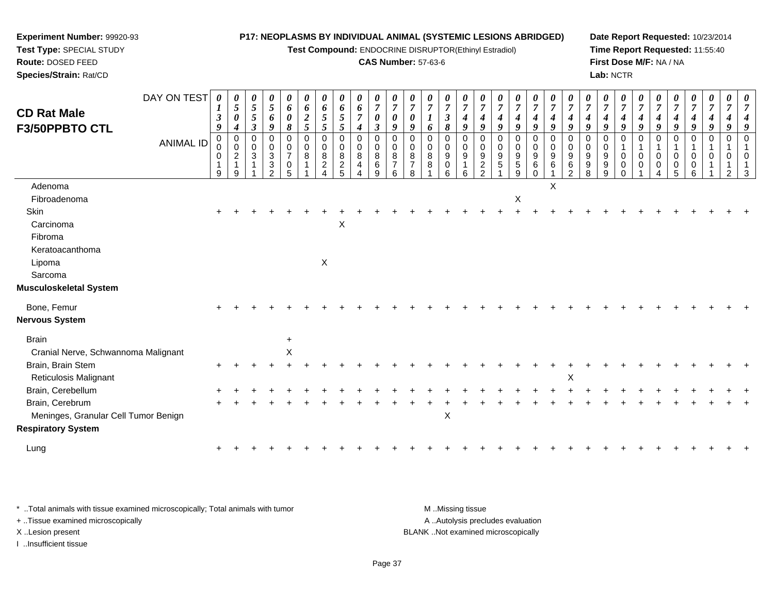**Test Compound:** ENDOCRINE DISRUPTOR(Ethinyl Estradiol)

#### **CAS Number:** 57-63-6

**Date Report Requested:** 10/23/2014**Time Report Requested:** 11:55:40**First Dose M/F:** NA / NA**Lab:** NCTR

DAY ON TEST**CD Rat Male F3/50PPBTO CTL**ANIMAL ID*0 1 3 9* 0 0 0 1 9*0 5 0 4* 0 0 2 1 9*0 5 5 3* 0 0 3 1 1*0 5 6 9* 0 0 3 3 2*0 6 0 8* 0 0 7 0 5*0 6 2 5* 0 0 8 11*0 6 5 5* 0 0 8 2 4*0 6 5 5* 0 0 8 2 5*0 6 7 4* 0 0 8 4 4*0 7 0 3* 0 0 8 6 9*0 7 0 9* 0 0 8 7 6*0 7 0 9* 0 0 8 7 8*0 7 1 6* 0 0 8 8 1*0 7 3 8* 0 0 9 0 6*0 7 4 9* 0 0 9 1 6*0 7 4 9* 0 0 9 2 2*0 7 4 9* 0 0 9 5 1*0 7 4 9* 0 0 9 5 9*0 7 4 9* 0 0 9 6 0*0 7 4 9* 0 0 9 6 1X *0 7 4 9* 0 0 9 6 2*0 7 4 9* 0 0 9 9 8*0 7 4 9* 0 0 9 9 9*0 7 4 9* 0 1 0 0 0*0 7 4 9* 0 1 0 0 1*0 7 4 9* 0 1 0 0 4*0 7 4 9* 0 1 0 0 5*0 7 4 9* 0 1 0 0 6*0 7 4 9* 0 1 0 1 1Adenomaa and the contract of the contract of the contract of the contract of the contract of the contract of the contract of the contract of the contract of the contract of the contract of the contract of the contract of the cont Fibroadenoma $\alpha$ Skinn  $+$  <sup>+</sup> <sup>+</sup> <sup>+</sup> <sup>+</sup> <sup>+</sup> <sup>+</sup> <sup>+</sup> <sup>+</sup> <sup>+</sup> <sup>+</sup> <sup>+</sup> <sup>+</sup> <sup>+</sup> <sup>+</sup> <sup>+</sup> <sup>+</sup> <sup>+</sup> <sup>+</sup> <sup>+</sup> <sup>+</sup> <sup>+</sup> <sup>+</sup> <sup>+</sup> <sup>+</sup> <sup>+</sup> <sup>+</sup> <sup>+</sup> <sup>+</sup> <sup>+</sup> <sup>+</sup> Carcinomaa  $\lambda$ Fibroma KeratoacanthomaLipomaa  $X$ Sarcoma **Musculoskeletal System**Bone, Femurr + <sup>+</sup> <sup>+</sup> <sup>+</sup> <sup>+</sup> <sup>+</sup> <sup>+</sup> <sup>+</sup> <sup>+</sup> <sup>+</sup> <sup>+</sup> <sup>+</sup> <sup>+</sup> <sup>+</sup> <sup>+</sup> <sup>+</sup> <sup>+</sup> <sup>+</sup> <sup>+</sup> <sup>+</sup> <sup>+</sup> <sup>+</sup> <sup>+</sup> <sup>+</sup> <sup>+</sup> <sup>+</sup> <sup>+</sup> <sup>+</sup> <sup>+</sup> <sup>+</sup> <sup>+</sup> **Nervous SystemBrain** n  $+$  $\overline{\mathsf{x}}$ Cranial Nerve, Schwannoma Malignant XBrain, Brain Stem<sup>+</sup> <sup>+</sup> <sup>+</sup> <sup>+</sup> <sup>+</sup> <sup>+</sup> <sup>+</sup> <sup>+</sup> <sup>+</sup> <sup>+</sup> <sup>+</sup> <sup>+</sup> <sup>+</sup> <sup>+</sup> <sup>+</sup> <sup>+</sup> <sup>+</sup> <sup>+</sup> <sup>+</sup> <sup>+</sup> <sup>+</sup> <sup>+</sup> <sup>+</sup> <sup>+</sup> <sup>+</sup> <sup>+</sup> <sup>+</sup> <sup>+</sup> <sup>+</sup> <sup>+</sup> <sup>+</sup>

Reticulosis Malignantt to the contract of the contract of the contract of the contract of the contract of the contract of the contract of the contract of the contract of the contract of the contract of the contract of the contract of the contr  $\overline{1}$ Brain, Cerebellum <sup>+</sup> <sup>+</sup> <sup>+</sup> <sup>+</sup> <sup>+</sup> <sup>+</sup> <sup>+</sup> <sup>+</sup> <sup>+</sup> <sup>+</sup> <sup>+</sup> <sup>+</sup> <sup>+</sup> <sup>+</sup> <sup>+</sup> <sup>+</sup> <sup>+</sup> <sup>+</sup> <sup>+</sup> <sup>+</sup> <sup>+</sup> <sup>+</sup> <sup>+</sup> <sup>+</sup> <sup>+</sup> <sup>+</sup> <sup>+</sup> <sup>+</sup> <sup>+</sup> <sup>+</sup> <sup>+</sup> Brain, Cerebrum <sup>+</sup> <sup>+</sup> <sup>+</sup> <sup>+</sup> <sup>+</sup> <sup>+</sup> <sup>+</sup> <sup>+</sup> <sup>+</sup> <sup>+</sup> <sup>+</sup> <sup>+</sup> <sup>+</sup> <sup>+</sup> <sup>+</sup> <sup>+</sup> <sup>+</sup> <sup>+</sup> <sup>+</sup> <sup>+</sup> <sup>+</sup> <sup>+</sup> <sup>+</sup> <sup>+</sup> <sup>+</sup> <sup>+</sup> <sup>+</sup> <sup>+</sup> <sup>+</sup> <sup>+</sup> <sup>+</sup> Meninges, Granular Cell Tumor Benignn  $X$ **Respiratory System**Lungg  $\rightarrow$ <sup>+</sup> <sup>+</sup> <sup>+</sup> <sup>+</sup> <sup>+</sup> <sup>+</sup> <sup>+</sup> <sup>+</sup> <sup>+</sup> <sup>+</sup> <sup>+</sup> <sup>+</sup> <sup>+</sup> <sup>+</sup> <sup>+</sup> <sup>+</sup> <sup>+</sup> <sup>+</sup> <sup>+</sup> <sup>+</sup> <sup>+</sup> <sup>+</sup> <sup>+</sup> <sup>+</sup> <sup>+</sup> <sup>+</sup> <sup>+</sup> <sup>+</sup> <sup>+</sup> <sup>+</sup>

\* ..Total animals with tissue examined microscopically; Total animals with tumor M ...Missing tissue M ...Missing tissue A ..Autolysis precludes evaluation + ..Tissue examined microscopically X ..Lesion present BLANK ..Not examined microscopicallyI ..Insufficient tissue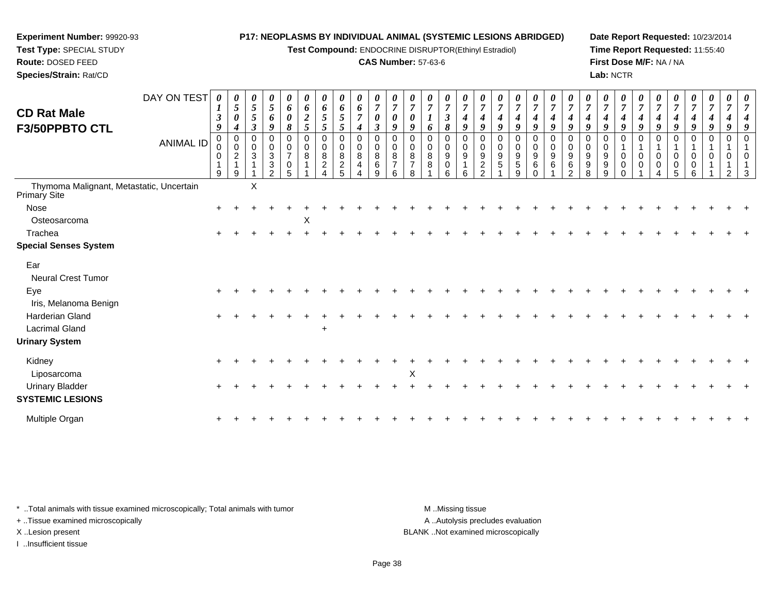# **Experiment Number:** 99920-93

**Test Type:** SPECIAL STUDY

# **Route:** DOSED FEED

**Species/Strain:** Rat/CD

# **P17: NEOPLASMS BY INDIVIDUAL ANIMAL (SYSTEMIC LESIONS ABRIDGED)**

**Test Compound:** ENDOCRINE DISRUPTOR(Ethinyl Estradiol)

# **CAS Number:** 57-63-6

**Date Report Requested:** 10/23/2014**Time Report Requested:** 11:55:40**First Dose M/F:** NA / NA**Lab:** NCTR

| <b>CD Rat Male</b><br>F3/50PPBTO CTL                     | DAY ON TEST<br>ANIMAL ID | 0<br>$\boldsymbol{\beta}$<br>9<br>0<br>0<br>0<br>9 | $\boldsymbol{\theta}$<br>$\mathfrak{s}$<br>$\boldsymbol{\theta}$<br>$\boldsymbol{4}$<br>$\pmb{0}$<br>$\mathbf 0$<br>$\overline{c}$<br>$\overline{1}$<br>9 | $\boldsymbol{\theta}$<br>$\mathfrak{s}$<br>5<br>$\boldsymbol{\beta}$<br>$\Omega$<br>$\mathbf 0$<br>3 | $\pmb{\theta}$<br>$5\overline{)}$<br>6<br>9<br>0<br>$\mathbf 0$<br>$\mathbf{3}$<br>$\sqrt{3}$<br>$\mathfrak{p}$ | $\pmb{\theta}$<br>6<br>$\boldsymbol{\theta}$<br>8<br>0<br>$\mathbf 0$<br>$\overline{7}$<br>$\mathbf 0$<br>5 | 0<br>6<br>$\boldsymbol{2}$<br>$5\overline{)}$<br>$\mathbf 0$<br>$\mathbf 0$<br>8 | 0<br>6<br>5<br>5<br>$\mathbf 0$<br>$\mathbf 0$<br>8<br>$\boldsymbol{2}$ | 0<br>6<br>5<br>5<br>$\mathbf 0$<br>$\mathbf 0$<br>8<br>$\boldsymbol{2}$<br>5 | $\boldsymbol{\theta}$<br>6<br>$\overline{7}$<br>$\boldsymbol{4}$<br>0<br>$\mathbf 0$<br>8<br>$\overline{4}$<br>4 | $\boldsymbol{\theta}$<br>$\overline{7}$<br>$\boldsymbol{\theta}$<br>$\mathfrak{z}$<br>$\pmb{0}$<br>$\mathbf 0$<br>$\, 8$<br>$\,6\,$<br>9 | 0<br>$\overline{7}$<br>$\boldsymbol{\theta}$<br>9<br>$\mathbf 0$<br>$\mathbf 0$<br>8<br>$\overline{7}$<br>6 | 0<br>$\overline{7}$<br>9<br>$\mathbf 0$<br>$\mathbf 0$<br>8<br>$\overline{ }$ | 0<br>$\overline{7}$<br>6<br>$\mathbf 0$<br>8<br>8 | 0<br>$\overline{7}$<br>$\boldsymbol{\mathfrak{z}}$<br>$\pmb{8}$<br>0<br>0<br>$\boldsymbol{9}$<br>0<br>6 | 0<br>$\overline{7}$<br>$\boldsymbol{4}$<br>9<br>$\mathbf 0$<br>$\boldsymbol{0}$<br>$\boldsymbol{9}$<br>$\mathbf{1}$<br>6 | 0<br>$\overline{7}$<br>$\boldsymbol{4}$<br>9<br>0<br>0<br>9<br>$\overline{c}$<br>$\mathfrak{p}$ | 0<br>$\overline{7}$<br>$\boldsymbol{4}$<br>$\boldsymbol{q}$<br>$\pmb{0}$<br>$\mathbf 0$<br>$\boldsymbol{9}$<br>$\overline{5}$ | 0<br>$\overline{7}$<br>4<br>9<br>0<br>0<br>9<br>$\,$ 5 $\,$<br>9 | $\boldsymbol{\theta}$<br>$\overline{7}$<br>$\boldsymbol{4}$<br>9<br>$\pmb{0}$<br>$\mathbf 0$<br>$\boldsymbol{9}$<br>$\,6\,$<br>$\Omega$ | 0<br>$\overline{\tau}$<br>9<br>0<br>$\mathbf 0$<br>9<br>6 | 0<br>$\overline{7}$<br>$\boldsymbol{4}$<br>9<br>$\mathbf 0$<br>9<br>6 | 0<br>$\overline{7}$<br>4<br>9<br>0<br>0<br>9<br>9<br>8 | 0<br>$\overline{7}$<br>$\boldsymbol{4}$<br>9<br>0<br>$\pmb{0}$<br>$\boldsymbol{9}$<br>$\boldsymbol{9}$<br>9 | 0<br>$\overline{7}$<br>Q<br>$\mathbf 0$<br>$\mathbf{1}$<br>$\mathbf 0$<br>$\mathbf 0$<br>$\Omega$ | 0<br>$\overline{7}$<br>4<br>9<br>0<br>$\overline{1}$<br>0<br>$\mathbf 0$ | 0<br>$\overline{7}$<br>4<br>9<br>0<br>$\mathbf{1}$<br>0<br>0 | 0<br>$\overline{7}$<br>$\boldsymbol{4}$<br>9<br>0<br>0<br>0<br>5 | 0<br>$\boldsymbol{7}$<br>$\boldsymbol{4}$<br>9<br>$\mathbf 0$<br>$\mathbf{1}$<br>$\mathbf 0$<br>0<br>6 | 0<br>$\overline{7}$<br>$\boldsymbol{4}$<br>9<br>0<br>$\mathbf{1}$<br>0 | 0<br>$\overline{7}$<br>$\boldsymbol{4}$<br>9<br>0<br>$\mathbf{1}$<br>0<br>2 | 0<br>7<br>q<br>$\Omega$<br>∩<br>3 |
|----------------------------------------------------------|--------------------------|----------------------------------------------------|-----------------------------------------------------------------------------------------------------------------------------------------------------------|------------------------------------------------------------------------------------------------------|-----------------------------------------------------------------------------------------------------------------|-------------------------------------------------------------------------------------------------------------|----------------------------------------------------------------------------------|-------------------------------------------------------------------------|------------------------------------------------------------------------------|------------------------------------------------------------------------------------------------------------------|------------------------------------------------------------------------------------------------------------------------------------------|-------------------------------------------------------------------------------------------------------------|-------------------------------------------------------------------------------|---------------------------------------------------|---------------------------------------------------------------------------------------------------------|--------------------------------------------------------------------------------------------------------------------------|-------------------------------------------------------------------------------------------------|-------------------------------------------------------------------------------------------------------------------------------|------------------------------------------------------------------|-----------------------------------------------------------------------------------------------------------------------------------------|-----------------------------------------------------------|-----------------------------------------------------------------------|--------------------------------------------------------|-------------------------------------------------------------------------------------------------------------|---------------------------------------------------------------------------------------------------|--------------------------------------------------------------------------|--------------------------------------------------------------|------------------------------------------------------------------|--------------------------------------------------------------------------------------------------------|------------------------------------------------------------------------|-----------------------------------------------------------------------------|-----------------------------------|
| Thymoma Malignant, Metastatic, Uncertain<br>Primary Site |                          |                                                    |                                                                                                                                                           | X                                                                                                    |                                                                                                                 |                                                                                                             |                                                                                  |                                                                         |                                                                              |                                                                                                                  |                                                                                                                                          |                                                                                                             |                                                                               |                                                   |                                                                                                         |                                                                                                                          |                                                                                                 |                                                                                                                               |                                                                  |                                                                                                                                         |                                                           |                                                                       |                                                        |                                                                                                             |                                                                                                   |                                                                          |                                                              |                                                                  |                                                                                                        |                                                                        |                                                                             |                                   |
| <b>Nose</b>                                              |                          |                                                    |                                                                                                                                                           |                                                                                                      |                                                                                                                 |                                                                                                             |                                                                                  |                                                                         |                                                                              |                                                                                                                  |                                                                                                                                          |                                                                                                             |                                                                               |                                                   |                                                                                                         |                                                                                                                          |                                                                                                 |                                                                                                                               |                                                                  |                                                                                                                                         |                                                           |                                                                       |                                                        |                                                                                                             |                                                                                                   |                                                                          |                                                              |                                                                  |                                                                                                        |                                                                        |                                                                             |                                   |
| Osteosarcoma                                             |                          |                                                    |                                                                                                                                                           |                                                                                                      |                                                                                                                 |                                                                                                             | X                                                                                |                                                                         |                                                                              |                                                                                                                  |                                                                                                                                          |                                                                                                             |                                                                               |                                                   |                                                                                                         |                                                                                                                          |                                                                                                 |                                                                                                                               |                                                                  |                                                                                                                                         |                                                           |                                                                       |                                                        |                                                                                                             |                                                                                                   |                                                                          |                                                              |                                                                  |                                                                                                        |                                                                        |                                                                             |                                   |
| Trachea                                                  |                          |                                                    |                                                                                                                                                           |                                                                                                      |                                                                                                                 |                                                                                                             |                                                                                  |                                                                         |                                                                              |                                                                                                                  |                                                                                                                                          |                                                                                                             |                                                                               |                                                   |                                                                                                         |                                                                                                                          |                                                                                                 |                                                                                                                               |                                                                  |                                                                                                                                         |                                                           |                                                                       |                                                        |                                                                                                             |                                                                                                   |                                                                          |                                                              |                                                                  |                                                                                                        |                                                                        |                                                                             |                                   |
| <b>Special Senses System</b>                             |                          |                                                    |                                                                                                                                                           |                                                                                                      |                                                                                                                 |                                                                                                             |                                                                                  |                                                                         |                                                                              |                                                                                                                  |                                                                                                                                          |                                                                                                             |                                                                               |                                                   |                                                                                                         |                                                                                                                          |                                                                                                 |                                                                                                                               |                                                                  |                                                                                                                                         |                                                           |                                                                       |                                                        |                                                                                                             |                                                                                                   |                                                                          |                                                              |                                                                  |                                                                                                        |                                                                        |                                                                             |                                   |
| Ear<br><b>Neural Crest Tumor</b>                         |                          |                                                    |                                                                                                                                                           |                                                                                                      |                                                                                                                 |                                                                                                             |                                                                                  |                                                                         |                                                                              |                                                                                                                  |                                                                                                                                          |                                                                                                             |                                                                               |                                                   |                                                                                                         |                                                                                                                          |                                                                                                 |                                                                                                                               |                                                                  |                                                                                                                                         |                                                           |                                                                       |                                                        |                                                                                                             |                                                                                                   |                                                                          |                                                              |                                                                  |                                                                                                        |                                                                        |                                                                             |                                   |
| Eye<br>Iris, Melanoma Benign                             |                          |                                                    |                                                                                                                                                           |                                                                                                      |                                                                                                                 |                                                                                                             |                                                                                  |                                                                         |                                                                              |                                                                                                                  |                                                                                                                                          |                                                                                                             |                                                                               |                                                   |                                                                                                         |                                                                                                                          |                                                                                                 |                                                                                                                               |                                                                  |                                                                                                                                         |                                                           |                                                                       |                                                        |                                                                                                             |                                                                                                   |                                                                          |                                                              |                                                                  |                                                                                                        |                                                                        |                                                                             |                                   |
| Harderian Gland<br><b>Lacrimal Gland</b>                 |                          |                                                    |                                                                                                                                                           |                                                                                                      |                                                                                                                 |                                                                                                             |                                                                                  | $\ddot{}$                                                               |                                                                              |                                                                                                                  |                                                                                                                                          |                                                                                                             |                                                                               |                                                   |                                                                                                         |                                                                                                                          |                                                                                                 |                                                                                                                               |                                                                  |                                                                                                                                         |                                                           |                                                                       |                                                        |                                                                                                             |                                                                                                   |                                                                          |                                                              |                                                                  |                                                                                                        |                                                                        |                                                                             |                                   |
| <b>Urinary System</b>                                    |                          |                                                    |                                                                                                                                                           |                                                                                                      |                                                                                                                 |                                                                                                             |                                                                                  |                                                                         |                                                                              |                                                                                                                  |                                                                                                                                          |                                                                                                             |                                                                               |                                                   |                                                                                                         |                                                                                                                          |                                                                                                 |                                                                                                                               |                                                                  |                                                                                                                                         |                                                           |                                                                       |                                                        |                                                                                                             |                                                                                                   |                                                                          |                                                              |                                                                  |                                                                                                        |                                                                        |                                                                             |                                   |
| Kidney<br>Liposarcoma                                    |                          |                                                    |                                                                                                                                                           |                                                                                                      |                                                                                                                 |                                                                                                             |                                                                                  |                                                                         |                                                                              |                                                                                                                  |                                                                                                                                          |                                                                                                             | $\boldsymbol{\mathsf{X}}$                                                     |                                                   |                                                                                                         |                                                                                                                          |                                                                                                 |                                                                                                                               |                                                                  |                                                                                                                                         |                                                           |                                                                       |                                                        |                                                                                                             |                                                                                                   |                                                                          |                                                              |                                                                  |                                                                                                        |                                                                        |                                                                             |                                   |
| <b>Urinary Bladder</b><br><b>SYSTEMIC LESIONS</b>        |                          |                                                    |                                                                                                                                                           |                                                                                                      |                                                                                                                 |                                                                                                             |                                                                                  |                                                                         |                                                                              |                                                                                                                  |                                                                                                                                          |                                                                                                             |                                                                               |                                                   |                                                                                                         |                                                                                                                          |                                                                                                 |                                                                                                                               |                                                                  |                                                                                                                                         |                                                           |                                                                       |                                                        |                                                                                                             |                                                                                                   |                                                                          |                                                              |                                                                  |                                                                                                        |                                                                        |                                                                             |                                   |
| Multiple Organ                                           |                          |                                                    |                                                                                                                                                           |                                                                                                      |                                                                                                                 |                                                                                                             |                                                                                  |                                                                         |                                                                              |                                                                                                                  |                                                                                                                                          |                                                                                                             |                                                                               |                                                   |                                                                                                         |                                                                                                                          |                                                                                                 |                                                                                                                               |                                                                  |                                                                                                                                         |                                                           |                                                                       |                                                        |                                                                                                             |                                                                                                   |                                                                          |                                                              |                                                                  |                                                                                                        |                                                                        |                                                                             |                                   |

\* ..Total animals with tissue examined microscopically; Total animals with tumor **M** . Missing tissue M ..Missing tissue

+ ..Tissue examined microscopically

I ..Insufficient tissue

A ..Autolysis precludes evaluation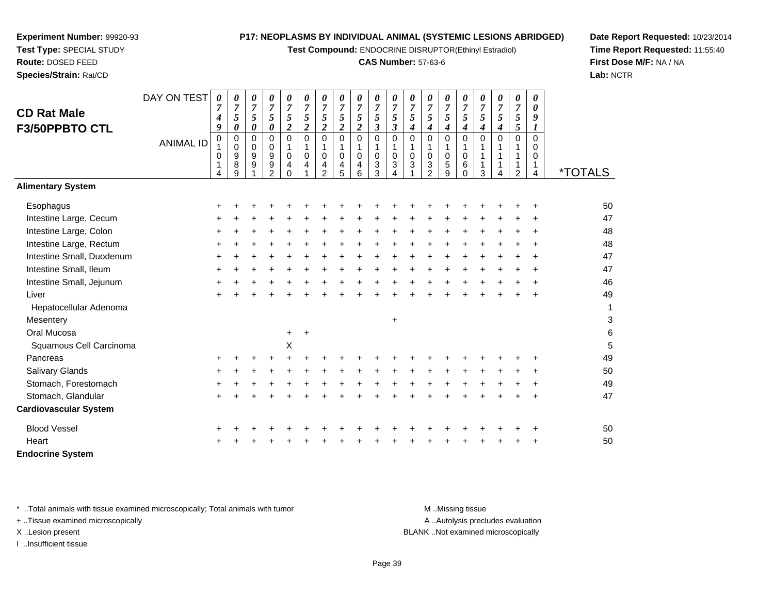**Test Compound:** ENDOCRINE DISRUPTOR(Ethinyl Estradiol)

#### **CAS Number:** 57-63-6

0

**Date Report Requested:** 10/23/2014**Time Report Requested:** 11:55:40**First Dose M/F:** NA / NA**Lab:** NCTR

|                                                                                | <b>AITIRE IL</b> | 0<br>1<br>4 | 0<br>$\boldsymbol{9}$<br>$\bf 8$<br>9 | 0<br>$\boldsymbol{9}$<br>9 | 0<br>$\mathsf g$<br>$\boldsymbol{9}$<br>$\overline{2}$ | 1<br>$\pmb{0}$<br>4<br>$\mathbf 0$ | 1<br>$\pmb{0}$<br>4 | 1<br>$\pmb{0}$<br>4<br>$\overline{2}$ | 1<br>$\pmb{0}$<br>4<br>5 | 1<br>$\pmb{0}$<br>$\overline{4}$<br>$6\phantom{a}$ | 1<br>$\mathsf 0$<br>$\sqrt{3}$<br>3 | -1<br>$\pmb{0}$<br>3<br>4 | 1<br>$\pmb{0}$<br>$\ensuremath{\mathsf{3}}$ | 1<br>$\mathbf 0$<br>3<br>$\overline{2}$ | 1<br>$\pmb{0}$<br>$\frac{5}{9}$ | 1<br>$\mathbf 0$<br>6<br>$\Omega$ | 1<br>3 | 1<br>$\mathbf{1}$<br>4 | 1<br>$\overline{2}$ | 0<br>0<br>1<br>4 | <i><b>*TOTALS</b></i> |
|--------------------------------------------------------------------------------|------------------|-------------|---------------------------------------|----------------------------|--------------------------------------------------------|------------------------------------|---------------------|---------------------------------------|--------------------------|----------------------------------------------------|-------------------------------------|---------------------------|---------------------------------------------|-----------------------------------------|---------------------------------|-----------------------------------|--------|------------------------|---------------------|------------------|-----------------------|
| <b>Alimentary System</b>                                                       |                  |             |                                       |                            |                                                        |                                    |                     |                                       |                          |                                                    |                                     |                           |                                             |                                         |                                 |                                   |        |                        |                     |                  |                       |
| Esophagus                                                                      |                  | +           |                                       |                            |                                                        |                                    |                     |                                       |                          |                                                    |                                     |                           |                                             |                                         |                                 |                                   |        |                        |                     | ٠                | 50                    |
| Intestine Large, Cecum                                                         |                  |             |                                       |                            |                                                        |                                    |                     |                                       |                          |                                                    |                                     |                           |                                             |                                         |                                 |                                   |        |                        |                     |                  | 47                    |
| Intestine Large, Colon                                                         |                  | +           |                                       |                            |                                                        |                                    |                     |                                       |                          |                                                    |                                     |                           |                                             |                                         |                                 |                                   |        |                        |                     |                  | 48                    |
| Intestine Large, Rectum                                                        |                  | +           |                                       |                            |                                                        |                                    |                     |                                       |                          |                                                    |                                     |                           |                                             |                                         |                                 |                                   |        |                        |                     |                  | 48                    |
| Intestine Small, Duodenum                                                      |                  | $\pm$       |                                       |                            |                                                        |                                    |                     |                                       |                          |                                                    |                                     |                           |                                             |                                         |                                 |                                   |        |                        |                     | +                | 47                    |
| Intestine Small, Ileum                                                         |                  | +           |                                       |                            |                                                        |                                    |                     |                                       |                          |                                                    |                                     |                           |                                             |                                         |                                 |                                   |        |                        |                     | ٠                | 47                    |
| Intestine Small, Jejunum                                                       |                  | +           |                                       |                            |                                                        |                                    |                     |                                       |                          |                                                    |                                     |                           |                                             |                                         |                                 |                                   |        |                        |                     | +                | 46                    |
| Liver                                                                          |                  | $+$         |                                       |                            |                                                        |                                    |                     |                                       |                          |                                                    |                                     |                           | $\div$                                      | $\ddot{}$                               | ÷                               |                                   |        | $\div$                 | $\pm$               | $\ddot{}$        | 49                    |
| Hepatocellular Adenoma                                                         |                  |             |                                       |                            |                                                        |                                    |                     |                                       |                          |                                                    |                                     |                           |                                             |                                         |                                 |                                   |        |                        |                     |                  | $\mathbf 1$           |
| Mesentery                                                                      |                  |             |                                       |                            |                                                        |                                    |                     |                                       |                          |                                                    |                                     | $\ddot{}$                 |                                             |                                         |                                 |                                   |        |                        |                     |                  | 3                     |
| Oral Mucosa                                                                    |                  |             |                                       |                            |                                                        | $\ddot{}$                          | $\ddot{}$           |                                       |                          |                                                    |                                     |                           |                                             |                                         |                                 |                                   |        |                        |                     |                  | 6                     |
| Squamous Cell Carcinoma                                                        |                  |             |                                       |                            |                                                        | $\mathsf X$                        |                     |                                       |                          |                                                    |                                     |                           |                                             |                                         |                                 |                                   |        |                        |                     |                  | 5                     |
| Pancreas                                                                       |                  | +           |                                       |                            | ٠                                                      |                                    |                     |                                       |                          |                                                    |                                     |                           |                                             |                                         |                                 |                                   |        |                        |                     | +                | 49                    |
| Salivary Glands                                                                |                  | +           |                                       |                            |                                                        |                                    |                     |                                       |                          |                                                    |                                     |                           |                                             |                                         |                                 |                                   |        |                        |                     |                  | 50                    |
| Stomach, Forestomach                                                           |                  | +           |                                       |                            |                                                        |                                    |                     |                                       |                          |                                                    |                                     |                           |                                             |                                         |                                 |                                   |        |                        |                     | +                | 49                    |
| Stomach, Glandular                                                             |                  |             |                                       |                            |                                                        |                                    |                     |                                       |                          |                                                    |                                     |                           |                                             |                                         |                                 |                                   |        |                        |                     | +                | 47                    |
| <b>Cardiovascular System</b>                                                   |                  |             |                                       |                            |                                                        |                                    |                     |                                       |                          |                                                    |                                     |                           |                                             |                                         |                                 |                                   |        |                        |                     |                  |                       |
| <b>Blood Vessel</b>                                                            |                  | +           |                                       |                            |                                                        |                                    |                     |                                       |                          |                                                    |                                     |                           |                                             |                                         |                                 |                                   |        |                        |                     | $\ddot{}$        | 50                    |
| Heart                                                                          |                  | +           |                                       |                            |                                                        |                                    |                     |                                       |                          |                                                    |                                     |                           |                                             |                                         |                                 |                                   |        |                        |                     | ÷                | 50                    |
| <b>Endocrine System</b>                                                        |                  |             |                                       |                            |                                                        |                                    |                     |                                       |                          |                                                    |                                     |                           |                                             |                                         |                                 |                                   |        |                        |                     |                  |                       |
|                                                                                |                  |             |                                       |                            |                                                        |                                    |                     |                                       |                          |                                                    |                                     |                           |                                             |                                         |                                 |                                   |        |                        |                     |                  |                       |
| * Total animals with tissue examined microscopically; Total animals with tumor |                  |             |                                       |                            |                                                        |                                    |                     |                                       |                          |                                                    |                                     |                           |                                             |                                         |                                 | M.Missing tissue                  |        |                        |                     |                  |                       |

+ ..Tissue examined microscopically

**Experiment Number:** 99920-93**Test Type:** SPECIAL STUDY**Route:** DOSED FEED**Species/Strain:** Rat/CD

**CD Rat Male**

**F3/50PPBTO CTL**

DAY ON TEST

ANIMAL ID

*0 7 5*

*0 7 5*

*0 7 5*

0

0

0

0

0

0

 *0*0

 *0*0

 *0*0

I ..Insufficient tissue

A ..Autolysis precludes evaluation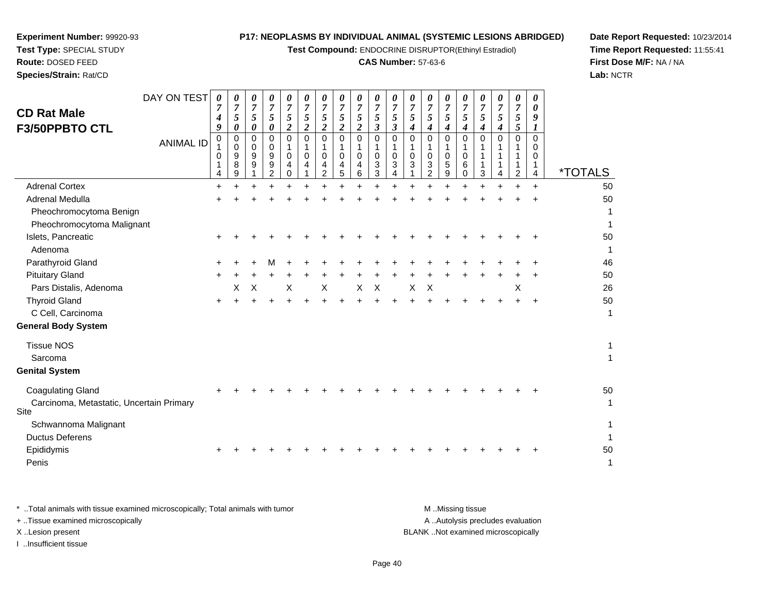**Test Compound:** ENDOCRINE DISRUPTOR(Ethinyl Estradiol)

# **CAS Number:** 57-63-6

0 0 0

0 1 1

0 1 1

0 1 1

0 1 0

0 1 0

0 1 0

**Date Report Requested:** 10/23/2014 **Time Report Requested:** 11:55:41**First Dose M/F:** NA / NA**Lab:** NCTR

| Species/Strain: Rat/CD                                |                  |                    |                       |                  |                              |                  |                       |                  |                                |                  |                  |                  |
|-------------------------------------------------------|------------------|--------------------|-----------------------|------------------|------------------------------|------------------|-----------------------|------------------|--------------------------------|------------------|------------------|------------------|
| <b>CD Rat Male</b>                                    | DAY ON TEST      | 0<br>7             | 0<br>7                | 0<br>7           | 0<br>7                       | 0<br>7           | 0<br>7                | 0<br>7           | $\boldsymbol{\theta}$          | 0<br>7           | 0<br>7           | 0                |
| <b>F3/50PPBTO CTL</b>                                 |                  | 4<br>9             | 5<br>0                | 5<br>0           | 5<br>0                       | 5<br>2           | 5<br>2                | 5<br>2           | 5<br>2                         | 5<br>2           | 5<br>3           | 5<br>3           |
|                                                       | <b>ANIMAL ID</b> | $\Omega$<br>0<br>4 | 0<br>0<br>9<br>8<br>9 | 0<br>0<br>9<br>9 | 0<br>$\Omega$<br>9<br>9<br>2 | 0<br>0<br>4<br>0 | 0<br>1<br>0<br>4<br>1 | 0<br>0<br>4<br>2 | $\Omega$<br>$\Omega$<br>4<br>5 | 0<br>0<br>4<br>6 | 0<br>0<br>3<br>3 | 0<br>O<br>3<br>4 |
| <b>Adrenal Cortex</b>                                 |                  | +                  | +                     |                  | ÷                            | ÷                | ٠                     | +                |                                | +                |                  |                  |
| Adrenal Medulla                                       |                  | +                  |                       |                  |                              |                  |                       |                  |                                | +                |                  |                  |
| Pheochromocytoma Benign<br>Pheochromocytoma Malignant |                  |                    |                       |                  |                              |                  |                       |                  |                                |                  |                  |                  |
| Islets, Pancreatic<br>Adenoma                         |                  | ٠                  |                       |                  |                              |                  |                       |                  |                                |                  |                  |                  |

**Experiment Number:** 99920-93**Test Type:** SPECIAL STUDY**Route:** DOSED FEED

|                                                  | 4     | 8<br>9 | 9        | 9<br>$\overline{2}$ | 4<br>$\mathbf 0$ | $\overline{2}$ | 4<br>$5\phantom{.0}$ | 4<br>$6\phantom{1}$ | 3<br>$\mathbf{3}$ | 3<br>4 | 3 | 3<br>$\overline{2}$ | 5<br>9 | 6<br>$\Omega$ | $\sqrt{3}$ | $\overline{2}$ | 4         | <i><b>*TOTALS</b></i> |
|--------------------------------------------------|-------|--------|----------|---------------------|------------------|----------------|----------------------|---------------------|-------------------|--------|---|---------------------|--------|---------------|------------|----------------|-----------|-----------------------|
| <b>Adrenal Cortex</b>                            | $+$   |        |          |                     |                  |                |                      |                     |                   |        |   |                     |        |               |            |                | $\ddot{}$ | 50                    |
| Adrenal Medulla                                  |       |        |          |                     |                  |                |                      |                     |                   |        |   |                     |        |               |            |                |           | 50                    |
| Pheochromocytoma Benign                          |       |        |          |                     |                  |                |                      |                     |                   |        |   |                     |        |               |            |                |           |                       |
| Pheochromocytoma Malignant                       |       |        |          |                     |                  |                |                      |                     |                   |        |   |                     |        |               |            |                |           |                       |
| Islets, Pancreatic                               |       |        |          |                     |                  |                |                      |                     |                   |        |   |                     |        |               |            |                |           | 50                    |
| Adenoma                                          |       |        |          |                     |                  |                |                      |                     |                   |        |   |                     |        |               |            |                |           |                       |
| Parathyroid Gland                                |       |        |          | м                   |                  |                |                      |                     |                   |        |   |                     |        |               |            |                |           | 46                    |
| <b>Pituitary Gland</b>                           | $\pm$ |        |          |                     |                  |                |                      |                     |                   |        |   |                     |        |               |            |                |           | 50                    |
| Pars Distalis, Adenoma                           |       | X      | $\times$ |                     | X                | X              |                      | X                   | $\boldsymbol{X}$  |        | X | $\sf X$             |        |               |            | Χ              |           | 26                    |
| <b>Thyroid Gland</b>                             | $+$   |        |          |                     |                  |                |                      |                     |                   |        |   |                     |        |               |            |                |           | 50                    |
| C Cell, Carcinoma                                |       |        |          |                     |                  |                |                      |                     |                   |        |   |                     |        |               |            |                |           |                       |
| <b>General Body System</b>                       |       |        |          |                     |                  |                |                      |                     |                   |        |   |                     |        |               |            |                |           |                       |
| <b>Tissue NOS</b>                                |       |        |          |                     |                  |                |                      |                     |                   |        |   |                     |        |               |            |                |           |                       |
| Sarcoma                                          |       |        |          |                     |                  |                |                      |                     |                   |        |   |                     |        |               |            |                |           |                       |
| <b>Genital System</b>                            |       |        |          |                     |                  |                |                      |                     |                   |        |   |                     |        |               |            |                |           |                       |
| <b>Coagulating Gland</b>                         |       |        |          |                     |                  |                |                      |                     |                   |        |   |                     |        |               |            |                |           | 50                    |
| Carcinoma, Metastatic, Uncertain Primary<br>Site |       |        |          |                     |                  |                |                      |                     |                   |        |   |                     |        |               |            |                |           |                       |
| Schwannoma Malignant                             |       |        |          |                     |                  |                |                      |                     |                   |        |   |                     |        |               |            |                |           |                       |
| <b>Ductus Deferens</b>                           |       |        |          |                     |                  |                |                      |                     |                   |        |   |                     |        |               |            |                |           |                       |
| Epididymis                                       |       |        |          |                     |                  |                |                      |                     |                   |        |   |                     |        |               |            |                |           | 50                    |
| Penis                                            |       |        |          |                     |                  |                |                      |                     |                   |        |   |                     |        |               |            |                |           |                       |

| * Total animals with tissue examined microscopically; Total animals with tumor | M Missing tissue                   |
|--------------------------------------------------------------------------------|------------------------------------|
| + Tissue examined microscopically                                              | A Autolysis precludes evaluation   |
| X Lesion present                                                               | BLANK Not examined microscopically |
| …Insufficient tissue                                                           |                                    |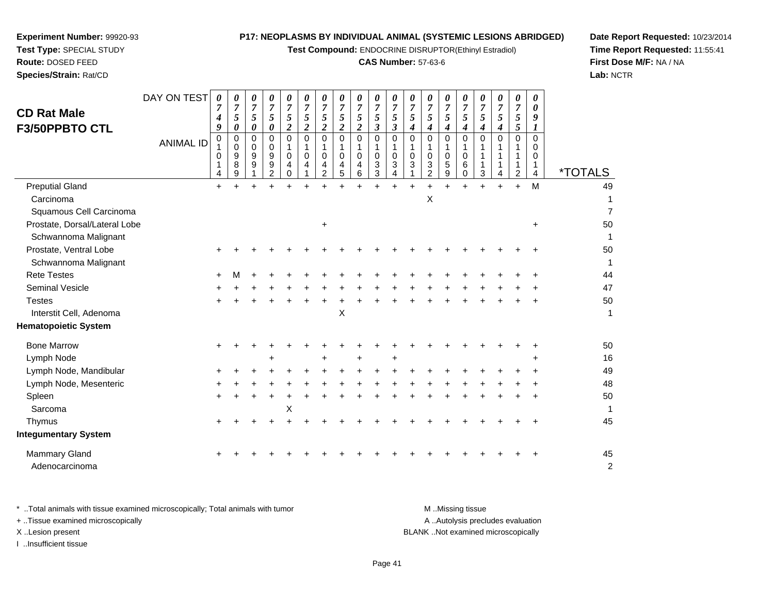**Test Compound:** ENDOCRINE DISRUPTOR(Ethinyl Estradiol)

#### **CAS Number:** 57-63-6

**Date Report Requested:** 10/23/2014**Time Report Requested:** 11:55:41**First Dose M/F:** NA / NA**Lab:** NCTR

|                               | DAY ON TEST      | $\boldsymbol{\theta}$<br>7 | 0<br>$\overline{7}$                | 0<br>$\overline{7}$   | 0<br>$\overline{7}$                  | 0<br>$\overline{7}$              | 0<br>$\overline{7}$           | 0<br>$\overline{7}$                | 0<br>$\overline{7}$          | 0<br>$\overline{7}$             | 0<br>$\overline{7}$ | 0<br>$\overline{7}$                 | 0<br>$\overline{7}$             | 0<br>$\overline{7}$ | 0<br>$\overline{7}$ | 0<br>$\overline{7}$ | 0<br>$\overline{7}$ | 0<br>$\overline{7}$ | 0<br>$\overline{7}$          | 0<br>0           |                       |
|-------------------------------|------------------|----------------------------|------------------------------------|-----------------------|--------------------------------------|----------------------------------|-------------------------------|------------------------------------|------------------------------|---------------------------------|---------------------|-------------------------------------|---------------------------------|---------------------|---------------------|---------------------|---------------------|---------------------|------------------------------|------------------|-----------------------|
| <b>CD Rat Male</b>            |                  | 4                          | 5                                  | 5                     | 5                                    | 5                                | 5                             | 5                                  | 5                            | 5                               | 5                   | 5                                   | 5                               | 5                   | 5                   | 5                   | 5                   | 5                   | $\sqrt{5}$                   | 9                |                       |
| <b>F3/50PPBTO CTL</b>         |                  | 9<br>$\pmb{0}$             | $\boldsymbol{\theta}$<br>$\pmb{0}$ | 0<br>$\Omega$         | 0<br>$\pmb{0}$                       | $\overline{c}$<br>$\overline{0}$ | $\overline{c}$<br>$\mathbf 0$ | $\boldsymbol{2}$<br>$\overline{0}$ | $\boldsymbol{2}$<br>$\Omega$ | $\boldsymbol{2}$<br>$\mathbf 0$ | 3<br>$\mathbf 0$    | $\boldsymbol{\beta}$<br>$\mathbf 0$ | $\boldsymbol{4}$<br>$\mathbf 0$ | 4<br>$\Omega$       | 4<br>$\Omega$       | 4<br>$\Omega$       | 4<br>0              | 4<br>$\Omega$       | $\sqrt{5}$<br>$\Omega$       | 1<br>$\Omega$    |                       |
|                               | <b>ANIMAL ID</b> |                            | 0                                  | $\Omega$              | 0                                    |                                  |                               |                                    | 1                            |                                 |                     | $\mathbf{1}$                        | 1                               |                     |                     |                     |                     |                     |                              | $\Omega$         |                       |
|                               |                  | 0<br>1                     | $\boldsymbol{9}$<br>8              | $\boldsymbol{9}$<br>9 | $\boldsymbol{9}$<br>$\boldsymbol{9}$ | 0<br>4                           | $\mathbf 0$<br>$\overline{4}$ | $\mathbf 0$<br>4                   | $\mathbf 0$<br>4             | $\mathbf 0$<br>4                | $\mathbf 0$         | 0<br>$\ensuremath{\mathsf{3}}$      | $\pmb{0}$<br>$\mathbf{3}$       | $\mathbf 0$<br>3    | $\pmb{0}$<br>5      | $\pmb{0}$<br>6      | 1<br>1              | $\mathbf 1$<br>1    | $\mathbf{1}$<br>$\mathbf{1}$ | $\mathbf 0$<br>1 |                       |
|                               |                  | 4                          | 9                                  |                       | $\overline{2}$                       | 0                                |                               | $\overline{2}$                     | 5                            | 6                               | $\frac{3}{3}$       | 4                                   |                                 | 2                   | 9                   | 0                   | 3                   | 4                   | 2                            | 4                | <i><b>*TOTALS</b></i> |
| <b>Preputial Gland</b>        |                  | $\ddot{}$                  |                                    |                       |                                      |                                  |                               |                                    |                              |                                 |                     |                                     |                                 |                     |                     |                     |                     |                     | $+$                          | M                | 49                    |
| Carcinoma                     |                  |                            |                                    |                       |                                      |                                  |                               |                                    |                              |                                 |                     |                                     |                                 | X                   |                     |                     |                     |                     |                              |                  | 1                     |
| Squamous Cell Carcinoma       |                  |                            |                                    |                       |                                      |                                  |                               |                                    |                              |                                 |                     |                                     |                                 |                     |                     |                     |                     |                     |                              |                  | $\overline{7}$        |
| Prostate, Dorsal/Lateral Lobe |                  |                            |                                    |                       |                                      |                                  |                               | $\ddot{}$                          |                              |                                 |                     |                                     |                                 |                     |                     |                     |                     |                     |                              |                  | 50                    |
| Schwannoma Malignant          |                  |                            |                                    |                       |                                      |                                  |                               |                                    |                              |                                 |                     |                                     |                                 |                     |                     |                     |                     |                     |                              |                  | 1                     |
| Prostate, Ventral Lobe        |                  |                            |                                    |                       |                                      |                                  |                               |                                    |                              |                                 |                     |                                     |                                 |                     |                     |                     |                     |                     |                              |                  | 50                    |
| Schwannoma Malignant          |                  |                            |                                    |                       |                                      |                                  |                               |                                    |                              |                                 |                     |                                     |                                 |                     |                     |                     |                     |                     |                              |                  | 1                     |
| <b>Rete Testes</b>            |                  |                            | м                                  |                       |                                      |                                  |                               |                                    |                              |                                 |                     |                                     |                                 |                     |                     |                     |                     |                     |                              |                  | 44                    |
| <b>Seminal Vesicle</b>        |                  |                            |                                    |                       |                                      |                                  |                               |                                    |                              |                                 |                     |                                     |                                 |                     |                     |                     |                     |                     |                              |                  | 47                    |
| <b>Testes</b>                 |                  |                            |                                    |                       |                                      |                                  |                               |                                    |                              |                                 |                     |                                     |                                 |                     |                     |                     |                     |                     |                              |                  | 50                    |
| Interstit Cell, Adenoma       |                  |                            |                                    |                       |                                      |                                  |                               |                                    | Χ                            |                                 |                     |                                     |                                 |                     |                     |                     |                     |                     |                              |                  | $\mathbf{1}$          |
| Hematopoietic System          |                  |                            |                                    |                       |                                      |                                  |                               |                                    |                              |                                 |                     |                                     |                                 |                     |                     |                     |                     |                     |                              |                  |                       |
| <b>Bone Marrow</b>            |                  |                            |                                    |                       |                                      |                                  |                               |                                    |                              |                                 |                     |                                     |                                 |                     |                     |                     |                     |                     |                              |                  | 50                    |
| Lymph Node                    |                  |                            |                                    |                       | ÷                                    |                                  |                               |                                    |                              |                                 |                     | ÷                                   |                                 |                     |                     |                     |                     |                     |                              |                  | 16                    |
| Lymph Node, Mandibular        |                  |                            |                                    |                       |                                      |                                  |                               |                                    |                              |                                 |                     |                                     |                                 |                     |                     |                     |                     |                     |                              |                  | 49                    |
| Lymph Node, Mesenteric        |                  |                            |                                    |                       |                                      |                                  |                               |                                    |                              |                                 |                     |                                     |                                 |                     |                     |                     |                     |                     |                              |                  | 48                    |
| Spleen                        |                  |                            |                                    |                       |                                      |                                  |                               |                                    |                              |                                 |                     |                                     |                                 |                     |                     |                     |                     |                     |                              |                  | 50                    |
| Sarcoma                       |                  |                            |                                    |                       |                                      | Χ                                |                               |                                    |                              |                                 |                     |                                     |                                 |                     |                     |                     |                     |                     |                              |                  | 1                     |
| Thymus                        |                  |                            |                                    |                       |                                      |                                  |                               |                                    |                              |                                 |                     |                                     |                                 |                     |                     |                     |                     |                     |                              |                  | 45                    |
| <b>Integumentary System</b>   |                  |                            |                                    |                       |                                      |                                  |                               |                                    |                              |                                 |                     |                                     |                                 |                     |                     |                     |                     |                     |                              |                  |                       |
| Mammary Gland                 |                  |                            |                                    |                       |                                      |                                  |                               |                                    |                              |                                 |                     |                                     |                                 |                     |                     |                     |                     |                     |                              |                  | 45                    |
| Adenocarcinoma                |                  |                            |                                    |                       |                                      |                                  |                               |                                    |                              |                                 |                     |                                     |                                 |                     |                     |                     |                     |                     |                              |                  | $\overline{c}$        |

**Experiment Number:** 99920-93**Test Type:** SPECIAL STUDY**Route:** DOSED FEED**Species/Strain:** Rat/CD

\* ..Total animals with tissue examined microscopically; Total animals with tumor **M** . Missing tissue M ..Missing tissue A ..Autolysis precludes evaluation + ..Tissue examined microscopically X ..Lesion present BLANK ..Not examined microscopicallyI ..Insufficient tissue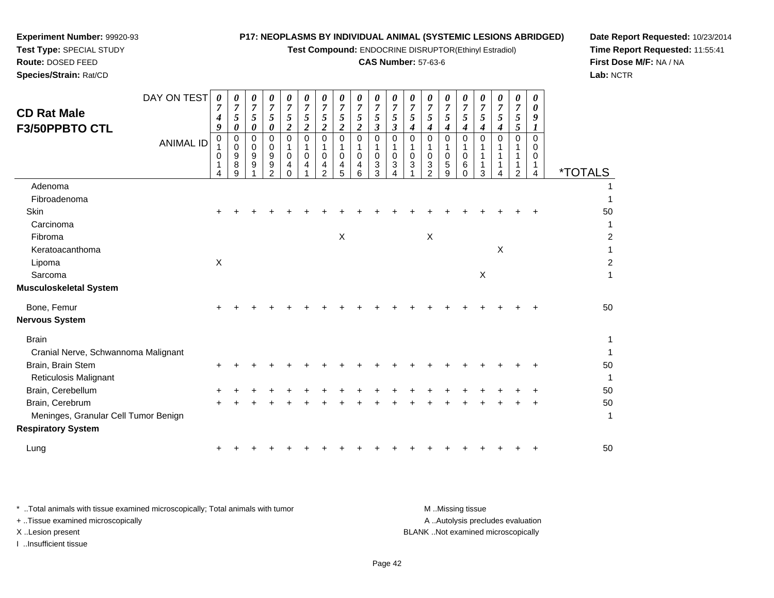**Test Compound:** ENDOCRINE DISRUPTOR(Ethinyl Estradiol)

# **CAS Number:** 57-63-6

**Date Report Requested:** 10/23/2014**Time Report Requested:** 11:55:41**First Dose M/F:** NA / NA**Lab:** NCTR

| <b>CD Rat Male</b><br>F3/50PPBTO CTL                                     | DAY ON TEST      | 0<br>$\overline{7}$<br>4<br>9 | 0<br>$\overline{7}$<br>5<br>0   | 0<br>$\overline{7}$<br>5<br>0 | 0<br>$\overline{7}$<br>5<br>0          | 0<br>$\overline{7}$<br>5<br>$\boldsymbol{2}$     | 0<br>$\overline{7}$<br>5<br>$\overline{2}$ | 0<br>$\boldsymbol{7}$<br>$\sqrt{5}$<br>$\boldsymbol{2}$         | 0<br>$\overline{7}$<br>5<br>$\overline{c}$ | 0<br>$\overline{7}$<br>5<br>$\overline{2}$                | 0<br>$\overline{7}$<br>5<br>$\mathfrak{z}$ | 0<br>$\overline{7}$<br>$\sqrt{5}$<br>$\mathfrak{z}$ | 0<br>$\overline{7}$<br>5<br>4 | 0<br>$\overline{7}$<br>5<br>4      | 0<br>$\boldsymbol{7}$<br>$\mathfrak{s}$<br>$\boldsymbol{4}$ | 0<br>$\overline{7}$<br>5<br>$\boldsymbol{4}$ | 0<br>$\overline{7}$<br>5<br>$\boldsymbol{4}$ | 0<br>$\overline{7}$<br>5<br>$\boldsymbol{4}$ | 0<br>$\boldsymbol{7}$<br>5<br>5    | 0<br>0<br>9<br>1                                       |                       |
|--------------------------------------------------------------------------|------------------|-------------------------------|---------------------------------|-------------------------------|----------------------------------------|--------------------------------------------------|--------------------------------------------|-----------------------------------------------------------------|--------------------------------------------|-----------------------------------------------------------|--------------------------------------------|-----------------------------------------------------|-------------------------------|------------------------------------|-------------------------------------------------------------|----------------------------------------------|----------------------------------------------|----------------------------------------------|------------------------------------|--------------------------------------------------------|-----------------------|
|                                                                          | <b>ANIMAL ID</b> | 0<br>1<br>0<br>1<br>4         | 0<br>$\mathbf 0$<br>9<br>8<br>9 | 0<br>$\mathbf 0$<br>9<br>9    | 0<br>$\mathbf 0$<br>9<br>$\frac{9}{2}$ | $\mathbf 0$<br>1<br>$\mathbf 0$<br>4<br>$\Omega$ | $\mathbf 0$<br>1<br>$\Omega$<br>4          | $\pmb{0}$<br>$\mathbf{1}$<br>$\mathbf 0$<br>4<br>$\overline{2}$ | $\mathbf 0$<br>$\mathbf{1}$<br>0<br>4<br>5 | $\mathbf 0$<br>$\mathbf{1}$<br>$\boldsymbol{0}$<br>4<br>6 | $\mathbf 0$<br>1<br>$\mathbf 0$<br>3<br>3  | $\mathbf 0$<br>-1<br>$\mathbf 0$<br>3<br>4          | 0<br>-1<br>0<br>3             | 0<br>1<br>0<br>3<br>$\overline{2}$ | 0<br>$\mathbf{1}$<br>0<br>$\frac{5}{9}$                     | $\Omega$<br>1<br>0<br>6<br>$\Omega$          | $\Omega$<br>-1<br>3                          | 0<br>4                                       | 0<br>1<br>1<br>1<br>$\overline{2}$ | $\mathbf 0$<br>0<br>$\mathbf 0$<br>1<br>$\overline{4}$ | <i><b>*TOTALS</b></i> |
| Adenoma                                                                  |                  |                               |                                 |                               |                                        |                                                  |                                            |                                                                 |                                            |                                                           |                                            |                                                     |                               |                                    |                                                             |                                              |                                              |                                              |                                    |                                                        |                       |
| Fibroadenoma                                                             |                  |                               |                                 |                               |                                        |                                                  |                                            |                                                                 |                                            |                                                           |                                            |                                                     |                               |                                    |                                                             |                                              |                                              |                                              |                                    |                                                        |                       |
| Skin                                                                     |                  | $\ddot{}$                     |                                 |                               |                                        |                                                  |                                            |                                                                 |                                            |                                                           |                                            |                                                     |                               |                                    |                                                             |                                              |                                              |                                              |                                    | $\ddot{}$                                              | 50                    |
| Carcinoma                                                                |                  |                               |                                 |                               |                                        |                                                  |                                            |                                                                 |                                            |                                                           |                                            |                                                     |                               |                                    |                                                             |                                              |                                              |                                              |                                    |                                                        |                       |
| Fibroma                                                                  |                  |                               |                                 |                               |                                        |                                                  |                                            |                                                                 | $\times$                                   |                                                           |                                            |                                                     |                               | $\times$                           |                                                             |                                              |                                              |                                              |                                    |                                                        | 2                     |
| Keratoacanthoma                                                          |                  |                               |                                 |                               |                                        |                                                  |                                            |                                                                 |                                            |                                                           |                                            |                                                     |                               |                                    |                                                             |                                              |                                              | $\mathsf X$                                  |                                    |                                                        | 1                     |
| Lipoma                                                                   |                  | $\boldsymbol{\mathsf{X}}$     |                                 |                               |                                        |                                                  |                                            |                                                                 |                                            |                                                           |                                            |                                                     |                               |                                    |                                                             |                                              |                                              |                                              |                                    |                                                        | $\overline{c}$        |
| Sarcoma                                                                  |                  |                               |                                 |                               |                                        |                                                  |                                            |                                                                 |                                            |                                                           |                                            |                                                     |                               |                                    |                                                             |                                              | $\pmb{\times}$                               |                                              |                                    |                                                        | $\mathbf 1$           |
| <b>Musculoskeletal System</b>                                            |                  |                               |                                 |                               |                                        |                                                  |                                            |                                                                 |                                            |                                                           |                                            |                                                     |                               |                                    |                                                             |                                              |                                              |                                              |                                    |                                                        |                       |
| Bone, Femur                                                              |                  |                               |                                 |                               |                                        |                                                  |                                            |                                                                 |                                            |                                                           |                                            |                                                     |                               |                                    |                                                             |                                              |                                              |                                              |                                    |                                                        | 50                    |
| <b>Nervous System</b>                                                    |                  |                               |                                 |                               |                                        |                                                  |                                            |                                                                 |                                            |                                                           |                                            |                                                     |                               |                                    |                                                             |                                              |                                              |                                              |                                    |                                                        |                       |
| <b>Brain</b><br>Cranial Nerve, Schwannoma Malignant<br>Brain, Brain Stem |                  |                               |                                 |                               |                                        |                                                  |                                            |                                                                 |                                            |                                                           |                                            |                                                     |                               |                                    |                                                             |                                              |                                              |                                              |                                    |                                                        | 1<br>1<br>50          |
| Reticulosis Malignant                                                    |                  |                               |                                 |                               |                                        |                                                  |                                            |                                                                 |                                            |                                                           |                                            |                                                     |                               |                                    |                                                             |                                              |                                              |                                              |                                    |                                                        | 1                     |
| Brain, Cerebellum                                                        |                  |                               |                                 |                               |                                        |                                                  |                                            |                                                                 |                                            |                                                           |                                            |                                                     |                               |                                    |                                                             |                                              |                                              |                                              |                                    |                                                        | 50                    |
| Brain, Cerebrum                                                          |                  |                               |                                 |                               |                                        |                                                  |                                            |                                                                 |                                            |                                                           |                                            |                                                     |                               |                                    |                                                             |                                              |                                              |                                              |                                    |                                                        | 50                    |
| Meninges, Granular Cell Tumor Benign                                     |                  |                               |                                 |                               |                                        |                                                  |                                            |                                                                 |                                            |                                                           |                                            |                                                     |                               |                                    |                                                             |                                              |                                              |                                              |                                    |                                                        | $\mathbf{1}$          |
| <b>Respiratory System</b>                                                |                  |                               |                                 |                               |                                        |                                                  |                                            |                                                                 |                                            |                                                           |                                            |                                                     |                               |                                    |                                                             |                                              |                                              |                                              |                                    |                                                        |                       |
| Lung                                                                     |                  |                               |                                 |                               |                                        |                                                  |                                            |                                                                 |                                            |                                                           |                                            |                                                     |                               |                                    |                                                             |                                              |                                              |                                              |                                    |                                                        | 50                    |
|                                                                          |                  |                               |                                 |                               |                                        |                                                  |                                            |                                                                 |                                            |                                                           |                                            |                                                     |                               |                                    |                                                             |                                              |                                              |                                              |                                    |                                                        |                       |

| Total animals with tissue examined microscopically; Total animals with tumor | M Missing tissue                   |
|------------------------------------------------------------------------------|------------------------------------|
| + Tissue examined microscopically                                            | A Autolysis precludes evaluation   |
| X Lesion present                                                             | BLANK Not examined microscopically |
| Insufficient tissue                                                          |                                    |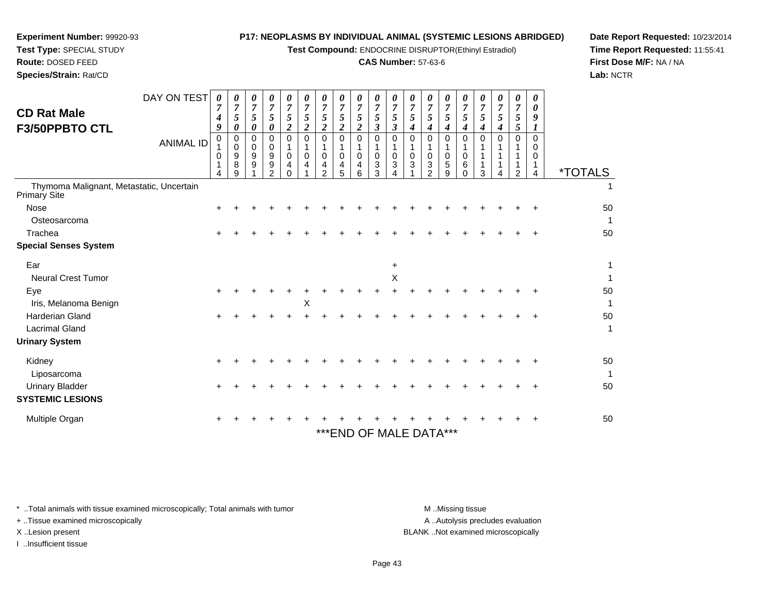**Test Compound:** ENDOCRINE DISRUPTOR(Ethinyl Estradiol)

## **CAS Number:** 57-63-6

*0 7*

*0 7*

*0 7*

*0 7*

*0 7*

*0 7*

*0 7*

*0 7*

*0 0*

**Date Report Requested:** 10/23/2014**Time Report Requested:** 11:55:41**First Dose M/F:** NA / NA**Lab:** NCTR

| <b>CD Rat Male</b><br>F3/50PPBTO CTL                     |                  | 4<br>9      | 5<br>0                          | 5<br>0           | 5<br>0                                 | 5<br>$\boldsymbol{2}$                 | 5<br>$\boldsymbol{2}$ | $\mathfrak{s}$<br>$\boldsymbol{2}$           | 5<br>$\overline{c}$             | $\mathfrak{s}$<br>$\boldsymbol{2}$ | 5<br>$\boldsymbol{\beta}$ | 5<br>3                  | 5<br>4      | 5<br>4                                  | 5<br>4                     | 5<br>4                       | 5<br>4      | 5<br>4 | 5<br>5        | $\boldsymbol{\theta}$<br>9 |                            |
|----------------------------------------------------------|------------------|-------------|---------------------------------|------------------|----------------------------------------|---------------------------------------|-----------------------|----------------------------------------------|---------------------------------|------------------------------------|---------------------------|-------------------------|-------------|-----------------------------------------|----------------------------|------------------------------|-------------|--------|---------------|----------------------------|----------------------------|
|                                                          | <b>ANIMAL ID</b> | 0<br>0<br>Δ | 0<br>$\mathbf 0$<br>9<br>8<br>9 | 0<br>0<br>9<br>9 | 0<br>0<br>9<br>$9\,$<br>$\mathfrak{p}$ | $\Omega$<br>$\Omega$<br>4<br>$\Omega$ | 0<br>$\Omega$<br>4    | 0<br>1<br>$\mathbf 0$<br>4<br>$\overline{2}$ | 0<br>1<br>$\mathbf 0$<br>4<br>5 | 0<br>1<br>$\mathbf 0$<br>4<br>6    | 0<br>1<br>0<br>3<br>3     | 0<br>1<br>$\Omega$<br>3 | 0<br>0<br>3 | 0<br>$\mathbf 0$<br>3<br>$\overline{2}$ | 0<br>$\mathbf 0$<br>5<br>9 | 0<br>1<br>0<br>6<br>$\Omega$ | 0<br>1<br>3 | 0      | $\Omega$<br>2 | 0<br>0<br>0<br>4           | <i><b>*TOTALS</b></i>      |
| Thymoma Malignant, Metastatic, Uncertain<br>Primary Site |                  |             |                                 |                  |                                        |                                       |                       |                                              |                                 |                                    |                           |                         |             |                                         |                            |                              |             |        |               |                            |                            |
| <b>Nose</b>                                              |                  | $\ddot{}$   |                                 |                  |                                        |                                       |                       |                                              |                                 |                                    |                           |                         |             |                                         |                            |                              |             |        |               |                            | 50                         |
| Osteosarcoma                                             |                  |             |                                 |                  |                                        |                                       |                       |                                              |                                 |                                    |                           |                         |             |                                         |                            |                              |             |        |               |                            | 1                          |
| Trachea                                                  |                  | ÷           |                                 |                  |                                        |                                       |                       |                                              |                                 |                                    |                           |                         |             |                                         |                            |                              |             |        |               |                            | 50                         |
| <b>Special Senses System</b>                             |                  |             |                                 |                  |                                        |                                       |                       |                                              |                                 |                                    |                           |                         |             |                                         |                            |                              |             |        |               |                            |                            |
| Ear<br><b>Neural Crest Tumor</b>                         |                  |             |                                 |                  |                                        |                                       |                       |                                              |                                 |                                    |                           | $\ddot{}$<br>Χ          |             |                                         |                            |                              |             |        |               |                            | $\mathbf 1$<br>$\mathbf 1$ |
| Eye<br>Iris, Melanoma Benign                             |                  | $\ddot{}$   |                                 |                  |                                        |                                       | X                     |                                              |                                 |                                    |                           |                         |             |                                         |                            |                              |             |        |               |                            | 50<br>1                    |
| Harderian Gland<br><b>Lacrimal Gland</b>                 |                  |             |                                 |                  |                                        |                                       |                       |                                              |                                 |                                    |                           |                         |             |                                         |                            |                              |             |        |               |                            | 50<br>$\mathbf 1$          |
| <b>Urinary System</b>                                    |                  |             |                                 |                  |                                        |                                       |                       |                                              |                                 |                                    |                           |                         |             |                                         |                            |                              |             |        |               |                            |                            |
| Kidney<br>Liposarcoma                                    |                  | $\ddot{}$   |                                 |                  |                                        |                                       |                       |                                              |                                 |                                    |                           |                         |             |                                         |                            |                              |             |        |               | ÷                          | 50<br>1                    |
| <b>Urinary Bladder</b>                                   |                  | $\ddot{}$   |                                 |                  |                                        |                                       |                       |                                              |                                 |                                    |                           |                         |             |                                         |                            |                              |             |        |               | ÷                          | 50                         |
| <b>SYSTEMIC LESIONS</b>                                  |                  |             |                                 |                  |                                        |                                       |                       |                                              |                                 |                                    |                           |                         |             |                                         |                            |                              |             |        |               |                            |                            |
| Multiple Organ                                           |                  | $\ddot{}$   |                                 |                  |                                        |                                       |                       |                                              |                                 |                                    | *** END OF MALE DATA***   |                         |             |                                         |                            |                              |             |        |               |                            | 50                         |

**Experiment Number:** 99920-93**Test Type:** SPECIAL STUDY**Route:** DOSED FEED**Species/Strain:** Rat/CD

DAY ON TEST *0 7*

*0 7*

*0 7*

*0 7*

*0 7*

*0 7*

*0 7*

*0 7*

*0 7*

*0 7*

\* ..Total animals with tissue examined microscopically; Total animals with tumor **M** ..Missing tissue M ..Missing tissue A .. Autolysis precludes evaluation + ..Tissue examined microscopically X ..Lesion present BLANK ..Not examined microscopicallyI ..Insufficient tissue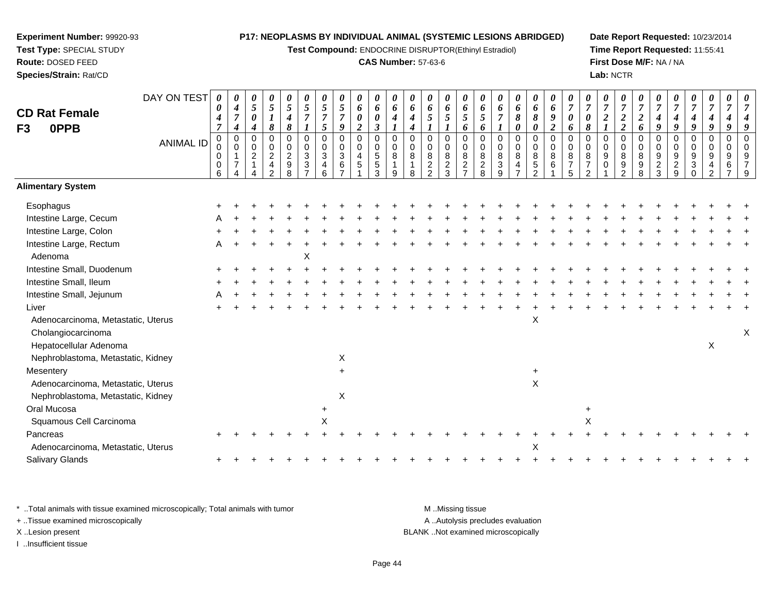**Test Compound:** ENDOCRINE DISRUPTOR(Ethinyl Estradiol)

#### **CAS Number:** 57-63-6

**Date Report Requested:** 10/23/2014**Time Report Requested:** 11:55:41**First Dose M/F:** NA / NA**Lab:** NCTR

| <b>CD Rat Female</b><br>0PPB<br>F3 | DAY ON TEST<br><b>ANIMAL ID</b> | 0<br>0<br>4<br>$\overline{7}$<br>0<br>0<br>0<br>0<br>6 | 4<br>$\overline{7}$<br>4<br>$\mathbf 0$<br>$\mathbf 0$<br>$\mathbf{1}$<br>$\overline{7}$ | 0<br>5<br>0<br>4<br>0<br>0<br>$\overline{c}$<br>1 | 0<br>$\sqrt{5}$<br>$\boldsymbol{l}$<br>8<br>0<br>0<br>$\overline{c}$<br>$\overline{4}$<br>$\mathfrak{p}$ | 0<br>$\sqrt{5}$<br>$\boldsymbol{4}$<br>$\pmb{8}$<br>$\pmb{0}$<br>$\pmb{0}$<br>$\boldsymbol{2}$<br>$\boldsymbol{9}$<br>8 | 0<br>$\overline{5}$<br>$\overline{7}$<br>$\boldsymbol{l}$<br>0<br>$\mathbf 0$<br>$\sqrt{3}$<br>$\sqrt{3}$<br>$\overline{ }$ | $\mathfrak{s}$<br>$\overline{7}$<br>5<br>$\pmb{0}$<br>$\pmb{0}$<br>$\sqrt{3}$<br>4 | 0<br>5<br>$\overline{7}$<br>9<br>0<br>0<br>$\sqrt{3}$<br>6 | 0<br>6<br>$\pmb{\theta}$<br>$\overline{2}$<br>$\pmb{0}$<br>$\mathbf 0$<br>$\overline{\mathbf{4}}$<br>5 | 0<br>6<br>$\pmb{\theta}$<br>$\boldsymbol{\beta}$<br>$\pmb{0}$<br>$\mathsf 0$<br>$\,$ 5 $\,$<br>$\,$ 5 $\,$<br>3 | 0<br>6<br>$\boldsymbol{4}$<br>$\boldsymbol{l}$<br>0<br>$\mathbf 0$<br>8<br>$\mathbf 1$<br>9 | 6<br>4<br>4<br>$\mathbf 0$<br>$\mathbf 0$<br>8 | 0<br>6<br>5<br>0<br>$\Omega$<br>8<br>$\overline{\mathbf{c}}$<br>$\mathcal{P}$ | 0<br>6<br>5<br>0<br>$\pmb{0}$<br>8<br>$\sqrt{2}$<br>3 | 0<br>6<br>$\mathfrak{s}$<br>6<br>0<br>$\mathbf 0$<br>$\bf 8$<br>$\overline{c}$ | 0<br>6<br>$\mathfrak{s}$<br>6<br>0<br>0<br>$\,8\,$<br>$\sqrt{2}$<br>8 | 6<br>$\overline{7}$<br>1<br>$\pmb{0}$<br>$\mathbf 0$<br>8<br>3<br>$\mathsf{Q}$ | 0<br>6<br>8<br>0<br>0<br>$\mathbf 0$<br>8<br>4 | 0<br>6<br>8<br>0<br>0<br>$\pmb{0}$<br>8<br>$\,$ 5 $\,$<br>$\mathfrak{p}$ | 0<br>6<br>9<br>$\overline{2}$<br>$\pmb{0}$<br>$\pmb{0}$<br>$\bf 8$<br>6 | 0<br>$\overline{7}$<br>$\boldsymbol{\theta}$<br>6<br>0<br>$\mathbf 0$<br>8<br>$\overline{7}$<br>5 | $\overline{7}$<br>0<br>8<br>$\mathbf 0$<br>$\mathbf 0$<br>8<br>$\overline{7}$<br>C | 0<br>$\overline{7}$<br>$\boldsymbol{2}$<br>0<br>$\mathbf 0$<br>9<br>$\Omega$ | $\boldsymbol{7}$<br>$\frac{2}{2}$<br>$\,0\,$<br>$\pmb{0}$<br>8<br>$\boldsymbol{9}$<br>$\mathcal{P}$ | $\overline{7}$<br>$\boldsymbol{2}$<br>6<br>0<br>$\mathbf 0$<br>$\bf 8$<br>$\boldsymbol{9}$<br>8 | 0<br>$\overline{7}$<br>$\boldsymbol{4}$<br>9<br>0<br>0<br>9<br>$\sqrt{2}$<br>3 | 7<br>4<br>9<br>$\mathbf 0$<br>$\mathbf 0$<br>9<br>$\overline{\mathbf{c}}$<br>$\mathbf{Q}$ | $\overline{7}$<br>4<br>9<br>0<br>$\mathbf 0$<br>9<br>3 | $\overline{7}$<br>4<br>9<br>0<br>$\pmb{0}$<br>9 | 9<br>0<br>$\Omega$<br>9<br>6 |   |
|------------------------------------|---------------------------------|--------------------------------------------------------|------------------------------------------------------------------------------------------|---------------------------------------------------|----------------------------------------------------------------------------------------------------------|-------------------------------------------------------------------------------------------------------------------------|-----------------------------------------------------------------------------------------------------------------------------|------------------------------------------------------------------------------------|------------------------------------------------------------|--------------------------------------------------------------------------------------------------------|-----------------------------------------------------------------------------------------------------------------|---------------------------------------------------------------------------------------------|------------------------------------------------|-------------------------------------------------------------------------------|-------------------------------------------------------|--------------------------------------------------------------------------------|-----------------------------------------------------------------------|--------------------------------------------------------------------------------|------------------------------------------------|--------------------------------------------------------------------------|-------------------------------------------------------------------------|---------------------------------------------------------------------------------------------------|------------------------------------------------------------------------------------|------------------------------------------------------------------------------|-----------------------------------------------------------------------------------------------------|-------------------------------------------------------------------------------------------------|--------------------------------------------------------------------------------|-------------------------------------------------------------------------------------------|--------------------------------------------------------|-------------------------------------------------|------------------------------|---|
| <b>Alimentary System</b>           |                                 |                                                        |                                                                                          |                                                   |                                                                                                          |                                                                                                                         |                                                                                                                             |                                                                                    |                                                            |                                                                                                        |                                                                                                                 |                                                                                             |                                                |                                                                               |                                                       |                                                                                |                                                                       |                                                                                |                                                |                                                                          |                                                                         |                                                                                                   |                                                                                    |                                                                              |                                                                                                     |                                                                                                 |                                                                                |                                                                                           |                                                        |                                                 |                              |   |
| Esophagus                          |                                 |                                                        |                                                                                          |                                                   |                                                                                                          |                                                                                                                         |                                                                                                                             |                                                                                    |                                                            |                                                                                                        |                                                                                                                 |                                                                                             |                                                |                                                                               |                                                       |                                                                                |                                                                       |                                                                                |                                                |                                                                          |                                                                         |                                                                                                   |                                                                                    |                                                                              |                                                                                                     |                                                                                                 |                                                                                |                                                                                           |                                                        |                                                 |                              |   |
| Intestine Large, Cecum             |                                 |                                                        |                                                                                          |                                                   |                                                                                                          |                                                                                                                         |                                                                                                                             |                                                                                    |                                                            |                                                                                                        |                                                                                                                 |                                                                                             |                                                |                                                                               |                                                       |                                                                                |                                                                       |                                                                                |                                                |                                                                          |                                                                         |                                                                                                   |                                                                                    |                                                                              |                                                                                                     |                                                                                                 |                                                                                |                                                                                           |                                                        |                                                 |                              |   |
| Intestine Large, Colon             |                                 |                                                        |                                                                                          |                                                   |                                                                                                          |                                                                                                                         |                                                                                                                             |                                                                                    |                                                            |                                                                                                        |                                                                                                                 |                                                                                             |                                                |                                                                               |                                                       |                                                                                |                                                                       |                                                                                |                                                |                                                                          |                                                                         |                                                                                                   |                                                                                    |                                                                              |                                                                                                     |                                                                                                 |                                                                                |                                                                                           |                                                        |                                                 |                              |   |
| Intestine Large, Rectum            |                                 |                                                        |                                                                                          |                                                   |                                                                                                          |                                                                                                                         |                                                                                                                             |                                                                                    |                                                            |                                                                                                        |                                                                                                                 |                                                                                             |                                                |                                                                               |                                                       |                                                                                |                                                                       |                                                                                |                                                |                                                                          |                                                                         |                                                                                                   |                                                                                    |                                                                              |                                                                                                     |                                                                                                 |                                                                                |                                                                                           |                                                        |                                                 |                              |   |
| Adenoma                            |                                 |                                                        |                                                                                          |                                                   |                                                                                                          |                                                                                                                         | X                                                                                                                           |                                                                                    |                                                            |                                                                                                        |                                                                                                                 |                                                                                             |                                                |                                                                               |                                                       |                                                                                |                                                                       |                                                                                |                                                |                                                                          |                                                                         |                                                                                                   |                                                                                    |                                                                              |                                                                                                     |                                                                                                 |                                                                                |                                                                                           |                                                        |                                                 |                              |   |
| Intestine Small, Duodenum          |                                 |                                                        |                                                                                          |                                                   |                                                                                                          |                                                                                                                         |                                                                                                                             |                                                                                    |                                                            |                                                                                                        |                                                                                                                 |                                                                                             |                                                |                                                                               |                                                       |                                                                                |                                                                       |                                                                                |                                                |                                                                          |                                                                         |                                                                                                   |                                                                                    |                                                                              |                                                                                                     |                                                                                                 |                                                                                |                                                                                           |                                                        |                                                 |                              |   |
| Intestine Small, Ileum             |                                 |                                                        |                                                                                          |                                                   |                                                                                                          |                                                                                                                         |                                                                                                                             |                                                                                    |                                                            |                                                                                                        |                                                                                                                 |                                                                                             |                                                |                                                                               |                                                       |                                                                                |                                                                       |                                                                                |                                                |                                                                          |                                                                         |                                                                                                   |                                                                                    |                                                                              |                                                                                                     |                                                                                                 |                                                                                |                                                                                           |                                                        |                                                 |                              |   |
| Intestine Small, Jejunum           |                                 |                                                        |                                                                                          |                                                   |                                                                                                          |                                                                                                                         |                                                                                                                             |                                                                                    |                                                            |                                                                                                        |                                                                                                                 |                                                                                             |                                                |                                                                               |                                                       |                                                                                |                                                                       |                                                                                |                                                |                                                                          |                                                                         |                                                                                                   |                                                                                    |                                                                              |                                                                                                     |                                                                                                 |                                                                                |                                                                                           |                                                        |                                                 |                              |   |
| Liver                              |                                 |                                                        |                                                                                          |                                                   |                                                                                                          |                                                                                                                         |                                                                                                                             |                                                                                    |                                                            |                                                                                                        |                                                                                                                 |                                                                                             |                                                |                                                                               |                                                       |                                                                                |                                                                       |                                                                                |                                                |                                                                          |                                                                         |                                                                                                   |                                                                                    |                                                                              |                                                                                                     |                                                                                                 |                                                                                |                                                                                           |                                                        |                                                 |                              |   |
| Adenocarcinoma, Metastatic, Uterus |                                 |                                                        |                                                                                          |                                                   |                                                                                                          |                                                                                                                         |                                                                                                                             |                                                                                    |                                                            |                                                                                                        |                                                                                                                 |                                                                                             |                                                |                                                                               |                                                       |                                                                                |                                                                       |                                                                                |                                                | Х                                                                        |                                                                         |                                                                                                   |                                                                                    |                                                                              |                                                                                                     |                                                                                                 |                                                                                |                                                                                           |                                                        |                                                 |                              |   |
| Cholangiocarcinoma                 |                                 |                                                        |                                                                                          |                                                   |                                                                                                          |                                                                                                                         |                                                                                                                             |                                                                                    |                                                            |                                                                                                        |                                                                                                                 |                                                                                             |                                                |                                                                               |                                                       |                                                                                |                                                                       |                                                                                |                                                |                                                                          |                                                                         |                                                                                                   |                                                                                    |                                                                              |                                                                                                     |                                                                                                 |                                                                                |                                                                                           |                                                        |                                                 |                              | X |
| Hepatocellular Adenoma             |                                 |                                                        |                                                                                          |                                                   |                                                                                                          |                                                                                                                         |                                                                                                                             |                                                                                    |                                                            |                                                                                                        |                                                                                                                 |                                                                                             |                                                |                                                                               |                                                       |                                                                                |                                                                       |                                                                                |                                                |                                                                          |                                                                         |                                                                                                   |                                                                                    |                                                                              |                                                                                                     |                                                                                                 |                                                                                |                                                                                           |                                                        | X                                               |                              |   |
| Nephroblastoma, Metastatic, Kidney |                                 |                                                        |                                                                                          |                                                   |                                                                                                          |                                                                                                                         |                                                                                                                             |                                                                                    | X                                                          |                                                                                                        |                                                                                                                 |                                                                                             |                                                |                                                                               |                                                       |                                                                                |                                                                       |                                                                                |                                                |                                                                          |                                                                         |                                                                                                   |                                                                                    |                                                                              |                                                                                                     |                                                                                                 |                                                                                |                                                                                           |                                                        |                                                 |                              |   |
| Mesentery                          |                                 |                                                        |                                                                                          |                                                   |                                                                                                          |                                                                                                                         |                                                                                                                             |                                                                                    | $\ddot{}$                                                  |                                                                                                        |                                                                                                                 |                                                                                             |                                                |                                                                               |                                                       |                                                                                |                                                                       |                                                                                |                                                |                                                                          |                                                                         |                                                                                                   |                                                                                    |                                                                              |                                                                                                     |                                                                                                 |                                                                                |                                                                                           |                                                        |                                                 |                              |   |
| Adenocarcinoma, Metastatic, Uterus |                                 |                                                        |                                                                                          |                                                   |                                                                                                          |                                                                                                                         |                                                                                                                             |                                                                                    |                                                            |                                                                                                        |                                                                                                                 |                                                                                             |                                                |                                                                               |                                                       |                                                                                |                                                                       |                                                                                |                                                | X                                                                        |                                                                         |                                                                                                   |                                                                                    |                                                                              |                                                                                                     |                                                                                                 |                                                                                |                                                                                           |                                                        |                                                 |                              |   |
| Nephroblastoma, Metastatic, Kidney |                                 |                                                        |                                                                                          |                                                   |                                                                                                          |                                                                                                                         |                                                                                                                             |                                                                                    | X                                                          |                                                                                                        |                                                                                                                 |                                                                                             |                                                |                                                                               |                                                       |                                                                                |                                                                       |                                                                                |                                                |                                                                          |                                                                         |                                                                                                   |                                                                                    |                                                                              |                                                                                                     |                                                                                                 |                                                                                |                                                                                           |                                                        |                                                 |                              |   |
| Oral Mucosa                        |                                 |                                                        |                                                                                          |                                                   |                                                                                                          |                                                                                                                         |                                                                                                                             |                                                                                    |                                                            |                                                                                                        |                                                                                                                 |                                                                                             |                                                |                                                                               |                                                       |                                                                                |                                                                       |                                                                                |                                                |                                                                          |                                                                         |                                                                                                   | +                                                                                  |                                                                              |                                                                                                     |                                                                                                 |                                                                                |                                                                                           |                                                        |                                                 |                              |   |
| Squamous Cell Carcinoma            |                                 |                                                        |                                                                                          |                                                   |                                                                                                          |                                                                                                                         |                                                                                                                             | Χ                                                                                  |                                                            |                                                                                                        |                                                                                                                 |                                                                                             |                                                |                                                                               |                                                       |                                                                                |                                                                       |                                                                                |                                                |                                                                          |                                                                         |                                                                                                   | Χ                                                                                  |                                                                              |                                                                                                     |                                                                                                 |                                                                                |                                                                                           |                                                        |                                                 |                              |   |
| Pancreas                           |                                 |                                                        |                                                                                          |                                                   |                                                                                                          |                                                                                                                         |                                                                                                                             |                                                                                    |                                                            |                                                                                                        |                                                                                                                 |                                                                                             |                                                |                                                                               |                                                       |                                                                                |                                                                       |                                                                                |                                                |                                                                          |                                                                         |                                                                                                   |                                                                                    |                                                                              |                                                                                                     |                                                                                                 |                                                                                |                                                                                           |                                                        |                                                 |                              |   |
| Adenocarcinoma, Metastatic, Uterus |                                 |                                                        |                                                                                          |                                                   |                                                                                                          |                                                                                                                         |                                                                                                                             |                                                                                    |                                                            |                                                                                                        |                                                                                                                 |                                                                                             |                                                |                                                                               |                                                       |                                                                                |                                                                       |                                                                                |                                                | X                                                                        |                                                                         |                                                                                                   |                                                                                    |                                                                              |                                                                                                     |                                                                                                 |                                                                                |                                                                                           |                                                        |                                                 |                              |   |
| Salivary Glands                    |                                 |                                                        |                                                                                          |                                                   |                                                                                                          |                                                                                                                         |                                                                                                                             |                                                                                    |                                                            |                                                                                                        |                                                                                                                 |                                                                                             |                                                |                                                                               |                                                       |                                                                                |                                                                       |                                                                                |                                                |                                                                          |                                                                         |                                                                                                   |                                                                                    |                                                                              |                                                                                                     |                                                                                                 |                                                                                |                                                                                           |                                                        |                                                 |                              |   |
|                                    |                                 |                                                        |                                                                                          |                                                   |                                                                                                          |                                                                                                                         |                                                                                                                             |                                                                                    |                                                            |                                                                                                        |                                                                                                                 |                                                                                             |                                                |                                                                               |                                                       |                                                                                |                                                                       |                                                                                |                                                |                                                                          |                                                                         |                                                                                                   |                                                                                    |                                                                              |                                                                                                     |                                                                                                 |                                                                                |                                                                                           |                                                        |                                                 |                              |   |

\* ..Total animals with tissue examined microscopically; Total animals with tumor **M** . Missing tissue M ..Missing tissue + ..Tissue examined microscopically

I ..Insufficient tissue

**Experiment Number:** 99920-93**Test Type:** SPECIAL STUDY**Route:** DOSED FEED**Species/Strain:** Rat/CD

A ..Autolysis precludes evaluation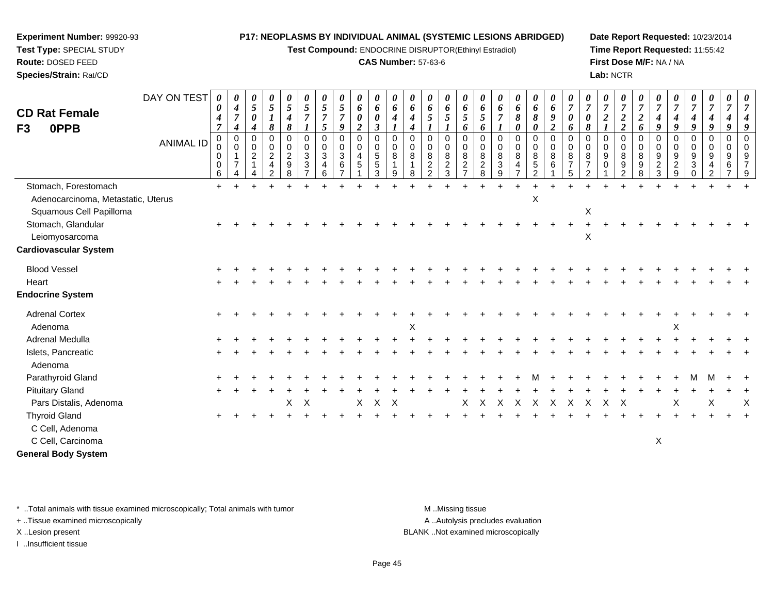**Test Compound:** ENDOCRINE DISRUPTOR(Ethinyl Estradiol)

#### **CAS Number:** 57-63-6

**Date Report Requested:** 10/23/2014 **Time Report Requested:** 11:55:42**First Dose M/F:** NA / NA**Lab:** NCTR

| <b>CD Rat Female</b><br>F3<br>0PPB                                                  | DAY ON TEST<br><b>ANIMAL ID</b> | 0<br>0<br>4<br>$\overline{7}$<br>0<br>0<br>0<br>6 | 0<br>4<br>$\overline{7}$<br>4<br>$\pmb{0}$<br>0<br>$\overline{7}$ | 0<br>$\mathfrak{s}$<br>0<br>4<br>$\mathbf 0$<br>0<br>$\overline{c}$ | 0<br>$\mathfrak{s}$<br>$\boldsymbol{l}$<br>8<br>$\mathbf 0$<br>0<br>$\overline{c}$<br>$\overline{4}$<br>$\overline{2}$ | 0<br>$\mathfrak{s}$<br>4<br>$\pmb{8}$<br>$\mathbf 0$<br>0<br>$\boldsymbol{2}$<br>9<br>8 | 5<br>$\overline{7}$<br>$\Omega$<br>$\mathbf 0$<br>3<br>3 | 0<br>5<br>$\overline{7}$<br>5<br>$\Omega$<br>0<br>3<br>4<br>6 | 0<br>$\sqrt{5}$<br>$\overline{7}$<br>9<br>$\mathbf 0$<br>0<br>$\mathbf{3}$<br>6 | 0<br>6<br>0<br>$\overline{\mathbf{c}}$<br>$\mathbf 0$<br>0<br>$\overline{4}$<br>$\sqrt{5}$ | $\boldsymbol{\theta}$<br>6<br>0<br>$\boldsymbol{\beta}$<br>$\mathbf 0$<br>0<br>$\sqrt{5}$<br>$\,$ 5 $\,$<br>3 | 0<br>6<br>$\Omega$<br>$\Omega$<br>8<br>9 | 0<br>6<br>4<br>$\mathbf 0$<br>0<br>8<br>1<br>8 | 0<br>6<br>5<br>0<br>0<br>8<br>$\overline{c}$<br>$\overline{2}$ | 0<br>6<br>5<br>0<br>0<br>8<br>$\frac{2}{3}$ | 0<br>6<br>5<br>6<br>$\mathbf 0$<br>0<br>$\bf 8$<br>$\overline{c}$<br>$\overline{7}$ | 0<br>6<br>5<br>6<br>$\mathbf 0$<br>0<br>$\,8\,$<br>$\overline{c}$<br>8 | $\boldsymbol{\theta}$<br>6<br>$\overline{7}$<br>$\mathbf 0$<br>0<br>$\,8\,$<br>$\sqrt{3}$<br>$\boldsymbol{9}$ | $\boldsymbol{\theta}$<br>6<br>$\pmb{8}$<br>$\boldsymbol{\theta}$<br>$\pmb{0}$<br>$\pmb{0}$<br>$\,8\,$<br>$\overline{4}$<br>$\overline{7}$ | 0<br>6<br>8<br>0<br>$\mathbf 0$<br>0<br>8<br>5<br>$\overline{c}$ | 0<br>6<br>9<br>$\boldsymbol{2}$<br>$\Omega$<br>0<br>8<br>6 | 0<br>$\overline{7}$<br>0<br>6<br>$\mathbf 0$<br>0<br>8<br>$\overline{7}$<br>5 | 0<br>$\overline{7}$<br>0<br>8<br>$\Omega$<br>0<br>$\bf 8$<br>$\overline{7}$<br>$\overline{2}$ | 7<br>$\boldsymbol{2}$<br>$\Omega$<br>$\mathbf 0$<br>9<br>$\Omega$ | 0<br>$\boldsymbol{2}$<br>$\boldsymbol{2}$<br>$\mathbf{0}$<br>0<br>8<br>9<br>2 | $\overline{2}$<br>6<br>$\Omega$<br>$\Omega$<br>8<br>$9\,$<br>8 | 0<br>$\overline{7}$<br>4<br>9<br>$\Omega$<br>$\mathbf 0$<br>9<br>$\overline{c}$<br>3 | 0<br>$\overline{7}$<br>4<br>9<br>$\mathbf 0$<br>0<br>$9\,$<br>$\overline{c}$<br>$9\,$ | $\theta$<br>$\overline{7}$<br>4<br>9<br>$\mathbf 0$<br>0<br>$\boldsymbol{9}$<br>$\sqrt{3}$<br>$\mathbf 0$ | 4<br>9<br>$\Omega$<br>0<br>9<br>$\overline{4}$<br>$\overline{2}$ | 0<br>$\overline{7}$<br>4<br>9<br>$\Omega$<br>$\Omega$<br>9<br>6<br>$\overline{7}$ | $\theta$<br>$\overline{7}$<br>9<br>$\mathbf 0$<br>0<br>$\boldsymbol{9}$<br>$\overline{7}$<br>9 |
|-------------------------------------------------------------------------------------|---------------------------------|---------------------------------------------------|-------------------------------------------------------------------|---------------------------------------------------------------------|------------------------------------------------------------------------------------------------------------------------|-----------------------------------------------------------------------------------------|----------------------------------------------------------|---------------------------------------------------------------|---------------------------------------------------------------------------------|--------------------------------------------------------------------------------------------|---------------------------------------------------------------------------------------------------------------|------------------------------------------|------------------------------------------------|----------------------------------------------------------------|---------------------------------------------|-------------------------------------------------------------------------------------|------------------------------------------------------------------------|---------------------------------------------------------------------------------------------------------------|-------------------------------------------------------------------------------------------------------------------------------------------|------------------------------------------------------------------|------------------------------------------------------------|-------------------------------------------------------------------------------|-----------------------------------------------------------------------------------------------|-------------------------------------------------------------------|-------------------------------------------------------------------------------|----------------------------------------------------------------|--------------------------------------------------------------------------------------|---------------------------------------------------------------------------------------|-----------------------------------------------------------------------------------------------------------|------------------------------------------------------------------|-----------------------------------------------------------------------------------|------------------------------------------------------------------------------------------------|
| Stomach, Forestomach                                                                |                                 | $+$                                               | $\ddot{}$                                                         | $\ddot{}$                                                           |                                                                                                                        | $\ddot{}$                                                                               |                                                          |                                                               | ÷                                                                               |                                                                                            |                                                                                                               |                                          |                                                |                                                                |                                             |                                                                                     |                                                                        | $+$                                                                                                           | $\ddot{}$                                                                                                                                 | $+$                                                              |                                                            |                                                                               | $+$                                                                                           |                                                                   | ÷.                                                                            |                                                                |                                                                                      | $+$                                                                                   |                                                                                                           |                                                                  |                                                                                   |                                                                                                |
| Adenocarcinoma, Metastatic, Uterus<br>Squamous Cell Papilloma<br>Stomach, Glandular |                                 |                                                   |                                                                   |                                                                     |                                                                                                                        |                                                                                         |                                                          |                                                               |                                                                                 |                                                                                            |                                                                                                               |                                          |                                                |                                                                |                                             |                                                                                     |                                                                        |                                                                                                               |                                                                                                                                           | X                                                                |                                                            |                                                                               | X                                                                                             |                                                                   |                                                                               |                                                                |                                                                                      |                                                                                       |                                                                                                           |                                                                  |                                                                                   |                                                                                                |
| Leiomyosarcoma                                                                      |                                 |                                                   |                                                                   |                                                                     |                                                                                                                        |                                                                                         |                                                          |                                                               |                                                                                 |                                                                                            |                                                                                                               |                                          |                                                |                                                                |                                             |                                                                                     |                                                                        |                                                                                                               |                                                                                                                                           |                                                                  |                                                            |                                                                               | X                                                                                             |                                                                   |                                                                               |                                                                |                                                                                      |                                                                                       |                                                                                                           |                                                                  |                                                                                   |                                                                                                |
| <b>Cardiovascular System</b>                                                        |                                 |                                                   |                                                                   |                                                                     |                                                                                                                        |                                                                                         |                                                          |                                                               |                                                                                 |                                                                                            |                                                                                                               |                                          |                                                |                                                                |                                             |                                                                                     |                                                                        |                                                                                                               |                                                                                                                                           |                                                                  |                                                            |                                                                               |                                                                                               |                                                                   |                                                                               |                                                                |                                                                                      |                                                                                       |                                                                                                           |                                                                  |                                                                                   |                                                                                                |
| <b>Blood Vessel</b>                                                                 |                                 |                                                   |                                                                   |                                                                     |                                                                                                                        |                                                                                         |                                                          |                                                               |                                                                                 |                                                                                            |                                                                                                               |                                          |                                                |                                                                |                                             |                                                                                     |                                                                        |                                                                                                               |                                                                                                                                           |                                                                  |                                                            |                                                                               |                                                                                               |                                                                   |                                                                               |                                                                |                                                                                      |                                                                                       |                                                                                                           |                                                                  |                                                                                   |                                                                                                |
| Heart                                                                               |                                 |                                                   |                                                                   |                                                                     |                                                                                                                        |                                                                                         |                                                          |                                                               |                                                                                 |                                                                                            |                                                                                                               |                                          |                                                |                                                                |                                             |                                                                                     |                                                                        |                                                                                                               |                                                                                                                                           |                                                                  |                                                            |                                                                               |                                                                                               |                                                                   |                                                                               |                                                                |                                                                                      |                                                                                       |                                                                                                           |                                                                  |                                                                                   |                                                                                                |
| <b>Endocrine System</b>                                                             |                                 |                                                   |                                                                   |                                                                     |                                                                                                                        |                                                                                         |                                                          |                                                               |                                                                                 |                                                                                            |                                                                                                               |                                          |                                                |                                                                |                                             |                                                                                     |                                                                        |                                                                                                               |                                                                                                                                           |                                                                  |                                                            |                                                                               |                                                                                               |                                                                   |                                                                               |                                                                |                                                                                      |                                                                                       |                                                                                                           |                                                                  |                                                                                   |                                                                                                |
| <b>Adrenal Cortex</b><br>Adenoma                                                    |                                 |                                                   |                                                                   |                                                                     |                                                                                                                        |                                                                                         |                                                          |                                                               |                                                                                 |                                                                                            |                                                                                                               |                                          | $\boldsymbol{\mathsf{X}}$                      |                                                                |                                             |                                                                                     |                                                                        |                                                                                                               |                                                                                                                                           |                                                                  |                                                            |                                                                               |                                                                                               |                                                                   |                                                                               |                                                                |                                                                                      | X                                                                                     |                                                                                                           |                                                                  |                                                                                   |                                                                                                |
| Adrenal Medulla                                                                     |                                 |                                                   |                                                                   |                                                                     |                                                                                                                        |                                                                                         |                                                          |                                                               |                                                                                 |                                                                                            |                                                                                                               |                                          |                                                |                                                                |                                             |                                                                                     |                                                                        |                                                                                                               |                                                                                                                                           |                                                                  |                                                            |                                                                               |                                                                                               |                                                                   |                                                                               |                                                                |                                                                                      |                                                                                       |                                                                                                           |                                                                  |                                                                                   |                                                                                                |
| Islets, Pancreatic<br>Adenoma                                                       |                                 |                                                   |                                                                   |                                                                     |                                                                                                                        |                                                                                         |                                                          |                                                               |                                                                                 |                                                                                            |                                                                                                               |                                          |                                                |                                                                |                                             |                                                                                     |                                                                        |                                                                                                               |                                                                                                                                           |                                                                  |                                                            |                                                                               |                                                                                               |                                                                   |                                                                               |                                                                |                                                                                      |                                                                                       |                                                                                                           |                                                                  |                                                                                   |                                                                                                |
| Parathyroid Gland                                                                   |                                 |                                                   |                                                                   |                                                                     |                                                                                                                        |                                                                                         |                                                          |                                                               |                                                                                 |                                                                                            |                                                                                                               |                                          |                                                |                                                                |                                             |                                                                                     |                                                                        |                                                                                                               |                                                                                                                                           |                                                                  |                                                            |                                                                               |                                                                                               |                                                                   |                                                                               |                                                                |                                                                                      |                                                                                       |                                                                                                           |                                                                  |                                                                                   |                                                                                                |
| <b>Pituitary Gland</b>                                                              |                                 |                                                   |                                                                   |                                                                     |                                                                                                                        |                                                                                         |                                                          |                                                               |                                                                                 |                                                                                            |                                                                                                               |                                          |                                                |                                                                |                                             |                                                                                     |                                                                        |                                                                                                               |                                                                                                                                           |                                                                  |                                                            |                                                                               |                                                                                               |                                                                   |                                                                               |                                                                |                                                                                      |                                                                                       |                                                                                                           |                                                                  |                                                                                   |                                                                                                |
| Pars Distalis, Adenoma                                                              |                                 |                                                   |                                                                   |                                                                     |                                                                                                                        | X                                                                                       | X                                                        |                                                               |                                                                                 | X                                                                                          | X                                                                                                             | Χ                                        |                                                |                                                                |                                             | X                                                                                   | X                                                                      | $\mathsf{X}$                                                                                                  | $\mathsf{X}$                                                                                                                              | $\mathsf{X}$                                                     | $\boldsymbol{\mathsf{X}}$                                  | $\mathsf{X}$                                                                  | $\boldsymbol{\mathsf{X}}$                                                                     | $\mathsf{X}$                                                      | Χ                                                                             |                                                                |                                                                                      | X                                                                                     |                                                                                                           | X                                                                |                                                                                   | Χ                                                                                              |
| <b>Thyroid Gland</b>                                                                |                                 |                                                   |                                                                   |                                                                     |                                                                                                                        |                                                                                         |                                                          |                                                               |                                                                                 |                                                                                            |                                                                                                               |                                          |                                                |                                                                |                                             |                                                                                     |                                                                        |                                                                                                               |                                                                                                                                           |                                                                  |                                                            |                                                                               |                                                                                               |                                                                   |                                                                               |                                                                |                                                                                      |                                                                                       |                                                                                                           |                                                                  |                                                                                   |                                                                                                |
| C Cell, Adenoma                                                                     |                                 |                                                   |                                                                   |                                                                     |                                                                                                                        |                                                                                         |                                                          |                                                               |                                                                                 |                                                                                            |                                                                                                               |                                          |                                                |                                                                |                                             |                                                                                     |                                                                        |                                                                                                               |                                                                                                                                           |                                                                  |                                                            |                                                                               |                                                                                               |                                                                   |                                                                               |                                                                |                                                                                      |                                                                                       |                                                                                                           |                                                                  |                                                                                   |                                                                                                |
| C Cell, Carcinoma                                                                   |                                 |                                                   |                                                                   |                                                                     |                                                                                                                        |                                                                                         |                                                          |                                                               |                                                                                 |                                                                                            |                                                                                                               |                                          |                                                |                                                                |                                             |                                                                                     |                                                                        |                                                                                                               |                                                                                                                                           |                                                                  |                                                            |                                                                               |                                                                                               |                                                                   |                                                                               |                                                                | X                                                                                    |                                                                                       |                                                                                                           |                                                                  |                                                                                   |                                                                                                |
| <b>General Body System</b>                                                          |                                 |                                                   |                                                                   |                                                                     |                                                                                                                        |                                                                                         |                                                          |                                                               |                                                                                 |                                                                                            |                                                                                                               |                                          |                                                |                                                                |                                             |                                                                                     |                                                                        |                                                                                                               |                                                                                                                                           |                                                                  |                                                            |                                                                               |                                                                                               |                                                                   |                                                                               |                                                                |                                                                                      |                                                                                       |                                                                                                           |                                                                  |                                                                                   |                                                                                                |

\* ..Total animals with tissue examined microscopically; Total animals with tumor **M** . Missing tissue M ..Missing tissue

+ ..Tissue examined microscopically

**Experiment Number:** 99920-93**Test Type:** SPECIAL STUDY**Route:** DOSED FEED**Species/Strain:** Rat/CD

I ..Insufficient tissue

A ..Autolysis precludes evaluation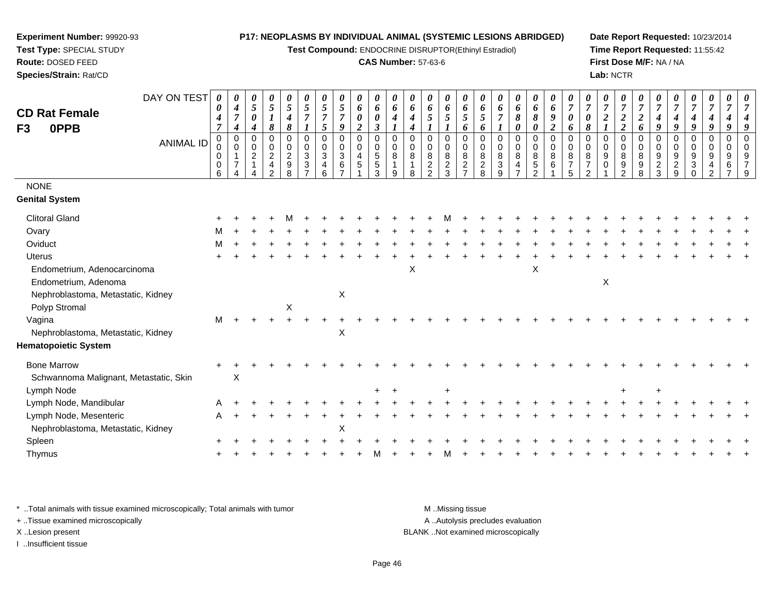**Test Compound:** ENDOCRINE DISRUPTOR(Ethinyl Estradiol)

#### **CAS Number:** 57-63-6

**Date Report Requested:** 10/23/2014**Time Report Requested:** 11:55:42**First Dose M/F:** NA / NA**Lab:** NCTR

| <b>CD Rat Female</b><br>F3<br>0PPB                                                                         | DAY ON TEST<br><b>ANIMAL ID</b> | 0<br>0<br>$\boldsymbol{4}$<br>$\overline{7}$<br>0<br>0<br>0<br>0<br>6 | 0<br>$\boldsymbol{4}$<br>$\overline{7}$<br>4<br>$\mathbf 0$<br>$\mathbf 0$<br>$\mathbf{1}$<br>$\overline{7}$ | $\pmb{\theta}$<br>5<br>0<br>4<br>$\mathbf 0$<br>0<br>$\overline{c}$<br>1 | 0<br>$\sqrt{5}$<br>$\boldsymbol{l}$<br>8<br>$\mathbf 0$<br>0<br>$\boldsymbol{2}$<br>$\overline{4}$<br>$\overline{2}$ | 0<br>$\sqrt{5}$<br>$\boldsymbol{4}$<br>8<br>$\pmb{0}$<br>$_2^0$<br>$\boldsymbol{9}$<br>8 | 0<br>$\overline{5}$<br>$\overline{7}$<br>1<br>$\mathbf 0$<br>0<br>$\mathbf{3}$<br>3<br>$\overline{7}$ | 0<br>$\mathfrak{s}$<br>$\overline{7}$<br>$\mathfrak{s}$<br>$\mathbf 0$<br>$\mathbf 0$<br>3<br>4<br>6 | 0<br>5<br>$\overline{7}$<br>9<br>$\mathbf 0$<br>0<br>3<br>6 | $\pmb{\theta}$<br>6<br>0<br>$\boldsymbol{2}$<br>$\pmb{0}$<br>0<br>$\overline{a}$<br>5 | 0<br>6<br>0<br>$\boldsymbol{\beta}$<br>$\pmb{0}$<br>$\pmb{0}$<br>$\,$ 5 $\,$<br>$\sqrt{5}$<br>3 | 0<br>6<br>$\boldsymbol{4}$<br>1<br>$\mathbf 0$<br>0<br>8<br>$\mathbf{1}$<br>9 | 0<br>6<br>4<br>$\boldsymbol{4}$<br>$\mathbf 0$<br>0<br>8<br>8 | 0<br>6<br>5<br>$\Omega$<br>0<br>8<br>$\overline{c}$<br>$\mathfrak{p}$ | 0<br>6<br>$\mathfrak{s}$<br>$\mathbf 0$<br>0<br>8<br>$\overline{c}$<br>3 | 0<br>6<br>5<br>6<br>$\pmb{0}$<br>$\pmb{0}$<br>$\overline{8}$<br>$\overline{c}$<br>$\overline{7}$ | 0<br>6<br>$\mathfrak{s}$<br>6<br>0<br>0<br>8<br>$\overline{c}$<br>8 | 0<br>6<br>$\overline{7}$<br>$\mathbf 0$<br>0<br>8<br>3<br>9 | 0<br>6<br>8<br>0<br>0<br>0<br>8<br>4 | $\pmb{\theta}$<br>6<br>8<br>0<br>$\pmb{0}$<br>0<br>8<br>$\sqrt{5}$<br>2 | $\boldsymbol{\theta}$<br>6<br>9<br>$\boldsymbol{2}$<br>$\pmb{0}$<br>$_{\rm 8}^{\rm 0}$<br>6 | 0<br>$\overline{7}$<br>0<br>6<br>$\mathbf 0$<br>0<br>8<br>$\overline{7}$<br>5 | 0<br>$\overline{7}$<br>$\boldsymbol{\theta}$<br>8<br>$\Omega$<br>$\mathbf 0$<br>8<br>$\overline{7}$ | 0<br>$\overline{7}$<br>$\overline{c}$<br>0<br>0<br>9<br>0 | $\pmb{\theta}$<br>$\overline{7}$<br>$\boldsymbol{2}$<br>$\boldsymbol{2}$<br>$\pmb{0}$<br>0<br>8<br>9<br>2 | 0<br>$\overline{7}$<br>$\boldsymbol{2}$<br>6<br>$\mathbf 0$<br>0<br>$\,8\,$<br>9<br>8 | 0<br>$\overline{7}$<br>4<br>9<br>$\mathbf 0$<br>0<br>9<br>$\overline{c}$<br>3 | $\boldsymbol{\theta}$<br>$\overline{7}$<br>4<br>9<br>$\Omega$<br>$\mathbf 0$<br>9<br>$\overline{2}$<br>9 | 0<br>$\overline{7}$<br>4<br>9<br>$\mathbf 0$<br>0<br>9<br>3 | 0<br>$\overline{7}$<br>4<br>9<br>0<br>0<br>9 | 0<br>$\overline{7}$<br>$\mathbf 0$<br>0<br>9<br>6 |  |
|------------------------------------------------------------------------------------------------------------|---------------------------------|-----------------------------------------------------------------------|--------------------------------------------------------------------------------------------------------------|--------------------------------------------------------------------------|----------------------------------------------------------------------------------------------------------------------|------------------------------------------------------------------------------------------|-------------------------------------------------------------------------------------------------------|------------------------------------------------------------------------------------------------------|-------------------------------------------------------------|---------------------------------------------------------------------------------------|-------------------------------------------------------------------------------------------------|-------------------------------------------------------------------------------|---------------------------------------------------------------|-----------------------------------------------------------------------|--------------------------------------------------------------------------|--------------------------------------------------------------------------------------------------|---------------------------------------------------------------------|-------------------------------------------------------------|--------------------------------------|-------------------------------------------------------------------------|---------------------------------------------------------------------------------------------|-------------------------------------------------------------------------------|-----------------------------------------------------------------------------------------------------|-----------------------------------------------------------|-----------------------------------------------------------------------------------------------------------|---------------------------------------------------------------------------------------|-------------------------------------------------------------------------------|----------------------------------------------------------------------------------------------------------|-------------------------------------------------------------|----------------------------------------------|---------------------------------------------------|--|
| <b>NONE</b>                                                                                                |                                 |                                                                       |                                                                                                              |                                                                          |                                                                                                                      |                                                                                          |                                                                                                       |                                                                                                      |                                                             |                                                                                       |                                                                                                 |                                                                               |                                                               |                                                                       |                                                                          |                                                                                                  |                                                                     |                                                             |                                      |                                                                         |                                                                                             |                                                                               |                                                                                                     |                                                           |                                                                                                           |                                                                                       |                                                                               |                                                                                                          |                                                             |                                              |                                                   |  |
| <b>Genital System</b>                                                                                      |                                 |                                                                       |                                                                                                              |                                                                          |                                                                                                                      |                                                                                          |                                                                                                       |                                                                                                      |                                                             |                                                                                       |                                                                                                 |                                                                               |                                                               |                                                                       |                                                                          |                                                                                                  |                                                                     |                                                             |                                      |                                                                         |                                                                                             |                                                                               |                                                                                                     |                                                           |                                                                                                           |                                                                                       |                                                                               |                                                                                                          |                                                             |                                              |                                                   |  |
| <b>Clitoral Gland</b>                                                                                      |                                 |                                                                       |                                                                                                              |                                                                          |                                                                                                                      |                                                                                          |                                                                                                       |                                                                                                      |                                                             |                                                                                       |                                                                                                 |                                                                               |                                                               |                                                                       |                                                                          |                                                                                                  |                                                                     |                                                             |                                      |                                                                         |                                                                                             |                                                                               |                                                                                                     |                                                           |                                                                                                           |                                                                                       |                                                                               |                                                                                                          |                                                             |                                              |                                                   |  |
| Ovary                                                                                                      |                                 |                                                                       |                                                                                                              |                                                                          |                                                                                                                      |                                                                                          |                                                                                                       |                                                                                                      |                                                             |                                                                                       |                                                                                                 |                                                                               |                                                               |                                                                       |                                                                          |                                                                                                  |                                                                     |                                                             |                                      |                                                                         |                                                                                             |                                                                               |                                                                                                     |                                                           |                                                                                                           |                                                                                       |                                                                               |                                                                                                          |                                                             |                                              |                                                   |  |
| Oviduct                                                                                                    |                                 |                                                                       |                                                                                                              |                                                                          |                                                                                                                      |                                                                                          |                                                                                                       |                                                                                                      |                                                             |                                                                                       |                                                                                                 |                                                                               |                                                               |                                                                       |                                                                          |                                                                                                  |                                                                     |                                                             |                                      |                                                                         |                                                                                             |                                                                               |                                                                                                     |                                                           |                                                                                                           |                                                                                       |                                                                               |                                                                                                          |                                                             |                                              |                                                   |  |
| <b>Uterus</b>                                                                                              |                                 |                                                                       |                                                                                                              |                                                                          |                                                                                                                      |                                                                                          |                                                                                                       |                                                                                                      |                                                             |                                                                                       |                                                                                                 |                                                                               |                                                               |                                                                       |                                                                          |                                                                                                  |                                                                     |                                                             |                                      |                                                                         |                                                                                             |                                                                               |                                                                                                     |                                                           |                                                                                                           |                                                                                       |                                                                               |                                                                                                          |                                                             |                                              |                                                   |  |
| Endometrium, Adenocarcinoma<br>Endometrium, Adenoma<br>Nephroblastoma, Metastatic, Kidney<br>Polyp Stromal |                                 |                                                                       |                                                                                                              |                                                                          |                                                                                                                      | X                                                                                        |                                                                                                       |                                                                                                      | $\pmb{\times}$                                              |                                                                                       |                                                                                                 |                                                                               | X                                                             |                                                                       |                                                                          |                                                                                                  |                                                                     |                                                             |                                      | $\pmb{\times}$                                                          |                                                                                             |                                                                               |                                                                                                     | X                                                         |                                                                                                           |                                                                                       |                                                                               |                                                                                                          |                                                             |                                              |                                                   |  |
| Vagina<br>Nephroblastoma, Metastatic, Kidney                                                               |                                 | M                                                                     |                                                                                                              |                                                                          |                                                                                                                      |                                                                                          |                                                                                                       |                                                                                                      | Χ                                                           |                                                                                       |                                                                                                 |                                                                               |                                                               |                                                                       |                                                                          |                                                                                                  |                                                                     |                                                             |                                      |                                                                         |                                                                                             |                                                                               |                                                                                                     |                                                           |                                                                                                           |                                                                                       |                                                                               |                                                                                                          |                                                             |                                              |                                                   |  |
| <b>Hematopoietic System</b>                                                                                |                                 |                                                                       |                                                                                                              |                                                                          |                                                                                                                      |                                                                                          |                                                                                                       |                                                                                                      |                                                             |                                                                                       |                                                                                                 |                                                                               |                                                               |                                                                       |                                                                          |                                                                                                  |                                                                     |                                                             |                                      |                                                                         |                                                                                             |                                                                               |                                                                                                     |                                                           |                                                                                                           |                                                                                       |                                                                               |                                                                                                          |                                                             |                                              |                                                   |  |
| <b>Bone Marrow</b><br>Schwannoma Malignant, Metastatic, Skin<br>Lymph Node                                 |                                 |                                                                       | X                                                                                                            |                                                                          |                                                                                                                      |                                                                                          |                                                                                                       |                                                                                                      |                                                             |                                                                                       |                                                                                                 |                                                                               |                                                               |                                                                       |                                                                          |                                                                                                  |                                                                     |                                                             |                                      |                                                                         |                                                                                             |                                                                               |                                                                                                     |                                                           |                                                                                                           |                                                                                       | ÷                                                                             |                                                                                                          |                                                             |                                              |                                                   |  |
| Lymph Node, Mandibular                                                                                     |                                 | A                                                                     |                                                                                                              |                                                                          |                                                                                                                      |                                                                                          |                                                                                                       |                                                                                                      |                                                             |                                                                                       |                                                                                                 |                                                                               |                                                               |                                                                       |                                                                          |                                                                                                  |                                                                     |                                                             |                                      |                                                                         |                                                                                             |                                                                               |                                                                                                     |                                                           |                                                                                                           |                                                                                       |                                                                               |                                                                                                          |                                                             |                                              |                                                   |  |
| Lymph Node, Mesenteric<br>Nephroblastoma, Metastatic, Kidney                                               |                                 | A                                                                     |                                                                                                              |                                                                          |                                                                                                                      |                                                                                          |                                                                                                       |                                                                                                      | X                                                           |                                                                                       |                                                                                                 |                                                                               |                                                               |                                                                       |                                                                          |                                                                                                  |                                                                     |                                                             |                                      |                                                                         |                                                                                             |                                                                               |                                                                                                     |                                                           |                                                                                                           |                                                                                       |                                                                               |                                                                                                          |                                                             |                                              |                                                   |  |
| Spleen                                                                                                     |                                 |                                                                       |                                                                                                              |                                                                          |                                                                                                                      |                                                                                          |                                                                                                       |                                                                                                      |                                                             |                                                                                       |                                                                                                 |                                                                               |                                                               |                                                                       |                                                                          |                                                                                                  |                                                                     |                                                             |                                      |                                                                         |                                                                                             |                                                                               |                                                                                                     |                                                           |                                                                                                           |                                                                                       |                                                                               |                                                                                                          |                                                             |                                              |                                                   |  |
| Thymus                                                                                                     |                                 |                                                                       |                                                                                                              |                                                                          |                                                                                                                      |                                                                                          |                                                                                                       |                                                                                                      |                                                             |                                                                                       |                                                                                                 |                                                                               |                                                               |                                                                       |                                                                          |                                                                                                  |                                                                     |                                                             |                                      |                                                                         |                                                                                             |                                                                               |                                                                                                     |                                                           |                                                                                                           |                                                                                       |                                                                               |                                                                                                          |                                                             |                                              |                                                   |  |
|                                                                                                            |                                 |                                                                       |                                                                                                              |                                                                          |                                                                                                                      |                                                                                          |                                                                                                       |                                                                                                      |                                                             |                                                                                       |                                                                                                 |                                                                               |                                                               |                                                                       |                                                                          |                                                                                                  |                                                                     |                                                             |                                      |                                                                         |                                                                                             |                                                                               |                                                                                                     |                                                           |                                                                                                           |                                                                                       |                                                                               |                                                                                                          |                                                             |                                              |                                                   |  |

\* ..Total animals with tissue examined microscopically; Total animals with tumor **M** . Missing tissue M ..Missing tissue A ..Autolysis precludes evaluation + ..Tissue examined microscopically X ..Lesion present BLANK ..Not examined microscopicallyI ..Insufficient tissue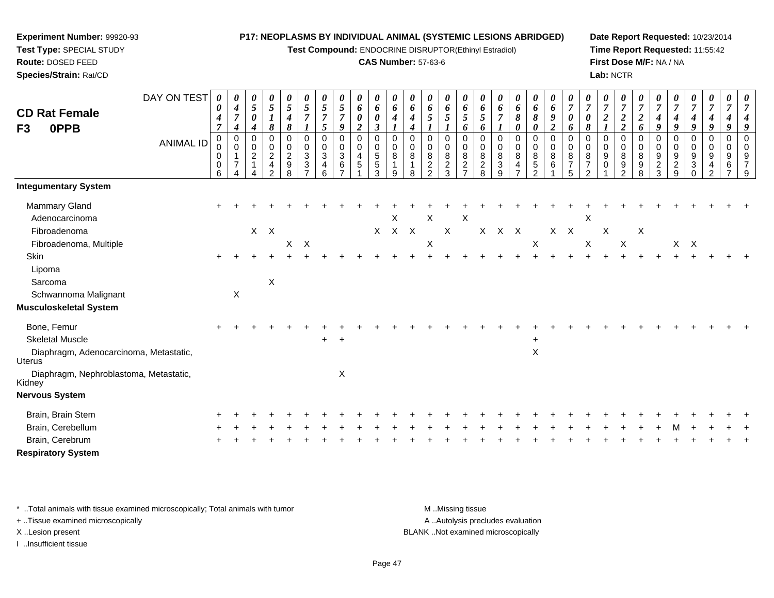**Test Compound:** ENDOCRINE DISRUPTOR(Ethinyl Estradiol)

#### **CAS Number:** 57-63-6

**Date Report Requested:** 10/23/2014**Time Report Requested:** 11:55:42**First Dose M/F:** NA / NA**Lab:** NCTR

| <b>CD Rat Female</b>                                                                             | DAY ON TEST      | 0<br>0                          | 0<br>$\boldsymbol{4}$                                        | 0<br>$\sqrt{5}$                            | 0<br>$\sqrt{5}$                                                                        | 0<br>$\overline{5}$                                                              | 0<br>$\mathfrak{s}$                                                        | 0<br>$5\overline{)}$                                            | 0<br>$\overline{5}$                    | 0<br>6                                                                      | 0<br>6                                                     | 0<br>6                                                 | 0<br>6                                 | 0<br>$\pmb{6}$                                              | 0<br>6                                           | 0<br>6                       | 0<br>6                               | 0<br>6                                                                | 0<br>6                                                                    | 0<br>6                                                   | 0<br>6                                     | 0<br>$\boldsymbol{7}$                     | 0<br>$\overline{7}$                                      | 0<br>$\boldsymbol{7}$                   | 0<br>$\overline{7}$                                 | 0<br>$\overline{7}$                                                  | $\boldsymbol{\theta}$<br>$\overline{7}$ | 0<br>$\overline{7}$                                        | 0<br>$\overline{7}$                                       | 0<br>$\overline{7}$                          | 0<br>$\overline{7}$          | 0<br>$\overline{7}$               |
|--------------------------------------------------------------------------------------------------|------------------|---------------------------------|--------------------------------------------------------------|--------------------------------------------|----------------------------------------------------------------------------------------|----------------------------------------------------------------------------------|----------------------------------------------------------------------------|-----------------------------------------------------------------|----------------------------------------|-----------------------------------------------------------------------------|------------------------------------------------------------|--------------------------------------------------------|----------------------------------------|-------------------------------------------------------------|--------------------------------------------------|------------------------------|--------------------------------------|-----------------------------------------------------------------------|---------------------------------------------------------------------------|----------------------------------------------------------|--------------------------------------------|-------------------------------------------|----------------------------------------------------------|-----------------------------------------|-----------------------------------------------------|----------------------------------------------------------------------|-----------------------------------------|------------------------------------------------------------|-----------------------------------------------------------|----------------------------------------------|------------------------------|-----------------------------------|
| 0PPB<br>F <sub>3</sub>                                                                           |                  | 4<br>$\overline{7}$             | $\overline{7}$<br>$\boldsymbol{4}$                           | $\boldsymbol{\theta}$<br>$\boldsymbol{4}$  | $\boldsymbol{l}$<br>8                                                                  | $\boldsymbol{4}$<br>8                                                            | $\overline{7}$<br>$\boldsymbol{l}$                                         | $\boldsymbol{7}$<br>5                                           | $\overline{7}$<br>9                    | $\pmb{\theta}$<br>$\overline{2}$                                            | 0<br>$\boldsymbol{\beta}$                                  | $\boldsymbol{4}$<br>$\boldsymbol{l}$                   | 4<br>4                                 | $\mathfrak{s}$                                              | 5                                                | 5<br>6                       | $\sqrt{5}$<br>6                      | $\overline{7}$                                                        | 8<br>$\boldsymbol{\theta}$                                                | $\boldsymbol{\delta}$<br>$\boldsymbol{\theta}$           | $\boldsymbol{g}$<br>$\boldsymbol{2}$       | 0<br>6                                    | 0<br>8                                                   | $\boldsymbol{2}$                        | $\boldsymbol{2}$<br>$\overline{2}$                  | $\boldsymbol{2}$<br>6                                                | $\boldsymbol{4}$<br>9                   | 4<br>9                                                     | $\boldsymbol{4}$<br>9                                     | $\boldsymbol{4}$<br>9                        | $\boldsymbol{4}$<br>9        | q                                 |
|                                                                                                  | <b>ANIMAL ID</b> | $\mathbf 0$<br>0<br>0<br>0<br>6 | $\mathbf 0$<br>$\mathbf 0$<br>$\mathbf{1}$<br>$\overline{7}$ | $\mathbf 0$<br>$\pmb{0}$<br>$\overline{c}$ | $\mathbf 0$<br>$\boldsymbol{0}$<br>$\boldsymbol{2}$<br>$\overline{4}$<br>$\mathcal{P}$ | $\mathbf 0$<br>$\pmb{0}$<br>$\boldsymbol{2}$<br>$\boldsymbol{9}$<br>$\mathbf{8}$ | $\mathbf 0$<br>$\mathbf 0$<br>$\mathbf{3}$<br>$\sqrt{3}$<br>$\overline{7}$ | $\mathbf 0$<br>$\pmb{0}$<br>$\ensuremath{\mathsf{3}}$<br>4<br>6 | 0<br>$\mathbf 0$<br>3<br>$\frac{6}{7}$ | $\mathbf 0$<br>$\pmb{0}$<br>$\overline{4}$<br>$\,$ 5 $\,$<br>$\overline{A}$ | $\mathbf 0$<br>$\pmb{0}$<br>$\sqrt{5}$<br>$\,$ 5 $\,$<br>3 | $\mathbf 0$<br>$\mathbf 0$<br>8<br>$\overline{1}$<br>9 | $\Omega$<br>$\mathbf 0$<br>8<br>1<br>8 | $\mathbf 0$<br>$\boldsymbol{0}$<br>$\bf 8$<br>$\frac{2}{2}$ | $\mathbf 0$<br>$\mathbf 0$<br>8<br>$\frac{2}{3}$ | 0<br>0<br>8<br>$\frac{2}{7}$ | 0<br>$\pmb{0}$<br>8<br>$\frac{2}{8}$ | $\mathbf 0$<br>$\pmb{0}$<br>$\,8\,$<br>$\ensuremath{\mathsf{3}}$<br>9 | $\mathbf 0$<br>$\mathbf 0$<br>$\bf 8$<br>$\overline{4}$<br>$\overline{z}$ | $\mathbf 0$<br>$\mathsf{O}\xspace$<br>8<br>$\frac{5}{2}$ | $\mathbf 0$<br>$\mathbf 0$<br>8<br>$\,6\,$ | $\Omega$<br>0<br>8<br>$\overline{7}$<br>5 | $\mathbf 0$<br>0<br>8<br>$\overline{7}$<br>$\mathcal{P}$ | 0<br>$\pmb{0}$<br>$\boldsymbol{9}$<br>0 | $\Omega$<br>$\mathbf 0$<br>$\,8\,$<br>$\frac{9}{2}$ | $\mathbf 0$<br>0<br>$\,8\,$<br>$\begin{array}{c} 9 \\ 8 \end{array}$ | 0<br>$\mathbf 0$<br>9<br>$\frac{2}{3}$  | 0<br>$\boldsymbol{0}$<br>$\boldsymbol{9}$<br>$\frac{2}{9}$ | $\mathbf 0$<br>$\mathbf 0$<br>9<br>$\sqrt{3}$<br>$\Omega$ | $\mathbf 0$<br>0<br>9<br>4<br>$\overline{2}$ | 0<br>0<br>9<br>$\frac{6}{7}$ | $\Omega$<br>$\mathbf 0$<br>9<br>9 |
| <b>Integumentary System</b>                                                                      |                  |                                 |                                                              |                                            |                                                                                        |                                                                                  |                                                                            |                                                                 |                                        |                                                                             |                                                            |                                                        |                                        |                                                             |                                                  |                              |                                      |                                                                       |                                                                           |                                                          |                                            |                                           |                                                          |                                         |                                                     |                                                                      |                                         |                                                            |                                                           |                                              |                              |                                   |
| <b>Mammary Gland</b><br>Adenocarcinoma<br>Fibroadenoma                                           |                  |                                 |                                                              |                                            | $X$ $X$                                                                                |                                                                                  |                                                                            |                                                                 |                                        |                                                                             | $\mathsf{X}$                                               | X                                                      | $X$ $X$                                | X                                                           | $\boldsymbol{X}$                                 | X                            |                                      | X X X                                                                 |                                                                           |                                                          |                                            | $X$ $X$                                   | X                                                        | $\boldsymbol{\mathsf{X}}$               |                                                     | $\boldsymbol{\mathsf{X}}$                                            |                                         |                                                            |                                                           |                                              |                              |                                   |
| Fibroadenoma, Multiple                                                                           |                  |                                 |                                                              |                                            |                                                                                        | X                                                                                | $\boldsymbol{X}$                                                           |                                                                 |                                        |                                                                             |                                                            |                                                        |                                        | Χ                                                           |                                                  |                              |                                      |                                                                       |                                                                           | $\mathsf X$                                              |                                            |                                           | $\mathsf X$                                              |                                         | $\mathsf X$                                         |                                                                      |                                         | $X$ X                                                      |                                                           |                                              |                              |                                   |
| Skin<br>Lipoma<br>Sarcoma<br>Schwannoma Malignant                                                |                  |                                 | $\mathsf X$                                                  |                                            | X                                                                                      |                                                                                  |                                                                            |                                                                 |                                        |                                                                             |                                                            |                                                        |                                        |                                                             |                                                  |                              |                                      |                                                                       |                                                                           |                                                          |                                            |                                           |                                                          |                                         |                                                     |                                                                      |                                         |                                                            |                                                           |                                              |                              |                                   |
| <b>Musculoskeletal System</b>                                                                    |                  |                                 |                                                              |                                            |                                                                                        |                                                                                  |                                                                            |                                                                 |                                        |                                                                             |                                                            |                                                        |                                        |                                                             |                                                  |                              |                                      |                                                                       |                                                                           |                                                          |                                            |                                           |                                                          |                                         |                                                     |                                                                      |                                         |                                                            |                                                           |                                              |                              |                                   |
| Bone, Femur<br><b>Skeletal Muscle</b><br>Diaphragm, Adenocarcinoma, Metastatic,<br><b>Uterus</b> |                  |                                 |                                                              |                                            |                                                                                        |                                                                                  |                                                                            | $\ddot{}$                                                       | $\ddot{}$                              |                                                                             |                                                            |                                                        |                                        |                                                             |                                                  |                              |                                      |                                                                       |                                                                           | $\ddot{}$<br>$\mathsf X$                                 |                                            |                                           |                                                          |                                         |                                                     |                                                                      |                                         |                                                            |                                                           |                                              |                              |                                   |
| Diaphragm, Nephroblastoma, Metastatic,<br>Kidney                                                 |                  |                                 |                                                              |                                            |                                                                                        |                                                                                  |                                                                            |                                                                 | X                                      |                                                                             |                                                            |                                                        |                                        |                                                             |                                                  |                              |                                      |                                                                       |                                                                           |                                                          |                                            |                                           |                                                          |                                         |                                                     |                                                                      |                                         |                                                            |                                                           |                                              |                              |                                   |
| <b>Nervous System</b>                                                                            |                  |                                 |                                                              |                                            |                                                                                        |                                                                                  |                                                                            |                                                                 |                                        |                                                                             |                                                            |                                                        |                                        |                                                             |                                                  |                              |                                      |                                                                       |                                                                           |                                                          |                                            |                                           |                                                          |                                         |                                                     |                                                                      |                                         |                                                            |                                                           |                                              |                              |                                   |
| Brain, Brain Stem                                                                                |                  |                                 |                                                              |                                            |                                                                                        |                                                                                  |                                                                            |                                                                 |                                        |                                                                             |                                                            |                                                        |                                        |                                                             |                                                  |                              |                                      |                                                                       |                                                                           |                                                          |                                            |                                           |                                                          |                                         |                                                     |                                                                      |                                         |                                                            |                                                           |                                              |                              |                                   |
| Brain, Cerebellum                                                                                |                  |                                 |                                                              |                                            |                                                                                        |                                                                                  |                                                                            |                                                                 |                                        |                                                                             |                                                            |                                                        |                                        |                                                             |                                                  |                              |                                      |                                                                       |                                                                           |                                                          |                                            |                                           |                                                          |                                         |                                                     |                                                                      |                                         |                                                            |                                                           |                                              |                              |                                   |
| Brain, Cerebrum                                                                                  |                  |                                 |                                                              |                                            |                                                                                        |                                                                                  |                                                                            |                                                                 |                                        |                                                                             |                                                            |                                                        |                                        |                                                             |                                                  |                              |                                      |                                                                       |                                                                           |                                                          |                                            |                                           |                                                          |                                         |                                                     |                                                                      |                                         |                                                            |                                                           |                                              |                              |                                   |
| <b>Respiratory System</b>                                                                        |                  |                                 |                                                              |                                            |                                                                                        |                                                                                  |                                                                            |                                                                 |                                        |                                                                             |                                                            |                                                        |                                        |                                                             |                                                  |                              |                                      |                                                                       |                                                                           |                                                          |                                            |                                           |                                                          |                                         |                                                     |                                                                      |                                         |                                                            |                                                           |                                              |                              |                                   |

\* ..Total animals with tissue examined microscopically; Total animals with tumor **M** . Missing tissue M ..Missing tissue

+ ..Tissue examined microscopically

**Experiment Number:** 99920-93**Test Type:** SPECIAL STUDY**Route:** DOSED FEED**Species/Strain:** Rat/CD

I ..Insufficient tissue

A ..Autolysis precludes evaluation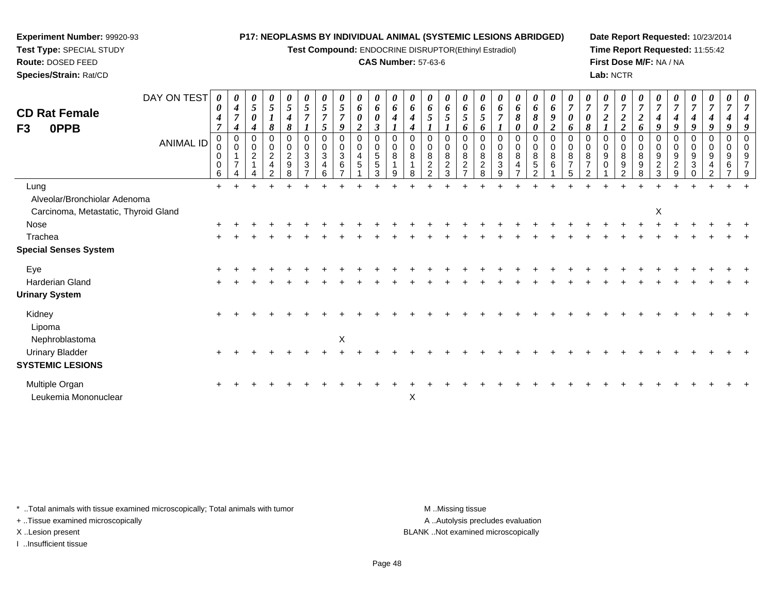**Test Compound:** ENDOCRINE DISRUPTOR(Ethinyl Estradiol)

#### **CAS Number:** 57-63-6

**Date Report Requested:** 10/23/2014**Time Report Requested:** 11:55:42**First Dose M/F:** NA / NA**Lab:** NCTR

| <b>CD Rat Female</b><br>F3<br>0PPB     | DAY ON TEST<br><b>ANIMAL ID</b> | $\boldsymbol{\theta}$<br>0<br>$\boldsymbol{4}$<br>$\overline{7}$<br>$\boldsymbol{0}$<br>$\mathbf 0$<br>0<br>$\mathbf 0$<br>6 | 0<br>$\boldsymbol{4}$<br>$\boldsymbol{4}$<br>$\mathbf 0$<br>$\mathbf 0$<br>$\overline{ }$ | 0<br>$5\overline{)}$<br>0<br>4<br>0<br>0<br>$\overline{a}$ | 0<br>$\mathfrak{s}$<br>$\boldsymbol{l}$<br>8<br>$\mathbf 0$<br>0<br>$\overline{c}$ | 0<br>5<br>4<br>8<br>$\mathbf 0$<br>$\pmb{0}$<br>$\overline{c}$<br>$\boldsymbol{9}$<br>8 | 0<br>5<br>$\mathbf 0$<br>0<br>3<br>3 | $\boldsymbol{\theta}$<br>5<br>5<br>$\mathbf 0$<br>$\mathbf 0$<br>3 | 0<br>$\mathfrak{H}$<br>7<br>9<br>$\mathbf 0$<br>0<br>3<br>6 | 0<br>6<br>0<br>$\boldsymbol{2}$<br>$\pmb{0}$<br>$\,0\,$<br>4<br>5 | 0<br>6<br>0<br>$\boldsymbol{\beta}$<br>$\pmb{0}$<br>0<br>$\sqrt{5}$<br>$\sqrt{5}$<br>3 | 0<br>6<br>$\Omega$<br>0<br>8 | 0<br>6<br>$\Omega$<br>$\mathbf 0$<br>8 | 0<br>6<br>5<br>$\Omega$<br>0<br>8<br>$\overline{c}$<br>C | 0<br>6<br>5<br>$\mathbf 0$<br>0<br>8<br>$\overline{c}$<br>3 | 0<br>6<br>5<br>6<br>0<br>$\mathbf 0$<br>8<br>$\overline{c}$ | 0<br>6<br>5<br>6<br>$\Omega$<br>0<br>8<br>$\overline{c}$<br>8 | 0<br>6<br>$\mathbf 0$<br>$\mathbf 0$<br>8<br>3 | $\boldsymbol{\theta}$<br>6<br>8<br>0<br>0<br>0<br>8<br>4 | 0<br>6<br>8<br>0<br>$\mathbf 0$<br>0<br>8<br>5<br>C | 0<br>6<br>9<br>$\overline{c}$<br>0<br>0<br>8<br>6 | $\overline{7}$<br>6<br>$\mathbf 0$<br>8 | 0<br>$\overline{7}$<br>8<br>$\Omega$<br>$\mathbf 0$<br>8 | 0<br>$\overline{7}$<br>$\overline{2}$<br>0<br>0<br>9<br>0 | 0<br>$\overline{7}$<br>$\boldsymbol{2}$<br>$\overline{\mathbf{c}}$<br>$\Omega$<br>0<br>8<br>9<br>ົ | 0<br>$\overline{7}$<br>2<br>6<br>$\mathbf 0$<br>0<br>8<br>9 | $\overline{7}$<br>9<br>0<br>9<br>$\overline{c}$<br>3 | $\boldsymbol{\theta}$<br>$\overline{7}$<br>9<br>$\mathbf 0$<br>$\mathbf 0$<br>9<br>2 | 0<br>$\overline{7}$<br>4<br>9<br>0<br>0<br>9<br>3 | $\boldsymbol{\theta}$<br>$\overline{7}$<br>4<br>9<br>$\mathbf 0$<br>$\mathbf 0$<br>9 | 0<br>$\overline{7}$<br>$\mathbf 0$<br>0<br>9<br>6 |  |
|----------------------------------------|---------------------------------|------------------------------------------------------------------------------------------------------------------------------|-------------------------------------------------------------------------------------------|------------------------------------------------------------|------------------------------------------------------------------------------------|-----------------------------------------------------------------------------------------|--------------------------------------|--------------------------------------------------------------------|-------------------------------------------------------------|-------------------------------------------------------------------|----------------------------------------------------------------------------------------|------------------------------|----------------------------------------|----------------------------------------------------------|-------------------------------------------------------------|-------------------------------------------------------------|---------------------------------------------------------------|------------------------------------------------|----------------------------------------------------------|-----------------------------------------------------|---------------------------------------------------|-----------------------------------------|----------------------------------------------------------|-----------------------------------------------------------|----------------------------------------------------------------------------------------------------|-------------------------------------------------------------|------------------------------------------------------|--------------------------------------------------------------------------------------|---------------------------------------------------|--------------------------------------------------------------------------------------|---------------------------------------------------|--|
| Lung                                   |                                 | $\pm$                                                                                                                        |                                                                                           |                                                            |                                                                                    |                                                                                         |                                      |                                                                    |                                                             |                                                                   |                                                                                        |                              |                                        |                                                          |                                                             |                                                             |                                                               |                                                |                                                          |                                                     |                                                   |                                         |                                                          |                                                           |                                                                                                    |                                                             |                                                      |                                                                                      |                                                   |                                                                                      |                                                   |  |
| Alveolar/Bronchiolar Adenoma           |                                 |                                                                                                                              |                                                                                           |                                                            |                                                                                    |                                                                                         |                                      |                                                                    |                                                             |                                                                   |                                                                                        |                              |                                        |                                                          |                                                             |                                                             |                                                               |                                                |                                                          |                                                     |                                                   |                                         |                                                          |                                                           |                                                                                                    |                                                             |                                                      |                                                                                      |                                                   |                                                                                      |                                                   |  |
| Carcinoma, Metastatic, Thyroid Gland   |                                 |                                                                                                                              |                                                                                           |                                                            |                                                                                    |                                                                                         |                                      |                                                                    |                                                             |                                                                   |                                                                                        |                              |                                        |                                                          |                                                             |                                                             |                                                               |                                                |                                                          |                                                     |                                                   |                                         |                                                          |                                                           |                                                                                                    |                                                             | X                                                    |                                                                                      |                                                   |                                                                                      |                                                   |  |
| Nose                                   |                                 |                                                                                                                              |                                                                                           |                                                            |                                                                                    |                                                                                         |                                      |                                                                    |                                                             |                                                                   |                                                                                        |                              |                                        |                                                          |                                                             |                                                             |                                                               |                                                |                                                          |                                                     |                                                   |                                         |                                                          |                                                           |                                                                                                    |                                                             |                                                      |                                                                                      |                                                   |                                                                                      |                                                   |  |
| Trachea                                |                                 |                                                                                                                              |                                                                                           |                                                            |                                                                                    |                                                                                         |                                      |                                                                    |                                                             |                                                                   |                                                                                        |                              |                                        |                                                          |                                                             |                                                             |                                                               |                                                |                                                          |                                                     |                                                   |                                         |                                                          |                                                           |                                                                                                    |                                                             |                                                      |                                                                                      |                                                   |                                                                                      |                                                   |  |
| <b>Special Senses System</b>           |                                 |                                                                                                                              |                                                                                           |                                                            |                                                                                    |                                                                                         |                                      |                                                                    |                                                             |                                                                   |                                                                                        |                              |                                        |                                                          |                                                             |                                                             |                                                               |                                                |                                                          |                                                     |                                                   |                                         |                                                          |                                                           |                                                                                                    |                                                             |                                                      |                                                                                      |                                                   |                                                                                      |                                                   |  |
| Eye                                    |                                 |                                                                                                                              |                                                                                           |                                                            |                                                                                    |                                                                                         |                                      |                                                                    |                                                             |                                                                   |                                                                                        |                              |                                        |                                                          |                                                             |                                                             |                                                               |                                                |                                                          |                                                     |                                                   |                                         |                                                          |                                                           |                                                                                                    |                                                             |                                                      |                                                                                      |                                                   |                                                                                      |                                                   |  |
| Harderian Gland                        |                                 |                                                                                                                              |                                                                                           |                                                            |                                                                                    |                                                                                         |                                      |                                                                    |                                                             |                                                                   |                                                                                        |                              |                                        |                                                          |                                                             |                                                             |                                                               |                                                |                                                          |                                                     |                                                   |                                         |                                                          |                                                           |                                                                                                    |                                                             |                                                      |                                                                                      |                                                   |                                                                                      |                                                   |  |
| <b>Urinary System</b>                  |                                 |                                                                                                                              |                                                                                           |                                                            |                                                                                    |                                                                                         |                                      |                                                                    |                                                             |                                                                   |                                                                                        |                              |                                        |                                                          |                                                             |                                                             |                                                               |                                                |                                                          |                                                     |                                                   |                                         |                                                          |                                                           |                                                                                                    |                                                             |                                                      |                                                                                      |                                                   |                                                                                      |                                                   |  |
| Kidney<br>Lipoma                       |                                 |                                                                                                                              |                                                                                           |                                                            |                                                                                    |                                                                                         |                                      |                                                                    |                                                             |                                                                   |                                                                                        |                              |                                        |                                                          |                                                             |                                                             |                                                               |                                                |                                                          |                                                     |                                                   |                                         |                                                          |                                                           |                                                                                                    |                                                             |                                                      |                                                                                      |                                                   |                                                                                      |                                                   |  |
| Nephroblastoma                         |                                 |                                                                                                                              |                                                                                           |                                                            |                                                                                    |                                                                                         |                                      |                                                                    | $\mathsf X$                                                 |                                                                   |                                                                                        |                              |                                        |                                                          |                                                             |                                                             |                                                               |                                                |                                                          |                                                     |                                                   |                                         |                                                          |                                                           |                                                                                                    |                                                             |                                                      |                                                                                      |                                                   |                                                                                      |                                                   |  |
| <b>Urinary Bladder</b>                 |                                 |                                                                                                                              |                                                                                           |                                                            |                                                                                    |                                                                                         |                                      |                                                                    |                                                             |                                                                   |                                                                                        |                              |                                        |                                                          |                                                             |                                                             |                                                               |                                                |                                                          |                                                     |                                                   |                                         |                                                          |                                                           |                                                                                                    |                                                             |                                                      |                                                                                      |                                                   |                                                                                      |                                                   |  |
| <b>SYSTEMIC LESIONS</b>                |                                 |                                                                                                                              |                                                                                           |                                                            |                                                                                    |                                                                                         |                                      |                                                                    |                                                             |                                                                   |                                                                                        |                              |                                        |                                                          |                                                             |                                                             |                                                               |                                                |                                                          |                                                     |                                                   |                                         |                                                          |                                                           |                                                                                                    |                                                             |                                                      |                                                                                      |                                                   |                                                                                      |                                                   |  |
| Multiple Organ<br>Leukemia Mononuclear |                                 |                                                                                                                              |                                                                                           |                                                            |                                                                                    |                                                                                         |                                      |                                                                    |                                                             |                                                                   |                                                                                        |                              | X                                      |                                                          |                                                             |                                                             |                                                               |                                                |                                                          |                                                     |                                                   |                                         |                                                          |                                                           |                                                                                                    |                                                             |                                                      |                                                                                      |                                                   |                                                                                      |                                                   |  |

\* ..Total animals with tissue examined microscopically; Total animals with tumor **M** . Missing tissue M ..Missing tissue

+ ..Tissue examined microscopically

**Experiment Number:** 99920-93**Test Type:** SPECIAL STUDY**Route:** DOSED FEED**Species/Strain:** Rat/CD

I ..Insufficient tissue

A ..Autolysis precludes evaluation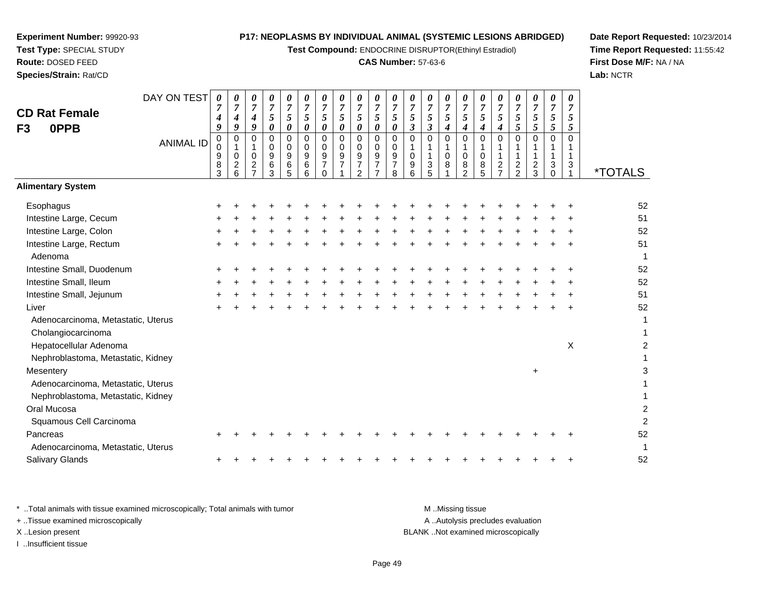**Test Compound:** ENDOCRINE DISRUPTOR(Ethinyl Estradiol)

## **CAS Number:** 57-63-6

**Date Report Requested:** 10/23/2014**Time Report Requested:** 11:55:42**First Dose M/F:** NA / NA**Lab:** NCTR

 $\overline{2}$ 

| F <sub>3</sub> | <b>CD Rat Female</b><br>0PPB       | DAY ON TEST<br><b>ANIMAL ID</b> | $\boldsymbol{\theta}$<br>$\overline{7}$<br>$\boldsymbol{4}$<br>9<br>0<br>$\mathbf 0$<br>9<br>8<br>$\overline{3}$ | 0<br>$\boldsymbol{7}$<br>$\boldsymbol{4}$<br>9<br>$\mathbf 0$<br>$\mathbf{1}$<br>0<br>$\frac{2}{6}$ | 0<br>$\boldsymbol{7}$<br>$\boldsymbol{4}$<br>9<br>0<br>0<br>$\boldsymbol{2}$<br>$\overline{7}$ | 0<br>$\overline{7}$<br>$\mathfrak{s}$<br>$\boldsymbol{\theta}$<br>$\mathbf 0$<br>$\mathbf 0$<br>9<br>$\,6$<br>3 | 0<br>$\overline{7}$<br>5<br>0<br>$\mathbf 0$<br>0<br>9<br>6<br>5 | 0<br>$\overline{7}$<br>$\overline{\mathfrak{s}}$<br>0<br>$\mathbf 0$<br>$\mathbf 0$<br>9<br>6<br>6 | 0<br>$\overline{7}$<br>5<br>0<br>0<br>$\Omega$<br>9<br>$\overline{7}$<br>$\Omega$ | 0<br>$\overline{7}$<br>$\mathfrak{S}$<br>$\boldsymbol{\theta}$<br>0<br>$\mathbf 0$<br>9<br>$\overline{7}$ | $\boldsymbol{\theta}$<br>$\overline{7}$<br>5<br>0<br>$\mathbf 0$<br>$\mathbf 0$<br>9<br>$\overline{7}$<br>$\mathcal{P}$ | 0<br>$\overline{7}$<br>5<br>$\pmb{\theta}$<br>0<br>$\mathbf 0$<br>9<br>$\overline{7}$<br>$\overline{7}$ | 0<br>$\overline{7}$<br>5<br>$\boldsymbol{\theta}$<br>$\mathbf 0$<br>$\mathbf 0$<br>9<br>$\overline{7}$<br>8 | $\overline{7}$<br>5<br>$\overline{\mathbf{3}}$<br>$\mathbf 0$<br>1<br>0<br>9<br>6 | 0<br>$\overline{7}$<br>$\mathfrak{s}$<br>$\mathfrak{z}$<br>$\mathbf 0$<br>$\mathbf{1}$<br>$\mathbf{1}$<br>$\frac{3}{5}$ | 0<br>$\overline{7}$<br>5<br>$\boldsymbol{4}$<br>0<br>$\mathbf{1}$<br>0<br>8 | 0<br>$\overline{7}$<br>$\sqrt{5}$<br>$\boldsymbol{4}$<br>$\mathbf 0$<br>$\mathbf{1}$<br>0<br>8<br>$\overline{2}$ | 0<br>$\boldsymbol{7}$<br>$\mathfrak{s}$<br>$\boldsymbol{4}$<br>$\mathbf 0$<br>1<br>0<br>8<br>$\overline{5}$ | 0<br>$\overline{7}$<br>$\sqrt{5}$<br>$\boldsymbol{4}$<br>0<br>$\mathbf{1}$<br>$\frac{2}{7}$ | 0<br>$\overline{7}$<br>$\sqrt{5}$<br>$\mathfrak{s}$<br>$\mathbf 0$<br>$\mathbf{1}$<br>1<br>$\frac{2}{2}$ | 0<br>$\boldsymbol{7}$<br>5<br>$\sqrt{5}$<br>0<br>1<br>$\frac{2}{3}$ | 0<br>$\overline{7}$<br>$\mathfrak{s}$<br>$\mathfrak{s}$<br>0<br>1<br>1<br>3<br>$\mathbf 0$ | 0<br>$\overline{7}$<br>5<br>5<br>$\Omega$<br>3 | <i><b>*TOTALS</b></i> |
|----------------|------------------------------------|---------------------------------|------------------------------------------------------------------------------------------------------------------|-----------------------------------------------------------------------------------------------------|------------------------------------------------------------------------------------------------|-----------------------------------------------------------------------------------------------------------------|------------------------------------------------------------------|----------------------------------------------------------------------------------------------------|-----------------------------------------------------------------------------------|-----------------------------------------------------------------------------------------------------------|-------------------------------------------------------------------------------------------------------------------------|---------------------------------------------------------------------------------------------------------|-------------------------------------------------------------------------------------------------------------|-----------------------------------------------------------------------------------|-------------------------------------------------------------------------------------------------------------------------|-----------------------------------------------------------------------------|------------------------------------------------------------------------------------------------------------------|-------------------------------------------------------------------------------------------------------------|---------------------------------------------------------------------------------------------|----------------------------------------------------------------------------------------------------------|---------------------------------------------------------------------|--------------------------------------------------------------------------------------------|------------------------------------------------|-----------------------|
|                | <b>Alimentary System</b>           |                                 |                                                                                                                  |                                                                                                     |                                                                                                |                                                                                                                 |                                                                  |                                                                                                    |                                                                                   |                                                                                                           |                                                                                                                         |                                                                                                         |                                                                                                             |                                                                                   |                                                                                                                         |                                                                             |                                                                                                                  |                                                                                                             |                                                                                             |                                                                                                          |                                                                     |                                                                                            |                                                |                       |
|                | Esophagus                          |                                 |                                                                                                                  |                                                                                                     |                                                                                                |                                                                                                                 |                                                                  |                                                                                                    |                                                                                   |                                                                                                           |                                                                                                                         |                                                                                                         |                                                                                                             |                                                                                   |                                                                                                                         |                                                                             |                                                                                                                  |                                                                                                             |                                                                                             |                                                                                                          |                                                                     |                                                                                            |                                                | 52                    |
|                | Intestine Large, Cecum             |                                 |                                                                                                                  |                                                                                                     |                                                                                                |                                                                                                                 |                                                                  |                                                                                                    |                                                                                   |                                                                                                           |                                                                                                                         |                                                                                                         |                                                                                                             |                                                                                   |                                                                                                                         |                                                                             |                                                                                                                  |                                                                                                             |                                                                                             |                                                                                                          |                                                                     |                                                                                            |                                                | 51                    |
|                | Intestine Large, Colon             |                                 |                                                                                                                  |                                                                                                     |                                                                                                |                                                                                                                 |                                                                  |                                                                                                    |                                                                                   |                                                                                                           |                                                                                                                         |                                                                                                         |                                                                                                             |                                                                                   |                                                                                                                         |                                                                             |                                                                                                                  |                                                                                                             |                                                                                             |                                                                                                          |                                                                     |                                                                                            |                                                | 52                    |
|                | Intestine Large, Rectum            |                                 |                                                                                                                  |                                                                                                     |                                                                                                |                                                                                                                 |                                                                  |                                                                                                    |                                                                                   |                                                                                                           |                                                                                                                         |                                                                                                         |                                                                                                             |                                                                                   |                                                                                                                         |                                                                             |                                                                                                                  |                                                                                                             |                                                                                             |                                                                                                          |                                                                     |                                                                                            |                                                | 51                    |
|                | Adenoma                            |                                 |                                                                                                                  |                                                                                                     |                                                                                                |                                                                                                                 |                                                                  |                                                                                                    |                                                                                   |                                                                                                           |                                                                                                                         |                                                                                                         |                                                                                                             |                                                                                   |                                                                                                                         |                                                                             |                                                                                                                  |                                                                                                             |                                                                                             |                                                                                                          |                                                                     |                                                                                            |                                                | -1                    |
|                | Intestine Small, Duodenum          |                                 |                                                                                                                  |                                                                                                     |                                                                                                |                                                                                                                 |                                                                  |                                                                                                    |                                                                                   |                                                                                                           |                                                                                                                         |                                                                                                         |                                                                                                             |                                                                                   |                                                                                                                         |                                                                             |                                                                                                                  |                                                                                                             |                                                                                             |                                                                                                          |                                                                     |                                                                                            |                                                | 52                    |
|                | Intestine Small, Ileum             |                                 |                                                                                                                  |                                                                                                     |                                                                                                |                                                                                                                 |                                                                  |                                                                                                    |                                                                                   |                                                                                                           |                                                                                                                         |                                                                                                         |                                                                                                             |                                                                                   |                                                                                                                         |                                                                             |                                                                                                                  |                                                                                                             |                                                                                             |                                                                                                          |                                                                     |                                                                                            |                                                | 52                    |
|                | Intestine Small, Jejunum           |                                 |                                                                                                                  |                                                                                                     |                                                                                                |                                                                                                                 |                                                                  |                                                                                                    |                                                                                   |                                                                                                           |                                                                                                                         |                                                                                                         |                                                                                                             |                                                                                   |                                                                                                                         |                                                                             |                                                                                                                  |                                                                                                             |                                                                                             |                                                                                                          |                                                                     |                                                                                            |                                                | 51                    |
| Liver          |                                    |                                 |                                                                                                                  |                                                                                                     |                                                                                                |                                                                                                                 |                                                                  |                                                                                                    |                                                                                   |                                                                                                           |                                                                                                                         |                                                                                                         |                                                                                                             |                                                                                   |                                                                                                                         |                                                                             |                                                                                                                  |                                                                                                             |                                                                                             |                                                                                                          |                                                                     |                                                                                            |                                                | 52                    |
|                | Adenocarcinoma, Metastatic, Uterus |                                 |                                                                                                                  |                                                                                                     |                                                                                                |                                                                                                                 |                                                                  |                                                                                                    |                                                                                   |                                                                                                           |                                                                                                                         |                                                                                                         |                                                                                                             |                                                                                   |                                                                                                                         |                                                                             |                                                                                                                  |                                                                                                             |                                                                                             |                                                                                                          |                                                                     |                                                                                            |                                                | $\mathbf 1$           |
|                | Cholangiocarcinoma                 |                                 |                                                                                                                  |                                                                                                     |                                                                                                |                                                                                                                 |                                                                  |                                                                                                    |                                                                                   |                                                                                                           |                                                                                                                         |                                                                                                         |                                                                                                             |                                                                                   |                                                                                                                         |                                                                             |                                                                                                                  |                                                                                                             |                                                                                             |                                                                                                          |                                                                     |                                                                                            |                                                | 1                     |
|                | Hepatocellular Adenoma             |                                 |                                                                                                                  |                                                                                                     |                                                                                                |                                                                                                                 |                                                                  |                                                                                                    |                                                                                   |                                                                                                           |                                                                                                                         |                                                                                                         |                                                                                                             |                                                                                   |                                                                                                                         |                                                                             |                                                                                                                  |                                                                                                             |                                                                                             |                                                                                                          |                                                                     |                                                                                            | X                                              | $\overline{2}$        |
|                | Nephroblastoma, Metastatic, Kidney |                                 |                                                                                                                  |                                                                                                     |                                                                                                |                                                                                                                 |                                                                  |                                                                                                    |                                                                                   |                                                                                                           |                                                                                                                         |                                                                                                         |                                                                                                             |                                                                                   |                                                                                                                         |                                                                             |                                                                                                                  |                                                                                                             |                                                                                             |                                                                                                          |                                                                     |                                                                                            |                                                |                       |
|                | Mesentery                          |                                 |                                                                                                                  |                                                                                                     |                                                                                                |                                                                                                                 |                                                                  |                                                                                                    |                                                                                   |                                                                                                           |                                                                                                                         |                                                                                                         |                                                                                                             |                                                                                   |                                                                                                                         |                                                                             |                                                                                                                  |                                                                                                             |                                                                                             |                                                                                                          | $\ddot{}$                                                           |                                                                                            |                                                | 3                     |
|                | Adenocarcinoma, Metastatic, Uterus |                                 |                                                                                                                  |                                                                                                     |                                                                                                |                                                                                                                 |                                                                  |                                                                                                    |                                                                                   |                                                                                                           |                                                                                                                         |                                                                                                         |                                                                                                             |                                                                                   |                                                                                                                         |                                                                             |                                                                                                                  |                                                                                                             |                                                                                             |                                                                                                          |                                                                     |                                                                                            |                                                |                       |
|                | Nephroblastoma, Metastatic, Kidney |                                 |                                                                                                                  |                                                                                                     |                                                                                                |                                                                                                                 |                                                                  |                                                                                                    |                                                                                   |                                                                                                           |                                                                                                                         |                                                                                                         |                                                                                                             |                                                                                   |                                                                                                                         |                                                                             |                                                                                                                  |                                                                                                             |                                                                                             |                                                                                                          |                                                                     |                                                                                            |                                                |                       |
|                | Oral Mucosa                        |                                 |                                                                                                                  |                                                                                                     |                                                                                                |                                                                                                                 |                                                                  |                                                                                                    |                                                                                   |                                                                                                           |                                                                                                                         |                                                                                                         |                                                                                                             |                                                                                   |                                                                                                                         |                                                                             |                                                                                                                  |                                                                                                             |                                                                                             |                                                                                                          |                                                                     |                                                                                            |                                                | $\overline{c}$        |
|                | Squamous Cell Carcinoma            |                                 |                                                                                                                  |                                                                                                     |                                                                                                |                                                                                                                 |                                                                  |                                                                                                    |                                                                                   |                                                                                                           |                                                                                                                         |                                                                                                         |                                                                                                             |                                                                                   |                                                                                                                         |                                                                             |                                                                                                                  |                                                                                                             |                                                                                             |                                                                                                          |                                                                     |                                                                                            |                                                | $\overline{2}$        |
|                | Pancreas                           |                                 |                                                                                                                  |                                                                                                     |                                                                                                |                                                                                                                 |                                                                  |                                                                                                    |                                                                                   |                                                                                                           |                                                                                                                         |                                                                                                         |                                                                                                             |                                                                                   |                                                                                                                         |                                                                             |                                                                                                                  |                                                                                                             |                                                                                             |                                                                                                          |                                                                     |                                                                                            |                                                | 52                    |
|                | Adenocarcinoma, Metastatic, Uterus |                                 |                                                                                                                  |                                                                                                     |                                                                                                |                                                                                                                 |                                                                  |                                                                                                    |                                                                                   |                                                                                                           |                                                                                                                         |                                                                                                         |                                                                                                             |                                                                                   |                                                                                                                         |                                                                             |                                                                                                                  |                                                                                                             |                                                                                             |                                                                                                          |                                                                     |                                                                                            |                                                | -1                    |
|                | Salivary Glands                    |                                 |                                                                                                                  |                                                                                                     |                                                                                                |                                                                                                                 |                                                                  |                                                                                                    |                                                                                   |                                                                                                           |                                                                                                                         |                                                                                                         |                                                                                                             |                                                                                   |                                                                                                                         |                                                                             |                                                                                                                  |                                                                                                             |                                                                                             |                                                                                                          |                                                                     |                                                                                            |                                                | 52                    |

**Experiment Number:** 99920-93**Test Type:** SPECIAL STUDY**Route:** DOSED FEED**Species/Strain:** Rat/CD

\* ..Total animals with tissue examined microscopically; Total animals with tumor **M** ...Missing tissue M ...Missing tissue A ..Autolysis precludes evaluation + ..Tissue examined microscopically X ..Lesion present BLANK ..Not examined microscopicallyI ..Insufficient tissue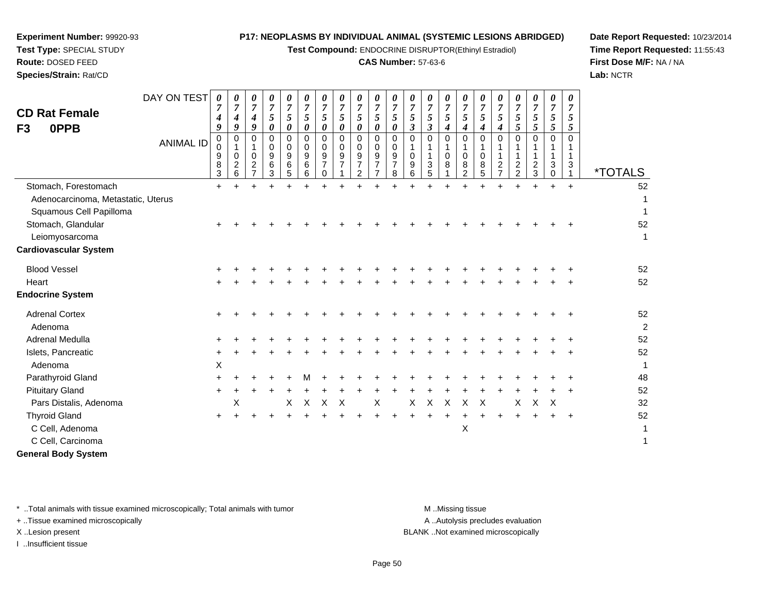**Test Compound:** ENDOCRINE DISRUPTOR(Ethinyl Estradiol)

## **CAS Number:** 57-63-6

**Date Report Requested:** 10/23/2014**Time Report Requested:** 11:55:43**First Dose M/F:** NA / NA**Lab:** NCTR

 $\overline{1}$ 

| Species/Strain: Rat/CD                                |             |                                                |                               |                                              |                                                                 |                          |                                         |                                       |                                              |                                                                     |                                    |                                   |                     |        |                               |                         |               |                |                         |                                      |   |           | Lab: NCTR             |
|-------------------------------------------------------|-------------|------------------------------------------------|-------------------------------|----------------------------------------------|-----------------------------------------------------------------|--------------------------|-----------------------------------------|---------------------------------------|----------------------------------------------|---------------------------------------------------------------------|------------------------------------|-----------------------------------|---------------------|--------|-------------------------------|-------------------------|---------------|----------------|-------------------------|--------------------------------------|---|-----------|-----------------------|
| <b>CD Rat Female</b><br><b>OPPB</b><br>F <sub>3</sub> | DAY ON TEST | $\boldsymbol{\theta}$<br>$\boldsymbol{4}$<br>9 | 0<br>$\overline{7}$<br>4<br>9 | 0<br>$\overline{7}$<br>$\boldsymbol{4}$<br>9 | $\boldsymbol{\theta}$<br>$\overline{7}$<br>$5\overline{)}$<br>0 | 0<br>$\overline{7}$<br>5 | 0<br>$\boldsymbol{7}$<br>$\overline{5}$ | 0<br>$\boldsymbol{7}$<br>5<br>0       | 0<br>$\overline{7}$<br>$\sqrt{5}$<br>0       | 0<br>$\overline{7}$<br>$\mathfrak{s}$<br>0                          | 7<br>5                             | $\overline{ }$<br>$5\overline{)}$ | $\overline{7}$<br>5 | 7<br>5 | 0<br>$\overline{7}$<br>5<br>4 | 0<br>7<br>$\mathcal{L}$ | $\mathcal{L}$ | 0<br>7<br>5    | 0<br>7<br>$\mathcal{P}$ | 0<br>$\overline{7}$<br>$\mathcal{L}$ | 7 |           |                       |
|                                                       | ANIMAL ID   | 9<br>8<br>3                                    | $\overline{c}$<br>6           | 0<br>$\overline{2}$<br>$\rightarrow$         | 0<br>0<br>9<br>6<br>$\mathcal{R}$                               | 0<br>9<br>6<br>5         | 0<br>$\boldsymbol{9}$<br>6<br>6         | 0<br>$\pmb{0}$<br>9<br>$\overline{ }$ | 0<br>0<br>$\boldsymbol{9}$<br>$\overline{ }$ | 0<br>$\pmb{0}$<br>$\overline{9}$<br>$\overline{ }$<br>$\mathcal{D}$ | $\mathbf 0$<br>9<br>$\overline{ }$ | 9<br>$\overline{ }$<br>8          | 9<br>6              | 3<br>5 | 0<br>8                        | 8<br>ົ                  | 8             | $\overline{c}$ | $\overline{2}$<br>C     | $\overline{2}$<br>3                  | 3 | 3         | <i><b>*TOTALS</b></i> |
| Stomach, Forestomach                                  |             | $+$                                            | +                             | +                                            |                                                                 | +                        |                                         |                                       |                                              |                                                                     |                                    |                                   |                     |        |                               |                         |               |                |                         |                                      | ÷ | $\pm$     | 52                    |
| Adenocarcinoma, Metastatic, Uterus                    |             |                                                |                               |                                              |                                                                 |                          |                                         |                                       |                                              |                                                                     |                                    |                                   |                     |        |                               |                         |               |                |                         |                                      |   |           |                       |
| Squamous Cell Papilloma                               |             |                                                |                               |                                              |                                                                 |                          |                                         |                                       |                                              |                                                                     |                                    |                                   |                     |        |                               |                         |               |                |                         |                                      |   |           |                       |
| Stomach, Glandular                                    |             |                                                |                               |                                              |                                                                 |                          |                                         |                                       |                                              |                                                                     |                                    |                                   |                     |        |                               |                         |               |                |                         |                                      |   |           | 52                    |
| Leiomyosarcoma                                        |             |                                                |                               |                                              |                                                                 |                          |                                         |                                       |                                              |                                                                     |                                    |                                   |                     |        |                               |                         |               |                |                         |                                      |   |           | 1                     |
| <b>Cardiovascular System</b>                          |             |                                                |                               |                                              |                                                                 |                          |                                         |                                       |                                              |                                                                     |                                    |                                   |                     |        |                               |                         |               |                |                         |                                      |   |           |                       |
| <b>Blood Vessel</b>                                   |             |                                                |                               |                                              |                                                                 |                          |                                         |                                       |                                              |                                                                     |                                    |                                   |                     |        |                               |                         |               |                |                         |                                      |   |           | 52                    |
| Heart                                                 |             |                                                |                               |                                              |                                                                 |                          |                                         |                                       |                                              |                                                                     |                                    |                                   |                     |        |                               |                         |               |                |                         |                                      |   | $\ddot{}$ | 52                    |
| <b>Endocrine System</b>                               |             |                                                |                               |                                              |                                                                 |                          |                                         |                                       |                                              |                                                                     |                                    |                                   |                     |        |                               |                         |               |                |                         |                                      |   |           |                       |

| <b>Blood Vessel</b>        | $\pm$ |   |  |   |   |    |              |   |          |       |          |       |           |           |              |       |          |          |       |           | 52             |
|----------------------------|-------|---|--|---|---|----|--------------|---|----------|-------|----------|-------|-----------|-----------|--------------|-------|----------|----------|-------|-----------|----------------|
| Heart                      | ÷.    |   |  |   |   |    |              |   |          |       |          |       |           |           |              |       | +        |          | $\pm$ | $\pm$     | 52             |
| <b>Endocrine System</b>    |       |   |  |   |   |    |              |   |          |       |          |       |           |           |              |       |          |          |       |           |                |
| <b>Adrenal Cortex</b>      |       |   |  |   |   |    |              |   |          |       |          |       |           |           |              |       |          |          |       |           | 52             |
| Adenoma                    |       |   |  |   |   |    |              |   |          |       |          |       |           |           |              |       |          |          |       |           | $\overline{c}$ |
| Adrenal Medulla            | ÷.    | ÷ |  |   |   |    |              |   |          |       |          |       |           |           |              |       |          |          |       | $\div$    | 52             |
| Islets, Pancreatic         | $+$   |   |  |   |   |    |              |   |          |       |          |       |           |           |              |       |          |          |       | $\pm$     | 52             |
| Adenoma                    | X     |   |  |   |   |    |              |   |          |       |          |       |           |           |              |       |          |          |       |           | 1              |
| Parathyroid Gland          | ÷.    |   |  | ÷ | М |    |              |   |          |       |          |       |           |           |              |       |          |          |       |           | 48             |
| <b>Pituitary Gland</b>     | $+$   |   |  |   |   |    |              |   |          | ÷     | +        |       |           |           |              |       |          |          |       | $\ddot{}$ | 52             |
| Pars Distalis, Adenoma     |       | X |  | X | X | X. | $\mathsf{X}$ |   | $\times$ |       | $\times$ | X     | X         | X         | $\mathsf{X}$ |       | $\times$ | $\times$ | X     |           | 32             |
| <b>Thyroid Gland</b>       | $+$   |   |  |   | ٠ |    | ÷.           | ÷ | ÷.       | $\pm$ | $\pm$    | $\pm$ | $\ddot{}$ | $\ddot{}$ | $\pm$        | $\pm$ | $\pm$    | ÷        | $+$   | $+$       | 52             |
| C Cell, Adenoma            |       |   |  |   |   |    |              |   |          |       |          |       |           | X         |              |       |          |          |       |           | 1              |
| C Cell, Carcinoma          |       |   |  |   |   |    |              |   |          |       |          |       |           |           |              |       |          |          |       |           |                |
| <b>General Body System</b> |       |   |  |   |   |    |              |   |          |       |          |       |           |           |              |       |          |          |       |           |                |

\* ..Total animals with tissue examined microscopically; Total animals with tumor **M** ...Missing tissue M ...Missing tissue

+ ..Tissue examined microscopically

**Experiment Number:** 99920-93**Test Type:** SPECIAL STUDY**Route:** DOSED FEED

I ..Insufficient tissue

A ..Autolysis precludes evaluation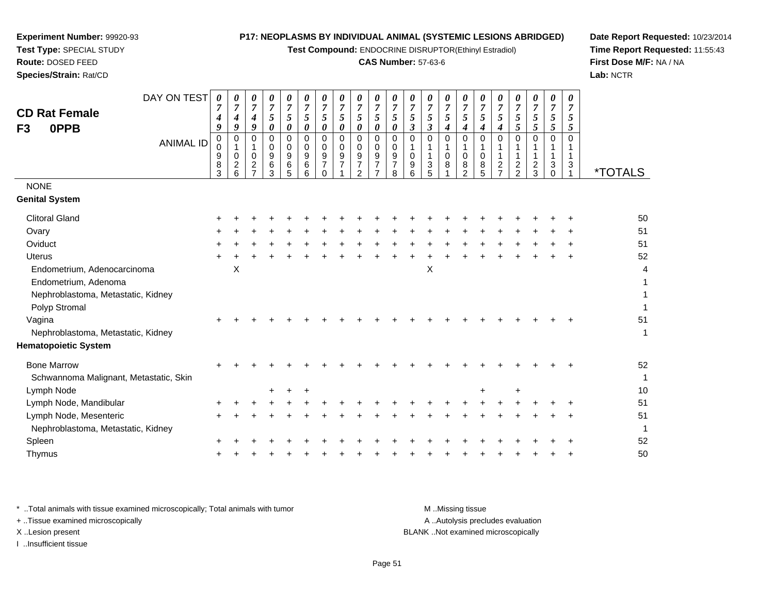**Test Compound:** ENDOCRINE DISRUPTOR(Ethinyl Estradiol)

## **CAS Number:** 57-63-6

**Date Report Requested:** 10/23/2014**Time Report Requested:** 11:55:43**First Dose M/F:** NA / NA**Lab:** NCTR

| <b>CD Rat Female</b><br>0PPB<br>F <sub>3</sub><br><b>NONE</b> | DAY ON TEST<br><b>ANIMAL ID</b>        | 0<br>$\overline{7}$<br>$\boldsymbol{4}$<br>9<br>0<br>0<br>9<br>8<br>3 | 0<br>$\boldsymbol{7}$<br>$\boldsymbol{4}$<br>9<br>$\mathbf 0$<br>$\mathbf{1}$<br>0<br>$\frac{2}{6}$ | 0<br>$\boldsymbol{7}$<br>$\boldsymbol{4}$<br>9<br>$\pmb{0}$<br>1<br>$\mathbf 0$<br>$\boldsymbol{2}$<br>$\overline{7}$ | 0<br>$\overline{7}$<br>$\sqrt{5}$<br>$\pmb{\theta}$<br>$\pmb{0}$<br>0<br>9<br>$\,6$<br>3 | 0<br>$\overline{7}$<br>5<br>$\pmb{\theta}$<br>$\mathbf 0$<br>0<br>9<br>6<br>5 | 0<br>$\boldsymbol{7}$<br>$\mathfrak{s}$<br>$\pmb{\theta}$<br>$\mathbf 0$<br>0<br>$\boldsymbol{9}$<br>6<br>6 | 0<br>$\overline{7}$<br>5<br>$\pmb{\theta}$<br>0<br>0<br>9<br>7<br>$\Omega$ | 0<br>$\overline{7}$<br>$\sqrt{5}$<br>$\boldsymbol{\theta}$<br>$\mathbf 0$<br>0<br>9<br>7 | $\boldsymbol{\theta}$<br>$\overline{7}$<br>$\mathfrak{s}$<br>$\boldsymbol{\theta}$<br>$\mathbf 0$<br>$\mathbf 0$<br>9<br>$\overline{7}$<br>$\mathfrak{p}$ | $\boldsymbol{\theta}$<br>$\overline{7}$<br>5<br>$\boldsymbol{\theta}$<br>$\mathbf 0$<br>0<br>9<br>7<br>$\overline{7}$ | 0<br>$\overline{7}$<br>5<br>$\boldsymbol{\theta}$<br>$\mathbf 0$<br>0<br>9<br>$\overline{7}$<br>8 | U<br>$\overline{7}$<br>5<br>$\mathfrak{z}$<br>$\Omega$<br>1<br>$\mathbf 0$<br>9<br>6 | 0<br>$\boldsymbol{7}$<br>$\sqrt{5}$<br>$\mathfrak{z}$<br>$\Omega$<br>$\mathbf{1}$<br>$\mathbf{1}$<br>$\frac{3}{5}$ | 0<br>$\overline{7}$<br>5<br>$\boldsymbol{4}$<br>$\Omega$<br>1<br>0<br>8 | $\boldsymbol{\theta}$<br>$\boldsymbol{7}$<br>$\sqrt{5}$<br>$\boldsymbol{4}$<br>$\mathbf 0$<br>$\mathbf 1$<br>$\mathbf 0$<br>$\frac{8}{2}$ | $\boldsymbol{\theta}$<br>$\boldsymbol{7}$<br>$\mathfrak{s}$<br>$\boldsymbol{4}$<br>$\Omega$<br>$\mathbf 0$<br>$\begin{array}{c} 8 \\ 5 \end{array}$ | $\boldsymbol{\theta}$<br>$\boldsymbol{7}$<br>$\sqrt{5}$<br>$\boldsymbol{4}$<br>0<br>1<br>$\frac{2}{7}$ | 0<br>$\overline{7}$<br>$\sqrt{5}$<br>$\mathfrak{s}$<br>$\mathbf 0$<br>1<br>1<br>$\frac{2}{2}$ | 0<br>$\overline{7}$<br>$\sqrt{5}$<br>$\mathfrak{z}$<br>$\Omega$<br>$\frac{2}{3}$ | 0<br>$\overline{7}$<br>$\overline{5}$<br>$\overline{5}$<br>$\mathbf 0$<br>$\mathbf{1}$<br>$\mathbf{1}$<br>3<br>$\Omega$ | 0<br>$\overline{7}$<br>5<br>5<br>$\Omega$<br>3 | <i><b>*TOTALS</b></i> |
|---------------------------------------------------------------|----------------------------------------|-----------------------------------------------------------------------|-----------------------------------------------------------------------------------------------------|-----------------------------------------------------------------------------------------------------------------------|------------------------------------------------------------------------------------------|-------------------------------------------------------------------------------|-------------------------------------------------------------------------------------------------------------|----------------------------------------------------------------------------|------------------------------------------------------------------------------------------|-----------------------------------------------------------------------------------------------------------------------------------------------------------|-----------------------------------------------------------------------------------------------------------------------|---------------------------------------------------------------------------------------------------|--------------------------------------------------------------------------------------|--------------------------------------------------------------------------------------------------------------------|-------------------------------------------------------------------------|-------------------------------------------------------------------------------------------------------------------------------------------|-----------------------------------------------------------------------------------------------------------------------------------------------------|--------------------------------------------------------------------------------------------------------|-----------------------------------------------------------------------------------------------|----------------------------------------------------------------------------------|-------------------------------------------------------------------------------------------------------------------------|------------------------------------------------|-----------------------|
| <b>Genital System</b>                                         |                                        |                                                                       |                                                                                                     |                                                                                                                       |                                                                                          |                                                                               |                                                                                                             |                                                                            |                                                                                          |                                                                                                                                                           |                                                                                                                       |                                                                                                   |                                                                                      |                                                                                                                    |                                                                         |                                                                                                                                           |                                                                                                                                                     |                                                                                                        |                                                                                               |                                                                                  |                                                                                                                         |                                                |                       |
| <b>Clitoral Gland</b>                                         |                                        |                                                                       |                                                                                                     |                                                                                                                       |                                                                                          |                                                                               |                                                                                                             |                                                                            |                                                                                          |                                                                                                                                                           |                                                                                                                       |                                                                                                   |                                                                                      |                                                                                                                    |                                                                         |                                                                                                                                           |                                                                                                                                                     |                                                                                                        |                                                                                               |                                                                                  |                                                                                                                         |                                                | 50                    |
| Ovary                                                         |                                        |                                                                       |                                                                                                     |                                                                                                                       |                                                                                          |                                                                               |                                                                                                             |                                                                            |                                                                                          |                                                                                                                                                           |                                                                                                                       |                                                                                                   |                                                                                      |                                                                                                                    |                                                                         |                                                                                                                                           |                                                                                                                                                     |                                                                                                        |                                                                                               |                                                                                  |                                                                                                                         |                                                | 51                    |
| Oviduct                                                       |                                        |                                                                       |                                                                                                     |                                                                                                                       |                                                                                          |                                                                               |                                                                                                             |                                                                            |                                                                                          |                                                                                                                                                           |                                                                                                                       |                                                                                                   |                                                                                      |                                                                                                                    |                                                                         |                                                                                                                                           |                                                                                                                                                     |                                                                                                        |                                                                                               |                                                                                  |                                                                                                                         |                                                | 51                    |
| <b>Uterus</b>                                                 |                                        |                                                                       |                                                                                                     |                                                                                                                       |                                                                                          |                                                                               |                                                                                                             |                                                                            |                                                                                          |                                                                                                                                                           |                                                                                                                       |                                                                                                   |                                                                                      |                                                                                                                    |                                                                         |                                                                                                                                           |                                                                                                                                                     |                                                                                                        |                                                                                               |                                                                                  |                                                                                                                         |                                                | 52                    |
| Endometrium, Adenocarcinoma                                   |                                        |                                                                       | X                                                                                                   |                                                                                                                       |                                                                                          |                                                                               |                                                                                                             |                                                                            |                                                                                          |                                                                                                                                                           |                                                                                                                       |                                                                                                   |                                                                                      | X                                                                                                                  |                                                                         |                                                                                                                                           |                                                                                                                                                     |                                                                                                        |                                                                                               |                                                                                  |                                                                                                                         |                                                | $\overline{4}$        |
| Endometrium, Adenoma                                          |                                        |                                                                       |                                                                                                     |                                                                                                                       |                                                                                          |                                                                               |                                                                                                             |                                                                            |                                                                                          |                                                                                                                                                           |                                                                                                                       |                                                                                                   |                                                                                      |                                                                                                                    |                                                                         |                                                                                                                                           |                                                                                                                                                     |                                                                                                        |                                                                                               |                                                                                  |                                                                                                                         |                                                | 1                     |
|                                                               | Nephroblastoma, Metastatic, Kidney     |                                                                       |                                                                                                     |                                                                                                                       |                                                                                          |                                                                               |                                                                                                             |                                                                            |                                                                                          |                                                                                                                                                           |                                                                                                                       |                                                                                                   |                                                                                      |                                                                                                                    |                                                                         |                                                                                                                                           |                                                                                                                                                     |                                                                                                        |                                                                                               |                                                                                  |                                                                                                                         |                                                | $\mathbf{1}$          |
| Polyp Stromal                                                 |                                        |                                                                       |                                                                                                     |                                                                                                                       |                                                                                          |                                                                               |                                                                                                             |                                                                            |                                                                                          |                                                                                                                                                           |                                                                                                                       |                                                                                                   |                                                                                      |                                                                                                                    |                                                                         |                                                                                                                                           |                                                                                                                                                     |                                                                                                        |                                                                                               |                                                                                  |                                                                                                                         |                                                | $\mathbf{1}$          |
| Vagina                                                        |                                        |                                                                       |                                                                                                     |                                                                                                                       |                                                                                          |                                                                               |                                                                                                             |                                                                            |                                                                                          |                                                                                                                                                           |                                                                                                                       |                                                                                                   |                                                                                      |                                                                                                                    |                                                                         |                                                                                                                                           |                                                                                                                                                     |                                                                                                        |                                                                                               |                                                                                  |                                                                                                                         |                                                | 51                    |
|                                                               | Nephroblastoma, Metastatic, Kidney     |                                                                       |                                                                                                     |                                                                                                                       |                                                                                          |                                                                               |                                                                                                             |                                                                            |                                                                                          |                                                                                                                                                           |                                                                                                                       |                                                                                                   |                                                                                      |                                                                                                                    |                                                                         |                                                                                                                                           |                                                                                                                                                     |                                                                                                        |                                                                                               |                                                                                  |                                                                                                                         |                                                | $\mathbf{1}$          |
| <b>Hematopoietic System</b>                                   |                                        |                                                                       |                                                                                                     |                                                                                                                       |                                                                                          |                                                                               |                                                                                                             |                                                                            |                                                                                          |                                                                                                                                                           |                                                                                                                       |                                                                                                   |                                                                                      |                                                                                                                    |                                                                         |                                                                                                                                           |                                                                                                                                                     |                                                                                                        |                                                                                               |                                                                                  |                                                                                                                         |                                                |                       |
| <b>Bone Marrow</b>                                            |                                        |                                                                       |                                                                                                     |                                                                                                                       |                                                                                          |                                                                               |                                                                                                             |                                                                            |                                                                                          |                                                                                                                                                           |                                                                                                                       |                                                                                                   |                                                                                      |                                                                                                                    |                                                                         |                                                                                                                                           |                                                                                                                                                     |                                                                                                        |                                                                                               |                                                                                  |                                                                                                                         |                                                | 52                    |
|                                                               | Schwannoma Malignant, Metastatic, Skin |                                                                       |                                                                                                     |                                                                                                                       |                                                                                          |                                                                               |                                                                                                             |                                                                            |                                                                                          |                                                                                                                                                           |                                                                                                                       |                                                                                                   |                                                                                      |                                                                                                                    |                                                                         |                                                                                                                                           |                                                                                                                                                     |                                                                                                        |                                                                                               |                                                                                  |                                                                                                                         |                                                | $\mathbf 1$           |
| Lymph Node                                                    |                                        |                                                                       |                                                                                                     |                                                                                                                       |                                                                                          |                                                                               |                                                                                                             |                                                                            |                                                                                          |                                                                                                                                                           |                                                                                                                       |                                                                                                   |                                                                                      |                                                                                                                    |                                                                         |                                                                                                                                           | +                                                                                                                                                   |                                                                                                        | $\ddot{}$                                                                                     |                                                                                  |                                                                                                                         |                                                | 10                    |
| Lymph Node, Mandibular                                        |                                        |                                                                       |                                                                                                     |                                                                                                                       |                                                                                          |                                                                               |                                                                                                             |                                                                            |                                                                                          |                                                                                                                                                           |                                                                                                                       |                                                                                                   |                                                                                      |                                                                                                                    |                                                                         |                                                                                                                                           |                                                                                                                                                     |                                                                                                        |                                                                                               |                                                                                  |                                                                                                                         |                                                | 51                    |
| Lymph Node, Mesenteric                                        |                                        |                                                                       |                                                                                                     |                                                                                                                       |                                                                                          |                                                                               |                                                                                                             |                                                                            |                                                                                          |                                                                                                                                                           |                                                                                                                       |                                                                                                   |                                                                                      |                                                                                                                    |                                                                         |                                                                                                                                           |                                                                                                                                                     |                                                                                                        |                                                                                               |                                                                                  |                                                                                                                         |                                                | 51                    |
|                                                               | Nephroblastoma, Metastatic, Kidney     |                                                                       |                                                                                                     |                                                                                                                       |                                                                                          |                                                                               |                                                                                                             |                                                                            |                                                                                          |                                                                                                                                                           |                                                                                                                       |                                                                                                   |                                                                                      |                                                                                                                    |                                                                         |                                                                                                                                           |                                                                                                                                                     |                                                                                                        |                                                                                               |                                                                                  |                                                                                                                         |                                                | 1                     |
| Spleen                                                        |                                        |                                                                       |                                                                                                     |                                                                                                                       |                                                                                          |                                                                               |                                                                                                             |                                                                            |                                                                                          |                                                                                                                                                           |                                                                                                                       |                                                                                                   |                                                                                      |                                                                                                                    |                                                                         |                                                                                                                                           |                                                                                                                                                     |                                                                                                        |                                                                                               |                                                                                  |                                                                                                                         |                                                | 52                    |
| Thymus                                                        |                                        |                                                                       |                                                                                                     |                                                                                                                       |                                                                                          |                                                                               |                                                                                                             |                                                                            |                                                                                          |                                                                                                                                                           |                                                                                                                       |                                                                                                   |                                                                                      |                                                                                                                    |                                                                         |                                                                                                                                           |                                                                                                                                                     |                                                                                                        |                                                                                               |                                                                                  |                                                                                                                         |                                                | 50                    |

**Experiment Number:** 99920-93**Test Type:** SPECIAL STUDY**Route:** DOSED FEED**Species/Strain:** Rat/CD

\* ..Total animals with tissue examined microscopically; Total animals with tumor **M** . Missing tissue M ..Missing tissue A .. Autolysis precludes evaluation + ..Tissue examined microscopically X ..Lesion present BLANK ..Not examined microscopicallyI ..Insufficient tissue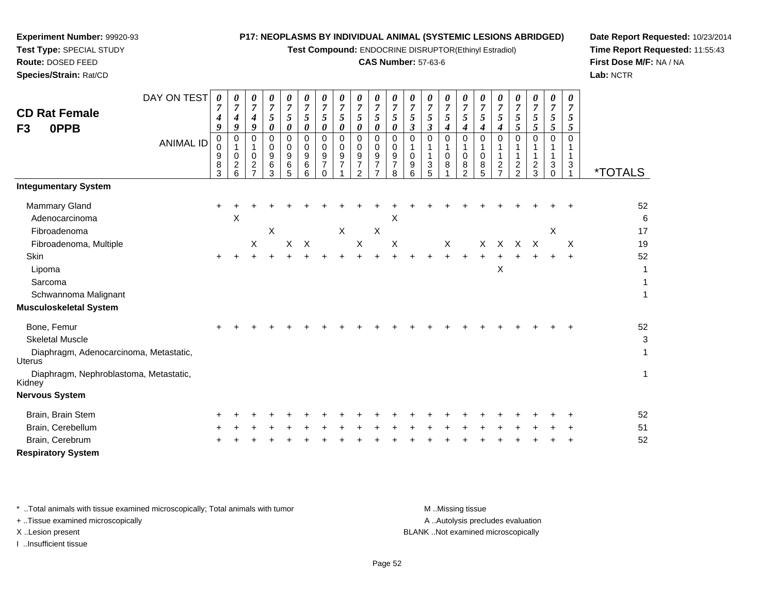**Test Compound:** ENDOCRINE DISRUPTOR(Ethinyl Estradiol)

## **CAS Number:** 57-63-6

DAY ON TEST*000000000000000000000*

**Date Report Requested:** 10/23/2014**Time Report Requested:** 11:55:43**First Dose M/F:** NA / NA**Lab:** NCTR

| <b>CD Rat Female</b><br>0PPB<br>F <sub>3</sub>          | 7<br>4<br>9                                                 | $\boldsymbol{4}$<br>9                                   | 7<br>4<br>$\boldsymbol{g}$         | 7<br>5<br>$\pmb{\theta}$                                 | 7<br>$\sqrt{5}$<br>$\boldsymbol{\theta}$ | 5<br>0                                    | 5<br>0                                              | 5<br>0                                            | $\sqrt{5}$<br>0                              | $\sqrt{5}$<br>0                                                   | 5<br>0                             | $\mathfrak{H}$<br>$\boldsymbol{\beta}$ | 5<br>3                               | 5<br>$\boldsymbol{4}$                 | $\mathfrak{s}$<br>$\boldsymbol{4}$                     | 5<br>4                | 7<br>5<br>$\boldsymbol{4}$                                 | 7<br>$\sqrt{5}$<br>$\sqrt{5}$      | 7<br>5<br>5                        | $\mathfrak{s}$<br>$\mathfrak{s}$  | 7<br>5<br>5  |                       |
|---------------------------------------------------------|-------------------------------------------------------------|---------------------------------------------------------|------------------------------------|----------------------------------------------------------|------------------------------------------|-------------------------------------------|-----------------------------------------------------|---------------------------------------------------|----------------------------------------------|-------------------------------------------------------------------|------------------------------------|----------------------------------------|--------------------------------------|---------------------------------------|--------------------------------------------------------|-----------------------|------------------------------------------------------------|------------------------------------|------------------------------------|-----------------------------------|--------------|-----------------------|
| <b>ANIMAL ID</b>                                        | $\mathbf 0$<br>$\mathbf 0$<br>9<br>$\bf8$<br>$\overline{3}$ | 0<br>$\mathbf{1}$<br>$\mathbf 0$<br>$\overline{c}$<br>6 | 0<br>$\mathbf 0$<br>$\overline{c}$ | $\mathbf 0$<br>$\mathbf 0$<br>$\boldsymbol{9}$<br>6<br>3 | $\mathbf 0$<br>0<br>9<br>6<br>5          | $\mathbf 0$<br>$\mathbf 0$<br>9<br>6<br>6 | $\mathbf 0$<br>0<br>9<br>$\overline{7}$<br>$\Omega$ | $\mathbf 0$<br>$\mathbf 0$<br>9<br>$\overline{7}$ | $\mathbf 0$<br>0<br>9<br>7<br>$\mathfrak{p}$ | $\mathbf 0$<br>$\pmb{0}$<br>9<br>$\overline{7}$<br>$\overline{ }$ | 0<br>0<br>9<br>$\overline{7}$<br>8 | 0<br>1<br>0<br>9<br>6                  | $\Omega$<br>1<br>3<br>$\overline{5}$ | $\mathbf 0$<br>$\mathbf{1}$<br>0<br>8 | $\mathbf 0$<br>$\mathbf{1}$<br>0<br>8<br>$\mathcal{P}$ | 0<br>1<br>0<br>8<br>5 | 0<br>1<br>$\mathbf{1}$<br>$\overline{c}$<br>$\overline{7}$ | $\mathbf 0$<br>2<br>$\mathfrak{D}$ | 0<br>1<br>1<br>$\overline{c}$<br>3 | $\mathbf 0$<br>1<br>3<br>$\Omega$ | 0<br>-1<br>3 | <i><b>*TOTALS</b></i> |
| <b>Integumentary System</b>                             |                                                             |                                                         |                                    |                                                          |                                          |                                           |                                                     |                                                   |                                              |                                                                   |                                    |                                        |                                      |                                       |                                                        |                       |                                                            |                                    |                                    |                                   |              |                       |
| Mammary Gland                                           |                                                             |                                                         |                                    |                                                          |                                          |                                           |                                                     |                                                   |                                              |                                                                   |                                    |                                        |                                      |                                       |                                                        |                       |                                                            |                                    |                                    |                                   |              | 52                    |
| Adenocarcinoma                                          |                                                             | $\mathsf X$                                             |                                    |                                                          |                                          |                                           |                                                     |                                                   |                                              |                                                                   | X                                  |                                        |                                      |                                       |                                                        |                       |                                                            |                                    |                                    |                                   |              | 6                     |
| Fibroadenoma                                            |                                                             |                                                         |                                    | X                                                        |                                          |                                           |                                                     | X                                                 |                                              | $\times$                                                          |                                    |                                        |                                      |                                       |                                                        |                       |                                                            |                                    |                                    | $\times$                          |              | 17                    |
| Fibroadenoma, Multiple                                  |                                                             |                                                         | X                                  |                                                          |                                          | $X$ $X$                                   |                                                     |                                                   | X                                            |                                                                   | X                                  |                                        |                                      | X                                     |                                                        | X                     | X                                                          |                                    | $X$ $X$                            |                                   | X            | 19                    |
| Skin                                                    |                                                             |                                                         |                                    |                                                          |                                          |                                           |                                                     |                                                   |                                              | $\ddot{}$                                                         |                                    |                                        |                                      | $+$                                   | $\ddot{}$                                              | $\ddot{}$             | $\ddot{}$                                                  |                                    |                                    |                                   |              | 52                    |
| Lipoma                                                  |                                                             |                                                         |                                    |                                                          |                                          |                                           |                                                     |                                                   |                                              |                                                                   |                                    |                                        |                                      |                                       |                                                        |                       | Χ                                                          |                                    |                                    |                                   |              | 1                     |
| Sarcoma                                                 |                                                             |                                                         |                                    |                                                          |                                          |                                           |                                                     |                                                   |                                              |                                                                   |                                    |                                        |                                      |                                       |                                                        |                       |                                                            |                                    |                                    |                                   |              | $\mathbf{1}$          |
| Schwannoma Malignant                                    |                                                             |                                                         |                                    |                                                          |                                          |                                           |                                                     |                                                   |                                              |                                                                   |                                    |                                        |                                      |                                       |                                                        |                       |                                                            |                                    |                                    |                                   |              | $\mathbf{1}$          |
| <b>Musculoskeletal System</b>                           |                                                             |                                                         |                                    |                                                          |                                          |                                           |                                                     |                                                   |                                              |                                                                   |                                    |                                        |                                      |                                       |                                                        |                       |                                                            |                                    |                                    |                                   |              |                       |
| Bone, Femur                                             |                                                             |                                                         |                                    |                                                          |                                          |                                           |                                                     |                                                   |                                              |                                                                   |                                    |                                        |                                      |                                       |                                                        |                       |                                                            |                                    |                                    |                                   |              | 52                    |
| <b>Skeletal Muscle</b>                                  |                                                             |                                                         |                                    |                                                          |                                          |                                           |                                                     |                                                   |                                              |                                                                   |                                    |                                        |                                      |                                       |                                                        |                       |                                                            |                                    |                                    |                                   |              | $\mathbf{3}$          |
| Diaphragm, Adenocarcinoma, Metastatic,<br><b>Uterus</b> |                                                             |                                                         |                                    |                                                          |                                          |                                           |                                                     |                                                   |                                              |                                                                   |                                    |                                        |                                      |                                       |                                                        |                       |                                                            |                                    |                                    |                                   |              | $\mathbf{1}$          |
| Diaphragm, Nephroblastoma, Metastatic,<br>Kidney        |                                                             |                                                         |                                    |                                                          |                                          |                                           |                                                     |                                                   |                                              |                                                                   |                                    |                                        |                                      |                                       |                                                        |                       |                                                            |                                    |                                    |                                   |              | $\mathbf{1}$          |
| <b>Nervous System</b>                                   |                                                             |                                                         |                                    |                                                          |                                          |                                           |                                                     |                                                   |                                              |                                                                   |                                    |                                        |                                      |                                       |                                                        |                       |                                                            |                                    |                                    |                                   |              |                       |
| Brain, Brain Stem                                       |                                                             |                                                         |                                    |                                                          |                                          |                                           |                                                     |                                                   |                                              |                                                                   |                                    |                                        |                                      |                                       |                                                        |                       |                                                            |                                    |                                    |                                   |              | 52                    |
| Brain, Cerebellum                                       |                                                             |                                                         |                                    |                                                          |                                          |                                           |                                                     |                                                   |                                              |                                                                   |                                    |                                        |                                      |                                       |                                                        |                       |                                                            |                                    |                                    |                                   |              | 51                    |
| Brain, Cerebrum                                         |                                                             |                                                         |                                    |                                                          |                                          |                                           |                                                     |                                                   |                                              |                                                                   |                                    |                                        |                                      |                                       |                                                        |                       |                                                            |                                    |                                    |                                   |              | 52                    |
| <b>Respiratory System</b>                               |                                                             |                                                         |                                    |                                                          |                                          |                                           |                                                     |                                                   |                                              |                                                                   |                                    |                                        |                                      |                                       |                                                        |                       |                                                            |                                    |                                    |                                   |              |                       |
|                                                         |                                                             |                                                         |                                    |                                                          |                                          |                                           |                                                     |                                                   |                                              |                                                                   |                                    |                                        |                                      |                                       |                                                        |                       |                                                            |                                    |                                    |                                   |              |                       |

\* ..Total animals with tissue examined microscopically; Total animals with tumor **M** ...Missing tissue M ...Missing tissue

+ ..Tissue examined microscopically

**Experiment Number:** 99920-93**Test Type:** SPECIAL STUDY**Route:** DOSED FEED**Species/Strain:** Rat/CD

I ..Insufficient tissue

A .. Autolysis precludes evaluation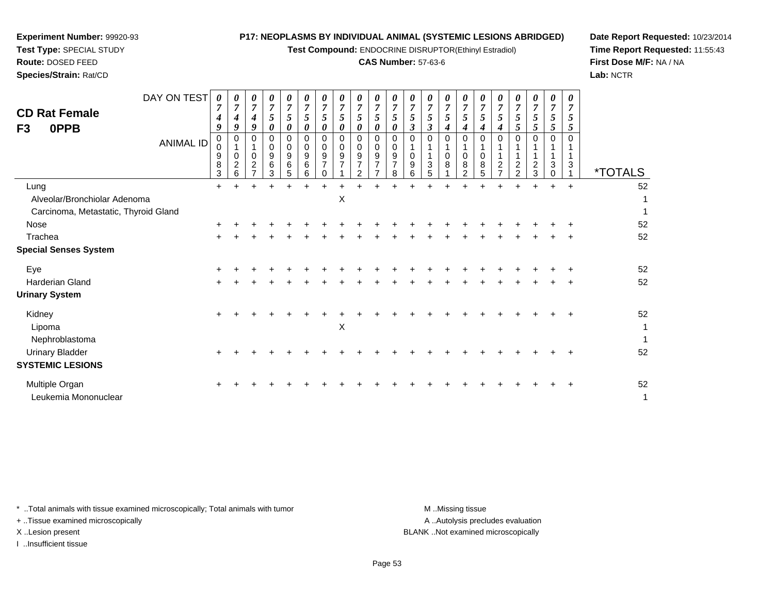**Test Compound:** ENDOCRINE DISRUPTOR(Ethinyl Estradiol)

## **CAS Number:** 57-63-6

**Date Report Requested:** 10/23/2014**Time Report Requested:** 11:55:43**First Dose M/F:** NA / NA**Lab:** NCTR

| <b>CD Rat Female</b><br>0PPB<br>F3   | DAY ON TEST<br>ANIMAL ID | 0<br>4<br>9<br>0<br>$\mathbf 0$<br>9<br>8<br>3 | 4<br>$\boldsymbol{q}$<br>0<br>$\mathbf 0$<br>$\overline{c}$<br>6 | 0<br>4<br>9<br>0<br>$\mathbf 0$<br>$\overline{c}$ | $\boldsymbol{\theta}$<br>$\overline{7}$<br>5<br>$\boldsymbol{\theta}$<br>0<br>$\mathbf 0$<br>9<br>6<br>3 | 0<br>$\boldsymbol{7}$<br>5<br>0<br>$\Omega$<br>0<br>$\boldsymbol{9}$<br>6<br>5 | 0<br>$\overline{7}$<br>5<br>0<br>$\mathbf 0$<br>0<br>$\boldsymbol{9}$<br>6<br>6 | 0<br>$\overline{7}$<br>5<br>0<br>$\Omega$<br>0<br>9<br>$\overline{7}$<br>0 | 0<br>7<br>5<br>0<br>$\Omega$<br>0<br>9<br>$\overline{7}$ | $\overline{7}$<br>5<br>0<br>0<br>0<br>9<br>$\overline{7}$<br>2 | 0<br>$\overline{7}$<br>5<br>0<br>$\mathbf 0$<br>0<br>9<br>$\overline{7}$ | $\boldsymbol{\theta}$<br>$\overline{7}$<br>5<br>0<br>0<br>0<br>9<br>$\overline{7}$<br>8 | $\boldsymbol{\theta}$<br>5<br>3<br>0<br>$\mathbf 0$<br>9<br>6 | $\theta$<br>5<br>3<br>0<br>3<br>5 | U<br>7<br>5<br>4<br>0<br>8 | $\theta$<br>5<br>4<br>0<br>$\mathbf 0$<br>8<br>$\mathcal{P}$ | 0<br>$\overline{7}$<br>5<br>4<br>$\Omega$<br>0<br>8<br>5 | 0<br>$\overline{7}$<br>5<br>4<br>$\overline{2}$ | 0<br>$\overline{7}$<br>5<br>5<br>0<br>$\overline{c}$<br>$\overline{2}$ | 0<br>$\overline{7}$<br>5<br>5<br>$\Omega$<br>$\overline{2}$<br>3 | U<br>$\overline{7}$<br>5<br>5<br>3 | 5<br>5<br>3 | <i><b>*TOTALS</b></i> |
|--------------------------------------|--------------------------|------------------------------------------------|------------------------------------------------------------------|---------------------------------------------------|----------------------------------------------------------------------------------------------------------|--------------------------------------------------------------------------------|---------------------------------------------------------------------------------|----------------------------------------------------------------------------|----------------------------------------------------------|----------------------------------------------------------------|--------------------------------------------------------------------------|-----------------------------------------------------------------------------------------|---------------------------------------------------------------|-----------------------------------|----------------------------|--------------------------------------------------------------|----------------------------------------------------------|-------------------------------------------------|------------------------------------------------------------------------|------------------------------------------------------------------|------------------------------------|-------------|-----------------------|
| Lung                                 |                          | $\ddot{}$                                      |                                                                  |                                                   |                                                                                                          |                                                                                | $\ddot{}$                                                                       |                                                                            |                                                          |                                                                |                                                                          |                                                                                         |                                                               |                                   |                            |                                                              |                                                          |                                                 | ÷                                                                      |                                                                  |                                    | $\ddot{}$   | 52                    |
| Alveolar/Bronchiolar Adenoma         |                          |                                                |                                                                  |                                                   |                                                                                                          |                                                                                |                                                                                 |                                                                            | $\boldsymbol{\mathsf{X}}$                                |                                                                |                                                                          |                                                                                         |                                                               |                                   |                            |                                                              |                                                          |                                                 |                                                                        |                                                                  |                                    |             | 1                     |
| Carcinoma, Metastatic, Thyroid Gland |                          |                                                |                                                                  |                                                   |                                                                                                          |                                                                                |                                                                                 |                                                                            |                                                          |                                                                |                                                                          |                                                                                         |                                                               |                                   |                            |                                                              |                                                          |                                                 |                                                                        |                                                                  |                                    |             |                       |
| Nose                                 |                          |                                                |                                                                  |                                                   |                                                                                                          |                                                                                |                                                                                 |                                                                            |                                                          |                                                                |                                                                          |                                                                                         |                                                               |                                   |                            |                                                              |                                                          |                                                 |                                                                        |                                                                  |                                    |             | 52                    |
| Trachea                              |                          |                                                |                                                                  |                                                   |                                                                                                          |                                                                                |                                                                                 |                                                                            |                                                          |                                                                |                                                                          |                                                                                         |                                                               |                                   |                            |                                                              |                                                          |                                                 |                                                                        |                                                                  |                                    |             | 52                    |
| <b>Special Senses System</b>         |                          |                                                |                                                                  |                                                   |                                                                                                          |                                                                                |                                                                                 |                                                                            |                                                          |                                                                |                                                                          |                                                                                         |                                                               |                                   |                            |                                                              |                                                          |                                                 |                                                                        |                                                                  |                                    |             |                       |
| Eye                                  |                          |                                                |                                                                  |                                                   |                                                                                                          |                                                                                |                                                                                 |                                                                            |                                                          |                                                                |                                                                          |                                                                                         |                                                               |                                   |                            |                                                              |                                                          |                                                 |                                                                        |                                                                  |                                    |             | 52                    |
| Harderian Gland                      |                          |                                                |                                                                  |                                                   |                                                                                                          |                                                                                |                                                                                 |                                                                            |                                                          |                                                                |                                                                          |                                                                                         |                                                               |                                   |                            |                                                              |                                                          |                                                 |                                                                        |                                                                  |                                    |             | 52                    |
| <b>Urinary System</b>                |                          |                                                |                                                                  |                                                   |                                                                                                          |                                                                                |                                                                                 |                                                                            |                                                          |                                                                |                                                                          |                                                                                         |                                                               |                                   |                            |                                                              |                                                          |                                                 |                                                                        |                                                                  |                                    |             |                       |
| Kidney                               |                          |                                                |                                                                  |                                                   |                                                                                                          |                                                                                |                                                                                 |                                                                            |                                                          |                                                                |                                                                          |                                                                                         |                                                               |                                   |                            |                                                              |                                                          |                                                 |                                                                        |                                                                  |                                    |             | 52                    |
| Lipoma                               |                          |                                                |                                                                  |                                                   |                                                                                                          |                                                                                |                                                                                 |                                                                            | $\boldsymbol{\mathsf{X}}$                                |                                                                |                                                                          |                                                                                         |                                                               |                                   |                            |                                                              |                                                          |                                                 |                                                                        |                                                                  |                                    |             | $\mathbf{1}$          |
| Nephroblastoma                       |                          |                                                |                                                                  |                                                   |                                                                                                          |                                                                                |                                                                                 |                                                                            |                                                          |                                                                |                                                                          |                                                                                         |                                                               |                                   |                            |                                                              |                                                          |                                                 |                                                                        |                                                                  |                                    |             | $\mathbf{1}$          |
| <b>Urinary Bladder</b>               |                          |                                                |                                                                  |                                                   |                                                                                                          |                                                                                |                                                                                 |                                                                            |                                                          |                                                                |                                                                          |                                                                                         |                                                               |                                   |                            |                                                              |                                                          |                                                 |                                                                        |                                                                  |                                    |             | 52                    |
| <b>SYSTEMIC LESIONS</b>              |                          |                                                |                                                                  |                                                   |                                                                                                          |                                                                                |                                                                                 |                                                                            |                                                          |                                                                |                                                                          |                                                                                         |                                                               |                                   |                            |                                                              |                                                          |                                                 |                                                                        |                                                                  |                                    |             |                       |
| Multiple Organ                       |                          |                                                |                                                                  |                                                   |                                                                                                          |                                                                                |                                                                                 |                                                                            |                                                          |                                                                |                                                                          |                                                                                         |                                                               |                                   |                            |                                                              |                                                          |                                                 |                                                                        |                                                                  |                                    |             | 52                    |
| Leukemia Mononuclear                 |                          |                                                |                                                                  |                                                   |                                                                                                          |                                                                                |                                                                                 |                                                                            |                                                          |                                                                |                                                                          |                                                                                         |                                                               |                                   |                            |                                                              |                                                          |                                                 |                                                                        |                                                                  |                                    |             | $\mathbf{1}$          |

\* ..Total animals with tissue examined microscopically; Total animals with tumor **M** ...Missing tissue M ...Missing tissue

+ ..Tissue examined microscopically

**Experiment Number:** 99920-93**Test Type:** SPECIAL STUDY**Route:** DOSED FEED**Species/Strain:** Rat/CD

I ..Insufficient tissue

A ..Autolysis precludes evaluation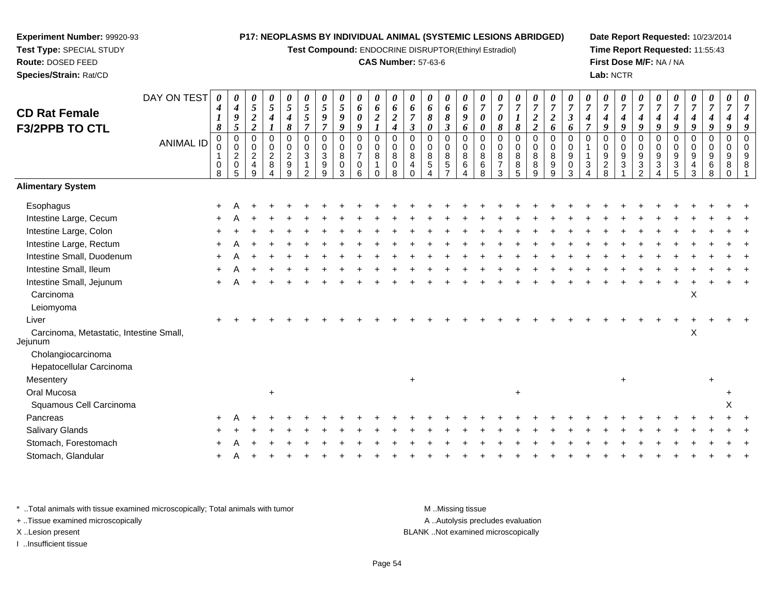**Test Compound:** ENDOCRINE DISRUPTOR(Ethinyl Estradiol)

#### **CAS Number:** 57-63-6

**Date Report Requested:** 10/23/2014**Time Report Requested:** 11:55:43**First Dose M/F:** NA / NA**Lab:** NCTR

| <b>CD Rat Female</b><br><b>F3/2PPB TO CTL</b>      | DAY ON TEST<br><b>ANIMAL ID</b> | 0<br>4<br>$\boldsymbol{l}$<br>8<br>$\pmb{0}$<br>0<br>0<br>8 | 0<br>$\boldsymbol{4}$<br>9<br>$\mathfrak{s}$<br>$\mathbf 0$<br>$\pmb{0}$<br>$\sqrt{2}$<br>$\pmb{0}$<br>5 | 0<br>5<br>$\boldsymbol{2}$<br>$\overline{2}$<br>$\mathbf 0$<br>0<br>$\overline{c}$<br>$\overline{\mathbf{4}}$<br>9 | 0<br>$\sqrt{5}$<br>$\boldsymbol{4}$<br>$\boldsymbol{\eta}$<br>0<br>0<br>$\frac{2}{8}$<br>$\boldsymbol{\Lambda}$ | 0<br>$\mathfrak{s}$<br>$\boldsymbol{4}$<br>8<br>$\mathbf 0$<br>$\pmb{0}$<br>$\frac{2}{9}$<br>9 | $\boldsymbol{\theta}$<br>$\mathfrak{s}$<br>$\mathfrak{s}$<br>$\overline{7}$<br>$\mathbf 0$<br>$\mathbf 0$<br>$\mathbf{3}$<br>$\overline{1}$<br>$\overline{2}$ | 0<br>$\sqrt{5}$<br>9<br>$\overline{7}$<br>$\mathbf 0$<br>$\mathbf 0$<br>$\sqrt{3}$<br>9<br>9 | 0<br>5<br>9<br>9<br>$\mathbf 0$<br>0<br>8<br>$\pmb{0}$<br>3 | 0<br>6<br>0<br>9<br>0<br>0<br>$\overline{7}$<br>0<br>6 | 0<br>6<br>$\boldsymbol{2}$<br>$\mathbf 0$<br>$\pmb{0}$<br>$\bf 8$<br>$\Omega$ | $\boldsymbol{\theta}$<br>6<br>$\boldsymbol{2}$<br>$\boldsymbol{4}$<br>$\mathbf 0$<br>$\mathbf 0$<br>$\, 8$<br>$\pmb{0}$<br>8 | 0<br>6<br>$\overline{7}$<br>$\mathfrak{z}$<br>$\mathbf 0$<br>$\mathbf 0$<br>8<br>4<br>$\Omega$ | $\boldsymbol{\theta}$<br>6<br>8<br>0<br>0<br>$\mathbf 0$<br>8<br>5 | 0<br>6<br>$\pmb{8}$<br>3<br>0<br>0<br>8<br>5<br>$\overline{ }$ | 0<br>6<br>9<br>6<br>$\mathbf 0$<br>$\pmb{0}$<br>$\bf 8$<br>$\,6\,$<br>4 | $\boldsymbol{\theta}$<br>$\overline{7}$<br>$\boldsymbol{\theta}$<br>$\boldsymbol{\theta}$<br>$\mathbf 0$<br>$\mathbf 0$<br>$\bf 8$<br>$\,6\,$<br>8 | 0<br>$\overline{7}$<br>$\boldsymbol{\theta}$<br>$\pmb{8}$<br>$\mathbf 0$<br>$\mathbf 0$<br>8<br>$\overline{7}$<br>3 | 0<br>$\overline{7}$<br>$\boldsymbol{l}$<br>8<br>0<br>0<br>8<br>8<br>5 | 0<br>$\boldsymbol{7}$<br>$\boldsymbol{2}$<br>$\boldsymbol{2}$<br>0<br>0<br>8<br>$\bf 8$<br>$9\,$ | 0<br>$\overline{7}$<br>$\boldsymbol{2}$<br>6<br>$\mathbf 0$<br>$\pmb{0}$<br>$\bf 8$<br>$\boldsymbol{9}$<br>$\boldsymbol{9}$ | $\boldsymbol{\theta}$<br>$\overline{7}$<br>$\boldsymbol{\beta}$<br>6<br>$\mathbf 0$<br>$\mathbf 0$<br>$\boldsymbol{9}$<br>$\pmb{0}$<br>3 | 0<br>$\overline{7}$<br>$\boldsymbol{4}$<br>$\overline{7}$<br>$\Omega$<br>$\mathbf{3}$<br>Δ | 0<br>$\overline{7}$<br>4<br>9<br>$\Omega$<br>0<br>9<br>$\overline{c}$<br>8 | 0<br>$\boldsymbol{7}$<br>$\boldsymbol{4}$<br>9<br>0<br>0<br>9<br>$\sqrt{3}$ | 0<br>$\overline{7}$<br>$\boldsymbol{4}$<br>9<br>0<br>$\pmb{0}$<br>$\boldsymbol{9}$<br>$\ensuremath{\mathsf{3}}$<br>2 | 0<br>$\overline{7}$<br>$\boldsymbol{4}$<br>9<br>$\mathbf 0$<br>$\mathbf 0$<br>$\boldsymbol{9}$<br>$\ensuremath{\mathsf{3}}$<br>$\boldsymbol{\Lambda}$ | $\overline{7}$<br>4<br>9<br>0<br>0<br>9<br>$\sqrt{3}$<br>5 | 0<br>$\overline{7}$<br>4<br>9<br>0<br>0<br>9<br>4<br>3 | 0<br>$\boldsymbol{7}$<br>$\boldsymbol{4}$<br>9<br>0<br>0<br>9<br>6<br>8 | 0<br>$\overline{7}$<br>$\boldsymbol{4}$<br>9<br>0<br>$\mathbf 0$<br>9<br>8<br>$\Omega$ | $\Omega$ |
|----------------------------------------------------|---------------------------------|-------------------------------------------------------------|----------------------------------------------------------------------------------------------------------|--------------------------------------------------------------------------------------------------------------------|-----------------------------------------------------------------------------------------------------------------|------------------------------------------------------------------------------------------------|---------------------------------------------------------------------------------------------------------------------------------------------------------------|----------------------------------------------------------------------------------------------|-------------------------------------------------------------|--------------------------------------------------------|-------------------------------------------------------------------------------|------------------------------------------------------------------------------------------------------------------------------|------------------------------------------------------------------------------------------------|--------------------------------------------------------------------|----------------------------------------------------------------|-------------------------------------------------------------------------|----------------------------------------------------------------------------------------------------------------------------------------------------|---------------------------------------------------------------------------------------------------------------------|-----------------------------------------------------------------------|--------------------------------------------------------------------------------------------------|-----------------------------------------------------------------------------------------------------------------------------|------------------------------------------------------------------------------------------------------------------------------------------|--------------------------------------------------------------------------------------------|----------------------------------------------------------------------------|-----------------------------------------------------------------------------|----------------------------------------------------------------------------------------------------------------------|-------------------------------------------------------------------------------------------------------------------------------------------------------|------------------------------------------------------------|--------------------------------------------------------|-------------------------------------------------------------------------|----------------------------------------------------------------------------------------|----------|
| <b>Alimentary System</b>                           |                                 |                                                             |                                                                                                          |                                                                                                                    |                                                                                                                 |                                                                                                |                                                                                                                                                               |                                                                                              |                                                             |                                                        |                                                                               |                                                                                                                              |                                                                                                |                                                                    |                                                                |                                                                         |                                                                                                                                                    |                                                                                                                     |                                                                       |                                                                                                  |                                                                                                                             |                                                                                                                                          |                                                                                            |                                                                            |                                                                             |                                                                                                                      |                                                                                                                                                       |                                                            |                                                        |                                                                         |                                                                                        |          |
| Esophagus                                          |                                 |                                                             |                                                                                                          |                                                                                                                    |                                                                                                                 |                                                                                                |                                                                                                                                                               |                                                                                              |                                                             |                                                        |                                                                               |                                                                                                                              |                                                                                                |                                                                    |                                                                |                                                                         |                                                                                                                                                    |                                                                                                                     |                                                                       |                                                                                                  |                                                                                                                             |                                                                                                                                          |                                                                                            |                                                                            |                                                                             |                                                                                                                      |                                                                                                                                                       |                                                            |                                                        |                                                                         |                                                                                        |          |
| Intestine Large, Cecum                             |                                 |                                                             |                                                                                                          |                                                                                                                    |                                                                                                                 |                                                                                                |                                                                                                                                                               |                                                                                              |                                                             |                                                        |                                                                               |                                                                                                                              |                                                                                                |                                                                    |                                                                |                                                                         |                                                                                                                                                    |                                                                                                                     |                                                                       |                                                                                                  |                                                                                                                             |                                                                                                                                          |                                                                                            |                                                                            |                                                                             |                                                                                                                      |                                                                                                                                                       |                                                            |                                                        |                                                                         |                                                                                        |          |
| Intestine Large, Colon                             |                                 |                                                             |                                                                                                          |                                                                                                                    |                                                                                                                 |                                                                                                |                                                                                                                                                               |                                                                                              |                                                             |                                                        |                                                                               |                                                                                                                              |                                                                                                |                                                                    |                                                                |                                                                         |                                                                                                                                                    |                                                                                                                     |                                                                       |                                                                                                  |                                                                                                                             |                                                                                                                                          |                                                                                            |                                                                            |                                                                             |                                                                                                                      |                                                                                                                                                       |                                                            |                                                        |                                                                         |                                                                                        |          |
| Intestine Large, Rectum                            |                                 |                                                             |                                                                                                          |                                                                                                                    |                                                                                                                 |                                                                                                |                                                                                                                                                               |                                                                                              |                                                             |                                                        |                                                                               |                                                                                                                              |                                                                                                |                                                                    |                                                                |                                                                         |                                                                                                                                                    |                                                                                                                     |                                                                       |                                                                                                  |                                                                                                                             |                                                                                                                                          |                                                                                            |                                                                            |                                                                             |                                                                                                                      |                                                                                                                                                       |                                                            |                                                        |                                                                         |                                                                                        |          |
| Intestine Small, Duodenum                          |                                 |                                                             |                                                                                                          |                                                                                                                    |                                                                                                                 |                                                                                                |                                                                                                                                                               |                                                                                              |                                                             |                                                        |                                                                               |                                                                                                                              |                                                                                                |                                                                    |                                                                |                                                                         |                                                                                                                                                    |                                                                                                                     |                                                                       |                                                                                                  |                                                                                                                             |                                                                                                                                          |                                                                                            |                                                                            |                                                                             |                                                                                                                      |                                                                                                                                                       |                                                            |                                                        |                                                                         |                                                                                        |          |
| Intestine Small, Ileum                             |                                 |                                                             |                                                                                                          |                                                                                                                    |                                                                                                                 |                                                                                                |                                                                                                                                                               |                                                                                              |                                                             |                                                        |                                                                               |                                                                                                                              |                                                                                                |                                                                    |                                                                |                                                                         |                                                                                                                                                    |                                                                                                                     |                                                                       |                                                                                                  |                                                                                                                             |                                                                                                                                          |                                                                                            |                                                                            |                                                                             |                                                                                                                      |                                                                                                                                                       |                                                            |                                                        |                                                                         |                                                                                        |          |
| Intestine Small, Jejunum                           |                                 | $+$                                                         |                                                                                                          |                                                                                                                    |                                                                                                                 |                                                                                                |                                                                                                                                                               |                                                                                              |                                                             |                                                        |                                                                               |                                                                                                                              |                                                                                                |                                                                    |                                                                |                                                                         |                                                                                                                                                    |                                                                                                                     |                                                                       |                                                                                                  |                                                                                                                             |                                                                                                                                          |                                                                                            |                                                                            |                                                                             |                                                                                                                      |                                                                                                                                                       |                                                            |                                                        |                                                                         |                                                                                        |          |
| Carcinoma                                          |                                 |                                                             |                                                                                                          |                                                                                                                    |                                                                                                                 |                                                                                                |                                                                                                                                                               |                                                                                              |                                                             |                                                        |                                                                               |                                                                                                                              |                                                                                                |                                                                    |                                                                |                                                                         |                                                                                                                                                    |                                                                                                                     |                                                                       |                                                                                                  |                                                                                                                             |                                                                                                                                          |                                                                                            |                                                                            |                                                                             |                                                                                                                      |                                                                                                                                                       |                                                            | X                                                      |                                                                         |                                                                                        |          |
| Leiomyoma                                          |                                 |                                                             |                                                                                                          |                                                                                                                    |                                                                                                                 |                                                                                                |                                                                                                                                                               |                                                                                              |                                                             |                                                        |                                                                               |                                                                                                                              |                                                                                                |                                                                    |                                                                |                                                                         |                                                                                                                                                    |                                                                                                                     |                                                                       |                                                                                                  |                                                                                                                             |                                                                                                                                          |                                                                                            |                                                                            |                                                                             |                                                                                                                      |                                                                                                                                                       |                                                            |                                                        |                                                                         |                                                                                        |          |
| Liver                                              |                                 |                                                             |                                                                                                          |                                                                                                                    |                                                                                                                 |                                                                                                |                                                                                                                                                               |                                                                                              |                                                             |                                                        |                                                                               |                                                                                                                              |                                                                                                |                                                                    |                                                                |                                                                         |                                                                                                                                                    |                                                                                                                     |                                                                       |                                                                                                  |                                                                                                                             |                                                                                                                                          |                                                                                            |                                                                            |                                                                             |                                                                                                                      |                                                                                                                                                       |                                                            |                                                        |                                                                         |                                                                                        |          |
| Carcinoma, Metastatic, Intestine Small,<br>Jejunum |                                 |                                                             |                                                                                                          |                                                                                                                    |                                                                                                                 |                                                                                                |                                                                                                                                                               |                                                                                              |                                                             |                                                        |                                                                               |                                                                                                                              |                                                                                                |                                                                    |                                                                |                                                                         |                                                                                                                                                    |                                                                                                                     |                                                                       |                                                                                                  |                                                                                                                             |                                                                                                                                          |                                                                                            |                                                                            |                                                                             |                                                                                                                      |                                                                                                                                                       |                                                            | X                                                      |                                                                         |                                                                                        |          |
| Cholangiocarcinoma                                 |                                 |                                                             |                                                                                                          |                                                                                                                    |                                                                                                                 |                                                                                                |                                                                                                                                                               |                                                                                              |                                                             |                                                        |                                                                               |                                                                                                                              |                                                                                                |                                                                    |                                                                |                                                                         |                                                                                                                                                    |                                                                                                                     |                                                                       |                                                                                                  |                                                                                                                             |                                                                                                                                          |                                                                                            |                                                                            |                                                                             |                                                                                                                      |                                                                                                                                                       |                                                            |                                                        |                                                                         |                                                                                        |          |
| Hepatocellular Carcinoma                           |                                 |                                                             |                                                                                                          |                                                                                                                    |                                                                                                                 |                                                                                                |                                                                                                                                                               |                                                                                              |                                                             |                                                        |                                                                               |                                                                                                                              |                                                                                                |                                                                    |                                                                |                                                                         |                                                                                                                                                    |                                                                                                                     |                                                                       |                                                                                                  |                                                                                                                             |                                                                                                                                          |                                                                                            |                                                                            |                                                                             |                                                                                                                      |                                                                                                                                                       |                                                            |                                                        |                                                                         |                                                                                        |          |
| Mesentery                                          |                                 |                                                             |                                                                                                          |                                                                                                                    |                                                                                                                 |                                                                                                |                                                                                                                                                               |                                                                                              |                                                             |                                                        |                                                                               |                                                                                                                              | $\ddot{}$                                                                                      |                                                                    |                                                                |                                                                         |                                                                                                                                                    |                                                                                                                     |                                                                       |                                                                                                  |                                                                                                                             |                                                                                                                                          |                                                                                            |                                                                            | $\pm$                                                                       |                                                                                                                      |                                                                                                                                                       |                                                            |                                                        |                                                                         |                                                                                        |          |
| Oral Mucosa                                        |                                 |                                                             |                                                                                                          |                                                                                                                    | $\ddot{}$                                                                                                       |                                                                                                |                                                                                                                                                               |                                                                                              |                                                             |                                                        |                                                                               |                                                                                                                              |                                                                                                |                                                                    |                                                                |                                                                         |                                                                                                                                                    |                                                                                                                     | $\ddot{}$                                                             |                                                                                                  |                                                                                                                             |                                                                                                                                          |                                                                                            |                                                                            |                                                                             |                                                                                                                      |                                                                                                                                                       |                                                            |                                                        |                                                                         |                                                                                        |          |
| Squamous Cell Carcinoma                            |                                 |                                                             |                                                                                                          |                                                                                                                    |                                                                                                                 |                                                                                                |                                                                                                                                                               |                                                                                              |                                                             |                                                        |                                                                               |                                                                                                                              |                                                                                                |                                                                    |                                                                |                                                                         |                                                                                                                                                    |                                                                                                                     |                                                                       |                                                                                                  |                                                                                                                             |                                                                                                                                          |                                                                                            |                                                                            |                                                                             |                                                                                                                      |                                                                                                                                                       |                                                            |                                                        |                                                                         | X                                                                                      |          |
| Pancreas                                           |                                 |                                                             |                                                                                                          |                                                                                                                    |                                                                                                                 |                                                                                                |                                                                                                                                                               |                                                                                              |                                                             |                                                        |                                                                               |                                                                                                                              |                                                                                                |                                                                    |                                                                |                                                                         |                                                                                                                                                    |                                                                                                                     |                                                                       |                                                                                                  |                                                                                                                             |                                                                                                                                          |                                                                                            |                                                                            |                                                                             |                                                                                                                      |                                                                                                                                                       |                                                            |                                                        |                                                                         |                                                                                        |          |
| <b>Salivary Glands</b>                             |                                 |                                                             |                                                                                                          |                                                                                                                    |                                                                                                                 |                                                                                                |                                                                                                                                                               |                                                                                              |                                                             |                                                        |                                                                               |                                                                                                                              |                                                                                                |                                                                    |                                                                |                                                                         |                                                                                                                                                    |                                                                                                                     |                                                                       |                                                                                                  |                                                                                                                             |                                                                                                                                          |                                                                                            |                                                                            |                                                                             |                                                                                                                      |                                                                                                                                                       |                                                            |                                                        |                                                                         |                                                                                        |          |
| Stomach, Forestomach                               |                                 |                                                             |                                                                                                          |                                                                                                                    |                                                                                                                 |                                                                                                |                                                                                                                                                               |                                                                                              |                                                             |                                                        |                                                                               |                                                                                                                              |                                                                                                |                                                                    |                                                                |                                                                         |                                                                                                                                                    |                                                                                                                     |                                                                       |                                                                                                  |                                                                                                                             |                                                                                                                                          |                                                                                            |                                                                            |                                                                             |                                                                                                                      |                                                                                                                                                       |                                                            |                                                        |                                                                         |                                                                                        |          |
| Stomach, Glandular                                 |                                 |                                                             |                                                                                                          |                                                                                                                    |                                                                                                                 |                                                                                                |                                                                                                                                                               |                                                                                              |                                                             |                                                        |                                                                               |                                                                                                                              |                                                                                                |                                                                    |                                                                |                                                                         |                                                                                                                                                    |                                                                                                                     |                                                                       |                                                                                                  |                                                                                                                             |                                                                                                                                          |                                                                                            |                                                                            |                                                                             |                                                                                                                      |                                                                                                                                                       |                                                            |                                                        |                                                                         |                                                                                        |          |
|                                                    |                                 |                                                             |                                                                                                          |                                                                                                                    |                                                                                                                 |                                                                                                |                                                                                                                                                               |                                                                                              |                                                             |                                                        |                                                                               |                                                                                                                              |                                                                                                |                                                                    |                                                                |                                                                         |                                                                                                                                                    |                                                                                                                     |                                                                       |                                                                                                  |                                                                                                                             |                                                                                                                                          |                                                                                            |                                                                            |                                                                             |                                                                                                                      |                                                                                                                                                       |                                                            |                                                        |                                                                         |                                                                                        |          |

\* ..Total animals with tissue examined microscopically; Total animals with tumor **M** . Missing tissue M ..Missing tissue A ..Autolysis precludes evaluation + ..Tissue examined microscopically X ..Lesion present BLANK ..Not examined microscopicallyI ..Insufficient tissue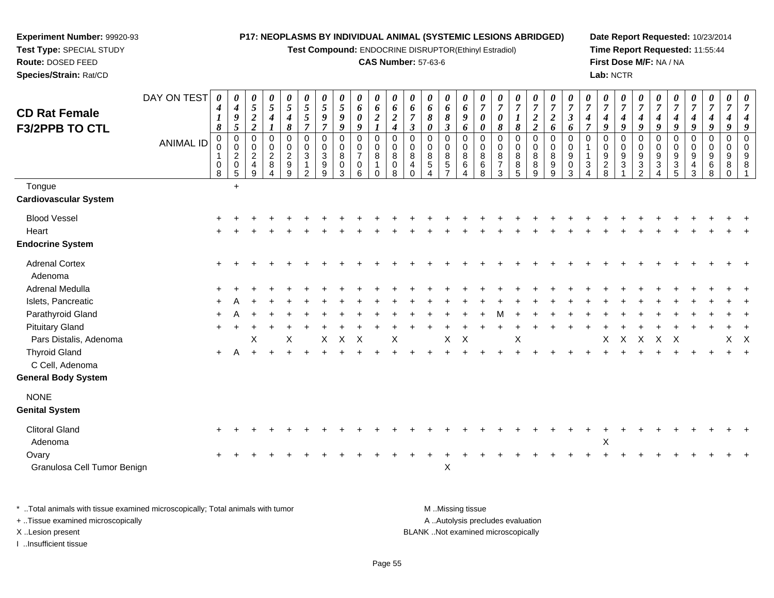**Test Compound:** ENDOCRINE DISRUPTOR(Ethinyl Estradiol)

#### **CAS Number:** 57-63-6

**Date Report Requested:** 10/23/2014**Time Report Requested:** 11:55:44**First Dose M/F:** NA / NA**Lab:** NCTR

| <b>CD Rat Female</b><br><b>F3/2PPB TO CTL</b>                                  | DAY ON TEST<br><b>ANIMAL ID</b> | 0<br>$\boldsymbol{4}$<br>$\boldsymbol{l}$<br>8<br>$\mathsf{O}\xspace$ | 0<br>$\boldsymbol{4}$<br>$\pmb{9}$<br>5<br>$\mathbf 0$ | 0<br>5<br>$\boldsymbol{2}$<br>$\overline{2}$<br>$\mathbf 0$ | 0<br>$\mathfrak{s}$<br>$\boldsymbol{4}$<br>$\boldsymbol{l}$<br>$\pmb{0}$ | 0<br>$\sqrt{5}$<br>$\boldsymbol{4}$<br>8<br>$\boldsymbol{0}$ | 0<br>$\sqrt{5}$<br>$\sqrt{5}$<br>$\overline{7}$<br>$\mathbf 0$ | 0<br>$\sqrt{5}$<br>$\boldsymbol{9}$<br>$\overline{7}$<br>$\mathsf 0$ | 0<br>$\mathfrak{s}$<br>$\boldsymbol{g}$<br>9<br>$\pmb{0}$ | 0<br>6<br>$\pmb{\theta}$<br>9<br>$\mathbf 0$ | 0<br>$\boldsymbol{\delta}$<br>$\boldsymbol{2}$<br>1<br>$\mathbf 0$ | 0<br>6<br>$\boldsymbol{2}$<br>$\boldsymbol{4}$<br>$\mathbf 0$ | 0<br>$\boldsymbol{6}$<br>$\overline{7}$<br>$\mathfrak{z}$<br>$\mathsf{O}\xspace$ | 0<br>6<br>$\pmb{8}$<br>0<br>0        | 0<br>6<br>$\pmb{8}$<br>$\mathfrak{z}$<br>$\overline{0}$ | 0<br>6<br>9<br>6<br>$\pmb{0}$ | 0<br>$\boldsymbol{7}$<br>$\boldsymbol{\theta}$<br>$\boldsymbol{\theta}$<br>$\pmb{0}$ | 0<br>$\overline{7}$<br>$\boldsymbol{\theta}$<br>8<br>$\pmb{0}$ | 0<br>$\boldsymbol{7}$<br>$\boldsymbol{l}$<br>8<br>$\pmb{0}$ | 0<br>$\overline{7}$<br>$\sqrt{2}$<br>$\boldsymbol{2}$<br>$\mathbf 0$ | 0<br>$\overline{7}$<br>$\boldsymbol{2}$<br>6<br>$\mathbf 0$ | 0<br>$\boldsymbol{7}$<br>$\boldsymbol{\beta}$<br>6<br>$\pmb{0}$ | 0<br>$\boldsymbol{7}$<br>4<br>$\overline{7}$<br>$\pmb{0}$ | 0<br>$\boldsymbol{7}$<br>$\boldsymbol{4}$<br>9<br>$\mathbf 0$ | 0<br>$\boldsymbol{7}$<br>$\boldsymbol{4}$<br>9<br>$\mathbf 0$ | $\boldsymbol{\theta}$<br>$\overline{7}$<br>$\boldsymbol{4}$<br>9<br>$\mathbf 0$ | 0<br>$\boldsymbol{7}$<br>4<br>9<br>$\mathbf 0$                                 | 0<br>$\overline{7}$<br>4<br>9<br>0 | 0<br>$\boldsymbol{7}$<br>$\boldsymbol{4}$<br>9<br>$\pmb{0}$ | 0<br>$\overline{7}$<br>$\boldsymbol{4}$<br>9<br>$\mathbf 0$ | 0<br>$\overline{7}$<br>$\boldsymbol{4}$<br>9<br>$\mathbf 0$ | $\boldsymbol{\theta}$<br>$\overline{7}$<br>$\overline{\mathcal{A}}$<br>9<br>$\mathbf 0$ |
|--------------------------------------------------------------------------------|---------------------------------|-----------------------------------------------------------------------|--------------------------------------------------------|-------------------------------------------------------------|--------------------------------------------------------------------------|--------------------------------------------------------------|----------------------------------------------------------------|----------------------------------------------------------------------|-----------------------------------------------------------|----------------------------------------------|--------------------------------------------------------------------|---------------------------------------------------------------|----------------------------------------------------------------------------------|--------------------------------------|---------------------------------------------------------|-------------------------------|--------------------------------------------------------------------------------------|----------------------------------------------------------------|-------------------------------------------------------------|----------------------------------------------------------------------|-------------------------------------------------------------|-----------------------------------------------------------------|-----------------------------------------------------------|---------------------------------------------------------------|---------------------------------------------------------------|---------------------------------------------------------------------------------|--------------------------------------------------------------------------------|------------------------------------|-------------------------------------------------------------|-------------------------------------------------------------|-------------------------------------------------------------|-----------------------------------------------------------------------------------------|
|                                                                                |                                 | 0<br>$\overline{\mathbf{1}}$<br>$\mathbf 0$<br>8                      | $\mathsf{O}\xspace$<br>$\sqrt{2}$<br>$\pmb{0}$<br>5    | $\mathbf 0$<br>$\overline{c}$<br>$\overline{4}$<br>9        | $\mathsf{O}\xspace$<br>$\frac{2}{8}$<br>4                                | $\pmb{0}$<br>$\frac{2}{9}$<br>9                              | 0<br>3<br>$\mathbf{1}$<br>2                                    | $\mathbf 0$<br>$\sqrt{3}$<br>$9\,$<br>9                              | $\pmb{0}$<br>8<br>$\mathbf 0$<br>3                        | $\mathbf 0$<br>$\overline{7}$<br>0<br>6      | 0<br>8<br>$\mathbf{1}$<br>$\Omega$                                 | 0<br>8<br>$\pmb{0}$<br>8                                      | $\mathbf 0$<br>8<br>$\overline{4}$<br>$\Omega$                                   | 0<br>$\,8\,$<br>$5\phantom{.0}$<br>4 | $\mathbf 0$<br>8<br>$\overline{5}$<br>$\overline{7}$    | 0<br>8<br>6<br>4              | $\mathbf 0$<br>8<br>$\,6\,$<br>8                                                     | $\mathsf 0$<br>$\,8\,$<br>$\overline{7}$<br>3                  | $\pmb{0}$<br>$\, 8$<br>$\bf 8$<br>5                         | $\pmb{0}$<br>$\,8\,$<br>$\bf 8$<br>9                                 | $\mathbf 0$<br>8<br>9<br>9                                  | $\mathbf 0$<br>$9\,$<br>$\mathbf 0$<br>3                        | 1<br>$\sqrt{3}$<br>$\boldsymbol{\Lambda}$                 | 0<br>9<br>$\overline{2}$<br>8                                 | $\mathbf 0$<br>$\boldsymbol{9}$<br>$\overline{3}$             | $\mathbf 0$<br>9<br>$\mathbf{3}$<br>2                                           | $\mathbf 0$<br>$\boldsymbol{9}$<br>$\ensuremath{\mathsf{3}}$<br>$\overline{A}$ | 0<br>9<br>$\mathbf{3}$<br>5        | $\pmb{0}$<br>$\overline{9}$<br>$\overline{\mathbf{4}}$<br>3 | $\pmb{0}$<br>$9\,$<br>$\,6\,$<br>8                          | 0<br>9<br>8<br>$\Omega$                                     | $\Omega$<br>9<br>8<br>-1                                                                |
| Tongue<br><b>Cardiovascular System</b>                                         |                                 |                                                                       | $\ddot{}$                                              |                                                             |                                                                          |                                                              |                                                                |                                                                      |                                                           |                                              |                                                                    |                                                               |                                                                                  |                                      |                                                         |                               |                                                                                      |                                                                |                                                             |                                                                      |                                                             |                                                                 |                                                           |                                                               |                                                               |                                                                                 |                                                                                |                                    |                                                             |                                                             |                                                             |                                                                                         |
| <b>Blood Vessel</b>                                                            |                                 |                                                                       |                                                        |                                                             |                                                                          |                                                              |                                                                |                                                                      |                                                           |                                              |                                                                    |                                                               |                                                                                  |                                      |                                                         |                               |                                                                                      |                                                                |                                                             |                                                                      |                                                             |                                                                 |                                                           |                                                               |                                                               |                                                                                 |                                                                                |                                    |                                                             |                                                             |                                                             |                                                                                         |
| Heart                                                                          |                                 |                                                                       |                                                        |                                                             |                                                                          |                                                              |                                                                |                                                                      |                                                           |                                              |                                                                    |                                                               |                                                                                  |                                      |                                                         |                               |                                                                                      |                                                                |                                                             |                                                                      |                                                             |                                                                 |                                                           |                                                               |                                                               |                                                                                 |                                                                                |                                    |                                                             |                                                             |                                                             |                                                                                         |
| <b>Endocrine System</b>                                                        |                                 |                                                                       |                                                        |                                                             |                                                                          |                                                              |                                                                |                                                                      |                                                           |                                              |                                                                    |                                                               |                                                                                  |                                      |                                                         |                               |                                                                                      |                                                                |                                                             |                                                                      |                                                             |                                                                 |                                                           |                                                               |                                                               |                                                                                 |                                                                                |                                    |                                                             |                                                             |                                                             |                                                                                         |
| <b>Adrenal Cortex</b><br>Adenoma                                               |                                 |                                                                       |                                                        |                                                             |                                                                          |                                                              |                                                                |                                                                      |                                                           |                                              |                                                                    |                                                               |                                                                                  |                                      |                                                         |                               |                                                                                      |                                                                |                                                             |                                                                      |                                                             |                                                                 |                                                           |                                                               |                                                               |                                                                                 |                                                                                |                                    |                                                             |                                                             |                                                             |                                                                                         |
| Adrenal Medulla                                                                |                                 |                                                                       |                                                        |                                                             |                                                                          |                                                              |                                                                |                                                                      |                                                           |                                              |                                                                    |                                                               |                                                                                  |                                      |                                                         |                               |                                                                                      |                                                                |                                                             |                                                                      |                                                             |                                                                 |                                                           |                                                               |                                                               |                                                                                 |                                                                                |                                    |                                                             |                                                             |                                                             |                                                                                         |
| Islets, Pancreatic                                                             |                                 |                                                                       |                                                        |                                                             |                                                                          |                                                              |                                                                |                                                                      |                                                           |                                              |                                                                    |                                                               |                                                                                  |                                      |                                                         |                               |                                                                                      |                                                                |                                                             |                                                                      |                                                             |                                                                 |                                                           |                                                               |                                                               |                                                                                 |                                                                                |                                    |                                                             |                                                             |                                                             |                                                                                         |
| Parathyroid Gland                                                              |                                 |                                                                       |                                                        |                                                             |                                                                          |                                                              |                                                                |                                                                      |                                                           |                                              |                                                                    |                                                               |                                                                                  |                                      |                                                         |                               |                                                                                      |                                                                |                                                             |                                                                      |                                                             |                                                                 |                                                           |                                                               |                                                               |                                                                                 |                                                                                |                                    |                                                             |                                                             |                                                             |                                                                                         |
| <b>Pituitary Gland</b>                                                         |                                 |                                                                       |                                                        |                                                             |                                                                          |                                                              |                                                                |                                                                      |                                                           |                                              |                                                                    |                                                               |                                                                                  |                                      |                                                         |                               |                                                                                      |                                                                |                                                             |                                                                      |                                                             |                                                                 |                                                           |                                                               |                                                               |                                                                                 |                                                                                |                                    |                                                             |                                                             |                                                             |                                                                                         |
| Pars Distalis, Adenoma                                                         |                                 |                                                                       |                                                        | X                                                           |                                                                          | X                                                            |                                                                | $\mathsf{X}$                                                         | $\mathsf{X}$                                              | $\mathsf{X}$                                 |                                                                    | Χ                                                             |                                                                                  |                                      | X                                                       | $\boldsymbol{\mathsf{X}}$     |                                                                                      |                                                                | X                                                           |                                                                      |                                                             |                                                                 |                                                           | X                                                             | $\mathsf{X}$                                                  | $\mathsf{X}$                                                                    | $\boldsymbol{\mathsf{X}}$                                                      | $\boldsymbol{\mathsf{X}}$          |                                                             |                                                             | X                                                           | $\times$                                                                                |
| <b>Thyroid Gland</b>                                                           |                                 | $+$                                                                   | A                                                      |                                                             |                                                                          |                                                              |                                                                |                                                                      |                                                           |                                              |                                                                    |                                                               |                                                                                  |                                      |                                                         |                               |                                                                                      |                                                                |                                                             |                                                                      |                                                             |                                                                 |                                                           |                                                               |                                                               |                                                                                 |                                                                                |                                    |                                                             |                                                             |                                                             |                                                                                         |
| C Cell, Adenoma<br><b>General Body System</b>                                  |                                 |                                                                       |                                                        |                                                             |                                                                          |                                                              |                                                                |                                                                      |                                                           |                                              |                                                                    |                                                               |                                                                                  |                                      |                                                         |                               |                                                                                      |                                                                |                                                             |                                                                      |                                                             |                                                                 |                                                           |                                                               |                                                               |                                                                                 |                                                                                |                                    |                                                             |                                                             |                                                             |                                                                                         |
| <b>NONE</b>                                                                    |                                 |                                                                       |                                                        |                                                             |                                                                          |                                                              |                                                                |                                                                      |                                                           |                                              |                                                                    |                                                               |                                                                                  |                                      |                                                         |                               |                                                                                      |                                                                |                                                             |                                                                      |                                                             |                                                                 |                                                           |                                                               |                                                               |                                                                                 |                                                                                |                                    |                                                             |                                                             |                                                             |                                                                                         |
| <b>Genital System</b>                                                          |                                 |                                                                       |                                                        |                                                             |                                                                          |                                                              |                                                                |                                                                      |                                                           |                                              |                                                                    |                                                               |                                                                                  |                                      |                                                         |                               |                                                                                      |                                                                |                                                             |                                                                      |                                                             |                                                                 |                                                           |                                                               |                                                               |                                                                                 |                                                                                |                                    |                                                             |                                                             |                                                             |                                                                                         |
| <b>Clitoral Gland</b><br>Adenoma                                               |                                 |                                                                       |                                                        |                                                             |                                                                          |                                                              |                                                                |                                                                      |                                                           |                                              |                                                                    |                                                               |                                                                                  |                                      |                                                         |                               |                                                                                      |                                                                |                                                             |                                                                      |                                                             |                                                                 |                                                           | X                                                             |                                                               |                                                                                 |                                                                                |                                    |                                                             |                                                             |                                                             |                                                                                         |
| Ovary<br>Granulosa Cell Tumor Benign                                           |                                 |                                                                       |                                                        |                                                             |                                                                          |                                                              |                                                                |                                                                      |                                                           |                                              |                                                                    |                                                               |                                                                                  |                                      | $\mathsf X$                                             |                               |                                                                                      |                                                                |                                                             |                                                                      |                                                             |                                                                 |                                                           |                                                               |                                                               |                                                                                 |                                                                                |                                    |                                                             |                                                             |                                                             |                                                                                         |
| * Total animals with tissue examined microscopically; Total animals with tumor |                                 |                                                                       |                                                        |                                                             |                                                                          |                                                              |                                                                |                                                                      |                                                           |                                              |                                                                    |                                                               |                                                                                  |                                      |                                                         | M Missing tissue              |                                                                                      |                                                                |                                                             |                                                                      |                                                             |                                                                 |                                                           |                                                               |                                                               |                                                                                 |                                                                                |                                    |                                                             |                                                             |                                                             |                                                                                         |

+ ..Tissue examined microscopically

**Experiment Number:** 99920-93**Test Type:** SPECIAL STUDY**Route:** DOSED FEED**Species/Strain:** Rat/CD

I ..Insufficient tissue

A ..Autolysis precludes evaluation X ..Lesion present BLANK ..Not examined microscopically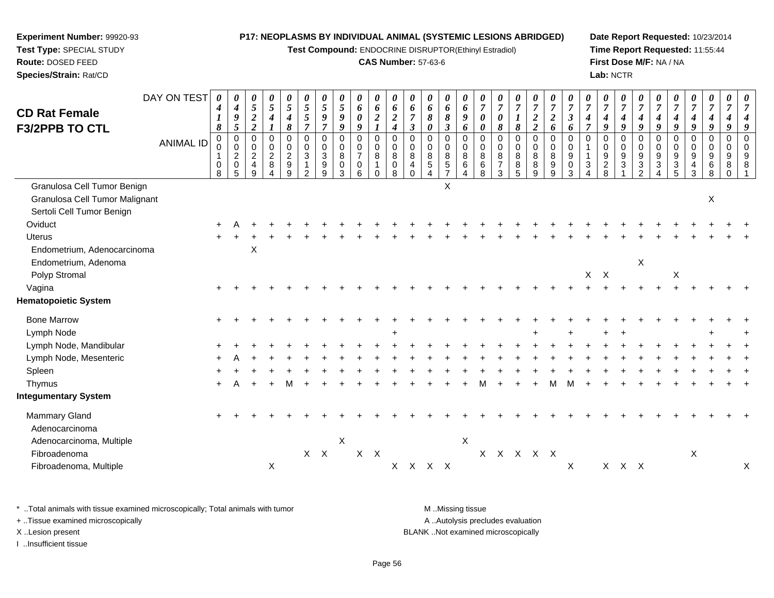**Test Compound:** ENDOCRINE DISRUPTOR(Ethinyl Estradiol)

#### **CAS Number:** 57-63-6

**Date Report Requested:** 10/23/2014**Time Report Requested:** 11:55:44**First Dose M/F:** NA / NA**Lab:** NCTR

| <b>CD Rat Female</b><br><b>F3/2PPB TO CTL</b> | DAY ON TEST<br><b>ANIMAL ID</b> | $\boldsymbol{\theta}$<br>$\boldsymbol{4}$<br>1<br>8<br>0<br>0<br>8 | 0<br>$\boldsymbol{4}$<br>9<br>$\sqrt{5}$<br>$\pmb{0}$<br>$\pmb{0}$<br>$\overline{2}$<br>$\pmb{0}$<br>5 | 0<br>$5\overline{)}$<br>$\boldsymbol{2}$<br>$\overline{2}$<br>$\mathbf 0$<br>0<br>$\overline{2}$<br>$\overline{4}$<br>9 | 0<br>$\mathfrak{s}$<br>$\boldsymbol{4}$<br>0<br>0<br>$\overline{2}$<br>8 | $\boldsymbol{\theta}$<br>$\mathfrak{s}$<br>$\boldsymbol{4}$<br>8<br>$\mathbf 0$<br>$\pmb{0}$<br>$\overline{2}$<br>$\boldsymbol{9}$<br>9 | 0<br>5<br>$\mathfrak{s}$<br>$\overline{7}$<br>$\pmb{0}$<br>$\pmb{0}$<br>$\mathbf{3}$<br>$\mathbf 1$<br>$\overline{2}$ | 0<br>$\overline{5}$<br>9<br>$\overline{7}$<br>$\pmb{0}$<br>$\mathbf 0$<br>$\mathbf{3}$<br>9<br>9 | 0<br>$\mathfrak{s}$<br>9<br>9<br>$\mathbf 0$<br>0<br>8<br>$\mathbf 0$<br>3 | 0<br>6<br>0<br>9<br>0<br>0<br>$\overline{7}$<br>0<br>6 | 0<br>6<br>$\boldsymbol{2}$<br>$\mathbf 0$<br>0<br>8<br>$\Omega$ | $\boldsymbol{\theta}$<br>6<br>$\boldsymbol{2}$<br>$\boldsymbol{4}$<br>$\mathbf 0$<br>$\mathbf 0$<br>8<br>$\mathbf 0$<br>8 | $\boldsymbol{\theta}$<br>6<br>$\overline{7}$<br>$\mathfrak{z}$<br>$\mathbf 0$<br>$\mathbf 0$<br>$\, 8$<br>$\overline{4}$<br>$\Omega$ | 0<br>6<br>8<br>0<br>0<br>0<br>8<br>5 | 0<br>6<br>8<br>$\boldsymbol{\beta}$<br>0<br>0<br>$\,8\,$<br>$\sqrt{5}$<br>$\overline{7}$ | $\boldsymbol{\theta}$<br>6<br>9<br>6<br>$\mathbf 0$<br>$\mathbf 0$<br>$\,8\,$<br>6<br>Δ | 0<br>$\overline{7}$<br>$\boldsymbol{\theta}$<br>$\boldsymbol{\theta}$<br>$\mathbf 0$<br>$\mathbf 0$<br>8<br>6<br>8 | $\overline{7}$<br>$\boldsymbol{\theta}$<br>8<br>$\Omega$<br>$\mathbf 0$<br>8<br>$\overline{7}$<br>3 | $\overline{7}$<br>8<br>$\Omega$<br>$\mathbf 0$<br>8<br>8<br>5 | 0<br>$\boldsymbol{7}$<br>$\boldsymbol{2}$<br>$\overline{2}$<br>$\pmb{0}$<br>$\pmb{0}$<br>8<br>8<br>9 | 0<br>$\boldsymbol{7}$<br>$\boldsymbol{2}$<br>6<br>$\mathbf 0$<br>$\pmb{0}$<br>$\,8\,$<br>$\boldsymbol{9}$<br>9 | 0<br>$\overline{7}$<br>$\boldsymbol{\beta}$<br>6<br>$\mathbf 0$<br>$\mathbf 0$<br>9<br>0<br>3 | $\overline{7}$<br>4<br>$\overline{7}$<br>$\Omega$<br>3 | 0<br>$\overline{7}$<br>4<br>9<br>$\Omega$<br>0<br>9<br>$\overline{c}$<br>8 | 0<br>$\boldsymbol{7}$<br>4<br>9<br>$\mathbf 0$<br>$\pmb{0}$<br>9<br>$\ensuremath{\mathsf{3}}$ | $\overline{7}$<br>4<br>$\boldsymbol{q}$<br>$\mathbf 0$<br>$\mathbf 0$<br>$9\,$<br>$\sqrt{3}$<br>2 | $\boldsymbol{\theta}$<br>$\overline{7}$<br>4<br>9<br>$\Omega$<br>0<br>9<br>3<br>4 | $\overline{7}$<br>9<br>$\Omega$<br>$\Omega$<br>9<br>$\sqrt{3}$<br>5 | $\overline{7}$<br>4<br>9<br>0<br>0<br>9<br>4<br>3 | $\boldsymbol{\theta}$<br>$\boldsymbol{7}$<br>4<br>9<br>0<br>0<br>9<br>6<br>8 | 0<br>$\overline{7}$<br>4<br>9<br>$\mathbf 0$<br>$\mathbf 0$<br>9<br>8<br>$\Omega$ | $\boldsymbol{\mathit{U}}$ |
|-----------------------------------------------|---------------------------------|--------------------------------------------------------------------|--------------------------------------------------------------------------------------------------------|-------------------------------------------------------------------------------------------------------------------------|--------------------------------------------------------------------------|-----------------------------------------------------------------------------------------------------------------------------------------|-----------------------------------------------------------------------------------------------------------------------|--------------------------------------------------------------------------------------------------|----------------------------------------------------------------------------|--------------------------------------------------------|-----------------------------------------------------------------|---------------------------------------------------------------------------------------------------------------------------|--------------------------------------------------------------------------------------------------------------------------------------|--------------------------------------|------------------------------------------------------------------------------------------|-----------------------------------------------------------------------------------------|--------------------------------------------------------------------------------------------------------------------|-----------------------------------------------------------------------------------------------------|---------------------------------------------------------------|------------------------------------------------------------------------------------------------------|----------------------------------------------------------------------------------------------------------------|-----------------------------------------------------------------------------------------------|--------------------------------------------------------|----------------------------------------------------------------------------|-----------------------------------------------------------------------------------------------|---------------------------------------------------------------------------------------------------|-----------------------------------------------------------------------------------|---------------------------------------------------------------------|---------------------------------------------------|------------------------------------------------------------------------------|-----------------------------------------------------------------------------------|---------------------------|
| Granulosa Cell Tumor Benign                   |                                 |                                                                    |                                                                                                        |                                                                                                                         |                                                                          |                                                                                                                                         |                                                                                                                       |                                                                                                  |                                                                            |                                                        |                                                                 |                                                                                                                           |                                                                                                                                      |                                      | X                                                                                        |                                                                                         |                                                                                                                    |                                                                                                     |                                                               |                                                                                                      |                                                                                                                |                                                                                               |                                                        |                                                                            |                                                                                               |                                                                                                   |                                                                                   |                                                                     |                                                   |                                                                              |                                                                                   |                           |
| Granulosa Cell Tumor Malignant                |                                 |                                                                    |                                                                                                        |                                                                                                                         |                                                                          |                                                                                                                                         |                                                                                                                       |                                                                                                  |                                                                            |                                                        |                                                                 |                                                                                                                           |                                                                                                                                      |                                      |                                                                                          |                                                                                         |                                                                                                                    |                                                                                                     |                                                               |                                                                                                      |                                                                                                                |                                                                                               |                                                        |                                                                            |                                                                                               |                                                                                                   |                                                                                   |                                                                     |                                                   | X                                                                            |                                                                                   |                           |
| Sertoli Cell Tumor Benign                     |                                 |                                                                    |                                                                                                        |                                                                                                                         |                                                                          |                                                                                                                                         |                                                                                                                       |                                                                                                  |                                                                            |                                                        |                                                                 |                                                                                                                           |                                                                                                                                      |                                      |                                                                                          |                                                                                         |                                                                                                                    |                                                                                                     |                                                               |                                                                                                      |                                                                                                                |                                                                                               |                                                        |                                                                            |                                                                                               |                                                                                                   |                                                                                   |                                                                     |                                                   |                                                                              |                                                                                   |                           |
| Oviduct                                       |                                 |                                                                    |                                                                                                        |                                                                                                                         |                                                                          |                                                                                                                                         |                                                                                                                       |                                                                                                  |                                                                            |                                                        |                                                                 |                                                                                                                           |                                                                                                                                      |                                      |                                                                                          |                                                                                         |                                                                                                                    |                                                                                                     |                                                               |                                                                                                      |                                                                                                                |                                                                                               |                                                        |                                                                            |                                                                                               |                                                                                                   |                                                                                   |                                                                     |                                                   |                                                                              |                                                                                   |                           |
| <b>Uterus</b>                                 |                                 |                                                                    |                                                                                                        |                                                                                                                         |                                                                          |                                                                                                                                         |                                                                                                                       |                                                                                                  |                                                                            |                                                        |                                                                 |                                                                                                                           |                                                                                                                                      |                                      |                                                                                          |                                                                                         |                                                                                                                    |                                                                                                     |                                                               |                                                                                                      |                                                                                                                |                                                                                               |                                                        |                                                                            |                                                                                               |                                                                                                   |                                                                                   |                                                                     |                                                   |                                                                              |                                                                                   |                           |
| Endometrium, Adenocarcinoma                   |                                 |                                                                    |                                                                                                        | Χ                                                                                                                       |                                                                          |                                                                                                                                         |                                                                                                                       |                                                                                                  |                                                                            |                                                        |                                                                 |                                                                                                                           |                                                                                                                                      |                                      |                                                                                          |                                                                                         |                                                                                                                    |                                                                                                     |                                                               |                                                                                                      |                                                                                                                |                                                                                               |                                                        |                                                                            |                                                                                               |                                                                                                   |                                                                                   |                                                                     |                                                   |                                                                              |                                                                                   |                           |
| Endometrium, Adenoma                          |                                 |                                                                    |                                                                                                        |                                                                                                                         |                                                                          |                                                                                                                                         |                                                                                                                       |                                                                                                  |                                                                            |                                                        |                                                                 |                                                                                                                           |                                                                                                                                      |                                      |                                                                                          |                                                                                         |                                                                                                                    |                                                                                                     |                                                               |                                                                                                      |                                                                                                                |                                                                                               |                                                        |                                                                            |                                                                                               | X                                                                                                 |                                                                                   |                                                                     |                                                   |                                                                              |                                                                                   |                           |
| Polyp Stromal                                 |                                 |                                                                    |                                                                                                        |                                                                                                                         |                                                                          |                                                                                                                                         |                                                                                                                       |                                                                                                  |                                                                            |                                                        |                                                                 |                                                                                                                           |                                                                                                                                      |                                      |                                                                                          |                                                                                         |                                                                                                                    |                                                                                                     |                                                               |                                                                                                      |                                                                                                                |                                                                                               | $X$ $X$                                                |                                                                            |                                                                                               |                                                                                                   |                                                                                   | X                                                                   |                                                   |                                                                              |                                                                                   |                           |
| Vagina                                        |                                 |                                                                    |                                                                                                        |                                                                                                                         |                                                                          |                                                                                                                                         |                                                                                                                       |                                                                                                  |                                                                            |                                                        |                                                                 |                                                                                                                           |                                                                                                                                      |                                      |                                                                                          |                                                                                         |                                                                                                                    |                                                                                                     |                                                               |                                                                                                      |                                                                                                                |                                                                                               |                                                        |                                                                            |                                                                                               |                                                                                                   |                                                                                   |                                                                     |                                                   |                                                                              |                                                                                   |                           |
| <b>Hematopoietic System</b>                   |                                 |                                                                    |                                                                                                        |                                                                                                                         |                                                                          |                                                                                                                                         |                                                                                                                       |                                                                                                  |                                                                            |                                                        |                                                                 |                                                                                                                           |                                                                                                                                      |                                      |                                                                                          |                                                                                         |                                                                                                                    |                                                                                                     |                                                               |                                                                                                      |                                                                                                                |                                                                                               |                                                        |                                                                            |                                                                                               |                                                                                                   |                                                                                   |                                                                     |                                                   |                                                                              |                                                                                   |                           |
| <b>Bone Marrow</b>                            |                                 |                                                                    |                                                                                                        |                                                                                                                         |                                                                          |                                                                                                                                         |                                                                                                                       |                                                                                                  |                                                                            |                                                        |                                                                 |                                                                                                                           |                                                                                                                                      |                                      |                                                                                          |                                                                                         |                                                                                                                    |                                                                                                     |                                                               |                                                                                                      |                                                                                                                |                                                                                               |                                                        |                                                                            |                                                                                               |                                                                                                   |                                                                                   |                                                                     |                                                   |                                                                              |                                                                                   |                           |
| Lymph Node                                    |                                 |                                                                    |                                                                                                        |                                                                                                                         |                                                                          |                                                                                                                                         |                                                                                                                       |                                                                                                  |                                                                            |                                                        |                                                                 |                                                                                                                           |                                                                                                                                      |                                      |                                                                                          |                                                                                         |                                                                                                                    |                                                                                                     |                                                               |                                                                                                      |                                                                                                                |                                                                                               |                                                        |                                                                            |                                                                                               |                                                                                                   |                                                                                   |                                                                     |                                                   |                                                                              |                                                                                   |                           |
| Lymph Node, Mandibular                        |                                 |                                                                    |                                                                                                        |                                                                                                                         |                                                                          |                                                                                                                                         |                                                                                                                       |                                                                                                  |                                                                            |                                                        |                                                                 |                                                                                                                           |                                                                                                                                      |                                      |                                                                                          |                                                                                         |                                                                                                                    |                                                                                                     |                                                               |                                                                                                      |                                                                                                                |                                                                                               |                                                        |                                                                            |                                                                                               |                                                                                                   |                                                                                   |                                                                     |                                                   |                                                                              |                                                                                   |                           |
| Lymph Node, Mesenteric                        |                                 |                                                                    |                                                                                                        |                                                                                                                         |                                                                          |                                                                                                                                         |                                                                                                                       |                                                                                                  |                                                                            |                                                        |                                                                 |                                                                                                                           |                                                                                                                                      |                                      |                                                                                          |                                                                                         |                                                                                                                    |                                                                                                     |                                                               |                                                                                                      |                                                                                                                |                                                                                               |                                                        |                                                                            |                                                                                               |                                                                                                   |                                                                                   |                                                                     |                                                   |                                                                              |                                                                                   |                           |
| Spleen                                        |                                 |                                                                    |                                                                                                        |                                                                                                                         |                                                                          |                                                                                                                                         |                                                                                                                       |                                                                                                  |                                                                            |                                                        |                                                                 |                                                                                                                           |                                                                                                                                      |                                      |                                                                                          |                                                                                         |                                                                                                                    |                                                                                                     |                                                               |                                                                                                      |                                                                                                                |                                                                                               |                                                        |                                                                            |                                                                                               |                                                                                                   |                                                                                   |                                                                     |                                                   |                                                                              |                                                                                   |                           |
| Thymus                                        |                                 |                                                                    |                                                                                                        |                                                                                                                         |                                                                          |                                                                                                                                         |                                                                                                                       |                                                                                                  |                                                                            |                                                        |                                                                 |                                                                                                                           |                                                                                                                                      |                                      |                                                                                          |                                                                                         |                                                                                                                    |                                                                                                     |                                                               |                                                                                                      |                                                                                                                |                                                                                               |                                                        |                                                                            |                                                                                               |                                                                                                   |                                                                                   |                                                                     |                                                   |                                                                              |                                                                                   |                           |
| <b>Integumentary System</b>                   |                                 |                                                                    |                                                                                                        |                                                                                                                         |                                                                          |                                                                                                                                         |                                                                                                                       |                                                                                                  |                                                                            |                                                        |                                                                 |                                                                                                                           |                                                                                                                                      |                                      |                                                                                          |                                                                                         |                                                                                                                    |                                                                                                     |                                                               |                                                                                                      |                                                                                                                |                                                                                               |                                                        |                                                                            |                                                                                               |                                                                                                   |                                                                                   |                                                                     |                                                   |                                                                              |                                                                                   |                           |
| Mammary Gland<br>Adenocarcinoma               |                                 |                                                                    |                                                                                                        |                                                                                                                         |                                                                          |                                                                                                                                         |                                                                                                                       |                                                                                                  |                                                                            |                                                        |                                                                 |                                                                                                                           |                                                                                                                                      |                                      |                                                                                          |                                                                                         |                                                                                                                    |                                                                                                     |                                                               |                                                                                                      |                                                                                                                |                                                                                               |                                                        |                                                                            |                                                                                               |                                                                                                   |                                                                                   |                                                                     |                                                   |                                                                              |                                                                                   |                           |
| Adenocarcinoma, Multiple                      |                                 |                                                                    |                                                                                                        |                                                                                                                         |                                                                          |                                                                                                                                         |                                                                                                                       |                                                                                                  | $\mathsf X$                                                                |                                                        |                                                                 |                                                                                                                           |                                                                                                                                      |                                      |                                                                                          | X                                                                                       |                                                                                                                    |                                                                                                     |                                                               |                                                                                                      |                                                                                                                |                                                                                               |                                                        |                                                                            |                                                                                               |                                                                                                   |                                                                                   |                                                                     |                                                   |                                                                              |                                                                                   |                           |
| Fibroadenoma                                  |                                 |                                                                    |                                                                                                        |                                                                                                                         |                                                                          |                                                                                                                                         |                                                                                                                       | $X$ $X$                                                                                          |                                                                            | $X$ $X$                                                |                                                                 |                                                                                                                           |                                                                                                                                      |                                      |                                                                                          |                                                                                         |                                                                                                                    | X X X X X                                                                                           |                                                               |                                                                                                      |                                                                                                                |                                                                                               |                                                        |                                                                            |                                                                                               |                                                                                                   |                                                                                   |                                                                     | X                                                 |                                                                              |                                                                                   |                           |
| Fibroadenoma, Multiple                        |                                 |                                                                    |                                                                                                        |                                                                                                                         | X                                                                        |                                                                                                                                         |                                                                                                                       |                                                                                                  |                                                                            |                                                        |                                                                 |                                                                                                                           | X X X X                                                                                                                              |                                      |                                                                                          |                                                                                         |                                                                                                                    |                                                                                                     |                                                               |                                                                                                      |                                                                                                                | Χ                                                                                             |                                                        |                                                                            | $X$ $X$ $X$                                                                                   |                                                                                                   |                                                                                   |                                                                     |                                                   |                                                                              |                                                                                   | Χ                         |
|                                               |                                 |                                                                    |                                                                                                        |                                                                                                                         |                                                                          |                                                                                                                                         |                                                                                                                       |                                                                                                  |                                                                            |                                                        |                                                                 |                                                                                                                           |                                                                                                                                      |                                      |                                                                                          |                                                                                         |                                                                                                                    |                                                                                                     |                                                               |                                                                                                      |                                                                                                                |                                                                                               |                                                        |                                                                            |                                                                                               |                                                                                                   |                                                                                   |                                                                     |                                                   |                                                                              |                                                                                   |                           |

\* ..Total animals with tissue examined microscopically; Total animals with tumor **M** . Missing tissue M ..Missing tissue A ..Autolysis precludes evaluation + ..Tissue examined microscopically X ..Lesion present BLANK ..Not examined microscopically

I ..Insufficient tissue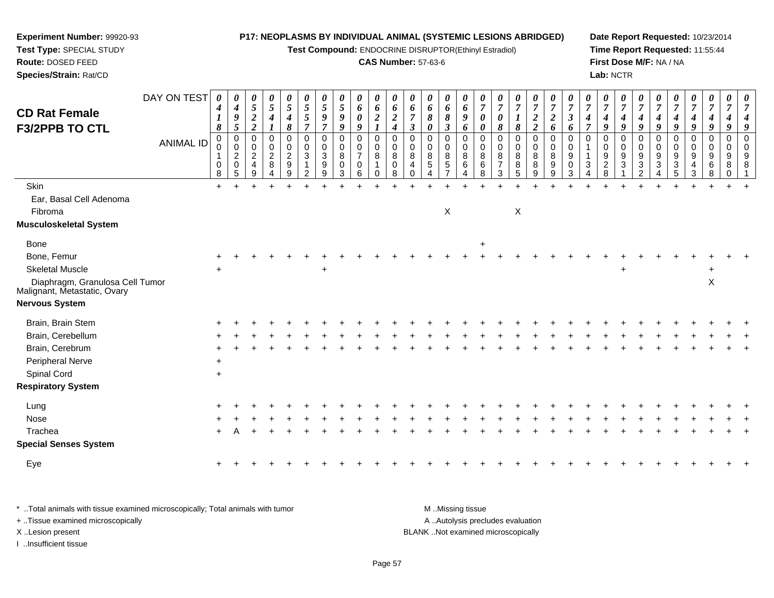**Test Compound:** ENDOCRINE DISRUPTOR(Ethinyl Estradiol)

#### **CAS Number:** 57-63-6

**Date Report Requested:** 10/23/2014**Time Report Requested:** 11:55:44**First Dose M/F:** NA / NA**Lab:** NCTR

|                                                                 | DAY ON TEST      | 0<br>4                        | $\boldsymbol{\theta}$<br>$\boldsymbol{4}$              | 0<br>$\sqrt{5}$                                                  | 0<br>$\overline{5}$                                         | 0<br>5                                                          | $\boldsymbol{\theta}$<br>5                         | $\frac{\theta}{5}$        | $\frac{\theta}{5}$                                 | 0<br>$\boldsymbol{6}$                                          | 0<br>6                                      | $\theta$<br>6                      | 0<br>6                                 | 0<br>6                                                   | $\boldsymbol{\theta}$<br>6                                           | $\theta$<br>6                             | $\boldsymbol{\theta}$<br>$\overline{7}$         | $\boldsymbol{\theta}$<br>$\overline{7}$                       | 0<br>$\overline{7}$             | $\frac{\boldsymbol{\theta}}{\boldsymbol{7}}$ | $\boldsymbol{\theta}$<br>$\boldsymbol{7}$ | $\boldsymbol{\theta}$<br>$\overline{7}$                      | 0<br>$\overline{7}$                                                | $\frac{\theta}{7}$                                   | 0<br>$\overline{7}$     | $\boldsymbol{\theta}$<br>$\overline{7}$                           | $\boldsymbol{\theta}$<br>$\overline{7}$                              | 0<br>$\overline{7}$                                                             | 0<br>$\overline{7}$                                        | $\boldsymbol{\theta}$<br>$\overline{7}$ | 0<br>$\overline{7}$          | $\boldsymbol{\theta}$<br>$\overline{7}$ |
|-----------------------------------------------------------------|------------------|-------------------------------|--------------------------------------------------------|------------------------------------------------------------------|-------------------------------------------------------------|-----------------------------------------------------------------|----------------------------------------------------|---------------------------|----------------------------------------------------|----------------------------------------------------------------|---------------------------------------------|------------------------------------|----------------------------------------|----------------------------------------------------------|----------------------------------------------------------------------|-------------------------------------------|-------------------------------------------------|---------------------------------------------------------------|---------------------------------|----------------------------------------------|-------------------------------------------|--------------------------------------------------------------|--------------------------------------------------------------------|------------------------------------------------------|-------------------------|-------------------------------------------------------------------|----------------------------------------------------------------------|---------------------------------------------------------------------------------|------------------------------------------------------------|-----------------------------------------|------------------------------|-----------------------------------------|
| <b>CD Rat Female</b>                                            |                  | $\boldsymbol{l}$<br>$\pmb{8}$ | $\boldsymbol{g}$<br>5                                  | $\frac{2}{2}$                                                    | $\boldsymbol{4}$<br>$\boldsymbol{l}$                        | $\boldsymbol{4}$<br>8                                           | 5<br>$\overline{7}$                                | 9<br>$\overline{7}$       | $\boldsymbol{g}$<br>$\boldsymbol{g}$               | $\pmb{\theta}$<br>9                                            | $\overline{\mathbf{c}}$<br>$\boldsymbol{l}$ | $\overline{2}$<br>$\boldsymbol{4}$ | $\overline{7}$<br>$\boldsymbol{\beta}$ | $\boldsymbol{\delta}$<br>$\boldsymbol{\theta}$           | $\pmb{8}$<br>$\boldsymbol{\beta}$                                    | 9<br>6                                    | $\pmb{\theta}$<br>$\boldsymbol{\theta}$         | $\boldsymbol{\theta}$<br>8                                    | $\boldsymbol{l}$<br>8           | $\boldsymbol{2}$<br>$\boldsymbol{2}$         | $\boldsymbol{2}$<br>6                     | $\boldsymbol{\beta}$<br>6                                    | $\boldsymbol{4}$<br>$\overline{7}$                                 | $\boldsymbol{4}$<br>9                                | 4<br>9                  | 4<br>9                                                            | 4<br>$\boldsymbol{q}$                                                | $\boldsymbol{4}$<br>9                                                           | $\boldsymbol{4}$<br>9                                      | $\boldsymbol{4}$<br>$\boldsymbol{g}$    | 4<br>9                       | 4<br>9                                  |
| <b>F3/2PPB TO CTL</b>                                           | <b>ANIMAL ID</b> | 0<br>0<br>0<br>8              | $\mathbf 0$<br>0<br>$\overline{a}$<br>$\mathbf 0$<br>5 | $\Omega$<br>$\mathbf 0$<br>$\overline{c}$<br>$\overline{4}$<br>9 | $\mathbf 0$<br>$\mathbf 0$<br>$\overline{c}$<br>$\bf8$<br>4 | $\mathbf 0$<br>0<br>$\overline{c}$<br>$\boldsymbol{9}$<br>$9\,$ | $\mathbf 0$<br>0<br>$\mathbf{3}$<br>$\overline{2}$ | 0<br>0<br>3<br>9<br>$9\,$ | 0<br>$\mathbf 0$<br>$\overline{8}$<br>$\,0\,$<br>3 | $\mathbf 0$<br>$\mathbf 0$<br>$\overline{7}$<br>$\pmb{0}$<br>6 | $\Omega$<br>0<br>8<br>0                     | $\Omega$<br>0<br>8<br>$\,0\,$<br>8 | $\Omega$<br>0<br>8<br>4<br>$\Omega$    | 0<br>0<br>$\overline{8}$<br>$\sqrt{5}$<br>$\overline{4}$ | $\mathbf 0$<br>$\pmb{0}$<br>$\,8\,$<br>$\,$ 5 $\,$<br>$\overline{7}$ | $\Omega$<br>0<br>8<br>6<br>$\overline{4}$ | $\mathbf 0$<br>$\mathbf 0$<br>8<br>$\,6\,$<br>8 | $\mathbf 0$<br>0<br>$\bf 8$<br>$\overline{7}$<br>$\mathbf{3}$ | $\mathbf 0$<br>0<br>8<br>8<br>5 | $\mathbf 0$<br>0<br>8<br>$\bf 8$<br>9        | $\mathbf 0$<br>0<br>8<br>$^9_9$           | $\Omega$<br>0<br>$\boldsymbol{9}$<br>$\pmb{0}$<br>$\sqrt{3}$ | $\Omega$<br>$\overline{1}$<br>-1<br>$\mathbf{3}$<br>$\overline{4}$ | $\mathbf 0$<br>$\mathbf 0$<br>$9\,$<br>$\frac{2}{8}$ | $\Omega$<br>0<br>9<br>3 | $\Omega$<br>0<br>$\boldsymbol{9}$<br>$\sqrt{3}$<br>$\overline{2}$ | $\mathbf 0$<br>0<br>$\boldsymbol{9}$<br>$\sqrt{3}$<br>$\overline{4}$ | $\Omega$<br>$\overline{0}$<br>9<br>$\ensuremath{\mathsf{3}}$<br>$5\phantom{.0}$ | $\Omega$<br>$\mathbf 0$<br>$\boldsymbol{9}$<br>$rac{4}{3}$ | $\Omega$<br>0<br>9<br>6<br>8            | $\Omega$<br>0<br>9<br>8<br>0 | $\Omega$<br>$\mathbf 0$<br>9<br>8<br>-1 |
| Skin                                                            |                  | $+$                           |                                                        | $\ddot{}$                                                        |                                                             |                                                                 |                                                    |                           |                                                    |                                                                |                                             |                                    |                                        |                                                          |                                                                      |                                           |                                                 |                                                               |                                 |                                              |                                           |                                                              |                                                                    |                                                      |                         |                                                                   |                                                                      |                                                                                 |                                                            |                                         |                              |                                         |
| Ear, Basal Cell Adenoma<br>Fibroma                              |                  |                               |                                                        |                                                                  |                                                             |                                                                 |                                                    |                           |                                                    |                                                                |                                             |                                    |                                        |                                                          | X                                                                    |                                           |                                                 |                                                               | X                               |                                              |                                           |                                                              |                                                                    |                                                      |                         |                                                                   |                                                                      |                                                                                 |                                                            |                                         |                              |                                         |
| Musculoskeletal System                                          |                  |                               |                                                        |                                                                  |                                                             |                                                                 |                                                    |                           |                                                    |                                                                |                                             |                                    |                                        |                                                          |                                                                      |                                           |                                                 |                                                               |                                 |                                              |                                           |                                                              |                                                                    |                                                      |                         |                                                                   |                                                                      |                                                                                 |                                                            |                                         |                              |                                         |
| Bone                                                            |                  |                               |                                                        |                                                                  |                                                             |                                                                 |                                                    |                           |                                                    |                                                                |                                             |                                    |                                        |                                                          |                                                                      |                                           | $\ddot{}$                                       |                                                               |                                 |                                              |                                           |                                                              |                                                                    |                                                      |                         |                                                                   |                                                                      |                                                                                 |                                                            |                                         |                              |                                         |
| Bone, Femur                                                     |                  |                               |                                                        |                                                                  |                                                             |                                                                 |                                                    |                           |                                                    |                                                                |                                             |                                    |                                        |                                                          |                                                                      |                                           |                                                 |                                                               |                                 |                                              |                                           |                                                              |                                                                    |                                                      |                         |                                                                   |                                                                      |                                                                                 |                                                            |                                         |                              |                                         |
| <b>Skeletal Muscle</b>                                          |                  | $\pm$                         |                                                        |                                                                  |                                                             |                                                                 |                                                    | +                         |                                                    |                                                                |                                             |                                    |                                        |                                                          |                                                                      |                                           |                                                 |                                                               |                                 |                                              |                                           |                                                              |                                                                    |                                                      | +                       |                                                                   |                                                                      |                                                                                 |                                                            | $\overline{+}$                          |                              |                                         |
| Diaphragm, Granulosa Cell Tumor<br>Malignant, Metastatic, Ovary |                  |                               |                                                        |                                                                  |                                                             |                                                                 |                                                    |                           |                                                    |                                                                |                                             |                                    |                                        |                                                          |                                                                      |                                           |                                                 |                                                               |                                 |                                              |                                           |                                                              |                                                                    |                                                      |                         |                                                                   |                                                                      |                                                                                 |                                                            | $\mathsf X$                             |                              |                                         |
| Nervous System                                                  |                  |                               |                                                        |                                                                  |                                                             |                                                                 |                                                    |                           |                                                    |                                                                |                                             |                                    |                                        |                                                          |                                                                      |                                           |                                                 |                                                               |                                 |                                              |                                           |                                                              |                                                                    |                                                      |                         |                                                                   |                                                                      |                                                                                 |                                                            |                                         |                              |                                         |
| Brain, Brain Stem                                               |                  |                               |                                                        |                                                                  |                                                             |                                                                 |                                                    |                           |                                                    |                                                                |                                             |                                    |                                        |                                                          |                                                                      |                                           |                                                 |                                                               |                                 |                                              |                                           |                                                              |                                                                    |                                                      |                         |                                                                   |                                                                      |                                                                                 |                                                            |                                         |                              |                                         |
| Brain, Cerebellum                                               |                  |                               |                                                        |                                                                  |                                                             |                                                                 |                                                    |                           |                                                    |                                                                |                                             |                                    |                                        |                                                          |                                                                      |                                           |                                                 |                                                               |                                 |                                              |                                           |                                                              |                                                                    |                                                      |                         |                                                                   |                                                                      |                                                                                 |                                                            |                                         |                              |                                         |
| Brain, Cerebrum                                                 |                  |                               |                                                        |                                                                  |                                                             |                                                                 |                                                    |                           |                                                    |                                                                |                                             |                                    |                                        |                                                          |                                                                      |                                           |                                                 |                                                               |                                 |                                              |                                           |                                                              |                                                                    |                                                      |                         |                                                                   |                                                                      |                                                                                 |                                                            |                                         |                              |                                         |
| Peripheral Nerve                                                |                  | $\ddot{}$                     |                                                        |                                                                  |                                                             |                                                                 |                                                    |                           |                                                    |                                                                |                                             |                                    |                                        |                                                          |                                                                      |                                           |                                                 |                                                               |                                 |                                              |                                           |                                                              |                                                                    |                                                      |                         |                                                                   |                                                                      |                                                                                 |                                                            |                                         |                              |                                         |
| Spinal Cord                                                     |                  | $+$                           |                                                        |                                                                  |                                                             |                                                                 |                                                    |                           |                                                    |                                                                |                                             |                                    |                                        |                                                          |                                                                      |                                           |                                                 |                                                               |                                 |                                              |                                           |                                                              |                                                                    |                                                      |                         |                                                                   |                                                                      |                                                                                 |                                                            |                                         |                              |                                         |
| <b>Respiratory System</b>                                       |                  |                               |                                                        |                                                                  |                                                             |                                                                 |                                                    |                           |                                                    |                                                                |                                             |                                    |                                        |                                                          |                                                                      |                                           |                                                 |                                                               |                                 |                                              |                                           |                                                              |                                                                    |                                                      |                         |                                                                   |                                                                      |                                                                                 |                                                            |                                         |                              |                                         |
| Lung                                                            |                  |                               |                                                        |                                                                  |                                                             |                                                                 |                                                    |                           |                                                    |                                                                |                                             |                                    |                                        |                                                          |                                                                      |                                           |                                                 |                                                               |                                 |                                              |                                           |                                                              |                                                                    |                                                      |                         |                                                                   |                                                                      |                                                                                 |                                                            |                                         |                              |                                         |
| Nose                                                            |                  |                               |                                                        |                                                                  |                                                             |                                                                 |                                                    |                           |                                                    |                                                                |                                             |                                    |                                        |                                                          |                                                                      |                                           |                                                 |                                                               |                                 |                                              |                                           |                                                              |                                                                    |                                                      |                         |                                                                   |                                                                      |                                                                                 |                                                            |                                         |                              |                                         |
| Trachea                                                         |                  |                               |                                                        |                                                                  |                                                             |                                                                 |                                                    |                           |                                                    |                                                                |                                             |                                    |                                        |                                                          |                                                                      |                                           |                                                 |                                                               |                                 |                                              |                                           |                                                              |                                                                    |                                                      |                         |                                                                   |                                                                      |                                                                                 |                                                            |                                         |                              |                                         |
| <b>Special Senses System</b>                                    |                  |                               |                                                        |                                                                  |                                                             |                                                                 |                                                    |                           |                                                    |                                                                |                                             |                                    |                                        |                                                          |                                                                      |                                           |                                                 |                                                               |                                 |                                              |                                           |                                                              |                                                                    |                                                      |                         |                                                                   |                                                                      |                                                                                 |                                                            |                                         |                              |                                         |
| Eye                                                             |                  |                               |                                                        |                                                                  |                                                             |                                                                 |                                                    |                           |                                                    |                                                                |                                             |                                    |                                        |                                                          |                                                                      |                                           |                                                 |                                                               |                                 |                                              |                                           |                                                              |                                                                    |                                                      |                         |                                                                   |                                                                      |                                                                                 |                                                            |                                         |                              |                                         |
|                                                                 |                  |                               |                                                        |                                                                  |                                                             |                                                                 |                                                    |                           |                                                    |                                                                |                                             |                                    |                                        |                                                          |                                                                      |                                           |                                                 |                                                               |                                 |                                              |                                           |                                                              |                                                                    |                                                      |                         |                                                                   |                                                                      |                                                                                 |                                                            |                                         |                              |                                         |

\* ..Total animals with tissue examined microscopically; Total animals with tumor **M** . Missing tissue M ..Missing tissue A ..Autolysis precludes evaluation + ..Tissue examined microscopically X ..Lesion present BLANK ..Not examined microscopicallyI ..Insufficient tissue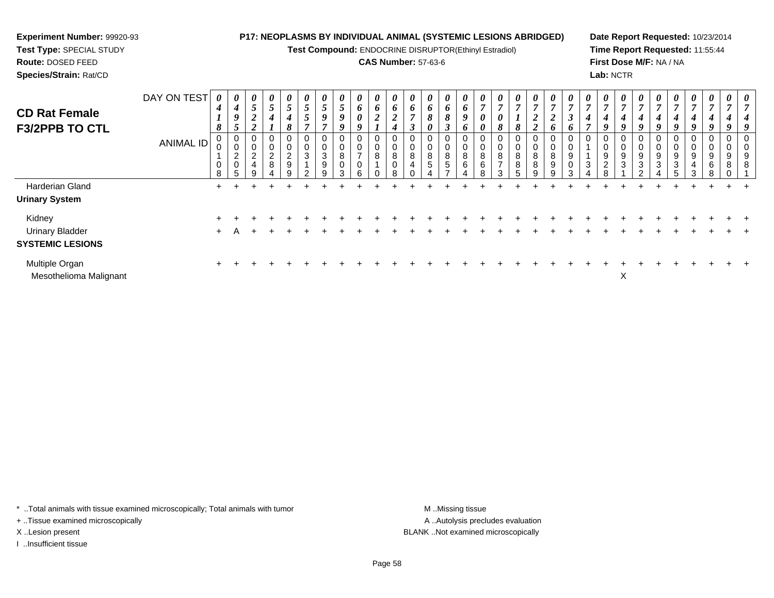**Test Compound:** ENDOCRINE DISRUPTOR(Ethinyl Estradiol)

#### **CAS Number:** 57-63-6

**Date Report Requested:** 10/23/2014**Time Report Requested:** 11:55:44**First Dose M/F:** NA / NA**Lab:** NCTR

| <b>CD Rat Female</b><br><b>F3/2PPB TO CTL</b> | DAY ON TEST      | 4<br>1<br>8 | $\boldsymbol{\theta}$<br>$\boldsymbol{4}$<br>9 | $\boldsymbol{\theta}$<br>$\mathfrak{F}$<br>◠<br>◢<br>◢ | $\boldsymbol{\theta}$<br>5<br>4 | $\boldsymbol{\theta}$<br>5<br>4<br>$\mathbf o$                    | U<br>5<br>$\mathfrak{s}$ | $\boldsymbol{\theta}$<br>5<br>9<br>$\overline{ }$ | $\boldsymbol{\theta}$<br>$5\overline{)}$<br>9<br>9 | $\boldsymbol{\theta}$<br>6<br>$\boldsymbol{\theta}$ | $\boldsymbol{\theta}$<br>6<br>$\boldsymbol{2}$ | U<br>6<br>$\overline{2}$                | $\boldsymbol{\theta}$<br>6<br>$\overline{ }$ | $\theta$<br>6<br>8 | $\boldsymbol{\theta}$<br>6<br>$\mathbf{o}$<br>$\mathbf o$ | U<br>6<br>9<br>$\bm{o}$ | $\boldsymbol{\theta}$<br>$\overline{ }$<br>$\boldsymbol{\theta}$ | $\boldsymbol{\theta}$<br>$\overline{7}$<br>0<br>$\sigma$ | $\boldsymbol{\theta}$<br>$\overline{7}$<br>$\mathbf I$<br>$\mathbf{o}$<br>$\sigma$ | $\frac{\theta}{7}$<br>$\boldsymbol{2}$ | ◢<br>6           | $\boldsymbol{\theta}$<br>$\overline{ }$<br>3<br>$\bm{o}$ | $\boldsymbol{\theta}$<br>$\overline{ }$<br>4 | $\boldsymbol{\theta}$<br>$\overline{7}$<br>$\boldsymbol{4}$<br>9 | $\boldsymbol{\theta}$<br>$\overline{ }$<br>4 | U<br>4 | $\boldsymbol{\theta}$<br>$\mathbf{r}$<br>4<br>O | $\boldsymbol{\theta}$<br>$\overline{7}$<br>4<br>9 | $\boldsymbol{\theta}$<br>$\overline{7}$<br>4<br>9         | $\boldsymbol{\theta}$<br>7<br>4<br>9 | $\theta$<br>$\overline{ }$<br>4 | $\boldsymbol{\theta}$<br>$\overline{\phantom{a}}$<br>4 |
|-----------------------------------------------|------------------|-------------|------------------------------------------------|--------------------------------------------------------|---------------------------------|-------------------------------------------------------------------|--------------------------|---------------------------------------------------|----------------------------------------------------|-----------------------------------------------------|------------------------------------------------|-----------------------------------------|----------------------------------------------|--------------------|-----------------------------------------------------------|-------------------------|------------------------------------------------------------------|----------------------------------------------------------|------------------------------------------------------------------------------------|----------------------------------------|------------------|----------------------------------------------------------|----------------------------------------------|------------------------------------------------------------------|----------------------------------------------|--------|-------------------------------------------------|---------------------------------------------------|-----------------------------------------------------------|--------------------------------------|---------------------------------|--------------------------------------------------------|
|                                               | <b>ANIMAL ID</b> | 0<br>8      | U<br>U<br>$\overline{2}$<br>$\pmb{0}$<br>5     | 0<br>0<br>$\overline{c}$<br>4<br>9                     | 0<br>U<br>$_{\rm 8}^2$          | $\pmb{0}$<br>$\pmb{0}$<br>$\overline{2}$<br>$\boldsymbol{9}$<br>9 | $\mathbf 0$<br>3         | 0<br>0<br>3<br>9                                  | 0<br>0<br>8<br>$\mathbf 0$<br>3                    | 0<br>$\pmb{0}$<br>$\overline{z}$<br>$\pmb{0}$<br>6  | 0<br>0<br>$\,8\,$                              | 0<br>$\pmb{0}$<br>8<br>$\mathbf 0$<br>8 | 0<br>8<br>4                                  | 0<br>0<br>8<br>5   | U<br>$\mathbf 0$<br>8<br>$\sqrt{5}$                       | 0<br>8<br>6             | U<br>0<br>8<br>$\,6$                                             | 0<br>0<br>8<br>$\overline{\phantom{0}}$<br>3             | 8<br>8                                                                             | 0<br>0<br>8<br>8<br>g                  | 0<br>8<br>9<br>9 | $\mathbf 0$<br>$\pmb{0}$<br>9<br>0                       | 0<br>$\mathbf{3}$                            | 0<br>$\pmb{0}$<br>$\boldsymbol{9}$<br>$\sqrt{2}$<br>8            | 9<br>3                                       | 9<br>3 | 0<br>0<br>9<br>3                                | 0<br>0<br>9<br>3<br>5                             | 0<br>$\pmb{0}$<br>$\boldsymbol{9}$<br>$\overline{4}$<br>3 | 0<br>0<br>9<br>6<br>8                | 9<br>$\circ$                    | 9<br>8                                                 |
| Harderian Gland                               |                  | $+$         |                                                |                                                        |                                 |                                                                   |                          |                                                   |                                                    |                                                     |                                                |                                         |                                              |                    |                                                           |                         |                                                                  |                                                          |                                                                                    |                                        |                  |                                                          |                                              |                                                                  |                                              |        |                                                 |                                                   |                                                           |                                      |                                 |                                                        |
| <b>Urinary System</b>                         |                  |             |                                                |                                                        |                                 |                                                                   |                          |                                                   |                                                    |                                                     |                                                |                                         |                                              |                    |                                                           |                         |                                                                  |                                                          |                                                                                    |                                        |                  |                                                          |                                              |                                                                  |                                              |        |                                                 |                                                   |                                                           |                                      |                                 |                                                        |
| Kidney                                        |                  |             |                                                |                                                        |                                 |                                                                   |                          |                                                   |                                                    |                                                     |                                                |                                         |                                              |                    |                                                           |                         |                                                                  |                                                          |                                                                                    |                                        |                  |                                                          |                                              |                                                                  |                                              |        |                                                 |                                                   |                                                           |                                      |                                 |                                                        |
| <b>Urinary Bladder</b>                        |                  | $+$         | А                                              |                                                        |                                 |                                                                   |                          |                                                   |                                                    |                                                     |                                                |                                         |                                              |                    |                                                           |                         |                                                                  |                                                          |                                                                                    |                                        |                  |                                                          |                                              |                                                                  |                                              |        |                                                 |                                                   |                                                           |                                      |                                 |                                                        |
| <b>SYSTEMIC LESIONS</b>                       |                  |             |                                                |                                                        |                                 |                                                                   |                          |                                                   |                                                    |                                                     |                                                |                                         |                                              |                    |                                                           |                         |                                                                  |                                                          |                                                                                    |                                        |                  |                                                          |                                              |                                                                  |                                              |        |                                                 |                                                   |                                                           |                                      |                                 |                                                        |
| Multiple Organ<br>Mesothelioma Malignant      |                  | $\pm$       |                                                |                                                        |                                 |                                                                   |                          |                                                   |                                                    |                                                     |                                                |                                         |                                              |                    |                                                           |                         |                                                                  |                                                          |                                                                                    |                                        |                  |                                                          |                                              |                                                                  | X                                            |        |                                                 |                                                   |                                                           |                                      |                                 |                                                        |

\* ..Total animals with tissue examined microscopically; Total animals with tumor **M** . Missing tissue M ..Missing tissue

+ ..Tissue examined microscopically

**Experiment Number:** 99920-93**Test Type:** SPECIAL STUDY**Route:** DOSED FEED**Species/Strain:** Rat/CD

I ..Insufficient tissue

A ..Autolysis precludes evaluation X ..Lesion present BLANK ..Not examined microscopically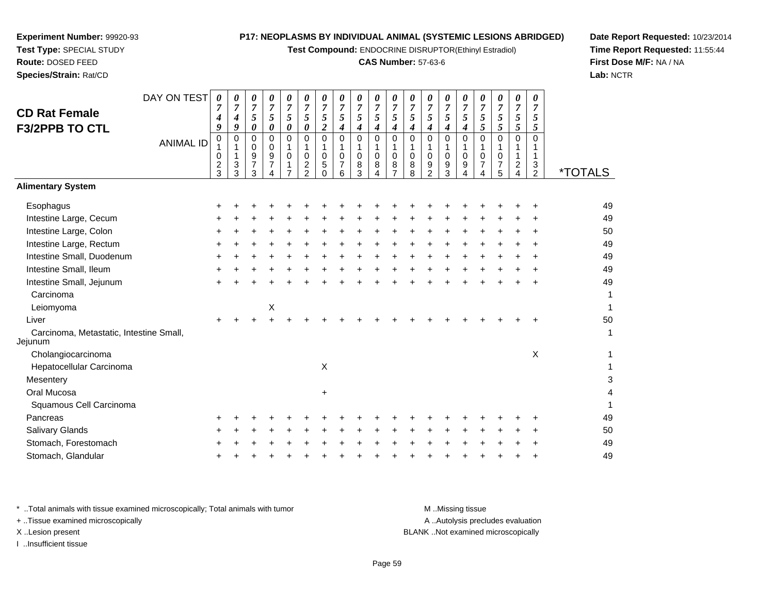**Test Compound:** ENDOCRINE DISRUPTOR(Ethinyl Estradiol)

#### **CAS Number:** 57-63-6

DAY ON TEST*0000000000000000000*

**Date Report Requested:** 10/23/2014**Time Report Requested:** 11:55:44**First Dose M/F:** NA / NA**Lab:** NCTR

 $\overline{4}$ 

| <b>CD Rat Female</b><br><b>F3/2PPB TO CTL</b>      | 7<br>4<br>$\boldsymbol{g}$        | 7<br>$\boldsymbol{4}$<br>9      | 7<br>5<br>$\pmb{\theta}$                               | $\overline{7}$<br>5<br>$\boldsymbol{\theta}$                  | 7<br>$\sqrt{5}$<br>$\boldsymbol{\theta}$     | 7<br>$5\overline{)}$<br>$\boldsymbol{\theta}$             | $\overline{7}$<br>$\mathfrak{s}$<br>$\boldsymbol{2}$ | 7<br>$\mathfrak{s}$<br>$\boldsymbol{4}$   | $\overline{7}$<br>5<br>$\boldsymbol{4}$    | $\overline{7}$<br>$\sqrt{5}$<br>$\boldsymbol{4}$ | 7<br>$\mathfrak{s}$<br>4             | 7<br>$\mathfrak{s}$<br>$\boldsymbol{4}$ | $\overline{7}$<br>5<br>$\boldsymbol{4}$            | 7<br>5<br>$\boldsymbol{4}$   | 7<br>5<br>$\boldsymbol{4}$                       | 7<br>5<br>$5\phantom{.0}$ | $\overline{7}$<br>$\overline{5}$<br>$\sqrt{5}$ | 7<br>5<br>$\sqrt{5}$                                 | 7<br>5<br>5                                     |                       |
|----------------------------------------------------|-----------------------------------|---------------------------------|--------------------------------------------------------|---------------------------------------------------------------|----------------------------------------------|-----------------------------------------------------------|------------------------------------------------------|-------------------------------------------|--------------------------------------------|--------------------------------------------------|--------------------------------------|-----------------------------------------|----------------------------------------------------|------------------------------|--------------------------------------------------|---------------------------|------------------------------------------------|------------------------------------------------------|-------------------------------------------------|-----------------------|
| <b>ANIMAL ID</b>                                   | $\mathbf 0$<br>0<br>$\frac{2}{3}$ | $\mathbf 0$<br>1<br>1<br>3<br>3 | $\mathbf 0$<br>$\mathbf 0$<br>9<br>$\overline{7}$<br>3 | $\mathbf 0$<br>$\mathbf 0$<br>9<br>$\overline{7}$<br>$\Delta$ | 0<br>1<br>$\mathbf 0$<br>1<br>$\overline{7}$ | $\Omega$<br>0<br>$\overline{\mathbf{c}}$<br>$\mathcal{P}$ | $\mathbf 0$<br>1<br>0<br>$\mathbf 5$<br>$\Omega$     | $\mathbf 0$<br>1<br>$\mathbf 0$<br>7<br>6 | $\mathbf 0$<br>$\mathbf{1}$<br>0<br>8<br>3 | 0<br>1<br>$\pmb{0}$<br>8<br>$\overline{4}$       | $\Omega$<br>0<br>8<br>$\overline{7}$ | $\Omega$<br>$\mathbf{1}$<br>0<br>8<br>8 | $\Omega$<br>1<br>$\mathbf 0$<br>9<br>$\mathcal{P}$ | $\Omega$<br>1<br>0<br>9<br>3 | $\mathbf 0$<br>1<br>$\mathbf 0$<br>9<br>$\Delta$ | $\Omega$<br>0<br>7        | $\mathbf 0$<br>$\mathbf{1}$<br>0<br>7<br>5     | $\Omega$<br>1<br>$\mathbf{1}$<br>$\overline{c}$<br>4 | $\Omega$<br>$\mathbf{1}$<br>3<br>$\overline{2}$ | <i><b>*TOTALS</b></i> |
| <b>Alimentary System</b>                           |                                   |                                 |                                                        |                                                               |                                              |                                                           |                                                      |                                           |                                            |                                                  |                                      |                                         |                                                    |                              |                                                  |                           |                                                |                                                      |                                                 |                       |
| Esophagus                                          |                                   |                                 |                                                        |                                                               |                                              |                                                           |                                                      |                                           |                                            |                                                  |                                      |                                         |                                                    |                              |                                                  |                           |                                                |                                                      |                                                 | 49                    |
| Intestine Large, Cecum                             |                                   |                                 |                                                        |                                                               |                                              |                                                           |                                                      |                                           |                                            |                                                  |                                      |                                         |                                                    |                              |                                                  |                           |                                                |                                                      |                                                 | 49                    |
| Intestine Large, Colon                             | ٠                                 |                                 |                                                        |                                                               |                                              |                                                           |                                                      |                                           |                                            |                                                  |                                      |                                         |                                                    |                              |                                                  |                           |                                                |                                                      |                                                 | 50                    |
| Intestine Large, Rectum                            |                                   |                                 |                                                        |                                                               |                                              |                                                           |                                                      |                                           |                                            |                                                  |                                      |                                         |                                                    |                              |                                                  |                           |                                                |                                                      |                                                 | 49                    |
| Intestine Small, Duodenum                          | +                                 |                                 |                                                        |                                                               |                                              |                                                           |                                                      |                                           |                                            |                                                  |                                      |                                         |                                                    |                              |                                                  |                           |                                                |                                                      |                                                 | 49                    |
| Intestine Small, Ileum                             |                                   |                                 |                                                        |                                                               |                                              |                                                           |                                                      |                                           |                                            |                                                  |                                      |                                         |                                                    |                              |                                                  |                           |                                                |                                                      |                                                 | 49                    |
| Intestine Small, Jejunum                           |                                   |                                 |                                                        |                                                               |                                              |                                                           |                                                      |                                           |                                            |                                                  |                                      |                                         |                                                    |                              |                                                  |                           |                                                |                                                      |                                                 | 49                    |
| Carcinoma                                          |                                   |                                 |                                                        |                                                               |                                              |                                                           |                                                      |                                           |                                            |                                                  |                                      |                                         |                                                    |                              |                                                  |                           |                                                |                                                      |                                                 | 1                     |
| Leiomyoma                                          |                                   |                                 |                                                        | Χ                                                             |                                              |                                                           |                                                      |                                           |                                            |                                                  |                                      |                                         |                                                    |                              |                                                  |                           |                                                |                                                      |                                                 | 1                     |
| Liver                                              |                                   |                                 |                                                        |                                                               |                                              |                                                           |                                                      |                                           |                                            |                                                  |                                      |                                         |                                                    |                              |                                                  |                           |                                                |                                                      |                                                 | 50                    |
| Carcinoma, Metastatic, Intestine Small,<br>Jejunum |                                   |                                 |                                                        |                                                               |                                              |                                                           |                                                      |                                           |                                            |                                                  |                                      |                                         |                                                    |                              |                                                  |                           |                                                |                                                      |                                                 | 1                     |
| Cholangiocarcinoma                                 |                                   |                                 |                                                        |                                                               |                                              |                                                           |                                                      |                                           |                                            |                                                  |                                      |                                         |                                                    |                              |                                                  |                           |                                                |                                                      | X                                               | 1                     |
| Hepatocellular Carcinoma                           |                                   |                                 |                                                        |                                                               |                                              |                                                           | $\times$                                             |                                           |                                            |                                                  |                                      |                                         |                                                    |                              |                                                  |                           |                                                |                                                      |                                                 | 1                     |
| Mesentery                                          |                                   |                                 |                                                        |                                                               |                                              |                                                           |                                                      |                                           |                                            |                                                  |                                      |                                         |                                                    |                              |                                                  |                           |                                                |                                                      |                                                 | 3                     |
| Oral Mucosa                                        |                                   |                                 |                                                        |                                                               |                                              |                                                           | $\ddot{}$                                            |                                           |                                            |                                                  |                                      |                                         |                                                    |                              |                                                  |                           |                                                |                                                      |                                                 | 4                     |
| Squamous Cell Carcinoma                            |                                   |                                 |                                                        |                                                               |                                              |                                                           |                                                      |                                           |                                            |                                                  |                                      |                                         |                                                    |                              |                                                  |                           |                                                |                                                      |                                                 |                       |
| Pancreas                                           |                                   |                                 |                                                        |                                                               |                                              |                                                           |                                                      |                                           |                                            |                                                  |                                      |                                         |                                                    |                              |                                                  |                           |                                                |                                                      |                                                 | 49                    |
| <b>Salivary Glands</b>                             |                                   |                                 |                                                        |                                                               |                                              |                                                           |                                                      |                                           |                                            |                                                  |                                      |                                         |                                                    |                              |                                                  |                           |                                                |                                                      |                                                 | 50                    |
| Stomach, Forestomach                               |                                   |                                 |                                                        |                                                               |                                              |                                                           |                                                      |                                           |                                            |                                                  |                                      |                                         |                                                    |                              |                                                  |                           |                                                |                                                      |                                                 | 49                    |
| Stomach, Glandular                                 |                                   |                                 |                                                        |                                                               |                                              |                                                           |                                                      |                                           |                                            |                                                  |                                      |                                         |                                                    |                              |                                                  |                           |                                                |                                                      |                                                 | 49                    |
|                                                    |                                   |                                 |                                                        |                                                               |                                              |                                                           |                                                      |                                           |                                            |                                                  |                                      |                                         |                                                    |                              |                                                  |                           |                                                |                                                      |                                                 |                       |

**Experiment Number:** 99920-93**Test Type:** SPECIAL STUDY**Route:** DOSED FEED**Species/Strain:** Rat/CD

\* ..Total animals with tissue examined microscopically; Total animals with tumor **M** ...Missing tissue M ...Missing tissue A .. Autolysis precludes evaluation + ..Tissue examined microscopically X ..Lesion present BLANK ..Not examined microscopicallyI ..Insufficient tissue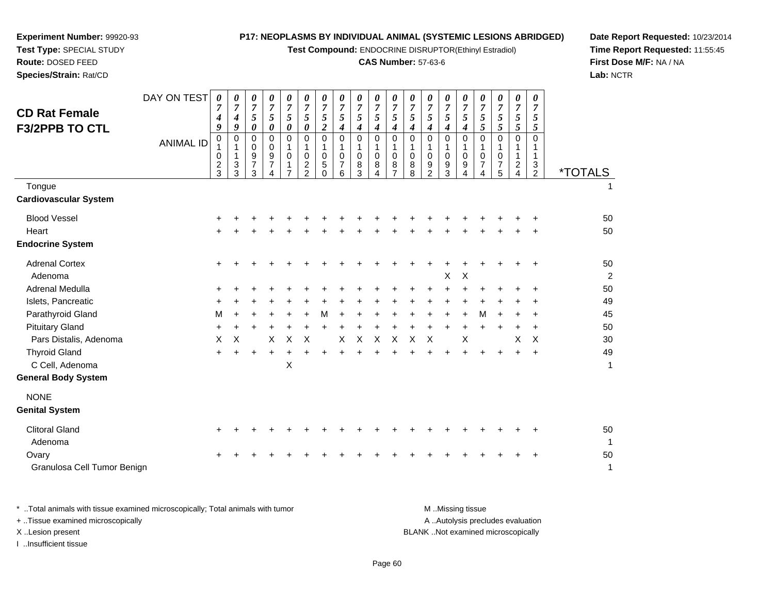**Test Compound:** ENDOCRINE DISRUPTOR(Ethinyl Estradiol)

## **CAS Number:** 57-63-6

**Date Report Requested:** 10/23/2014**Time Report Requested:** 11:55:45**First Dose M/F:** NA / NA**Lab:** NCTR

| 0<br>$\pmb{\theta}$<br>0<br>0<br>0<br>0<br>0<br>$\boldsymbol{7}$<br>$\overline{7}$<br>$\overline{7}$<br>$\overline{7}$<br>$\overline{7}$<br>$\overline{7}$<br>$\overline{7}$<br>5<br>5<br>5<br>5<br>5<br>$\mathfrak{s}$<br>5<br>$\boldsymbol{2}$<br>$\boldsymbol{4}$<br>4<br>$\boldsymbol{4}$<br>0<br>$\boldsymbol{4}$<br>$\boldsymbol{4}$<br>$\overline{0}$<br>$\Omega$<br>$\mathbf 0$<br>$\pmb{0}$<br>$\mathbf 0$<br>$\mathbf 0$<br>$\mathbf 0$<br>1<br>$\mathbf{1}$<br>1<br>1<br>1<br>1<br>1<br>$\mathbf 0$<br>0<br>$\mathbf 0$<br>$\mathbf 0$<br>$\mathbf 0$<br>0<br>0<br>$\overline{7}$<br>8<br>8<br>8<br>$\overline{2}$<br>5<br>8<br>$\mathfrak{p}$<br>3<br>8<br>6<br>$\overline{7}$<br>$\Omega$<br>4 | $\boldsymbol{\theta}$<br>0<br>$\boldsymbol{\theta}$<br>0<br>0<br>0<br>0<br>$\overline{7}$<br>$\overline{7}$<br>$\overline{7}$<br>$\overline{7}$<br>$\boldsymbol{7}$<br>$\overline{7}$<br>7<br>5<br>5<br>5<br>5<br>5<br>5<br>5<br>$\sqrt{5}$<br>5<br>$\mathfrak{s}$<br>$\boldsymbol{4}$<br>5<br>$\boldsymbol{4}$<br>4<br>$\mathbf 0$<br>$\mathbf 0$<br>$\mathbf 0$<br>$\pmb{0}$<br>$\mathbf 0$<br>0<br>0<br>1<br>1<br>1<br>-1<br>1<br>1<br>$\mathbf 0$<br>$\mathbf 0$<br>0<br>0<br>1<br>$\mathbf{1}$<br>0<br>9<br>9<br>$9\,$<br>$\overline{7}$<br>$\overline{7}$<br>$\overline{c}$<br>$\mathbf{3}$<br><i><b>*TOTALS</b></i><br>5<br>$\overline{2}$<br>3<br>$\overline{2}$<br>4<br>4<br>4 |
|-------------------------------------------------------------------------------------------------------------------------------------------------------------------------------------------------------------------------------------------------------------------------------------------------------------------------------------------------------------------------------------------------------------------------------------------------------------------------------------------------------------------------------------------------------------------------------------------------------------------------------------------------------------------------------------------------------------|-----------------------------------------------------------------------------------------------------------------------------------------------------------------------------------------------------------------------------------------------------------------------------------------------------------------------------------------------------------------------------------------------------------------------------------------------------------------------------------------------------------------------------------------------------------------------------------------------------------------------------------------------------------------------------------------|
|                                                                                                                                                                                                                                                                                                                                                                                                                                                                                                                                                                                                                                                                                                             |                                                                                                                                                                                                                                                                                                                                                                                                                                                                                                                                                                                                                                                                                         |
|                                                                                                                                                                                                                                                                                                                                                                                                                                                                                                                                                                                                                                                                                                             |                                                                                                                                                                                                                                                                                                                                                                                                                                                                                                                                                                                                                                                                                         |
|                                                                                                                                                                                                                                                                                                                                                                                                                                                                                                                                                                                                                                                                                                             |                                                                                                                                                                                                                                                                                                                                                                                                                                                                                                                                                                                                                                                                                         |
|                                                                                                                                                                                                                                                                                                                                                                                                                                                                                                                                                                                                                                                                                                             | 50<br>+<br>50                                                                                                                                                                                                                                                                                                                                                                                                                                                                                                                                                                                                                                                                           |
|                                                                                                                                                                                                                                                                                                                                                                                                                                                                                                                                                                                                                                                                                                             | 50<br>Χ<br>X                                                                                                                                                                                                                                                                                                                                                                                                                                                                                                                                                                                                                                                                            |
|                                                                                                                                                                                                                                                                                                                                                                                                                                                                                                                                                                                                                                                                                                             | 50<br>$\ddot{}$<br>$\ddot{}$<br>+                                                                                                                                                                                                                                                                                                                                                                                                                                                                                                                                                                                                                                                       |
| +<br>+<br>М<br>$\ddot{}$                                                                                                                                                                                                                                                                                                                                                                                                                                                                                                                                                                                                                                                                                    | 49<br>+<br>$\ddot{}$<br>$\ddot{}$<br>45<br>M<br>$\ddot{}$<br>$\ddot{}$<br>$\ddot{}$<br>$\ddot{}$                                                                                                                                                                                                                                                                                                                                                                                                                                                                                                                                                                                        |
| $\ddot{}$<br>$\ddot{}$                                                                                                                                                                                                                                                                                                                                                                                                                                                                                                                                                                                                                                                                                      | 50<br>$\ddot{}$<br>$\ddot{}$<br>$\ddot{}$<br>$\ddot{}$<br>$\ddot{}$                                                                                                                                                                                                                                                                                                                                                                                                                                                                                                                                                                                                                     |
| $\boldsymbol{\mathsf{X}}$<br>$\boldsymbol{\mathsf{X}}$<br>$\pmb{\times}$<br>$\times$<br>$\boldsymbol{\mathsf{X}}$<br>$\boldsymbol{\mathsf{X}}$                                                                                                                                                                                                                                                                                                                                                                                                                                                                                                                                                              | $\mathsf X$<br>Χ<br>$\boldsymbol{\mathsf{X}}$<br>30<br>X                                                                                                                                                                                                                                                                                                                                                                                                                                                                                                                                                                                                                                |
| $\ddot{}$<br>$\ddot{}$<br>+<br>$\div$<br>$\pm$<br>$\ddot{}$                                                                                                                                                                                                                                                                                                                                                                                                                                                                                                                                                                                                                                                 | 49<br>$\ddot{}$<br>$\ddot{}$<br>$\ddot{}$<br>$\ddot{}$<br>÷<br>$\ddot{}$<br>$\ddot{}$                                                                                                                                                                                                                                                                                                                                                                                                                                                                                                                                                                                                   |
|                                                                                                                                                                                                                                                                                                                                                                                                                                                                                                                                                                                                                                                                                                             |                                                                                                                                                                                                                                                                                                                                                                                                                                                                                                                                                                                                                                                                                         |
|                                                                                                                                                                                                                                                                                                                                                                                                                                                                                                                                                                                                                                                                                                             | 50<br>÷                                                                                                                                                                                                                                                                                                                                                                                                                                                                                                                                                                                                                                                                                 |
|                                                                                                                                                                                                                                                                                                                                                                                                                                                                                                                                                                                                                                                                                                             |                                                                                                                                                                                                                                                                                                                                                                                                                                                                                                                                                                                                                                                                                         |
|                                                                                                                                                                                                                                                                                                                                                                                                                                                                                                                                                                                                                                                                                                             |                                                                                                                                                                                                                                                                                                                                                                                                                                                                                                                                                                                                                                                                                         |

**Experiment Number:** 99920-93**Test Type:** SPECIAL STUDY**Route:** DOSED FEED

\* ..Total animals with tissue examined microscopically; Total animals with tumor **M** ...Missing tissue M ...Missing tissue A ..Autolysis precludes evaluation + ..Tissue examined microscopically X ..Lesion present BLANK ..Not examined microscopicallyI ..Insufficient tissue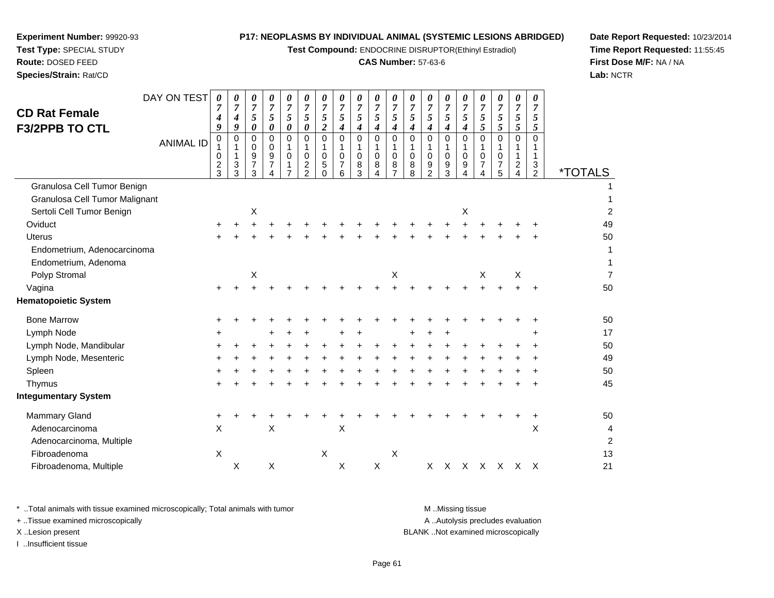**Test Compound:** ENDOCRINE DISRUPTOR(Ethinyl Estradiol)

#### **CAS Number:** 57-63-6

 $X$  2

*0*

<sup>2</sup> \*TOTALS

 $\overline{2}$ 

*7 5 5*

**Date Report Requested:** 10/23/2014**Time Report Requested:** 11:55:45**First Dose M/F:** NA / NA**Lab:** NCTR

| Oviduct                                                                        | ٠                         |   |   |                           |   |                           |          |   |             |   |           |           |                  |           |           |     |                                   | 49             |
|--------------------------------------------------------------------------------|---------------------------|---|---|---------------------------|---|---------------------------|----------|---|-------------|---|-----------|-----------|------------------|-----------|-----------|-----|-----------------------------------|----------------|
| Uterus                                                                         | +                         |   |   |                           |   |                           |          |   |             |   |           |           |                  |           |           |     |                                   | 50             |
| Endometrium, Adenocarcinoma                                                    |                           |   |   |                           |   |                           |          |   |             |   |           |           |                  |           |           |     |                                   | 1              |
| Endometrium, Adenoma                                                           |                           |   |   |                           |   |                           |          |   |             |   |           |           |                  |           |           |     |                                   | 1              |
| Polyp Stromal                                                                  |                           |   | X |                           |   |                           |          |   |             | X |           |           |                  | X         |           | X   |                                   | 7              |
| Vagina                                                                         | $\ddot{}$                 | ÷ | + |                           |   |                           |          |   |             | ÷ |           |           |                  | $+$       | $\ddot{}$ | $+$ | $+$                               | 50             |
| <b>Hematopoietic System</b>                                                    |                           |   |   |                           |   |                           |          |   |             |   |           |           |                  |           |           |     |                                   |                |
| <b>Bone Marrow</b>                                                             | ٠                         |   |   |                           |   |                           |          |   |             |   |           |           |                  |           |           |     | ÷                                 | 50             |
| Lymph Node                                                                     | $\ddot{}$                 |   |   | $\ddot{}$                 | + |                           | $\pm$    | ÷ |             |   | $\ddot{}$ | $\ddot{}$ |                  |           |           |     | ÷                                 | 17             |
| Lymph Node, Mandibular                                                         | +                         |   |   |                           |   |                           |          |   |             |   |           |           |                  |           |           |     | $\ddot{}$                         | 50             |
| Lymph Node, Mesenteric                                                         | ÷                         |   |   |                           |   |                           |          |   |             |   |           |           |                  |           |           |     |                                   | 49             |
| Spleen                                                                         | ٠                         |   |   |                           |   |                           |          |   |             |   |           |           |                  |           |           |     |                                   | 50             |
| Thymus                                                                         | +                         |   |   |                           |   |                           |          |   |             |   |           |           |                  |           |           |     |                                   | 45             |
| <b>Integumentary System</b>                                                    |                           |   |   |                           |   |                           |          |   |             |   |           |           |                  |           |           |     |                                   |                |
| <b>Mammary Gland</b>                                                           | $\ddot{}$                 |   |   |                           |   |                           |          |   |             |   |           |           |                  |           |           |     | $\ddot{}$                         | 50             |
| Adenocarcinoma                                                                 | X                         |   |   | $\boldsymbol{\mathsf{X}}$ |   |                           | $\times$ |   |             |   |           |           |                  |           |           |     | X                                 | 4              |
| Adenocarcinoma, Multiple                                                       |                           |   |   |                           |   |                           |          |   |             |   |           |           |                  |           |           |     |                                   | $\overline{c}$ |
| Fibroadenoma                                                                   | $\boldsymbol{\mathsf{X}}$ |   |   |                           |   | $\boldsymbol{\mathsf{X}}$ |          |   |             | Χ |           |           |                  |           |           |     |                                   | 13             |
| Fibroadenoma, Multiple                                                         |                           | X |   | $\mathsf X$               |   |                           | X        |   | $\mathsf X$ |   |           |           |                  | X X X X X |           | X X |                                   | 21             |
| * Total animals with tissue examined microscopically; Total animals with tumor |                           |   |   |                           |   |                           |          |   |             |   |           |           | M Missing tissue |           |           |     |                                   |                |
| + Tissue examined microscopically                                              |                           |   |   |                           |   |                           |          |   |             |   |           |           |                  |           |           |     | A  Autolysis precludes evaluation |                |

X ..Lesion present BLANK ..Not examined microscopically

I ..Insufficient tissue



Granulosa Cell Tumor Benign

Sertoli Cell Tumor Benign

Granulosa Cell Tumor Malignant

**CD Rat FemaleF3/2PPB TO CTL**

Oviduct

DAY ON TEST

*0 7 5*

n the contract of  $\sim$  1

t de la construction de la construction de la construction de la construction de la construction de la construction<br>La construction de la construction de la construction de la construction de la construction de la construc

0 8 3

 *0*0 1

0 1 7

1 3 3

0 2 3

ANIMAL ID

 $\mathsf{R}$  x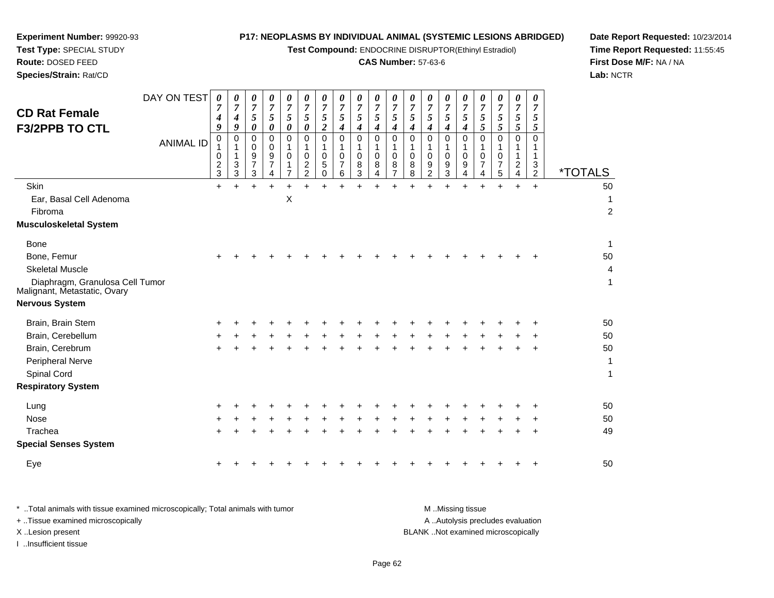**Test Compound:** ENDOCRINE DISRUPTOR(Ethinyl Estradiol)

#### **CAS Number:** 57-63-6

**Date Report Requested:** 10/23/2014**Time Report Requested:** 11:55:45**First Dose M/F:** NA / NA**Lab:** NCTR

| <b>CD Rat Female</b><br><b>F3/2PPB TO CTL</b>                        | DAY ON TEST<br><b>ANIMAL ID</b> | 0<br>$\overline{7}$<br>4<br>9<br>0<br>0<br>$\overline{\mathbf{c}}$ | 0<br>$\overline{7}$<br>$\boldsymbol{4}$<br>9<br>$\mathbf 0$<br>$\mathbf{1}$<br>$\mathbf{3}$ | 0<br>$\overline{7}$<br>5<br>0<br>0<br>0<br>$\boldsymbol{9}$<br>$\overline{7}$ | 0<br>$\overline{7}$<br>5<br>0<br>0<br>0<br>9<br>$\overline{7}$ | 0<br>$\overline{7}$<br>5<br>0<br>$\Omega$<br>1<br>$\Omega$ | 0<br>$\overline{7}$<br>$\mathfrak{F}$<br>0<br>$\Omega$<br>$\mathbf 0$<br>$\overline{c}$ | 0<br>$\overline{7}$<br>5<br>$\boldsymbol{2}$<br>$\Omega$<br>$\mathbf{1}$<br>$\mathbf 0$<br>5 | 0<br>$\overline{7}$<br>$\sqrt{5}$<br>4<br>$\Omega$<br>1<br>$\mathbf 0$<br>$\overline{7}$ | 0<br>$\overline{7}$<br>5<br>4<br>$\Omega$<br>$\mathbf{1}$<br>$\mathbf 0$<br>8 | 0<br>7<br>5<br>4<br>$\Omega$<br>1<br>$\pmb{0}$<br>8 | 0<br>$\overline{7}$<br>$\mathfrak{s}$<br>4<br>0<br>1<br>$\mathbf 0$<br>8 | 0<br>$\overline{7}$<br>$\mathfrak{s}$<br>4<br>$\Omega$<br>1<br>$\mathbf 0$<br>8 | 0<br>$\overline{7}$<br>5<br>$\boldsymbol{4}$<br>$\Omega$<br>1<br>$\mathbf 0$<br>9 | 0<br>$\overline{7}$<br>5<br>$\boldsymbol{4}$<br>$\Omega$<br>1<br>$\Omega$<br>9 | 0<br>7<br>5<br>4<br>$\Omega$<br>$\Omega$<br>9 | 0<br>$\overline{7}$<br>$\mathfrak{s}$<br>5<br>$\Omega$<br>-1<br>$\mathbf 0$<br>$\overline{7}$ | 0<br>$\overline{7}$<br>5<br>5<br>$\Omega$<br>1<br>$\mathbf 0$<br>$\overline{7}$ | 0<br>$\overline{7}$<br>5<br>5<br>0<br>1<br>1<br>$\overline{c}$ | 0<br>$\overline{7}$<br>5<br>5<br>0<br>1<br>$\mathbf{1}$<br>3 |                           |
|----------------------------------------------------------------------|---------------------------------|--------------------------------------------------------------------|---------------------------------------------------------------------------------------------|-------------------------------------------------------------------------------|----------------------------------------------------------------|------------------------------------------------------------|-----------------------------------------------------------------------------------------|----------------------------------------------------------------------------------------------|------------------------------------------------------------------------------------------|-------------------------------------------------------------------------------|-----------------------------------------------------|--------------------------------------------------------------------------|---------------------------------------------------------------------------------|-----------------------------------------------------------------------------------|--------------------------------------------------------------------------------|-----------------------------------------------|-----------------------------------------------------------------------------------------------|---------------------------------------------------------------------------------|----------------------------------------------------------------|--------------------------------------------------------------|---------------------------|
|                                                                      |                                 | 3                                                                  | 3                                                                                           | 3                                                                             |                                                                | 7                                                          | 2                                                                                       | $\Omega$                                                                                     | 6                                                                                        | 3                                                                             | 4                                                   |                                                                          | 8                                                                               | 2                                                                                 | 3                                                                              | 4                                             | 4                                                                                             | 5                                                                               | 4                                                              | $\overline{2}$                                               | <i><b>*TOTALS</b></i>     |
| Skin<br>Ear, Basal Cell Adenoma<br>Fibroma<br>Musculoskeletal System |                                 | $\ddot{}$                                                          | +                                                                                           | $\ddot{}$                                                                     | $\ddot{}$                                                      | $\ddot{}$<br>$\pmb{\times}$                                |                                                                                         | ÷                                                                                            | $\ddot{}$                                                                                | $\ddot{}$                                                                     | $\ddot{}$                                           |                                                                          |                                                                                 | $\ddot{}$                                                                         | $\ddot{}$                                                                      |                                               | +                                                                                             | $\ddot{}$                                                                       | $\ddot{}$                                                      | $\ddot{}$                                                    | 50<br>1<br>$\overline{a}$ |
| <b>Bone</b>                                                          |                                 |                                                                    |                                                                                             |                                                                               |                                                                |                                                            |                                                                                         |                                                                                              |                                                                                          |                                                                               |                                                     |                                                                          |                                                                                 |                                                                                   |                                                                                |                                               |                                                                                               |                                                                                 |                                                                |                                                              | $\mathbf 1$               |
| Bone, Femur<br><b>Skeletal Muscle</b>                                |                                 |                                                                    |                                                                                             |                                                                               |                                                                |                                                            |                                                                                         |                                                                                              |                                                                                          |                                                                               |                                                     |                                                                          |                                                                                 |                                                                                   |                                                                                |                                               |                                                                                               |                                                                                 |                                                                |                                                              | 50<br>4                   |
| Diaphragm, Granulosa Cell Tumor<br>Malignant, Metastatic, Ovary      |                                 |                                                                    |                                                                                             |                                                                               |                                                                |                                                            |                                                                                         |                                                                                              |                                                                                          |                                                                               |                                                     |                                                                          |                                                                                 |                                                                                   |                                                                                |                                               |                                                                                               |                                                                                 |                                                                |                                                              | $\mathbf 1$               |
| Nervous System                                                       |                                 |                                                                    |                                                                                             |                                                                               |                                                                |                                                            |                                                                                         |                                                                                              |                                                                                          |                                                                               |                                                     |                                                                          |                                                                                 |                                                                                   |                                                                                |                                               |                                                                                               |                                                                                 |                                                                |                                                              |                           |
| Brain, Brain Stem                                                    |                                 |                                                                    |                                                                                             |                                                                               |                                                                |                                                            |                                                                                         |                                                                                              |                                                                                          |                                                                               |                                                     |                                                                          |                                                                                 |                                                                                   |                                                                                |                                               |                                                                                               |                                                                                 |                                                                |                                                              | 50                        |
| Brain, Cerebellum                                                    |                                 |                                                                    |                                                                                             |                                                                               |                                                                |                                                            |                                                                                         |                                                                                              |                                                                                          |                                                                               |                                                     |                                                                          |                                                                                 |                                                                                   |                                                                                |                                               |                                                                                               |                                                                                 |                                                                |                                                              | 50                        |
| Brain, Cerebrum                                                      |                                 |                                                                    |                                                                                             |                                                                               |                                                                |                                                            |                                                                                         |                                                                                              |                                                                                          |                                                                               |                                                     |                                                                          |                                                                                 |                                                                                   |                                                                                |                                               |                                                                                               |                                                                                 |                                                                | ÷                                                            | 50                        |
| Peripheral Nerve<br>Spinal Cord                                      |                                 |                                                                    |                                                                                             |                                                                               |                                                                |                                                            |                                                                                         |                                                                                              |                                                                                          |                                                                               |                                                     |                                                                          |                                                                                 |                                                                                   |                                                                                |                                               |                                                                                               |                                                                                 |                                                                |                                                              | $\mathbf 1$<br>1          |
| <b>Respiratory System</b>                                            |                                 |                                                                    |                                                                                             |                                                                               |                                                                |                                                            |                                                                                         |                                                                                              |                                                                                          |                                                                               |                                                     |                                                                          |                                                                                 |                                                                                   |                                                                                |                                               |                                                                                               |                                                                                 |                                                                |                                                              |                           |
| Lung                                                                 |                                 |                                                                    |                                                                                             |                                                                               |                                                                |                                                            |                                                                                         |                                                                                              |                                                                                          |                                                                               |                                                     |                                                                          |                                                                                 |                                                                                   |                                                                                |                                               |                                                                                               |                                                                                 |                                                                |                                                              | 50                        |
| Nose                                                                 |                                 |                                                                    |                                                                                             |                                                                               |                                                                |                                                            |                                                                                         |                                                                                              |                                                                                          |                                                                               |                                                     |                                                                          |                                                                                 |                                                                                   |                                                                                |                                               |                                                                                               |                                                                                 |                                                                |                                                              | 50                        |
| Trachea                                                              |                                 | ÷                                                                  |                                                                                             |                                                                               |                                                                |                                                            |                                                                                         |                                                                                              |                                                                                          |                                                                               |                                                     |                                                                          |                                                                                 |                                                                                   |                                                                                |                                               |                                                                                               |                                                                                 | ٠                                                              | $\ddot{}$                                                    | 49                        |
| <b>Special Senses System</b>                                         |                                 |                                                                    |                                                                                             |                                                                               |                                                                |                                                            |                                                                                         |                                                                                              |                                                                                          |                                                                               |                                                     |                                                                          |                                                                                 |                                                                                   |                                                                                |                                               |                                                                                               |                                                                                 |                                                                |                                                              |                           |
| Eye                                                                  |                                 | ٠                                                                  |                                                                                             |                                                                               |                                                                |                                                            |                                                                                         |                                                                                              |                                                                                          |                                                                               |                                                     |                                                                          |                                                                                 |                                                                                   |                                                                                |                                               |                                                                                               |                                                                                 |                                                                |                                                              | 50                        |

**Experiment Number:** 99920-93**Test Type:** SPECIAL STUDY**Route:** DOSED FEED**Species/Strain:** Rat/CD

\* ..Total animals with tissue examined microscopically; Total animals with tumor **M** . Missing tissue M ..Missing tissue A ..Autolysis precludes evaluation + ..Tissue examined microscopically X ..Lesion present BLANK ..Not examined microscopicallyI ..Insufficient tissue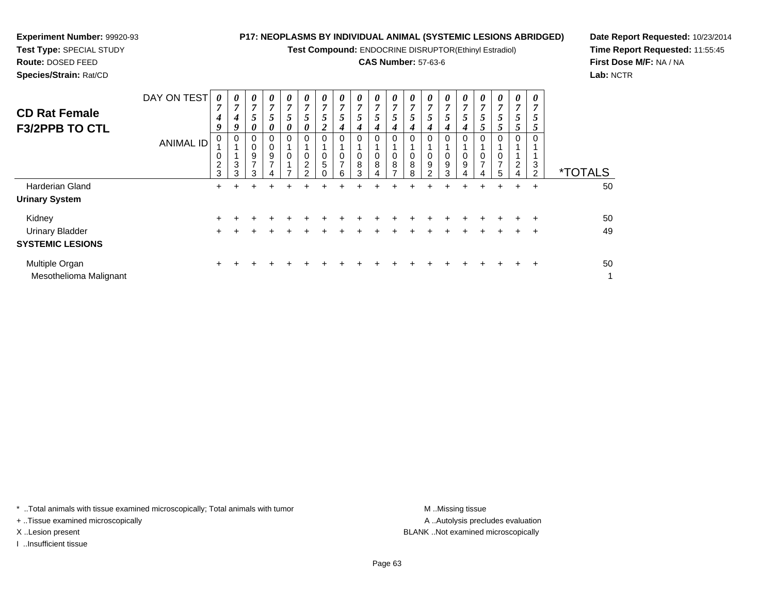**Test Compound:** ENDOCRINE DISRUPTOR(Ethinyl Estradiol)

## **CAS Number:** 57-63-6

**Date Report Requested:** 10/23/2014**Time Report Requested:** 11:55:45**First Dose M/F:** NA / NA**Lab:** NCTR

| Species/Strain: Rat/CD                          |             |                  |                    |                  |                                                |             |                                      |                                 |                            |                                 |                         |                            |                  |                             |                              |                  |               |  |
|-------------------------------------------------|-------------|------------------|--------------------|------------------|------------------------------------------------|-------------|--------------------------------------|---------------------------------|----------------------------|---------------------------------|-------------------------|----------------------------|------------------|-----------------------------|------------------------------|------------------|---------------|--|
| <b>CD Rat Female</b><br><b>F3/2PPB TO CTL</b>   | DAY ON TEST | 0<br>4<br>q      | 0<br>,<br>4<br>9   | 0<br>7<br>0      | $\boldsymbol{\theta}$<br>$\boldsymbol{\theta}$ | 0<br>,<br>0 | $\boldsymbol{\theta}$<br>7<br>5<br>0 | $\boldsymbol{\theta}$<br>7<br>2 | $\boldsymbol{\theta}$<br>4 | $\boldsymbol{\theta}$<br>~<br>4 | 0<br>7<br>5<br>4        | $\boldsymbol{\theta}$<br>7 | O<br>7<br>4      | 0<br>7<br>$\mathbf{A}$<br>4 | 0<br>7<br>$\mathcal{L}$<br>4 | 0<br>7<br>5<br>4 | 0             |  |
|                                                 | ANIMAL ID   | 0<br>O<br>ົ<br>3 | $\Omega$<br>3<br>3 | 0<br>0<br>9<br>3 | 9<br>4                                         | 0<br>0      | 0<br>$\Omega$<br>2<br>っ              | $\Omega$<br>0<br>5              | 0<br>0<br>6                | 0<br>0<br>8<br>3                | $\Omega$<br>0<br>8<br>4 | 0<br>0<br>8                | 0<br>0<br>8<br>8 | 0<br>0<br>9<br>2            | 0<br>0<br>9<br>3             | 0<br>0<br>9<br>4 | $\Omega$<br>4 |  |
| <b>Harderian Gland</b><br><b>Urinary System</b> |             |                  |                    |                  |                                                |             |                                      |                                 |                            |                                 |                         |                            |                  |                             |                              |                  |               |  |

| <b>Harderian Gland</b>  | $+$ |         |         |     |         | $+$ | $+$         | $+$         | $+$ | $+$ $-$             |                   | $+ + +$ | $+$ | $+$ | $+ + +$ | 50 |
|-------------------------|-----|---------|---------|-----|---------|-----|-------------|-------------|-----|---------------------|-------------------|---------|-----|-----|---------|----|
| <b>Urinary System</b>   |     |         |         |     |         |     |             |             |     |                     |                   |         |     |     |         |    |
| Kidney                  |     | $+$ $+$ |         |     |         |     |             | + + + + +   |     |                     | + + + + + + + + + |         |     |     |         | 50 |
| <b>Urinary Bladder</b>  |     | $+$ $+$ | $+$ $-$ | $+$ | $+$ $-$ |     |             | $+$ $+$ $+$ | $+$ |                     | + + + + + + + + + |         |     |     |         | 49 |
| <b>SYSTEMIC LESIONS</b> |     |         |         |     |         |     |             |             |     |                     |                   |         |     |     |         |    |
| Multiple Organ          |     | $+$ $+$ |         |     |         |     | $+$ $+$ $+$ |             |     | + + + + + + + + + + |                   |         |     |     |         | 50 |
| Mesothelioma Malignant  |     |         |         |     |         |     |             |             |     |                     |                   |         |     |     |         | 1  |

\* ..Total animals with tissue examined microscopically; Total animals with tumor

+ ..Tissue examined microscopically

**Experiment Number:** 99920-93**Test Type:** SPECIAL STUDY**Route:** DOSED FEED

I ..Insufficient tissue

A ..Autolysis precludes evaluation X ..Lesion present BLANK ..Not examined microscopically

501075

\*TOTALS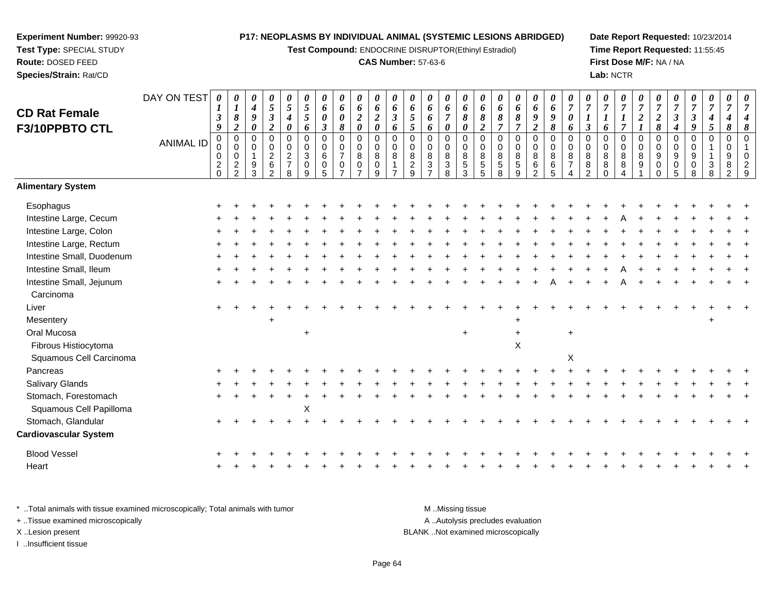**Test Compound:** ENDOCRINE DISRUPTOR(Ethinyl Estradiol)

#### **CAS Number:** 57-63-6

**Date Report Requested:** 10/23/2014**Time Report Requested:** 11:55:45**First Dose M/F:** NA / NA**Lab:** NCTR

#### DAY ON TEST**CD Rat Female F3/10PPBTO CTL**ANIMAL ID*0 1 3 9* 0 0 0 2 0*0 1 8 2* 0 0 0 2 2*0 4 9 0* 0 0 1 9 3*0 5 3 2* 0 0 2 6 2*0 5 4 0* 0 0 2 7 8*0 5 5 6* 0 0 3 0 9*0 6 0 3* 0 0 6 0 5*0 6 0 8* 0 0 7 0 7*0 6 2 0* 0 0 8 0 7*0 6 2 0* 0 0 8 0 9*0 6 3 6* 0 0 8 1 7*0 6 5 5* 0 0 8 2 9*0 6 6 6* 0 0 8 3 7*0 6 7 0* 0 0 8 3 8*0 6 8 0* 0 0 8 5 3*0 6 8 2* 0 0 8 5 5*0 6 8 7* 0 0 8 5 8*0 6 8 7* 0 0 8 5 9*0 6 9 2* 0 0 8 6 2*0 6 9 8* 0 0 8 6 5*0 7 0 6* 0 0 8 7 4*0 7 1 3* 0 0 8 8 2*0 7 1 6* 0 0 8 8 0*0 7 1 7* 0 0 8 8 4*0 7 2 1* 0 0 8 9 1*0 7 2 8* 0 0 9 0 0*0 7 3 4* 0 0 9 0 5*0 7 3 9* 0 0 9 0 8*0 7 4 5* 0 1 1 3 8*0 7 4 8* 0 0 9 8 2*0 7 4 8* 0 1 0 2 9**Alimentary SystemEsophagus**  $\mathsf{S}$  + <sup>+</sup> <sup>+</sup> <sup>+</sup> <sup>+</sup> <sup>+</sup> <sup>+</sup> <sup>+</sup> <sup>+</sup> <sup>+</sup> <sup>+</sup> <sup>+</sup> <sup>+</sup> <sup>+</sup> <sup>+</sup> <sup>+</sup> <sup>+</sup> <sup>+</sup> <sup>+</sup> <sup>+</sup> <sup>+</sup> <sup>+</sup> <sup>+</sup> <sup>+</sup> <sup>+</sup> <sup>+</sup> <sup>+</sup> <sup>+</sup> <sup>+</sup> <sup>+</sup> <sup>+</sup> Intestine Large, Cecum <sup>+</sup> <sup>+</sup> <sup>+</sup> <sup>+</sup> <sup>+</sup> <sup>+</sup> <sup>+</sup> <sup>+</sup> <sup>+</sup> <sup>+</sup> <sup>+</sup> <sup>+</sup> <sup>+</sup> <sup>+</sup> <sup>+</sup> <sup>+</sup> <sup>+</sup> <sup>+</sup> <sup>+</sup> <sup>+</sup> <sup>+</sup> <sup>+</sup> <sup>+</sup> <sup>A</sup> <sup>+</sup> <sup>+</sup> <sup>+</sup> <sup>+</sup> <sup>+</sup> <sup>+</sup> <sup>+</sup> Intestine Large, Colonn  $+$  <sup>+</sup> <sup>+</sup> <sup>+</sup> <sup>+</sup> <sup>+</sup> <sup>+</sup> <sup>+</sup> <sup>+</sup> <sup>+</sup> <sup>+</sup> <sup>+</sup> <sup>+</sup> <sup>+</sup> <sup>+</sup> <sup>+</sup> <sup>+</sup> <sup>+</sup> <sup>+</sup> <sup>+</sup> <sup>+</sup> <sup>+</sup> <sup>+</sup> <sup>+</sup> <sup>+</sup> <sup>+</sup> <sup>+</sup> <sup>+</sup> <sup>+</sup> <sup>+</sup> <sup>+</sup> Intestine Large, Rectum <sup>+</sup> <sup>+</sup> <sup>+</sup> <sup>+</sup> <sup>+</sup> <sup>+</sup> <sup>+</sup> <sup>+</sup> <sup>+</sup> <sup>+</sup> <sup>+</sup> <sup>+</sup> <sup>+</sup> <sup>+</sup> <sup>+</sup> <sup>+</sup> <sup>+</sup> <sup>+</sup> <sup>+</sup> <sup>+</sup> <sup>+</sup> <sup>+</sup> <sup>+</sup> <sup>+</sup> <sup>+</sup> <sup>+</sup> <sup>+</sup> <sup>+</sup> <sup>+</sup> <sup>+</sup> <sup>+</sup> Intestine Small, Duodenum <sup>+</sup> <sup>+</sup> <sup>+</sup> <sup>+</sup> <sup>+</sup> <sup>+</sup> <sup>+</sup> <sup>+</sup> <sup>+</sup> <sup>+</sup> <sup>+</sup> <sup>+</sup> <sup>+</sup> <sup>+</sup> <sup>+</sup> <sup>+</sup> <sup>+</sup> <sup>+</sup> <sup>+</sup> <sup>+</sup> <sup>+</sup> <sup>+</sup> <sup>+</sup> <sup>+</sup> <sup>+</sup> <sup>+</sup> <sup>+</sup> <sup>+</sup> <sup>+</sup> <sup>+</sup> <sup>+</sup> Intestine Small, Ileum <sup>+</sup> <sup>+</sup> <sup>+</sup> <sup>+</sup> <sup>+</sup> <sup>+</sup> <sup>+</sup> <sup>+</sup> <sup>+</sup> <sup>+</sup> <sup>+</sup> <sup>+</sup> <sup>+</sup> <sup>+</sup> <sup>+</sup> <sup>+</sup> <sup>+</sup> <sup>+</sup> <sup>+</sup> <sup>+</sup> <sup>+</sup> <sup>+</sup> <sup>+</sup> <sup>A</sup> <sup>+</sup> <sup>+</sup> <sup>+</sup> <sup>+</sup> <sup>+</sup> <sup>+</sup> <sup>+</sup> Intestine Small, Jejunum <sup>+</sup> <sup>+</sup> <sup>+</sup> <sup>+</sup> <sup>+</sup> <sup>+</sup> <sup>+</sup> <sup>+</sup> <sup>+</sup> <sup>+</sup> <sup>+</sup> <sup>+</sup> <sup>+</sup> <sup>+</sup> <sup>+</sup> <sup>+</sup> <sup>+</sup> <sup>+</sup> <sup>+</sup> <sup>A</sup> <sup>+</sup> <sup>+</sup> <sup>+</sup> <sup>A</sup> <sup>+</sup> <sup>+</sup> <sup>+</sup> <sup>+</sup> <sup>+</sup> <sup>+</sup> <sup>+</sup> CarcinomaLiver $\mathsf{r}$  + <sup>+</sup> <sup>+</sup> <sup>+</sup> <sup>+</sup> <sup>+</sup> <sup>+</sup> <sup>+</sup> <sup>+</sup> <sup>+</sup> <sup>+</sup> <sup>+</sup> <sup>+</sup> <sup>+</sup> <sup>+</sup> <sup>+</sup> <sup>+</sup> <sup>+</sup> <sup>+</sup> <sup>+</sup> <sup>+</sup> <sup>+</sup> <sup>+</sup> <sup>+</sup> <sup>+</sup> <sup>+</sup> <sup>+</sup> <sup>+</sup> <sup>+</sup> <sup>+</sup> <sup>+</sup> **Mesentery**  $\mathsf y$  + <sup>+</sup> <sup>+</sup> Oral Mucosaa  $+$  <sup>+</sup> <sup>+</sup> <sup>+</sup> Fibrous Histiocytoma $\alpha$ Squamous Cell Carcinoma $\alpha$ Pancreas <sup>+</sup> <sup>+</sup> <sup>+</sup> <sup>+</sup> <sup>+</sup> <sup>+</sup> <sup>+</sup> <sup>+</sup> <sup>+</sup> <sup>+</sup> <sup>+</sup> <sup>+</sup> <sup>+</sup> <sup>+</sup> <sup>+</sup> <sup>+</sup> <sup>+</sup> <sup>+</sup> <sup>+</sup> <sup>+</sup> <sup>+</sup> <sup>+</sup> <sup>+</sup> <sup>+</sup> <sup>+</sup> <sup>+</sup> <sup>+</sup> <sup>+</sup> <sup>+</sup> <sup>+</sup> <sup>+</sup> Salivary Glands $\sim$   $\sim$   $\sim$   $\sim$   $\sim$   $\sim$  <sup>+</sup> <sup>+</sup> <sup>+</sup> <sup>+</sup> <sup>+</sup> <sup>+</sup> <sup>+</sup> <sup>+</sup> <sup>+</sup> <sup>+</sup> <sup>+</sup> <sup>+</sup> <sup>+</sup> <sup>+</sup> <sup>+</sup> <sup>+</sup> <sup>+</sup> <sup>+</sup> <sup>+</sup> <sup>+</sup> <sup>+</sup> <sup>+</sup> <sup>+</sup> <sup>+</sup> <sup>+</sup> <sup>+</sup> <sup>+</sup> <sup>+</sup> <sup>+</sup> <sup>+</sup> Stomach, Forestomach $h \rightarrow$  <sup>+</sup> <sup>+</sup> <sup>+</sup> <sup>+</sup> <sup>+</sup> <sup>+</sup> <sup>+</sup> <sup>+</sup> <sup>+</sup> <sup>+</sup> <sup>+</sup> <sup>+</sup> <sup>+</sup> <sup>+</sup> <sup>+</sup> <sup>+</sup> <sup>+</sup> <sup>+</sup> <sup>+</sup> <sup>+</sup> <sup>+</sup> <sup>+</sup> <sup>+</sup> <sup>+</sup> <sup>+</sup> <sup>+</sup> <sup>+</sup> <sup>+</sup> <sup>+</sup> <sup>+</sup> Squamous Cell Papillomaa  $\lambda$  $\ddot{}$ Stomach, Glandular $\mathsf{r}$  + <sup>+</sup> <sup>+</sup> <sup>+</sup> <sup>+</sup> <sup>+</sup> <sup>+</sup> <sup>+</sup> <sup>+</sup> <sup>+</sup> <sup>+</sup> <sup>+</sup> <sup>+</sup> <sup>+</sup> <sup>+</sup> <sup>+</sup> <sup>+</sup> <sup>+</sup> <sup>+</sup> <sup>+</sup> <sup>+</sup> <sup>+</sup> <sup>+</sup> <sup>+</sup> <sup>+</sup> <sup>+</sup> <sup>+</sup> <sup>+</sup> <sup>+</sup> <sup>+</sup> <sup>+</sup> **Cardiovascular System**Blood Vessel $\mathbf{+}$  <sup>+</sup> <sup>+</sup> <sup>+</sup> <sup>+</sup> <sup>+</sup> <sup>+</sup> <sup>+</sup> <sup>+</sup> <sup>+</sup> <sup>+</sup> <sup>+</sup> <sup>+</sup> <sup>+</sup> <sup>+</sup> <sup>+</sup> <sup>+</sup> <sup>+</sup> <sup>+</sup> <sup>+</sup> <sup>+</sup> <sup>+</sup> <sup>+</sup> <sup>+</sup> <sup>+</sup> <sup>+</sup> <sup>+</sup> <sup>+</sup> <sup>+</sup> <sup>+</sup> <sup>+</sup> Heart <sup>+</sup><sup>+</sup> <sup>+</sup> <sup>+</sup> <sup>+</sup> <sup>+</sup> <sup>+</sup> <sup>+</sup> <sup>+</sup> <sup>+</sup> <sup>+</sup> <sup>+</sup> <sup>+</sup> <sup>+</sup> <sup>+</sup> <sup>+</sup> <sup>+</sup> <sup>+</sup> <sup>+</sup> <sup>+</sup> <sup>+</sup> <sup>+</sup> <sup>+</sup> <sup>+</sup> <sup>+</sup> <sup>+</sup> <sup>+</sup> <sup>+</sup> <sup>+</sup> <sup>+</sup> <sup>+</sup>

\* ..Total animals with tissue examined microscopically; Total animals with tumor M ...Total animals with tumor A ..Autolysis precludes evaluation + ..Tissue examined microscopically X ..Lesion present BLANK ..Not examined microscopicallyI ..Insufficient tissue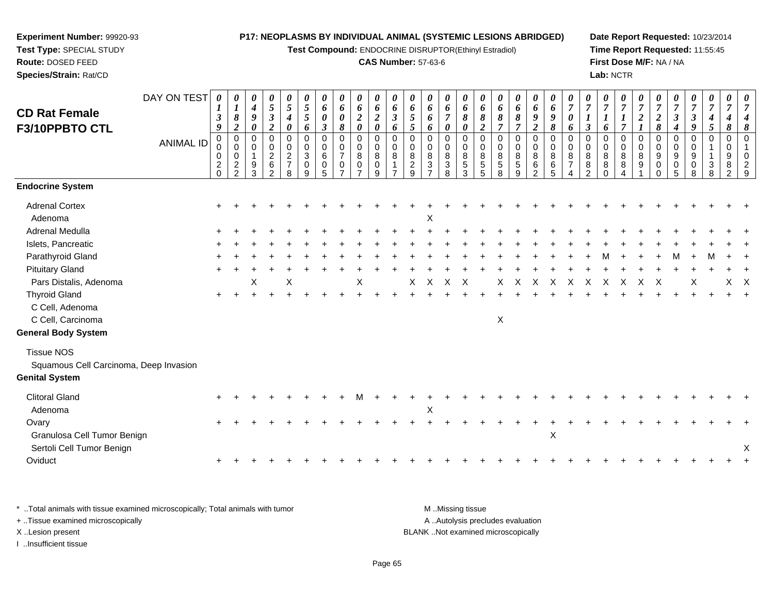**Test Compound:** ENDOCRINE DISRUPTOR(Ethinyl Estradiol)

#### **CAS Number:** 57-63-6

**Date Report Requested:** 10/23/2014**Time Report Requested:** 11:55:45**First Dose M/F:** NA / NA**Lab:** NCTR

#### DAY ON TEST**CD Rat Female F3/10PPBTO CTL**ANIMAL ID*0 1 3 9* 0 0 0 2 0*0 1 8 2* 0 0 0 2 2*0 4 9 0* 0 0 1 9 3*0 5 3 2* 0 0 2 6 2*0 5 4 0* 0 0 2 7 8*0 5 5 6* 0 0 3 0 9*0 6 0 3* 0 0 6 0 5*0 6 0 8* 0 0 7 0 7*0 6 2 0* 0 0 8 0 7*0 6 2 0* 0 0 8 0 9*0 6 3 6* 0 0 8 1 7*0 6 5 5* 0 0 8 2 9*0 6 6 6* 0 0 8 3 7*0 6 7 0* 0 0 8 3 8*0 6 8 0* 0 0 8 5 3*0 6 8 2* 0 0 8 5 5*0 6 8 7* 0 0 8 5 8*0 6 8 7* 0 0 8 5 9*0 6 9 2* 0 0 8 6 2*0 6 9 8* 0 0 8 6 5*0 7 0 6* 0 0 8 7 4*0 7 1 3* 0 0 8 8 2*0 7 1 6* 0 0 8 8 0*0 7 1 7* 0 0 8 8 4*0 7 2 1* 0 0 8 9 1*0 7 2 8* 0 0 9 0 0*0 7 3 4* 0 0 9 0 5*0 7 3 9* 0 0 9 0 8*0 7 4 5* 0 1 1 3 8*0 7 4 8* 0 0 9 8 2*0 7 4 8* 0 1 0 2 9**Endocrine System**Adrenal Cortex $\times$  + <sup>+</sup> <sup>+</sup> <sup>+</sup> <sup>+</sup> <sup>+</sup> <sup>+</sup> <sup>+</sup> <sup>+</sup> <sup>+</sup> <sup>+</sup> <sup>+</sup> <sup>+</sup> <sup>+</sup> <sup>+</sup> <sup>+</sup> <sup>+</sup> <sup>+</sup> <sup>+</sup> <sup>+</sup> <sup>+</sup> <sup>+</sup> <sup>+</sup> <sup>+</sup> <sup>+</sup> <sup>+</sup> <sup>+</sup> <sup>+</sup> <sup>+</sup> <sup>+</sup> <sup>+</sup> Adenoma $\alpha$  $\ddot{}$ Adrenal Medullaa  $+$  <sup>+</sup> <sup>+</sup> <sup>+</sup> <sup>+</sup> <sup>+</sup> <sup>+</sup> <sup>+</sup> <sup>+</sup> <sup>+</sup> <sup>+</sup> <sup>+</sup> <sup>+</sup> <sup>+</sup> <sup>+</sup> <sup>+</sup> <sup>+</sup> <sup>+</sup> <sup>+</sup> <sup>+</sup> <sup>+</sup> <sup>+</sup> <sup>+</sup> <sup>+</sup> <sup>+</sup> <sup>+</sup> <sup>+</sup> <sup>+</sup> <sup>+</sup> <sup>+</sup> <sup>+</sup> Islets, Pancreatic $\overline{c}$  + <sup>+</sup> <sup>+</sup> <sup>+</sup> <sup>+</sup> <sup>+</sup> <sup>+</sup> <sup>+</sup> <sup>+</sup> <sup>+</sup> <sup>+</sup> <sup>+</sup> <sup>+</sup> <sup>+</sup> <sup>+</sup> <sup>+</sup> <sup>+</sup> <sup>+</sup> <sup>+</sup> <sup>+</sup> <sup>+</sup> <sup>+</sup> <sup>+</sup> <sup>+</sup> <sup>+</sup> <sup>+</sup> <sup>+</sup> <sup>+</sup> <sup>+</sup> <sup>+</sup> <sup>+</sup> Parathyroid Gland $\alpha$  + <sup>+</sup> <sup>+</sup> <sup>+</sup> <sup>+</sup> <sup>+</sup> <sup>+</sup> <sup>+</sup> <sup>+</sup> <sup>+</sup> <sup>+</sup> <sup>+</sup> <sup>+</sup> <sup>+</sup> <sup>+</sup> <sup>+</sup> <sup>+</sup> <sup>+</sup> <sup>+</sup> <sup>+</sup> <sup>+</sup> <sup>+</sup> <sup>M</sup> <sup>+</sup> <sup>+</sup> <sup>+</sup> <sup>M</sup> <sup>+</sup> <sup>M</sup> <sup>+</sup> <sup>+</sup> Pituitary Gland $\alpha$  + <sup>+</sup> <sup>+</sup> <sup>+</sup> <sup>+</sup> <sup>+</sup> <sup>+</sup> <sup>+</sup> <sup>+</sup> <sup>+</sup> <sup>+</sup> <sup>+</sup> <sup>+</sup> <sup>+</sup> <sup>+</sup> <sup>+</sup> <sup>+</sup> <sup>+</sup> <sup>+</sup> <sup>+</sup> <sup>+</sup> <sup>+</sup> <sup>+</sup> <sup>+</sup> <sup>+</sup> <sup>+</sup> <sup>+</sup> <sup>+</sup> <sup>+</sup> <sup>+</sup> <sup>+</sup> Pars Distalis, Adenomaa  $\lambda$  <sup>X</sup> <sup>X</sup> <sup>X</sup> <sup>X</sup> <sup>X</sup> <sup>X</sup> <sup>X</sup> <sup>X</sup> <sup>X</sup> <sup>X</sup> <sup>X</sup> <sup>X</sup> <sup>X</sup> <sup>X</sup> <sup>X</sup> <sup>X</sup> <sup>X</sup> <sup>X</sup> <sup>X</sup> Thyroid Gland $\alpha$  + <sup>+</sup> <sup>+</sup> <sup>+</sup> <sup>+</sup> <sup>+</sup> <sup>+</sup> <sup>+</sup> <sup>+</sup> <sup>+</sup> <sup>+</sup> <sup>+</sup> <sup>+</sup> <sup>+</sup> <sup>+</sup> <sup>+</sup> <sup>+</sup> <sup>+</sup> <sup>+</sup> <sup>+</sup> <sup>+</sup> <sup>+</sup> <sup>+</sup> <sup>+</sup> <sup>+</sup> <sup>+</sup> <sup>+</sup> <sup>+</sup> <sup>+</sup> <sup>+</sup> <sup>+</sup> C Cell, Adenoma C Cell, Carcinoma $\alpha$ **General Body System**Tissue NOS Squamous Cell Carcinoma, Deep Invasion**Genital System**Clitoral Gland $\alpha$  + <sup>+</sup> <sup>+</sup> <sup>+</sup> <sup>+</sup> <sup>+</sup> <sup>+</sup> <sup>+</sup> <sup>M</sup> <sup>+</sup> <sup>+</sup> <sup>+</sup> <sup>+</sup> <sup>+</sup> <sup>+</sup> <sup>+</sup> <sup>+</sup> <sup>+</sup> <sup>+</sup> <sup>+</sup> <sup>+</sup> <sup>+</sup> <sup>+</sup> <sup>+</sup> <sup>+</sup> <sup>+</sup> <sup>+</sup> <sup>+</sup> <sup>+</sup> <sup>+</sup> <sup>+</sup> Adenoma $\alpha$ Ŧ Ovary <sup>+</sup> <sup>+</sup> <sup>+</sup> <sup>+</sup> <sup>+</sup> <sup>+</sup> <sup>+</sup> <sup>+</sup> <sup>+</sup> <sup>+</sup> <sup>+</sup> <sup>+</sup> <sup>+</sup> <sup>+</sup> <sup>+</sup> <sup>+</sup> <sup>+</sup> <sup>+</sup> <sup>+</sup> <sup>+</sup> <sup>+</sup> <sup>+</sup> <sup>+</sup> <sup>+</sup> <sup>+</sup> <sup>+</sup> <sup>+</sup> <sup>+</sup> <sup>+</sup> <sup>+</sup> <sup>+</sup> Granulosa Cell Tumor Benign $x^2 + y^2 = 0$ Sertoli Cell Tumor Benign $\mathsf{n}$ **Oviduct**  $\mathfrak{t}$  + <sup>+</sup> <sup>+</sup> <sup>+</sup> <sup>+</sup> <sup>+</sup> <sup>+</sup> <sup>+</sup> <sup>+</sup> <sup>+</sup> <sup>+</sup> <sup>+</sup> <sup>+</sup> <sup>+</sup> <sup>+</sup> <sup>+</sup> <sup>+</sup> <sup>+</sup> <sup>+</sup> <sup>+</sup> <sup>+</sup> <sup>+</sup> <sup>+</sup> <sup>+</sup> <sup>+</sup> <sup>+</sup> <sup>+</sup> <sup>+</sup> <sup>+</sup> <sup>+</sup> <sup>+</sup>

\* ..Total animals with tissue examined microscopically; Total animals with tumor M ...Missing tissue M ...Missing tissue A ..Autolysis precludes evaluation + ..Tissue examined microscopically X ..Lesion present BLANK ..Not examined microscopicallyI ..Insufficient tissue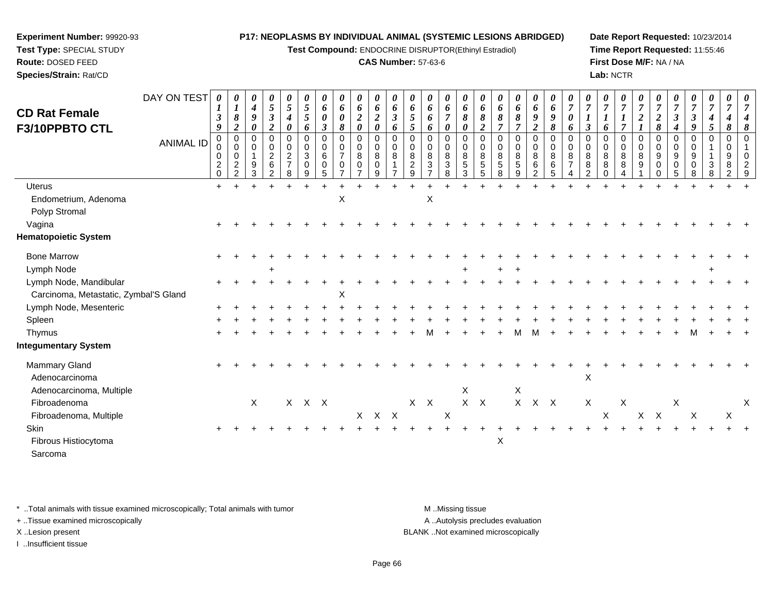**Test Compound:** ENDOCRINE DISRUPTOR(Ethinyl Estradiol)

#### **CAS Number:** 57-63-6

**Date Report Requested:** 10/23/2014**Time Report Requested:** 11:55:46**First Dose M/F:** NA / NA**Lab:** NCTR

| <b>CD Rat Female</b>                  | DAY ON TEST      | 0<br>1<br>$\boldsymbol{\beta}$                             | 0<br>$\bm{l}$<br>8                                                          | 0<br>$\boldsymbol{4}$<br>9   | $\boldsymbol{\theta}$<br>$\mathfrak{s}$<br>$\mathfrak{z}$                                     | 0<br>$\overline{5}$<br>$\boldsymbol{4}$                                  | 0<br>5<br>5                                        | 0<br>6<br>0                       | 0<br>6<br>0                                                    | 0<br>6<br>$\boldsymbol{2}$                                            | $\boldsymbol{\theta}$<br>6<br>$\boldsymbol{2}$                               | $\boldsymbol{\theta}$<br>6<br>$\boldsymbol{\beta}$ | 0<br>6<br>5                                              | 0<br>6<br>6                                                                         | 0<br>6<br>$\overline{7}$            | 0<br>6<br>8                                       | $\boldsymbol{\theta}$<br>6<br>8                                            | 0<br>6<br>8<br>$\overline{7}$  | 0<br>6<br>8<br>$\overline{7}$             | $\boldsymbol{\theta}$<br>6<br>9                                          | 0<br>6<br>9<br>8            | 0<br>7<br>0                            | 0<br>$\overline{7}$                                                                  | 0<br>$\overline{7}$<br>$\boldsymbol{l}$               | 0<br>7<br>$\overline{7}$               | 0<br>$\overline{7}$<br>$\boldsymbol{2}$               | 0<br>$\overline{7}$<br>$\boldsymbol{2}$     | 0<br>7<br>3                | $\boldsymbol{\theta}$<br>$\overline{7}$<br>$\mathfrak{z}$<br>9 | $\boldsymbol{\theta}$<br>$\overline{7}$<br>$\boldsymbol{4}$ | 0<br>7                            | 0<br>$\overline{7}$<br>4                            |
|---------------------------------------|------------------|------------------------------------------------------------|-----------------------------------------------------------------------------|------------------------------|-----------------------------------------------------------------------------------------------|--------------------------------------------------------------------------|----------------------------------------------------|-----------------------------------|----------------------------------------------------------------|-----------------------------------------------------------------------|------------------------------------------------------------------------------|----------------------------------------------------|----------------------------------------------------------|-------------------------------------------------------------------------------------|-------------------------------------|---------------------------------------------------|----------------------------------------------------------------------------|--------------------------------|-------------------------------------------|--------------------------------------------------------------------------|-----------------------------|----------------------------------------|--------------------------------------------------------------------------------------|-------------------------------------------------------|----------------------------------------|-------------------------------------------------------|---------------------------------------------|----------------------------|----------------------------------------------------------------|-------------------------------------------------------------|-----------------------------------|-----------------------------------------------------|
| F3/10PPBTO CTL                        | <b>ANIMAL ID</b> | 9<br>$\mathbf 0$<br>0<br>0<br>$\boldsymbol{2}$<br>$\Omega$ | $\boldsymbol{2}$<br>$\pmb{0}$<br>0<br>0<br>$\overline{c}$<br>$\overline{2}$ | 0<br>$\Omega$<br>0<br>9<br>3 | $\boldsymbol{2}$<br>$\mathbf 0$<br>$\mathbf 0$<br>$\overline{c}$<br>$\,6\,$<br>$\overline{2}$ | $\boldsymbol{\theta}$<br>0<br>0<br>$\overline{2}$<br>$\overline{7}$<br>8 | 6<br>$\Omega$<br>$\Omega$<br>3<br>$\mathbf 0$<br>9 | 3<br>$\Omega$<br>0<br>6<br>0<br>5 | 8<br>0<br>0<br>$\overline{7}$<br>$\mathbf 0$<br>$\overline{7}$ | 0<br>$\mathbf 0$<br>$\mathbf 0$<br>8<br>$\mathbf 0$<br>$\overline{ }$ | $\boldsymbol{\theta}$<br>$\mathbf 0$<br>$\mathbf 0$<br>8<br>$\mathbf 0$<br>9 | 6<br>0<br>0<br>8<br>$\mathbf{1}$<br>$\overline{7}$ | 5<br>$\Omega$<br>$\mathbf 0$<br>8<br>$\overline{c}$<br>9 | 6<br>$\mathbf 0$<br>$\mathbf 0$<br>8<br>$\ensuremath{\mathsf{3}}$<br>$\overline{7}$ | 0<br>0<br>0<br>8<br>$\sqrt{3}$<br>8 | $\theta$<br>$\Omega$<br>0<br>8<br>$\sqrt{5}$<br>3 | $\boldsymbol{2}$<br>$\mathbf 0$<br>$\mathbf 0$<br>8<br>$\overline{5}$<br>5 | 0<br>0<br>8<br>$\sqrt{5}$<br>8 | $\mathbf 0$<br>$\mathbf 0$<br>8<br>5<br>9 | $\overline{2}$<br>$\mathbf 0$<br>$\mathbf 0$<br>8<br>6<br>$\overline{c}$ | 0<br>0<br>8<br>$\,6\,$<br>5 | 6<br>$\Omega$<br>$\mathbf 0$<br>8<br>Δ | $\boldsymbol{\beta}$<br>$\mathbf 0$<br>$\mathbf 0$<br>8<br>$\bf 8$<br>$\overline{2}$ | 6<br>$\mathbf 0$<br>$\mathbf 0$<br>8<br>8<br>$\Omega$ | $\Omega$<br>$\mathbf 0$<br>8<br>8<br>4 | $\boldsymbol{l}$<br>$\Omega$<br>$\mathbf 0$<br>8<br>9 | 8<br>0<br>0<br>9<br>$\mathbf 0$<br>$\Omega$ | 4<br>0<br>0<br>9<br>0<br>5 | $\mathbf 0$<br>$\mathbf 0$<br>9<br>$\mathbf 0$<br>8            | $\mathfrak{s}$<br>0<br>3<br>8                               | 8<br>0<br>$\Omega$<br>9<br>8<br>2 | 8<br>$\Omega$<br>$\mathbf 0$<br>$\overline{c}$<br>9 |
| <b>Uterus</b>                         |                  | $\ddot{}$                                                  |                                                                             |                              |                                                                                               |                                                                          |                                                    |                                   |                                                                |                                                                       |                                                                              |                                                    |                                                          |                                                                                     |                                     |                                                   |                                                                            |                                |                                           |                                                                          |                             |                                        |                                                                                      |                                                       |                                        |                                                       |                                             |                            |                                                                |                                                             |                                   |                                                     |
| Endometrium, Adenoma<br>Polyp Stromal |                  |                                                            |                                                                             |                              |                                                                                               |                                                                          |                                                    |                                   | X                                                              |                                                                       |                                                                              |                                                    |                                                          | $\boldsymbol{\mathsf{X}}$                                                           |                                     |                                                   |                                                                            |                                |                                           |                                                                          |                             |                                        |                                                                                      |                                                       |                                        |                                                       |                                             |                            |                                                                |                                                             |                                   |                                                     |
| Vagina                                |                  |                                                            |                                                                             |                              |                                                                                               |                                                                          |                                                    |                                   |                                                                |                                                                       |                                                                              |                                                    |                                                          |                                                                                     |                                     |                                                   |                                                                            |                                |                                           |                                                                          |                             |                                        |                                                                                      |                                                       |                                        |                                                       |                                             |                            |                                                                |                                                             |                                   |                                                     |
| <b>Hematopoietic System</b>           |                  |                                                            |                                                                             |                              |                                                                                               |                                                                          |                                                    |                                   |                                                                |                                                                       |                                                                              |                                                    |                                                          |                                                                                     |                                     |                                                   |                                                                            |                                |                                           |                                                                          |                             |                                        |                                                                                      |                                                       |                                        |                                                       |                                             |                            |                                                                |                                                             |                                   |                                                     |
| <b>Bone Marrow</b>                    |                  |                                                            |                                                                             |                              |                                                                                               |                                                                          |                                                    |                                   |                                                                |                                                                       |                                                                              |                                                    |                                                          |                                                                                     |                                     |                                                   |                                                                            |                                |                                           |                                                                          |                             |                                        |                                                                                      |                                                       |                                        |                                                       |                                             |                            |                                                                |                                                             |                                   |                                                     |
| Lymph Node                            |                  |                                                            |                                                                             |                              |                                                                                               |                                                                          |                                                    |                                   |                                                                |                                                                       |                                                                              |                                                    |                                                          |                                                                                     |                                     | $\pm$                                             |                                                                            | $\ddot{}$                      | $+$                                       |                                                                          |                             |                                        |                                                                                      |                                                       |                                        |                                                       |                                             |                            |                                                                |                                                             |                                   |                                                     |
| Lymph Node, Mandibular                |                  |                                                            |                                                                             |                              |                                                                                               |                                                                          |                                                    |                                   |                                                                |                                                                       |                                                                              |                                                    |                                                          |                                                                                     |                                     |                                                   |                                                                            |                                |                                           |                                                                          |                             |                                        |                                                                                      |                                                       |                                        |                                                       |                                             |                            |                                                                |                                                             |                                   |                                                     |
| Carcinoma, Metastatic, Zymbal'S Gland |                  |                                                            |                                                                             |                              |                                                                                               |                                                                          |                                                    |                                   | Χ                                                              |                                                                       |                                                                              |                                                    |                                                          |                                                                                     |                                     |                                                   |                                                                            |                                |                                           |                                                                          |                             |                                        |                                                                                      |                                                       |                                        |                                                       |                                             |                            |                                                                |                                                             |                                   |                                                     |
| Lymph Node, Mesenteric                |                  |                                                            |                                                                             |                              |                                                                                               |                                                                          |                                                    |                                   |                                                                |                                                                       |                                                                              |                                                    |                                                          |                                                                                     |                                     |                                                   |                                                                            |                                |                                           |                                                                          |                             |                                        |                                                                                      |                                                       |                                        |                                                       |                                             |                            |                                                                |                                                             |                                   |                                                     |
| Spleen                                |                  |                                                            |                                                                             |                              |                                                                                               |                                                                          |                                                    |                                   |                                                                |                                                                       |                                                                              |                                                    |                                                          |                                                                                     |                                     |                                                   |                                                                            |                                |                                           |                                                                          |                             |                                        |                                                                                      |                                                       |                                        |                                                       |                                             |                            |                                                                |                                                             |                                   |                                                     |
| Thymus                                |                  |                                                            |                                                                             |                              |                                                                                               |                                                                          |                                                    |                                   |                                                                |                                                                       |                                                                              |                                                    |                                                          |                                                                                     |                                     |                                                   |                                                                            |                                |                                           |                                                                          |                             |                                        |                                                                                      |                                                       |                                        |                                                       |                                             |                            |                                                                |                                                             |                                   |                                                     |
| <b>Integumentary System</b>           |                  |                                                            |                                                                             |                              |                                                                                               |                                                                          |                                                    |                                   |                                                                |                                                                       |                                                                              |                                                    |                                                          |                                                                                     |                                     |                                                   |                                                                            |                                |                                           |                                                                          |                             |                                        |                                                                                      |                                                       |                                        |                                                       |                                             |                            |                                                                |                                                             |                                   |                                                     |
| <b>Mammary Gland</b>                  |                  |                                                            |                                                                             |                              |                                                                                               |                                                                          |                                                    |                                   |                                                                |                                                                       |                                                                              |                                                    |                                                          |                                                                                     |                                     |                                                   |                                                                            |                                |                                           |                                                                          |                             |                                        |                                                                                      |                                                       |                                        |                                                       |                                             |                            |                                                                |                                                             |                                   |                                                     |
| Adenocarcinoma                        |                  |                                                            |                                                                             |                              |                                                                                               |                                                                          |                                                    |                                   |                                                                |                                                                       |                                                                              |                                                    |                                                          |                                                                                     |                                     |                                                   |                                                                            |                                |                                           |                                                                          |                             |                                        | X                                                                                    |                                                       |                                        |                                                       |                                             |                            |                                                                |                                                             |                                   |                                                     |
| Adenocarcinoma, Multiple              |                  |                                                            |                                                                             |                              |                                                                                               |                                                                          |                                                    |                                   |                                                                |                                                                       |                                                                              |                                                    |                                                          |                                                                                     |                                     | X                                                 |                                                                            |                                | $\mathsf{X}$                              |                                                                          |                             |                                        |                                                                                      |                                                       |                                        |                                                       |                                             |                            |                                                                |                                                             |                                   |                                                     |
| Fibroadenoma                          |                  |                                                            |                                                                             | X                            |                                                                                               | $X -$                                                                    | X X                                                |                                   |                                                                |                                                                       |                                                                              |                                                    |                                                          | $X$ $X$                                                                             |                                     |                                                   | $X$ $X$                                                                    |                                | X                                         | X X                                                                      |                             |                                        | X                                                                                    |                                                       | X                                      |                                                       |                                             | X                          |                                                                |                                                             |                                   | X                                                   |
| Fibroadenoma, Multiple                |                  |                                                            |                                                                             |                              |                                                                                               |                                                                          |                                                    |                                   |                                                                |                                                                       | X X X                                                                        |                                                    |                                                          |                                                                                     | $\boldsymbol{\mathsf{X}}$           |                                                   |                                                                            |                                |                                           |                                                                          |                             |                                        |                                                                                      | X                                                     |                                        |                                                       | $X$ $X$                                     |                            | X                                                              |                                                             | X                                 |                                                     |
| Skin                                  |                  |                                                            |                                                                             |                              |                                                                                               |                                                                          |                                                    |                                   |                                                                |                                                                       |                                                                              |                                                    |                                                          |                                                                                     |                                     |                                                   |                                                                            |                                |                                           |                                                                          |                             |                                        |                                                                                      |                                                       |                                        |                                                       |                                             |                            |                                                                |                                                             |                                   |                                                     |
| Fibrous Histiocytoma                  |                  |                                                            |                                                                             |                              |                                                                                               |                                                                          |                                                    |                                   |                                                                |                                                                       |                                                                              |                                                    |                                                          |                                                                                     |                                     |                                                   |                                                                            | X                              |                                           |                                                                          |                             |                                        |                                                                                      |                                                       |                                        |                                                       |                                             |                            |                                                                |                                                             |                                   |                                                     |
| Sarcoma                               |                  |                                                            |                                                                             |                              |                                                                                               |                                                                          |                                                    |                                   |                                                                |                                                                       |                                                                              |                                                    |                                                          |                                                                                     |                                     |                                                   |                                                                            |                                |                                           |                                                                          |                             |                                        |                                                                                      |                                                       |                                        |                                                       |                                             |                            |                                                                |                                                             |                                   |                                                     |

\* ..Total animals with tissue examined microscopically; Total animals with tumor **M** . Missing tissue M ..Missing tissue

+ ..Tissue examined microscopically

**Experiment Number:** 99920-93**Test Type:** SPECIAL STUDY**Route:** DOSED FEED**Species/Strain:** Rat/CD

I ..Insufficient tissue

A ..Autolysis precludes evaluation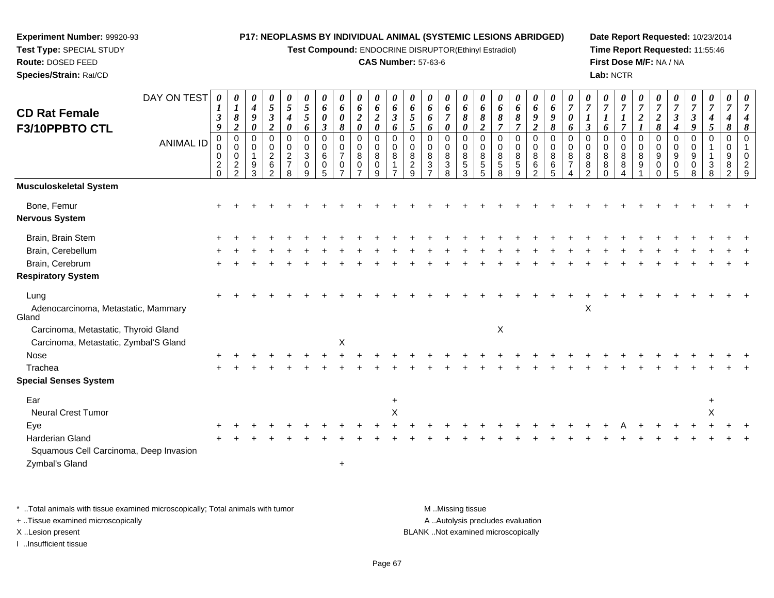**Test Compound:** ENDOCRINE DISRUPTOR(Ethinyl Estradiol)

#### **CAS Number:** 57-63-6

**Date Report Requested:** 10/23/2014**Time Report Requested:** 11:55:46**First Dose M/F:** NA / NA**Lab:** NCTR

| <b>CD Rat Female</b>                                 | DAY ON TEST      | 0<br>$\boldsymbol{I}$<br>$\mathfrak{z}$                        | $\boldsymbol{l}$<br>$\pmb{8}$                                           | 0<br>$\boldsymbol{4}$<br>9                                    | 0<br>$\mathfrak{s}$<br>$\boldsymbol{\beta}$                           | 0<br>$\mathfrak{s}$<br>$\boldsymbol{4}$                                        | $\boldsymbol{\theta}$<br>5<br>$\overline{5}$      | 0<br>6<br>$\boldsymbol{\theta}$               | 0<br>6<br>$\pmb{\theta}$                                       | 0<br>6<br>$\boldsymbol{2}$                | 0<br>$\pmb{6}$<br>$\boldsymbol{2}$                                      | $\boldsymbol{\theta}$<br>6<br>$\mathfrak{z}$                   | 0<br>6<br>5                              | 0<br>6<br>6                  | 0<br>6<br>$\overline{7}$   | $\boldsymbol{\theta}$<br>6<br>8                                                       | $\boldsymbol{\theta}$<br>6<br>$\boldsymbol{\delta}$                      | 0<br>6<br>8                | $\boldsymbol{\theta}$<br>6<br>8                   | $\boldsymbol{\theta}$<br>6<br>$\pmb{9}$                  | $\boldsymbol{\theta}$<br>$\boldsymbol{6}$<br>9     | $\boldsymbol{\theta}$<br>$\overline{7}$<br>$\boldsymbol{\theta}$ | $\boldsymbol{7}$                                           | $\boldsymbol{\theta}$<br>$\overline{7}$  | U<br>$\overline{7}$                | $\overline{7}$<br>$\boldsymbol{2}$ | $\boldsymbol{\theta}$<br>$\overline{7}$<br>$\boldsymbol{2}$ | $\overline{7}$<br>$\boldsymbol{\beta}$                  | $\frac{\boldsymbol{0}}{7}$<br>3   | $\boldsymbol{\theta}$<br>$\overline{7}$<br>4 | $\boldsymbol{\theta}$<br>$\overline{7}$                    | $\frac{\theta}{7}$ |
|------------------------------------------------------|------------------|----------------------------------------------------------------|-------------------------------------------------------------------------|---------------------------------------------------------------|-----------------------------------------------------------------------|--------------------------------------------------------------------------------|---------------------------------------------------|-----------------------------------------------|----------------------------------------------------------------|-------------------------------------------|-------------------------------------------------------------------------|----------------------------------------------------------------|------------------------------------------|------------------------------|----------------------------|---------------------------------------------------------------------------------------|--------------------------------------------------------------------------|----------------------------|---------------------------------------------------|----------------------------------------------------------|----------------------------------------------------|------------------------------------------------------------------|------------------------------------------------------------|------------------------------------------|------------------------------------|------------------------------------|-------------------------------------------------------------|---------------------------------------------------------|-----------------------------------|----------------------------------------------|------------------------------------------------------------|--------------------|
| F3/10PPBTO CTL                                       | <b>ANIMAL ID</b> | 9<br>$\mathbf 0$<br>0<br>0<br>$\overline{c}$<br>$\overline{0}$ | $\boldsymbol{2}$<br>$\overline{0}$<br>0<br>$\mathbf 0$<br>$\frac{2}{2}$ | $\boldsymbol{\theta}$<br>$\mathbf 0$<br>$\mathbf 0$<br>9<br>3 | $\overline{2}$<br>0<br>0<br>$\overline{2}$<br>$\,6$<br>$\overline{2}$ | $\boldsymbol{\theta}$<br>$\mathbf 0$<br>$\boldsymbol{0}$<br>$\frac{2}{7}$<br>8 | 6<br>$\overline{0}$<br>$\mathbf 0$<br>3<br>0<br>9 | $\boldsymbol{\beta}$<br>0<br>0<br>6<br>0<br>5 | 8<br>$\mathbf 0$<br>$\pmb{0}$<br>$\overline{7}$<br>$\mathbf 0$ | $\boldsymbol{\theta}$<br>0<br>0<br>8<br>0 | $\boldsymbol{\theta}$<br>$\mathbf 0$<br>$\boldsymbol{0}$<br>8<br>0<br>9 | 6<br>$\overline{0}$<br>$\mathbf 0$<br>8<br>1<br>$\overline{ }$ | 5<br>$\Omega$<br>0<br>8<br>$\frac{2}{9}$ | 6<br>$\Omega$<br>0<br>8<br>3 | 0<br>0<br>0<br>8<br>$_8^3$ | $\boldsymbol{\theta}$<br>$\Omega$<br>$\mathbf 0$<br>8<br>$\sqrt{5}$<br>$\overline{3}$ | $\overline{2}$<br>$\mathbf 0$<br>$\mathbf 0$<br>8<br>$\overline{5}$<br>5 | 7<br>0<br>0<br>8<br>5<br>8 | $\overline{7}$<br>$\mathbf 0$<br>0<br>8<br>5<br>9 | $\overline{2}$<br>0<br>$\mathbf 0$<br>8<br>$\frac{6}{2}$ | 8<br>$\mathbf 0$<br>$\mathbf 0$<br>8<br>$\,6$<br>5 | 6<br>$\mathbf 0$<br>$\mathbf 0$<br>8<br>$\overline{7}$<br>4      | $\mathfrak{z}$<br>$\Omega$<br>0<br>8<br>8<br>$\mathcal{P}$ | 6<br>$\Omega$<br>0<br>8<br>8<br>$\Omega$ | $\overline{7}$<br>0<br>0<br>8<br>8 | $\Omega$<br>$\mathbf 0$<br>8<br>9  | $\pmb{8}$<br>$\mathbf 0$<br>0<br>9<br>0<br>$\Omega$         | $\boldsymbol{4}$<br>$\Omega$<br>$\Omega$<br>9<br>0<br>5 | 9<br>0<br>$\Omega$<br>9<br>0<br>8 | 5<br>$\Omega$<br>3<br>8                      | 8<br>$\mathbf 0$<br>$\mathbf 0$<br>9<br>8<br>$\mathcal{P}$ | 8<br>q             |
| <b>Musculoskeletal System</b>                        |                  |                                                                |                                                                         |                                                               |                                                                       |                                                                                |                                                   |                                               |                                                                |                                           |                                                                         |                                                                |                                          |                              |                            |                                                                                       |                                                                          |                            |                                                   |                                                          |                                                    |                                                                  |                                                            |                                          |                                    |                                    |                                                             |                                                         |                                   |                                              |                                                            |                    |
| Bone, Femur<br><b>Nervous System</b>                 |                  |                                                                |                                                                         |                                                               |                                                                       |                                                                                |                                                   |                                               |                                                                |                                           |                                                                         |                                                                |                                          |                              |                            |                                                                                       |                                                                          |                            |                                                   |                                                          |                                                    |                                                                  |                                                            |                                          |                                    |                                    |                                                             |                                                         |                                   |                                              |                                                            |                    |
| Brain, Brain Stem                                    |                  |                                                                |                                                                         |                                                               |                                                                       |                                                                                |                                                   |                                               |                                                                |                                           |                                                                         |                                                                |                                          |                              |                            |                                                                                       |                                                                          |                            |                                                   |                                                          |                                                    |                                                                  |                                                            |                                          |                                    |                                    |                                                             |                                                         |                                   |                                              |                                                            |                    |
| Brain, Cerebellum                                    |                  |                                                                |                                                                         |                                                               |                                                                       |                                                                                |                                                   |                                               |                                                                |                                           |                                                                         |                                                                |                                          |                              |                            |                                                                                       |                                                                          |                            |                                                   |                                                          |                                                    |                                                                  |                                                            |                                          |                                    |                                    |                                                             |                                                         |                                   |                                              |                                                            |                    |
| Brain, Cerebrum                                      |                  |                                                                |                                                                         |                                                               |                                                                       |                                                                                |                                                   |                                               |                                                                |                                           |                                                                         |                                                                |                                          |                              |                            |                                                                                       |                                                                          |                            |                                                   |                                                          |                                                    |                                                                  |                                                            |                                          |                                    |                                    |                                                             |                                                         |                                   |                                              |                                                            |                    |
| <b>Respiratory System</b>                            |                  |                                                                |                                                                         |                                                               |                                                                       |                                                                                |                                                   |                                               |                                                                |                                           |                                                                         |                                                                |                                          |                              |                            |                                                                                       |                                                                          |                            |                                                   |                                                          |                                                    |                                                                  |                                                            |                                          |                                    |                                    |                                                             |                                                         |                                   |                                              |                                                            |                    |
| Lung<br>Adenocarcinoma, Metastatic, Mammary<br>Gland |                  |                                                                |                                                                         |                                                               |                                                                       |                                                                                |                                                   |                                               |                                                                |                                           |                                                                         |                                                                |                                          |                              |                            |                                                                                       |                                                                          |                            |                                                   |                                                          |                                                    |                                                                  | $\boldsymbol{X}$                                           |                                          |                                    |                                    |                                                             |                                                         |                                   |                                              |                                                            |                    |
| Carcinoma, Metastatic, Thyroid Gland                 |                  |                                                                |                                                                         |                                                               |                                                                       |                                                                                |                                                   |                                               |                                                                |                                           |                                                                         |                                                                |                                          |                              |                            |                                                                                       |                                                                          | X                          |                                                   |                                                          |                                                    |                                                                  |                                                            |                                          |                                    |                                    |                                                             |                                                         |                                   |                                              |                                                            |                    |
| Carcinoma, Metastatic, Zymbal'S Gland                |                  |                                                                |                                                                         |                                                               |                                                                       |                                                                                |                                                   |                                               | $\sf X$                                                        |                                           |                                                                         |                                                                |                                          |                              |                            |                                                                                       |                                                                          |                            |                                                   |                                                          |                                                    |                                                                  |                                                            |                                          |                                    |                                    |                                                             |                                                         |                                   |                                              |                                                            |                    |
| Nose                                                 |                  |                                                                |                                                                         |                                                               |                                                                       |                                                                                |                                                   |                                               |                                                                |                                           |                                                                         |                                                                |                                          |                              |                            |                                                                                       |                                                                          |                            |                                                   |                                                          |                                                    |                                                                  |                                                            |                                          |                                    |                                    |                                                             |                                                         |                                   |                                              |                                                            |                    |
| Trachea                                              |                  |                                                                |                                                                         |                                                               |                                                                       |                                                                                |                                                   |                                               |                                                                |                                           |                                                                         |                                                                |                                          |                              |                            |                                                                                       |                                                                          |                            |                                                   |                                                          |                                                    |                                                                  |                                                            |                                          |                                    |                                    |                                                             |                                                         |                                   |                                              |                                                            |                    |
| <b>Special Senses System</b>                         |                  |                                                                |                                                                         |                                                               |                                                                       |                                                                                |                                                   |                                               |                                                                |                                           |                                                                         |                                                                |                                          |                              |                            |                                                                                       |                                                                          |                            |                                                   |                                                          |                                                    |                                                                  |                                                            |                                          |                                    |                                    |                                                             |                                                         |                                   |                                              |                                                            |                    |
| Ear                                                  |                  |                                                                |                                                                         |                                                               |                                                                       |                                                                                |                                                   |                                               |                                                                |                                           |                                                                         | $\ddot{}$                                                      |                                          |                              |                            |                                                                                       |                                                                          |                            |                                                   |                                                          |                                                    |                                                                  |                                                            |                                          |                                    |                                    |                                                             |                                                         |                                   |                                              |                                                            |                    |
| <b>Neural Crest Tumor</b>                            |                  |                                                                |                                                                         |                                                               |                                                                       |                                                                                |                                                   |                                               |                                                                |                                           |                                                                         | $\pmb{\times}$                                                 |                                          |                              |                            |                                                                                       |                                                                          |                            |                                                   |                                                          |                                                    |                                                                  |                                                            |                                          |                                    |                                    |                                                             |                                                         |                                   | X                                            |                                                            |                    |
| Eye                                                  |                  |                                                                |                                                                         |                                                               |                                                                       |                                                                                |                                                   |                                               |                                                                |                                           |                                                                         |                                                                |                                          |                              |                            |                                                                                       |                                                                          |                            |                                                   |                                                          |                                                    |                                                                  |                                                            |                                          |                                    |                                    |                                                             |                                                         |                                   |                                              |                                                            |                    |
| Harderian Gland                                      |                  |                                                                |                                                                         |                                                               |                                                                       |                                                                                |                                                   |                                               |                                                                |                                           |                                                                         |                                                                |                                          |                              |                            |                                                                                       |                                                                          |                            |                                                   |                                                          |                                                    |                                                                  |                                                            |                                          |                                    |                                    |                                                             |                                                         |                                   |                                              |                                                            |                    |
| Squamous Cell Carcinoma, Deep Invasion               |                  |                                                                |                                                                         |                                                               |                                                                       |                                                                                |                                                   |                                               |                                                                |                                           |                                                                         |                                                                |                                          |                              |                            |                                                                                       |                                                                          |                            |                                                   |                                                          |                                                    |                                                                  |                                                            |                                          |                                    |                                    |                                                             |                                                         |                                   |                                              |                                                            |                    |
| Zymbal's Gland                                       |                  |                                                                |                                                                         |                                                               |                                                                       |                                                                                |                                                   |                                               | $\ddot{}$                                                      |                                           |                                                                         |                                                                |                                          |                              |                            |                                                                                       |                                                                          |                            |                                                   |                                                          |                                                    |                                                                  |                                                            |                                          |                                    |                                    |                                                             |                                                         |                                   |                                              |                                                            |                    |

\* ..Total animals with tissue examined microscopically; Total animals with tumor **M** . Missing tissue M ..Missing tissue

+ ..Tissue examined microscopically

**Experiment Number:** 99920-93**Test Type:** SPECIAL STUDY**Route:** DOSED FEED**Species/Strain:** Rat/CD

I ..Insufficient tissue

A ..Autolysis precludes evaluation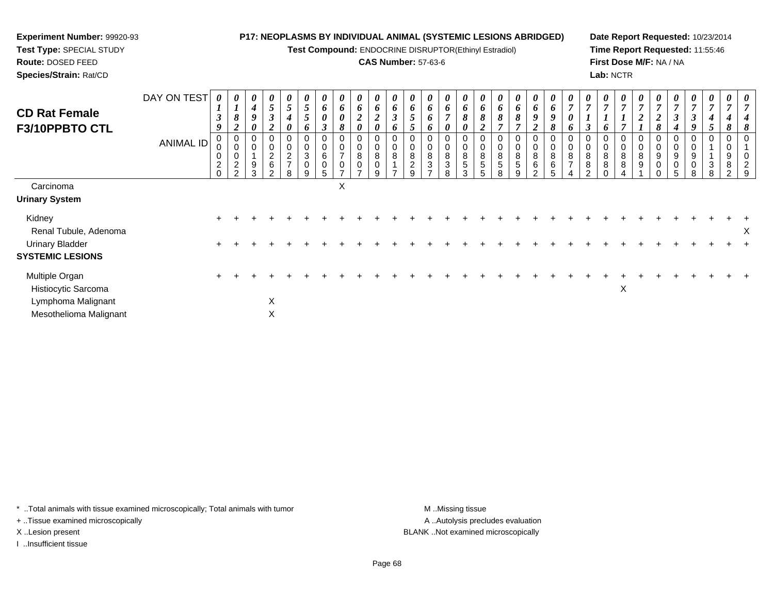**Test Compound:** ENDOCRINE DISRUPTOR(Ethinyl Estradiol)

#### **CAS Number:** 57-63-6

**Date Report Requested:** 10/23/2014**Time Report Requested:** 11:55:46**First Dose M/F:** NA / NA**Lab:** NCTR

| <b>CD Rat Female</b><br>F3/10PPBTO CTL            | DAY ON TEST | $\boldsymbol{\theta}$<br>$\boldsymbol{I}$<br>$\boldsymbol{\beta}$<br>9 | $\boldsymbol{l}$<br>8<br>$\boldsymbol{2}$                           | 0<br>4<br>9<br>0   | 0<br>$5\overline{)}$<br>$\boldsymbol{\beta}$<br>◢ | 0<br>$5\overline{)}$<br>$\boldsymbol{4}$<br>0 | $\boldsymbol{\theta}$<br>$\mathfrak{s}$<br>$\mathfrak{s}$<br>6 | 6<br>$\boldsymbol{\theta}$<br>$\boldsymbol{\beta}$ | 0<br>6<br>0<br>8                           | 0<br>6<br>$\boldsymbol{2}$<br>$\pmb{\theta}$ | 0<br>6<br>$\boldsymbol{2}$<br>0 | 0<br>6<br>$\boldsymbol{\beta}$<br>6                | 6<br>5<br>5                           | 0<br>6<br>6<br>6 | 0<br>6<br>0                              | 0<br>6<br>8<br>0                | $\boldsymbol{\theta}$<br>6<br>8<br>$\overline{2}$ | 6<br>8<br>$\overline{ }$       | $\boldsymbol{\theta}$<br>6<br>8<br>$\overline{ }$ | 0<br>6<br>9<br>ി<br>◢        | 0<br>6<br>9<br>8               | 0<br>$\overline{7}$<br>$\boldsymbol{\theta}$<br>6  | $\mathbf{I}$<br>$\boldsymbol{\beta}$ | 0<br>$\overline{ }$<br>6 | 0<br>$\overline{ }$ | 0<br>$\overline{ }$<br>◠<br>∠ | $\theta$<br>$\boldsymbol{2}$<br>8                 | $\boldsymbol{\beta}$<br>$\boldsymbol{4}$ | $\boldsymbol{\theta}$<br>$\overline{7}$<br>$\mathbf{3}$<br>9 | 0<br>$\boldsymbol{4}$<br>5 | 0<br>ø                  | $\theta$ |
|---------------------------------------------------|-------------|------------------------------------------------------------------------|---------------------------------------------------------------------|--------------------|---------------------------------------------------|-----------------------------------------------|----------------------------------------------------------------|----------------------------------------------------|--------------------------------------------|----------------------------------------------|---------------------------------|----------------------------------------------------|---------------------------------------|------------------|------------------------------------------|---------------------------------|---------------------------------------------------|--------------------------------|---------------------------------------------------|------------------------------|--------------------------------|----------------------------------------------------|--------------------------------------|--------------------------|---------------------|-------------------------------|---------------------------------------------------|------------------------------------------|--------------------------------------------------------------|----------------------------|-------------------------|----------|
|                                                   | ANIMAL ID   | 0<br>0<br>$\pmb{0}$<br>$\overline{c}$<br>$\mathbf 0$                   | $\pmb{0}$<br>$\pmb{0}$<br>$\pmb{0}$<br>$\sqrt{2}$<br>$\overline{2}$ | $\Omega$<br>9<br>3 | 0<br>$\frac{2}{6}$<br>$\mathfrak{p}$              | 0<br>$\frac{2}{7}$<br>8                       | 0<br>$\pmb{0}$<br>$\mathbf{3}$<br>$\pmb{0}$<br>9               | $\pmb{0}$<br>6<br>$\pmb{0}$<br>5                   | 0<br>$\overline{ }$<br>0<br>$\overline{ }$ | 0<br>8<br>0<br>$\overline{ }$                | 0<br>$\bf 8$<br>$\pmb{0}$<br>9  | 0<br>$\boldsymbol{0}$<br>$\bf 8$<br>$\overline{ }$ | $\pmb{0}$<br>8<br>$\overline{c}$<br>9 | 0<br>8<br>3<br>⇁ | 0<br>8<br>$\ensuremath{\mathsf{3}}$<br>8 | 0<br>$\bf 8$<br>$\sqrt{5}$<br>3 | 0<br>$\pmb{0}$<br>$\bf8$<br>$\overline{5}$<br>5   | $\pmb{0}$<br>$\bf 8$<br>5<br>8 | 0<br>8<br>5<br>$\mathbf{Q}$                       | 0<br>8<br>6<br>$\mathcal{P}$ | $\pmb{0}$<br>$\bf 8$<br>6<br>5 | 0<br>$\boldsymbol{0}$<br>$\bf 8$<br>$\overline{ }$ | $\pmb{0}$<br>8<br>8<br>$\Omega$      | 0<br>8<br>8              | 0<br>8<br>8         | 0<br>$\bf 8$<br>9             | 0<br>$\pmb{0}$<br>$\boldsymbol{9}$<br>$\mathbf 0$ | $\pmb{0}$<br>9<br>$\mathbf 0$<br>5       | 0<br>9<br>8                                                  | 3<br>8                     | 0<br>9<br>8<br>$\Omega$ |          |
| Carcinoma<br><b>Urinary System</b>                |             |                                                                        |                                                                     |                    |                                                   |                                               |                                                                |                                                    | Χ                                          |                                              |                                 |                                                    |                                       |                  |                                          |                                 |                                                   |                                |                                                   |                              |                                |                                                    |                                      |                          |                     |                               |                                                   |                                          |                                                              |                            |                         |          |
| Kidney<br>Renal Tubule, Adenoma                   |             |                                                                        |                                                                     |                    |                                                   |                                               |                                                                |                                                    |                                            |                                              |                                 |                                                    |                                       |                  |                                          |                                 |                                                   |                                |                                                   |                              |                                |                                                    |                                      |                          |                     |                               |                                                   |                                          |                                                              |                            |                         | Χ        |
| <b>Urinary Bladder</b><br><b>SYSTEMIC LESIONS</b> |             |                                                                        |                                                                     |                    |                                                   |                                               |                                                                |                                                    |                                            |                                              |                                 |                                                    |                                       |                  |                                          |                                 |                                                   |                                |                                                   |                              |                                |                                                    |                                      |                          |                     |                               |                                                   |                                          |                                                              |                            |                         |          |
| Multiple Organ<br>Histiocytic Sarcoma             |             |                                                                        |                                                                     |                    |                                                   |                                               |                                                                |                                                    |                                            |                                              |                                 |                                                    |                                       |                  |                                          |                                 |                                                   |                                |                                                   |                              |                                |                                                    |                                      |                          | X                   |                               |                                                   |                                          |                                                              |                            |                         |          |
| Lymphoma Malignant<br>Mesothelioma Malignant      |             |                                                                        |                                                                     |                    | X<br>X.                                           |                                               |                                                                |                                                    |                                            |                                              |                                 |                                                    |                                       |                  |                                          |                                 |                                                   |                                |                                                   |                              |                                |                                                    |                                      |                          |                     |                               |                                                   |                                          |                                                              |                            |                         |          |

\* ..Total animals with tissue examined microscopically; Total animals with tumor **M** . Missing tissue M ..Missing tissue

+ ..Tissue examined microscopically

**Experiment Number:** 99920-93**Test Type:** SPECIAL STUDY**Route:** DOSED FEED**Species/Strain:** Rat/CD

I ..Insufficient tissue

A ..Autolysis precludes evaluation X ..Lesion present BLANK ..Not examined microscopically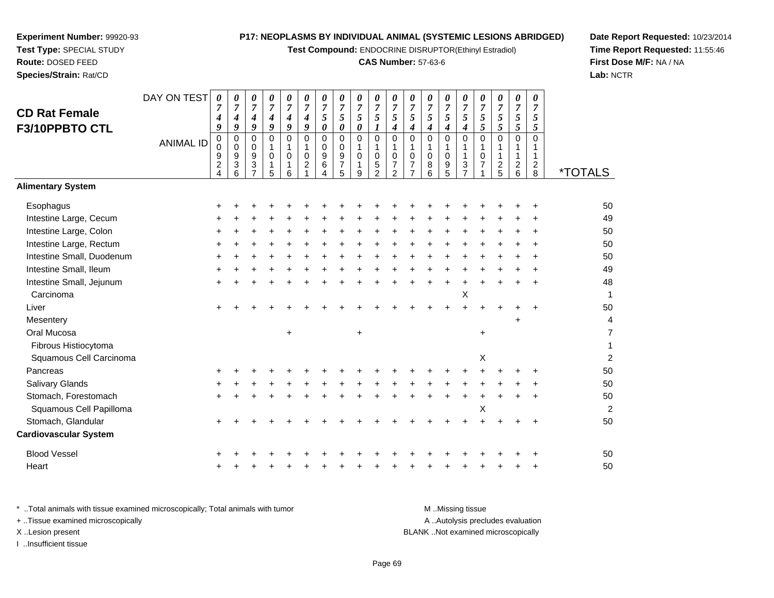**Test Compound:** ENDOCRINE DISRUPTOR(Ethinyl Estradiol)

#### **CAS Number:** 57-63-6

**Date Report Requested:** 10/23/2014**Time Report Requested:** 11:55:46**First Dose M/F:** NA / NA**Lab:** NCTR

| <b>CD Rat Female</b><br>F3/10PPBTO CTL | DAY ON TEST<br><b>ANIMAL ID</b> | 0<br>7<br>4<br>9<br>0<br>0<br>9<br>$\overline{c}$ | 0<br>$\overline{7}$<br>4<br>9<br>$\mathbf 0$<br>0<br>$\boldsymbol{9}$<br>$\sqrt{3}$ | 0<br>$\overline{7}$<br>$\boldsymbol{4}$<br>9<br>$\mathbf 0$<br>0<br>$\boldsymbol{9}$<br>$\sqrt{3}$<br>$\overline{7}$ | 0<br>$\overline{7}$<br>$\boldsymbol{4}$<br>9<br>$\Omega$<br>1<br>$\mathbf 0$<br>$\mathbf{1}$ | 0<br>$\overline{7}$<br>$\boldsymbol{4}$<br>9<br>$\Omega$<br>$\mathbf 0$<br>1 | 0<br>7<br>4<br>9<br>$\mathbf 0$<br>$\mathbf 0$<br>$\overline{c}$ | 0<br>$\overline{7}$<br>5<br>0<br>0<br>0<br>9<br>6 | 0<br>$\overline{7}$<br>$\mathfrak{s}$<br>0<br>$\mathbf 0$<br>0<br>$\boldsymbol{9}$<br>$\overline{7}$ | 0<br>$\overline{7}$<br>5<br>0<br>$\mathbf 0$<br>$\mathbf 0$<br>1 | 0<br>$\overline{7}$<br>5<br>$\boldsymbol{l}$<br>$\mathbf 0$<br>$\mathbf{1}$<br>$\pmb{0}$<br>$\mathbf 5$ | 0<br>$\overline{7}$<br>5<br>$\boldsymbol{4}$<br>$\mathbf 0$<br>1<br>$\pmb{0}$<br>$\overline{7}$ | 0<br>$\overline{7}$<br>5<br>4<br>0<br>$\mathbf 0$<br>7 | 0<br>$\overline{7}$<br>5<br>4<br>$\mathbf 0$<br>1<br>$\mathbf 0$<br>$\bf 8$ | 0<br>$\overline{7}$<br>5<br>$\boldsymbol{4}$<br>$\mathbf 0$<br>1<br>$\mathbf 0$<br>$\boldsymbol{9}$ | 0<br>7<br>5<br>$\boldsymbol{4}$<br>$\mathbf 0$<br>1<br>$\mathbf{1}$<br>3 | 0<br>7<br>5<br>5<br>$\mathbf 0$<br>$\mathbf 0$<br>$\overline{7}$ | 0<br>$\overline{7}$<br>5<br>5<br>$\mathbf 0$<br>$\mathbf{1}$<br>$\overline{c}$ | 0<br>$\overline{7}$<br>5<br>5<br>$\mathbf 0$<br>1<br>1<br>$\boldsymbol{2}$ | 0<br>7<br>5<br>$5\overline{)}$<br>$\mathbf 0$<br>$\mathbf{1}$<br>$\overline{2}$ | <i><b>*TOTALS</b></i> |
|----------------------------------------|---------------------------------|---------------------------------------------------|-------------------------------------------------------------------------------------|----------------------------------------------------------------------------------------------------------------------|----------------------------------------------------------------------------------------------|------------------------------------------------------------------------------|------------------------------------------------------------------|---------------------------------------------------|------------------------------------------------------------------------------------------------------|------------------------------------------------------------------|---------------------------------------------------------------------------------------------------------|-------------------------------------------------------------------------------------------------|--------------------------------------------------------|-----------------------------------------------------------------------------|-----------------------------------------------------------------------------------------------------|--------------------------------------------------------------------------|------------------------------------------------------------------|--------------------------------------------------------------------------------|----------------------------------------------------------------------------|---------------------------------------------------------------------------------|-----------------------|
| <b>Alimentary System</b>               |                                 | 4                                                 | 6                                                                                   |                                                                                                                      | 5                                                                                            | 6                                                                            |                                                                  |                                                   | 5                                                                                                    | 9                                                                | $\overline{c}$                                                                                          | $\overline{2}$                                                                                  |                                                        | 6                                                                           | 5                                                                                                   | $\overline{7}$                                                           |                                                                  | 5                                                                              | 6                                                                          | 8                                                                               |                       |
|                                        |                                 |                                                   |                                                                                     |                                                                                                                      |                                                                                              |                                                                              |                                                                  |                                                   |                                                                                                      |                                                                  |                                                                                                         |                                                                                                 |                                                        |                                                                             |                                                                                                     |                                                                          |                                                                  |                                                                                |                                                                            |                                                                                 |                       |
| Esophagus                              |                                 | ٠                                                 |                                                                                     |                                                                                                                      |                                                                                              |                                                                              |                                                                  |                                                   |                                                                                                      |                                                                  |                                                                                                         |                                                                                                 |                                                        |                                                                             |                                                                                                     |                                                                          |                                                                  |                                                                                |                                                                            |                                                                                 | 50                    |
| Intestine Large, Cecum                 |                                 |                                                   |                                                                                     |                                                                                                                      |                                                                                              |                                                                              |                                                                  |                                                   |                                                                                                      |                                                                  |                                                                                                         |                                                                                                 |                                                        |                                                                             |                                                                                                     |                                                                          |                                                                  |                                                                                |                                                                            |                                                                                 | 49                    |
| Intestine Large, Colon                 |                                 | +                                                 |                                                                                     |                                                                                                                      |                                                                                              |                                                                              |                                                                  |                                                   |                                                                                                      |                                                                  |                                                                                                         |                                                                                                 |                                                        |                                                                             |                                                                                                     |                                                                          |                                                                  |                                                                                |                                                                            |                                                                                 | 50                    |
| Intestine Large, Rectum                |                                 | +                                                 |                                                                                     |                                                                                                                      |                                                                                              |                                                                              |                                                                  |                                                   |                                                                                                      |                                                                  |                                                                                                         |                                                                                                 |                                                        |                                                                             |                                                                                                     |                                                                          |                                                                  |                                                                                |                                                                            |                                                                                 | 50                    |
| Intestine Small, Duodenum              |                                 | ÷                                                 |                                                                                     |                                                                                                                      |                                                                                              |                                                                              |                                                                  |                                                   |                                                                                                      |                                                                  |                                                                                                         |                                                                                                 |                                                        |                                                                             |                                                                                                     |                                                                          |                                                                  |                                                                                |                                                                            |                                                                                 | 50                    |
| Intestine Small, Ileum                 |                                 |                                                   |                                                                                     |                                                                                                                      |                                                                                              |                                                                              |                                                                  |                                                   |                                                                                                      |                                                                  |                                                                                                         |                                                                                                 |                                                        |                                                                             |                                                                                                     |                                                                          |                                                                  |                                                                                |                                                                            |                                                                                 | 49                    |
| Intestine Small, Jejunum               |                                 | +                                                 |                                                                                     |                                                                                                                      |                                                                                              |                                                                              |                                                                  |                                                   |                                                                                                      |                                                                  |                                                                                                         |                                                                                                 |                                                        |                                                                             |                                                                                                     |                                                                          |                                                                  |                                                                                |                                                                            |                                                                                 | 48                    |
| Carcinoma                              |                                 |                                                   |                                                                                     |                                                                                                                      |                                                                                              |                                                                              |                                                                  |                                                   |                                                                                                      |                                                                  |                                                                                                         |                                                                                                 |                                                        |                                                                             |                                                                                                     | Χ                                                                        |                                                                  |                                                                                |                                                                            |                                                                                 | $\overline{1}$        |
| Liver                                  |                                 |                                                   |                                                                                     |                                                                                                                      |                                                                                              |                                                                              |                                                                  |                                                   |                                                                                                      |                                                                  |                                                                                                         |                                                                                                 |                                                        |                                                                             |                                                                                                     |                                                                          |                                                                  |                                                                                |                                                                            |                                                                                 | 50                    |
| Mesentery                              |                                 |                                                   |                                                                                     |                                                                                                                      |                                                                                              |                                                                              |                                                                  |                                                   |                                                                                                      |                                                                  |                                                                                                         |                                                                                                 |                                                        |                                                                             |                                                                                                     |                                                                          |                                                                  |                                                                                | $\ddot{}$                                                                  |                                                                                 | 4                     |
| Oral Mucosa                            |                                 |                                                   |                                                                                     |                                                                                                                      |                                                                                              | $\ddot{}$                                                                    |                                                                  |                                                   |                                                                                                      | $\ddot{}$                                                        |                                                                                                         |                                                                                                 |                                                        |                                                                             |                                                                                                     |                                                                          | $\ddot{}$                                                        |                                                                                |                                                                            |                                                                                 | $\overline{7}$        |
| Fibrous Histiocytoma                   |                                 |                                                   |                                                                                     |                                                                                                                      |                                                                                              |                                                                              |                                                                  |                                                   |                                                                                                      |                                                                  |                                                                                                         |                                                                                                 |                                                        |                                                                             |                                                                                                     |                                                                          |                                                                  |                                                                                |                                                                            |                                                                                 | $\mathbf{1}$          |
| Squamous Cell Carcinoma                |                                 |                                                   |                                                                                     |                                                                                                                      |                                                                                              |                                                                              |                                                                  |                                                   |                                                                                                      |                                                                  |                                                                                                         |                                                                                                 |                                                        |                                                                             |                                                                                                     |                                                                          | Χ                                                                |                                                                                |                                                                            |                                                                                 | $\overline{2}$        |
| Pancreas                               |                                 |                                                   |                                                                                     |                                                                                                                      |                                                                                              |                                                                              |                                                                  |                                                   |                                                                                                      |                                                                  |                                                                                                         |                                                                                                 |                                                        |                                                                             |                                                                                                     |                                                                          |                                                                  |                                                                                |                                                                            |                                                                                 | 50                    |
| <b>Salivary Glands</b>                 |                                 |                                                   |                                                                                     |                                                                                                                      |                                                                                              |                                                                              |                                                                  |                                                   |                                                                                                      |                                                                  |                                                                                                         |                                                                                                 |                                                        |                                                                             |                                                                                                     |                                                                          |                                                                  |                                                                                |                                                                            |                                                                                 | 50                    |
| Stomach, Forestomach                   |                                 |                                                   |                                                                                     |                                                                                                                      |                                                                                              |                                                                              |                                                                  |                                                   |                                                                                                      |                                                                  |                                                                                                         |                                                                                                 |                                                        |                                                                             |                                                                                                     |                                                                          |                                                                  |                                                                                |                                                                            |                                                                                 | 50                    |
| Squamous Cell Papilloma                |                                 |                                                   |                                                                                     |                                                                                                                      |                                                                                              |                                                                              |                                                                  |                                                   |                                                                                                      |                                                                  |                                                                                                         |                                                                                                 |                                                        |                                                                             |                                                                                                     |                                                                          | X                                                                |                                                                                |                                                                            |                                                                                 | $\overline{2}$        |
| Stomach, Glandular                     |                                 |                                                   |                                                                                     |                                                                                                                      |                                                                                              |                                                                              |                                                                  |                                                   |                                                                                                      |                                                                  |                                                                                                         |                                                                                                 |                                                        |                                                                             |                                                                                                     |                                                                          |                                                                  |                                                                                |                                                                            |                                                                                 | 50                    |
| <b>Cardiovascular System</b>           |                                 |                                                   |                                                                                     |                                                                                                                      |                                                                                              |                                                                              |                                                                  |                                                   |                                                                                                      |                                                                  |                                                                                                         |                                                                                                 |                                                        |                                                                             |                                                                                                     |                                                                          |                                                                  |                                                                                |                                                                            |                                                                                 |                       |
| <b>Blood Vessel</b>                    |                                 |                                                   |                                                                                     |                                                                                                                      |                                                                                              |                                                                              |                                                                  |                                                   |                                                                                                      |                                                                  |                                                                                                         |                                                                                                 |                                                        |                                                                             |                                                                                                     |                                                                          |                                                                  |                                                                                |                                                                            |                                                                                 | 50                    |
| Heart                                  |                                 |                                                   |                                                                                     |                                                                                                                      |                                                                                              |                                                                              |                                                                  |                                                   |                                                                                                      |                                                                  |                                                                                                         |                                                                                                 |                                                        |                                                                             |                                                                                                     |                                                                          |                                                                  |                                                                                |                                                                            |                                                                                 | 50                    |
|                                        |                                 |                                                   |                                                                                     |                                                                                                                      |                                                                                              |                                                                              |                                                                  |                                                   |                                                                                                      |                                                                  |                                                                                                         |                                                                                                 |                                                        |                                                                             |                                                                                                     |                                                                          |                                                                  |                                                                                |                                                                            |                                                                                 |                       |

**Experiment Number:** 99920-93**Test Type:** SPECIAL STUDY**Route:** DOSED FEED**Species/Strain:** Rat/CD

\* ..Total animals with tissue examined microscopically; Total animals with tumor **M** ...Missing tissue M ...Missing tissue A ..Autolysis precludes evaluation + ..Tissue examined microscopically X ..Lesion present BLANK ..Not examined microscopicallyI ..Insufficient tissue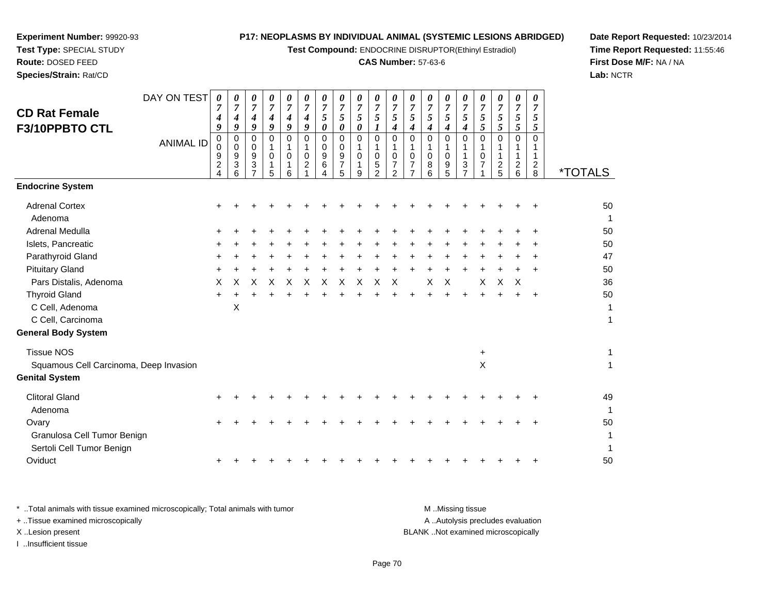**Test Compound:** ENDOCRINE DISRUPTOR(Ethinyl Estradiol)

# **CAS Number:** 57-63-6

**Date Report Requested:** 10/23/2014 **Time Report Requested:** 11:55:46**First Dose M/F:** NA / NA**Lab:** NCTR

| <b>CD Rat Female</b>                                            | DAY ON TEST      | 0<br>$\overline{7}$<br>4                         | 0<br>$\overline{7}$<br>4   | 0<br>$\overline{7}$<br>$\boldsymbol{4}$ | 0<br>$\overline{7}$<br>4                 | 0<br>$\boldsymbol{7}$<br>$\boldsymbol{4}$ | 0<br>$\overline{7}$<br>4                                | 0<br>$\overline{7}$<br>5   | 0<br>$\overline{7}$<br>5                | 0<br>$\overline{7}$<br>5                 | 0<br>$\overline{7}$<br>5                                                   | 0<br>$\boldsymbol{7}$<br>5                                                              | 0<br>$\overline{7}$<br>5                       | 0<br>$\overline{7}$<br>5   | 0<br>$\boldsymbol{7}$<br>5                                          | 0<br>$\boldsymbol{7}$<br>5                                    | 0<br>$\overline{7}$<br>5            | 0<br>$\boldsymbol{7}$<br>5                  | 0<br>$\boldsymbol{7}$<br>5        | 0<br>$\overline{7}$<br>5            |                       |
|-----------------------------------------------------------------|------------------|--------------------------------------------------|----------------------------|-----------------------------------------|------------------------------------------|-------------------------------------------|---------------------------------------------------------|----------------------------|-----------------------------------------|------------------------------------------|----------------------------------------------------------------------------|-----------------------------------------------------------------------------------------|------------------------------------------------|----------------------------|---------------------------------------------------------------------|---------------------------------------------------------------|-------------------------------------|---------------------------------------------|-----------------------------------|-------------------------------------|-----------------------|
| F3/10PPBTO CTL                                                  | <b>ANIMAL ID</b> | 9<br>0<br>0<br>9<br>$\overline{\mathbf{c}}$<br>4 | 9<br>0<br>0<br>9<br>3<br>6 | 9<br>0<br>0<br>9<br>3<br>$\overline{7}$ | 9<br>$\Omega$<br>1<br>$\Omega$<br>1<br>5 | 9<br>0<br>$\Omega$<br>6                   | 9<br>$\Omega$<br>$\mathbf 0$<br>$\overline{\mathbf{c}}$ | 0<br>0<br>0<br>9<br>6<br>4 | 0<br>0<br>0<br>9<br>$\overline{7}$<br>5 | 0<br>$\Omega$<br>1<br>$\Omega$<br>1<br>9 | $\boldsymbol{l}$<br>0<br>$\mathbf{1}$<br>$\mathbf 0$<br>5<br>$\mathcal{P}$ | $\boldsymbol{4}$<br>$\mathbf 0$<br>1<br>$\mathbf 0$<br>$\overline{7}$<br>$\mathfrak{p}$ | 4<br>$\Omega$<br>1<br>0<br>7<br>$\overline{7}$ | 4<br>0<br>1<br>0<br>8<br>6 | 4<br>0<br>1<br>$\mathbf 0$<br>$\begin{array}{c} 9 \\ 5 \end{array}$ | $\boldsymbol{4}$<br>$\Omega$<br>1<br>1<br>3<br>$\overline{7}$ | 5<br>$\Omega$<br>1<br>$\Omega$<br>7 | $\mathfrak{F}$<br>$\Omega$<br>$\frac{2}{5}$ | 5<br>0<br>1<br>1<br>$\frac{2}{6}$ | 5<br>$\Omega$<br>1<br>$\frac{2}{8}$ | <i><b>*TOTALS</b></i> |
| <b>Endocrine System</b>                                         |                  |                                                  |                            |                                         |                                          |                                           |                                                         |                            |                                         |                                          |                                                                            |                                                                                         |                                                |                            |                                                                     |                                                               |                                     |                                             |                                   |                                     |                       |
| <b>Adrenal Cortex</b><br>Adenoma                                |                  | +                                                |                            |                                         |                                          |                                           |                                                         |                            |                                         |                                          |                                                                            |                                                                                         |                                                |                            |                                                                     |                                                               |                                     |                                             |                                   |                                     | 50<br>-1              |
| Adrenal Medulla                                                 |                  | +                                                |                            |                                         |                                          |                                           |                                                         |                            |                                         |                                          |                                                                            |                                                                                         |                                                |                            |                                                                     |                                                               |                                     |                                             |                                   |                                     | 50                    |
| Islets, Pancreatic                                              |                  |                                                  |                            |                                         |                                          |                                           |                                                         |                            |                                         |                                          |                                                                            |                                                                                         |                                                |                            |                                                                     |                                                               |                                     |                                             |                                   |                                     | 50                    |
| Parathyroid Gland                                               |                  | +                                                |                            |                                         |                                          |                                           |                                                         |                            |                                         |                                          |                                                                            |                                                                                         |                                                |                            |                                                                     |                                                               |                                     |                                             |                                   |                                     | 47                    |
| <b>Pituitary Gland</b>                                          |                  |                                                  |                            |                                         |                                          |                                           |                                                         |                            |                                         |                                          |                                                                            |                                                                                         |                                                |                            |                                                                     |                                                               |                                     |                                             |                                   |                                     | 50                    |
| Pars Distalis, Adenoma                                          |                  | X                                                | Х                          | х                                       | X                                        | X                                         | X                                                       | X                          | X                                       | X                                        | X                                                                          | X                                                                                       |                                                | X                          | X                                                                   |                                                               | X                                   | X                                           | X                                 |                                     | 36                    |
| <b>Thyroid Gland</b>                                            |                  | +                                                |                            |                                         |                                          |                                           |                                                         |                            |                                         |                                          |                                                                            |                                                                                         |                                                |                            |                                                                     |                                                               |                                     |                                             |                                   |                                     | 50                    |
| C Cell, Adenoma                                                 |                  |                                                  | Χ                          |                                         |                                          |                                           |                                                         |                            |                                         |                                          |                                                                            |                                                                                         |                                                |                            |                                                                     |                                                               |                                     |                                             |                                   |                                     | $\mathbf 1$           |
| C Cell, Carcinoma                                               |                  |                                                  |                            |                                         |                                          |                                           |                                                         |                            |                                         |                                          |                                                                            |                                                                                         |                                                |                            |                                                                     |                                                               |                                     |                                             |                                   |                                     | 1                     |
| <b>General Body System</b>                                      |                  |                                                  |                            |                                         |                                          |                                           |                                                         |                            |                                         |                                          |                                                                            |                                                                                         |                                                |                            |                                                                     |                                                               |                                     |                                             |                                   |                                     |                       |
| <b>Tissue NOS</b>                                               |                  |                                                  |                            |                                         |                                          |                                           |                                                         |                            |                                         |                                          |                                                                            |                                                                                         |                                                |                            |                                                                     |                                                               | $\ddot{}$                           |                                             |                                   |                                     | $\mathbf{1}$          |
| Squamous Cell Carcinoma, Deep Invasion<br><b>Genital System</b> |                  |                                                  |                            |                                         |                                          |                                           |                                                         |                            |                                         |                                          |                                                                            |                                                                                         |                                                |                            |                                                                     |                                                               | X                                   |                                             |                                   |                                     | $\mathbf{1}$          |
| <b>Clitoral Gland</b>                                           |                  | +                                                |                            |                                         |                                          |                                           |                                                         |                            |                                         |                                          |                                                                            |                                                                                         |                                                |                            |                                                                     |                                                               |                                     |                                             |                                   |                                     | 49                    |
| Adenoma                                                         |                  |                                                  |                            |                                         |                                          |                                           |                                                         |                            |                                         |                                          |                                                                            |                                                                                         |                                                |                            |                                                                     |                                                               |                                     |                                             |                                   |                                     | $\mathbf{1}$          |
| Ovary                                                           |                  | +                                                |                            |                                         |                                          |                                           |                                                         |                            |                                         |                                          |                                                                            |                                                                                         |                                                |                            |                                                                     |                                                               |                                     |                                             |                                   |                                     | 50                    |
| Granulosa Cell Tumor Benign<br>Sertoli Cell Tumor Benign        |                  |                                                  |                            |                                         |                                          |                                           |                                                         |                            |                                         |                                          |                                                                            |                                                                                         |                                                |                            |                                                                     |                                                               |                                     |                                             |                                   |                                     | 1<br>$\mathbf 1$      |
| Oviduct                                                         |                  | $\pm$                                            |                            |                                         |                                          |                                           |                                                         |                            |                                         |                                          |                                                                            |                                                                                         |                                                |                            |                                                                     |                                                               |                                     |                                             |                                   |                                     | 50                    |
|                                                                 |                  |                                                  |                            |                                         |                                          |                                           |                                                         |                            |                                         |                                          |                                                                            |                                                                                         |                                                |                            |                                                                     |                                                               |                                     |                                             |                                   |                                     |                       |

| * Total animals with tissue examined microscopically; Total animals with tumor | M Missing tissue                   |
|--------------------------------------------------------------------------------|------------------------------------|
| + Tissue examined microscopically                                              | A Autolysis precludes evaluation   |
| X Lesion present                                                               | BLANK Not examined microscopically |
| …Insufficient tissue                                                           |                                    |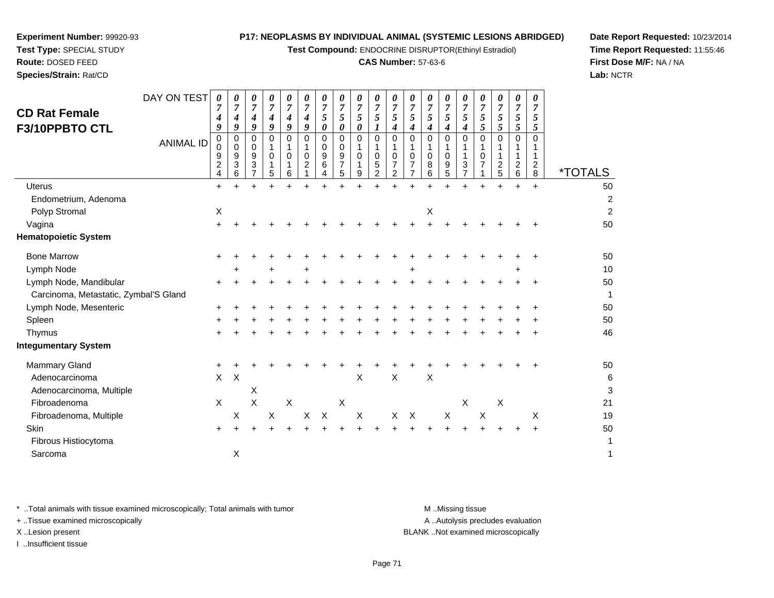**Test Compound:** ENDOCRINE DISRUPTOR(Ethinyl Estradiol)

#### **CAS Number:** 57-63-6

**Date Report Requested:** 10/23/2014**Time Report Requested:** 11:55:46**First Dose M/F:** NA / NA**Lab:** NCTR

| <b>CD Rat Female</b><br>F3/10PPBTO CTL                          | DAY ON TEST      | 0<br>7<br>4<br>9                                                          | 0<br>7<br>4<br>9                | 0<br>7<br>4<br>9      | 0<br>7<br>4<br>9 | 0<br>$\overline{7}$<br>$\boldsymbol{4}$<br>9 | 0<br>7<br>4<br>9                | $\boldsymbol{\theta}$<br>7<br>$\mathfrak{s}$<br>0 | 0<br>$\overline{7}$<br>5<br>0   | 0<br>$\overline{7}$<br>5<br>0 | 0<br>5                                         | 0<br>7<br>5<br>4                        | 0<br>$\overline{7}$<br>$\mathfrak{s}$<br>4 | 0<br>$\overline{7}$<br>5<br>4 | 0<br>7<br>5<br>4                  | $\boldsymbol{\theta}$<br>$\overline{7}$<br>5<br>4 | 0<br>7<br>5<br>$\mathfrak{s}$ | $\boldsymbol{\theta}$<br>$\overline{7}$<br>5<br>5 | 0<br>7<br>5<br>5                       | 0<br>7<br>5<br>5                                       |                       |
|-----------------------------------------------------------------|------------------|---------------------------------------------------------------------------|---------------------------------|-----------------------|------------------|----------------------------------------------|---------------------------------|---------------------------------------------------|---------------------------------|-------------------------------|------------------------------------------------|-----------------------------------------|--------------------------------------------|-------------------------------|-----------------------------------|---------------------------------------------------|-------------------------------|---------------------------------------------------|----------------------------------------|--------------------------------------------------------|-----------------------|
|                                                                 | <b>ANIMAL ID</b> | $\mathbf 0$<br>$\Omega$<br>9<br>$\overline{c}$<br>$\overline{\mathbf{A}}$ | $\mathbf 0$<br>0<br>9<br>3<br>6 | 0<br>0<br>9<br>3<br>7 | 0<br>0<br>5      | $\Omega$<br>$\Omega$<br>6                    | $\Omega$<br>0<br>$\overline{c}$ | $\Omega$<br>$\Omega$<br>9<br>6<br>4               | 0<br>$\mathbf 0$<br>9<br>7<br>5 | $\Omega$<br>0<br>9            | $\Omega$<br>$\mathbf 0$<br>5<br>$\overline{2}$ | $\mathbf 0$<br>0<br>7<br>$\overline{2}$ | $\Omega$<br>0<br>7<br>7                    | $\mathbf 0$<br>0<br>8<br>6    | $\Omega$<br>$\mathbf 0$<br>9<br>5 | $\Omega$<br>3<br>$\overline{7}$                   | $\Omega$<br>0                 | $\mathbf 0$<br>1<br>$\frac{2}{5}$                 | 0<br>1<br>$\overline{\mathbf{c}}$<br>6 | $\Omega$<br>1<br>1<br>$\overline{c}$<br>$\overline{8}$ | <i><b>*TOTALS</b></i> |
| <b>Uterus</b>                                                   |                  | $\ddot{}$                                                                 | $\ddot{}$                       | $\ddot{}$             |                  |                                              |                                 | $\ddot{}$                                         | $\ddot{}$                       | $\ddot{}$                     | $\ddot{}$                                      |                                         |                                            |                               | $\ddot{}$                         |                                                   | Ŧ.                            | $\ddot{}$                                         |                                        | $\ddot{}$                                              | 50                    |
| Endometrium, Adenoma<br>Polyp Stromal                           |                  | X                                                                         |                                 |                       |                  |                                              |                                 |                                                   |                                 |                               |                                                |                                         |                                            | X                             |                                   |                                                   |                               |                                                   |                                        |                                                        | 2<br>$\overline{a}$   |
| Vagina                                                          |                  | +                                                                         |                                 |                       |                  |                                              |                                 |                                                   |                                 |                               |                                                |                                         |                                            |                               |                                   |                                                   |                               |                                                   |                                        |                                                        | 50                    |
| <b>Hematopoietic System</b>                                     |                  |                                                                           |                                 |                       |                  |                                              |                                 |                                                   |                                 |                               |                                                |                                         |                                            |                               |                                   |                                                   |                               |                                                   |                                        |                                                        |                       |
| <b>Bone Marrow</b>                                              |                  | $\ddot{}$                                                                 |                                 |                       |                  |                                              |                                 |                                                   |                                 |                               |                                                |                                         |                                            |                               |                                   |                                                   |                               |                                                   |                                        |                                                        | 50                    |
| Lymph Node                                                      |                  |                                                                           |                                 |                       |                  |                                              |                                 |                                                   |                                 |                               |                                                |                                         | +                                          |                               |                                   |                                                   |                               |                                                   | +                                      |                                                        | 10                    |
| Lymph Node, Mandibular<br>Carcinoma, Metastatic, Zymbal'S Gland |                  | ÷                                                                         |                                 |                       |                  |                                              |                                 |                                                   |                                 |                               |                                                |                                         |                                            |                               |                                   |                                                   |                               |                                                   |                                        |                                                        | 50                    |
| Lymph Node, Mesenteric                                          |                  |                                                                           |                                 |                       |                  |                                              |                                 |                                                   |                                 |                               |                                                |                                         |                                            |                               |                                   |                                                   |                               |                                                   |                                        |                                                        | 50                    |
| Spleen                                                          |                  |                                                                           |                                 |                       |                  |                                              |                                 |                                                   |                                 |                               |                                                |                                         |                                            |                               |                                   |                                                   |                               |                                                   |                                        |                                                        | 50                    |
| Thymus                                                          |                  |                                                                           |                                 |                       |                  |                                              |                                 |                                                   |                                 |                               |                                                |                                         |                                            |                               |                                   |                                                   |                               |                                                   |                                        |                                                        | 46                    |
| <b>Integumentary System</b>                                     |                  |                                                                           |                                 |                       |                  |                                              |                                 |                                                   |                                 |                               |                                                |                                         |                                            |                               |                                   |                                                   |                               |                                                   |                                        |                                                        |                       |
| <b>Mammary Gland</b>                                            |                  | ÷                                                                         |                                 |                       |                  |                                              |                                 |                                                   |                                 |                               |                                                |                                         |                                            |                               |                                   |                                                   |                               |                                                   |                                        |                                                        | 50                    |
| Adenocarcinoma                                                  |                  | $\mathsf{X}$                                                              | $\times$                        |                       |                  |                                              |                                 |                                                   |                                 | X                             |                                                | X                                       |                                            | $\mathsf X$                   |                                   |                                                   |                               |                                                   |                                        |                                                        | 6                     |
| Adenocarcinoma, Multiple                                        |                  |                                                                           |                                 | X                     |                  |                                              |                                 |                                                   |                                 |                               |                                                |                                         |                                            |                               |                                   |                                                   |                               |                                                   |                                        |                                                        | 3                     |
| Fibroadenoma                                                    |                  | X                                                                         |                                 | X                     |                  | X                                            |                                 |                                                   | X                               |                               |                                                |                                         |                                            |                               |                                   | X                                                 |                               | X                                                 |                                        |                                                        | 21                    |
| Fibroadenoma, Multiple                                          |                  |                                                                           | Χ                               |                       | X                |                                              | X                               | $\boldsymbol{\mathsf{X}}$                         |                                 | X                             |                                                | X                                       | $\mathsf{X}$                               |                               | X                                 |                                                   | X                             |                                                   |                                        | Χ                                                      | 19                    |
| Skin                                                            |                  | $\ddot{}$                                                                 |                                 |                       |                  |                                              |                                 |                                                   |                                 |                               |                                                |                                         |                                            |                               |                                   |                                                   |                               |                                                   |                                        | $\ddot{}$                                              | 50                    |
| Fibrous Histiocytoma                                            |                  |                                                                           |                                 |                       |                  |                                              |                                 |                                                   |                                 |                               |                                                |                                         |                                            |                               |                                   |                                                   |                               |                                                   |                                        |                                                        | 1                     |
| Sarcoma                                                         |                  |                                                                           | X                               |                       |                  |                                              |                                 |                                                   |                                 |                               |                                                |                                         |                                            |                               |                                   |                                                   |                               |                                                   |                                        |                                                        | 1                     |
|                                                                 |                  |                                                                           |                                 |                       |                  |                                              |                                 |                                                   |                                 |                               |                                                |                                         |                                            |                               |                                   |                                                   |                               |                                                   |                                        |                                                        |                       |

\* ..Total animals with tissue examined microscopically; Total animals with tumor **M** . Missing tissue M ..Missing tissue

+ ..Tissue examined microscopically

**Experiment Number:** 99920-93**Test Type:** SPECIAL STUDY**Route:** DOSED FEED**Species/Strain:** Rat/CD

I ..Insufficient tissue

A ..Autolysis precludes evaluation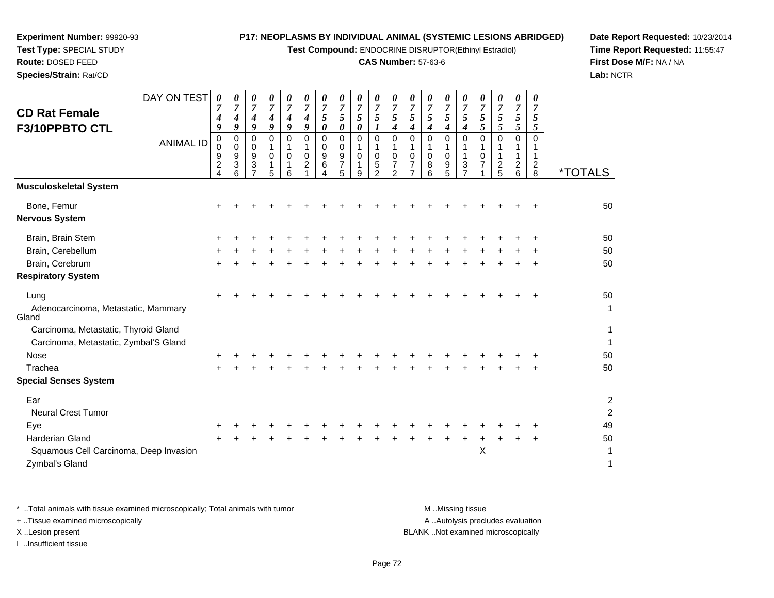**Test Compound:** ENDOCRINE DISRUPTOR(Ethinyl Estradiol)

#### **CAS Number:** 57-63-6

**Date Report Requested:** 10/23/2014**Time Report Requested:** 11:55:47**First Dose M/F:** NA / NA**Lab:** NCTR

| <b>CD Rat Female</b><br>F3/10PPBTO CTL                   | DAY ON TEST<br><b>ANIMAL ID</b> | $\boldsymbol{\theta}$<br>7<br>4<br>9<br>0<br>0<br>9<br>$\overline{\mathbf{c}}$<br>4 | 0<br>$\overline{7}$<br>4<br>9<br>0<br>0<br>9<br>3<br>6 | 0<br>$\overline{7}$<br>4<br>9<br>0<br>$\mathbf 0$<br>9<br>3<br>$\overline{7}$ | 0<br>$\overline{7}$<br>$\boldsymbol{4}$<br>9<br>$\Omega$<br>-1<br>$\Omega$<br>5 | 0<br>7<br>4<br>9<br>$\Omega$<br>$\Omega$<br>6 | 0<br>$\overline{7}$<br>4<br>9<br>$\Omega$<br>1<br>0<br>$\overline{c}$ | 0<br>$\overline{7}$<br>$\sqrt{5}$<br>$\boldsymbol{\theta}$<br>0<br>0<br>9<br>6<br>4 | 0<br>$\overline{7}$<br>5<br>0<br>0<br>$\mathbf 0$<br>9<br>$\overline{7}$<br>5 | 0<br>$\overline{7}$<br>5<br>0<br>0<br>$\mathbf{1}$<br>$\mathbf 0$<br>1<br>9 | 0<br>$\boldsymbol{7}$<br>5<br>1<br>0<br>1<br>0<br>5<br>$\overline{2}$ | 0<br>$\overline{7}$<br>$\sqrt{5}$<br>4<br>$\mathbf 0$<br>$\mathbf{1}$<br>$\mathbf 0$<br>$\overline{7}$<br>$\overline{2}$ | 0<br>$\overline{7}$<br>5<br>$\boldsymbol{4}$<br>0<br>-1<br>$\Omega$<br>7<br>$\overline{7}$ | 0<br>$\overline{7}$<br>5<br>4<br>$\Omega$<br>1<br>0<br>8<br>6 | 0<br>$\overline{7}$<br>5<br>4<br>0<br>$\mathbf 0$<br>$\frac{9}{5}$ | 0<br>$\overline{7}$<br>5<br>4<br>$\Omega$<br>1<br>1<br>3<br>$\overline{7}$ | 0<br>$\overline{7}$<br>5<br>5<br>$\Omega$<br>1<br>$\mathbf 0$<br>$\overline{7}$ | 0<br>7<br>5<br>5<br>$\Omega$<br>1<br>1<br>$\frac{2}{5}$ | 0<br>$\overline{7}$<br>5<br>5<br>$\mathbf 0$<br>1<br>$\mathbf{1}$<br>$\frac{2}{6}$ | 0<br>7<br>5<br>5<br>0<br>1<br>$\overline{c}$<br>8 | <i><b>*TOTALS</b></i>            |
|----------------------------------------------------------|---------------------------------|-------------------------------------------------------------------------------------|--------------------------------------------------------|-------------------------------------------------------------------------------|---------------------------------------------------------------------------------|-----------------------------------------------|-----------------------------------------------------------------------|-------------------------------------------------------------------------------------|-------------------------------------------------------------------------------|-----------------------------------------------------------------------------|-----------------------------------------------------------------------|--------------------------------------------------------------------------------------------------------------------------|--------------------------------------------------------------------------------------------|---------------------------------------------------------------|--------------------------------------------------------------------|----------------------------------------------------------------------------|---------------------------------------------------------------------------------|---------------------------------------------------------|------------------------------------------------------------------------------------|---------------------------------------------------|----------------------------------|
| <b>Musculoskeletal System</b>                            |                                 |                                                                                     |                                                        |                                                                               |                                                                                 |                                               |                                                                       |                                                                                     |                                                                               |                                                                             |                                                                       |                                                                                                                          |                                                                                            |                                                               |                                                                    |                                                                            |                                                                                 |                                                         |                                                                                    |                                                   |                                  |
| Bone, Femur<br><b>Nervous System</b>                     |                                 |                                                                                     |                                                        |                                                                               |                                                                                 |                                               |                                                                       |                                                                                     |                                                                               |                                                                             |                                                                       |                                                                                                                          |                                                                                            |                                                               |                                                                    |                                                                            |                                                                                 |                                                         |                                                                                    |                                                   | 50                               |
| Brain, Brain Stem                                        |                                 |                                                                                     |                                                        |                                                                               |                                                                                 |                                               |                                                                       |                                                                                     |                                                                               |                                                                             |                                                                       |                                                                                                                          |                                                                                            |                                                               |                                                                    |                                                                            |                                                                                 |                                                         |                                                                                    |                                                   | 50                               |
| Brain, Cerebellum                                        |                                 |                                                                                     |                                                        |                                                                               |                                                                                 |                                               |                                                                       |                                                                                     |                                                                               |                                                                             |                                                                       |                                                                                                                          |                                                                                            |                                                               |                                                                    |                                                                            |                                                                                 |                                                         |                                                                                    |                                                   | 50                               |
| Brain, Cerebrum                                          |                                 | +                                                                                   |                                                        |                                                                               |                                                                                 |                                               |                                                                       |                                                                                     |                                                                               |                                                                             |                                                                       |                                                                                                                          |                                                                                            |                                                               |                                                                    |                                                                            |                                                                                 |                                                         |                                                                                    |                                                   | 50                               |
| <b>Respiratory System</b>                                |                                 |                                                                                     |                                                        |                                                                               |                                                                                 |                                               |                                                                       |                                                                                     |                                                                               |                                                                             |                                                                       |                                                                                                                          |                                                                                            |                                                               |                                                                    |                                                                            |                                                                                 |                                                         |                                                                                    |                                                   |                                  |
| Lung<br>Adenocarcinoma, Metastatic, Mammary<br>Gland     |                                 |                                                                                     |                                                        |                                                                               |                                                                                 |                                               |                                                                       |                                                                                     |                                                                               |                                                                             |                                                                       |                                                                                                                          |                                                                                            |                                                               |                                                                    |                                                                            |                                                                                 |                                                         |                                                                                    |                                                   | 50<br>$\mathbf{1}$               |
| Carcinoma, Metastatic, Thyroid Gland                     |                                 |                                                                                     |                                                        |                                                                               |                                                                                 |                                               |                                                                       |                                                                                     |                                                                               |                                                                             |                                                                       |                                                                                                                          |                                                                                            |                                                               |                                                                    |                                                                            |                                                                                 |                                                         |                                                                                    |                                                   | 1                                |
| Carcinoma, Metastatic, Zymbal'S Gland                    |                                 |                                                                                     |                                                        |                                                                               |                                                                                 |                                               |                                                                       |                                                                                     |                                                                               |                                                                             |                                                                       |                                                                                                                          |                                                                                            |                                                               |                                                                    |                                                                            |                                                                                 |                                                         |                                                                                    |                                                   | $\mathbf{1}$                     |
| <b>Nose</b>                                              |                                 |                                                                                     |                                                        |                                                                               |                                                                                 |                                               |                                                                       |                                                                                     |                                                                               |                                                                             |                                                                       |                                                                                                                          |                                                                                            |                                                               |                                                                    |                                                                            |                                                                                 |                                                         |                                                                                    |                                                   | 50                               |
| Trachea                                                  |                                 |                                                                                     |                                                        |                                                                               |                                                                                 |                                               |                                                                       |                                                                                     |                                                                               |                                                                             |                                                                       |                                                                                                                          |                                                                                            |                                                               |                                                                    |                                                                            |                                                                                 |                                                         |                                                                                    |                                                   | 50                               |
| <b>Special Senses System</b>                             |                                 |                                                                                     |                                                        |                                                                               |                                                                                 |                                               |                                                                       |                                                                                     |                                                                               |                                                                             |                                                                       |                                                                                                                          |                                                                                            |                                                               |                                                                    |                                                                            |                                                                                 |                                                         |                                                                                    |                                                   |                                  |
| Ear<br><b>Neural Crest Tumor</b>                         |                                 |                                                                                     |                                                        |                                                                               |                                                                                 |                                               |                                                                       |                                                                                     |                                                                               |                                                                             |                                                                       |                                                                                                                          |                                                                                            |                                                               |                                                                    |                                                                            |                                                                                 |                                                         |                                                                                    |                                                   | $\overline{c}$<br>$\overline{2}$ |
| Eye                                                      |                                 |                                                                                     |                                                        |                                                                               |                                                                                 |                                               |                                                                       |                                                                                     |                                                                               |                                                                             |                                                                       |                                                                                                                          |                                                                                            |                                                               |                                                                    |                                                                            |                                                                                 |                                                         |                                                                                    |                                                   | 49                               |
| Harderian Gland                                          |                                 |                                                                                     |                                                        |                                                                               |                                                                                 |                                               |                                                                       |                                                                                     |                                                                               |                                                                             |                                                                       |                                                                                                                          |                                                                                            |                                                               |                                                                    |                                                                            |                                                                                 |                                                         |                                                                                    |                                                   | 50                               |
| Squamous Cell Carcinoma, Deep Invasion<br>Zymbal's Gland |                                 |                                                                                     |                                                        |                                                                               |                                                                                 |                                               |                                                                       |                                                                                     |                                                                               |                                                                             |                                                                       |                                                                                                                          |                                                                                            |                                                               |                                                                    |                                                                            | X                                                                               |                                                         |                                                                                    |                                                   | 1<br>1                           |

**Experiment Number:** 99920-93**Test Type:** SPECIAL STUDY**Route:** DOSED FEED**Species/Strain:** Rat/CD

\* ..Total animals with tissue examined microscopically; Total animals with tumor **M** . Missing tissue M ..Missing tissue A ..Autolysis precludes evaluation + ..Tissue examined microscopically X ..Lesion present BLANK ..Not examined microscopicallyI ..Insufficient tissue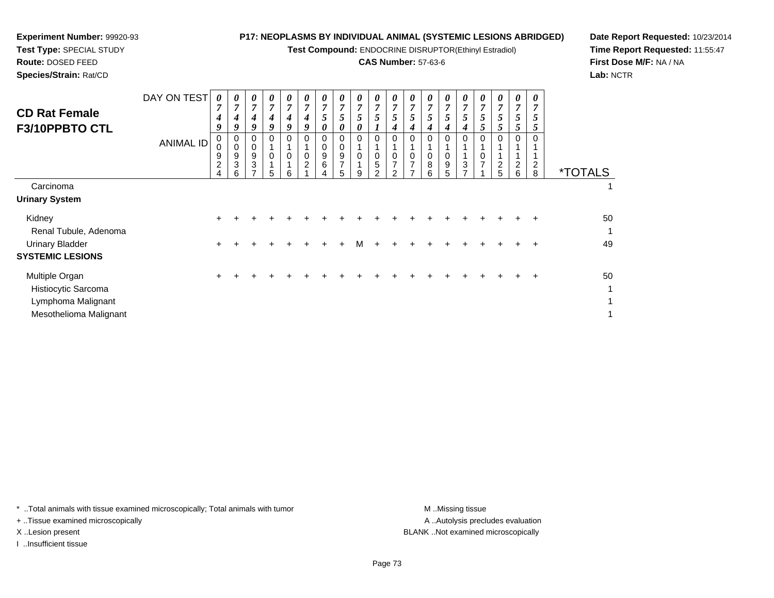**Test Compound:** ENDOCRINE DISRUPTOR(Ethinyl Estradiol)

## **CAS Number:** 57-63-6

**Date Report Requested:** 10/23/2014**Time Report Requested:** 11:55:47**First Dose M/F:** NA / NA**Lab:** NCTR

| <b>CD Rat Female</b><br>F3/10PPBTO CTL | DAY ON TEST      | 0<br>$\overline{ }$<br>4<br>$\boldsymbol{q}$ | 0<br>7<br>4<br>9                | $\theta$<br>,<br>Q         | $\boldsymbol{\theta}$<br>7<br>4<br>Q | 0<br>7<br>4<br>Q | 0<br>7<br>4<br>9 | 0<br>7<br>◡<br>0 | $\boldsymbol{\theta}$<br>7<br>$\boldsymbol{\theta}$ | 0<br>7<br>$\mathcal{P}$<br>0 | $\boldsymbol{\theta}$<br>7<br>Ć | 0<br>7<br>5<br>4 | $\boldsymbol{\theta}$<br>п<br>C | $\theta$         | 0<br>4           | 0<br>7<br>4 | 0<br>7<br>J<br>J | $\boldsymbol{\theta}$<br>7<br>Ć | $\boldsymbol{\theta}$<br>7<br>$\mathcal{P}$<br>$\mathfrak{I}$ | 0<br>C      |                       |
|----------------------------------------|------------------|----------------------------------------------|---------------------------------|----------------------------|--------------------------------------|------------------|------------------|------------------|-----------------------------------------------------|------------------------------|---------------------------------|------------------|---------------------------------|------------------|------------------|-------------|------------------|---------------------------------|---------------------------------------------------------------|-------------|-----------------------|
|                                        | <b>ANIMAL ID</b> | າ<br>∠<br>4                                  | $\mathbf 0$<br>U<br>9<br>3<br>6 | $\mathbf 0$<br>0<br>9<br>3 | $\Omega$<br>5                        | 0<br>0<br>6      | 0<br>ົ           | 0<br>0<br>9<br>6 | 9<br>5                                              | $\mathbf 0$<br>0<br>9        | 0<br>5<br>2                     | 0<br>0<br>っ      | 0                               | 0<br>0<br>8<br>6 | 0<br>0<br>9<br>5 | 3           | 0<br>0<br>⇁      | 2<br>5                          | $\mathbf 0$<br>2<br>6                                         | ົ<br>∠<br>8 | <i><b>*TOTALS</b></i> |
| Carcinoma<br><b>Urinary System</b>     |                  |                                              |                                 |                            |                                      |                  |                  |                  |                                                     |                              |                                 |                  |                                 |                  |                  |             |                  |                                 |                                                               |             |                       |
| Kidnev                                 |                  | $+$                                          | ÷                               | ÷                          | ÷                                    | ÷.               | $\pm$            | ÷.               |                                                     | ٠                            | ÷                               | ÷                | ÷                               | ÷                | ÷.               | $\pm$       | ÷.               | $+$                             | $+$                                                           | $\div$      | 5 <sub>0</sub>        |

| Kidney                  | $+$ |  |  |     |         | $+$ $+$ $+$ $+$ |  | $+$ $-$ | $+$ | $+$ $+$     | $+$ $-$ | $+$ $+$ |  | 50 |
|-------------------------|-----|--|--|-----|---------|-----------------|--|---------|-----|-------------|---------|---------|--|----|
| Renal Tubule, Adenoma   |     |  |  |     |         |                 |  |         |     |             |         |         |  |    |
| Urinary Bladder         | $+$ |  |  | $+$ | $+$ $+$ | M + + +         |  |         |     | $+$ $+$ $+$ |         | $+$ $+$ |  | 49 |
| <b>SYSTEMIC LESIONS</b> |     |  |  |     |         |                 |  |         |     |             |         |         |  |    |
| Multiple Organ          |     |  |  |     |         |                 |  |         |     |             |         |         |  | 50 |
| Histiocytic Sarcoma     |     |  |  |     |         |                 |  |         |     |             |         |         |  | 1  |
| Lymphoma Malignant      |     |  |  |     |         |                 |  |         |     |             |         |         |  |    |
| Mesothelioma Malignant  |     |  |  |     |         |                 |  |         |     |             |         |         |  |    |

\* ..Total animals with tissue examined microscopically; Total animals with tumor **M** ...Missing tissue M ...Missing tissue

+ ..Tissue examined microscopically

**Experiment Number:** 99920-93**Test Type:** SPECIAL STUDY**Route:** DOSED FEED**Species/Strain:** Rat/CD

I ..Insufficient tissue

A .. Autolysis precludes evaluation X ..Lesion present BLANK ..Not examined microscopically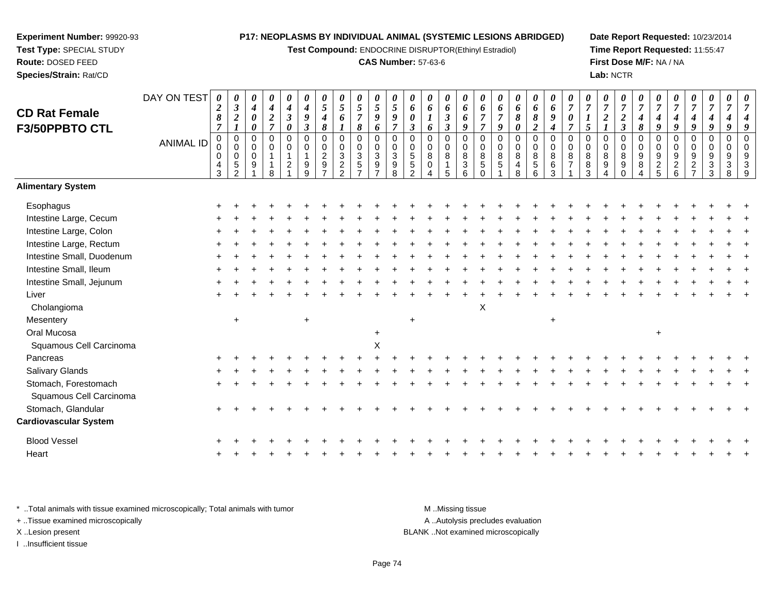**Test Compound:** ENDOCRINE DISRUPTOR(Ethinyl Estradiol)

#### **CAS Number:** 57-63-6

**Date Report Requested:** 10/23/2014**Time Report Requested:** 11:55:47**First Dose M/F:** NA / NA**Lab:** NCTR

#### DAY ON TEST**CD Rat Female F3/50PPBTO CTL**ANIMAL ID*0 2 8 7* 0 0 0 4 3*0 3 2 1* 0 0 0 5 2*0 4 0 0* 0 0 0 9 1*0 4 2 7* 0 0 1 1 8*0 4 3 0* 0 0 1 2 1*0 4 9 3* 0 0 1 9 9*0 5 4 8* 0 0 2 9 7*0 5 6 1* 0 0 3 2 2*0 5 7 8* 0 0 3 5 7*0 5 9 6* 0 0 3 9 7*0 5 9 7* 0 0 3 9 8*0 6 0 3* 0 0 5 5 2*0 6 1 6* 0 0 8 0 4*0 6 3 3* 0 0 8 1 5*0 6 6 9* 0 0 8 3 6*0 6 7 7* 0 0 8 5 0*0 6 7 9* 0 0 8 5 1*0 6 8 0* 0 0 8 4 8*0 6 8 2* 0 0 8 5 6*0 6 9 4* 0 0 8 6 3*0 7 0 7* 0 0 8 7 1*0 7 1 5* 0 0 8 8 3*0 7 2 1* 0 0 8 9 4*0 7 2 3* 0 0 8 9 0*0 7 4 8* 0 0 9 8 4*0 7 4 9* 0 0 9 2 5*0 7 4 9* 0 0 9 2 6*0 7 4 9* 0 0 9 2 7*0 7 4 9* 0 0 9 3 3*0 7 4 9* 0 0 9 3 8*0 7 4 9* 0 0 9 3 9**Alimentary SystemEsophagus**  $\mathsf{S}$  + <sup>+</sup> <sup>+</sup> <sup>+</sup> <sup>+</sup> <sup>+</sup> <sup>+</sup> <sup>+</sup> <sup>+</sup> <sup>+</sup> <sup>+</sup> <sup>+</sup> <sup>+</sup> <sup>+</sup> <sup>+</sup> <sup>+</sup> <sup>+</sup> <sup>+</sup> <sup>+</sup> <sup>+</sup> <sup>+</sup> <sup>+</sup> <sup>+</sup> <sup>+</sup> <sup>+</sup> <sup>+</sup> <sup>+</sup> <sup>+</sup> <sup>+</sup> <sup>+</sup> <sup>+</sup> Intestine Large, Cecum <sup>+</sup> <sup>+</sup> <sup>+</sup> <sup>+</sup> <sup>+</sup> <sup>+</sup> <sup>+</sup> <sup>+</sup> <sup>+</sup> <sup>+</sup> <sup>+</sup> <sup>+</sup> <sup>+</sup> <sup>+</sup> <sup>+</sup> <sup>+</sup> <sup>+</sup> <sup>+</sup> <sup>+</sup> <sup>+</sup> <sup>+</sup> <sup>+</sup> <sup>+</sup> <sup>+</sup> <sup>+</sup> <sup>+</sup> <sup>+</sup> <sup>+</sup> <sup>+</sup> <sup>+</sup> <sup>+</sup> Intestine Large, Colonn  $+$  <sup>+</sup> <sup>+</sup> <sup>+</sup> <sup>+</sup> <sup>+</sup> <sup>+</sup> <sup>+</sup> <sup>+</sup> <sup>+</sup> <sup>+</sup> <sup>+</sup> <sup>+</sup> <sup>+</sup> <sup>+</sup> <sup>+</sup> <sup>+</sup> <sup>+</sup> <sup>+</sup> <sup>+</sup> <sup>+</sup> <sup>+</sup> <sup>+</sup> <sup>+</sup> <sup>+</sup> <sup>+</sup> <sup>+</sup> <sup>+</sup> <sup>+</sup> <sup>+</sup> <sup>+</sup> Intestine Large, Rectum <sup>+</sup> <sup>+</sup> <sup>+</sup> <sup>+</sup> <sup>+</sup> <sup>+</sup> <sup>+</sup> <sup>+</sup> <sup>+</sup> <sup>+</sup> <sup>+</sup> <sup>+</sup> <sup>+</sup> <sup>+</sup> <sup>+</sup> <sup>+</sup> <sup>+</sup> <sup>+</sup> <sup>+</sup> <sup>+</sup> <sup>+</sup> <sup>+</sup> <sup>+</sup> <sup>+</sup> <sup>+</sup> <sup>+</sup> <sup>+</sup> <sup>+</sup> <sup>+</sup> <sup>+</sup> <sup>+</sup> Intestine Small, Duodenum <sup>+</sup> <sup>+</sup> <sup>+</sup> <sup>+</sup> <sup>+</sup> <sup>+</sup> <sup>+</sup> <sup>+</sup> <sup>+</sup> <sup>+</sup> <sup>+</sup> <sup>+</sup> <sup>+</sup> <sup>+</sup> <sup>+</sup> <sup>+</sup> <sup>+</sup> <sup>+</sup> <sup>+</sup> <sup>+</sup> <sup>+</sup> <sup>+</sup> <sup>+</sup> <sup>+</sup> <sup>+</sup> <sup>+</sup> <sup>+</sup> <sup>+</sup> <sup>+</sup> <sup>+</sup> <sup>+</sup> Intestine Small, Ileum <sup>+</sup> <sup>+</sup> <sup>+</sup> <sup>+</sup> <sup>+</sup> <sup>+</sup> <sup>+</sup> <sup>+</sup> <sup>+</sup> <sup>+</sup> <sup>+</sup> <sup>+</sup> <sup>+</sup> <sup>+</sup> <sup>+</sup> <sup>+</sup> <sup>+</sup> <sup>+</sup> <sup>+</sup> <sup>+</sup> <sup>+</sup> <sup>+</sup> <sup>+</sup> <sup>+</sup> <sup>+</sup> <sup>+</sup> <sup>+</sup> <sup>+</sup> <sup>+</sup> <sup>+</sup> <sup>+</sup> Intestine Small, Jejunum <sup>+</sup> <sup>+</sup> <sup>+</sup> <sup>+</sup> <sup>+</sup> <sup>+</sup> <sup>+</sup> <sup>+</sup> <sup>+</sup> <sup>+</sup> <sup>+</sup> <sup>+</sup> <sup>+</sup> <sup>+</sup> <sup>+</sup> <sup>+</sup> <sup>+</sup> <sup>+</sup> <sup>+</sup> <sup>+</sup> <sup>+</sup> <sup>+</sup> <sup>+</sup> <sup>+</sup> <sup>+</sup> <sup>+</sup> <sup>+</sup> <sup>+</sup> <sup>+</sup> <sup>+</sup> <sup>+</sup> Liver $\mathsf{r}$  + <sup>+</sup> <sup>+</sup> <sup>+</sup> <sup>+</sup> <sup>+</sup> <sup>+</sup> <sup>+</sup> <sup>+</sup> <sup>+</sup> <sup>+</sup> <sup>+</sup> <sup>+</sup> <sup>+</sup> <sup>+</sup> <sup>+</sup> <sup>+</sup> <sup>+</sup> <sup>+</sup> <sup>+</sup> <sup>+</sup> <sup>+</sup> <sup>+</sup> <sup>+</sup> <sup>+</sup> <sup>+</sup> <sup>+</sup> <sup>+</sup> <sup>+</sup> <sup>+</sup> <sup>+</sup> Cholangioma $\alpha$ **Mesentery**  <sup>+</sup> <sup>+</sup> <sup>+</sup> <sup>+</sup> Oral Mucosaa  $+$  <sup>+</sup> Squamous Cell Carcinomaa  $X$ Pancreas <sup>+</sup> <sup>+</sup> <sup>+</sup> <sup>+</sup> <sup>+</sup> <sup>+</sup> <sup>+</sup> <sup>+</sup> <sup>+</sup> <sup>+</sup> <sup>+</sup> <sup>+</sup> <sup>+</sup> <sup>+</sup> <sup>+</sup> <sup>+</sup> <sup>+</sup> <sup>+</sup> <sup>+</sup> <sup>+</sup> <sup>+</sup> <sup>+</sup> <sup>+</sup> <sup>+</sup> <sup>+</sup> <sup>+</sup> <sup>+</sup> <sup>+</sup> <sup>+</sup> <sup>+</sup> <sup>+</sup> Salivary Glands $\sim$   $\sim$   $\sim$   $\sim$   $\sim$   $\sim$   $\sim$  <sup>+</sup> <sup>+</sup> <sup>+</sup> <sup>+</sup> <sup>+</sup> <sup>+</sup> <sup>+</sup> <sup>+</sup> <sup>+</sup> <sup>+</sup> <sup>+</sup> <sup>+</sup> <sup>+</sup> <sup>+</sup> <sup>+</sup> <sup>+</sup> <sup>+</sup> <sup>+</sup> <sup>+</sup> <sup>+</sup> <sup>+</sup> <sup>+</sup> <sup>+</sup> <sup>+</sup> <sup>+</sup> <sup>+</sup> <sup>+</sup> <sup>+</sup> <sup>+</sup> <sup>+</sup> Stomach, Forestomach $\mathsf{h}$  + <sup>+</sup> <sup>+</sup> <sup>+</sup> <sup>+</sup> <sup>+</sup> <sup>+</sup> <sup>+</sup> <sup>+</sup> <sup>+</sup> <sup>+</sup> <sup>+</sup> <sup>+</sup> <sup>+</sup> <sup>+</sup> <sup>+</sup> <sup>+</sup> <sup>+</sup> <sup>+</sup> <sup>+</sup> <sup>+</sup> <sup>+</sup> <sup>+</sup> <sup>+</sup> <sup>+</sup> <sup>+</sup> <sup>+</sup> <sup>+</sup> <sup>+</sup> <sup>+</sup> <sup>+</sup> Squamous Cell CarcinomaStomach, Glandularr + <sup>+</sup> <sup>+</sup> <sup>+</sup> <sup>+</sup> <sup>+</sup> <sup>+</sup> <sup>+</sup> <sup>+</sup> <sup>+</sup> <sup>+</sup> <sup>+</sup> <sup>+</sup> <sup>+</sup> <sup>+</sup> <sup>+</sup> <sup>+</sup> <sup>+</sup> <sup>+</sup> <sup>+</sup> <sup>+</sup> <sup>+</sup> <sup>+</sup> <sup>+</sup> <sup>+</sup> <sup>+</sup> <sup>+</sup> <sup>+</sup> <sup>+</sup> <sup>+</sup> <sup>+</sup> **Cardiovascular System**Blood Vessel $\mathbf{+}$  <sup>+</sup> <sup>+</sup> <sup>+</sup> <sup>+</sup> <sup>+</sup> <sup>+</sup> <sup>+</sup> <sup>+</sup> <sup>+</sup> <sup>+</sup> <sup>+</sup> <sup>+</sup> <sup>+</sup> <sup>+</sup> <sup>+</sup> <sup>+</sup> <sup>+</sup> <sup>+</sup> <sup>+</sup> <sup>+</sup> <sup>+</sup> <sup>+</sup> <sup>+</sup> <sup>+</sup> <sup>+</sup> <sup>+</sup> <sup>+</sup> <sup>+</sup> <sup>+</sup> <sup>+</sup> **Heart**  <sup>+</sup><sup>+</sup> <sup>+</sup> <sup>+</sup> <sup>+</sup> <sup>+</sup> <sup>+</sup> <sup>+</sup> <sup>+</sup> <sup>+</sup> <sup>+</sup> <sup>+</sup> <sup>+</sup> <sup>+</sup> <sup>+</sup> <sup>+</sup> <sup>+</sup> <sup>+</sup> <sup>+</sup> <sup>+</sup> <sup>+</sup> <sup>+</sup> <sup>+</sup> <sup>+</sup> <sup>+</sup> <sup>+</sup> <sup>+</sup> <sup>+</sup> <sup>+</sup> <sup>+</sup> <sup>+</sup>

\* ..Total animals with tissue examined microscopically; Total animals with tumor M ...Total animals with tumor A ..Autolysis precludes evaluation + ..Tissue examined microscopically X ..Lesion present BLANK ..Not examined microscopicallyI ..Insufficient tissue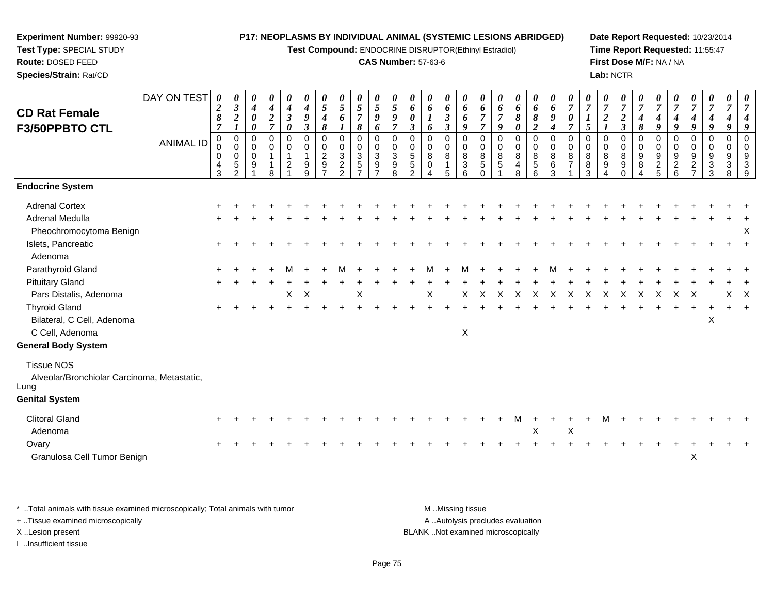**Test Compound:** ENDOCRINE DISRUPTOR(Ethinyl Estradiol)

#### **CAS Number:** 57-63-6

**Date Report Requested:** 10/23/2014**Time Report Requested:** 11:55:47**First Dose M/F:** NA / NA**Lab:** NCTR

| <b>CD Rat Female</b><br>F3/50PPBTO CTL                           | DAY ON TEST      | 0<br>$\boldsymbol{2}$<br>8<br>$\overline{7}$             | $\boldsymbol{\theta}$<br>$\boldsymbol{\beta}$<br>$\boldsymbol{2}$<br>$\boldsymbol{l}$ | $\theta$<br>$\boldsymbol{4}$<br>$\pmb{\theta}$<br>0 | 0<br>$\boldsymbol{4}$<br>$\boldsymbol{2}$<br>$\overline{7}$ | $\boldsymbol{\theta}$<br>$\boldsymbol{4}$<br>$\mathfrak{z}$<br>0 | 0<br>$\boldsymbol{4}$<br>$\boldsymbol{9}$<br>$\mathfrak{z}$ | $\boldsymbol{\theta}$<br>$\overline{5}$<br>$\boldsymbol{4}$<br>$\pmb{8}$ | $\frac{\theta}{5}$<br>6                                          | $\frac{\theta}{5}$<br>$\boldsymbol{7}$<br>8 | $\frac{\theta}{5}$<br>9<br>6                                         | $\boldsymbol{\theta}$<br>$\overline{5}$<br>$\boldsymbol{g}$<br>$\overline{7}$ | $\boldsymbol{\theta}$<br>6<br>$\boldsymbol{\theta}$<br>$\boldsymbol{\beta}$ | 0<br>6<br>6                     | 0<br>6<br>$\mathfrak{z}$<br>$\boldsymbol{\beta}$ | $\boldsymbol{\theta}$<br>6<br>6<br>9                       | 0<br>6<br>$\overline{7}$<br>$\overline{7}$            | $\boldsymbol{\theta}$<br>6<br>$\overline{7}$<br>$\boldsymbol{9}$    | 0<br>6<br>8<br>0                     | 0<br>6<br>8<br>$\boldsymbol{2}$              | $\boldsymbol{\theta}$<br>6<br>9<br>4        | $\theta$<br>$\overline{7}$<br>$\boldsymbol{\theta}$<br>$\overline{7}$ | $\overline{7}$<br>1<br>5                 | $\theta$<br>$\overline{7}$<br>$\overline{c}$   | 0<br>$\overline{7}$<br>$\overline{c}$<br>$\mathfrak{z}$ | $\boldsymbol{\theta}$<br>$\overline{7}$<br>$\boldsymbol{4}$<br>8       | $\theta$<br>$\overline{7}$<br>$\boldsymbol{4}$<br>9 | $\overline{7}$<br>$\boldsymbol{4}$<br>$\boldsymbol{g}$ | 0<br>$\overline{7}$<br>4<br>9                   | 0<br>$\overline{7}$<br>$\boldsymbol{4}$<br>9 | $\boldsymbol{\theta}$<br>$\overline{7}$<br>4<br>9         | 0                  |
|------------------------------------------------------------------|------------------|----------------------------------------------------------|---------------------------------------------------------------------------------------|-----------------------------------------------------|-------------------------------------------------------------|------------------------------------------------------------------|-------------------------------------------------------------|--------------------------------------------------------------------------|------------------------------------------------------------------|---------------------------------------------|----------------------------------------------------------------------|-------------------------------------------------------------------------------|-----------------------------------------------------------------------------|---------------------------------|--------------------------------------------------|------------------------------------------------------------|-------------------------------------------------------|---------------------------------------------------------------------|--------------------------------------|----------------------------------------------|---------------------------------------------|-----------------------------------------------------------------------|------------------------------------------|------------------------------------------------|---------------------------------------------------------|------------------------------------------------------------------------|-----------------------------------------------------|--------------------------------------------------------|-------------------------------------------------|----------------------------------------------|-----------------------------------------------------------|--------------------|
|                                                                  | <b>ANIMAL ID</b> | 0<br>0<br>0<br>$\overline{\mathbf{r}}$<br>$\overline{3}$ | $\mathbf 0$<br>$\mathbf 0$<br>$\mathbf 0$<br>$\sqrt{5}$<br>$\overline{2}$             | $\Omega$<br>$\mathbf 0$<br>0<br>9                   | $\Omega$<br>0<br>$\mathbf{1}$<br>8                          | $\mathbf 0$<br>0<br>$\mathbf 1$<br>$\overline{c}$                | $\mathbf 0$<br>0<br>$\overline{1}$<br>$\frac{9}{9}$         | $\mathbf 0$<br>$\pmb{0}$<br>$\boldsymbol{2}$<br>$\frac{9}{7}$            | $\mathbf 0$<br>$\boldsymbol{0}$<br>$\mathbf{3}$<br>$\frac{2}{2}$ | 0<br>0<br>$\mathfrak{S}$<br>$\frac{5}{7}$   | $\mathbf 0$<br>0<br>$\sqrt{3}$<br>$\boldsymbol{9}$<br>$\overline{7}$ | $\Omega$<br>$\mathbf 0$<br>$\ensuremath{\mathsf{3}}$<br>$\frac{9}{8}$         | $\Omega$<br>0<br>$\sqrt{5}$<br>$\sqrt{5}$<br>$\mathcal{P}$                  | 0<br>0<br>8<br>$\mathbf 0$<br>Δ | $\Omega$<br>0<br>8<br>$\mathbf{1}$<br>5          | $\Omega$<br>0<br>$\bf 8$<br>$\ensuremath{\mathsf{3}}$<br>6 | $\mathbf 0$<br>0<br>$\,8\,$<br>$\sqrt{5}$<br>$\Omega$ | $\mathbf 0$<br>$\pmb{0}$<br>$\,8\,$<br>$\sqrt{5}$<br>$\overline{ }$ | 0<br>$\boldsymbol{0}$<br>8<br>4<br>8 | $\mathbf 0$<br>0<br>$\bf 8$<br>$\frac{5}{6}$ | $\mathbf 0$<br>0<br>$\bf 8$<br>$\,6\,$<br>3 | $\Omega$<br>$\mathbf 0$<br>$\bf8$<br>$\overline{7}$                   | $\Omega$<br>0<br>$\bf 8$<br>$\bf 8$<br>3 | 0<br>$\mathbf 0$<br>8<br>$\boldsymbol{9}$<br>Δ | $\Omega$<br>0<br>8<br>9<br>$\Omega$                     | $\Omega$<br>0<br>$\boldsymbol{9}$<br>$\bf 8$<br>$\boldsymbol{\Lambda}$ | $\Omega$<br>0<br>$\frac{9}{2}$                      | $\Omega$<br>0<br>9<br>$\frac{2}{6}$                    | 0<br>0<br>9<br>$\overline{c}$<br>$\overline{7}$ | 0<br>$\mathbf 0$<br>9<br>$\frac{3}{3}$       | 0<br>$\pmb{0}$<br>$9\,$<br>$\ensuremath{\mathsf{3}}$<br>8 | $\Omega$<br>3<br>9 |
| <b>Endocrine System</b>                                          |                  |                                                          |                                                                                       |                                                     |                                                             |                                                                  |                                                             |                                                                          |                                                                  |                                             |                                                                      |                                                                               |                                                                             |                                 |                                                  |                                                            |                                                       |                                                                     |                                      |                                              |                                             |                                                                       |                                          |                                                |                                                         |                                                                        |                                                     |                                                        |                                                 |                                              |                                                           |                    |
| <b>Adrenal Cortex</b>                                            |                  |                                                          |                                                                                       |                                                     |                                                             |                                                                  |                                                             |                                                                          |                                                                  |                                             |                                                                      |                                                                               |                                                                             |                                 |                                                  |                                                            |                                                       |                                                                     |                                      |                                              |                                             |                                                                       |                                          |                                                |                                                         |                                                                        |                                                     |                                                        |                                                 |                                              |                                                           |                    |
| Adrenal Medulla                                                  |                  |                                                          |                                                                                       |                                                     |                                                             |                                                                  |                                                             |                                                                          |                                                                  |                                             |                                                                      |                                                                               |                                                                             |                                 |                                                  |                                                            |                                                       |                                                                     |                                      |                                              |                                             |                                                                       |                                          |                                                |                                                         |                                                                        |                                                     |                                                        |                                                 |                                              |                                                           |                    |
| Pheochromocytoma Benign                                          |                  |                                                          |                                                                                       |                                                     |                                                             |                                                                  |                                                             |                                                                          |                                                                  |                                             |                                                                      |                                                                               |                                                                             |                                 |                                                  |                                                            |                                                       |                                                                     |                                      |                                              |                                             |                                                                       |                                          |                                                |                                                         |                                                                        |                                                     |                                                        |                                                 |                                              |                                                           | Χ                  |
| Islets, Pancreatic<br>Adenoma                                    |                  |                                                          |                                                                                       |                                                     |                                                             |                                                                  |                                                             |                                                                          |                                                                  |                                             |                                                                      |                                                                               |                                                                             |                                 |                                                  |                                                            |                                                       |                                                                     |                                      |                                              |                                             |                                                                       |                                          |                                                |                                                         |                                                                        |                                                     |                                                        |                                                 |                                              |                                                           |                    |
| Parathyroid Gland                                                |                  |                                                          |                                                                                       |                                                     |                                                             |                                                                  |                                                             |                                                                          |                                                                  |                                             |                                                                      |                                                                               |                                                                             |                                 |                                                  |                                                            |                                                       |                                                                     |                                      |                                              |                                             |                                                                       |                                          |                                                |                                                         |                                                                        |                                                     |                                                        |                                                 |                                              |                                                           |                    |
| <b>Pituitary Gland</b>                                           |                  |                                                          |                                                                                       |                                                     |                                                             |                                                                  |                                                             |                                                                          |                                                                  |                                             |                                                                      |                                                                               |                                                                             |                                 |                                                  |                                                            |                                                       |                                                                     |                                      |                                              |                                             |                                                                       |                                          |                                                |                                                         |                                                                        |                                                     |                                                        |                                                 |                                              |                                                           |                    |
| Pars Distalis, Adenoma                                           |                  |                                                          |                                                                                       |                                                     |                                                             | X                                                                | $\sf X$                                                     |                                                                          |                                                                  | X                                           |                                                                      |                                                                               |                                                                             | X                               |                                                  | X                                                          |                                                       |                                                                     |                                      |                                              | X                                           |                                                                       |                                          |                                                |                                                         |                                                                        |                                                     |                                                        |                                                 |                                              | X                                                         | X                  |
| <b>Thyroid Gland</b>                                             |                  |                                                          |                                                                                       |                                                     |                                                             |                                                                  |                                                             |                                                                          |                                                                  |                                             |                                                                      |                                                                               |                                                                             |                                 |                                                  |                                                            |                                                       |                                                                     |                                      |                                              |                                             |                                                                       |                                          |                                                |                                                         |                                                                        |                                                     |                                                        |                                                 |                                              |                                                           |                    |
| Bilateral, C Cell, Adenoma                                       |                  |                                                          |                                                                                       |                                                     |                                                             |                                                                  |                                                             |                                                                          |                                                                  |                                             |                                                                      |                                                                               |                                                                             |                                 |                                                  |                                                            |                                                       |                                                                     |                                      |                                              |                                             |                                                                       |                                          |                                                |                                                         |                                                                        |                                                     |                                                        |                                                 | $\boldsymbol{\mathsf{X}}$                    |                                                           |                    |
| C Cell, Adenoma                                                  |                  |                                                          |                                                                                       |                                                     |                                                             |                                                                  |                                                             |                                                                          |                                                                  |                                             |                                                                      |                                                                               |                                                                             |                                 |                                                  | X                                                          |                                                       |                                                                     |                                      |                                              |                                             |                                                                       |                                          |                                                |                                                         |                                                                        |                                                     |                                                        |                                                 |                                              |                                                           |                    |
| <b>General Body System</b>                                       |                  |                                                          |                                                                                       |                                                     |                                                             |                                                                  |                                                             |                                                                          |                                                                  |                                             |                                                                      |                                                                               |                                                                             |                                 |                                                  |                                                            |                                                       |                                                                     |                                      |                                              |                                             |                                                                       |                                          |                                                |                                                         |                                                                        |                                                     |                                                        |                                                 |                                              |                                                           |                    |
| <b>Tissue NOS</b><br>Alveolar/Bronchiolar Carcinoma, Metastatic, |                  |                                                          |                                                                                       |                                                     |                                                             |                                                                  |                                                             |                                                                          |                                                                  |                                             |                                                                      |                                                                               |                                                                             |                                 |                                                  |                                                            |                                                       |                                                                     |                                      |                                              |                                             |                                                                       |                                          |                                                |                                                         |                                                                        |                                                     |                                                        |                                                 |                                              |                                                           |                    |
| Lung                                                             |                  |                                                          |                                                                                       |                                                     |                                                             |                                                                  |                                                             |                                                                          |                                                                  |                                             |                                                                      |                                                                               |                                                                             |                                 |                                                  |                                                            |                                                       |                                                                     |                                      |                                              |                                             |                                                                       |                                          |                                                |                                                         |                                                                        |                                                     |                                                        |                                                 |                                              |                                                           |                    |
| <b>Genital System</b>                                            |                  |                                                          |                                                                                       |                                                     |                                                             |                                                                  |                                                             |                                                                          |                                                                  |                                             |                                                                      |                                                                               |                                                                             |                                 |                                                  |                                                            |                                                       |                                                                     |                                      |                                              |                                             |                                                                       |                                          |                                                |                                                         |                                                                        |                                                     |                                                        |                                                 |                                              |                                                           |                    |
| <b>Clitoral Gland</b><br>Adenoma                                 |                  |                                                          |                                                                                       |                                                     |                                                             |                                                                  |                                                             |                                                                          |                                                                  |                                             |                                                                      |                                                                               |                                                                             |                                 |                                                  |                                                            |                                                       |                                                                     |                                      | X                                            |                                             | $\mathsf X$                                                           |                                          |                                                |                                                         |                                                                        |                                                     |                                                        |                                                 |                                              |                                                           |                    |
| Ovary<br>Granulosa Cell Tumor Benign                             |                  |                                                          |                                                                                       |                                                     |                                                             |                                                                  |                                                             |                                                                          |                                                                  |                                             |                                                                      |                                                                               |                                                                             |                                 |                                                  |                                                            |                                                       |                                                                     |                                      |                                              |                                             |                                                                       |                                          |                                                |                                                         |                                                                        |                                                     |                                                        | Χ                                               |                                              |                                                           |                    |
|                                                                  |                  |                                                          |                                                                                       |                                                     |                                                             |                                                                  |                                                             |                                                                          |                                                                  |                                             |                                                                      |                                                                               |                                                                             |                                 |                                                  |                                                            |                                                       |                                                                     |                                      |                                              |                                             |                                                                       |                                          |                                                |                                                         |                                                                        |                                                     |                                                        |                                                 |                                              |                                                           |                    |

\* ..Total animals with tissue examined microscopically; Total animals with tumor **M** . Missing tissue M ..Missing tissue A ..Autolysis precludes evaluation + ..Tissue examined microscopically X ..Lesion present BLANK ..Not examined microscopicallyI ..Insufficient tissue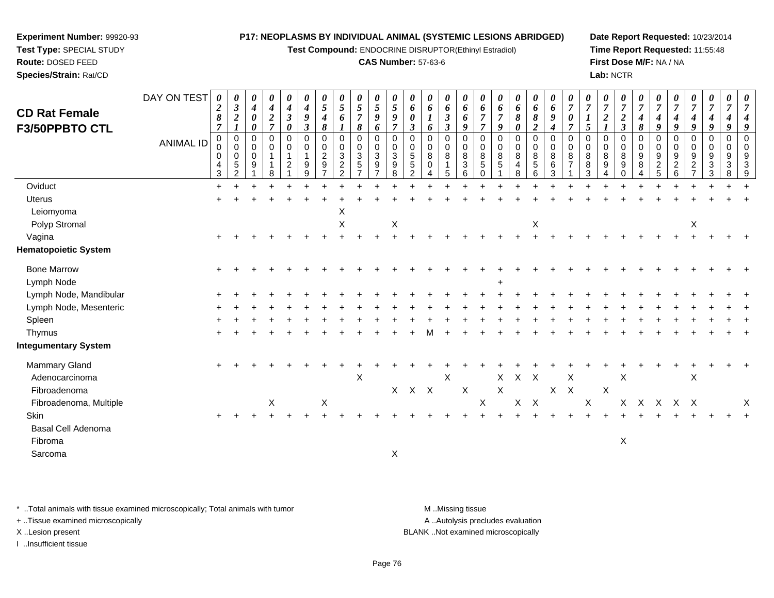**Test Compound:** ENDOCRINE DISRUPTOR(Ethinyl Estradiol)

#### **CAS Number:** 57-63-6

**Date Report Requested:** 10/23/2014**Time Report Requested:** 11:55:48**First Dose M/F:** NA / NA**Lab:** NCTR

|                             | DAY ON TEST      | 0<br>$\boldsymbol{2}$         | 0<br>$\boldsymbol{\beta}$         | 0<br>$\boldsymbol{4}$ | 0<br>$\boldsymbol{4}$            | 0<br>$\boldsymbol{4}$          | 0<br>$\boldsymbol{4}$            | $\boldsymbol{\theta}$<br>$\sqrt{5}$ | $\frac{\theta}{5}$                             | $\frac{\theta}{5}$                           | $\frac{\theta}{5}$                  | $\boldsymbol{\theta}$<br>5    | 0<br>6                           | 0<br>6                     | 0<br>6                     | 0<br>6                       | $\boldsymbol{\theta}$<br>6    | 0<br>6            | $\boldsymbol{\theta}$<br>6 | 0<br>6                          | 0<br>6                          | $\boldsymbol{\theta}$<br>$\overline{7}$ | $\theta$<br>$\overline{7}$ | $\frac{\boldsymbol{0}}{7}$   | 0<br>$\boldsymbol{7}$      | 0<br>$\overline{7}$ | $\boldsymbol{\theta}$<br>$\overline{7}$ | $\boldsymbol{\theta}$<br>$\overline{7}$ | $\frac{\boldsymbol{0}}{7}$ | 0<br>$\overline{7}$                 | 0<br>$\overline{7}$  |   |
|-----------------------------|------------------|-------------------------------|-----------------------------------|-----------------------|----------------------------------|--------------------------------|----------------------------------|-------------------------------------|------------------------------------------------|----------------------------------------------|-------------------------------------|-------------------------------|----------------------------------|----------------------------|----------------------------|------------------------------|-------------------------------|-------------------|----------------------------|---------------------------------|---------------------------------|-----------------------------------------|----------------------------|------------------------------|----------------------------|---------------------|-----------------------------------------|-----------------------------------------|----------------------------|-------------------------------------|----------------------|---|
| <b>CD Rat Female</b>        |                  | 8                             | $\boldsymbol{2}$                  | $\boldsymbol{\theta}$ | $\boldsymbol{2}$                 | $\mathfrak{z}$                 | 9                                | $\boldsymbol{4}$                    | 6                                              | $\overline{7}$                               | 9                                   | 9                             | $\boldsymbol{\theta}$            | $\boldsymbol{l}$           | $\mathfrak{z}$             | 6                            | $\overline{7}$                | $\overline{7}$    | 8                          | 8                               | 9                               | 0                                       |                            | $\overline{2}$               | $\boldsymbol{2}$           | $\boldsymbol{4}$    | 4                                       | $\boldsymbol{4}$                        | 4                          | $\boldsymbol{4}$                    | $\boldsymbol{4}$     |   |
| <b>F3/50PPBTO CTL</b>       |                  | $\overline{\tau}$<br>$\Omega$ | $\boldsymbol{l}$<br>$\mathbf{0}$  | 0<br>$\Omega$         | $\overline{7}$<br>$\Omega$       | 0<br>$\mathbf 0$               | $\boldsymbol{\beta}$<br>$\Omega$ | 8<br>$\Omega$                       | 1<br>$\mathbf 0$                               | 8<br>$\mathbf 0$                             | 6<br>$\pmb{0}$                      | $\overline{\tau}$<br>$\Omega$ | $\mathfrak{z}$<br>$\Omega$       | 6<br>$\Omega$              | $\mathfrak{z}$<br>$\Omega$ | 9<br>0                       | $\overline{\tau}$<br>$\Omega$ | 9<br>$\mathbf{0}$ | 0<br>$\Omega$              | $\boldsymbol{2}$<br>$\mathbf 0$ | $\boldsymbol{4}$<br>$\mathbf 0$ | $\overline{7}$<br>$\Omega$              | 5<br>$\Omega$              | $\boldsymbol{l}$<br>$\Omega$ | $\mathfrak{z}$<br>$\Omega$ | 8<br>0              | 9<br>$\Omega$                           | 9<br>$\Omega$                           | 9<br>0                     | 9<br>$\Omega$                       | 9<br>$\mathbf 0$     |   |
|                             | <b>ANIMAL ID</b> | 0                             | $\mathbf 0$                       | $\mathbf 0$           | $\mathbf 0$                      | $\mathbf 0$                    | 0                                | $\mathbf 0$                         | $\mathbf 0$                                    | $\mathbf 0$                                  | 0                                   | $\mathbf 0$                   | $\mathbf 0$                      | 0                          | 0                          | $\mathbf 0$                  | $\mathbf 0$                   | $\mathbf 0$       | 0                          | $\mathbf 0$                     | 0                               | $\mathbf 0$                             | $\mathbf 0$                | 0                            | 0                          | 0                   | 0                                       | $\mathbf 0$                             | $\mathbf 0$                | $\mathbf 0$                         | 0                    |   |
|                             |                  | 0<br>4<br>3                   | 0<br>$\,$ 5 $\,$<br>$\mathcal{P}$ | $\mathbf 0$<br>9      | $\mathbf{1}$<br>$\mathbf 1$<br>8 | $\mathbf{1}$<br>$\overline{c}$ | 9<br>9                           | $\overline{2}$<br>$\boldsymbol{9}$  | $\sqrt{3}$<br>$\overline{c}$<br>$\mathfrak{p}$ | $\mathbf{3}$<br>$\sqrt{5}$<br>$\overline{7}$ | $\mathbf{3}$<br>9<br>$\overline{7}$ | 3<br>9<br>8                   | 5<br>$\sqrt{5}$<br>$\mathcal{P}$ | $\, 8$<br>$\mathbf 0$<br>4 | 8<br>1<br>5                | $\bf 8$<br>$\mathbf{3}$<br>6 | 8<br>5<br>$\Omega$            | 8<br>5            | 8<br>4<br>8                | 8<br>$\,$ 5 $\,$<br>6           | 8<br>6<br>3                     | 8                                       | 8<br>8<br>3                | 8<br>9<br>4                  | 8<br>9<br>∩                | 9<br>8<br>4         | 9<br>$\overline{c}$<br>5                | 9<br>$\overline{2}$<br>6                | 9<br>$\overline{c}$        | 9<br>$\ensuremath{\mathsf{3}}$<br>3 | 9<br>$\sqrt{3}$<br>8 |   |
| Oviduct                     |                  | $\pm$                         |                                   |                       |                                  |                                |                                  |                                     |                                                |                                              |                                     |                               |                                  |                            |                            |                              |                               |                   |                            |                                 |                                 |                                         |                            |                              |                            |                     |                                         |                                         |                            |                                     |                      |   |
| <b>Uterus</b>               |                  |                               |                                   |                       |                                  |                                |                                  |                                     |                                                |                                              |                                     |                               |                                  |                            |                            |                              |                               |                   |                            |                                 |                                 |                                         |                            |                              |                            |                     |                                         |                                         |                            |                                     |                      |   |
| Leiomyoma                   |                  |                               |                                   |                       |                                  |                                |                                  |                                     | X                                              |                                              |                                     |                               |                                  |                            |                            |                              |                               |                   |                            |                                 |                                 |                                         |                            |                              |                            |                     |                                         |                                         |                            |                                     |                      |   |
| Polyp Stromal               |                  |                               |                                   |                       |                                  |                                |                                  |                                     | X                                              |                                              |                                     | X                             |                                  |                            |                            |                              |                               |                   |                            | X                               |                                 |                                         |                            |                              |                            |                     |                                         |                                         | X                          |                                     |                      |   |
| Vagina                      |                  |                               |                                   |                       |                                  |                                |                                  |                                     |                                                |                                              |                                     |                               |                                  |                            |                            |                              |                               |                   |                            |                                 |                                 |                                         |                            |                              |                            |                     |                                         |                                         |                            |                                     |                      |   |
| <b>Hematopoietic System</b> |                  |                               |                                   |                       |                                  |                                |                                  |                                     |                                                |                                              |                                     |                               |                                  |                            |                            |                              |                               |                   |                            |                                 |                                 |                                         |                            |                              |                            |                     |                                         |                                         |                            |                                     |                      |   |
| <b>Bone Marrow</b>          |                  |                               |                                   |                       |                                  |                                |                                  |                                     |                                                |                                              |                                     |                               |                                  |                            |                            |                              |                               |                   |                            |                                 |                                 |                                         |                            |                              |                            |                     |                                         |                                         |                            |                                     |                      |   |
| Lymph Node                  |                  |                               |                                   |                       |                                  |                                |                                  |                                     |                                                |                                              |                                     |                               |                                  |                            |                            |                              |                               |                   |                            |                                 |                                 |                                         |                            |                              |                            |                     |                                         |                                         |                            |                                     |                      |   |
| Lymph Node, Mandibular      |                  |                               |                                   |                       |                                  |                                |                                  |                                     |                                                |                                              |                                     |                               |                                  |                            |                            |                              |                               |                   |                            |                                 |                                 |                                         |                            |                              |                            |                     |                                         |                                         |                            |                                     |                      |   |
| Lymph Node, Mesenteric      |                  |                               |                                   |                       |                                  |                                |                                  |                                     |                                                |                                              |                                     |                               |                                  |                            |                            |                              |                               |                   |                            |                                 |                                 |                                         |                            |                              |                            |                     |                                         |                                         |                            |                                     |                      |   |
| Spleen                      |                  |                               |                                   |                       |                                  |                                |                                  |                                     |                                                |                                              |                                     |                               |                                  |                            |                            |                              |                               |                   |                            |                                 |                                 |                                         |                            |                              |                            |                     |                                         |                                         |                            |                                     |                      |   |
| Thymus                      |                  |                               |                                   |                       |                                  |                                |                                  |                                     |                                                |                                              |                                     |                               |                                  |                            |                            |                              |                               |                   |                            |                                 |                                 |                                         |                            |                              |                            |                     |                                         |                                         |                            |                                     |                      |   |
| <b>Integumentary System</b> |                  |                               |                                   |                       |                                  |                                |                                  |                                     |                                                |                                              |                                     |                               |                                  |                            |                            |                              |                               |                   |                            |                                 |                                 |                                         |                            |                              |                            |                     |                                         |                                         |                            |                                     |                      |   |
| Mammary Gland               |                  |                               |                                   |                       |                                  |                                |                                  |                                     |                                                |                                              |                                     |                               |                                  |                            |                            |                              |                               |                   |                            |                                 |                                 |                                         |                            |                              |                            |                     |                                         |                                         |                            |                                     |                      |   |
| Adenocarcinoma              |                  |                               |                                   |                       |                                  |                                |                                  |                                     |                                                | $\boldsymbol{\mathsf{X}}$                    |                                     |                               |                                  |                            | $\boldsymbol{\mathsf{X}}$  |                              |                               | X                 | $X$ $X$                    |                                 |                                 | Χ                                       |                            |                              | $\boldsymbol{\mathsf{X}}$  |                     |                                         |                                         | X                          |                                     |                      |   |
| Fibroadenoma                |                  |                               |                                   |                       |                                  |                                |                                  |                                     |                                                |                                              |                                     |                               | X X X                            |                            |                            | $\boldsymbol{\mathsf{X}}$    |                               | $\mathsf X$       |                            |                                 | X                               | $\boldsymbol{\mathsf{X}}$               |                            | X                            |                            |                     |                                         |                                         |                            |                                     |                      |   |
| Fibroadenoma, Multiple      |                  |                               |                                   |                       | X                                |                                |                                  | $\pmb{\times}$                      |                                                |                                              |                                     |                               |                                  |                            |                            |                              | X                             |                   | $\mathsf{X}^-$             | $\mathsf{X}$                    |                                 |                                         | $\mathsf X$                |                              | $\sf X$                    | $\mathsf{X}$        | X                                       | X X                                     |                            |                                     |                      | Х |
| <b>Skin</b>                 |                  |                               |                                   |                       |                                  |                                |                                  |                                     |                                                |                                              |                                     |                               |                                  |                            |                            |                              |                               |                   |                            |                                 |                                 |                                         |                            |                              |                            |                     |                                         |                                         |                            |                                     |                      |   |
| Basal Cell Adenoma          |                  |                               |                                   |                       |                                  |                                |                                  |                                     |                                                |                                              |                                     |                               |                                  |                            |                            |                              |                               |                   |                            |                                 |                                 |                                         |                            |                              |                            |                     |                                         |                                         |                            |                                     |                      |   |
| Fibroma                     |                  |                               |                                   |                       |                                  |                                |                                  |                                     |                                                |                                              |                                     |                               |                                  |                            |                            |                              |                               |                   |                            |                                 |                                 |                                         |                            |                              | X                          |                     |                                         |                                         |                            |                                     |                      |   |
| Sarcoma                     |                  |                               |                                   |                       |                                  |                                |                                  |                                     |                                                |                                              |                                     | $\boldsymbol{\mathsf{X}}$     |                                  |                            |                            |                              |                               |                   |                            |                                 |                                 |                                         |                            |                              |                            |                     |                                         |                                         |                            |                                     |                      |   |
|                             |                  |                               |                                   |                       |                                  |                                |                                  |                                     |                                                |                                              |                                     |                               |                                  |                            |                            |                              |                               |                   |                            |                                 |                                 |                                         |                            |                              |                            |                     |                                         |                                         |                            |                                     |                      |   |

\* ..Total animals with tissue examined microscopically; Total animals with tumor **M** . Missing tissue M ..Missing tissue

+ ..Tissue examined microscopically

**Experiment Number:** 99920-93**Test Type:** SPECIAL STUDY**Route:** DOSED FEED**Species/Strain:** Rat/CD

I ..Insufficient tissue

A ..Autolysis precludes evaluation

X ..Lesion present BLANK ..Not examined microscopically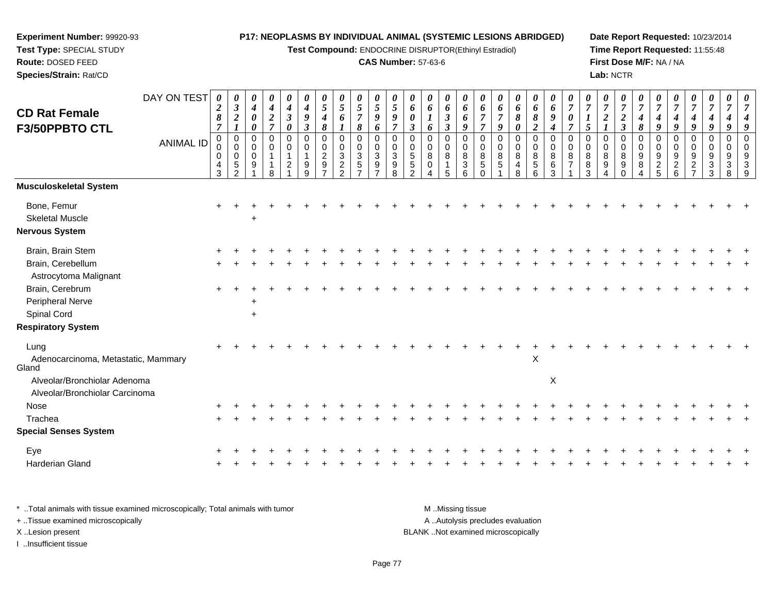**Test Compound:** ENDOCRINE DISRUPTOR(Ethinyl Estradiol)

## **CAS Number:** 57-63-6

**Date Report Requested:** 10/23/2014 **Time Report Requested:** 11:55:48**First Dose M/F:** NA / NA**Lab:** NCTR

| DAY ON TEST<br><b>CD Rat Female</b>                            | 0<br>$\boldsymbol{2}$<br>$\pmb{8}$<br>$\overline{7}$ | 0<br>$\boldsymbol{\beta}$<br>$\boldsymbol{2}$<br>$\boldsymbol{l}$ | $\boldsymbol{\theta}$<br>$\boldsymbol{4}$<br>0<br>0 | 0<br>$\boldsymbol{4}$<br>$\boldsymbol{2}$<br>$\overline{7}$ | 0<br>$\boldsymbol{4}$<br>$\boldsymbol{\beta}$<br>$\boldsymbol{\theta}$ | $\boldsymbol{\theta}$<br>$\boldsymbol{4}$<br>9<br>$\mathfrak{z}$ | $\boldsymbol{\theta}$<br>$\mathfrak{s}$<br>$\boldsymbol{4}$<br>8 | 0<br>$\mathfrak{z}$<br>6                                 | 0<br>$\sqrt{5}$<br>$\overline{7}$<br>8             | $\boldsymbol{\theta}$<br>$\sqrt{5}$<br>9<br>6 | $\boldsymbol{\theta}$<br>$\sqrt{5}$<br>$\boldsymbol{g}$<br>$\overline{7}$ | $\boldsymbol{\theta}$<br>6<br>$\boldsymbol{\theta}$<br>$\mathfrak{z}$ | 0<br>6<br>6                                 | 0<br>6<br>$\boldsymbol{\beta}$<br>$\mathfrak{z}$ | 0<br>6<br>6<br>9                                 | $\boldsymbol{\theta}$<br>6<br>$\overline{7}$<br>$\overline{7}$ | $\boldsymbol{\theta}$<br>6<br>$\overline{7}$<br>9 | $\boldsymbol{\theta}$<br>6<br>$\pmb{8}$<br>0 | 0<br>6<br>8<br>$\overline{2}$                  | 0<br>6<br>9<br>$\boldsymbol{4}$ | $\boldsymbol{\theta}$<br>$\overline{7}$<br>$\boldsymbol{\theta}$<br>$\overline{7}$ | 0<br>$\overline{7}$<br>$\mathfrak{s}$ | 0<br>$\boldsymbol{7}$<br>$\boldsymbol{2}$<br>$\boldsymbol{l}$ | $\boldsymbol{\theta}$<br>$\overline{7}$<br>$\boldsymbol{2}$<br>$\mathfrak{z}$ | 0<br>$\overline{7}$<br>4<br>8 | $\boldsymbol{\theta}$<br>$\boldsymbol{7}$<br>4<br>9 | $\boldsymbol{\theta}$<br>$\overline{7}$<br>4<br>$\boldsymbol{q}$ | 0<br>$\boldsymbol{7}$<br>$\boldsymbol{4}$<br>9                         | $\boldsymbol{\theta}$<br>$\overline{7}$<br>$\boldsymbol{4}$<br>$\boldsymbol{g}$ | $\boldsymbol{\theta}$<br>$\overline{7}$<br>9 | 7                               |
|----------------------------------------------------------------|------------------------------------------------------|-------------------------------------------------------------------|-----------------------------------------------------|-------------------------------------------------------------|------------------------------------------------------------------------|------------------------------------------------------------------|------------------------------------------------------------------|----------------------------------------------------------|----------------------------------------------------|-----------------------------------------------|---------------------------------------------------------------------------|-----------------------------------------------------------------------|---------------------------------------------|--------------------------------------------------|--------------------------------------------------|----------------------------------------------------------------|---------------------------------------------------|----------------------------------------------|------------------------------------------------|---------------------------------|------------------------------------------------------------------------------------|---------------------------------------|---------------------------------------------------------------|-------------------------------------------------------------------------------|-------------------------------|-----------------------------------------------------|------------------------------------------------------------------|------------------------------------------------------------------------|---------------------------------------------------------------------------------|----------------------------------------------|---------------------------------|
| F3/50PPBTO CTL<br><b>ANIMAL ID</b>                             | 0<br>0<br>0<br>4<br>3                                | 0<br>0<br>0<br>$\,$ 5 $\,$<br>2                                   | $\Omega$<br>$\Omega$<br>$\Omega$<br>9               | 0<br>0<br>8                                                 | $\mathbf 0$<br>$\mathbf 0$<br>$\mathbf{1}$<br>$\overline{2}$           | $\mathbf 0$<br>0<br>$\mathbf{1}$<br>9<br>9                       | $\mathbf 0$<br>0<br>$\overline{c}$<br>9                          | $\mathbf 0$<br>0<br>3<br>$\overline{a}$<br>$\mathcal{P}$ | $\,0\,$<br>$\mathbf 0$<br>$\sqrt{3}$<br>$\sqrt{5}$ | $\mathbf 0$<br>$\pmb{0}$<br>$\sqrt{3}$<br>9   | $\mathbf 0$<br>0<br>$\mathbf{3}$<br>9<br>8                                | $\mathbf 0$<br>$\mathbf 0$<br>$\overline{5}$<br>5<br>$\mathcal{P}$    | $\Omega$<br>$\mathbf 0$<br>8<br>$\mathbf 0$ | 0<br>0<br>8<br>1<br>5                            | 0<br>$\pmb{0}$<br>$\bf 8$<br>$\sqrt{3}$<br>$\,6$ | $\mathbf 0$<br>0<br>8<br>$\sqrt{5}$<br>$\Omega$                | $\mathbf 0$<br>$\mathbf 0$<br>8<br>5              | 0<br>$\mathbf 0$<br>8<br>$\overline{a}$<br>8 | $\mathbf 0$<br>$\boldsymbol{0}$<br>8<br>5<br>6 | $\mathbf 0$<br>0<br>8<br>6<br>3 | 0<br>0<br>8<br>$\overline{7}$                                                      | $\mathbf 0$<br>0<br>$\,8\,$<br>8<br>3 | 0<br>0<br>$\,8\,$<br>9<br>4                                   | $\mathbf 0$<br>$\mathbf 0$<br>8<br>9<br>$\Omega$                              | $\Omega$<br>0<br>9<br>8<br>4  | 0<br>0<br>9<br>$\frac{2}{5}$                        | $\Omega$<br>0<br>9<br>$\overline{c}$<br>6                        | $\mathbf 0$<br>$\overline{0}$<br>9<br>$\overline{2}$<br>$\overline{7}$ | $\mathbf 0$<br>$\mathbf 0$<br>9<br>$\sqrt{3}$<br>$\mathbf{3}$                   | $\mathbf 0$<br>0<br>9<br>3<br>8              | $\Omega$<br>$\Omega$<br>$\circ$ |
| <b>Musculoskeletal System</b>                                  |                                                      |                                                                   |                                                     |                                                             |                                                                        |                                                                  |                                                                  |                                                          |                                                    |                                               |                                                                           |                                                                       |                                             |                                                  |                                                  |                                                                |                                                   |                                              |                                                |                                 |                                                                                    |                                       |                                                               |                                                                               |                               |                                                     |                                                                  |                                                                        |                                                                                 |                                              |                                 |
| Bone, Femur<br><b>Skeletal Muscle</b><br><b>Nervous System</b> | $\ddot{}$                                            |                                                                   |                                                     |                                                             |                                                                        |                                                                  |                                                                  |                                                          |                                                    |                                               |                                                                           |                                                                       |                                             |                                                  |                                                  |                                                                |                                                   |                                              |                                                |                                 |                                                                                    |                                       |                                                               |                                                                               |                               |                                                     |                                                                  |                                                                        |                                                                                 |                                              |                                 |
| Brain, Brain Stem                                              |                                                      |                                                                   |                                                     |                                                             |                                                                        |                                                                  |                                                                  |                                                          |                                                    |                                               |                                                                           |                                                                       |                                             |                                                  |                                                  |                                                                |                                                   |                                              |                                                |                                 |                                                                                    |                                       |                                                               |                                                                               |                               |                                                     |                                                                  |                                                                        |                                                                                 |                                              |                                 |
| Brain, Cerebellum<br>Astrocytoma Malignant                     |                                                      |                                                                   |                                                     |                                                             |                                                                        |                                                                  |                                                                  |                                                          |                                                    |                                               |                                                                           |                                                                       |                                             |                                                  |                                                  |                                                                |                                                   |                                              |                                                |                                 |                                                                                    |                                       |                                                               |                                                                               |                               |                                                     |                                                                  |                                                                        |                                                                                 |                                              |                                 |
| Brain, Cerebrum                                                |                                                      |                                                                   |                                                     |                                                             |                                                                        |                                                                  |                                                                  |                                                          |                                                    |                                               |                                                                           |                                                                       |                                             |                                                  |                                                  |                                                                |                                                   |                                              |                                                |                                 |                                                                                    |                                       |                                                               |                                                                               |                               |                                                     |                                                                  |                                                                        |                                                                                 |                                              |                                 |
| Peripheral Nerve<br>Spinal Cord                                |                                                      |                                                                   | $\div$                                              |                                                             |                                                                        |                                                                  |                                                                  |                                                          |                                                    |                                               |                                                                           |                                                                       |                                             |                                                  |                                                  |                                                                |                                                   |                                              |                                                |                                 |                                                                                    |                                       |                                                               |                                                                               |                               |                                                     |                                                                  |                                                                        |                                                                                 |                                              |                                 |
| <b>Respiratory System</b>                                      |                                                      |                                                                   |                                                     |                                                             |                                                                        |                                                                  |                                                                  |                                                          |                                                    |                                               |                                                                           |                                                                       |                                             |                                                  |                                                  |                                                                |                                                   |                                              |                                                |                                 |                                                                                    |                                       |                                                               |                                                                               |                               |                                                     |                                                                  |                                                                        |                                                                                 |                                              |                                 |
| Lung<br>Adenocarcinoma, Metastatic, Mammary<br>Gland           |                                                      |                                                                   |                                                     |                                                             |                                                                        |                                                                  |                                                                  |                                                          |                                                    |                                               |                                                                           |                                                                       |                                             |                                                  |                                                  |                                                                |                                                   |                                              | $\mathsf X$                                    |                                 |                                                                                    |                                       |                                                               |                                                                               |                               |                                                     |                                                                  |                                                                        |                                                                                 |                                              |                                 |
| Alveolar/Bronchiolar Adenoma<br>Alveolar/Bronchiolar Carcinoma |                                                      |                                                                   |                                                     |                                                             |                                                                        |                                                                  |                                                                  |                                                          |                                                    |                                               |                                                                           |                                                                       |                                             |                                                  |                                                  |                                                                |                                                   |                                              |                                                | $\boldsymbol{\mathsf{X}}$       |                                                                                    |                                       |                                                               |                                                                               |                               |                                                     |                                                                  |                                                                        |                                                                                 |                                              |                                 |
| Nose                                                           |                                                      |                                                                   |                                                     |                                                             |                                                                        |                                                                  |                                                                  |                                                          |                                                    |                                               |                                                                           |                                                                       |                                             |                                                  |                                                  |                                                                |                                                   |                                              |                                                |                                 |                                                                                    |                                       |                                                               |                                                                               |                               |                                                     |                                                                  |                                                                        |                                                                                 |                                              |                                 |
| Trachea                                                        |                                                      |                                                                   |                                                     |                                                             |                                                                        |                                                                  |                                                                  |                                                          |                                                    |                                               |                                                                           |                                                                       |                                             |                                                  |                                                  |                                                                |                                                   |                                              |                                                |                                 |                                                                                    |                                       |                                                               |                                                                               |                               |                                                     |                                                                  |                                                                        |                                                                                 |                                              |                                 |
| <b>Special Senses System</b>                                   |                                                      |                                                                   |                                                     |                                                             |                                                                        |                                                                  |                                                                  |                                                          |                                                    |                                               |                                                                           |                                                                       |                                             |                                                  |                                                  |                                                                |                                                   |                                              |                                                |                                 |                                                                                    |                                       |                                                               |                                                                               |                               |                                                     |                                                                  |                                                                        |                                                                                 |                                              |                                 |
| Eye                                                            |                                                      |                                                                   |                                                     |                                                             |                                                                        |                                                                  |                                                                  |                                                          |                                                    |                                               |                                                                           |                                                                       |                                             |                                                  |                                                  |                                                                |                                                   |                                              |                                                |                                 |                                                                                    |                                       |                                                               |                                                                               |                               |                                                     |                                                                  |                                                                        |                                                                                 |                                              |                                 |
| Harderian Gland                                                |                                                      |                                                                   |                                                     |                                                             |                                                                        |                                                                  |                                                                  |                                                          |                                                    |                                               |                                                                           |                                                                       |                                             |                                                  |                                                  |                                                                |                                                   |                                              |                                                |                                 |                                                                                    |                                       |                                                               |                                                                               |                               |                                                     |                                                                  |                                                                        |                                                                                 |                                              |                                 |

| * Total animals with tissue examined microscopically; Total animals with tumor | M Missing tissue                   |
|--------------------------------------------------------------------------------|------------------------------------|
| + Tissue examined microscopically                                              | A Autolysis precludes evaluation   |
| X Lesion present                                                               | BLANK Not examined microscopically |
| Insufficient tissue                                                            |                                    |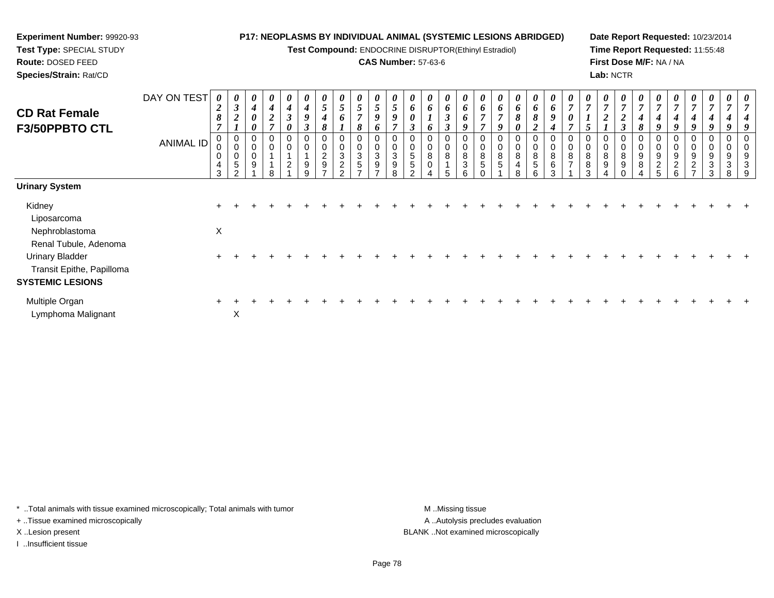**Test Compound:** ENDOCRINE DISRUPTOR(Ethinyl Estradiol)

#### **CAS Number:** 57-63-6

**Date Report Requested:** 10/23/2014**Time Report Requested:** 11:55:48**First Dose M/F:** NA / NA**Lab:** NCTR

| <b>CD Rat Female</b><br>F3/50PPBTO CTL              | DAY ON TEST | $\boldsymbol{\theta}$<br>$\overline{2}$<br>$\pmb{8}$<br>$\overline{7}$ | $\boldsymbol{\theta}$<br>$\mathfrak{z}$<br>$\boldsymbol{2}$                 | 0<br>4<br>0<br>0         | 0<br>$\boldsymbol{4}$<br>$\boldsymbol{2}$<br>$\overline{ }$ | 0<br>$\boldsymbol{4}$<br>$\boldsymbol{\beta}$<br>0 | 0<br>4<br>9<br>$\boldsymbol{\beta}$ | $\boldsymbol{\theta}$<br>5<br>4<br>8                       | $\boldsymbol{\theta}$<br>$5\overline{)}$<br>6       | 0<br>$\sqrt{5}$<br>$\overline{7}$<br>8  | 0<br>5<br>9<br>6                                                           | 0<br>$\mathfrak{s}$<br>9 | $\boldsymbol{\theta}$<br>6<br>$\boldsymbol{\theta}$<br>$\boldsymbol{\beta}$ | $\boldsymbol{\theta}$<br>6<br>6  | 0<br>6<br>$\boldsymbol{\beta}$<br>$\boldsymbol{\beta}$ | 0<br>6<br>6<br>9                                 | 0<br>6<br>$\overline{ }$ | $\boldsymbol{\theta}$<br>6<br>$\overline{ }$<br>9 | $\boldsymbol{\theta}$<br>6<br>8<br>$\boldsymbol{\theta}$ | 0<br>6<br>8<br>$\boldsymbol{2}$ | 0<br>6<br>9<br>$\boldsymbol{4}$ | $\theta$<br>$\overline{ }$ | $\boldsymbol{\theta}$<br>C | $\boldsymbol{\theta}$<br>$\boldsymbol{2}$ | 0<br>$\overline{ }$<br>$\boldsymbol{2}$<br>$\boldsymbol{\beta}$ | 0<br>$\overline{ }$<br>4<br>8 | 4<br>9                     | $\boldsymbol{\theta}$<br>4<br>9    | 0<br>4<br>9                                     | $\boldsymbol{\theta}$<br>$\overline{\phantom{a}}$<br>$\boldsymbol{4}$<br>9 | 0                |                   |
|-----------------------------------------------------|-------------|------------------------------------------------------------------------|-----------------------------------------------------------------------------|--------------------------|-------------------------------------------------------------|----------------------------------------------------|-------------------------------------|------------------------------------------------------------|-----------------------------------------------------|-----------------------------------------|----------------------------------------------------------------------------|--------------------------|-----------------------------------------------------------------------------|----------------------------------|--------------------------------------------------------|--------------------------------------------------|--------------------------|---------------------------------------------------|----------------------------------------------------------|---------------------------------|---------------------------------|----------------------------|----------------------------|-------------------------------------------|-----------------------------------------------------------------|-------------------------------|----------------------------|------------------------------------|-------------------------------------------------|----------------------------------------------------------------------------|------------------|-------------------|
|                                                     | ANIMAL ID   | $\mathbf 0$<br>0<br>0<br>$\overline{4}$<br>3                           | $\pmb{0}$<br>$\pmb{0}$<br>$\begin{array}{c} 0 \\ 5 \end{array}$<br>$\Omega$ | 0<br>$\pmb{0}$<br>0<br>9 | $\mathbf 0$<br>$\circ$                                      | 0<br>$\mathbf 0$<br>$\overline{2}$                 | 0<br>0<br>9<br>9                    | 0<br>$\boldsymbol{2}$<br>$\boldsymbol{9}$<br>$\rightarrow$ | 0<br>$\pmb{0}$<br>3<br>$\boldsymbol{2}$<br>$\Omega$ | $\mathbf 0$<br>3<br>5<br>$\overline{ }$ | $\pmb{0}$<br>$\pmb{0}$<br>$\sqrt{3}$<br>$\boldsymbol{9}$<br>$\overline{ }$ | 0<br>3<br>9<br>8         | 0<br>5<br>5                                                                 | 0<br>$\pmb{0}$<br>8<br>$\pmb{0}$ | $\overline{0}$<br>8<br>Е.                              | 0<br>$\mathbf 0$<br>$\bf 8$<br>$\mathbf{3}$<br>6 | 8<br>$\sqrt{5}$          | 0<br>$\boldsymbol{0}$<br>8<br>5                   | 0<br>0<br>8<br>4<br>8                                    | 8<br>5<br>Р.                    | 0<br>0<br>8<br>6<br>3           | 8<br>$\rightarrow$         | 0<br>0<br>8<br>8<br>3      | 0<br>0<br>8<br>9                          | 8<br>9                                                          | 0<br>0<br>9<br>8              | 9<br>$\boldsymbol{2}$<br>5 | 0<br>0<br>9<br>$\overline{c}$<br>6 | 0<br>0<br>9<br>$\overline{c}$<br>$\overline{ }$ | $\mathbf 0$<br>9<br>3<br>3                                                 | 0<br>9<br>3<br>8 | 3<br>$\mathbf{Q}$ |
| <b>Urinary System</b>                               |             |                                                                        |                                                                             |                          |                                                             |                                                    |                                     |                                                            |                                                     |                                         |                                                                            |                          |                                                                             |                                  |                                                        |                                                  |                          |                                                   |                                                          |                                 |                                 |                            |                            |                                           |                                                                 |                               |                            |                                    |                                                 |                                                                            |                  |                   |
| Kidney<br>Liposarcoma                               |             |                                                                        |                                                                             |                          |                                                             |                                                    |                                     |                                                            |                                                     |                                         |                                                                            |                          |                                                                             |                                  |                                                        |                                                  |                          |                                                   |                                                          |                                 |                                 |                            |                            |                                           |                                                                 |                               |                            |                                    |                                                 |                                                                            |                  |                   |
| Nephroblastoma<br>Renal Tubule, Adenoma             |             | $\boldsymbol{\mathsf{X}}$                                              |                                                                             |                          |                                                             |                                                    |                                     |                                                            |                                                     |                                         |                                                                            |                          |                                                                             |                                  |                                                        |                                                  |                          |                                                   |                                                          |                                 |                                 |                            |                            |                                           |                                                                 |                               |                            |                                    |                                                 |                                                                            |                  |                   |
| <b>Urinary Bladder</b><br>Transit Epithe, Papilloma |             |                                                                        |                                                                             |                          |                                                             |                                                    |                                     |                                                            |                                                     |                                         |                                                                            |                          |                                                                             |                                  |                                                        |                                                  |                          |                                                   |                                                          |                                 |                                 |                            |                            |                                           |                                                                 |                               |                            |                                    |                                                 |                                                                            |                  |                   |
| <b>SYSTEMIC LESIONS</b>                             |             |                                                                        |                                                                             |                          |                                                             |                                                    |                                     |                                                            |                                                     |                                         |                                                                            |                          |                                                                             |                                  |                                                        |                                                  |                          |                                                   |                                                          |                                 |                                 |                            |                            |                                           |                                                                 |                               |                            |                                    |                                                 |                                                                            |                  |                   |
| Multiple Organ                                      |             |                                                                        |                                                                             |                          |                                                             |                                                    |                                     |                                                            |                                                     |                                         |                                                                            |                          |                                                                             |                                  |                                                        |                                                  |                          |                                                   |                                                          |                                 |                                 |                            |                            |                                           |                                                                 |                               |                            |                                    |                                                 |                                                                            |                  |                   |
| Lymphoma Malignant                                  |             |                                                                        | X                                                                           |                          |                                                             |                                                    |                                     |                                                            |                                                     |                                         |                                                                            |                          |                                                                             |                                  |                                                        |                                                  |                          |                                                   |                                                          |                                 |                                 |                            |                            |                                           |                                                                 |                               |                            |                                    |                                                 |                                                                            |                  |                   |

\* ..Total animals with tissue examined microscopically; Total animals with tumor **M** . Missing tissue M ..Missing tissue

+ ..Tissue examined microscopically

**Experiment Number:** 99920-93**Test Type:** SPECIAL STUDY**Route:** DOSED FEED**Species/Strain:** Rat/CD

I ..Insufficient tissue

A ..Autolysis precludes evaluation X ..Lesion present BLANK ..Not examined microscopically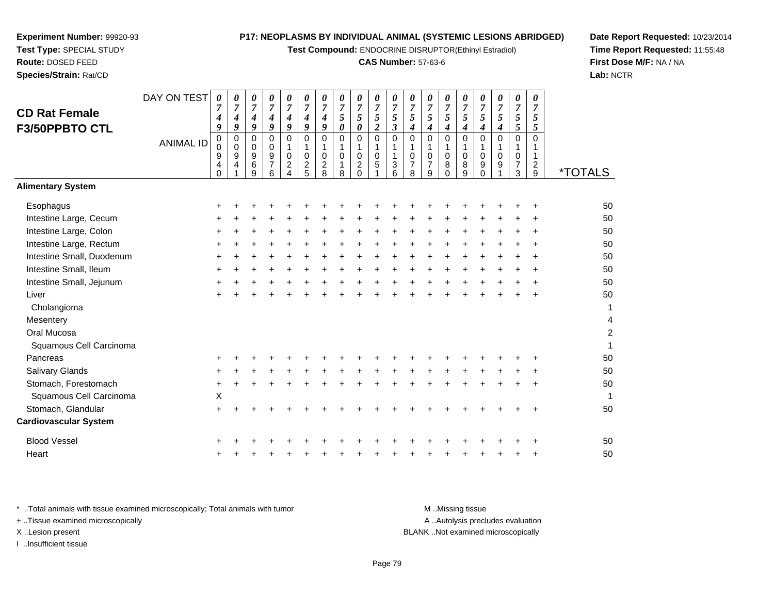**Test Compound:** ENDOCRINE DISRUPTOR(Ethinyl Estradiol)

#### **CAS Number:** 57-63-6

**Date Report Requested:** 10/23/2014**Time Report Requested:** 11:55:48**First Dose M/F:** NA / NA**Lab:** NCTR

 $\overline{2}$ 

| <b>CD Rat Female</b><br>F3/50PPBTO CTL | DAY ON TEST      | 0<br>7<br>4<br>9                               | 0<br>$\overline{7}$<br>4<br>9 | 0<br>$\overline{7}$<br>$\boldsymbol{4}$<br>9 | 0<br>$\overline{7}$<br>$\boldsymbol{4}$<br>9           | 0<br>$\overline{7}$<br>$\boldsymbol{4}$<br>9                     | 0<br>$\overline{7}$<br>4<br>9          | 0<br>$\overline{7}$<br>4<br>9                           | 0<br>$\overline{7}$<br>5<br>0             | 0<br>$\overline{7}$<br>5<br>$\boldsymbol{\theta}$                        | 0<br>$\overline{7}$<br>$\sqrt{5}$<br>$\overline{c}$ | 0<br>$\overline{7}$<br>5<br>$\mathfrak{z}$ | 0<br>$\overline{7}$<br>$\mathfrak{s}$<br>$\boldsymbol{4}$         | 0<br>$\overline{7}$<br>5<br>4   | 0<br>$\overline{7}$<br>5<br>$\boldsymbol{4}$                | 0<br>$\overline{7}$<br>5<br>$\boldsymbol{4}$    | 0<br>$\overline{7}$<br>5<br>4          | 0<br>$\overline{7}$<br>$\mathfrak{s}$<br>$\boldsymbol{4}$ | 0<br>$\overline{7}$<br>5<br>5             | 0<br>$\overline{7}$<br>$\sqrt{5}$<br>5                   |                       |
|----------------------------------------|------------------|------------------------------------------------|-------------------------------|----------------------------------------------|--------------------------------------------------------|------------------------------------------------------------------|----------------------------------------|---------------------------------------------------------|-------------------------------------------|--------------------------------------------------------------------------|-----------------------------------------------------|--------------------------------------------|-------------------------------------------------------------------|---------------------------------|-------------------------------------------------------------|-------------------------------------------------|----------------------------------------|-----------------------------------------------------------|-------------------------------------------|----------------------------------------------------------|-----------------------|
|                                        | <b>ANIMAL ID</b> | $\pmb{0}$<br>$\mathbf 0$<br>9<br>4<br>$\Omega$ | 0<br>$\mathbf 0$<br>9<br>4    | $\mathbf 0$<br>$\mathbf 0$<br>9<br>6<br>9    | $\mathbf 0$<br>$\mathbf 0$<br>9<br>$\overline{7}$<br>6 | $\Omega$<br>1<br>$\Omega$<br>$\overline{\mathbf{c}}$<br>$\Delta$ | $\mathbf 0$<br>1<br>$\Omega$<br>2<br>5 | $\mathbf 0$<br>$\mathbf{1}$<br>0<br>$\overline{c}$<br>8 | $\mathbf 0$<br>1<br>$\mathbf 0$<br>1<br>8 | $\mathbf 0$<br>$\mathbf{1}$<br>$\mathbf 0$<br>$\overline{c}$<br>$\Omega$ | $\overline{0}$<br>$\mathbf{1}$<br>$\pmb{0}$<br>5    | $\mathbf 0$<br>1<br>1<br>3<br>6            | $\mathbf 0$<br>$\mathbf{1}$<br>$\mathbf 0$<br>$\overline{7}$<br>8 | 0<br>1<br>$\mathbf 0$<br>7<br>9 | $\mathbf 0$<br>$\mathbf{1}$<br>$\mathbf 0$<br>8<br>$\Omega$ | $\mathbf 0$<br>1<br>$\mathbf 0$<br>$\,8\,$<br>9 | $\mathbf 0$<br>1<br>0<br>9<br>$\Omega$ | $\mathbf 0$<br>$\mathbf{1}$<br>$\mathbf 0$<br>9           | $\mathbf 0$<br>1<br>$\mathbf 0$<br>7<br>3 | $\mathbf 0$<br>-1<br>$\mathbf{1}$<br>$\overline{2}$<br>9 | <i><b>*TOTALS</b></i> |
| <b>Alimentary System</b>               |                  |                                                |                               |                                              |                                                        |                                                                  |                                        |                                                         |                                           |                                                                          |                                                     |                                            |                                                                   |                                 |                                                             |                                                 |                                        |                                                           |                                           |                                                          |                       |
| Esophagus                              |                  | ٠                                              |                               |                                              |                                                        |                                                                  |                                        |                                                         |                                           |                                                                          |                                                     |                                            |                                                                   |                                 |                                                             |                                                 |                                        |                                                           |                                           |                                                          | 50                    |
| Intestine Large, Cecum                 |                  |                                                |                               |                                              |                                                        |                                                                  |                                        |                                                         |                                           |                                                                          |                                                     |                                            |                                                                   |                                 |                                                             |                                                 |                                        |                                                           |                                           |                                                          | 50                    |
| Intestine Large, Colon                 |                  | $\pm$                                          |                               |                                              |                                                        |                                                                  |                                        |                                                         |                                           |                                                                          |                                                     |                                            |                                                                   |                                 |                                                             |                                                 |                                        |                                                           |                                           | ÷                                                        | 50                    |
| Intestine Large, Rectum                |                  | ÷                                              |                               |                                              |                                                        |                                                                  |                                        |                                                         |                                           |                                                                          |                                                     |                                            |                                                                   |                                 |                                                             |                                                 |                                        |                                                           |                                           |                                                          | 50                    |
| Intestine Small, Duodenum              |                  | ٠                                              |                               |                                              |                                                        |                                                                  |                                        |                                                         |                                           |                                                                          |                                                     |                                            |                                                                   |                                 |                                                             |                                                 |                                        |                                                           |                                           |                                                          | 50                    |
| Intestine Small, Ileum                 |                  | +                                              |                               |                                              |                                                        |                                                                  |                                        |                                                         |                                           |                                                                          |                                                     |                                            |                                                                   |                                 |                                                             |                                                 |                                        |                                                           |                                           |                                                          | 50                    |
| Intestine Small, Jejunum               |                  |                                                |                               |                                              |                                                        |                                                                  |                                        |                                                         |                                           |                                                                          |                                                     |                                            |                                                                   |                                 |                                                             |                                                 |                                        |                                                           |                                           | $\div$                                                   | 50                    |
| Liver                                  |                  | +                                              |                               |                                              |                                                        |                                                                  |                                        |                                                         |                                           |                                                                          |                                                     |                                            |                                                                   |                                 |                                                             |                                                 |                                        |                                                           |                                           | $\ddot{}$                                                | 50                    |
| Cholangioma                            |                  |                                                |                               |                                              |                                                        |                                                                  |                                        |                                                         |                                           |                                                                          |                                                     |                                            |                                                                   |                                 |                                                             |                                                 |                                        |                                                           |                                           |                                                          | $\mathbf{1}$          |
| Mesentery                              |                  |                                                |                               |                                              |                                                        |                                                                  |                                        |                                                         |                                           |                                                                          |                                                     |                                            |                                                                   |                                 |                                                             |                                                 |                                        |                                                           |                                           |                                                          | 4                     |
| Oral Mucosa                            |                  |                                                |                               |                                              |                                                        |                                                                  |                                        |                                                         |                                           |                                                                          |                                                     |                                            |                                                                   |                                 |                                                             |                                                 |                                        |                                                           |                                           |                                                          | $\overline{c}$        |
| Squamous Cell Carcinoma                |                  |                                                |                               |                                              |                                                        |                                                                  |                                        |                                                         |                                           |                                                                          |                                                     |                                            |                                                                   |                                 |                                                             |                                                 |                                        |                                                           |                                           |                                                          | 1                     |
| Pancreas                               |                  |                                                |                               |                                              |                                                        |                                                                  |                                        |                                                         |                                           |                                                                          |                                                     |                                            |                                                                   |                                 |                                                             |                                                 |                                        |                                                           |                                           |                                                          | 50                    |
| Salivary Glands                        |                  | +                                              |                               |                                              |                                                        |                                                                  |                                        |                                                         |                                           |                                                                          |                                                     |                                            |                                                                   |                                 |                                                             |                                                 |                                        |                                                           |                                           |                                                          | 50                    |
| Stomach, Forestomach                   |                  | $\pm$                                          |                               |                                              |                                                        |                                                                  |                                        |                                                         |                                           |                                                                          |                                                     |                                            |                                                                   |                                 |                                                             |                                                 |                                        |                                                           |                                           |                                                          | 50                    |
| Squamous Cell Carcinoma                |                  | X                                              |                               |                                              |                                                        |                                                                  |                                        |                                                         |                                           |                                                                          |                                                     |                                            |                                                                   |                                 |                                                             |                                                 |                                        |                                                           |                                           |                                                          | 1                     |
| Stomach, Glandular                     |                  | $\ddot{}$                                      |                               |                                              |                                                        |                                                                  |                                        |                                                         |                                           |                                                                          |                                                     |                                            |                                                                   |                                 |                                                             |                                                 |                                        |                                                           |                                           |                                                          | 50                    |
| <b>Cardiovascular System</b>           |                  |                                                |                               |                                              |                                                        |                                                                  |                                        |                                                         |                                           |                                                                          |                                                     |                                            |                                                                   |                                 |                                                             |                                                 |                                        |                                                           |                                           |                                                          |                       |
| <b>Blood Vessel</b>                    |                  |                                                |                               |                                              |                                                        |                                                                  |                                        |                                                         |                                           |                                                                          |                                                     |                                            |                                                                   |                                 |                                                             |                                                 |                                        |                                                           |                                           |                                                          | 50                    |
| Heart                                  |                  |                                                |                               |                                              |                                                        |                                                                  |                                        |                                                         |                                           |                                                                          |                                                     |                                            |                                                                   |                                 |                                                             |                                                 |                                        |                                                           |                                           |                                                          | 50                    |
|                                        |                  |                                                |                               |                                              |                                                        |                                                                  |                                        |                                                         |                                           |                                                                          |                                                     |                                            |                                                                   |                                 |                                                             |                                                 |                                        |                                                           |                                           |                                                          |                       |

**Experiment Number:** 99920-93**Test Type:** SPECIAL STUDY**Route:** DOSED FEED**Species/Strain:** Rat/CD

\* ..Total animals with tissue examined microscopically; Total animals with tumor A .. Autolysis precludes evaluation + ..Tissue examined microscopically X ..Lesion present BLANK ..Not examined microscopicallyI ..Insufficient tissue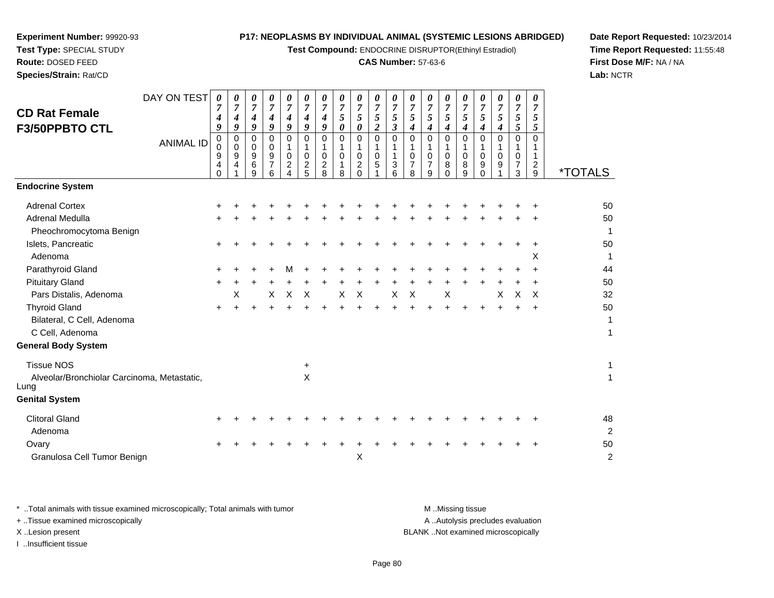**Test Compound:** ENDOCRINE DISRUPTOR(Ethinyl Estradiol)

#### **CAS Number:** 57-63-6

**Date Report Requested:** 10/23/2014**Time Report Requested:** 11:55:48**First Dose M/F:** NA / NA**Lab:** NCTR

| <b>CD Rat Female</b><br>F3/50PPBTO CTL                                                                                                              | DAY ON TEST<br><b>ANIMAL ID</b> | 0<br>7<br>4<br>9<br>$\mathbf 0$<br>$\mathbf 0$<br>9<br>4<br>$\Omega$ | 0<br>$\overline{7}$<br>4<br>9<br>0<br>$\mathbf 0$<br>9<br>4 | 0<br>$\overline{7}$<br>4<br>9<br>0<br>0<br>$9\,$<br>$\,6$<br>9 | 0<br>$\overline{7}$<br>4<br>9<br>$\Omega$<br>0<br>9<br>$\overline{7}$<br>6 | 0<br>$\overline{7}$<br>$\boldsymbol{4}$<br>9<br>0<br>$\mathbf{1}$<br>$\mathbf 0$<br>$\frac{2}{4}$ | 0<br>7<br>4<br>9<br>$\Omega$<br>1<br>$\mathbf 0$<br>$\frac{2}{5}$ | 0<br>$\overline{7}$<br>4<br>9<br>$\Omega$<br>1<br>$\mathbf 0$<br>$\frac{2}{8}$ | 0<br>$\boldsymbol{7}$<br>$\mathfrak{z}$<br>0<br>0<br>$\mathbf{1}$<br>0<br>1<br>8 | 0<br>$\overline{7}$<br>5<br>0<br>$\Omega$<br>1<br>$\mathbf 0$<br>$\overline{c}$<br>$\Omega$ | 0<br>$\boldsymbol{7}$<br>5<br>$\boldsymbol{2}$<br>$\Omega$<br>$\mathbf 1$<br>$\mathbf 0$<br>5 | 0<br>$\boldsymbol{7}$<br>5<br>$\boldsymbol{\beta}$<br>$\Omega$<br>3<br>6 | 0<br>$\boldsymbol{7}$<br>5<br>4<br>$\Omega$<br>1<br>$\mathbf 0$<br>7<br>8 | 0<br>$\overline{7}$<br>5<br>$\boldsymbol{4}$<br>$\Omega$<br>-1<br>0<br>7<br>9 | 0<br>$\overline{7}$<br>5<br>4<br>$\Omega$<br>1<br>0<br>8<br>$\Omega$ | 0<br>$\overline{7}$<br>5<br>4<br>0<br>0<br>8<br>9 | 0<br>$\boldsymbol{7}$<br>5<br>4<br>$\Omega$<br>$\mathbf 0$<br>9<br>$\Omega$ | 0<br>$\overline{7}$<br>5<br>$\boldsymbol{4}$<br>$\Omega$<br>1<br>0<br>9 | 0<br>$\overline{7}$<br>$\sqrt{5}$<br>$\sqrt{5}$<br>$\Omega$<br>-1<br>0<br>7<br>3 | 0<br>7<br>5<br>5<br>$\Omega$<br>1<br>$\frac{2}{9}$ | <i><b>*TOTALS</b></i>                        |
|-----------------------------------------------------------------------------------------------------------------------------------------------------|---------------------------------|----------------------------------------------------------------------|-------------------------------------------------------------|----------------------------------------------------------------|----------------------------------------------------------------------------|---------------------------------------------------------------------------------------------------|-------------------------------------------------------------------|--------------------------------------------------------------------------------|----------------------------------------------------------------------------------|---------------------------------------------------------------------------------------------|-----------------------------------------------------------------------------------------------|--------------------------------------------------------------------------|---------------------------------------------------------------------------|-------------------------------------------------------------------------------|----------------------------------------------------------------------|---------------------------------------------------|-----------------------------------------------------------------------------|-------------------------------------------------------------------------|----------------------------------------------------------------------------------|----------------------------------------------------|----------------------------------------------|
| <b>Endocrine System</b>                                                                                                                             |                                 |                                                                      |                                                             |                                                                |                                                                            |                                                                                                   |                                                                   |                                                                                |                                                                                  |                                                                                             |                                                                                               |                                                                          |                                                                           |                                                                               |                                                                      |                                                   |                                                                             |                                                                         |                                                                                  |                                                    |                                              |
| <b>Adrenal Cortex</b><br>Adrenal Medulla<br>Pheochromocytoma Benign<br>Islets, Pancreatic<br>Adenoma<br>Parathyroid Gland<br><b>Pituitary Gland</b> |                                 |                                                                      |                                                             |                                                                |                                                                            |                                                                                                   |                                                                   |                                                                                |                                                                                  |                                                                                             |                                                                                               |                                                                          |                                                                           |                                                                               |                                                                      |                                                   |                                                                             |                                                                         |                                                                                  | X                                                  | 50<br>50<br>1<br>50<br>1<br>44<br>50         |
| Pars Distalis, Adenoma<br><b>Thyroid Gland</b><br>Bilateral, C Cell, Adenoma<br>C Cell, Adenoma<br><b>General Body System</b>                       |                                 |                                                                      | X                                                           |                                                                | X                                                                          | $\mathsf{X}$                                                                                      | $\mathsf{X}$                                                      |                                                                                | $\boldsymbol{\mathsf{X}}$                                                        | $\boldsymbol{\mathsf{X}}$                                                                   |                                                                                               | X                                                                        | $\boldsymbol{\mathsf{X}}$                                                 |                                                                               | $\pmb{\times}$                                                       |                                                   |                                                                             | X                                                                       | X                                                                                | $\times$<br>$\ddot{}$                              | 32<br>50<br>1<br>1                           |
| <b>Tissue NOS</b><br>Alveolar/Bronchiolar Carcinoma, Metastatic,<br>Lung<br><b>Genital System</b>                                                   |                                 |                                                                      |                                                             |                                                                |                                                                            |                                                                                                   | $\ddot{}$<br>X                                                    |                                                                                |                                                                                  |                                                                                             |                                                                                               |                                                                          |                                                                           |                                                                               |                                                                      |                                                   |                                                                             |                                                                         |                                                                                  |                                                    | 1<br>1                                       |
| <b>Clitoral Gland</b><br>Adenoma<br>Ovary<br>Granulosa Cell Tumor Benign                                                                            |                                 |                                                                      |                                                             |                                                                |                                                                            |                                                                                                   |                                                                   |                                                                                |                                                                                  | X                                                                                           |                                                                                               |                                                                          |                                                                           |                                                                               |                                                                      |                                                   |                                                                             |                                                                         |                                                                                  |                                                    | 48<br>$\overline{c}$<br>50<br>$\overline{c}$ |

**Experiment Number:** 99920-93**Test Type:** SPECIAL STUDY**Route:** DOSED FEED**Species/Strain:** Rat/CD

\* ..Total animals with tissue examined microscopically; Total animals with tumor **M** . Missing tissue M ..Missing tissue A ..Autolysis precludes evaluation + ..Tissue examined microscopically X ..Lesion present BLANK ..Not examined microscopicallyI ..Insufficient tissue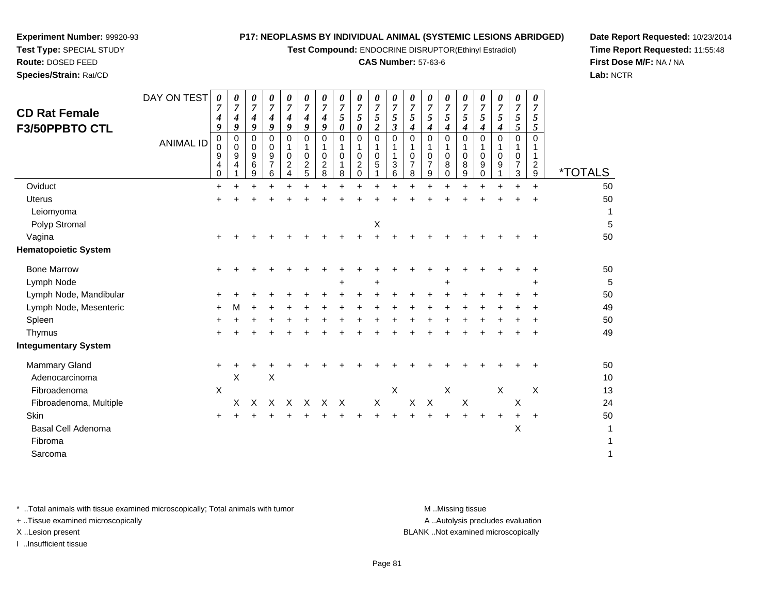**Test Compound:** ENDOCRINE DISRUPTOR(Ethinyl Estradiol)

#### **CAS Number:** 57-63-6

**Date Report Requested:** 10/23/2014**Time Report Requested:** 11:55:48**First Dose M/F:** NA / NA**Lab:** NCTR

| <b>CD Rat Female</b><br><b>F3/50PPBTO CTL</b> | DAY ON TEST      | 0<br>7<br>4<br>9                       | 0<br>$\overline{7}$<br>4<br>9 | 0<br>7<br>4<br>9      | 0<br>$\overline{7}$<br>4<br>9 | 0<br>$\boldsymbol{7}$<br>4<br>9              | 0<br>$\overline{7}$<br>4<br>9               | 0<br>$\overline{7}$<br>$\boldsymbol{4}$<br>9 | 0<br>$\overline{7}$<br>5<br>$\pmb{\theta}$ | 0<br>$\overline{7}$<br>5<br>0                    | 0<br>$\overline{7}$<br>5<br>$\overline{c}$ | 0<br>$\boldsymbol{7}$<br>5<br>$\boldsymbol{\mathfrak{z}}$ | 0<br>$\overline{7}$<br>5<br>4      | 0<br>$\boldsymbol{7}$<br>5<br>$\boldsymbol{4}$ | 0<br>$\overline{7}$<br>5<br>$\boldsymbol{4}$ | 0<br>$\overline{7}$<br>5<br>$\boldsymbol{4}$ | 0<br>$\overline{7}$<br>$\mathfrak{s}$<br>4 | 0<br>$\overline{7}$<br>5<br>4 | 0<br>$\overline{7}$<br>5<br>5 | 0<br>$\overline{7}$<br>5<br>5      |                       |
|-----------------------------------------------|------------------|----------------------------------------|-------------------------------|-----------------------|-------------------------------|----------------------------------------------|---------------------------------------------|----------------------------------------------|--------------------------------------------|--------------------------------------------------|--------------------------------------------|-----------------------------------------------------------|------------------------------------|------------------------------------------------|----------------------------------------------|----------------------------------------------|--------------------------------------------|-------------------------------|-------------------------------|------------------------------------|-----------------------|
|                                               | <b>ANIMAL ID</b> | $\mathbf 0$<br>0<br>9<br>4<br>$\Omega$ | 0<br>0<br>9<br>4              | 0<br>0<br>9<br>6<br>9 | 0<br>0<br>9<br>7<br>6         | 0<br>1<br>$\mathbf 0$<br>$\overline{c}$<br>4 | $\Omega$<br>$\Omega$<br>$\overline{c}$<br>5 | 0<br>1<br>$\Omega$<br>$\overline{c}$<br>8    | $\Omega$<br>1<br>$\Omega$<br>8             | $\Omega$<br>1<br>0<br>$\overline{c}$<br>$\Omega$ | $\Omega$<br>$\mathbf 0$<br>5               | 0<br>3<br>6                                               | 0<br>1<br>0<br>$\overline{7}$<br>8 | 0<br>1<br>$\mathbf 0$<br>$\overline{7}$<br>9   | $\Omega$<br>$\mathbf 0$<br>8<br>$\Omega$     | $\Omega$<br>1<br>0<br>8<br>9                 | $\Omega$<br>0<br>9<br>$\Omega$             | 0<br>1<br>0<br>9              | 0<br>0<br>7<br>3              | 0<br>$\mathbf{1}$<br>$\frac{2}{9}$ | <i><b>*TOTALS</b></i> |
| Oviduct                                       |                  | $\ddot{}$                              |                               | $\ddot{}$             |                               |                                              |                                             |                                              |                                            |                                                  |                                            |                                                           |                                    |                                                |                                              |                                              |                                            |                               | $\div$                        | $\ddot{}$                          | 50                    |
| <b>Uterus</b>                                 |                  | ÷                                      |                               |                       |                               |                                              |                                             |                                              |                                            |                                                  |                                            |                                                           |                                    |                                                |                                              |                                              |                                            |                               |                               | $\ddot{}$                          | 50                    |
| Leiomyoma                                     |                  |                                        |                               |                       |                               |                                              |                                             |                                              |                                            |                                                  |                                            |                                                           |                                    |                                                |                                              |                                              |                                            |                               |                               |                                    |                       |
| Polyp Stromal                                 |                  |                                        |                               |                       |                               |                                              |                                             |                                              |                                            |                                                  | Χ                                          |                                                           |                                    |                                                |                                              |                                              |                                            |                               |                               |                                    | 5                     |
| Vagina                                        |                  |                                        |                               |                       |                               |                                              |                                             |                                              |                                            |                                                  |                                            |                                                           |                                    |                                                |                                              |                                              |                                            |                               |                               |                                    | 50                    |
| <b>Hematopoietic System</b>                   |                  |                                        |                               |                       |                               |                                              |                                             |                                              |                                            |                                                  |                                            |                                                           |                                    |                                                |                                              |                                              |                                            |                               |                               |                                    |                       |
| <b>Bone Marrow</b>                            |                  | $\ddot{}$                              |                               |                       |                               |                                              |                                             |                                              |                                            |                                                  |                                            |                                                           |                                    |                                                |                                              |                                              |                                            |                               |                               | ٠                                  | 50                    |
| Lymph Node                                    |                  |                                        |                               |                       |                               |                                              |                                             |                                              |                                            |                                                  |                                            |                                                           |                                    |                                                |                                              |                                              |                                            |                               |                               |                                    | 5                     |
| Lymph Node, Mandibular                        |                  |                                        |                               |                       |                               |                                              |                                             |                                              |                                            |                                                  |                                            |                                                           |                                    |                                                |                                              |                                              |                                            |                               |                               |                                    | 50                    |
| Lymph Node, Mesenteric                        |                  | +                                      |                               |                       |                               |                                              |                                             |                                              |                                            |                                                  |                                            |                                                           |                                    |                                                |                                              |                                              |                                            |                               |                               |                                    | 49                    |
| Spleen                                        |                  |                                        |                               |                       |                               |                                              |                                             |                                              |                                            |                                                  |                                            |                                                           |                                    |                                                |                                              |                                              |                                            |                               |                               | +                                  | 50                    |
| Thymus                                        |                  |                                        |                               |                       |                               |                                              |                                             |                                              |                                            |                                                  |                                            |                                                           |                                    |                                                |                                              |                                              |                                            |                               |                               |                                    | 49                    |
| <b>Integumentary System</b>                   |                  |                                        |                               |                       |                               |                                              |                                             |                                              |                                            |                                                  |                                            |                                                           |                                    |                                                |                                              |                                              |                                            |                               |                               |                                    |                       |
| Mammary Gland                                 |                  | $\ddot{}$                              |                               |                       |                               |                                              |                                             |                                              |                                            |                                                  |                                            |                                                           |                                    |                                                |                                              |                                              |                                            |                               |                               |                                    | 50                    |
| Adenocarcinoma                                |                  |                                        | X                             |                       | $\boldsymbol{\mathsf{X}}$     |                                              |                                             |                                              |                                            |                                                  |                                            |                                                           |                                    |                                                |                                              |                                              |                                            |                               |                               |                                    | 10                    |
| Fibroadenoma                                  |                  | X                                      |                               |                       |                               |                                              |                                             |                                              |                                            |                                                  |                                            | $\pmb{\times}$                                            |                                    |                                                | $\boldsymbol{\mathsf{X}}$                    |                                              |                                            | X                             |                               | X                                  | 13                    |
| Fibroadenoma, Multiple                        |                  |                                        | х                             | X                     | Χ                             | Χ                                            | X                                           | X                                            | $\boldsymbol{\mathsf{X}}$                  |                                                  | $\mathsf X$                                |                                                           | $\mathsf X$                        | $\boldsymbol{\mathsf{X}}$                      |                                              | X                                            |                                            |                               | X                             |                                    | 24                    |
| Skin                                          |                  | $\ddot{}$                              |                               |                       |                               |                                              |                                             |                                              |                                            |                                                  |                                            |                                                           |                                    |                                                |                                              |                                              |                                            | ٠                             | +                             | $\ddot{}$                          | 50                    |
| <b>Basal Cell Adenoma</b>                     |                  |                                        |                               |                       |                               |                                              |                                             |                                              |                                            |                                                  |                                            |                                                           |                                    |                                                |                                              |                                              |                                            |                               | Χ                             |                                    | 1                     |
| Fibroma                                       |                  |                                        |                               |                       |                               |                                              |                                             |                                              |                                            |                                                  |                                            |                                                           |                                    |                                                |                                              |                                              |                                            |                               |                               |                                    | 1                     |
| Sarcoma                                       |                  |                                        |                               |                       |                               |                                              |                                             |                                              |                                            |                                                  |                                            |                                                           |                                    |                                                |                                              |                                              |                                            |                               |                               |                                    | 1                     |

\* ..Total animals with tissue examined microscopically; Total animals with tumor **M** . Missing tissue M ..Missing tissue

+ ..Tissue examined microscopically

**Experiment Number:** 99920-93**Test Type:** SPECIAL STUDY**Route:** DOSED FEED**Species/Strain:** Rat/CD

I ..Insufficient tissue

A ..Autolysis precludes evaluation

X ..Lesion present BLANK ..Not examined microscopically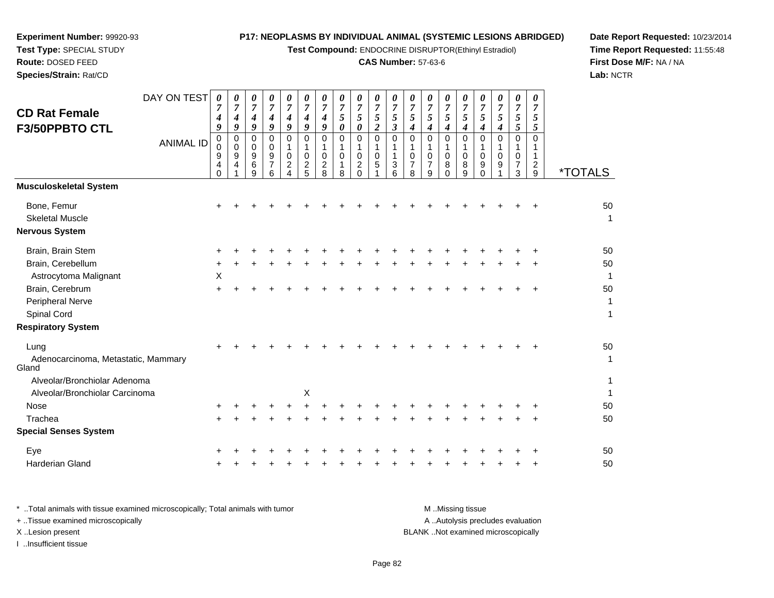**Test Compound:** ENDOCRINE DISRUPTOR(Ethinyl Estradiol)

## **CAS Number:** 57-63-6

**Date Report Requested:** 10/23/2014 **Time Report Requested:** 11:55:48**First Dose M/F:** NA / NA**Lab:** NCTR

| <b>CD Rat Female</b><br>F3/50PPBTO CTL                         | DAY ON TEST      | 0<br>$\overline{7}$<br>4<br>9   | 0<br>$\overline{7}$<br>$\boldsymbol{4}$<br>$\boldsymbol{g}$ | 0<br>$\overline{7}$<br>4<br>$\boldsymbol{g}$ | 0<br>$\overline{7}$<br>$\boldsymbol{4}$<br>9             | 0<br>$\overline{7}$<br>$\boldsymbol{4}$<br>9 | 0<br>$\overline{7}$<br>$\boldsymbol{4}$<br>9 | 0<br>$\overline{7}$<br>$\boldsymbol{4}$<br>9 | 0<br>$\boldsymbol{7}$<br>5<br>$\pmb{\theta}$ | 0<br>$\overline{7}$<br>5<br>0                             | 0<br>$\boldsymbol{7}$<br>$\overline{5}$<br>$\overline{2}$ | 0<br>$\overline{7}$<br>$\sqrt{5}$<br>$\mathfrak{z}$   | 0<br>$\overline{7}$<br>$\sqrt{5}$<br>$\boldsymbol{4}$ | 0<br>$\overline{7}$<br>$\sqrt{5}$<br>4 | 0<br>$\overline{7}$<br>5<br>$\overline{\mathbf{4}}$ | 0<br>$\boldsymbol{7}$<br>$\mathfrak{s}$<br>$\boldsymbol{4}$ | 0<br>$\overline{7}$<br>5<br>$\boldsymbol{4}$  | 0<br>$\overline{7}$<br>5<br>$\boldsymbol{4}$ | 0<br>$\boldsymbol{7}$<br>5<br>5 | 0<br>$\overline{7}$<br>5<br>$\overline{5}$     |                         |
|----------------------------------------------------------------|------------------|---------------------------------|-------------------------------------------------------------|----------------------------------------------|----------------------------------------------------------|----------------------------------------------|----------------------------------------------|----------------------------------------------|----------------------------------------------|-----------------------------------------------------------|-----------------------------------------------------------|-------------------------------------------------------|-------------------------------------------------------|----------------------------------------|-----------------------------------------------------|-------------------------------------------------------------|-----------------------------------------------|----------------------------------------------|---------------------------------|------------------------------------------------|-------------------------|
|                                                                | <b>ANIMAL ID</b> | $\mathbf 0$<br>0<br>9<br>4<br>0 | $\mathbf 0$<br>0<br>$\boldsymbol{9}$<br>4                   | $\Omega$<br>0<br>9<br>6<br>9                 | $\Omega$<br>0<br>$\boldsymbol{9}$<br>$\overline{7}$<br>6 | $\Omega$<br>1<br>0<br>$\frac{2}{4}$          | $\Omega$<br>1<br>0<br>$rac{2}{5}$            | $\Omega$<br>1<br>0<br>$\overline{c}$<br>8    | 0<br>1<br>$\mathbf 0$<br>1<br>8              | $\Omega$<br>1<br>0<br>$\overline{\mathbf{c}}$<br>$\Omega$ | $\mathbf 0$<br>1<br>$\mathbf 0$<br>5                      | $\mathbf 0$<br>1<br>$\mathbf{1}$<br>$\mathbf{3}$<br>6 | 0<br>1<br>$\mathbf 0$<br>$\overline{7}$<br>8          | $\Omega$<br>0<br>7<br>9                | 0<br>1<br>0<br>8<br>$\Omega$                        | $\Omega$<br>1<br>$\pmb{0}$<br>$\bf 8$<br>9                  | $\Omega$<br>1<br>$\mathbf 0$<br>9<br>$\Omega$ | $\Omega$<br>1<br>0<br>9                      | $\mathbf 0$<br>1<br>0<br>7<br>3 | $\Omega$<br>1<br>$\mathbf{1}$<br>$\frac{2}{9}$ | <i><b>*TOTALS</b></i>   |
| <b>Musculoskeletal System</b>                                  |                  |                                 |                                                             |                                              |                                                          |                                              |                                              |                                              |                                              |                                                           |                                                           |                                                       |                                                       |                                        |                                                     |                                                             |                                               |                                              |                                 |                                                |                         |
| Bone, Femur<br><b>Skeletal Muscle</b>                          |                  |                                 |                                                             |                                              |                                                          |                                              |                                              |                                              |                                              |                                                           |                                                           |                                                       |                                                       |                                        |                                                     |                                                             |                                               |                                              |                                 |                                                | 50<br>$\mathbf{1}$      |
| <b>Nervous System</b>                                          |                  |                                 |                                                             |                                              |                                                          |                                              |                                              |                                              |                                              |                                                           |                                                           |                                                       |                                                       |                                        |                                                     |                                                             |                                               |                                              |                                 |                                                |                         |
| Brain, Brain Stem                                              |                  |                                 |                                                             |                                              |                                                          |                                              |                                              |                                              |                                              |                                                           |                                                           |                                                       |                                                       |                                        |                                                     |                                                             |                                               |                                              |                                 |                                                | 50                      |
| Brain, Cerebellum<br>Astrocytoma Malignant                     |                  | +<br>$\boldsymbol{\mathsf{X}}$  |                                                             |                                              |                                                          |                                              |                                              |                                              |                                              |                                                           |                                                           |                                                       |                                                       |                                        |                                                     |                                                             |                                               |                                              |                                 |                                                | 50<br>$\mathbf{1}$      |
| Brain, Cerebrum<br>Peripheral Nerve<br>Spinal Cord             |                  | $+$                             |                                                             |                                              |                                                          |                                              |                                              |                                              |                                              |                                                           |                                                           |                                                       |                                                       |                                        |                                                     |                                                             |                                               |                                              |                                 |                                                | 50<br>1<br>$\mathbf{1}$ |
| <b>Respiratory System</b>                                      |                  |                                 |                                                             |                                              |                                                          |                                              |                                              |                                              |                                              |                                                           |                                                           |                                                       |                                                       |                                        |                                                     |                                                             |                                               |                                              |                                 |                                                |                         |
| Lung<br>Adenocarcinoma, Metastatic, Mammary<br>Gland           |                  |                                 |                                                             |                                              |                                                          |                                              |                                              |                                              |                                              |                                                           |                                                           |                                                       |                                                       |                                        |                                                     |                                                             |                                               |                                              |                                 |                                                | 50<br>1                 |
| Alveolar/Bronchiolar Adenoma<br>Alveolar/Bronchiolar Carcinoma |                  |                                 |                                                             |                                              |                                                          |                                              | $\boldsymbol{\mathsf{X}}$                    |                                              |                                              |                                                           |                                                           |                                                       |                                                       |                                        |                                                     |                                                             |                                               |                                              |                                 |                                                | 1<br>$\mathbf{1}$       |
| <b>Nose</b>                                                    |                  |                                 |                                                             |                                              |                                                          |                                              |                                              |                                              |                                              |                                                           |                                                           |                                                       |                                                       |                                        |                                                     |                                                             |                                               |                                              |                                 |                                                | 50                      |
| Trachea                                                        |                  | $\ddot{}$                       |                                                             |                                              |                                                          |                                              |                                              |                                              |                                              |                                                           |                                                           |                                                       |                                                       |                                        |                                                     |                                                             |                                               |                                              |                                 |                                                | 50                      |
| <b>Special Senses System</b>                                   |                  |                                 |                                                             |                                              |                                                          |                                              |                                              |                                              |                                              |                                                           |                                                           |                                                       |                                                       |                                        |                                                     |                                                             |                                               |                                              |                                 |                                                |                         |
| Eye                                                            |                  |                                 |                                                             |                                              |                                                          |                                              |                                              |                                              |                                              |                                                           |                                                           |                                                       |                                                       |                                        |                                                     |                                                             |                                               |                                              |                                 |                                                | 50                      |
| <b>Harderian Gland</b>                                         |                  |                                 |                                                             |                                              |                                                          |                                              |                                              |                                              |                                              |                                                           |                                                           |                                                       |                                                       |                                        |                                                     |                                                             |                                               |                                              |                                 |                                                | 50                      |

| Total animals with tissue examined microscopically; Total animals with tumor | M Missing tissue                   |
|------------------------------------------------------------------------------|------------------------------------|
| + Tissue examined microscopically                                            | A Autolysis precludes evaluation   |
| X Lesion present                                                             | BLANK Not examined microscopically |
| …Insufficient tissue                                                         |                                    |